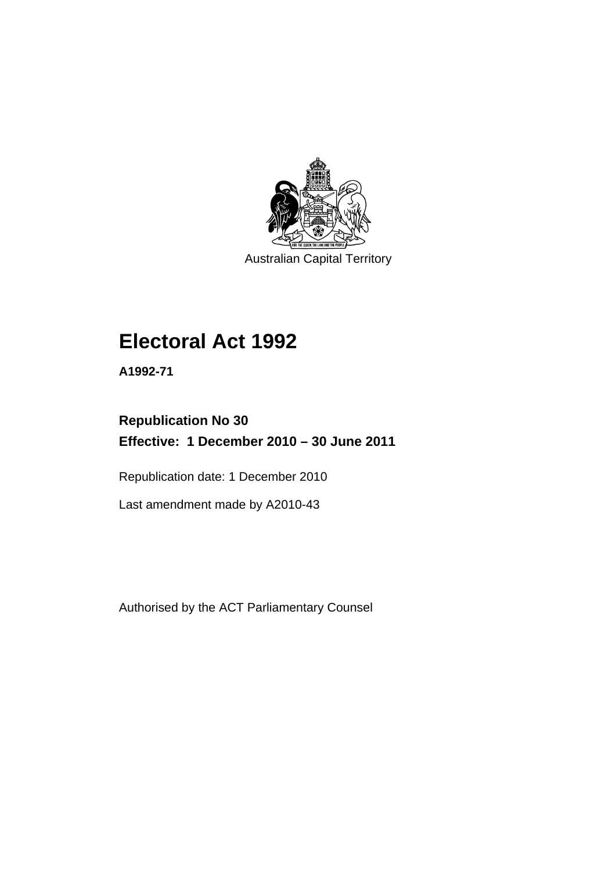

Australian Capital Territory

# **Electoral Act 1992**

**A1992-71** 

# **Republication No 30 Effective: 1 December 2010 – 30 June 2011**

Republication date: 1 December 2010

Last amendment made by A2010-43

Authorised by the ACT Parliamentary Counsel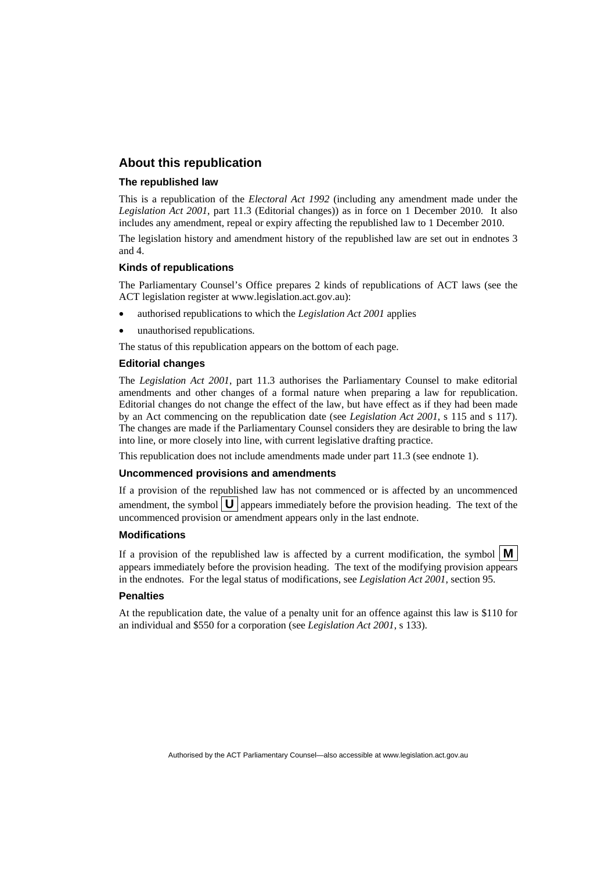#### **About this republication**

#### **The republished law**

This is a republication of the *Electoral Act 1992* (including any amendment made under the *Legislation Act 2001*, part 11.3 (Editorial changes)) as in force on 1 December 2010*.* It also includes any amendment, repeal or expiry affecting the republished law to 1 December 2010.

The legislation history and amendment history of the republished law are set out in endnotes 3 and 4.

#### **Kinds of republications**

The Parliamentary Counsel's Office prepares 2 kinds of republications of ACT laws (see the ACT legislation register at www.legislation.act.gov.au):

- authorised republications to which the *Legislation Act 2001* applies
- unauthorised republications.

The status of this republication appears on the bottom of each page.

#### **Editorial changes**

The *Legislation Act 2001*, part 11.3 authorises the Parliamentary Counsel to make editorial amendments and other changes of a formal nature when preparing a law for republication. Editorial changes do not change the effect of the law, but have effect as if they had been made by an Act commencing on the republication date (see *Legislation Act 2001*, s 115 and s 117). The changes are made if the Parliamentary Counsel considers they are desirable to bring the law into line, or more closely into line, with current legislative drafting practice.

This republication does not include amendments made under part 11.3 (see endnote 1).

#### **Uncommenced provisions and amendments**

If a provision of the republished law has not commenced or is affected by an uncommenced amendment, the symbol  $\mathbf{U}$  appears immediately before the provision heading. The text of the uncommenced provision or amendment appears only in the last endnote.

#### **Modifications**

If a provision of the republished law is affected by a current modification, the symbol  $\mathbf{M}$ appears immediately before the provision heading. The text of the modifying provision appears in the endnotes. For the legal status of modifications, see *Legislation Act 2001*, section 95.

#### **Penalties**

At the republication date, the value of a penalty unit for an offence against this law is \$110 for an individual and \$550 for a corporation (see *Legislation Act 2001*, s 133).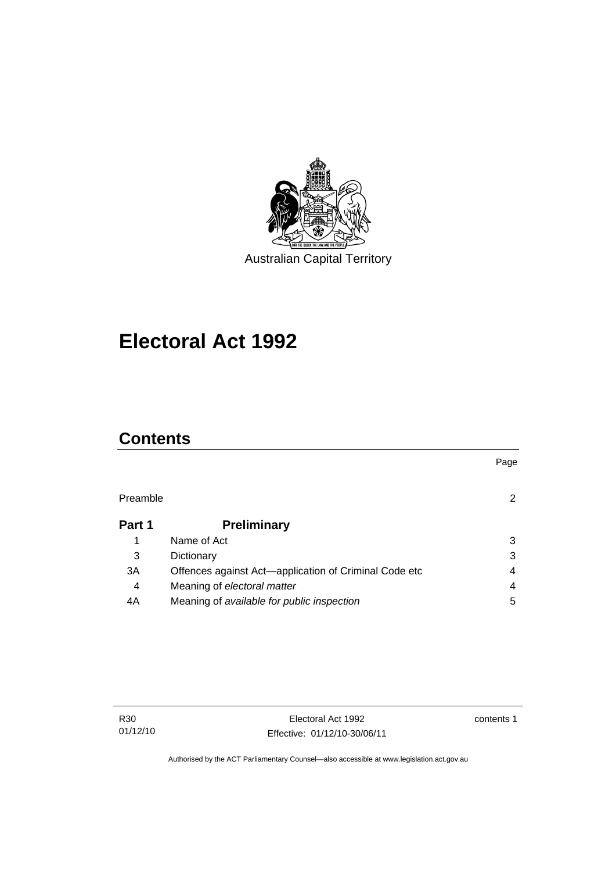

# **Electoral Act 1992**

# **Contents**

| Preamble       |                                                       |   |
|----------------|-------------------------------------------------------|---|
| Part 1         | <b>Preliminary</b>                                    |   |
|                | Name of Act                                           | 3 |
| 3              | Dictionary                                            | 3 |
| 3A             | Offences against Act-application of Criminal Code etc | 4 |
| $\overline{4}$ | Meaning of electoral matter                           | 4 |
| 4A             | Meaning of available for public inspection            | 5 |

contents 1

Page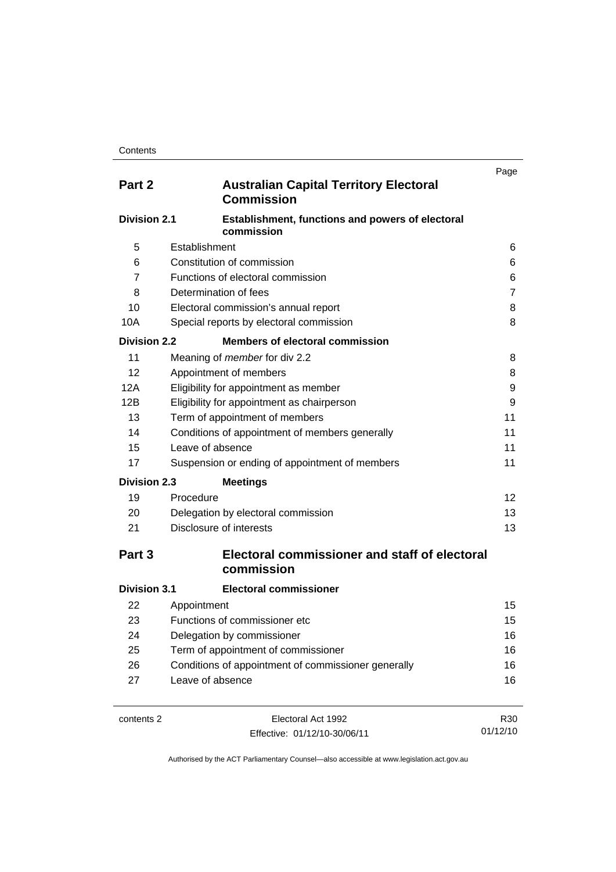| Part 2              | <b>Australian Capital Territory Electoral</b><br><b>Commission</b> | Page |
|---------------------|--------------------------------------------------------------------|------|
| <b>Division 2.1</b> | Establishment, functions and powers of electoral<br>commission     |      |
| 5                   | Establishment                                                      | 6    |
| 6                   | Constitution of commission                                         | 6    |
| 7                   | Functions of electoral commission                                  | 6    |
| 8                   | Determination of fees                                              | 7    |
| 10                  | Electoral commission's annual report                               | 8    |
| 10A                 | Special reports by electoral commission                            | 8    |
| <b>Division 2.2</b> | <b>Members of electoral commission</b>                             |      |
| 11                  | Meaning of <i>member</i> for div 2.2                               | 8    |
| 12                  | Appointment of members                                             | 8    |
| 12A                 | Eligibility for appointment as member                              | 9    |
| 12B                 | Eligibility for appointment as chairperson                         | 9    |
| 13                  | Term of appointment of members                                     | 11   |
| 14                  | Conditions of appointment of members generally                     | 11   |
| 15                  | Leave of absence                                                   | 11   |
| 17                  | Suspension or ending of appointment of members                     | 11   |
| <b>Division 2.3</b> | <b>Meetings</b>                                                    |      |
| 19                  | Procedure                                                          | 12   |
| 20                  | Delegation by electoral commission                                 | 13   |
| 21                  | Disclosure of interests                                            | 13   |
| Part 3              | Electoral commissioner and staff of electoral<br>commission        |      |
| <b>Division 3.1</b> | <b>Electoral commissioner</b>                                      |      |
| 22                  | Appointment                                                        | 15   |
| 23                  | Functions of commissioner etc                                      | 15   |
| 24                  | Delegation by commissioner                                         | 16   |
| 25                  | Term of appointment of commissioner                                | 16   |
| 26                  | Conditions of appointment of commissioner generally                | 16   |
| 27                  | Leave of absence                                                   | 16   |
| contents 2          | Electoral Act 1992                                                 | R30  |

Effective: 01/12/10-30/06/11

R30 01/12/10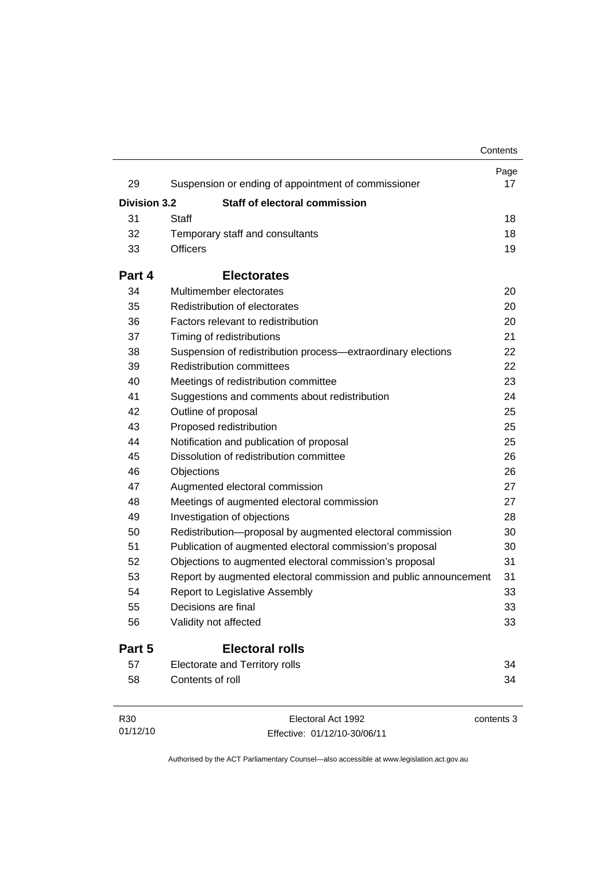|                     |                                                                  | Contents |            |
|---------------------|------------------------------------------------------------------|----------|------------|
| 29                  | Suspension or ending of appointment of commissioner              |          | Page<br>17 |
| <b>Division 3.2</b> | Staff of electoral commission                                    |          |            |
| 31                  | Staff                                                            |          | 18         |
| 32                  | Temporary staff and consultants                                  |          | 18         |
| 33                  | <b>Officers</b>                                                  |          | 19         |
| Part 4              | <b>Electorates</b>                                               |          |            |
| 34                  | Multimember electorates                                          |          | 20         |
| 35                  | Redistribution of electorates                                    |          | 20         |
| 36                  | Factors relevant to redistribution                               |          | 20         |
| 37                  | Timing of redistributions                                        |          | 21         |
| 38                  | Suspension of redistribution process-extraordinary elections     |          | 22         |
| 39                  | <b>Redistribution committees</b>                                 |          | 22         |
| 40                  | Meetings of redistribution committee                             |          | 23         |
| 41                  | Suggestions and comments about redistribution                    |          | 24         |
| 42                  | Outline of proposal                                              |          | 25         |
| 43                  | Proposed redistribution                                          |          | 25         |
| 44                  | Notification and publication of proposal                         |          | 25         |
| 45                  | Dissolution of redistribution committee                          |          | 26         |
| 46                  | Objections                                                       |          | 26         |
| 47                  | Augmented electoral commission                                   |          | 27         |
| 48                  | Meetings of augmented electoral commission                       |          | 27         |
| 49                  | Investigation of objections                                      |          | 28         |
| 50                  | Redistribution-proposal by augmented electoral commission        |          | 30         |
| 51                  | Publication of augmented electoral commission's proposal         |          | 30         |
| 52                  | Objections to augmented electoral commission's proposal          |          | 31         |
| 53                  | Report by augmented electoral commission and public announcement |          | 31         |
| 54                  | Report to Legislative Assembly                                   |          | 33         |
| 55                  | Decisions are final                                              |          | 33         |
| 56                  | Validity not affected                                            |          | 33         |
| Part 5              | <b>Electoral rolls</b>                                           |          |            |
| 57                  | <b>Electorate and Territory rolls</b>                            |          | 34         |
| 58                  | Contents of roll                                                 |          | 34         |

| R30      | Electoral Act 1992           | contents 3 |
|----------|------------------------------|------------|
| 01/12/10 | Effective: 01/12/10-30/06/11 |            |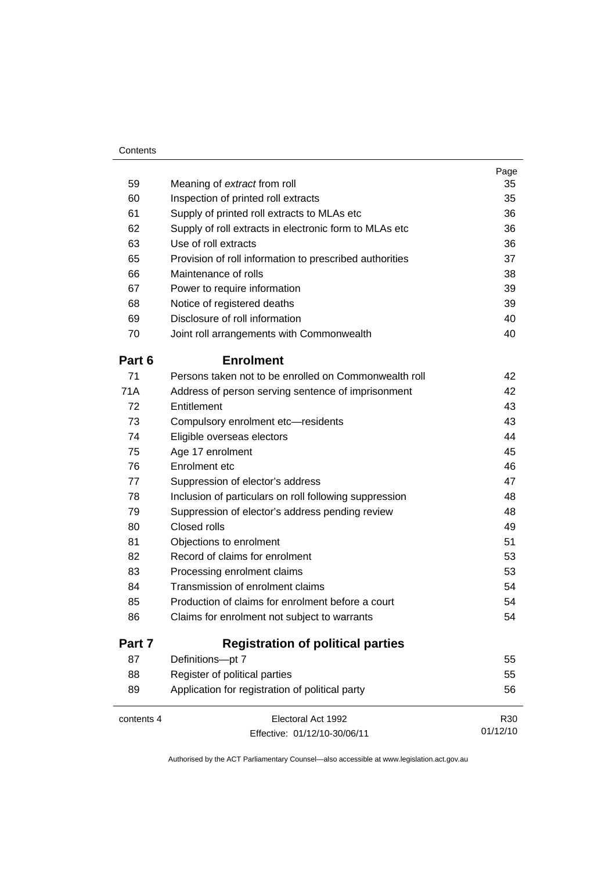| Contents |
|----------|
|----------|

|            |                                                         | Page     |
|------------|---------------------------------------------------------|----------|
| 59         | Meaning of extract from roll                            | 35       |
| 60         | Inspection of printed roll extracts                     | 35       |
| 61         | Supply of printed roll extracts to MLAs etc             | 36       |
| 62         | Supply of roll extracts in electronic form to MLAs etc  | 36       |
| 63         | Use of roll extracts                                    | 36       |
| 65         | Provision of roll information to prescribed authorities | 37       |
| 66         | Maintenance of rolls                                    | 38       |
| 67         | Power to require information                            | 39       |
| 68         | Notice of registered deaths                             | 39       |
| 69         | Disclosure of roll information                          | 40       |
| 70         | Joint roll arrangements with Commonwealth               | 40       |
| Part 6     | <b>Enrolment</b>                                        |          |
| 71         | Persons taken not to be enrolled on Commonwealth roll   | 42       |
| <b>71A</b> | Address of person serving sentence of imprisonment      | 42       |
| 72         | Entitlement                                             | 43       |
| 73         | Compulsory enrolment etc-residents                      | 43       |
| 74         | Eligible overseas electors                              | 44       |
| 75         | Age 17 enrolment                                        | 45       |
| 76         | Enrolment etc                                           | 46       |
| 77         | Suppression of elector's address                        | 47       |
| 78         | Inclusion of particulars on roll following suppression  | 48       |
| 79         | Suppression of elector's address pending review         | 48       |
| 80         | Closed rolls                                            | 49       |
| 81         | Objections to enrolment                                 | 51       |
| 82         | Record of claims for enrolment                          | 53       |
| 83         | Processing enrolment claims                             | 53       |
| 84         | Transmission of enrolment claims                        | 54       |
| 85         | Production of claims for enrolment before a court       | 54       |
| 86         | Claims for enrolment not subject to warrants            | 54       |
| Part 7     | <b>Registration of political parties</b>                |          |
| 87         | Definitions-pt 7                                        | 55       |
| 88         | Register of political parties                           | 55       |
| 89         | Application for registration of political party         | 56       |
| contents 4 | Electoral Act 1992                                      | R30      |
|            | Effective: 01/12/10-30/06/11                            | 01/12/10 |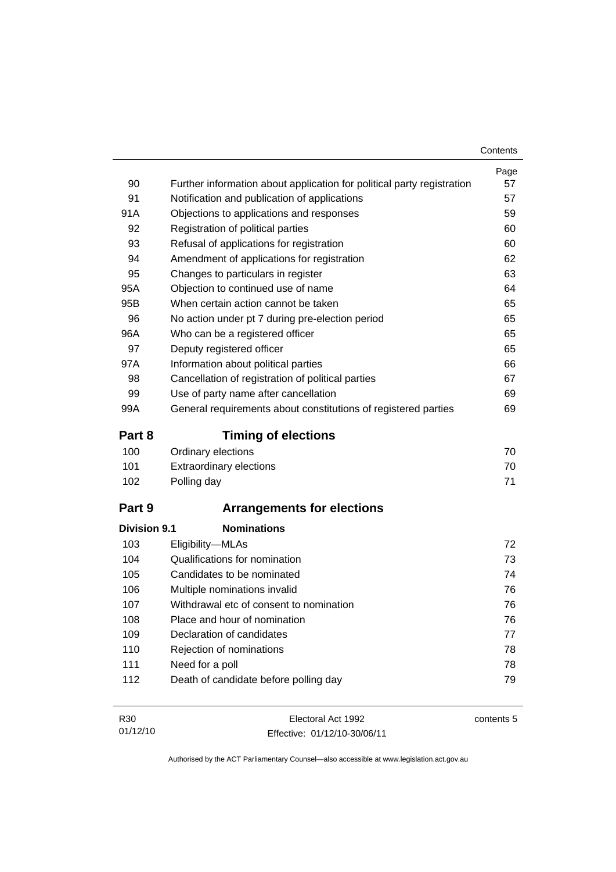|                            |                                                                        | Contents                         |
|----------------------------|------------------------------------------------------------------------|----------------------------------|
|                            |                                                                        | Page                             |
| 90                         | Further information about application for political party registration | 57                               |
| 91                         | Notification and publication of applications                           | 57                               |
| 91A                        | Objections to applications and responses                               | 59                               |
| 92                         | Registration of political parties                                      | 60                               |
| 93                         | Refusal of applications for registration                               | 60                               |
| 94                         | Amendment of applications for registration                             | 62                               |
| 95                         | Changes to particulars in register                                     | 63                               |
| 95A                        | Objection to continued use of name                                     | 64                               |
| 95B                        | When certain action cannot be taken                                    | 65                               |
| 96                         | No action under pt 7 during pre-election period                        | 65                               |
| 96A                        | Who can be a registered officer                                        | 65                               |
| 97                         | Deputy registered officer                                              | 65                               |
| 97A                        | Information about political parties                                    | 66                               |
| 98                         | Cancellation of registration of political parties                      | 67                               |
| 99                         | Use of party name after cancellation                                   | 69                               |
| 99A                        | General requirements about constitutions of registered parties         | 69                               |
| Part 8                     | <b>Timing of elections</b>                                             |                                  |
| 100                        | Ordinary elections                                                     | 70                               |
| 101                        | <b>Extraordinary elections</b>                                         | 70                               |
| 102                        | Polling day                                                            | 71                               |
| Part 9                     | <b>Arrangements for elections</b>                                      |                                  |
|                            |                                                                        |                                  |
|                            | <b>Nominations</b>                                                     |                                  |
| 103                        | Eligibility-MLAs                                                       |                                  |
| 104                        | Qualifications for nomination                                          |                                  |
| 105                        | Candidates to be nominated                                             |                                  |
| 106                        | Multiple nominations invalid                                           |                                  |
| 107                        | Withdrawal etc of consent to nomination                                |                                  |
| 108                        | Place and hour of nomination                                           | 72<br>73<br>74<br>76<br>76<br>76 |
| 109                        | Declaration of candidates                                              |                                  |
| 110                        | Rejection of nominations                                               | 77<br>78                         |
| <b>Division 9.1</b><br>111 | Need for a poll                                                        | 78                               |

| R30      | Electoral Act 1992           | contents 5 |
|----------|------------------------------|------------|
| 01/12/10 | Effective: 01/12/10-30/06/11 |            |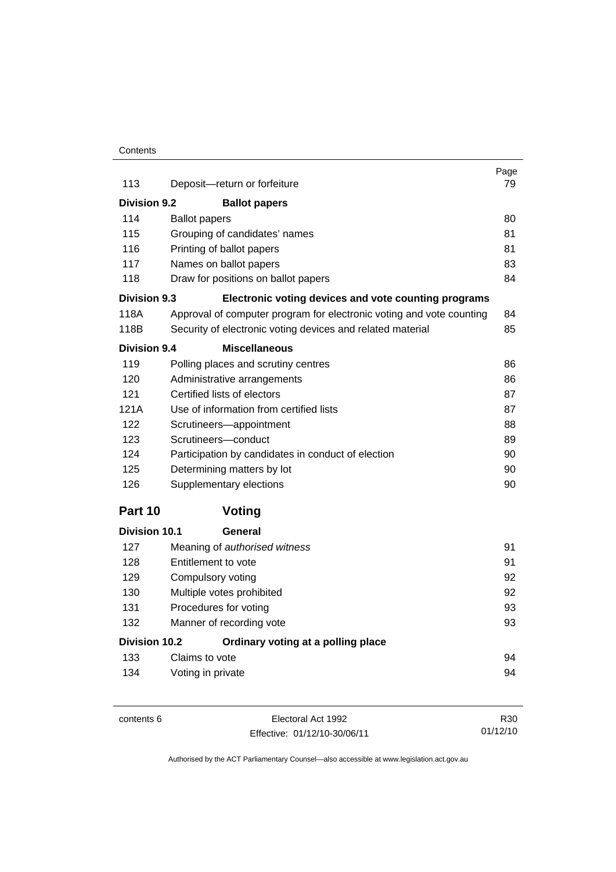#### **Contents**

| 113                 | Deposit-return or forfeiture                                         | Page<br>79 |
|---------------------|----------------------------------------------------------------------|------------|
|                     |                                                                      |            |
| <b>Division 9.2</b> | <b>Ballot papers</b>                                                 |            |
| 114                 | <b>Ballot papers</b>                                                 | 80         |
| 115                 | Grouping of candidates' names                                        | 81         |
| 116                 | Printing of ballot papers                                            | 81         |
| 117                 | Names on ballot papers                                               | 83         |
| 118                 | Draw for positions on ballot papers                                  | 84         |
| Division 9.3        | Electronic voting devices and vote counting programs                 |            |
| 118A                | Approval of computer program for electronic voting and vote counting | 84         |
| 118B                | Security of electronic voting devices and related material           | 85         |
| <b>Division 9.4</b> | <b>Miscellaneous</b>                                                 |            |
| 119                 | Polling places and scrutiny centres                                  | 86         |
| 120                 | Administrative arrangements                                          | 86         |
| 121                 | Certified lists of electors                                          | 87         |
| 121A                | Use of information from certified lists                              | 87         |
| 122                 | Scrutineers-appointment                                              | 88         |
| 123                 | Scrutineers-conduct                                                  | 89         |
| 124                 | Participation by candidates in conduct of election                   | 90         |
| 125                 | Determining matters by lot                                           | 90         |
| 126                 | Supplementary elections                                              | 90         |
| Part 10             | Voting                                                               |            |
| Division 10.1       | General                                                              |            |
| 127                 | Meaning of authorised witness                                        | 91         |
| 128                 | Entitlement to vote                                                  | 91         |
| 129                 | Compulsory voting                                                    | 92         |
| 130                 | Multiple votes prohibited                                            | 92         |
| 131                 | Procedures for voting                                                | 93         |
| 132                 | Manner of recording vote                                             | 93         |
| Division 10.2       | Ordinary voting at a polling place                                   |            |
| 133                 | Claims to vote                                                       | 94         |
| 134                 | Voting in private                                                    | 94         |

contents 6 Electoral Act 1992 Effective: 01/12/10-30/06/11

R30 01/12/10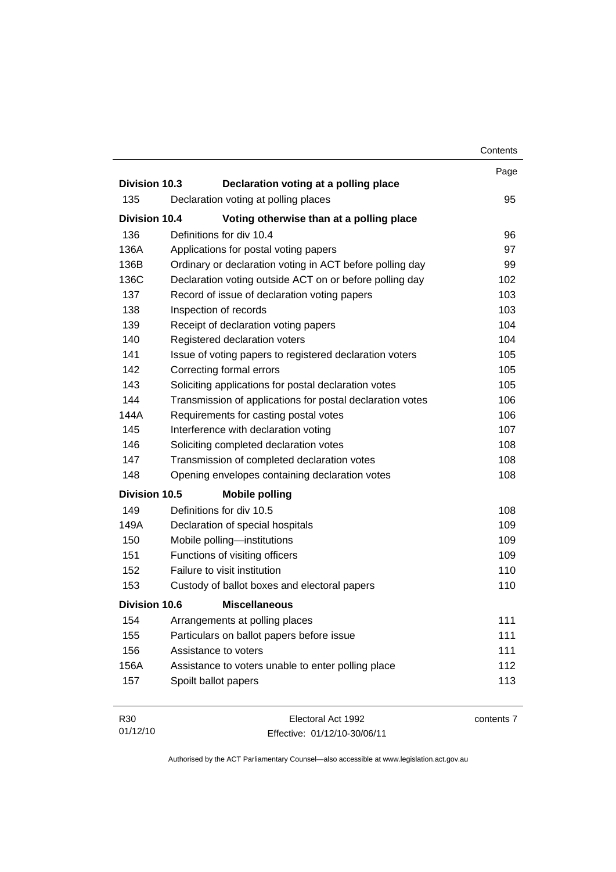|                      |                                                           | Contents   |
|----------------------|-----------------------------------------------------------|------------|
|                      |                                                           | Page       |
| <b>Division 10.3</b> | Declaration voting at a polling place                     |            |
| 135                  | Declaration voting at polling places                      | 95         |
| <b>Division 10.4</b> | Voting otherwise than at a polling place                  |            |
| 136                  | Definitions for div 10.4                                  | 96         |
| 136A                 | Applications for postal voting papers                     | 97         |
| 136B                 | Ordinary or declaration voting in ACT before polling day  | 99         |
| 136C                 | Declaration voting outside ACT on or before polling day   | 102        |
| 137                  | Record of issue of declaration voting papers              | 103        |
| 138                  | Inspection of records                                     | 103        |
| 139                  | Receipt of declaration voting papers                      | 104        |
| 140                  | Registered declaration voters                             | 104        |
| 141                  | Issue of voting papers to registered declaration voters   | 105        |
| 142                  | Correcting formal errors                                  | 105        |
| 143                  | Soliciting applications for postal declaration votes      | 105        |
| 144                  | Transmission of applications for postal declaration votes | 106        |
| 144A                 | Requirements for casting postal votes                     | 106        |
| 145                  | Interference with declaration voting                      | 107        |
| 146                  | Soliciting completed declaration votes                    | 108        |
| 147                  | Transmission of completed declaration votes               | 108        |
| 148                  | Opening envelopes containing declaration votes            | 108        |
| <b>Division 10.5</b> | <b>Mobile polling</b>                                     |            |
| 149                  | Definitions for div 10.5                                  | 108        |
| 149A                 | Declaration of special hospitals                          | 109        |
| 150                  | Mobile polling-institutions                               | 109        |
| 151                  | Functions of visiting officers                            | 109        |
| 152                  | Failure to visit institution                              | 110        |
| 153                  | Custody of ballot boxes and electoral papers              | 110        |
| Division 10.6        | <b>Miscellaneous</b>                                      |            |
| 154                  | Arrangements at polling places                            | 111        |
| 155                  | Particulars on ballot papers before issue                 | 111        |
| 156                  | Assistance to voters                                      | 111        |
| 156A                 | Assistance to voters unable to enter polling place        | 112        |
| 157                  | Spoilt ballot papers                                      | 113        |
| R30                  | Electoral Act 1992                                        | contents 7 |

Effective: 01/12/10-30/06/11

01/12/10

contents 7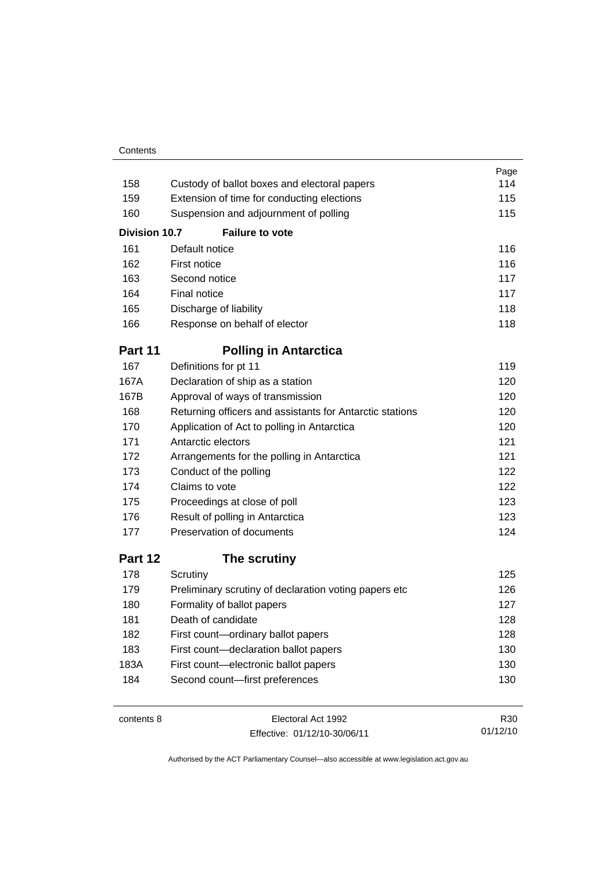#### **Contents**

|               |                                                          | Page |
|---------------|----------------------------------------------------------|------|
| 158           | Custody of ballot boxes and electoral papers             | 114  |
| 159           | Extension of time for conducting elections               | 115  |
| 160           | Suspension and adjournment of polling                    | 115  |
| Division 10.7 | <b>Failure to vote</b>                                   |      |
| 161           | Default notice                                           | 116  |
| 162           | First notice                                             | 116  |
| 163           | Second notice                                            | 117  |
| 164           | Final notice                                             | 117  |
| 165           | Discharge of liability                                   | 118  |
| 166           | Response on behalf of elector                            | 118  |
| Part 11       | <b>Polling in Antarctica</b>                             |      |
| 167           | Definitions for pt 11                                    | 119  |
| 167A          | Declaration of ship as a station                         | 120  |
| 167B          | Approval of ways of transmission                         | 120  |
| 168           | Returning officers and assistants for Antarctic stations | 120  |
| 170           | Application of Act to polling in Antarctica              | 120  |
| 171           | Antarctic electors                                       | 121  |
| 172           | Arrangements for the polling in Antarctica               | 121  |
| 173           | Conduct of the polling                                   | 122  |
| 174           | Claims to vote                                           | 122  |
| 175           | Proceedings at close of poll                             | 123  |
| 176           | Result of polling in Antarctica                          | 123  |
| 177           | Preservation of documents                                | 124  |
| Part 12       | The scrutiny                                             |      |
| 178           | Scrutiny                                                 | 125  |
| 179           | Preliminary scrutiny of declaration voting papers etc    | 126  |
| 180           | Formality of ballot papers                               | 127  |
| 181           | Death of candidate                                       | 128  |
| 182           | First count-ordinary ballot papers                       | 128  |
| 183           | First count-declaration ballot papers                    | 130  |
| 183A          | First count-electronic ballot papers                     | 130  |
| 184           | Second count-first preferences                           | 130  |
|               |                                                          |      |

| contents 8 |  |
|------------|--|
|------------|--|

Electoral Act 1992 Effective: 01/12/10-30/06/11

R30 01/12/10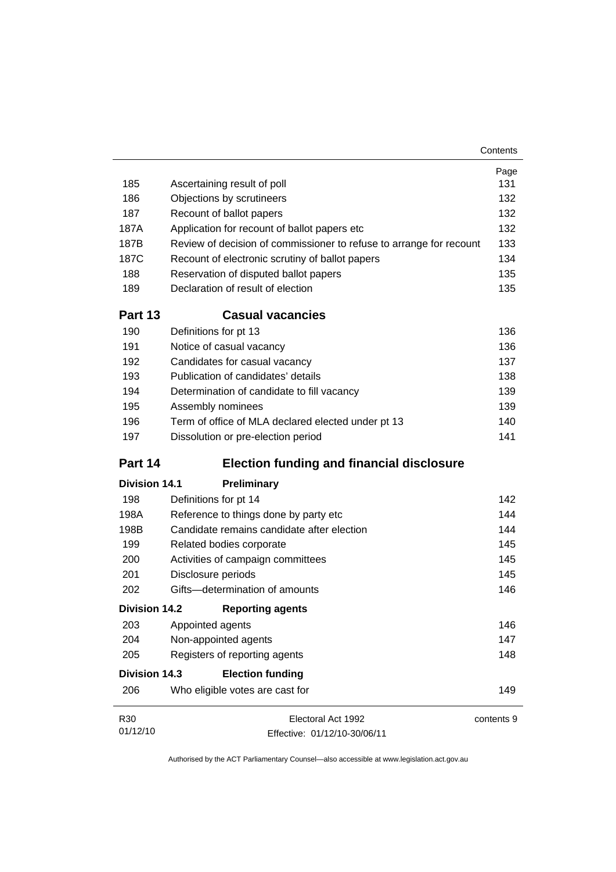|                      |                                                                     | Contents   |
|----------------------|---------------------------------------------------------------------|------------|
|                      |                                                                     | Page       |
| 185                  | Ascertaining result of poll                                         | 131        |
| 186                  | Objections by scrutineers                                           | 132        |
| 187                  | Recount of ballot papers                                            | 132        |
| 187A                 | Application for recount of ballot papers etc                        | 132        |
| 187B                 | Review of decision of commissioner to refuse to arrange for recount | 133        |
| 187C                 | Recount of electronic scrutiny of ballot papers                     | 134        |
| 188                  | Reservation of disputed ballot papers                               | 135        |
| 189                  | Declaration of result of election                                   | 135        |
| Part 13              | <b>Casual vacancies</b>                                             |            |
| 190                  | Definitions for pt 13                                               | 136        |
| 191                  | Notice of casual vacancy                                            | 136        |
| 192                  | Candidates for casual vacancy                                       | 137        |
| 193                  | Publication of candidates' details                                  | 138        |
| 194                  | Determination of candidate to fill vacancy                          | 139        |
| 195                  | Assembly nominees                                                   | 139        |
| 196                  | Term of office of MLA declared elected under pt 13                  | 140        |
| 197                  | Dissolution or pre-election period                                  | 141        |
| Part 14              | <b>Election funding and financial disclosure</b>                    |            |
| <b>Division 14.1</b> | Preliminary                                                         |            |
| 198                  | Definitions for pt 14                                               | 142        |
| 198A                 | Reference to things done by party etc                               | 144        |
| 198B                 | Candidate remains candidate after election                          | 144        |
| 199                  | Related bodies corporate                                            | 145        |
| 200                  | Activities of campaign committees                                   | 145        |
| 201                  | Disclosure periods                                                  | 145        |
| 202                  | Gifts-determination of amounts                                      | 146        |
| <b>Division 14.2</b> | <b>Reporting agents</b>                                             |            |
| 203                  | Appointed agents                                                    | 146        |
| 204                  | Non-appointed agents                                                | 147        |
| 205                  | Registers of reporting agents                                       | 148        |
| <b>Division 14.3</b> | <b>Election funding</b>                                             |            |
| 206                  | Who eligible votes are cast for                                     | 149        |
| R <sub>30</sub>      | Electoral Act 1992                                                  | contents 9 |
| 01/12/10             | Effective: 01/12/10-30/06/11                                        |            |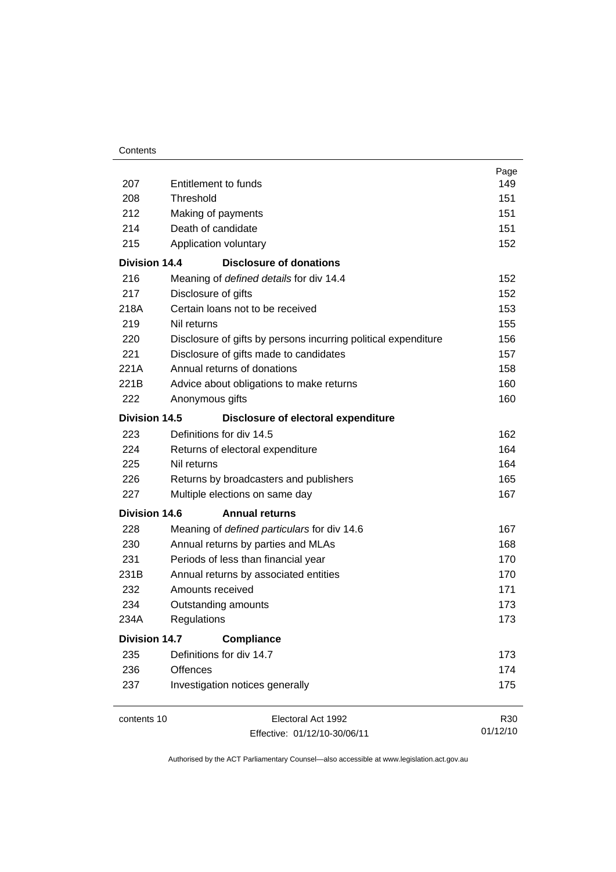| Contents |
|----------|
|----------|

|                      |                                                                | Page            |
|----------------------|----------------------------------------------------------------|-----------------|
| 207                  | Entitlement to funds                                           | 149             |
| 208                  | Threshold                                                      | 151             |
| 212                  | Making of payments                                             | 151             |
| 214                  | Death of candidate                                             | 151             |
| 215                  | Application voluntary                                          | 152             |
| <b>Division 14.4</b> | <b>Disclosure of donations</b>                                 |                 |
| 216                  | Meaning of defined details for div 14.4                        | 152             |
| 217                  | Disclosure of gifts                                            | 152             |
| 218A                 | Certain loans not to be received                               | 153             |
| 219                  | Nil returns                                                    | 155             |
| 220                  | Disclosure of gifts by persons incurring political expenditure | 156             |
| 221                  | Disclosure of gifts made to candidates                         | 157             |
| 221A                 | Annual returns of donations                                    | 158             |
| 221B                 | Advice about obligations to make returns                       | 160             |
| 222                  | Anonymous gifts                                                | 160             |
| Division 14.5        | Disclosure of electoral expenditure                            |                 |
| 223                  | Definitions for div 14.5                                       | 162             |
| 224                  | Returns of electoral expenditure                               | 164             |
| 225                  | Nil returns                                                    | 164             |
| 226                  | Returns by broadcasters and publishers                         | 165             |
| 227                  | Multiple elections on same day                                 | 167             |
| <b>Division 14.6</b> | <b>Annual returns</b>                                          |                 |
| 228                  | Meaning of defined particulars for div 14.6                    | 167             |
| 230                  | Annual returns by parties and MLAs                             | 168             |
| 231                  | Periods of less than financial year                            | 170             |
| 231B                 | Annual returns by associated entities                          | 170             |
| 232                  | Amounts received                                               | 171             |
| 234                  | Outstanding amounts                                            | 173             |
| 234A                 | Regulations                                                    | 173             |
| <b>Division 14.7</b> | <b>Compliance</b>                                              |                 |
| 235                  | Definitions for div 14.7                                       | 173             |
| 236                  | <b>Offences</b>                                                | 174             |
| 237                  | Investigation notices generally                                | 175             |
| contents 10          | Electoral Act 1992                                             | R <sub>30</sub> |
|                      | Effective: 01/12/10-30/06/11                                   | 01/12/10        |

Effective: 01/12/10-30/06/11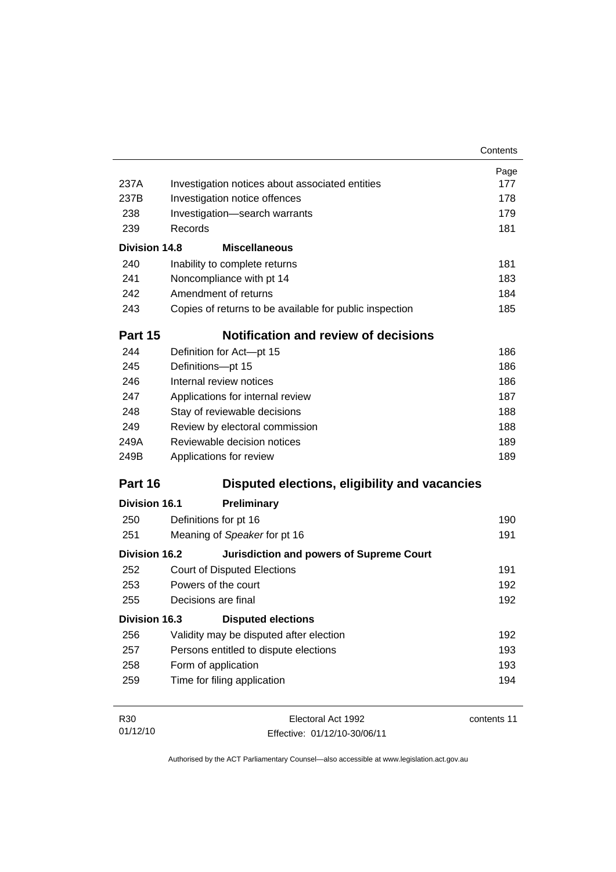|                      |                                                         | Contents    |
|----------------------|---------------------------------------------------------|-------------|
|                      |                                                         | Page        |
| 237A                 | Investigation notices about associated entities         | 177         |
| 237B                 | Investigation notice offences                           | 178         |
| 238                  | Investigation-search warrants                           | 179         |
| 239                  | Records                                                 | 181         |
| <b>Division 14.8</b> | <b>Miscellaneous</b>                                    |             |
| 240                  | Inability to complete returns                           | 181         |
| 241                  | Noncompliance with pt 14                                | 183         |
| 242                  | Amendment of returns                                    | 184         |
| 243                  | Copies of returns to be available for public inspection | 185         |
| Part 15              | Notification and review of decisions                    |             |
| 244                  | Definition for Act-pt 15                                | 186         |
| 245                  | Definitions-pt 15                                       | 186         |
| 246                  | Internal review notices                                 | 186         |
| 247                  | Applications for internal review                        | 187         |
| 248                  | Stay of reviewable decisions                            | 188         |
| 249                  | Review by electoral commission                          | 188         |
| 249A                 | Reviewable decision notices                             | 189         |
| 249B                 | Applications for review                                 | 189         |
| Part 16              | Disputed elections, eligibility and vacancies           |             |
| <b>Division 16.1</b> | <b>Preliminary</b>                                      |             |
| 250                  | Definitions for pt 16                                   | 190         |
| 251                  | Meaning of Speaker for pt 16                            | 191         |
| <b>Division 16.2</b> | <b>Jurisdiction and powers of Supreme Court</b>         |             |
| 252                  | <b>Court of Disputed Elections</b>                      | 191         |
| 253                  | Powers of the court                                     | 192         |
| 255                  | Decisions are final                                     | 192         |
| <b>Division 16.3</b> | <b>Disputed elections</b>                               |             |
| 256                  | Validity may be disputed after election                 | 192         |
| 257                  | Persons entitled to dispute elections                   | 193         |
| 258                  | Form of application                                     | 193         |
| 259                  | Time for filing application                             | 194         |
| R30                  | Electoral Act 1992                                      | contents 11 |
| 01/12/10             | Fffective: 01/12/10-30/06/11                            |             |

Effective: 01/12/10-30/06/11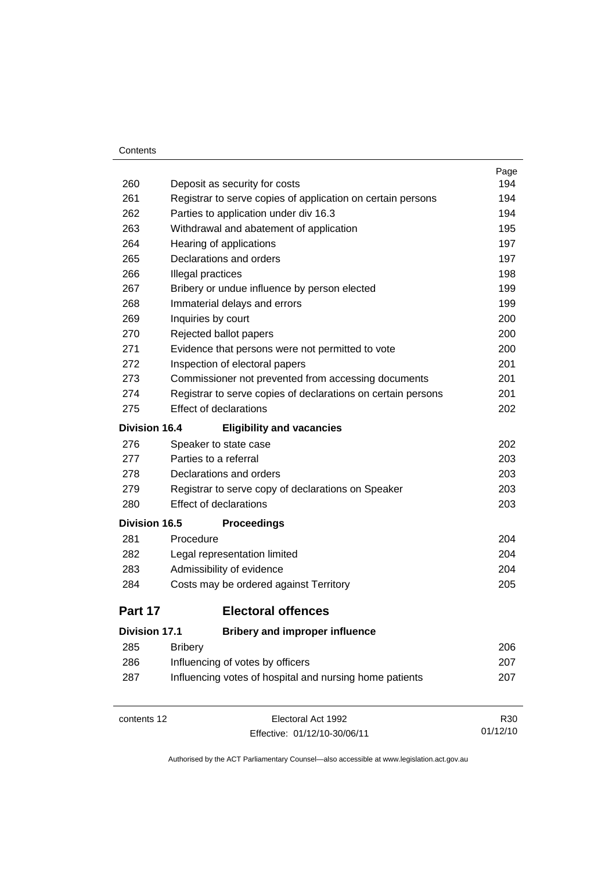#### **Contents**

|                      |                                                              | Page |
|----------------------|--------------------------------------------------------------|------|
| 260                  | Deposit as security for costs                                | 194  |
| 261                  | Registrar to serve copies of application on certain persons  | 194  |
| 262                  | Parties to application under div 16.3                        | 194  |
| 263                  | Withdrawal and abatement of application                      | 195  |
| 264                  | Hearing of applications                                      | 197  |
| 265                  | Declarations and orders                                      | 197  |
| 266                  | Illegal practices                                            | 198  |
| 267                  | Bribery or undue influence by person elected                 | 199  |
| 268                  | Immaterial delays and errors                                 | 199  |
| 269                  | Inquiries by court                                           | 200  |
| 270                  | Rejected ballot papers                                       | 200  |
| 271                  | Evidence that persons were not permitted to vote             | 200  |
| 272                  | Inspection of electoral papers                               | 201  |
| 273                  | Commissioner not prevented from accessing documents          | 201  |
| 274                  | Registrar to serve copies of declarations on certain persons | 201  |
| 275                  | <b>Effect of declarations</b>                                | 202  |
| <b>Division 16.4</b> | <b>Eligibility and vacancies</b>                             |      |
| 276                  | Speaker to state case                                        | 202  |
| 277                  | Parties to a referral                                        | 203  |
| 278                  | Declarations and orders                                      | 203  |
| 279                  | Registrar to serve copy of declarations on Speaker           | 203  |
| 280                  | <b>Effect of declarations</b>                                | 203  |
| <b>Division 16.5</b> | <b>Proceedings</b>                                           |      |
| 281                  | Procedure                                                    | 204  |
| 282                  | Legal representation limited                                 | 204  |
| 283                  | Admissibility of evidence                                    | 204  |
| 284                  | Costs may be ordered against Territory                       | 205  |
| Part 17              | <b>Electoral offences</b>                                    |      |
| <b>Division 17.1</b> | <b>Bribery and improper influence</b>                        |      |
| 285                  | <b>Bribery</b>                                               | 206  |
| 286                  | Influencing of votes by officers                             | 207  |
| 287                  | Influencing votes of hospital and nursing home patients      | 207  |
|                      |                                                              |      |

contents 12 Electoral Act 1992 Effective: 01/12/10-30/06/11

R30 01/12/10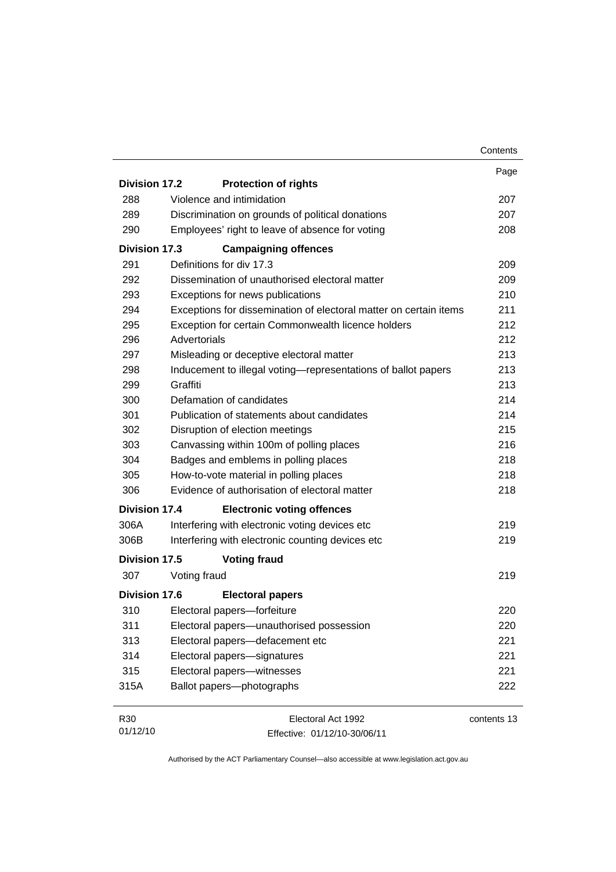|                      |                                                                   | Contents    |
|----------------------|-------------------------------------------------------------------|-------------|
|                      |                                                                   | Page        |
| <b>Division 17.2</b> | <b>Protection of rights</b>                                       |             |
| 288                  | Violence and intimidation                                         | 207         |
| 289                  | Discrimination on grounds of political donations                  | 207         |
| 290                  | Employees' right to leave of absence for voting                   | 208         |
| Division 17.3        | <b>Campaigning offences</b>                                       |             |
| 291                  | Definitions for div 17.3                                          | 209         |
| 292                  | Dissemination of unauthorised electoral matter                    | 209         |
| 293                  | Exceptions for news publications                                  | 210         |
| 294                  | Exceptions for dissemination of electoral matter on certain items | 211         |
| 295                  | Exception for certain Commonwealth licence holders                | 212         |
| 296                  | Advertorials                                                      | 212         |
| 297                  | Misleading or deceptive electoral matter                          | 213         |
| 298                  | Inducement to illegal voting-representations of ballot papers     | 213         |
| 299                  | Graffiti                                                          | 213         |
| 300                  | Defamation of candidates                                          | 214         |
| 301                  | Publication of statements about candidates                        | 214         |
| 302                  | Disruption of election meetings                                   | 215         |
| 303                  | Canvassing within 100m of polling places                          | 216         |
| 304                  | Badges and emblems in polling places                              | 218         |
| 305                  | How-to-vote material in polling places                            | 218         |
| 306                  | Evidence of authorisation of electoral matter                     | 218         |
| Division 17.4        | <b>Electronic voting offences</b>                                 |             |
| 306A                 | Interfering with electronic voting devices etc                    | 219         |
| 306B                 | Interfering with electronic counting devices etc                  | 219         |
| <b>Division 17.5</b> | <b>Voting fraud</b>                                               |             |
| 307                  | Voting fraud                                                      | 219         |
| <b>Division 17.6</b> | <b>Electoral papers</b>                                           |             |
| 310                  | Electoral papers-forfeiture                                       | 220         |
| 311                  | Electoral papers-unauthorised possession                          | 220         |
| 313                  | Electoral papers-defacement etc                                   | 221         |
| 314                  | Electoral papers-signatures                                       | 221         |
| 315                  | Electoral papers-witnesses                                        | 221         |
| 315A                 | Ballot papers-photographs                                         | 222         |
| R30                  | Electoral Act 1992                                                | contents 13 |
| 01/12/10             | Effective: 01/12/10-30/06/11                                      |             |

Effective: 01/12/10-30/06/11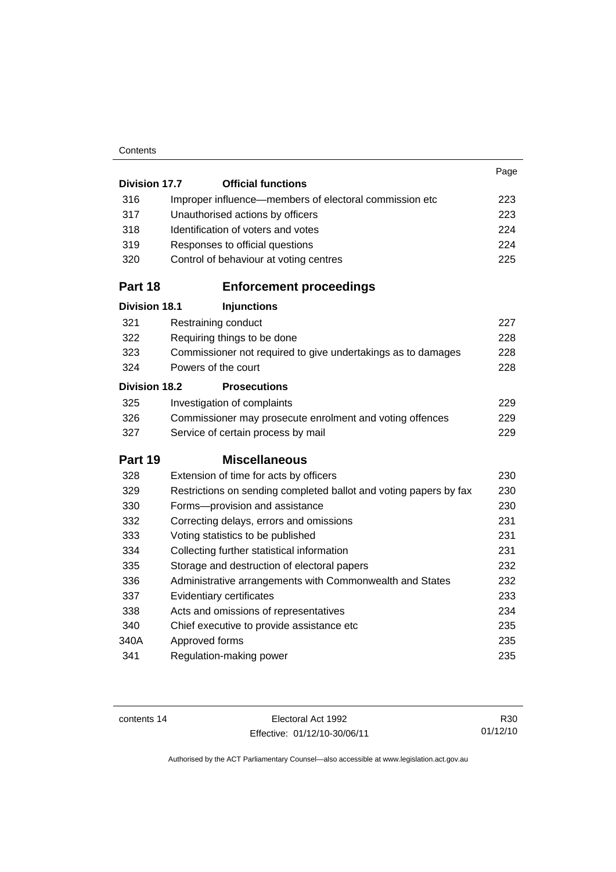#### **Contents**

|                      |                                                                   | Page |
|----------------------|-------------------------------------------------------------------|------|
| <b>Division 17.7</b> | <b>Official functions</b>                                         |      |
| 316                  | Improper influence—members of electoral commission etc            | 223  |
| 317                  | Unauthorised actions by officers                                  | 223  |
| 318                  | Identification of voters and votes                                | 224  |
| 319                  | Responses to official questions                                   | 224  |
| 320                  | Control of behaviour at voting centres                            | 225  |
| Part 18              | <b>Enforcement proceedings</b>                                    |      |
| <b>Division 18.1</b> | <b>Injunctions</b>                                                |      |
| 321                  | Restraining conduct                                               | 227  |
| 322                  | Requiring things to be done                                       | 228  |
| 323                  | Commissioner not required to give undertakings as to damages      | 228  |
| 324                  | Powers of the court                                               | 228  |
| <b>Division 18.2</b> | <b>Prosecutions</b>                                               |      |
| 325                  | Investigation of complaints                                       | 229  |
| 326                  | Commissioner may prosecute enrolment and voting offences          | 229  |
| 327                  | Service of certain process by mail                                | 229  |
| Part 19              | <b>Miscellaneous</b>                                              |      |
| 328                  | Extension of time for acts by officers                            | 230  |
| 329                  | Restrictions on sending completed ballot and voting papers by fax | 230  |
| 330                  | Forms-provision and assistance                                    | 230  |
| 332                  | Correcting delays, errors and omissions                           | 231  |
| 333                  | Voting statistics to be published                                 | 231  |
| 334                  | Collecting further statistical information                        | 231  |
| 335                  | Storage and destruction of electoral papers                       | 232  |
| 336                  | Administrative arrangements with Commonwealth and States          | 232  |
| 337                  | Evidentiary certificates                                          | 233  |
| 338                  | Acts and omissions of representatives                             | 234  |
| 340                  | Chief executive to provide assistance etc                         | 235  |
| 340A                 | Approved forms                                                    | 235  |
| 341                  | Regulation-making power                                           | 235  |
|                      |                                                                   |      |

contents 14 Electoral Act 1992 Effective: 01/12/10-30/06/11

R30 01/12/10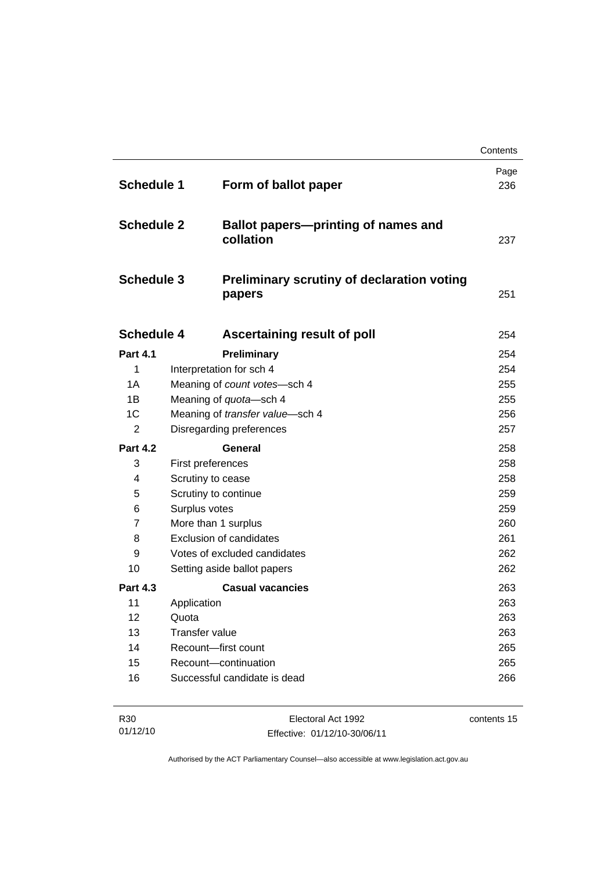|                   |                                                             | Contents    |
|-------------------|-------------------------------------------------------------|-------------|
| <b>Schedule 1</b> | Form of ballot paper                                        | Page<br>236 |
| <b>Schedule 2</b> | <b>Ballot papers-printing of names and</b><br>collation     | 237         |
| <b>Schedule 3</b> | <b>Preliminary scrutiny of declaration voting</b><br>papers | 251         |
| <b>Schedule 4</b> | Ascertaining result of poll                                 | 254         |
| <b>Part 4.1</b>   | Preliminary                                                 | 254         |
| 1                 | Interpretation for sch 4                                    | 254         |
| 1A                | Meaning of count votes-sch 4                                | 255         |
| 1B                | Meaning of quota-sch 4                                      | 255         |
| 1C                | Meaning of transfer value-sch 4                             | 256         |
| 2                 | Disregarding preferences                                    | 257         |
| <b>Part 4.2</b>   | General                                                     | 258         |
| 3                 | First preferences                                           | 258         |
| 4                 | Scrutiny to cease                                           | 258         |
| 5                 | Scrutiny to continue                                        | 259         |
| 6                 | Surplus votes                                               | 259         |
| 7                 | More than 1 surplus                                         | 260         |
| 8                 | <b>Exclusion of candidates</b>                              | 261         |
| 9                 | Votes of excluded candidates                                | 262         |
| 10                | Setting aside ballot papers                                 | 262         |
| <b>Part 4.3</b>   | <b>Casual vacancies</b>                                     | 263         |
| 11                | Application                                                 | 263         |
| 12                | Quota                                                       | 263         |
|                   |                                                             | 263         |
| 13                | Transfer value                                              |             |
| 14<br>15          | Recount-first count<br>Recount-continuation                 | 265<br>265  |

| R30      | Electoral Act 1992           | contents 15 |
|----------|------------------------------|-------------|
| 01/12/10 | Effective: 01/12/10-30/06/11 |             |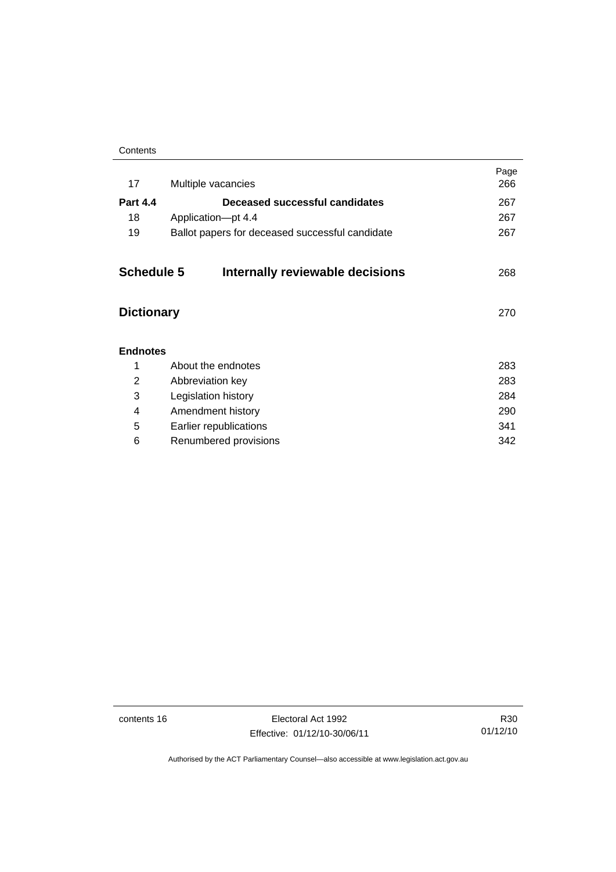| Contents |
|----------|
|----------|

| 17                | Multiple vacancies                              | Page<br>266 |
|-------------------|-------------------------------------------------|-------------|
| <b>Part 4.4</b>   | Deceased successful candidates                  | 267         |
| 18                | Application-pt 4.4                              | 267         |
| 19                | Ballot papers for deceased successful candidate | 267         |
| <b>Schedule 5</b> | Internally reviewable decisions                 | 268         |
| <b>Dictionary</b> |                                                 | 270         |
| <b>Endnotes</b>   |                                                 |             |
| 1                 | About the endnotes                              | 283         |
| 2                 | Abbreviation key                                | 283         |
| 3                 | Legislation history                             | 284         |
| 4                 | Amendment history                               | 290         |
| 5                 | Earlier republications                          | 341         |
| 6                 | Renumbered provisions                           | 342         |
|                   |                                                 |             |

contents 16 Electoral Act 1992 Effective: 01/12/10-30/06/11

R30 01/12/10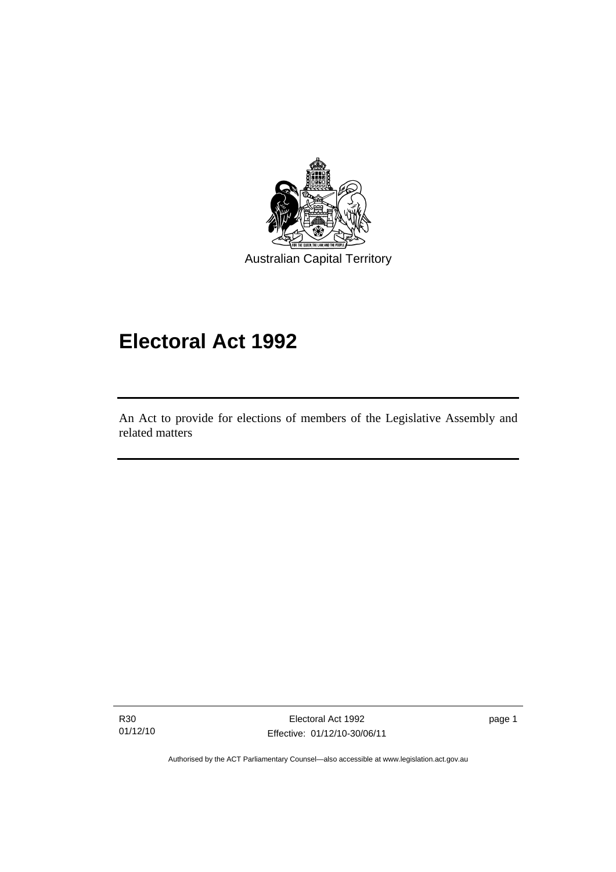

# **Electoral Act 1992**

An Act to provide for elections of members of the Legislative Assembly and related matters

R30 01/12/10

I

Electoral Act 1992 Effective: 01/12/10-30/06/11 page 1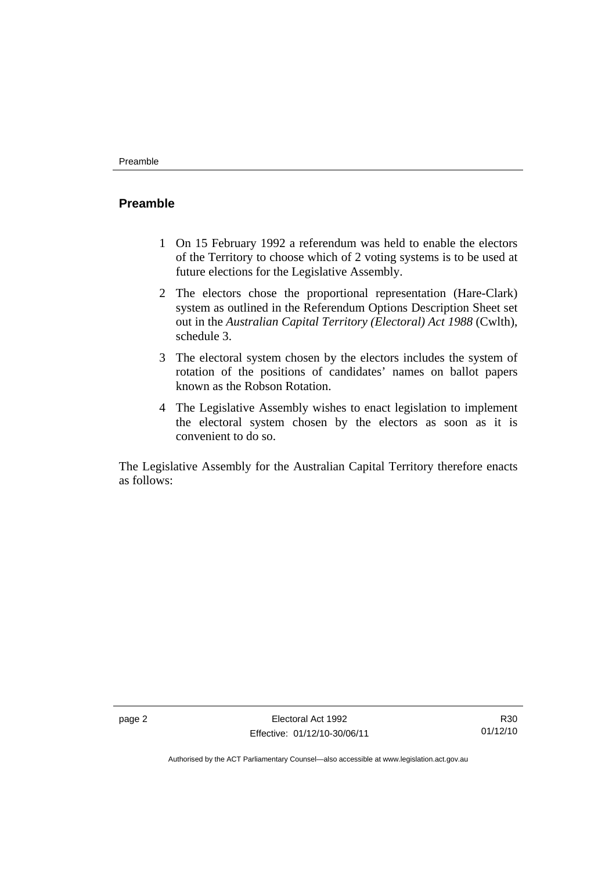#### **Preamble**

- 1 On 15 February 1992 a referendum was held to enable the electors of the Territory to choose which of 2 voting systems is to be used at future elections for the Legislative Assembly.
- 2 The electors chose the proportional representation (Hare-Clark) system as outlined in the Referendum Options Description Sheet set out in the *Australian Capital Territory (Electoral) Act 1988* (Cwlth), schedule 3.
- 3 The electoral system chosen by the electors includes the system of rotation of the positions of candidates' names on ballot papers known as the Robson Rotation.
- 4 The Legislative Assembly wishes to enact legislation to implement the electoral system chosen by the electors as soon as it is convenient to do so.

The Legislative Assembly for the Australian Capital Territory therefore enacts as follows: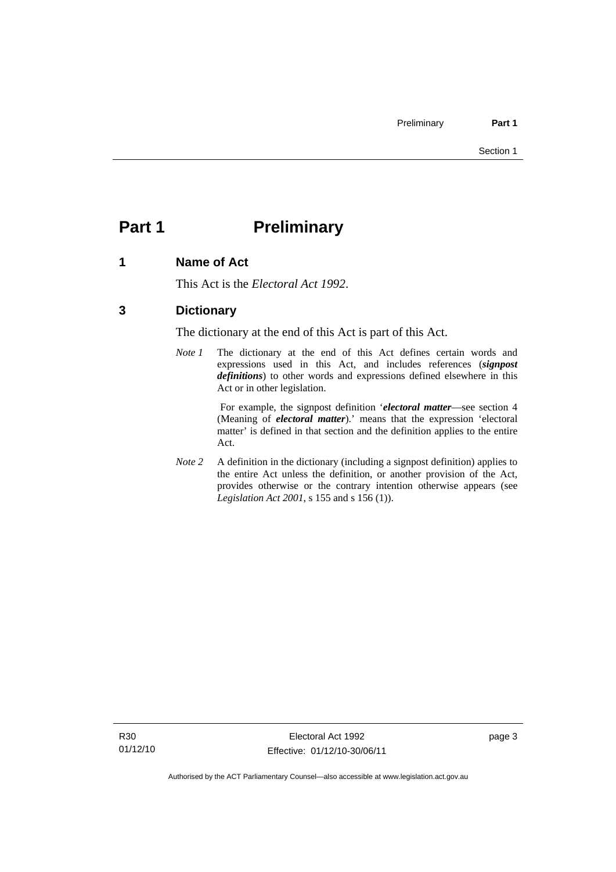# **Part 1** Preliminary

### **1 Name of Act**

This Act is the *Electoral Act 1992*.

### **3 Dictionary**

The dictionary at the end of this Act is part of this Act.

*Note 1* The dictionary at the end of this Act defines certain words and expressions used in this Act, and includes references (*signpost definitions*) to other words and expressions defined elsewhere in this Act or in other legislation.

> For example, the signpost definition '*electoral matter*—see section 4 (Meaning of *electoral matter*).' means that the expression 'electoral matter' is defined in that section and the definition applies to the entire Act.

*Note 2* A definition in the dictionary (including a signpost definition) applies to the entire Act unless the definition, or another provision of the Act, provides otherwise or the contrary intention otherwise appears (see *Legislation Act 2001*, s 155 and s 156 (1)).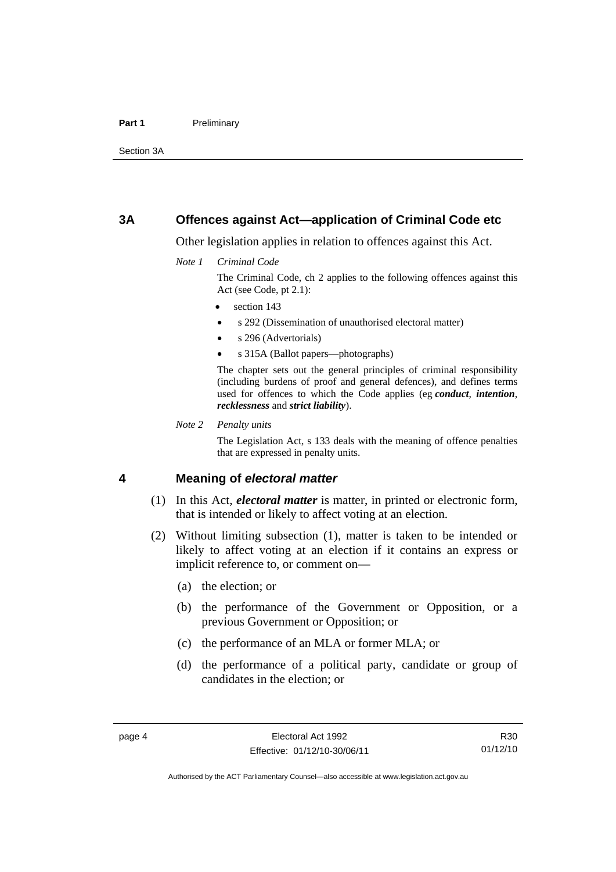#### Part 1 **Preliminary**

Section 3A

#### **3A Offences against Act—application of Criminal Code etc**

Other legislation applies in relation to offences against this Act.

*Note 1 Criminal Code*

The Criminal Code, ch 2 applies to the following offences against this Act (see Code, pt 2.1):

- section 143
- s 292 (Dissemination of unauthorised electoral matter)
- s 296 (Advertorials)
- s 315A (Ballot papers—photographs)

The chapter sets out the general principles of criminal responsibility (including burdens of proof and general defences), and defines terms used for offences to which the Code applies (eg *conduct*, *intention*, *recklessness* and *strict liability*).

*Note 2 Penalty units* 

The Legislation Act, s 133 deals with the meaning of offence penalties that are expressed in penalty units.

#### **4 Meaning of** *electoral matter*

- (1) In this Act, *electoral matter* is matter, in printed or electronic form, that is intended or likely to affect voting at an election.
- (2) Without limiting subsection (1), matter is taken to be intended or likely to affect voting at an election if it contains an express or implicit reference to, or comment on—
	- (a) the election; or
	- (b) the performance of the Government or Opposition, or a previous Government or Opposition; or
	- (c) the performance of an MLA or former MLA; or
	- (d) the performance of a political party, candidate or group of candidates in the election; or

R30 01/12/10

Authorised by the ACT Parliamentary Counsel—also accessible at www.legislation.act.gov.au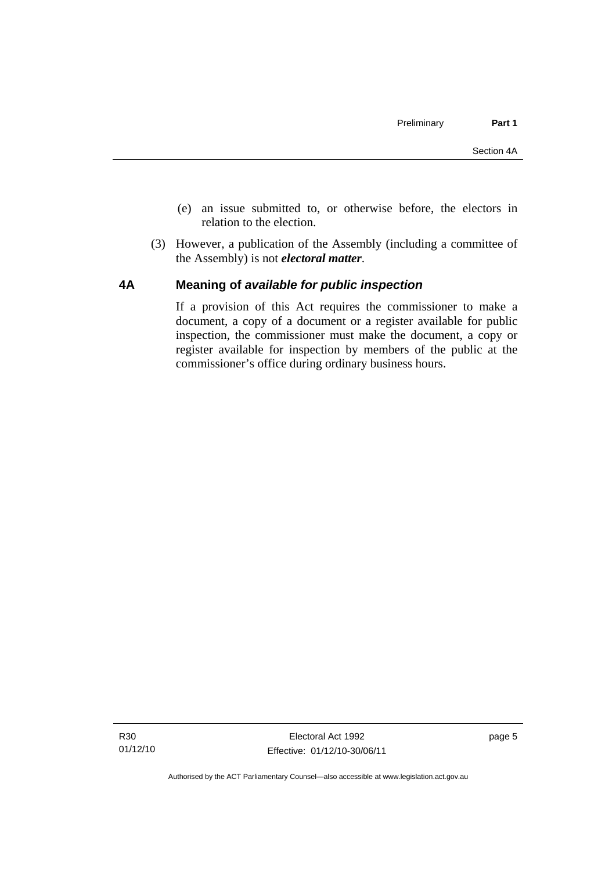- (e) an issue submitted to, or otherwise before, the electors in relation to the election.
- (3) However, a publication of the Assembly (including a committee of the Assembly) is not *electoral matter*.

#### **4A Meaning of** *available for public inspection*

If a provision of this Act requires the commissioner to make a document, a copy of a document or a register available for public inspection, the commissioner must make the document, a copy or register available for inspection by members of the public at the commissioner's office during ordinary business hours.

page 5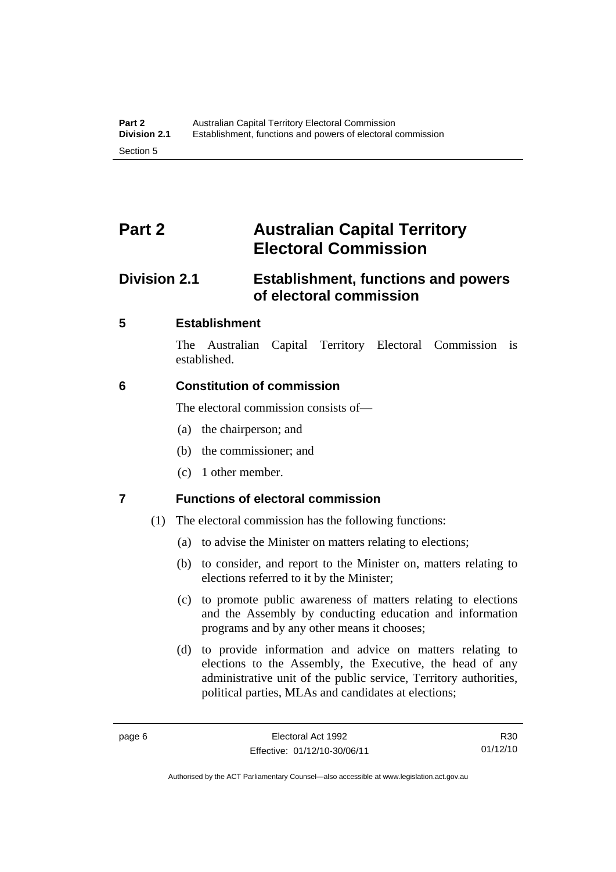# **Part 2 Australian Capital Territory Electoral Commission**

# **Division 2.1 Establishment, functions and powers of electoral commission**

### **5 Establishment**

The Australian Capital Territory Electoral Commission is established.

### **6 Constitution of commission**

The electoral commission consists of—

- (a) the chairperson; and
- (b) the commissioner; and
- (c) 1 other member.

## **7 Functions of electoral commission**

- (1) The electoral commission has the following functions:
	- (a) to advise the Minister on matters relating to elections;
	- (b) to consider, and report to the Minister on, matters relating to elections referred to it by the Minister;
	- (c) to promote public awareness of matters relating to elections and the Assembly by conducting education and information programs and by any other means it chooses;
	- (d) to provide information and advice on matters relating to elections to the Assembly, the Executive, the head of any administrative unit of the public service, Territory authorities, political parties, MLAs and candidates at elections;

Authorised by the ACT Parliamentary Counsel—also accessible at www.legislation.act.gov.au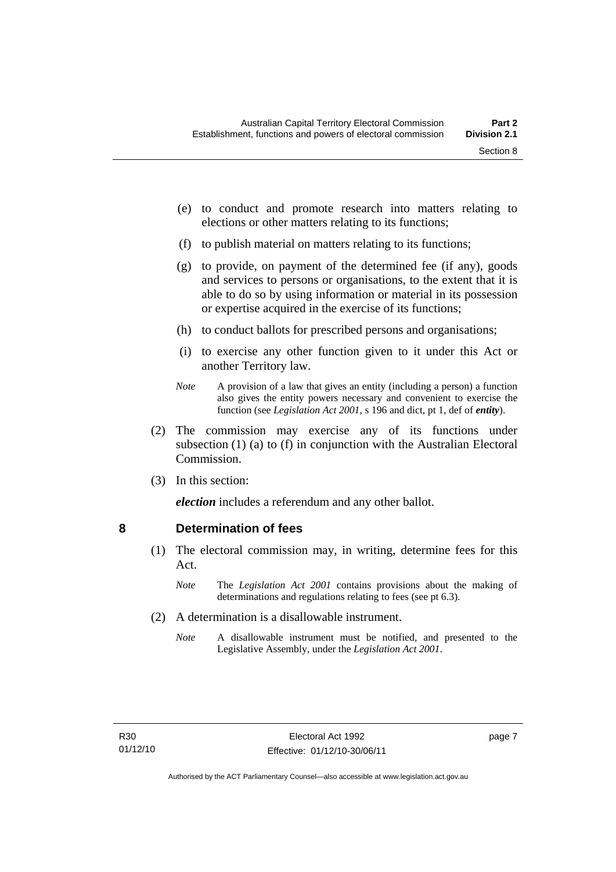- (e) to conduct and promote research into matters relating to elections or other matters relating to its functions;
- (f) to publish material on matters relating to its functions;
- (g) to provide, on payment of the determined fee (if any), goods and services to persons or organisations, to the extent that it is able to do so by using information or material in its possession or expertise acquired in the exercise of its functions;
- (h) to conduct ballots for prescribed persons and organisations;
- (i) to exercise any other function given to it under this Act or another Territory law.
- *Note* A provision of a law that gives an entity (including a person) a function also gives the entity powers necessary and convenient to exercise the function (see *Legislation Act 2001*, s 196 and dict, pt 1, def of *entity*).
- (2) The commission may exercise any of its functions under subsection (1) (a) to (f) in conjunction with the Australian Electoral Commission.
- (3) In this section:

*election* includes a referendum and any other ballot.

#### **8 Determination of fees**

- (1) The electoral commission may, in writing, determine fees for this Act.
	- *Note* The *Legislation Act 2001* contains provisions about the making of determinations and regulations relating to fees (see pt 6.3).
- (2) A determination is a disallowable instrument.
	- *Note* A disallowable instrument must be notified, and presented to the Legislative Assembly, under the *Legislation Act 2001*.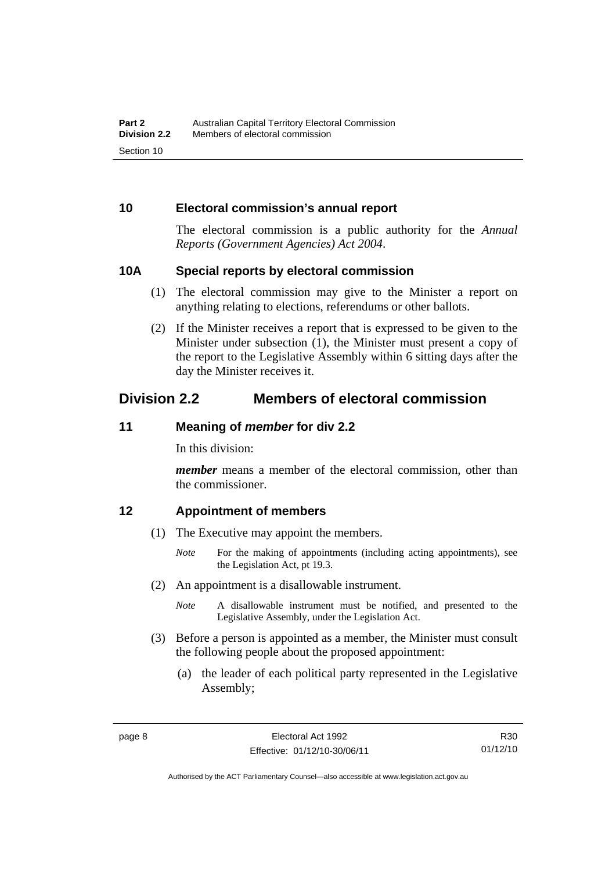#### **10 Electoral commission's annual report**

The electoral commission is a public authority for the *Annual Reports (Government Agencies) Act 2004*.

#### **10A Special reports by electoral commission**

- (1) The electoral commission may give to the Minister a report on anything relating to elections, referendums or other ballots.
- (2) If the Minister receives a report that is expressed to be given to the Minister under subsection (1), the Minister must present a copy of the report to the Legislative Assembly within 6 sitting days after the day the Minister receives it.

## **Division 2.2 Members of electoral commission**

#### **11 Meaning of** *member* **for div 2.2**

In this division:

*member* means a member of the electoral commission, other than the commissioner.

#### **12 Appointment of members**

- (1) The Executive may appoint the members.
	- *Note* For the making of appointments (including acting appointments), see the Legislation Act, pt 19.3.
- (2) An appointment is a disallowable instrument.
	- *Note* A disallowable instrument must be notified, and presented to the Legislative Assembly, under the Legislation Act.
- (3) Before a person is appointed as a member, the Minister must consult the following people about the proposed appointment:
	- (a) the leader of each political party represented in the Legislative Assembly;

R30 01/12/10

Authorised by the ACT Parliamentary Counsel—also accessible at www.legislation.act.gov.au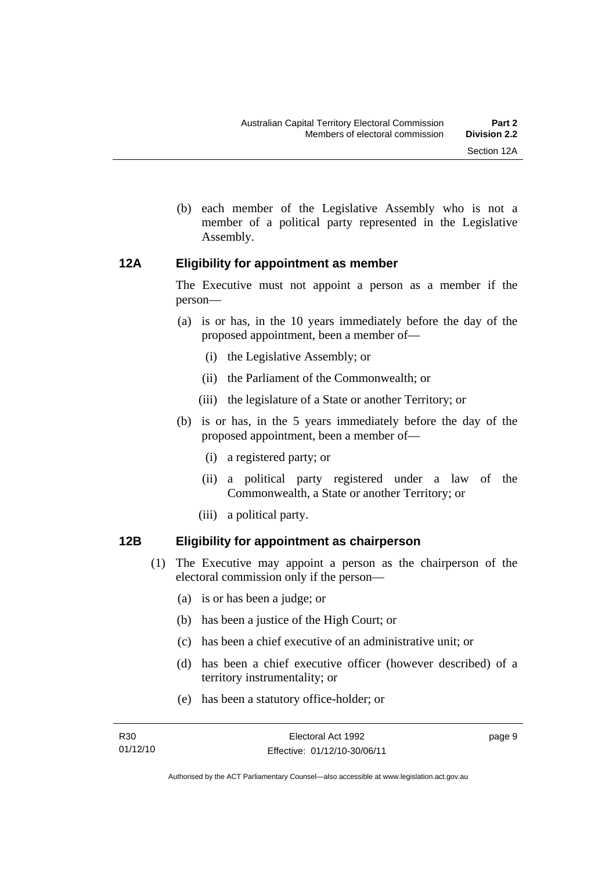- 
- (b) each member of the Legislative Assembly who is not a member of a political party represented in the Legislative Assembly.

#### **12A Eligibility for appointment as member**

The Executive must not appoint a person as a member if the person—

- (a) is or has, in the 10 years immediately before the day of the proposed appointment, been a member of—
	- (i) the Legislative Assembly; or
	- (ii) the Parliament of the Commonwealth; or
	- (iii) the legislature of a State or another Territory; or
- (b) is or has, in the 5 years immediately before the day of the proposed appointment, been a member of—
	- (i) a registered party; or
	- (ii) a political party registered under a law of the Commonwealth, a State or another Territory; or
	- (iii) a political party.

### **12B Eligibility for appointment as chairperson**

- (1) The Executive may appoint a person as the chairperson of the electoral commission only if the person—
	- (a) is or has been a judge; or
	- (b) has been a justice of the High Court; or
	- (c) has been a chief executive of an administrative unit; or
	- (d) has been a chief executive officer (however described) of a territory instrumentality; or
	- (e) has been a statutory office-holder; or

page 9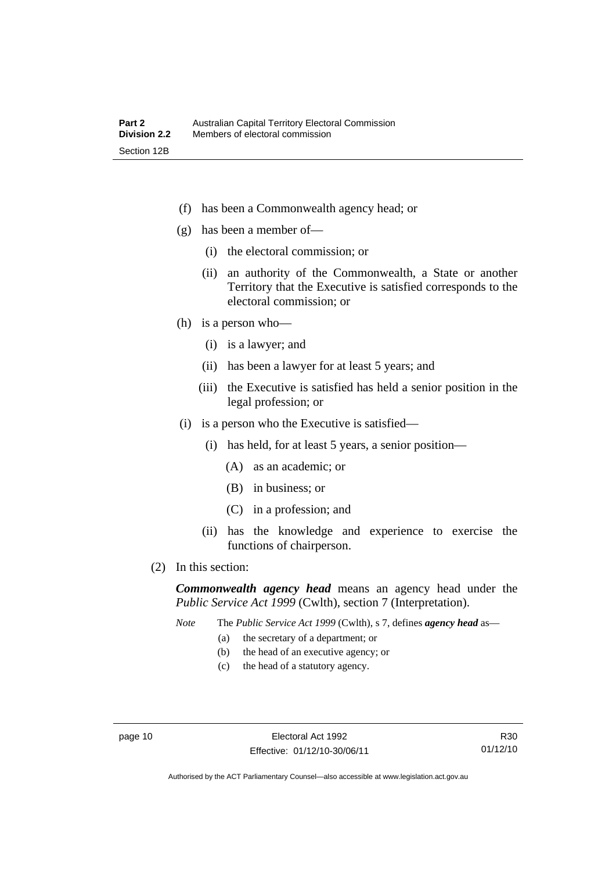- (f) has been a Commonwealth agency head; or
- (g) has been a member of—
	- (i) the electoral commission; or
	- (ii) an authority of the Commonwealth, a State or another Territory that the Executive is satisfied corresponds to the electoral commission; or
- (h) is a person who—
	- (i) is a lawyer; and
	- (ii) has been a lawyer for at least 5 years; and
	- (iii) the Executive is satisfied has held a senior position in the legal profession; or
- (i) is a person who the Executive is satisfied—
	- (i) has held, for at least 5 years, a senior position—
		- (A) as an academic; or
		- (B) in business; or
		- (C) in a profession; and
	- (ii) has the knowledge and experience to exercise the functions of chairperson.
- (2) In this section:

*Commonwealth agency head* means an agency head under the *Public Service Act 1999* (Cwlth), section 7 (Interpretation).

*Note* The *Public Service Act 1999* (Cwlth), s 7, defines *agency head* as—

- (a) the secretary of a department; or
- (b) the head of an executive agency; or
- (c) the head of a statutory agency.

R30 01/12/10

Authorised by the ACT Parliamentary Counsel—also accessible at www.legislation.act.gov.au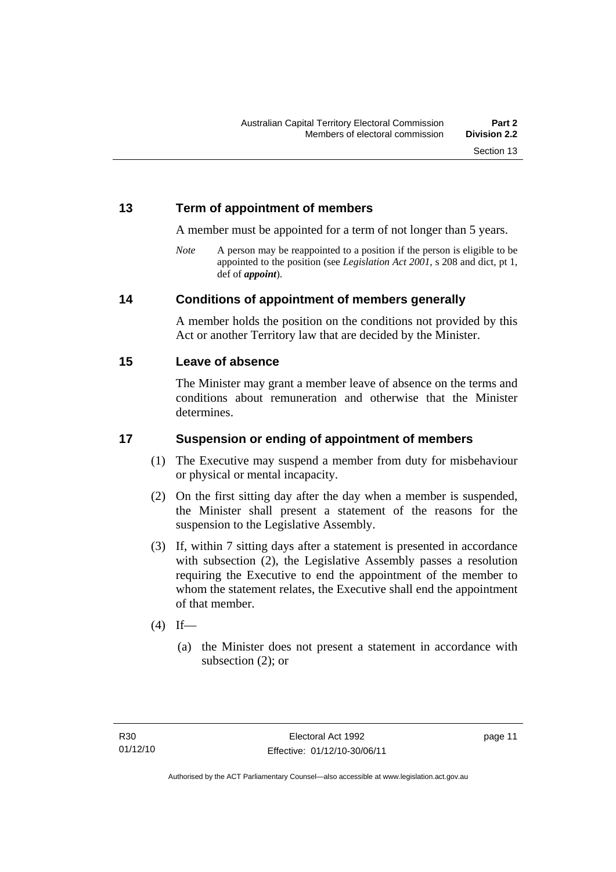### **13 Term of appointment of members**

A member must be appointed for a term of not longer than 5 years.

*Note* A person may be reappointed to a position if the person is eligible to be appointed to the position (see *Legislation Act 2001*, s 208 and dict, pt 1, def of *appoint*).

#### **14 Conditions of appointment of members generally**

A member holds the position on the conditions not provided by this Act or another Territory law that are decided by the Minister.

#### **15 Leave of absence**

The Minister may grant a member leave of absence on the terms and conditions about remuneration and otherwise that the Minister determines.

### **17 Suspension or ending of appointment of members**

- (1) The Executive may suspend a member from duty for misbehaviour or physical or mental incapacity.
- (2) On the first sitting day after the day when a member is suspended, the Minister shall present a statement of the reasons for the suspension to the Legislative Assembly.
- (3) If, within 7 sitting days after a statement is presented in accordance with subsection (2), the Legislative Assembly passes a resolution requiring the Executive to end the appointment of the member to whom the statement relates, the Executive shall end the appointment of that member.
- $(4)$  If—
	- (a) the Minister does not present a statement in accordance with subsection (2); or

page 11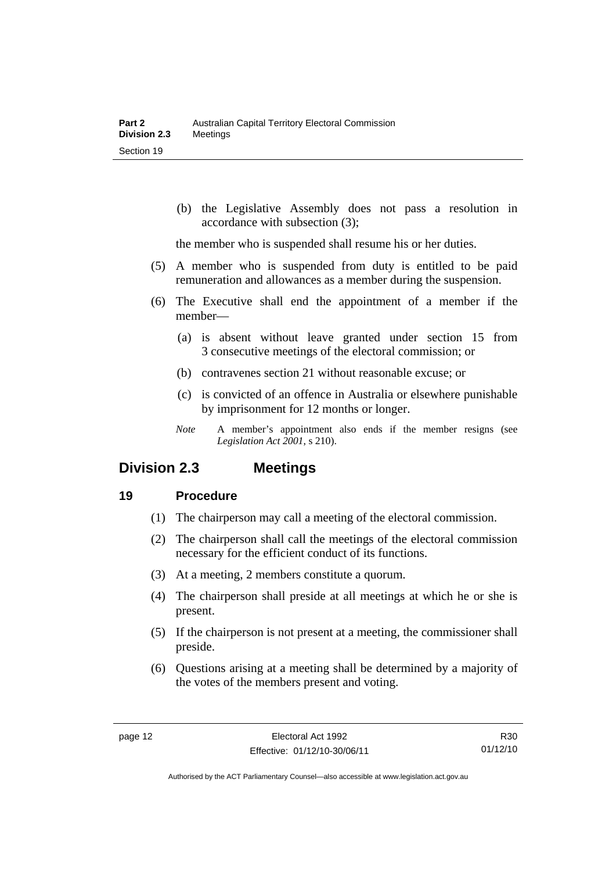(b) the Legislative Assembly does not pass a resolution in accordance with subsection (3);

the member who is suspended shall resume his or her duties.

- (5) A member who is suspended from duty is entitled to be paid remuneration and allowances as a member during the suspension.
- (6) The Executive shall end the appointment of a member if the member—
	- (a) is absent without leave granted under section 15 from 3 consecutive meetings of the electoral commission; or
	- (b) contravenes section 21 without reasonable excuse; or
	- (c) is convicted of an offence in Australia or elsewhere punishable by imprisonment for 12 months or longer.
	- *Note* A member's appointment also ends if the member resigns (see *Legislation Act 2001*, s 210).

### **Division 2.3 Meetings**

#### **19 Procedure**

- (1) The chairperson may call a meeting of the electoral commission.
- (2) The chairperson shall call the meetings of the electoral commission necessary for the efficient conduct of its functions.
- (3) At a meeting, 2 members constitute a quorum.
- (4) The chairperson shall preside at all meetings at which he or she is present.
- (5) If the chairperson is not present at a meeting, the commissioner shall preside.
- (6) Questions arising at a meeting shall be determined by a majority of the votes of the members present and voting.

R30 01/12/10

Authorised by the ACT Parliamentary Counsel—also accessible at www.legislation.act.gov.au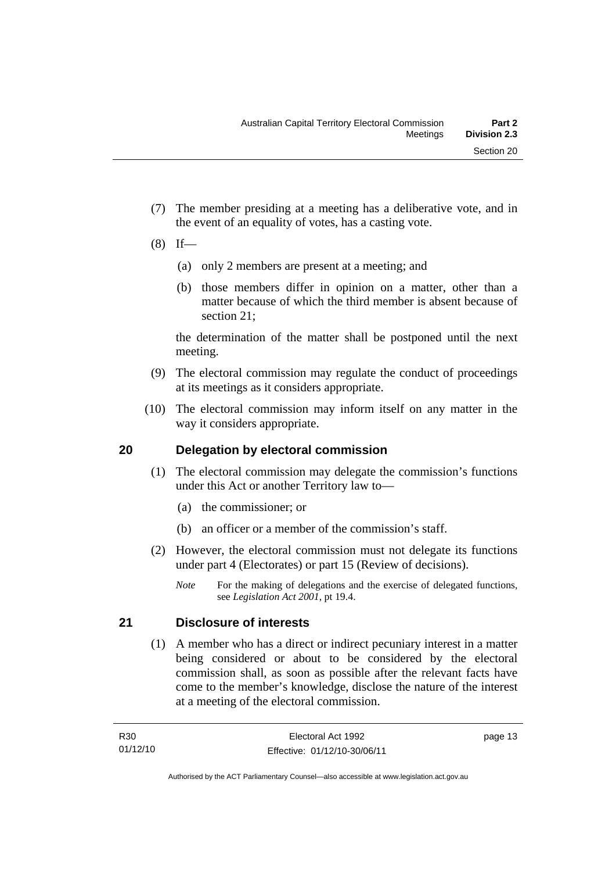- (7) The member presiding at a meeting has a deliberative vote, and in the event of an equality of votes, has a casting vote.
- $(8)$  If—
	- (a) only 2 members are present at a meeting; and
	- (b) those members differ in opinion on a matter, other than a matter because of which the third member is absent because of section 21;

the determination of the matter shall be postponed until the next meeting.

- (9) The electoral commission may regulate the conduct of proceedings at its meetings as it considers appropriate.
- (10) The electoral commission may inform itself on any matter in the way it considers appropriate.

### **20 Delegation by electoral commission**

- (1) The electoral commission may delegate the commission's functions under this Act or another Territory law to—
	- (a) the commissioner; or
	- (b) an officer or a member of the commission's staff.
- (2) However, the electoral commission must not delegate its functions under part 4 (Electorates) or part 15 (Review of decisions).
	- *Note* For the making of delegations and the exercise of delegated functions, see *Legislation Act 2001*, pt 19.4.

## **21 Disclosure of interests**

 (1) A member who has a direct or indirect pecuniary interest in a matter being considered or about to be considered by the electoral commission shall, as soon as possible after the relevant facts have come to the member's knowledge, disclose the nature of the interest at a meeting of the electoral commission.

page 13

Authorised by the ACT Parliamentary Counsel—also accessible at www.legislation.act.gov.au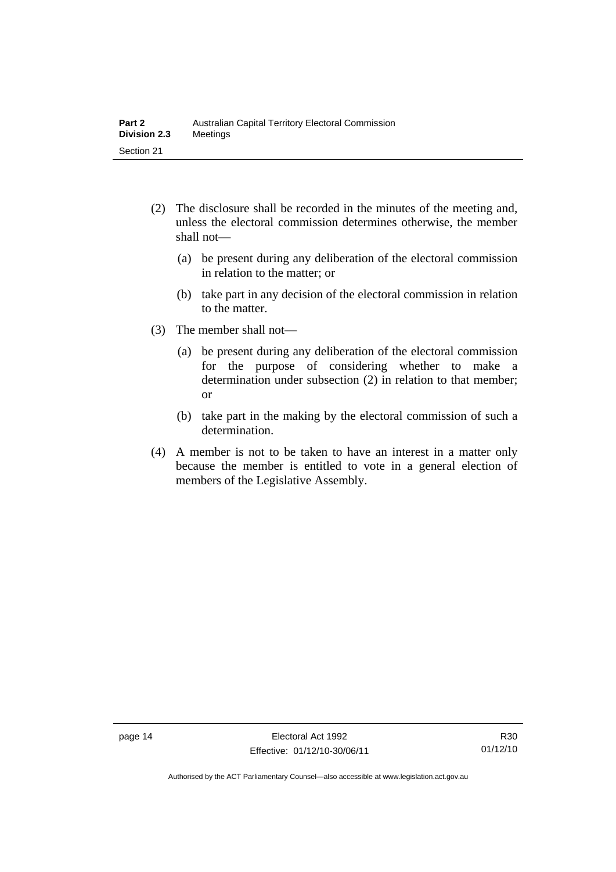- (2) The disclosure shall be recorded in the minutes of the meeting and, unless the electoral commission determines otherwise, the member shall not—
	- (a) be present during any deliberation of the electoral commission in relation to the matter; or
	- (b) take part in any decision of the electoral commission in relation to the matter.
- (3) The member shall not—
	- (a) be present during any deliberation of the electoral commission for the purpose of considering whether to make a determination under subsection (2) in relation to that member; or
	- (b) take part in the making by the electoral commission of such a determination.
- (4) A member is not to be taken to have an interest in a matter only because the member is entitled to vote in a general election of members of the Legislative Assembly.

Authorised by the ACT Parliamentary Counsel—also accessible at www.legislation.act.gov.au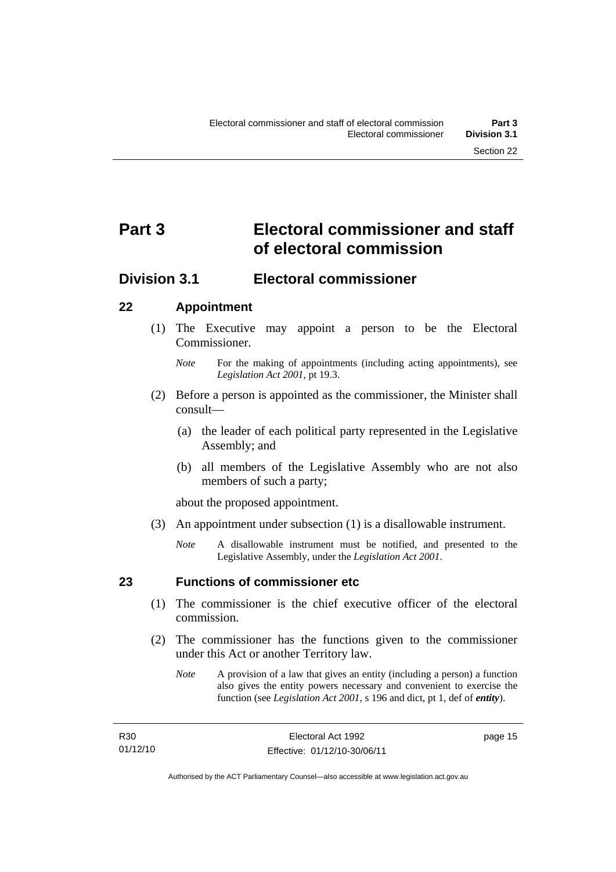# **Part 3 Electoral commissioner and staff of electoral commission**

## **Division 3.1 Electoral commissioner**

### **22 Appointment**

- (1) The Executive may appoint a person to be the Electoral Commissioner.
	- *Note* For the making of appointments (including acting appointments), see *Legislation Act 2001*, pt 19.3.
- (2) Before a person is appointed as the commissioner, the Minister shall consult—
	- (a) the leader of each political party represented in the Legislative Assembly; and
	- (b) all members of the Legislative Assembly who are not also members of such a party;

about the proposed appointment.

- (3) An appointment under subsection (1) is a disallowable instrument.
	- *Note* A disallowable instrument must be notified, and presented to the Legislative Assembly, under the *Legislation Act 2001*.

#### **23 Functions of commissioner etc**

- (1) The commissioner is the chief executive officer of the electoral commission.
- (2) The commissioner has the functions given to the commissioner under this Act or another Territory law.
	- *Note* A provision of a law that gives an entity (including a person) a function also gives the entity powers necessary and convenient to exercise the function (see *Legislation Act 2001*, s 196 and dict, pt 1, def of *entity*).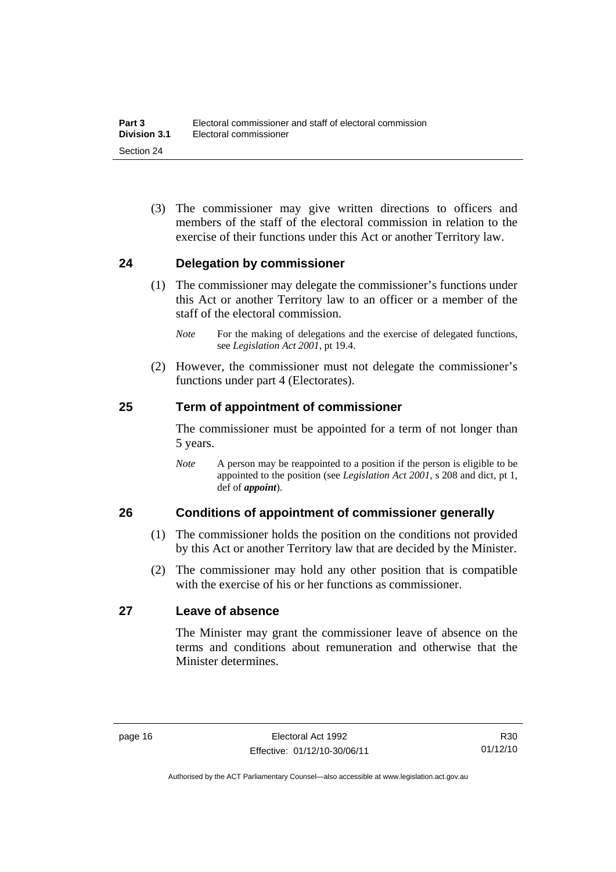(3) The commissioner may give written directions to officers and members of the staff of the electoral commission in relation to the exercise of their functions under this Act or another Territory law.

#### **24 Delegation by commissioner**

- (1) The commissioner may delegate the commissioner's functions under this Act or another Territory law to an officer or a member of the staff of the electoral commission.
	- *Note* For the making of delegations and the exercise of delegated functions, see *Legislation Act 2001*, pt 19.4.
- (2) However, the commissioner must not delegate the commissioner's functions under part 4 (Electorates).

#### **25 Term of appointment of commissioner**

The commissioner must be appointed for a term of not longer than 5 years.

*Note* A person may be reappointed to a position if the person is eligible to be appointed to the position (see *Legislation Act 2001*, s 208 and dict, pt 1, def of *appoint*).

#### **26 Conditions of appointment of commissioner generally**

- (1) The commissioner holds the position on the conditions not provided by this Act or another Territory law that are decided by the Minister.
- (2) The commissioner may hold any other position that is compatible with the exercise of his or her functions as commissioner.

#### **27 Leave of absence**

The Minister may grant the commissioner leave of absence on the terms and conditions about remuneration and otherwise that the Minister determines.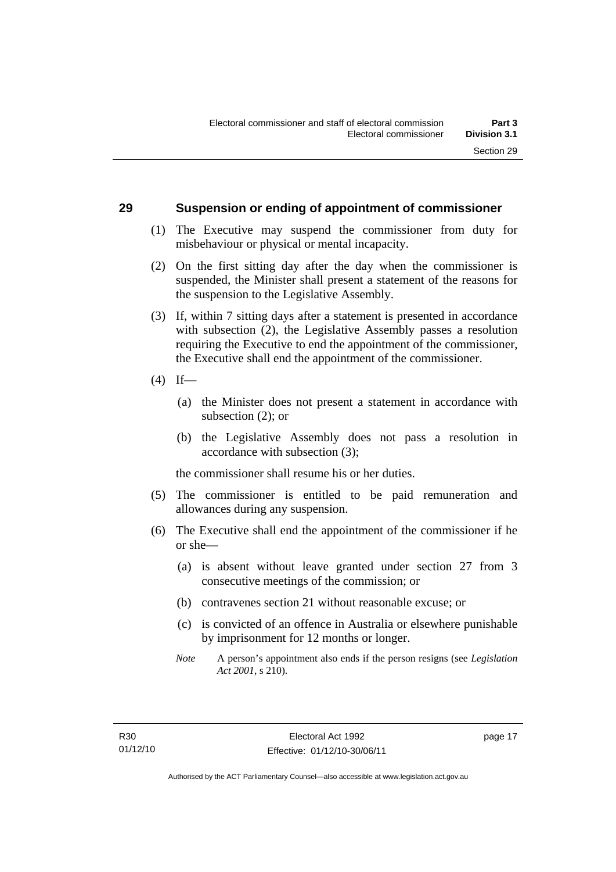#### **29 Suspension or ending of appointment of commissioner**

- (1) The Executive may suspend the commissioner from duty for misbehaviour or physical or mental incapacity.
- (2) On the first sitting day after the day when the commissioner is suspended, the Minister shall present a statement of the reasons for the suspension to the Legislative Assembly.
- (3) If, within 7 sitting days after a statement is presented in accordance with subsection (2), the Legislative Assembly passes a resolution requiring the Executive to end the appointment of the commissioner, the Executive shall end the appointment of the commissioner.
- $(4)$  If—
	- (a) the Minister does not present a statement in accordance with subsection (2); or
	- (b) the Legislative Assembly does not pass a resolution in accordance with subsection (3);

the commissioner shall resume his or her duties.

- (5) The commissioner is entitled to be paid remuneration and allowances during any suspension.
- (6) The Executive shall end the appointment of the commissioner if he or she—
	- (a) is absent without leave granted under section 27 from 3 consecutive meetings of the commission; or
	- (b) contravenes section 21 without reasonable excuse; or
	- (c) is convicted of an offence in Australia or elsewhere punishable by imprisonment for 12 months or longer.
	- *Note* A person's appointment also ends if the person resigns (see *Legislation Act 2001*, s 210).

page 17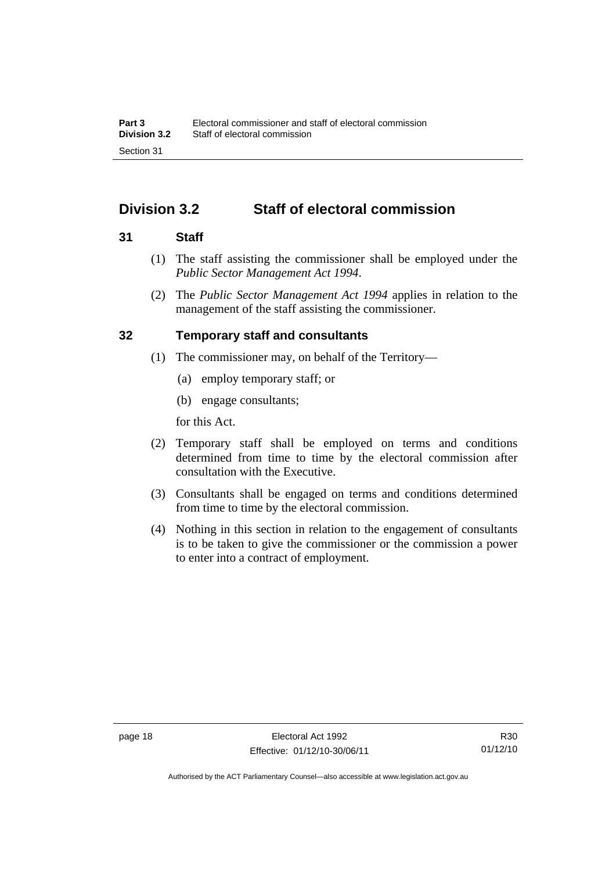# **Division 3.2 Staff of electoral commission**

#### **31 Staff**

- (1) The staff assisting the commissioner shall be employed under the *Public Sector Management Act 1994*.
- (2) The *Public Sector Management Act 1994* applies in relation to the management of the staff assisting the commissioner.

#### **32 Temporary staff and consultants**

- (1) The commissioner may, on behalf of the Territory—
	- (a) employ temporary staff; or
	- (b) engage consultants;

for this Act.

- (2) Temporary staff shall be employed on terms and conditions determined from time to time by the electoral commission after consultation with the Executive.
- (3) Consultants shall be engaged on terms and conditions determined from time to time by the electoral commission.
- (4) Nothing in this section in relation to the engagement of consultants is to be taken to give the commissioner or the commission a power to enter into a contract of employment.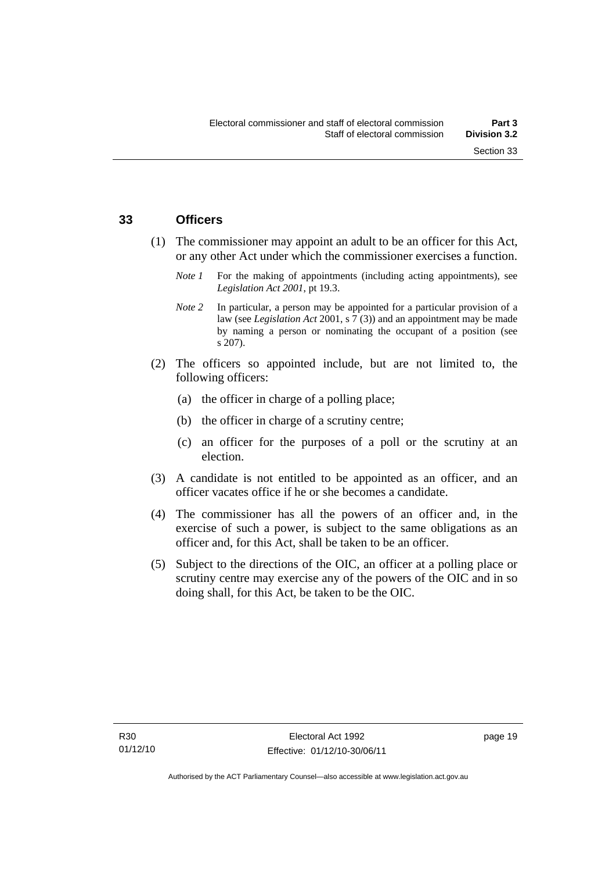#### **33 Officers**

- (1) The commissioner may appoint an adult to be an officer for this Act, or any other Act under which the commissioner exercises a function.
	- *Note 1* For the making of appointments (including acting appointments), see *Legislation Act 2001*, pt 19.3.
	- *Note 2* In particular, a person may be appointed for a particular provision of a law (see *Legislation Act* 2001, s 7 (3)) and an appointment may be made by naming a person or nominating the occupant of a position (see s 207).
- (2) The officers so appointed include, but are not limited to, the following officers:
	- (a) the officer in charge of a polling place;
	- (b) the officer in charge of a scrutiny centre;
	- (c) an officer for the purposes of a poll or the scrutiny at an election.
- (3) A candidate is not entitled to be appointed as an officer, and an officer vacates office if he or she becomes a candidate.
- (4) The commissioner has all the powers of an officer and, in the exercise of such a power, is subject to the same obligations as an officer and, for this Act, shall be taken to be an officer.
- (5) Subject to the directions of the OIC, an officer at a polling place or scrutiny centre may exercise any of the powers of the OIC and in so doing shall, for this Act, be taken to be the OIC.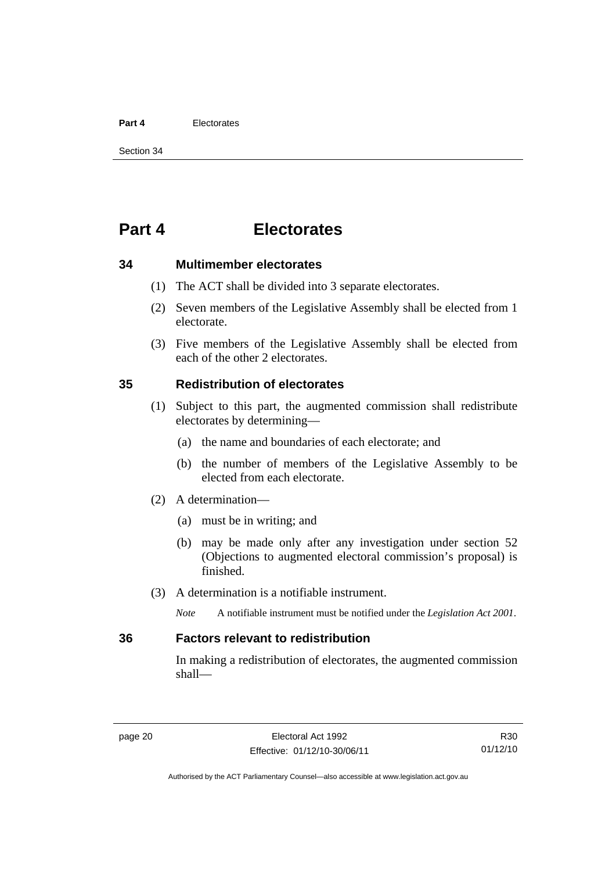#### **Part 4** Electorates

Section 34

# **Part 4 Electorates**

#### **34 Multimember electorates**

- (1) The ACT shall be divided into 3 separate electorates.
- (2) Seven members of the Legislative Assembly shall be elected from 1 electorate.
- (3) Five members of the Legislative Assembly shall be elected from each of the other 2 electorates.

#### **35 Redistribution of electorates**

- (1) Subject to this part, the augmented commission shall redistribute electorates by determining—
	- (a) the name and boundaries of each electorate; and
	- (b) the number of members of the Legislative Assembly to be elected from each electorate.
- (2) A determination—
	- (a) must be in writing; and
	- (b) may be made only after any investigation under section 52 (Objections to augmented electoral commission's proposal) is finished.
- (3) A determination is a notifiable instrument.

*Note* A notifiable instrument must be notified under the *Legislation Act 2001*.

#### **36 Factors relevant to redistribution**

In making a redistribution of electorates, the augmented commission shall—

R30 01/12/10

Authorised by the ACT Parliamentary Counsel—also accessible at www.legislation.act.gov.au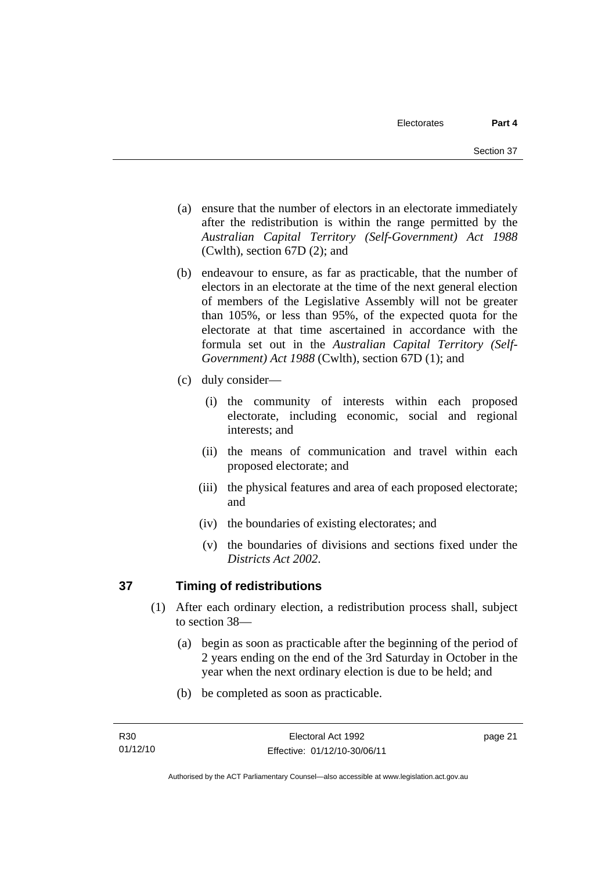- (a) ensure that the number of electors in an electorate immediately after the redistribution is within the range permitted by the *Australian Capital Territory (Self-Government) Act 1988*  (Cwlth), section 67D (2); and
- (b) endeavour to ensure, as far as practicable, that the number of electors in an electorate at the time of the next general election of members of the Legislative Assembly will not be greater than 105%, or less than 95%, of the expected quota for the electorate at that time ascertained in accordance with the formula set out in the *Australian Capital Territory (Self-Government) Act 1988* (Cwlth), section 67D (1); and
- (c) duly consider—
	- (i) the community of interests within each proposed electorate, including economic, social and regional interests; and
	- (ii) the means of communication and travel within each proposed electorate; and
	- (iii) the physical features and area of each proposed electorate; and
	- (iv) the boundaries of existing electorates; and
	- (v) the boundaries of divisions and sections fixed under the *Districts Act 2002*.

# **37 Timing of redistributions**

- (1) After each ordinary election, a redistribution process shall, subject to section 38—
	- (a) begin as soon as practicable after the beginning of the period of 2 years ending on the end of the 3rd Saturday in October in the year when the next ordinary election is due to be held; and
	- (b) be completed as soon as practicable.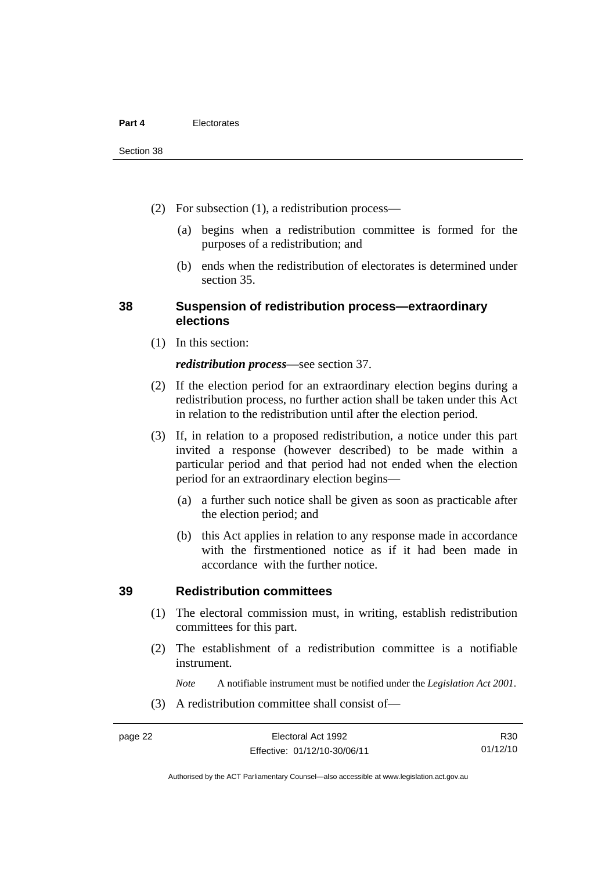- (2) For subsection (1), a redistribution process—
	- (a) begins when a redistribution committee is formed for the purposes of a redistribution; and
	- (b) ends when the redistribution of electorates is determined under section 35.

#### **38 Suspension of redistribution process—extraordinary elections**

(1) In this section:

#### *redistribution process*—see section 37.

- (2) If the election period for an extraordinary election begins during a redistribution process, no further action shall be taken under this Act in relation to the redistribution until after the election period.
- (3) If, in relation to a proposed redistribution, a notice under this part invited a response (however described) to be made within a particular period and that period had not ended when the election period for an extraordinary election begins—
	- (a) a further such notice shall be given as soon as practicable after the election period; and
	- (b) this Act applies in relation to any response made in accordance with the firstmentioned notice as if it had been made in accordance with the further notice.

#### **39 Redistribution committees**

- (1) The electoral commission must, in writing, establish redistribution committees for this part.
- (2) The establishment of a redistribution committee is a notifiable instrument.

*Note* A notifiable instrument must be notified under the *Legislation Act 2001*.

(3) A redistribution committee shall consist of—

R30 01/12/10

Authorised by the ACT Parliamentary Counsel—also accessible at www.legislation.act.gov.au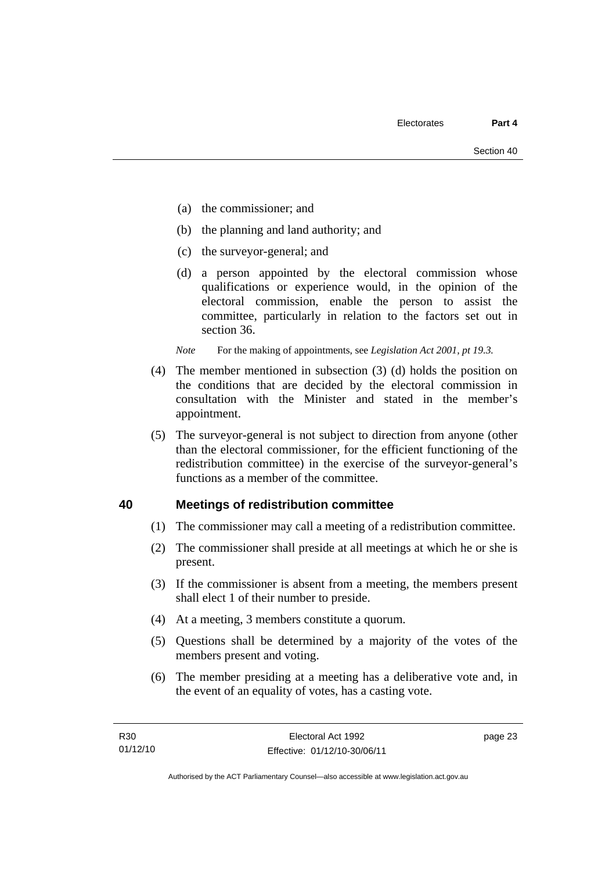- (a) the commissioner; and
- (b) the planning and land authority; and
- (c) the surveyor-general; and
- (d) a person appointed by the electoral commission whose qualifications or experience would, in the opinion of the electoral commission, enable the person to assist the committee, particularly in relation to the factors set out in section 36.

*Note* For the making of appointments, see *Legislation Act 2001, pt 19.3.* 

- (4) The member mentioned in subsection (3) (d) holds the position on the conditions that are decided by the electoral commission in consultation with the Minister and stated in the member's appointment.
- (5) The surveyor-general is not subject to direction from anyone (other than the electoral commissioner, for the efficient functioning of the redistribution committee) in the exercise of the surveyor-general's functions as a member of the committee.

#### **40 Meetings of redistribution committee**

- (1) The commissioner may call a meeting of a redistribution committee.
- (2) The commissioner shall preside at all meetings at which he or she is present.
- (3) If the commissioner is absent from a meeting, the members present shall elect 1 of their number to preside.
- (4) At a meeting, 3 members constitute a quorum.
- (5) Questions shall be determined by a majority of the votes of the members present and voting.
- (6) The member presiding at a meeting has a deliberative vote and, in the event of an equality of votes, has a casting vote.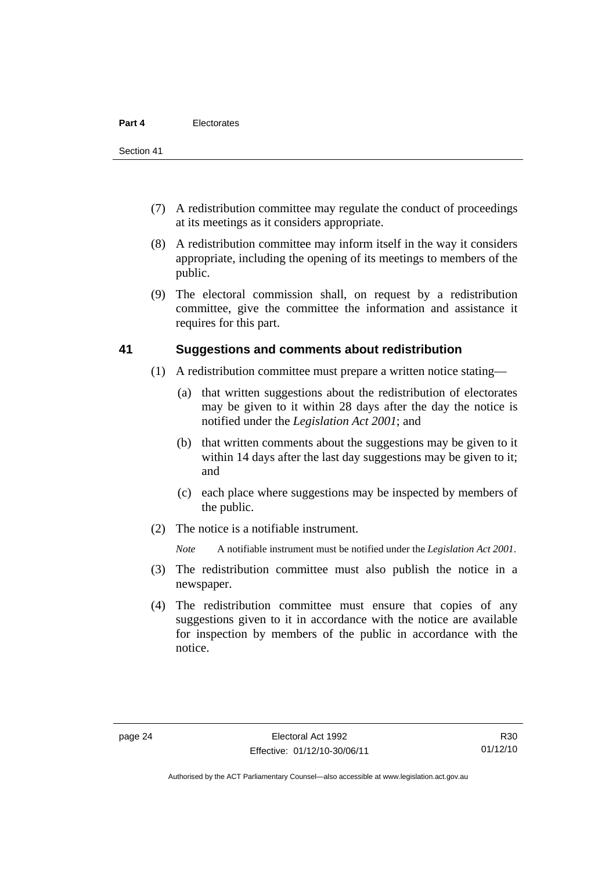- (7) A redistribution committee may regulate the conduct of proceedings at its meetings as it considers appropriate.
- (8) A redistribution committee may inform itself in the way it considers appropriate, including the opening of its meetings to members of the public.
- (9) The electoral commission shall, on request by a redistribution committee, give the committee the information and assistance it requires for this part.

#### **41 Suggestions and comments about redistribution**

- (1) A redistribution committee must prepare a written notice stating—
	- (a) that written suggestions about the redistribution of electorates may be given to it within 28 days after the day the notice is notified under the *Legislation Act 2001*; and
	- (b) that written comments about the suggestions may be given to it within 14 days after the last day suggestions may be given to it; and
	- (c) each place where suggestions may be inspected by members of the public.
- (2) The notice is a notifiable instrument.

*Note* A notifiable instrument must be notified under the *Legislation Act 2001*.

- (3) The redistribution committee must also publish the notice in a newspaper.
- (4) The redistribution committee must ensure that copies of any suggestions given to it in accordance with the notice are available for inspection by members of the public in accordance with the notice.

Authorised by the ACT Parliamentary Counsel—also accessible at www.legislation.act.gov.au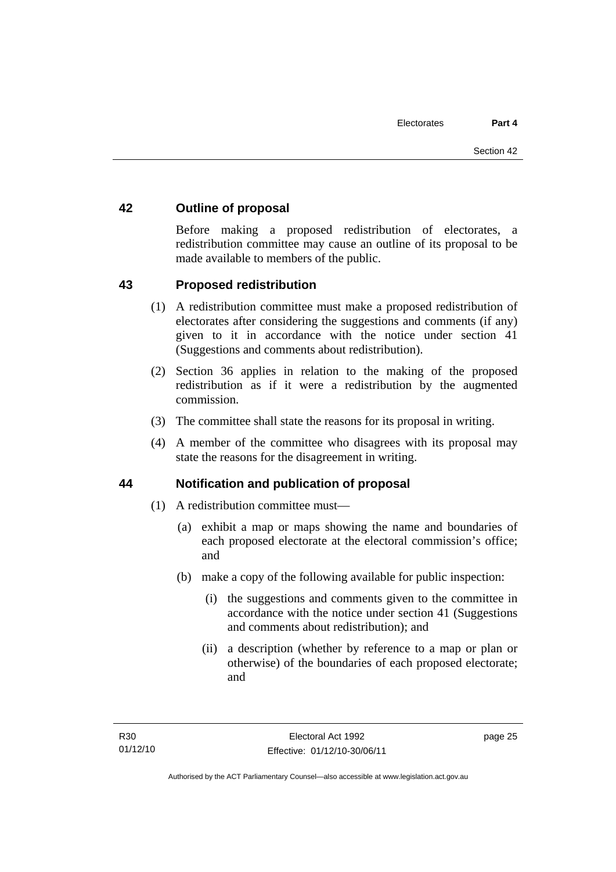#### **42 Outline of proposal**

Before making a proposed redistribution of electorates, a redistribution committee may cause an outline of its proposal to be made available to members of the public.

#### **43 Proposed redistribution**

- (1) A redistribution committee must make a proposed redistribution of electorates after considering the suggestions and comments (if any) given to it in accordance with the notice under section 41 (Suggestions and comments about redistribution).
- (2) Section 36 applies in relation to the making of the proposed redistribution as if it were a redistribution by the augmented commission.
- (3) The committee shall state the reasons for its proposal in writing.
- (4) A member of the committee who disagrees with its proposal may state the reasons for the disagreement in writing.

#### **44 Notification and publication of proposal**

- (1) A redistribution committee must—
	- (a) exhibit a map or maps showing the name and boundaries of each proposed electorate at the electoral commission's office; and
	- (b) make a copy of the following available for public inspection:
		- (i) the suggestions and comments given to the committee in accordance with the notice under section 41 (Suggestions and comments about redistribution); and
		- (ii) a description (whether by reference to a map or plan or otherwise) of the boundaries of each proposed electorate; and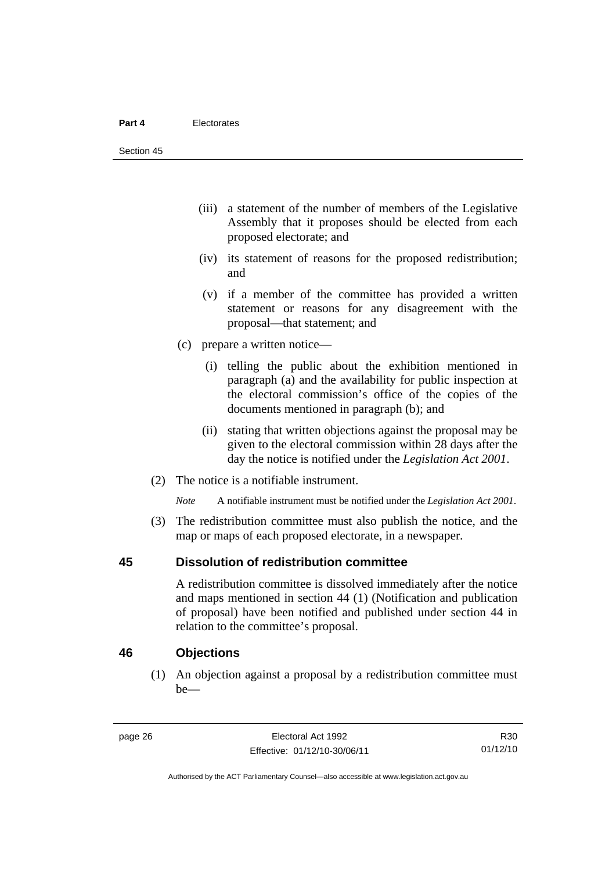- (iii) a statement of the number of members of the Legislative Assembly that it proposes should be elected from each proposed electorate; and
- (iv) its statement of reasons for the proposed redistribution; and
- (v) if a member of the committee has provided a written statement or reasons for any disagreement with the proposal—that statement; and
- (c) prepare a written notice—
	- (i) telling the public about the exhibition mentioned in paragraph (a) and the availability for public inspection at the electoral commission's office of the copies of the documents mentioned in paragraph (b); and
	- (ii) stating that written objections against the proposal may be given to the electoral commission within 28 days after the day the notice is notified under the *Legislation Act 2001*.
- (2) The notice is a notifiable instrument.

*Note* A notifiable instrument must be notified under the *Legislation Act 2001*.

 (3) The redistribution committee must also publish the notice, and the map or maps of each proposed electorate, in a newspaper.

#### **45 Dissolution of redistribution committee**

A redistribution committee is dissolved immediately after the notice and maps mentioned in section 44 (1) (Notification and publication of proposal) have been notified and published under section 44 in relation to the committee's proposal.

#### **46 Objections**

(1) An objection against a proposal by a redistribution committee must be—

R30 01/12/10

Authorised by the ACT Parliamentary Counsel—also accessible at www.legislation.act.gov.au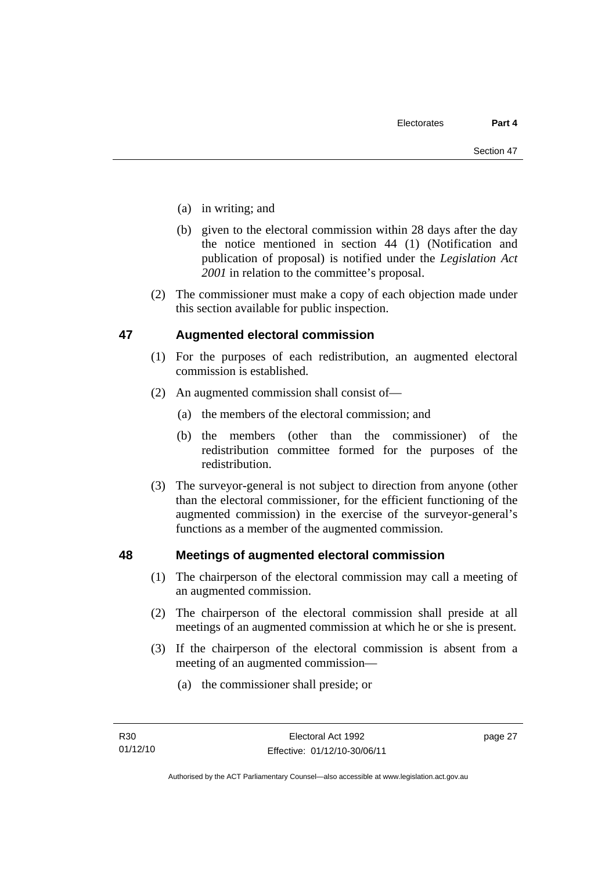- (a) in writing; and
- (b) given to the electoral commission within 28 days after the day the notice mentioned in section 44 (1) (Notification and publication of proposal) is notified under the *Legislation Act 2001* in relation to the committee's proposal.
- (2) The commissioner must make a copy of each objection made under this section available for public inspection.

#### **47 Augmented electoral commission**

- (1) For the purposes of each redistribution, an augmented electoral commission is established.
- (2) An augmented commission shall consist of—
	- (a) the members of the electoral commission; and
	- (b) the members (other than the commissioner) of the redistribution committee formed for the purposes of the redistribution.
- (3) The surveyor-general is not subject to direction from anyone (other than the electoral commissioner, for the efficient functioning of the augmented commission) in the exercise of the surveyor-general's functions as a member of the augmented commission.

#### **48 Meetings of augmented electoral commission**

- (1) The chairperson of the electoral commission may call a meeting of an augmented commission.
- (2) The chairperson of the electoral commission shall preside at all meetings of an augmented commission at which he or she is present.
- (3) If the chairperson of the electoral commission is absent from a meeting of an augmented commission—
	- (a) the commissioner shall preside; or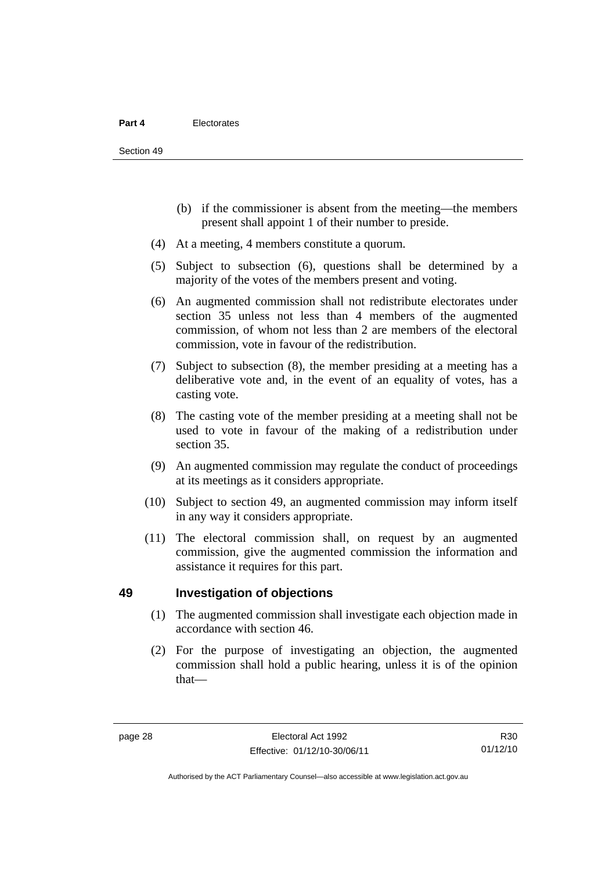- (b) if the commissioner is absent from the meeting—the members present shall appoint 1 of their number to preside.
- (4) At a meeting, 4 members constitute a quorum.
- (5) Subject to subsection (6), questions shall be determined by a majority of the votes of the members present and voting.
- (6) An augmented commission shall not redistribute electorates under section 35 unless not less than 4 members of the augmented commission, of whom not less than 2 are members of the electoral commission, vote in favour of the redistribution.
- (7) Subject to subsection (8), the member presiding at a meeting has a deliberative vote and, in the event of an equality of votes, has a casting vote.
- (8) The casting vote of the member presiding at a meeting shall not be used to vote in favour of the making of a redistribution under section 35.
- (9) An augmented commission may regulate the conduct of proceedings at its meetings as it considers appropriate.
- (10) Subject to section 49, an augmented commission may inform itself in any way it considers appropriate.
- (11) The electoral commission shall, on request by an augmented commission, give the augmented commission the information and assistance it requires for this part.

#### **49 Investigation of objections**

- (1) The augmented commission shall investigate each objection made in accordance with section 46.
- (2) For the purpose of investigating an objection, the augmented commission shall hold a public hearing, unless it is of the opinion that—

R30 01/12/10

Authorised by the ACT Parliamentary Counsel—also accessible at www.legislation.act.gov.au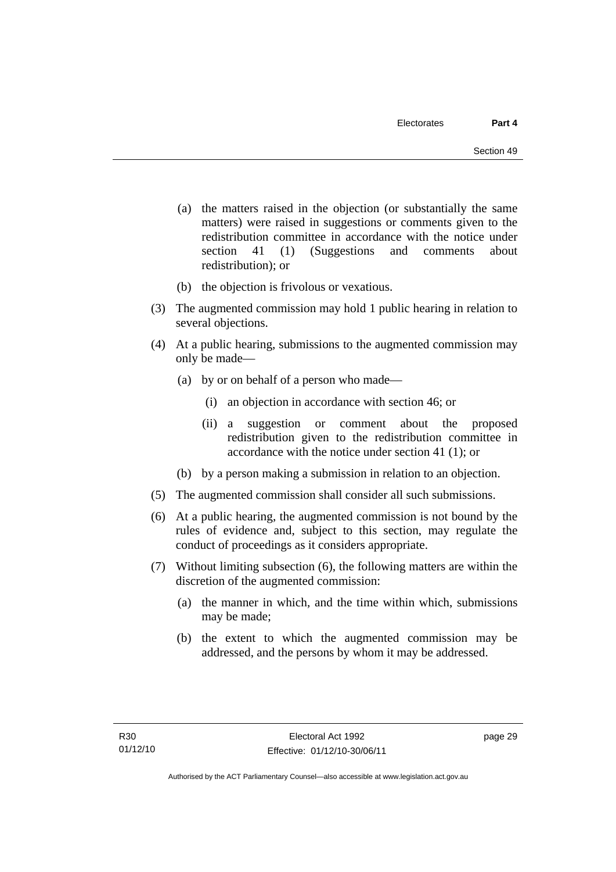- (a) the matters raised in the objection (or substantially the same matters) were raised in suggestions or comments given to the redistribution committee in accordance with the notice under section 41 (1) (Suggestions and comments about redistribution); or
- (b) the objection is frivolous or vexatious.
- (3) The augmented commission may hold 1 public hearing in relation to several objections.
- (4) At a public hearing, submissions to the augmented commission may only be made—
	- (a) by or on behalf of a person who made—
		- (i) an objection in accordance with section 46; or
		- (ii) a suggestion or comment about the proposed redistribution given to the redistribution committee in accordance with the notice under section 41 (1); or
	- (b) by a person making a submission in relation to an objection.
- (5) The augmented commission shall consider all such submissions.
- (6) At a public hearing, the augmented commission is not bound by the rules of evidence and, subject to this section, may regulate the conduct of proceedings as it considers appropriate.
- (7) Without limiting subsection (6), the following matters are within the discretion of the augmented commission:
	- (a) the manner in which, and the time within which, submissions may be made;
	- (b) the extent to which the augmented commission may be addressed, and the persons by whom it may be addressed.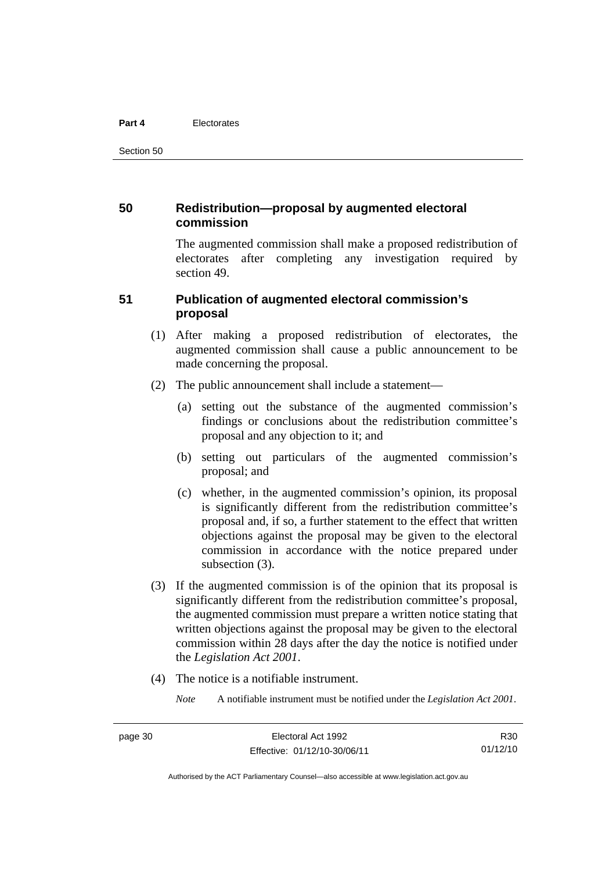#### **Part 4** Electorates

Section 50

#### **50 Redistribution—proposal by augmented electoral commission**

The augmented commission shall make a proposed redistribution of electorates after completing any investigation required by section 49.

#### **51 Publication of augmented electoral commission's proposal**

- (1) After making a proposed redistribution of electorates, the augmented commission shall cause a public announcement to be made concerning the proposal.
- (2) The public announcement shall include a statement—
	- (a) setting out the substance of the augmented commission's findings or conclusions about the redistribution committee's proposal and any objection to it; and
	- (b) setting out particulars of the augmented commission's proposal; and
	- (c) whether, in the augmented commission's opinion, its proposal is significantly different from the redistribution committee's proposal and, if so, a further statement to the effect that written objections against the proposal may be given to the electoral commission in accordance with the notice prepared under subsection  $(3)$ .
- (3) If the augmented commission is of the opinion that its proposal is significantly different from the redistribution committee's proposal, the augmented commission must prepare a written notice stating that written objections against the proposal may be given to the electoral commission within 28 days after the day the notice is notified under the *Legislation Act 2001*.
- (4) The notice is a notifiable instrument.

*Note* A notifiable instrument must be notified under the *Legislation Act 2001*.

Authorised by the ACT Parliamentary Counsel—also accessible at www.legislation.act.gov.au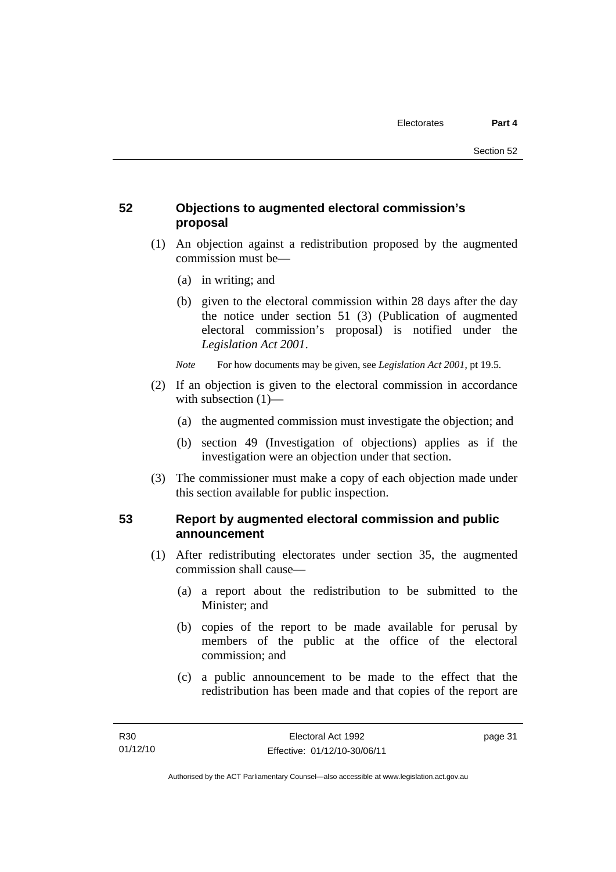# **52 Objections to augmented electoral commission's proposal**

- (1) An objection against a redistribution proposed by the augmented commission must be—
	- (a) in writing; and
	- (b) given to the electoral commission within 28 days after the day the notice under section 51 (3) (Publication of augmented electoral commission's proposal) is notified under the *Legislation Act 2001*.
	- *Note* For how documents may be given, see *Legislation Act 2001*, pt 19.5.
- (2) If an objection is given to the electoral commission in accordance with subsection (1)—
	- (a) the augmented commission must investigate the objection; and
	- (b) section 49 (Investigation of objections) applies as if the investigation were an objection under that section.
- (3) The commissioner must make a copy of each objection made under this section available for public inspection.

# **53 Report by augmented electoral commission and public announcement**

- (1) After redistributing electorates under section 35, the augmented commission shall cause—
	- (a) a report about the redistribution to be submitted to the Minister; and
	- (b) copies of the report to be made available for perusal by members of the public at the office of the electoral commission; and
	- (c) a public announcement to be made to the effect that the redistribution has been made and that copies of the report are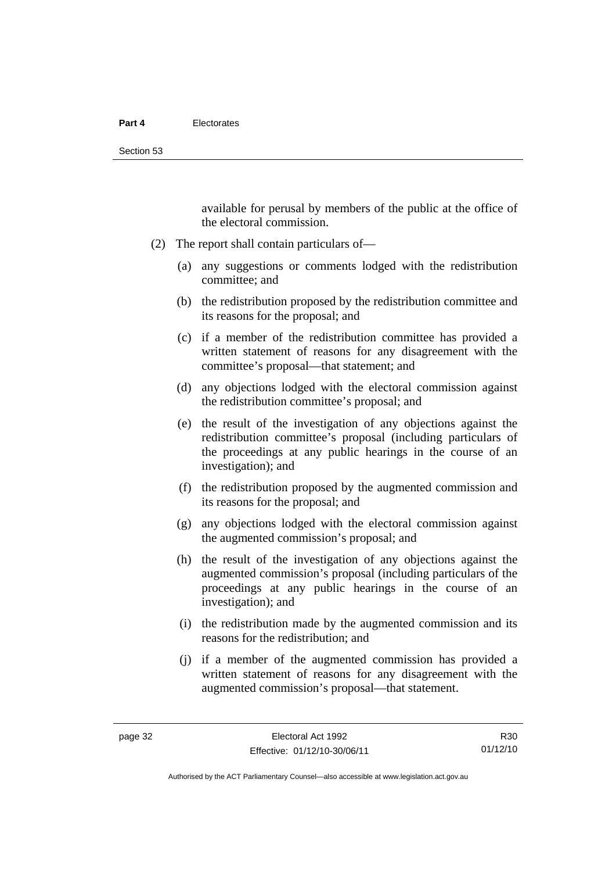available for perusal by members of the public at the office of the electoral commission.

- (2) The report shall contain particulars of—
	- (a) any suggestions or comments lodged with the redistribution committee; and
	- (b) the redistribution proposed by the redistribution committee and its reasons for the proposal; and
	- (c) if a member of the redistribution committee has provided a written statement of reasons for any disagreement with the committee's proposal—that statement; and
	- (d) any objections lodged with the electoral commission against the redistribution committee's proposal; and
	- (e) the result of the investigation of any objections against the redistribution committee's proposal (including particulars of the proceedings at any public hearings in the course of an investigation); and
	- (f) the redistribution proposed by the augmented commission and its reasons for the proposal; and
	- (g) any objections lodged with the electoral commission against the augmented commission's proposal; and
	- (h) the result of the investigation of any objections against the augmented commission's proposal (including particulars of the proceedings at any public hearings in the course of an investigation); and
	- (i) the redistribution made by the augmented commission and its reasons for the redistribution; and
	- (j) if a member of the augmented commission has provided a written statement of reasons for any disagreement with the augmented commission's proposal—that statement.

R30 01/12/10

Authorised by the ACT Parliamentary Counsel—also accessible at www.legislation.act.gov.au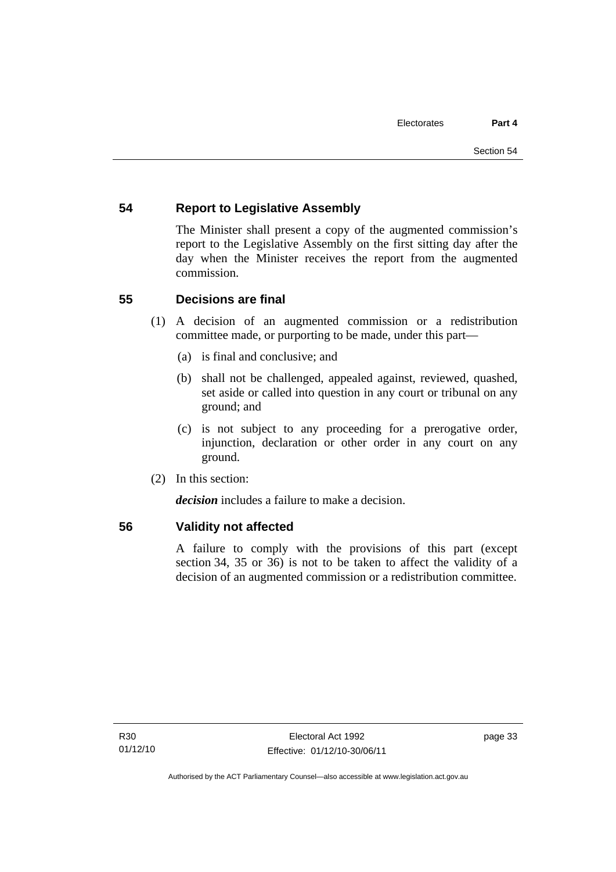# **54 Report to Legislative Assembly**

The Minister shall present a copy of the augmented commission's report to the Legislative Assembly on the first sitting day after the day when the Minister receives the report from the augmented commission.

# **55 Decisions are final**

- (1) A decision of an augmented commission or a redistribution committee made, or purporting to be made, under this part—
	- (a) is final and conclusive; and
	- (b) shall not be challenged, appealed against, reviewed, quashed, set aside or called into question in any court or tribunal on any ground; and
	- (c) is not subject to any proceeding for a prerogative order, injunction, declaration or other order in any court on any ground.
- (2) In this section:

*decision* includes a failure to make a decision.

#### **56 Validity not affected**

A failure to comply with the provisions of this part (except section 34, 35 or 36) is not to be taken to affect the validity of a decision of an augmented commission or a redistribution committee.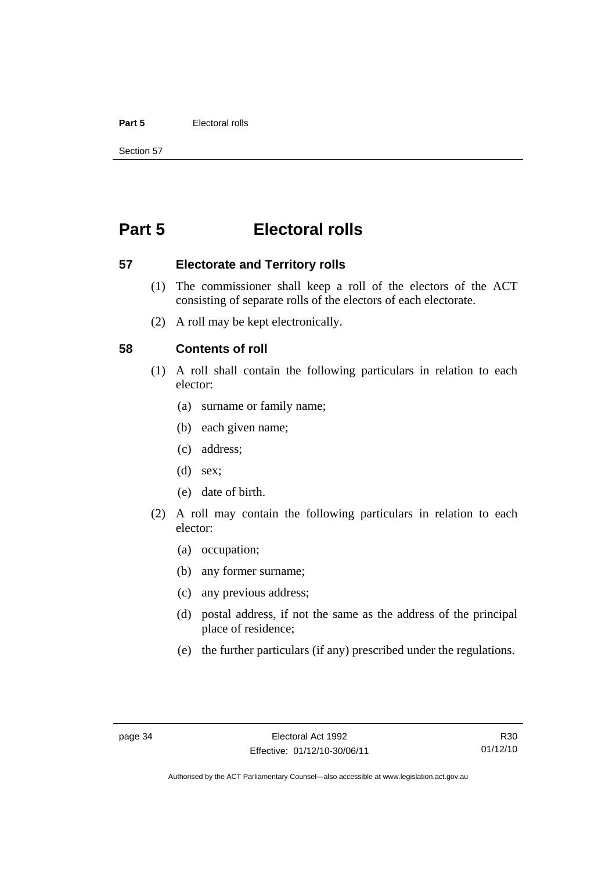#### **Part 5** Electoral rolls

Section 57

# **Part 5 Electoral rolls**

**57 Electorate and Territory rolls** 

- (1) The commissioner shall keep a roll of the electors of the ACT consisting of separate rolls of the electors of each electorate.
- (2) A roll may be kept electronically.

#### **58 Contents of roll**

- (1) A roll shall contain the following particulars in relation to each elector:
	- (a) surname or family name;
	- (b) each given name;
	- (c) address;
	- (d) sex;
	- (e) date of birth.
- (2) A roll may contain the following particulars in relation to each elector:
	- (a) occupation;
	- (b) any former surname;
	- (c) any previous address;
	- (d) postal address, if not the same as the address of the principal place of residence;
	- (e) the further particulars (if any) prescribed under the regulations.

R30 01/12/10

Authorised by the ACT Parliamentary Counsel—also accessible at www.legislation.act.gov.au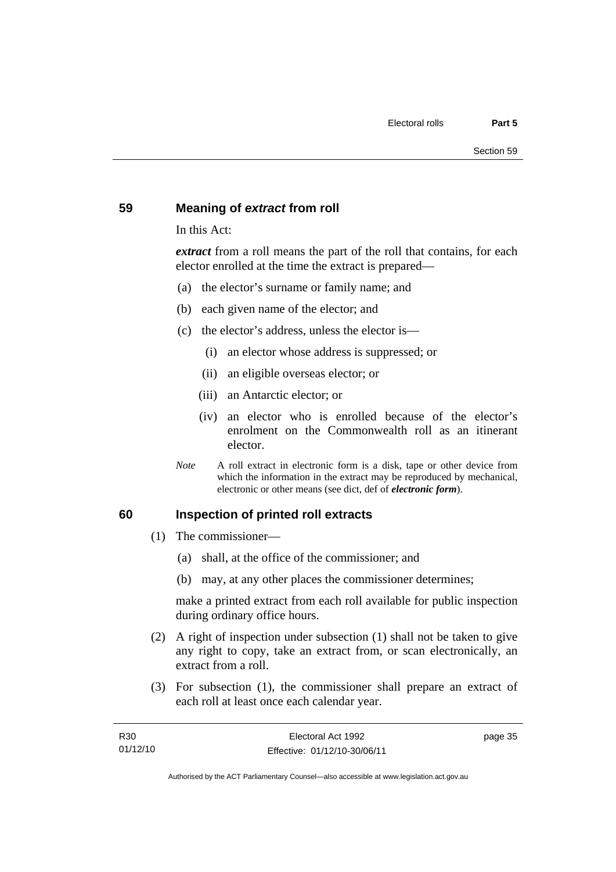#### **59 Meaning of** *extract* **from roll**

In this Act:

*extract* from a roll means the part of the roll that contains, for each elector enrolled at the time the extract is prepared—

- (a) the elector's surname or family name; and
- (b) each given name of the elector; and
- (c) the elector's address, unless the elector is—
	- (i) an elector whose address is suppressed; or
	- (ii) an eligible overseas elector; or
	- (iii) an Antarctic elector; or
	- (iv) an elector who is enrolled because of the elector's enrolment on the Commonwealth roll as an itinerant elector.
- *Note* A roll extract in electronic form is a disk, tape or other device from which the information in the extract may be reproduced by mechanical, electronic or other means (see dict, def of *electronic form*).

#### **60 Inspection of printed roll extracts**

- (1) The commissioner—
	- (a) shall, at the office of the commissioner; and
	- (b) may, at any other places the commissioner determines;

make a printed extract from each roll available for public inspection during ordinary office hours.

- (2) A right of inspection under subsection (1) shall not be taken to give any right to copy, take an extract from, or scan electronically, an extract from a roll.
- (3) For subsection (1), the commissioner shall prepare an extract of each roll at least once each calendar year.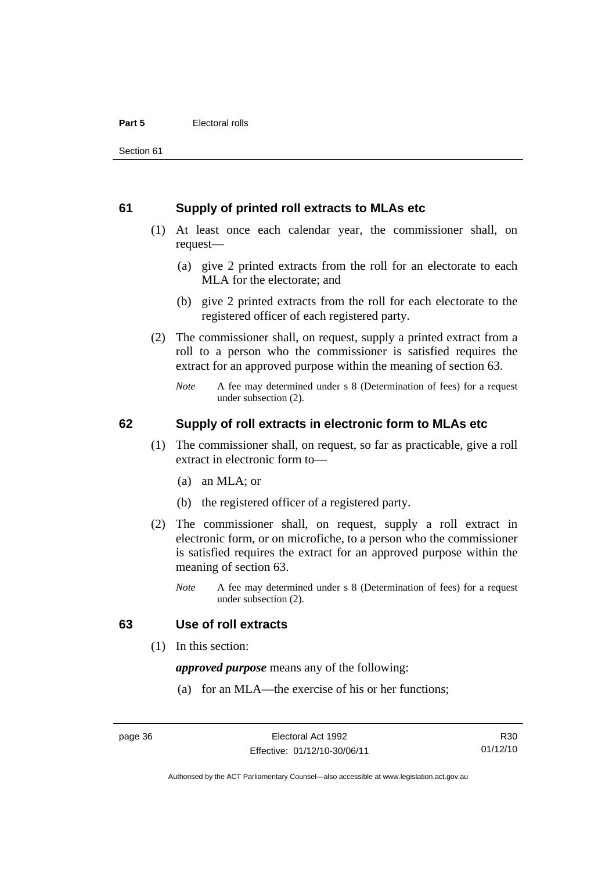#### **61 Supply of printed roll extracts to MLAs etc**

- (1) At least once each calendar year, the commissioner shall, on request—
	- (a) give 2 printed extracts from the roll for an electorate to each MLA for the electorate; and
	- (b) give 2 printed extracts from the roll for each electorate to the registered officer of each registered party.
- (2) The commissioner shall, on request, supply a printed extract from a roll to a person who the commissioner is satisfied requires the extract for an approved purpose within the meaning of section 63.
	- *Note* A fee may determined under s 8 (Determination of fees) for a request under subsection (2).

#### **62 Supply of roll extracts in electronic form to MLAs etc**

- (1) The commissioner shall, on request, so far as practicable, give a roll extract in electronic form to—
	- (a) an MLA; or
	- (b) the registered officer of a registered party.
- (2) The commissioner shall, on request, supply a roll extract in electronic form, or on microfiche, to a person who the commissioner is satisfied requires the extract for an approved purpose within the meaning of section 63.
	- *Note* A fee may determined under s 8 (Determination of fees) for a request under subsection (2).

#### **63 Use of roll extracts**

(1) In this section:

*approved purpose* means any of the following:

(a) for an MLA—the exercise of his or her functions;

R30 01/12/10

Authorised by the ACT Parliamentary Counsel—also accessible at www.legislation.act.gov.au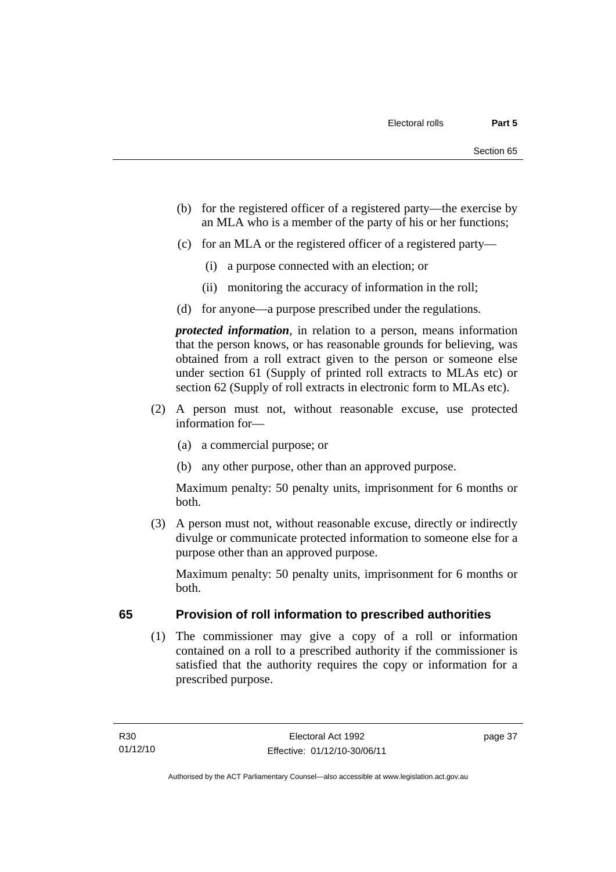- (b) for the registered officer of a registered party—the exercise by an MLA who is a member of the party of his or her functions;
- (c) for an MLA or the registered officer of a registered party—
	- (i) a purpose connected with an election; or
	- (ii) monitoring the accuracy of information in the roll;
- (d) for anyone—a purpose prescribed under the regulations.

*protected information*, in relation to a person, means information that the person knows, or has reasonable grounds for believing, was obtained from a roll extract given to the person or someone else under section 61 (Supply of printed roll extracts to MLAs etc) or section 62 (Supply of roll extracts in electronic form to MLAs etc).

- (2) A person must not, without reasonable excuse, use protected information for—
	- (a) a commercial purpose; or
	- (b) any other purpose, other than an approved purpose.

Maximum penalty: 50 penalty units, imprisonment for 6 months or both.

 (3) A person must not, without reasonable excuse, directly or indirectly divulge or communicate protected information to someone else for a purpose other than an approved purpose.

Maximum penalty: 50 penalty units, imprisonment for 6 months or both.

# **65 Provision of roll information to prescribed authorities**

(1) The commissioner may give a copy of a roll or information contained on a roll to a prescribed authority if the commissioner is satisfied that the authority requires the copy or information for a prescribed purpose.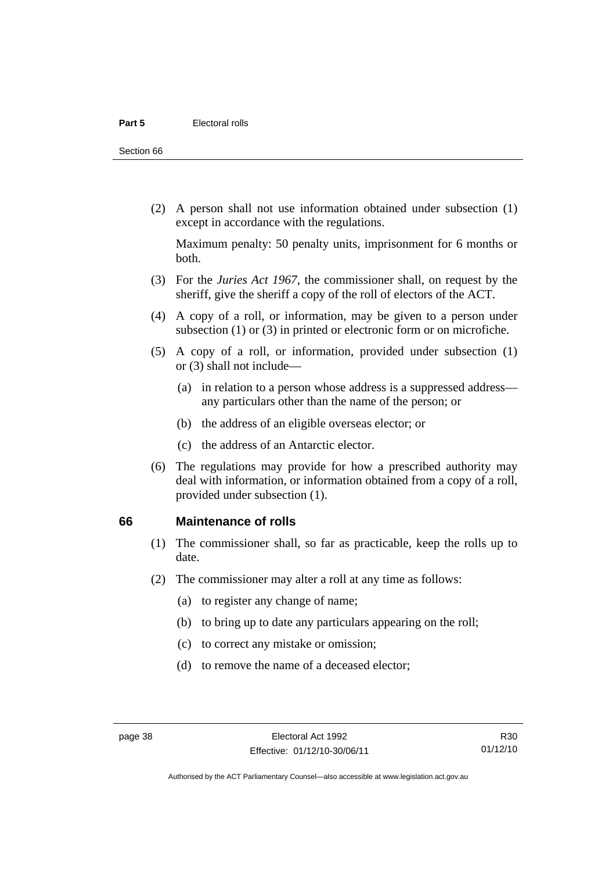Section 66

 (2) A person shall not use information obtained under subsection (1) except in accordance with the regulations.

Maximum penalty: 50 penalty units, imprisonment for 6 months or both.

- (3) For the *Juries Act 1967*, the commissioner shall, on request by the sheriff, give the sheriff a copy of the roll of electors of the ACT.
- (4) A copy of a roll, or information, may be given to a person under subsection (1) or (3) in printed or electronic form or on microfiche.
- (5) A copy of a roll, or information, provided under subsection (1) or (3) shall not include—
	- (a) in relation to a person whose address is a suppressed address any particulars other than the name of the person; or
	- (b) the address of an eligible overseas elector; or
	- (c) the address of an Antarctic elector.
- (6) The regulations may provide for how a prescribed authority may deal with information, or information obtained from a copy of a roll, provided under subsection (1).

#### **66 Maintenance of rolls**

- (1) The commissioner shall, so far as practicable, keep the rolls up to date.
- (2) The commissioner may alter a roll at any time as follows:
	- (a) to register any change of name;
	- (b) to bring up to date any particulars appearing on the roll;
	- (c) to correct any mistake or omission;
	- (d) to remove the name of a deceased elector;

Authorised by the ACT Parliamentary Counsel—also accessible at www.legislation.act.gov.au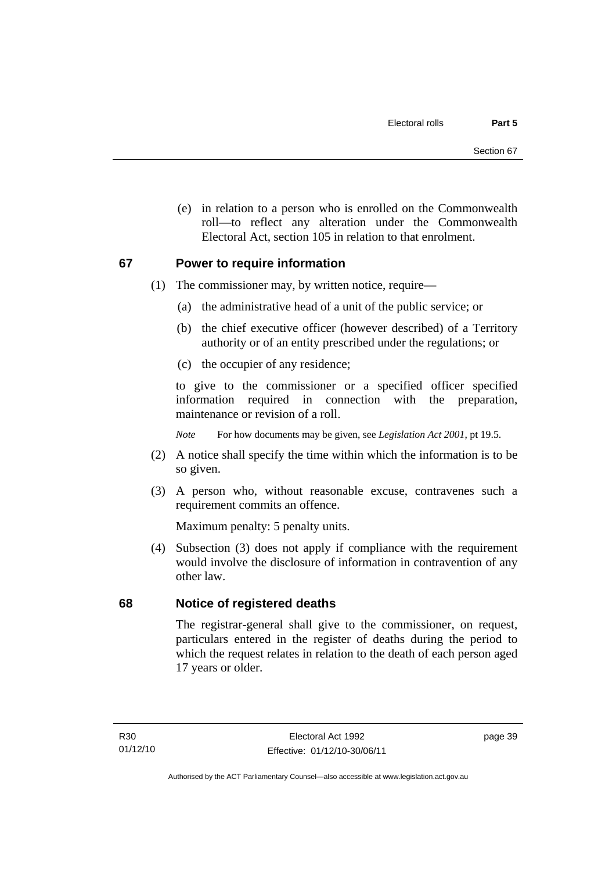(e) in relation to a person who is enrolled on the Commonwealth roll—to reflect any alteration under the Commonwealth Electoral Act, section 105 in relation to that enrolment.

#### **67 Power to require information**

- (1) The commissioner may, by written notice, require—
	- (a) the administrative head of a unit of the public service; or
	- (b) the chief executive officer (however described) of a Territory authority or of an entity prescribed under the regulations; or
	- (c) the occupier of any residence;

to give to the commissioner or a specified officer specified information required in connection with the preparation, maintenance or revision of a roll.

*Note* For how documents may be given, see *Legislation Act 2001*, pt 19.5.

- (2) A notice shall specify the time within which the information is to be so given.
- (3) A person who, without reasonable excuse, contravenes such a requirement commits an offence.

Maximum penalty: 5 penalty units.

 (4) Subsection (3) does not apply if compliance with the requirement would involve the disclosure of information in contravention of any other law.

# **68 Notice of registered deaths**

The registrar-general shall give to the commissioner, on request, particulars entered in the register of deaths during the period to which the request relates in relation to the death of each person aged 17 years or older.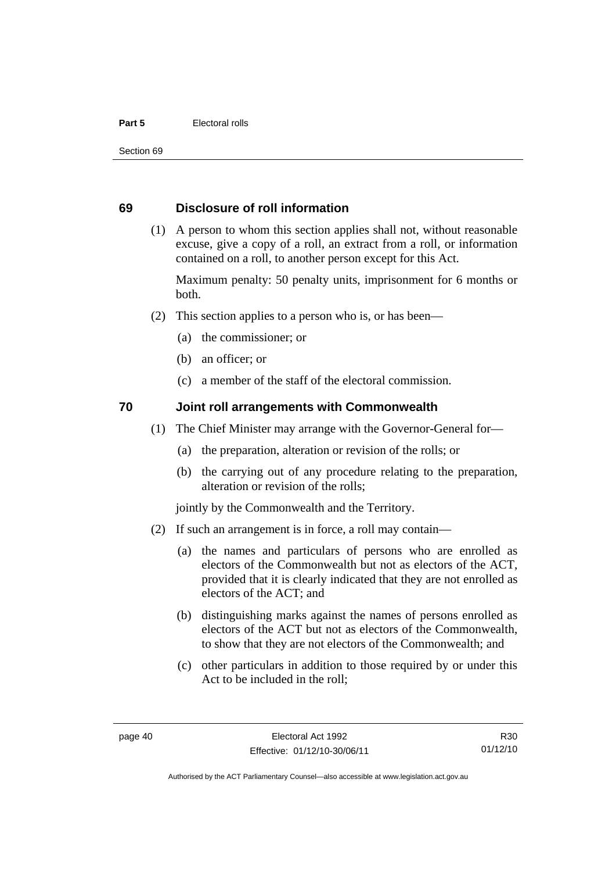#### **Part 5** Electoral rolls

Section 69

#### **69 Disclosure of roll information**

 (1) A person to whom this section applies shall not, without reasonable excuse, give a copy of a roll, an extract from a roll, or information contained on a roll, to another person except for this Act.

Maximum penalty: 50 penalty units, imprisonment for 6 months or both.

- (2) This section applies to a person who is, or has been—
	- (a) the commissioner; or
	- (b) an officer; or
	- (c) a member of the staff of the electoral commission.

#### **70 Joint roll arrangements with Commonwealth**

- (1) The Chief Minister may arrange with the Governor-General for—
	- (a) the preparation, alteration or revision of the rolls; or
	- (b) the carrying out of any procedure relating to the preparation, alteration or revision of the rolls;

jointly by the Commonwealth and the Territory.

- (2) If such an arrangement is in force, a roll may contain—
	- (a) the names and particulars of persons who are enrolled as electors of the Commonwealth but not as electors of the ACT, provided that it is clearly indicated that they are not enrolled as electors of the ACT; and
	- (b) distinguishing marks against the names of persons enrolled as electors of the ACT but not as electors of the Commonwealth, to show that they are not electors of the Commonwealth; and
	- (c) other particulars in addition to those required by or under this Act to be included in the roll;

R30 01/12/10

Authorised by the ACT Parliamentary Counsel—also accessible at www.legislation.act.gov.au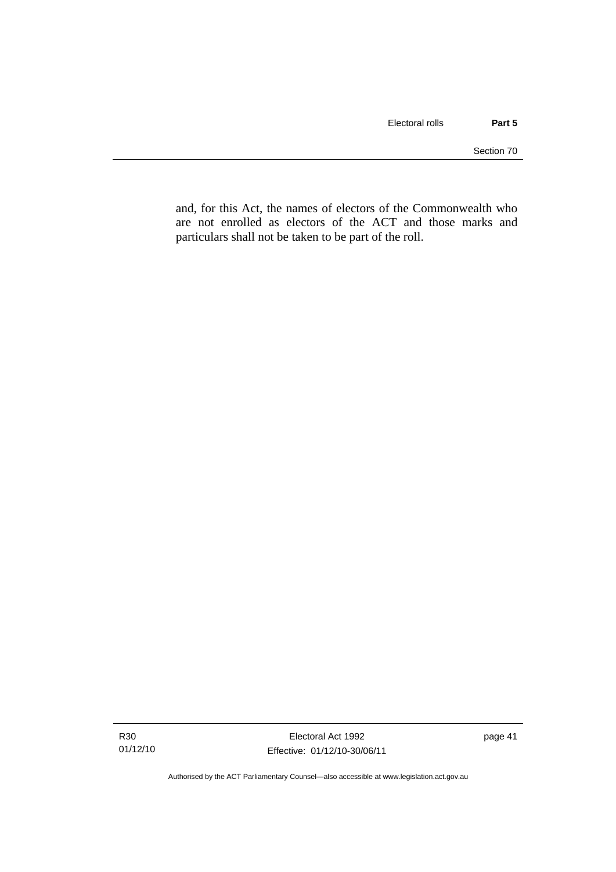and, for this Act, the names of electors of the Commonwealth who are not enrolled as electors of the ACT and those marks and particulars shall not be taken to be part of the roll.

page 41

Authorised by the ACT Parliamentary Counsel—also accessible at www.legislation.act.gov.au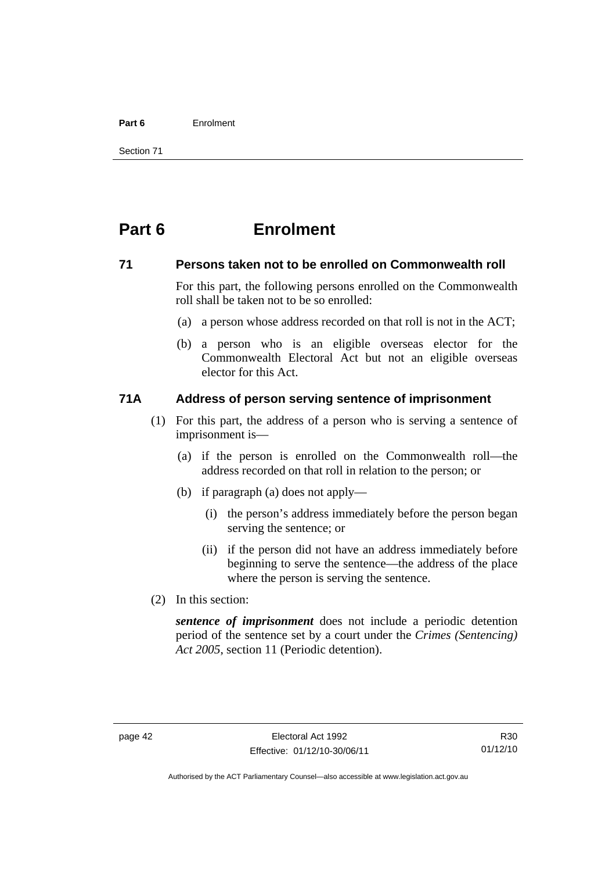#### **Part 6** Enrolment

Section 71

# **Part 6 Enrolment**

#### **71 Persons taken not to be enrolled on Commonwealth roll**

For this part, the following persons enrolled on the Commonwealth roll shall be taken not to be so enrolled:

- (a) a person whose address recorded on that roll is not in the ACT;
- (b) a person who is an eligible overseas elector for the Commonwealth Electoral Act but not an eligible overseas elector for this Act.

#### **71A Address of person serving sentence of imprisonment**

- (1) For this part, the address of a person who is serving a sentence of imprisonment is—
	- (a) if the person is enrolled on the Commonwealth roll—the address recorded on that roll in relation to the person; or
	- (b) if paragraph (a) does not apply—
		- (i) the person's address immediately before the person began serving the sentence; or
		- (ii) if the person did not have an address immediately before beginning to serve the sentence—the address of the place where the person is serving the sentence.
- (2) In this section:

*sentence of imprisonment* does not include a periodic detention period of the sentence set by a court under the *Crimes (Sentencing) Act 2005*, section 11 (Periodic detention).

R30 01/12/10

Authorised by the ACT Parliamentary Counsel—also accessible at www.legislation.act.gov.au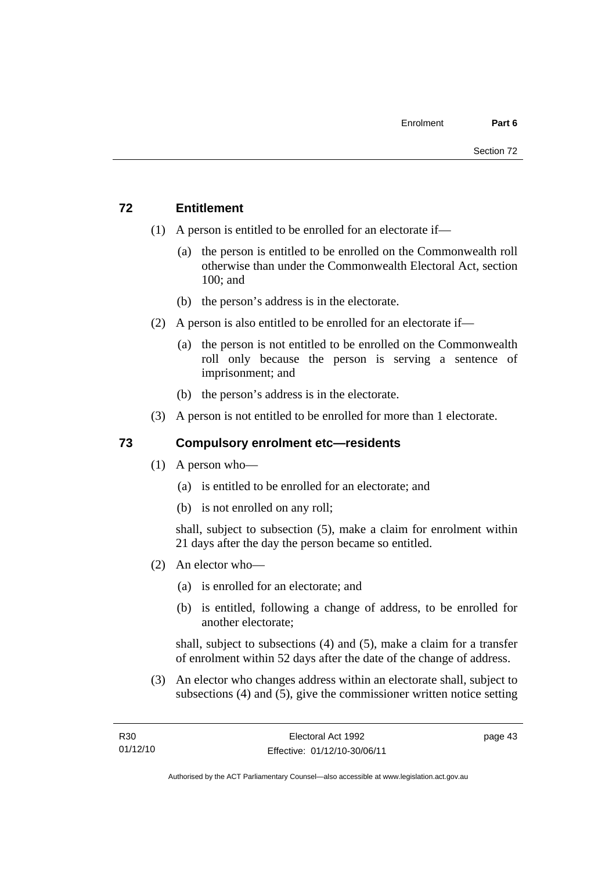# **72 Entitlement**

- (1) A person is entitled to be enrolled for an electorate if—
	- (a) the person is entitled to be enrolled on the Commonwealth roll otherwise than under the Commonwealth Electoral Act, section 100; and
	- (b) the person's address is in the electorate.
- (2) A person is also entitled to be enrolled for an electorate if—
	- (a) the person is not entitled to be enrolled on the Commonwealth roll only because the person is serving a sentence of imprisonment; and
	- (b) the person's address is in the electorate.
- (3) A person is not entitled to be enrolled for more than 1 electorate.

# **73 Compulsory enrolment etc—residents**

- (1) A person who—
	- (a) is entitled to be enrolled for an electorate; and
	- (b) is not enrolled on any roll;

shall, subject to subsection (5), make a claim for enrolment within 21 days after the day the person became so entitled.

- (2) An elector who—
	- (a) is enrolled for an electorate; and
	- (b) is entitled, following a change of address, to be enrolled for another electorate;

shall, subject to subsections (4) and (5), make a claim for a transfer of enrolment within 52 days after the date of the change of address.

 (3) An elector who changes address within an electorate shall, subject to subsections (4) and (5), give the commissioner written notice setting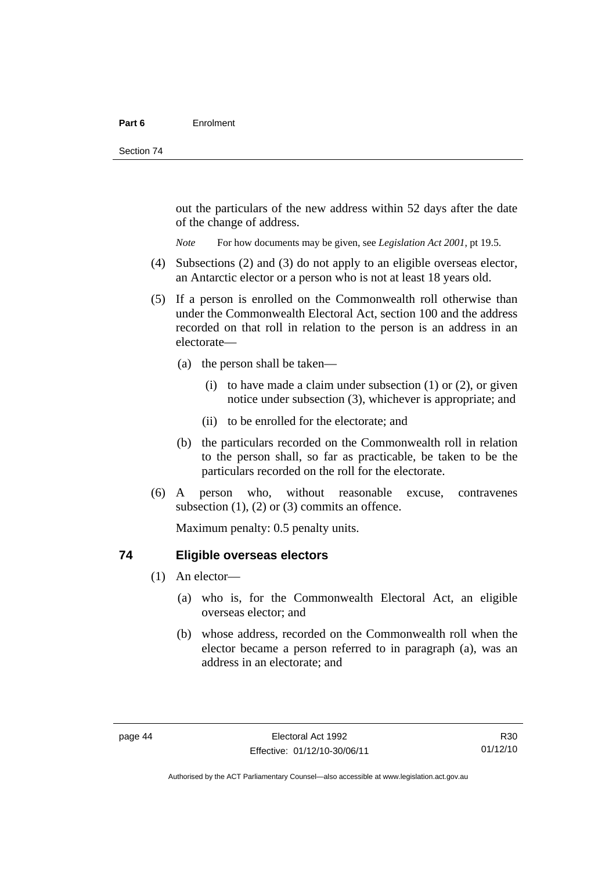out the particulars of the new address within 52 days after the date of the change of address.

*Note* For how documents may be given, see *Legislation Act 2001*, pt 19.5.

- (4) Subsections (2) and (3) do not apply to an eligible overseas elector, an Antarctic elector or a person who is not at least 18 years old.
- (5) If a person is enrolled on the Commonwealth roll otherwise than under the Commonwealth Electoral Act, section 100 and the address recorded on that roll in relation to the person is an address in an electorate—
	- (a) the person shall be taken—
		- (i) to have made a claim under subsection  $(1)$  or  $(2)$ , or given notice under subsection (3), whichever is appropriate; and
		- (ii) to be enrolled for the electorate; and
	- (b) the particulars recorded on the Commonwealth roll in relation to the person shall, so far as practicable, be taken to be the particulars recorded on the roll for the electorate.
- (6) A person who, without reasonable excuse, contravenes subsection  $(1)$ ,  $(2)$  or  $(3)$  commits an offence.

Maximum penalty: 0.5 penalty units.

#### **74 Eligible overseas electors**

- (1) An elector—
	- (a) who is, for the Commonwealth Electoral Act, an eligible overseas elector; and
	- (b) whose address, recorded on the Commonwealth roll when the elector became a person referred to in paragraph (a), was an address in an electorate; and

Authorised by the ACT Parliamentary Counsel—also accessible at www.legislation.act.gov.au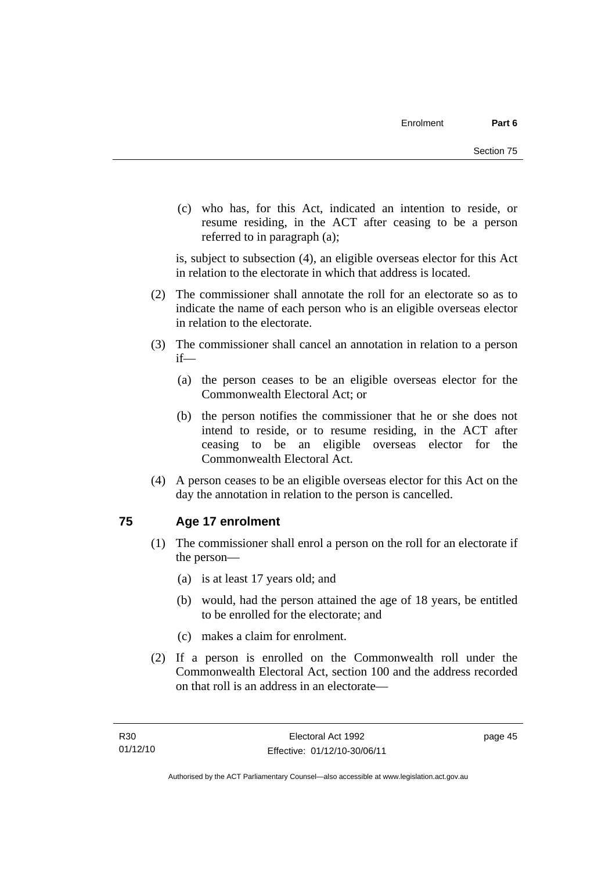(c) who has, for this Act, indicated an intention to reside, or resume residing, in the ACT after ceasing to be a person referred to in paragraph (a);

is, subject to subsection (4), an eligible overseas elector for this Act in relation to the electorate in which that address is located.

- (2) The commissioner shall annotate the roll for an electorate so as to indicate the name of each person who is an eligible overseas elector in relation to the electorate.
- (3) The commissioner shall cancel an annotation in relation to a person if—
	- (a) the person ceases to be an eligible overseas elector for the Commonwealth Electoral Act; or
	- (b) the person notifies the commissioner that he or she does not intend to reside, or to resume residing, in the ACT after ceasing to be an eligible overseas elector for the Commonwealth Electoral Act.
- (4) A person ceases to be an eligible overseas elector for this Act on the day the annotation in relation to the person is cancelled.

# **75 Age 17 enrolment**

- (1) The commissioner shall enrol a person on the roll for an electorate if the person—
	- (a) is at least 17 years old; and
	- (b) would, had the person attained the age of 18 years, be entitled to be enrolled for the electorate; and
	- (c) makes a claim for enrolment.
- (2) If a person is enrolled on the Commonwealth roll under the Commonwealth Electoral Act, section 100 and the address recorded on that roll is an address in an electorate—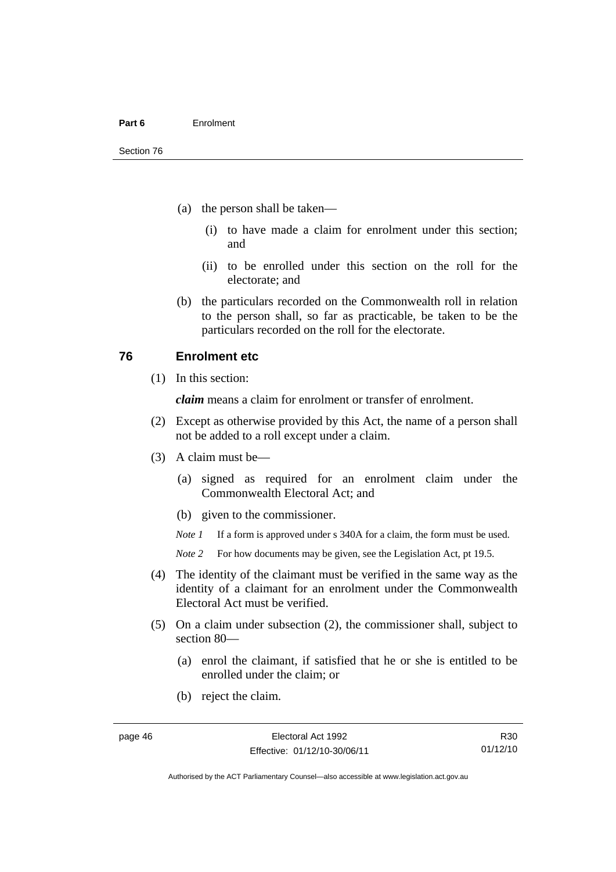- (a) the person shall be taken—
	- (i) to have made a claim for enrolment under this section; and
	- (ii) to be enrolled under this section on the roll for the electorate; and
- (b) the particulars recorded on the Commonwealth roll in relation to the person shall, so far as practicable, be taken to be the particulars recorded on the roll for the electorate.

#### **76 Enrolment etc**

(1) In this section:

*claim* means a claim for enrolment or transfer of enrolment.

- (2) Except as otherwise provided by this Act, the name of a person shall not be added to a roll except under a claim.
- (3) A claim must be—
	- (a) signed as required for an enrolment claim under the Commonwealth Electoral Act; and
	- (b) given to the commissioner.

*Note 1* If a form is approved under s 340A for a claim, the form must be used.

- *Note* 2 For how documents may be given, see the Legislation Act, pt 19.5.
- (4) The identity of the claimant must be verified in the same way as the identity of a claimant for an enrolment under the Commonwealth Electoral Act must be verified.
- (5) On a claim under subsection (2), the commissioner shall, subject to section 80—
	- (a) enrol the claimant, if satisfied that he or she is entitled to be enrolled under the claim; or
	- (b) reject the claim.

Authorised by the ACT Parliamentary Counsel—also accessible at www.legislation.act.gov.au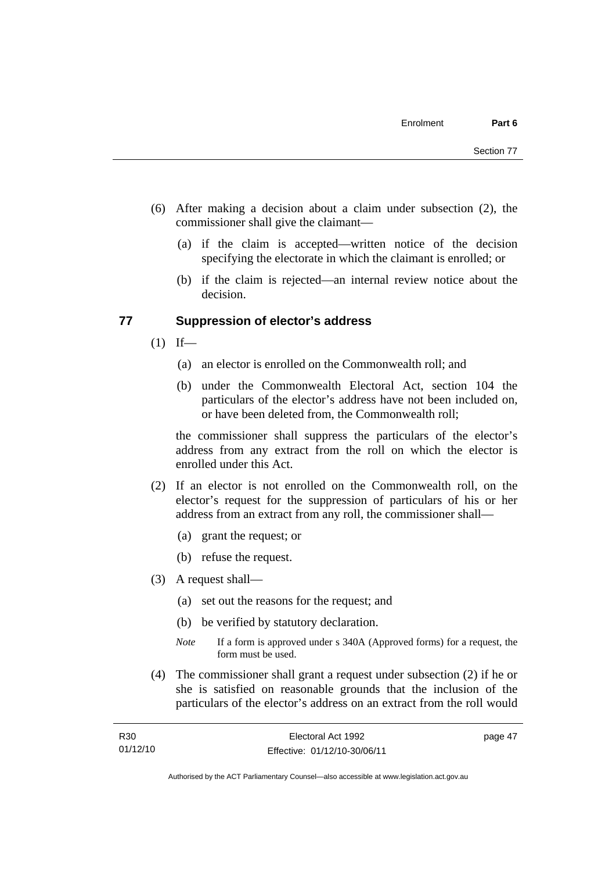- (6) After making a decision about a claim under subsection (2), the commissioner shall give the claimant—
	- (a) if the claim is accepted—written notice of the decision specifying the electorate in which the claimant is enrolled; or
	- (b) if the claim is rejected—an internal review notice about the decision.

#### **77 Suppression of elector's address**

- $(1)$  If—
	- (a) an elector is enrolled on the Commonwealth roll; and
	- (b) under the Commonwealth Electoral Act, section 104 the particulars of the elector's address have not been included on, or have been deleted from, the Commonwealth roll;

the commissioner shall suppress the particulars of the elector's address from any extract from the roll on which the elector is enrolled under this Act.

- (2) If an elector is not enrolled on the Commonwealth roll, on the elector's request for the suppression of particulars of his or her address from an extract from any roll, the commissioner shall—
	- (a) grant the request; or
	- (b) refuse the request.
- (3) A request shall—
	- (a) set out the reasons for the request; and
	- (b) be verified by statutory declaration.
	- *Note* If a form is approved under s 340A (Approved forms) for a request, the form must be used.
- (4) The commissioner shall grant a request under subsection (2) if he or she is satisfied on reasonable grounds that the inclusion of the particulars of the elector's address on an extract from the roll would

| R30      | Electoral Act 1992           | page 47 |
|----------|------------------------------|---------|
| 01/12/10 | Effective: 01/12/10-30/06/11 |         |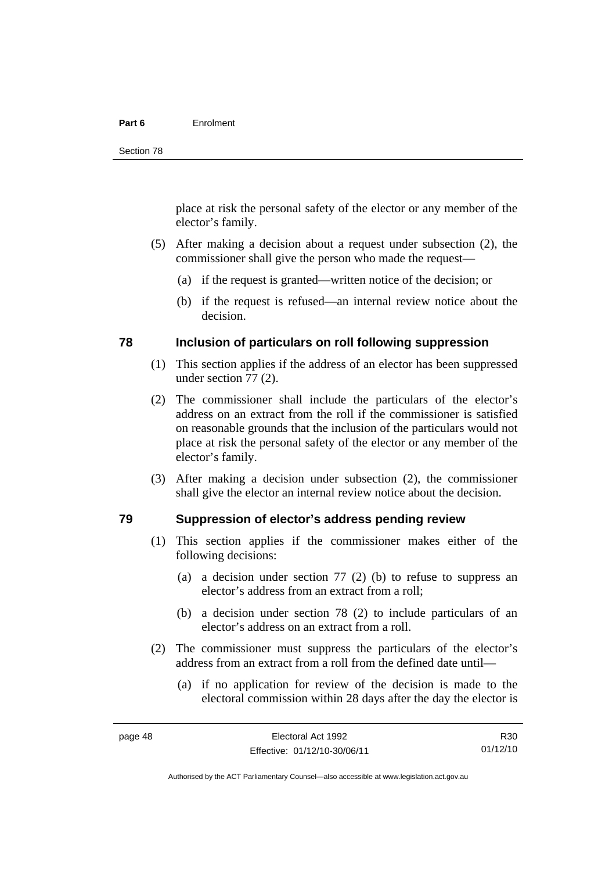#### **Part 6** Enrolment

place at risk the personal safety of the elector or any member of the elector's family.

- (5) After making a decision about a request under subsection (2), the commissioner shall give the person who made the request—
	- (a) if the request is granted—written notice of the decision; or
	- (b) if the request is refused—an internal review notice about the decision.

#### **78 Inclusion of particulars on roll following suppression**

- (1) This section applies if the address of an elector has been suppressed under section 77 (2).
- (2) The commissioner shall include the particulars of the elector's address on an extract from the roll if the commissioner is satisfied on reasonable grounds that the inclusion of the particulars would not place at risk the personal safety of the elector or any member of the elector's family.
- (3) After making a decision under subsection (2), the commissioner shall give the elector an internal review notice about the decision.

#### **79 Suppression of elector's address pending review**

- (1) This section applies if the commissioner makes either of the following decisions:
	- (a) a decision under section 77 (2) (b) to refuse to suppress an elector's address from an extract from a roll;
	- (b) a decision under section 78 (2) to include particulars of an elector's address on an extract from a roll.
- (2) The commissioner must suppress the particulars of the elector's address from an extract from a roll from the defined date until—
	- (a) if no application for review of the decision is made to the electoral commission within 28 days after the day the elector is

R30 01/12/10

Authorised by the ACT Parliamentary Counsel—also accessible at www.legislation.act.gov.au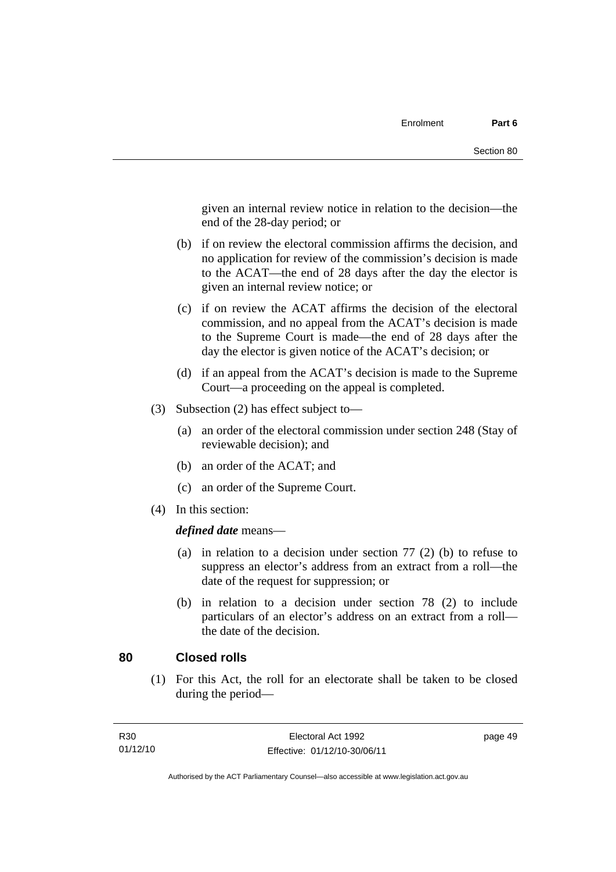given an internal review notice in relation to the decision—the end of the 28-day period; or

- (b) if on review the electoral commission affirms the decision, and no application for review of the commission's decision is made to the ACAT—the end of 28 days after the day the elector is given an internal review notice; or
- (c) if on review the ACAT affirms the decision of the electoral commission, and no appeal from the ACAT's decision is made to the Supreme Court is made—the end of 28 days after the day the elector is given notice of the ACAT's decision; or
- (d) if an appeal from the ACAT's decision is made to the Supreme Court—a proceeding on the appeal is completed.
- (3) Subsection (2) has effect subject to—
	- (a) an order of the electoral commission under section 248 (Stay of reviewable decision); and
	- (b) an order of the ACAT; and
	- (c) an order of the Supreme Court.
- (4) In this section:

*defined date* means—

- (a) in relation to a decision under section 77 (2) (b) to refuse to suppress an elector's address from an extract from a roll—the date of the request for suppression; or
- (b) in relation to a decision under section 78 (2) to include particulars of an elector's address on an extract from a roll the date of the decision.

#### **80 Closed rolls**

(1) For this Act, the roll for an electorate shall be taken to be closed during the period—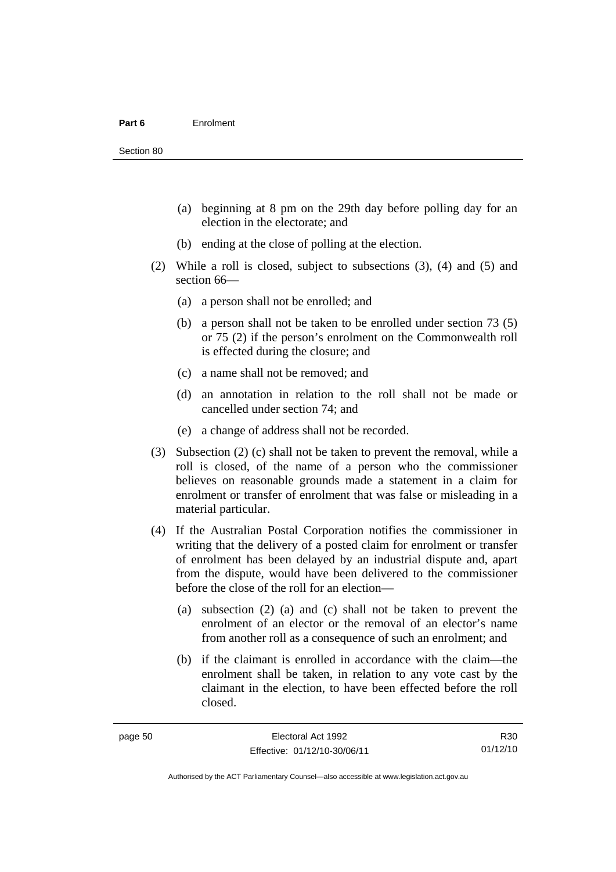- (a) beginning at 8 pm on the 29th day before polling day for an election in the electorate; and
- (b) ending at the close of polling at the election.
- (2) While a roll is closed, subject to subsections (3), (4) and (5) and section 66—
	- (a) a person shall not be enrolled; and
	- (b) a person shall not be taken to be enrolled under section 73 (5) or 75 (2) if the person's enrolment on the Commonwealth roll is effected during the closure; and
	- (c) a name shall not be removed; and
	- (d) an annotation in relation to the roll shall not be made or cancelled under section 74; and
	- (e) a change of address shall not be recorded.
- (3) Subsection (2) (c) shall not be taken to prevent the removal, while a roll is closed, of the name of a person who the commissioner believes on reasonable grounds made a statement in a claim for enrolment or transfer of enrolment that was false or misleading in a material particular.
- (4) If the Australian Postal Corporation notifies the commissioner in writing that the delivery of a posted claim for enrolment or transfer of enrolment has been delayed by an industrial dispute and, apart from the dispute, would have been delivered to the commissioner before the close of the roll for an election—
	- (a) subsection (2) (a) and (c) shall not be taken to prevent the enrolment of an elector or the removal of an elector's name from another roll as a consequence of such an enrolment; and
	- (b) if the claimant is enrolled in accordance with the claim—the enrolment shall be taken, in relation to any vote cast by the claimant in the election, to have been effected before the roll closed.

Authorised by the ACT Parliamentary Counsel—also accessible at www.legislation.act.gov.au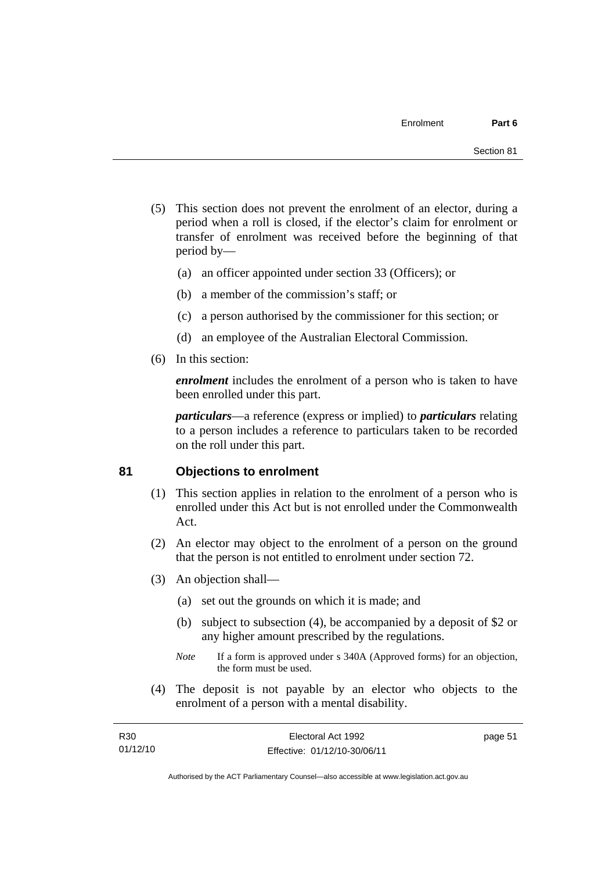- (5) This section does not prevent the enrolment of an elector, during a period when a roll is closed, if the elector's claim for enrolment or transfer of enrolment was received before the beginning of that period by—
	- (a) an officer appointed under section 33 (Officers); or
	- (b) a member of the commission's staff; or
	- (c) a person authorised by the commissioner for this section; or
	- (d) an employee of the Australian Electoral Commission.
- (6) In this section:

*enrolment* includes the enrolment of a person who is taken to have been enrolled under this part.

*particulars*—a reference (express or implied) to *particulars* relating to a person includes a reference to particulars taken to be recorded on the roll under this part.

#### **81 Objections to enrolment**

- (1) This section applies in relation to the enrolment of a person who is enrolled under this Act but is not enrolled under the Commonwealth Act.
- (2) An elector may object to the enrolment of a person on the ground that the person is not entitled to enrolment under section 72.
- (3) An objection shall—
	- (a) set out the grounds on which it is made; and
	- (b) subject to subsection (4), be accompanied by a deposit of \$2 or any higher amount prescribed by the regulations.
	- *Note* If a form is approved under s 340A (Approved forms) for an objection, the form must be used.
- (4) The deposit is not payable by an elector who objects to the enrolment of a person with a mental disability.

| R30      | Electoral Act 1992           | page 51 |
|----------|------------------------------|---------|
| 01/12/10 | Effective: 01/12/10-30/06/11 |         |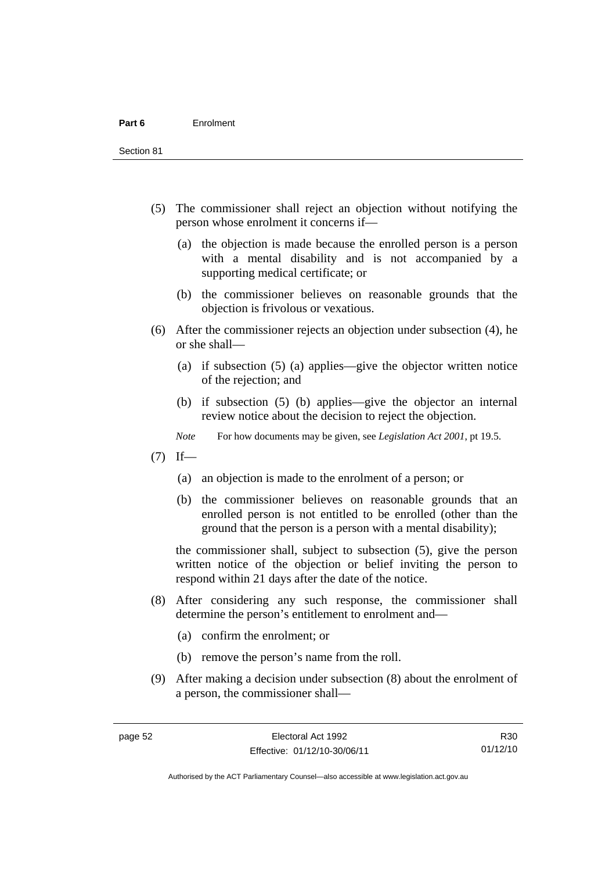Section 81

- (5) The commissioner shall reject an objection without notifying the person whose enrolment it concerns if—
	- (a) the objection is made because the enrolled person is a person with a mental disability and is not accompanied by a supporting medical certificate; or
	- (b) the commissioner believes on reasonable grounds that the objection is frivolous or vexatious.
- (6) After the commissioner rejects an objection under subsection (4), he or she shall—
	- (a) if subsection (5) (a) applies—give the objector written notice of the rejection; and
	- (b) if subsection (5) (b) applies—give the objector an internal review notice about the decision to reject the objection.
	- *Note* For how documents may be given, see *Legislation Act 2001*, pt 19.5.
- $(7)$  If—
	- (a) an objection is made to the enrolment of a person; or
	- (b) the commissioner believes on reasonable grounds that an enrolled person is not entitled to be enrolled (other than the ground that the person is a person with a mental disability);

the commissioner shall, subject to subsection (5), give the person written notice of the objection or belief inviting the person to respond within 21 days after the date of the notice.

- (8) After considering any such response, the commissioner shall determine the person's entitlement to enrolment and—
	- (a) confirm the enrolment; or
	- (b) remove the person's name from the roll.
- (9) After making a decision under subsection (8) about the enrolment of a person, the commissioner shall—

R30 01/12/10

Authorised by the ACT Parliamentary Counsel—also accessible at www.legislation.act.gov.au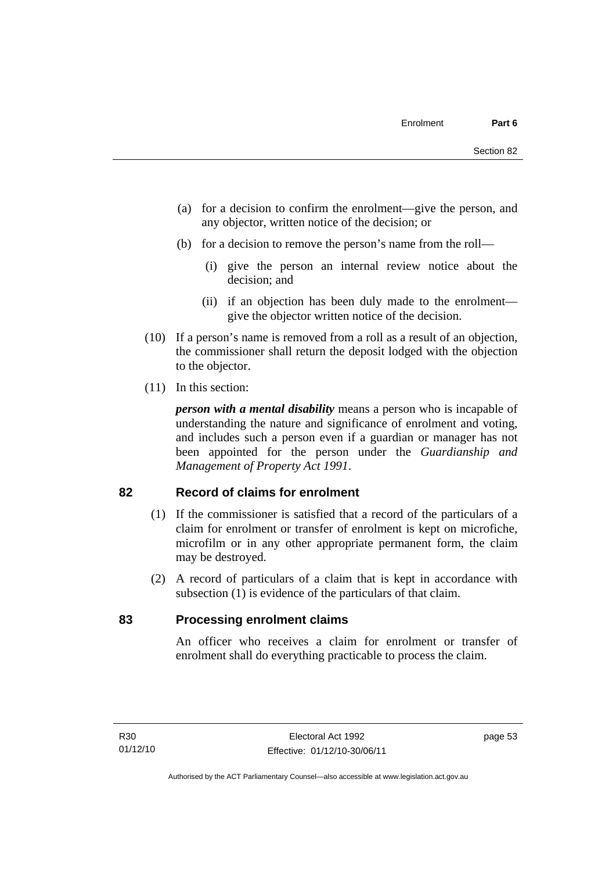- (a) for a decision to confirm the enrolment—give the person, and any objector, written notice of the decision; or
- (b) for a decision to remove the person's name from the roll—
	- (i) give the person an internal review notice about the decision; and
	- (ii) if an objection has been duly made to the enrolment give the objector written notice of the decision.
- (10) If a person's name is removed from a roll as a result of an objection, the commissioner shall return the deposit lodged with the objection to the objector.
- (11) In this section:

*person with a mental disability* means a person who is incapable of understanding the nature and significance of enrolment and voting, and includes such a person even if a guardian or manager has not been appointed for the person under the *Guardianship and Management of Property Act 1991*.

#### **82 Record of claims for enrolment**

- (1) If the commissioner is satisfied that a record of the particulars of a claim for enrolment or transfer of enrolment is kept on microfiche, microfilm or in any other appropriate permanent form, the claim may be destroyed.
- (2) A record of particulars of a claim that is kept in accordance with subsection (1) is evidence of the particulars of that claim.

#### **83 Processing enrolment claims**

An officer who receives a claim for enrolment or transfer of enrolment shall do everything practicable to process the claim.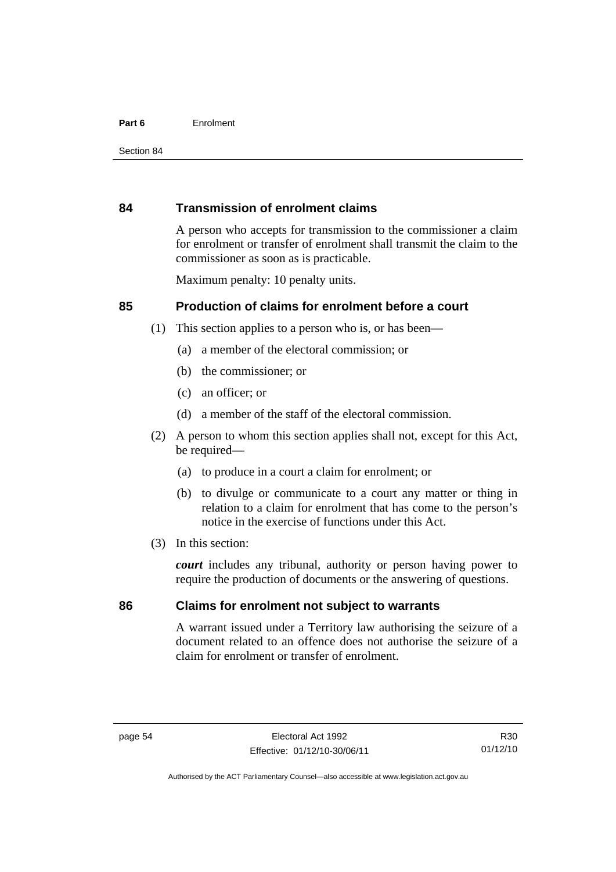#### **Part 6** Enrolment

#### **84 Transmission of enrolment claims**

A person who accepts for transmission to the commissioner a claim for enrolment or transfer of enrolment shall transmit the claim to the commissioner as soon as is practicable.

Maximum penalty: 10 penalty units.

#### **85 Production of claims for enrolment before a court**

- (1) This section applies to a person who is, or has been—
	- (a) a member of the electoral commission; or
	- (b) the commissioner; or
	- (c) an officer; or
	- (d) a member of the staff of the electoral commission.
- (2) A person to whom this section applies shall not, except for this Act, be required-
	- (a) to produce in a court a claim for enrolment; or
	- (b) to divulge or communicate to a court any matter or thing in relation to a claim for enrolment that has come to the person's notice in the exercise of functions under this Act.
- (3) In this section:

*court* includes any tribunal, authority or person having power to require the production of documents or the answering of questions.

#### **86 Claims for enrolment not subject to warrants**

A warrant issued under a Territory law authorising the seizure of a document related to an offence does not authorise the seizure of a claim for enrolment or transfer of enrolment.

R30 01/12/10

Authorised by the ACT Parliamentary Counsel—also accessible at www.legislation.act.gov.au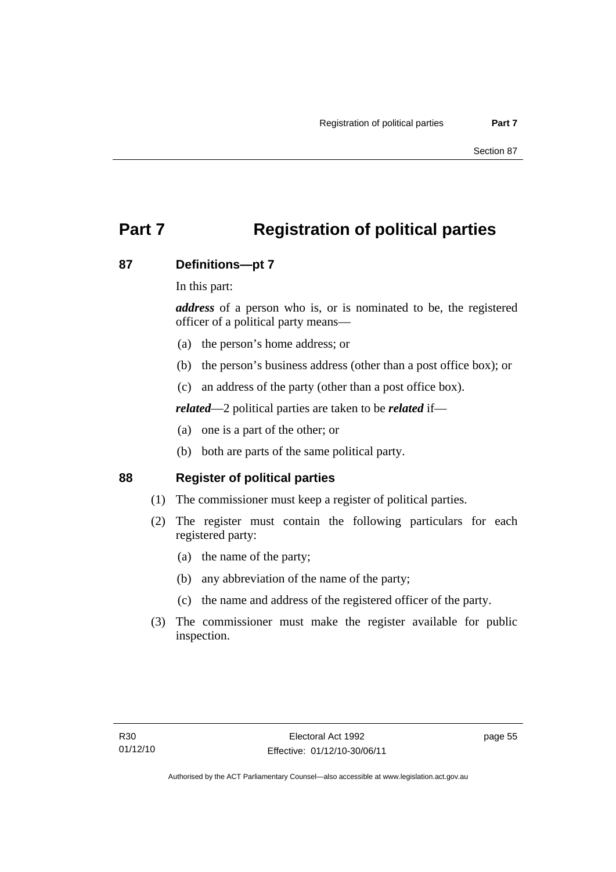# **Part 7 Registration of political parties**

### **87 Definitions—pt 7**

In this part:

*address* of a person who is, or is nominated to be, the registered officer of a political party means—

- (a) the person's home address; or
- (b) the person's business address (other than a post office box); or
- (c) an address of the party (other than a post office box).

*related*—2 political parties are taken to be *related* if—

- (a) one is a part of the other; or
- (b) both are parts of the same political party.

### **88 Register of political parties**

- (1) The commissioner must keep a register of political parties.
- (2) The register must contain the following particulars for each registered party:
	- (a) the name of the party;
	- (b) any abbreviation of the name of the party;
	- (c) the name and address of the registered officer of the party.
- (3) The commissioner must make the register available for public inspection.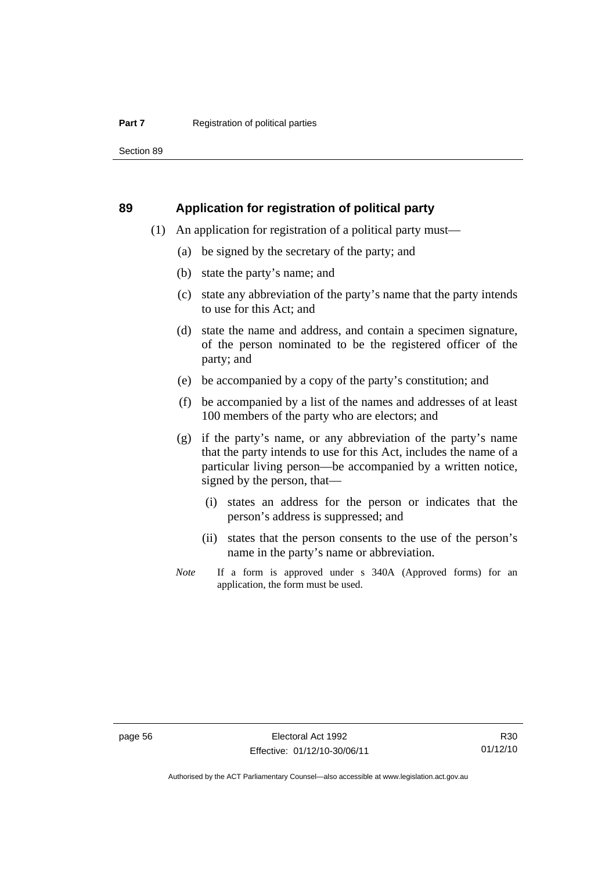Section 89

#### **89 Application for registration of political party**

- (1) An application for registration of a political party must—
	- (a) be signed by the secretary of the party; and
	- (b) state the party's name; and
	- (c) state any abbreviation of the party's name that the party intends to use for this Act; and
	- (d) state the name and address, and contain a specimen signature, of the person nominated to be the registered officer of the party; and
	- (e) be accompanied by a copy of the party's constitution; and
	- (f) be accompanied by a list of the names and addresses of at least 100 members of the party who are electors; and
	- (g) if the party's name, or any abbreviation of the party's name that the party intends to use for this Act, includes the name of a particular living person—be accompanied by a written notice, signed by the person, that—
		- (i) states an address for the person or indicates that the person's address is suppressed; and
		- (ii) states that the person consents to the use of the person's name in the party's name or abbreviation.
	- *Note* If a form is approved under s 340A (Approved forms) for an application, the form must be used.

R30 01/12/10

Authorised by the ACT Parliamentary Counsel—also accessible at www.legislation.act.gov.au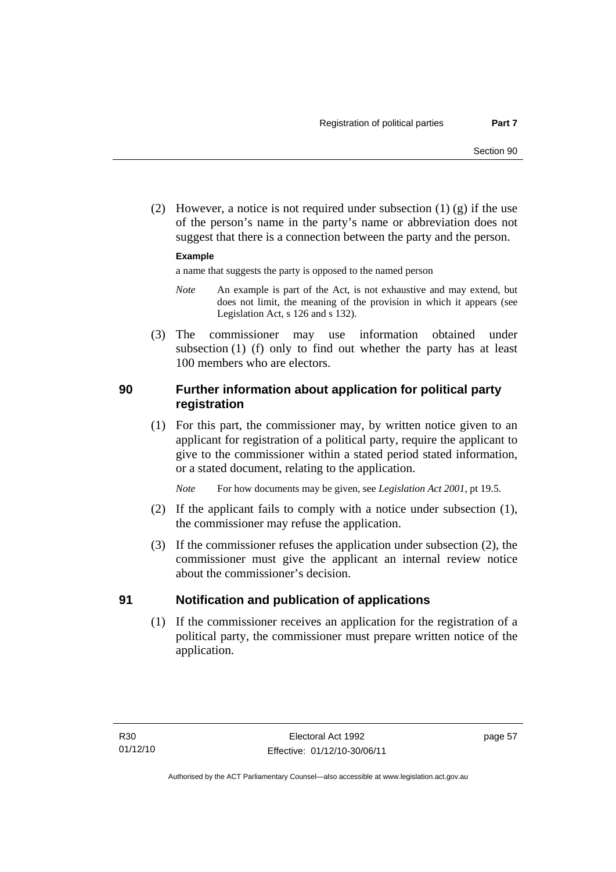(2) However, a notice is not required under subsection  $(1)$   $(g)$  if the use of the person's name in the party's name or abbreviation does not suggest that there is a connection between the party and the person.

#### **Example**

a name that suggests the party is opposed to the named person

- *Note* An example is part of the Act, is not exhaustive and may extend, but does not limit, the meaning of the provision in which it appears (see Legislation Act, s 126 and s 132).
- (3) The commissioner may use information obtained under subsection (1) (f) only to find out whether the party has at least 100 members who are electors.

## **90 Further information about application for political party registration**

 (1) For this part, the commissioner may, by written notice given to an applicant for registration of a political party, require the applicant to give to the commissioner within a stated period stated information, or a stated document, relating to the application.

*Note* For how documents may be given, see *Legislation Act 2001*, pt 19.5.

- (2) If the applicant fails to comply with a notice under subsection (1), the commissioner may refuse the application.
- (3) If the commissioner refuses the application under subsection (2), the commissioner must give the applicant an internal review notice about the commissioner's decision.

#### **91 Notification and publication of applications**

(1) If the commissioner receives an application for the registration of a political party, the commissioner must prepare written notice of the application.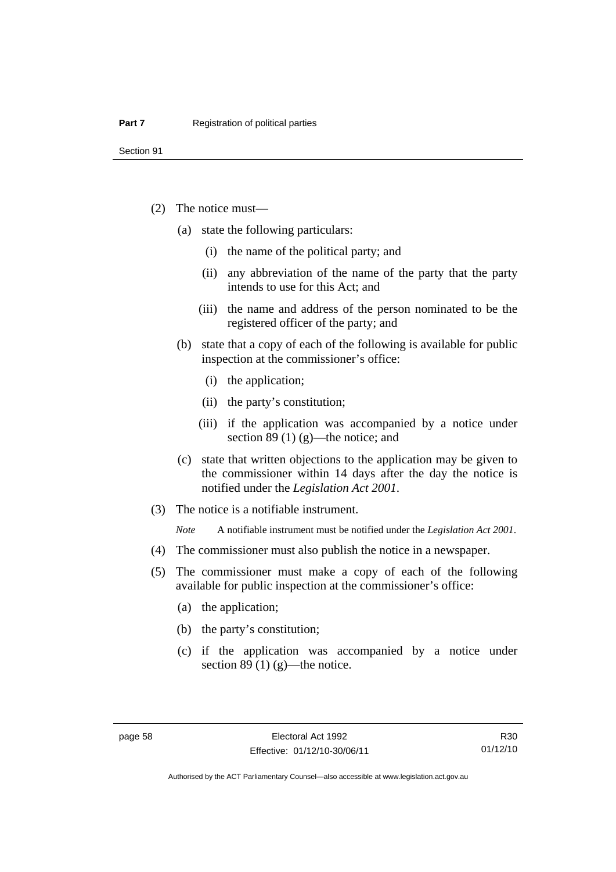Section 91

- (2) The notice must—
	- (a) state the following particulars:
		- (i) the name of the political party; and
		- (ii) any abbreviation of the name of the party that the party intends to use for this Act; and
		- (iii) the name and address of the person nominated to be the registered officer of the party; and
	- (b) state that a copy of each of the following is available for public inspection at the commissioner's office:
		- (i) the application;
		- (ii) the party's constitution;
		- (iii) if the application was accompanied by a notice under section 89 (1) (g)—the notice; and
	- (c) state that written objections to the application may be given to the commissioner within 14 days after the day the notice is notified under the *Legislation Act 2001*.
- (3) The notice is a notifiable instrument.

*Note* A notifiable instrument must be notified under the *Legislation Act 2001*.

- (4) The commissioner must also publish the notice in a newspaper.
- (5) The commissioner must make a copy of each of the following available for public inspection at the commissioner's office:
	- (a) the application;
	- (b) the party's constitution;
	- (c) if the application was accompanied by a notice under section 89 $(1)$  $(g)$ —the notice.

R30 01/12/10

Authorised by the ACT Parliamentary Counsel—also accessible at www.legislation.act.gov.au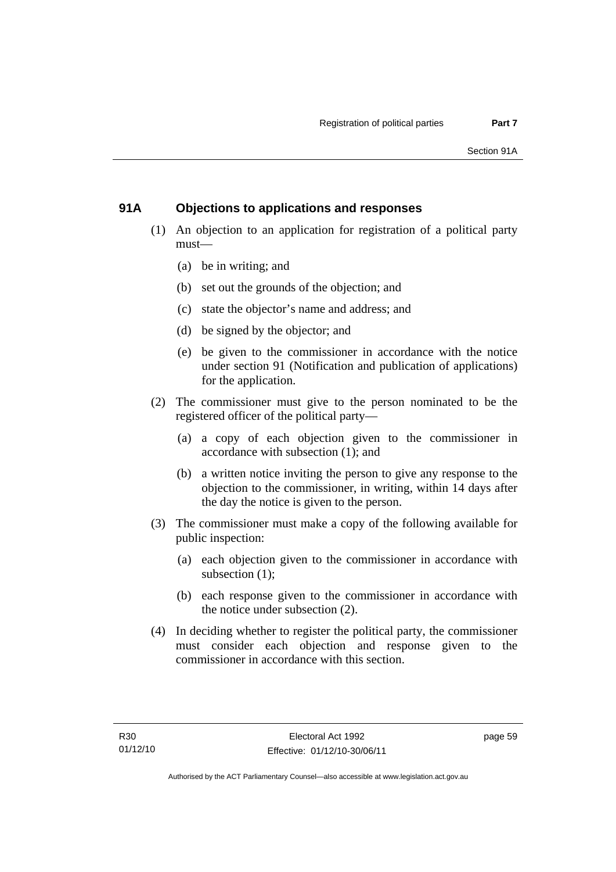# **91A Objections to applications and responses**

- (1) An objection to an application for registration of a political party must—
	- (a) be in writing; and
	- (b) set out the grounds of the objection; and
	- (c) state the objector's name and address; and
	- (d) be signed by the objector; and
	- (e) be given to the commissioner in accordance with the notice under section 91 (Notification and publication of applications) for the application.
- (2) The commissioner must give to the person nominated to be the registered officer of the political party—
	- (a) a copy of each objection given to the commissioner in accordance with subsection (1); and
	- (b) a written notice inviting the person to give any response to the objection to the commissioner, in writing, within 14 days after the day the notice is given to the person.
- (3) The commissioner must make a copy of the following available for public inspection:
	- (a) each objection given to the commissioner in accordance with subsection (1);
	- (b) each response given to the commissioner in accordance with the notice under subsection (2).
- (4) In deciding whether to register the political party, the commissioner must consider each objection and response given to the commissioner in accordance with this section.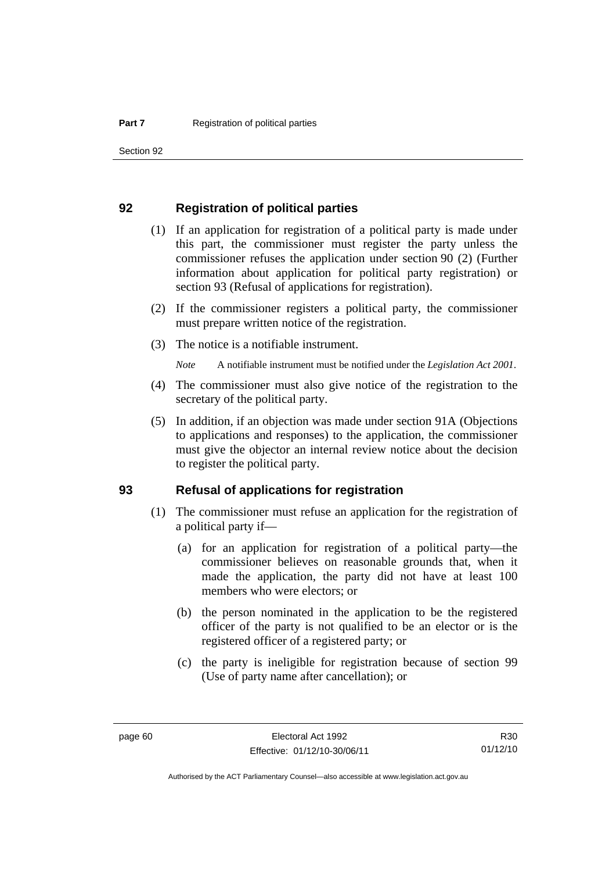Section 92

#### **92 Registration of political parties**

- (1) If an application for registration of a political party is made under this part, the commissioner must register the party unless the commissioner refuses the application under section 90 (2) (Further information about application for political party registration) or section 93 (Refusal of applications for registration).
- (2) If the commissioner registers a political party, the commissioner must prepare written notice of the registration.
- (3) The notice is a notifiable instrument.

*Note* A notifiable instrument must be notified under the *Legislation Act 2001*.

- (4) The commissioner must also give notice of the registration to the secretary of the political party.
- (5) In addition, if an objection was made under section 91A (Objections to applications and responses) to the application, the commissioner must give the objector an internal review notice about the decision to register the political party.

#### **93 Refusal of applications for registration**

- (1) The commissioner must refuse an application for the registration of a political party if—
	- (a) for an application for registration of a political party—the commissioner believes on reasonable grounds that, when it made the application, the party did not have at least 100 members who were electors; or
	- (b) the person nominated in the application to be the registered officer of the party is not qualified to be an elector or is the registered officer of a registered party; or
	- (c) the party is ineligible for registration because of section 99 (Use of party name after cancellation); or

R30 01/12/10

Authorised by the ACT Parliamentary Counsel—also accessible at www.legislation.act.gov.au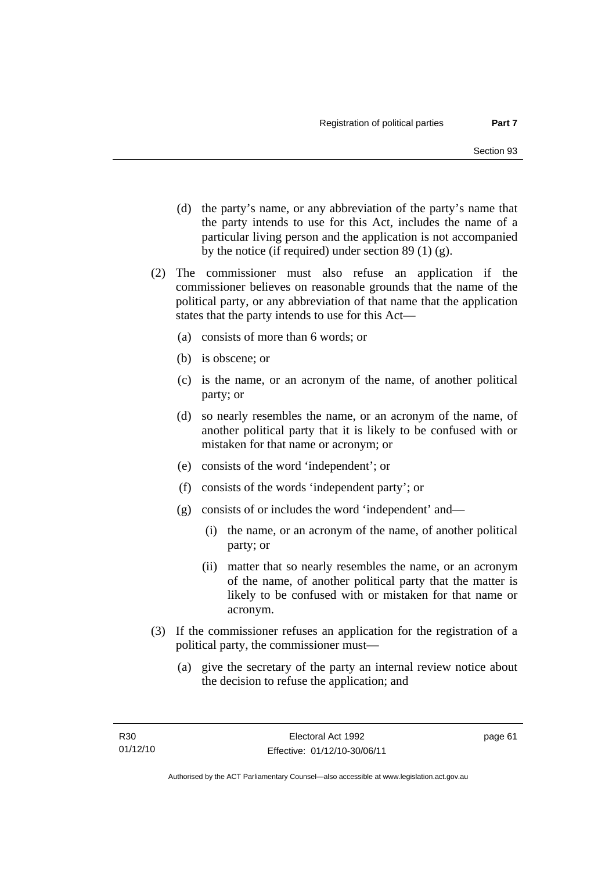- (d) the party's name, or any abbreviation of the party's name that the party intends to use for this Act, includes the name of a particular living person and the application is not accompanied by the notice (if required) under section 89 (1) (g).
- (2) The commissioner must also refuse an application if the commissioner believes on reasonable grounds that the name of the political party, or any abbreviation of that name that the application states that the party intends to use for this Act—
	- (a) consists of more than 6 words; or
	- (b) is obscene; or
	- (c) is the name, or an acronym of the name, of another political party; or
	- (d) so nearly resembles the name, or an acronym of the name, of another political party that it is likely to be confused with or mistaken for that name or acronym; or
	- (e) consists of the word 'independent'; or
	- (f) consists of the words 'independent party'; or
	- (g) consists of or includes the word 'independent' and—
		- (i) the name, or an acronym of the name, of another political party; or
		- (ii) matter that so nearly resembles the name, or an acronym of the name, of another political party that the matter is likely to be confused with or mistaken for that name or acronym.
- (3) If the commissioner refuses an application for the registration of a political party, the commissioner must—
	- (a) give the secretary of the party an internal review notice about the decision to refuse the application; and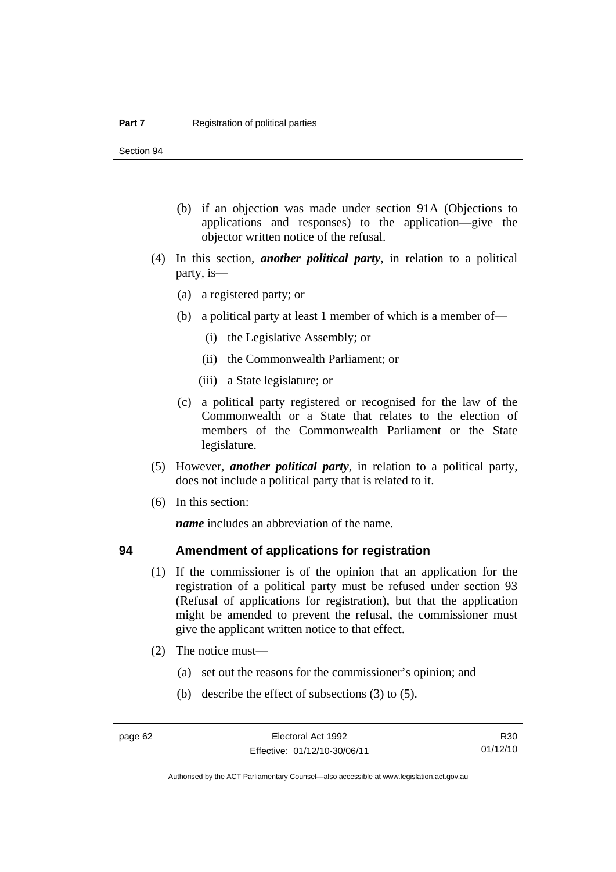Section 94

- (b) if an objection was made under section 91A (Objections to applications and responses) to the application—give the objector written notice of the refusal.
- (4) In this section, *another political party*, in relation to a political party, is—
	- (a) a registered party; or
	- (b) a political party at least 1 member of which is a member of—
		- (i) the Legislative Assembly; or
		- (ii) the Commonwealth Parliament; or
		- (iii) a State legislature; or
	- (c) a political party registered or recognised for the law of the Commonwealth or a State that relates to the election of members of the Commonwealth Parliament or the State legislature.
- (5) However, *another political party*, in relation to a political party, does not include a political party that is related to it.
- (6) In this section:

*name* includes an abbreviation of the name.

#### **94 Amendment of applications for registration**

- (1) If the commissioner is of the opinion that an application for the registration of a political party must be refused under section 93 (Refusal of applications for registration), but that the application might be amended to prevent the refusal, the commissioner must give the applicant written notice to that effect.
- (2) The notice must—
	- (a) set out the reasons for the commissioner's opinion; and
	- (b) describe the effect of subsections (3) to (5).

R30 01/12/10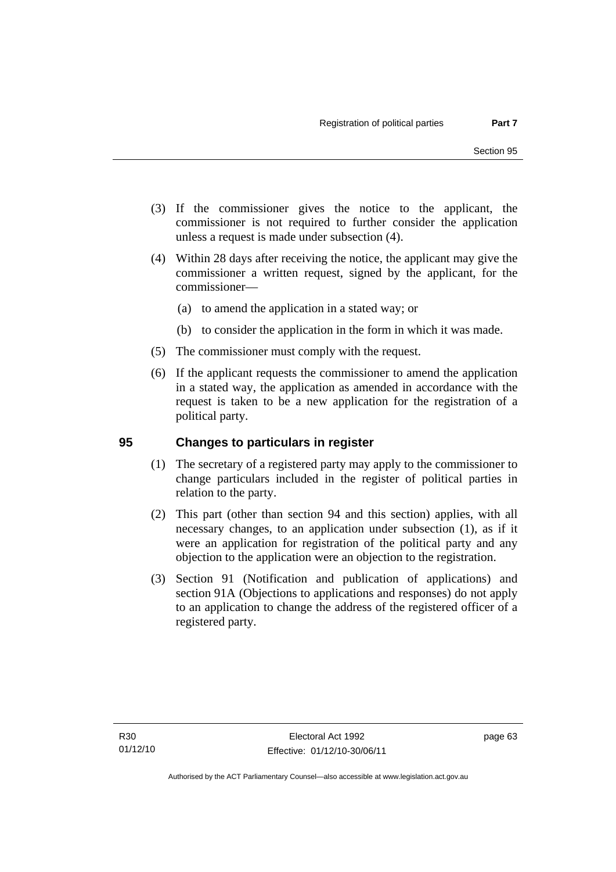- (3) If the commissioner gives the notice to the applicant, the commissioner is not required to further consider the application unless a request is made under subsection (4).
- (4) Within 28 days after receiving the notice, the applicant may give the commissioner a written request, signed by the applicant, for the commissioner—
	- (a) to amend the application in a stated way; or
	- (b) to consider the application in the form in which it was made.
- (5) The commissioner must comply with the request.
- (6) If the applicant requests the commissioner to amend the application in a stated way, the application as amended in accordance with the request is taken to be a new application for the registration of a political party.

# **95 Changes to particulars in register**

- (1) The secretary of a registered party may apply to the commissioner to change particulars included in the register of political parties in relation to the party.
- (2) This part (other than section 94 and this section) applies, with all necessary changes, to an application under subsection (1), as if it were an application for registration of the political party and any objection to the application were an objection to the registration.
- (3) Section 91 (Notification and publication of applications) and section 91A (Objections to applications and responses) do not apply to an application to change the address of the registered officer of a registered party.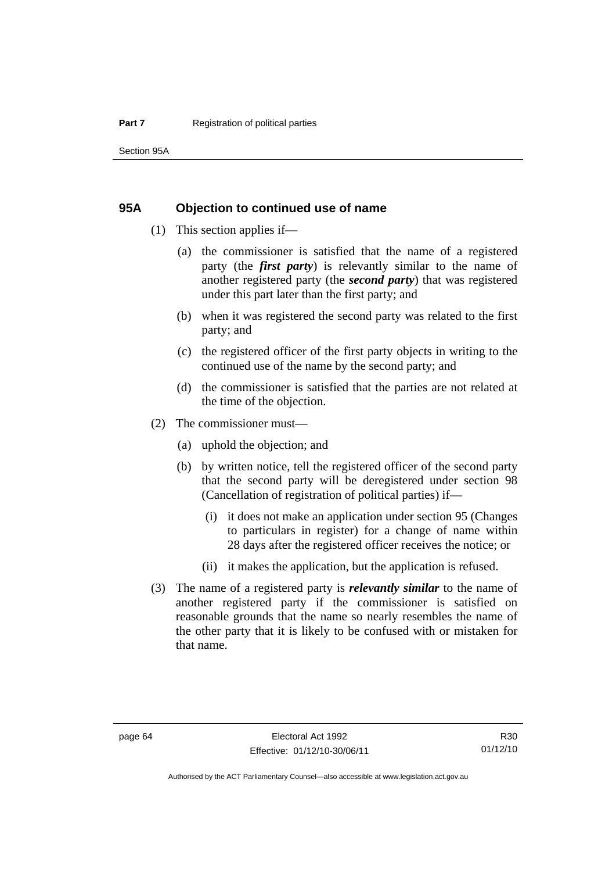#### **95A Objection to continued use of name**

- (1) This section applies if—
	- (a) the commissioner is satisfied that the name of a registered party (the *first party*) is relevantly similar to the name of another registered party (the *second party*) that was registered under this part later than the first party; and
	- (b) when it was registered the second party was related to the first party; and
	- (c) the registered officer of the first party objects in writing to the continued use of the name by the second party; and
	- (d) the commissioner is satisfied that the parties are not related at the time of the objection.
- (2) The commissioner must—
	- (a) uphold the objection; and
	- (b) by written notice, tell the registered officer of the second party that the second party will be deregistered under section 98 (Cancellation of registration of political parties) if—
		- (i) it does not make an application under section 95 (Changes to particulars in register) for a change of name within 28 days after the registered officer receives the notice; or
		- (ii) it makes the application, but the application is refused.
- (3) The name of a registered party is *relevantly similar* to the name of another registered party if the commissioner is satisfied on reasonable grounds that the name so nearly resembles the name of the other party that it is likely to be confused with or mistaken for that name.

R30 01/12/10

Authorised by the ACT Parliamentary Counsel—also accessible at www.legislation.act.gov.au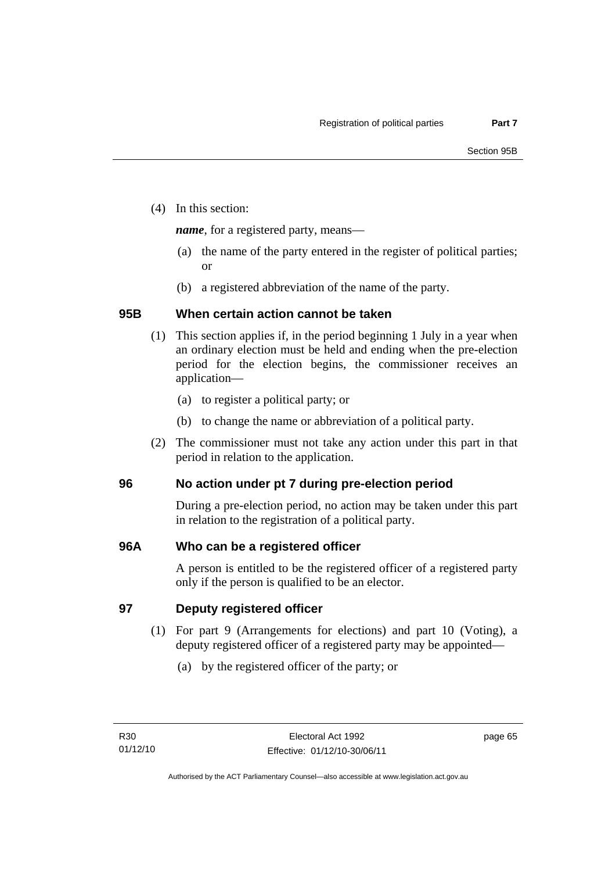(4) In this section:

*name*, for a registered party, means—

- (a) the name of the party entered in the register of political parties; or
- (b) a registered abbreviation of the name of the party.

# **95B When certain action cannot be taken**

- (1) This section applies if, in the period beginning 1 July in a year when an ordinary election must be held and ending when the pre-election period for the election begins, the commissioner receives an application—
	- (a) to register a political party; or
	- (b) to change the name or abbreviation of a political party.
- (2) The commissioner must not take any action under this part in that period in relation to the application.

# **96 No action under pt 7 during pre-election period**

During a pre-election period, no action may be taken under this part in relation to the registration of a political party.

# **96A Who can be a registered officer**

A person is entitled to be the registered officer of a registered party only if the person is qualified to be an elector.

**97 Deputy registered officer** 

- (1) For part 9 (Arrangements for elections) and part 10 (Voting), a deputy registered officer of a registered party may be appointed—
	- (a) by the registered officer of the party; or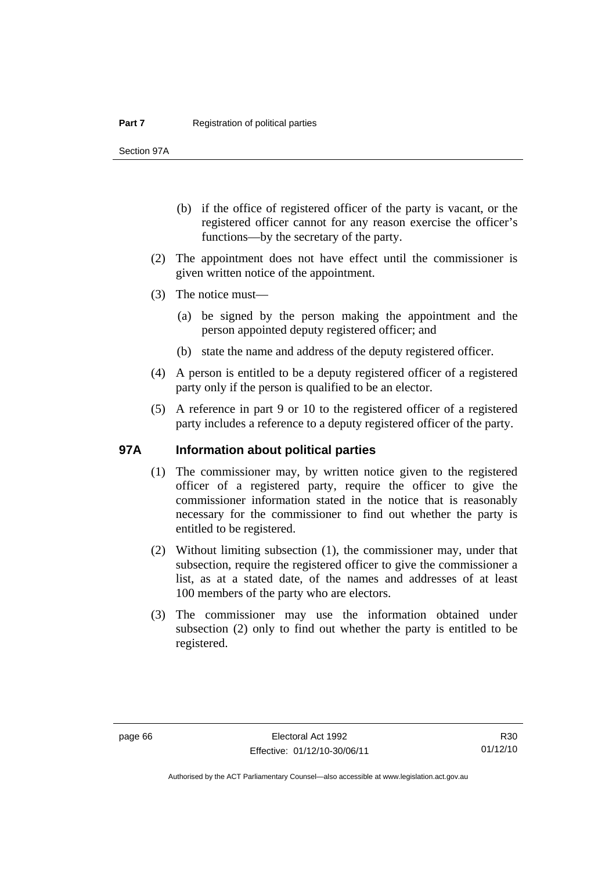Section 97A

- (b) if the office of registered officer of the party is vacant, or the registered officer cannot for any reason exercise the officer's functions—by the secretary of the party.
- (2) The appointment does not have effect until the commissioner is given written notice of the appointment.
- (3) The notice must—
	- (a) be signed by the person making the appointment and the person appointed deputy registered officer; and
	- (b) state the name and address of the deputy registered officer.
- (4) A person is entitled to be a deputy registered officer of a registered party only if the person is qualified to be an elector.
- (5) A reference in part 9 or 10 to the registered officer of a registered party includes a reference to a deputy registered officer of the party.

#### **97A Information about political parties**

- (1) The commissioner may, by written notice given to the registered officer of a registered party, require the officer to give the commissioner information stated in the notice that is reasonably necessary for the commissioner to find out whether the party is entitled to be registered.
- (2) Without limiting subsection (1), the commissioner may, under that subsection, require the registered officer to give the commissioner a list, as at a stated date, of the names and addresses of at least 100 members of the party who are electors.
- (3) The commissioner may use the information obtained under subsection (2) only to find out whether the party is entitled to be registered.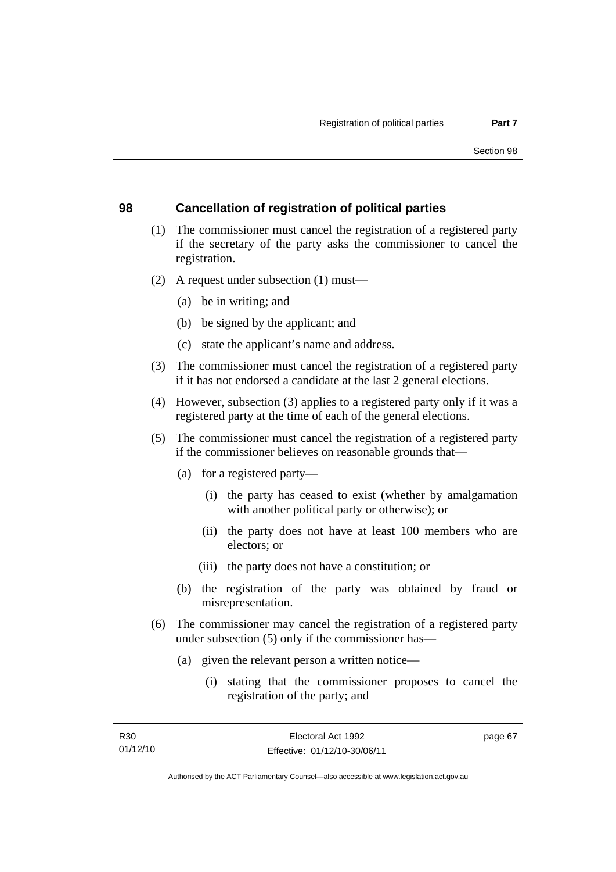### **98 Cancellation of registration of political parties**

- (1) The commissioner must cancel the registration of a registered party if the secretary of the party asks the commissioner to cancel the registration.
- (2) A request under subsection (1) must—
	- (a) be in writing; and
	- (b) be signed by the applicant; and
	- (c) state the applicant's name and address.
- (3) The commissioner must cancel the registration of a registered party if it has not endorsed a candidate at the last 2 general elections.
- (4) However, subsection (3) applies to a registered party only if it was a registered party at the time of each of the general elections.
- (5) The commissioner must cancel the registration of a registered party if the commissioner believes on reasonable grounds that—
	- (a) for a registered party—
		- (i) the party has ceased to exist (whether by amalgamation with another political party or otherwise); or
		- (ii) the party does not have at least 100 members who are electors; or
		- (iii) the party does not have a constitution; or
	- (b) the registration of the party was obtained by fraud or misrepresentation.
- (6) The commissioner may cancel the registration of a registered party under subsection (5) only if the commissioner has—
	- (a) given the relevant person a written notice—
		- (i) stating that the commissioner proposes to cancel the registration of the party; and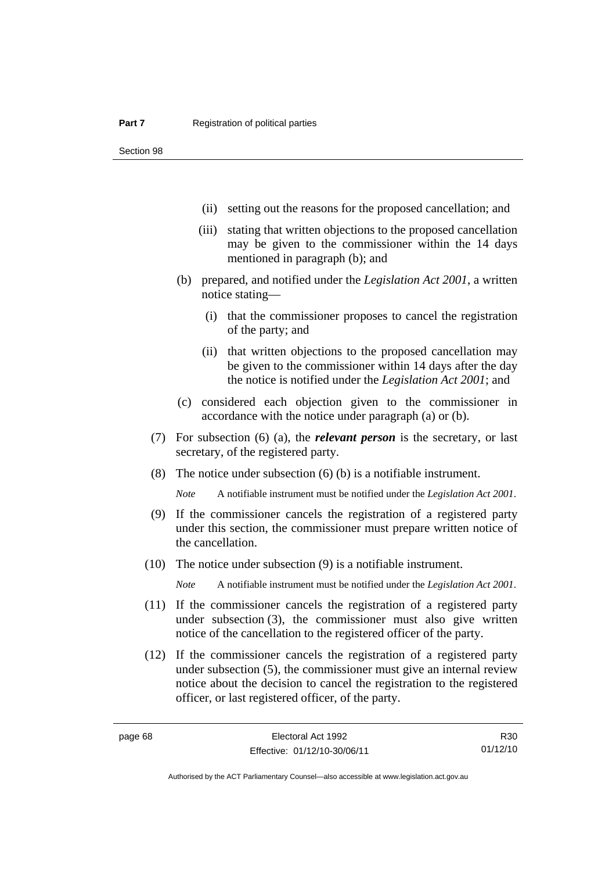- (ii) setting out the reasons for the proposed cancellation; and
- (iii) stating that written objections to the proposed cancellation may be given to the commissioner within the 14 days mentioned in paragraph (b); and
- (b) prepared, and notified under the *Legislation Act 2001*, a written notice stating—
	- (i) that the commissioner proposes to cancel the registration of the party; and
	- (ii) that written objections to the proposed cancellation may be given to the commissioner within 14 days after the day the notice is notified under the *Legislation Act 2001*; and
- (c) considered each objection given to the commissioner in accordance with the notice under paragraph (a) or (b).
- (7) For subsection (6) (a), the *relevant person* is the secretary, or last secretary, of the registered party.
- (8) The notice under subsection (6) (b) is a notifiable instrument.

*Note* A notifiable instrument must be notified under the *Legislation Act 2001*.

- (9) If the commissioner cancels the registration of a registered party under this section, the commissioner must prepare written notice of the cancellation.
- (10) The notice under subsection (9) is a notifiable instrument.

*Note* A notifiable instrument must be notified under the *Legislation Act 2001*.

- (11) If the commissioner cancels the registration of a registered party under subsection (3), the commissioner must also give written notice of the cancellation to the registered officer of the party.
- (12) If the commissioner cancels the registration of a registered party under subsection (5), the commissioner must give an internal review notice about the decision to cancel the registration to the registered officer, or last registered officer, of the party.

R30 01/12/10

Authorised by the ACT Parliamentary Counsel—also accessible at www.legislation.act.gov.au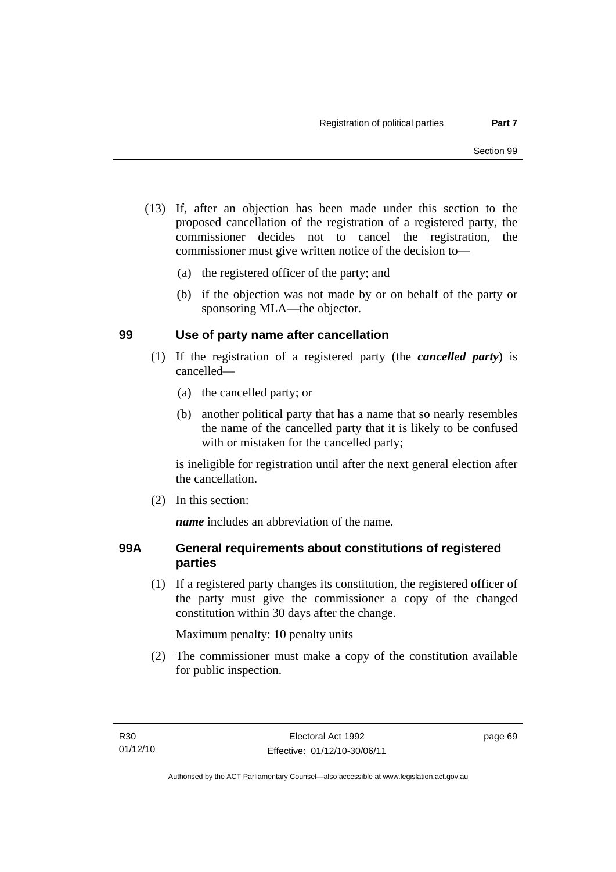- (13) If, after an objection has been made under this section to the proposed cancellation of the registration of a registered party, the commissioner decides not to cancel the registration, the commissioner must give written notice of the decision to—
	- (a) the registered officer of the party; and
	- (b) if the objection was not made by or on behalf of the party or sponsoring MLA—the objector.

### **99 Use of party name after cancellation**

- (1) If the registration of a registered party (the *cancelled party*) is cancelled—
	- (a) the cancelled party; or
	- (b) another political party that has a name that so nearly resembles the name of the cancelled party that it is likely to be confused with or mistaken for the cancelled party;

is ineligible for registration until after the next general election after the cancellation.

(2) In this section:

*name* includes an abbreviation of the name.

### **99A General requirements about constitutions of registered parties**

(1) If a registered party changes its constitution, the registered officer of the party must give the commissioner a copy of the changed constitution within 30 days after the change.

Maximum penalty: 10 penalty units

 (2) The commissioner must make a copy of the constitution available for public inspection.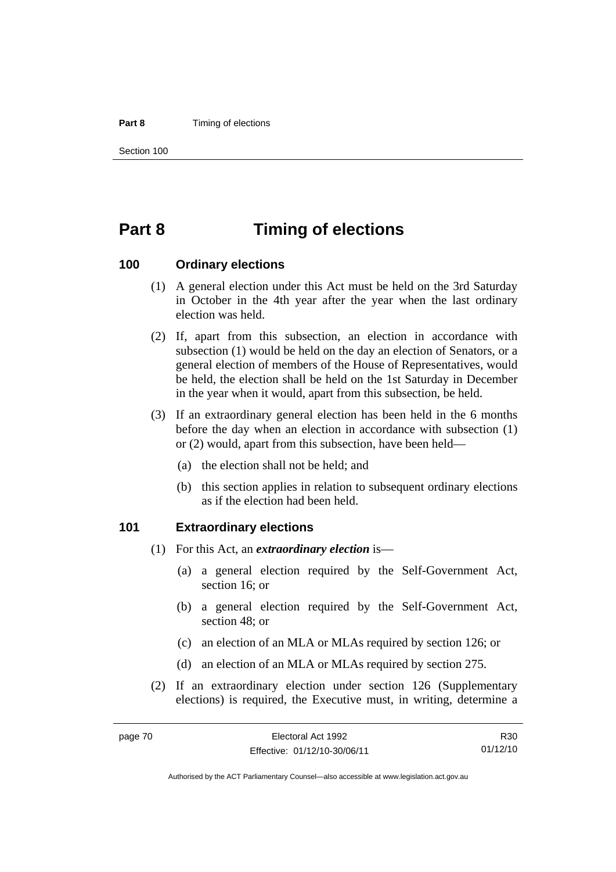#### **Part 8 Timing of elections**

Section 100

# **Part 8 Timing of elections**

#### **100 Ordinary elections**

- (1) A general election under this Act must be held on the 3rd Saturday in October in the 4th year after the year when the last ordinary election was held.
- (2) If, apart from this subsection, an election in accordance with subsection (1) would be held on the day an election of Senators, or a general election of members of the House of Representatives, would be held, the election shall be held on the 1st Saturday in December in the year when it would, apart from this subsection, be held.
- (3) If an extraordinary general election has been held in the 6 months before the day when an election in accordance with subsection (1) or (2) would, apart from this subsection, have been held—
	- (a) the election shall not be held; and
	- (b) this section applies in relation to subsequent ordinary elections as if the election had been held.

#### **101 Extraordinary elections**

- (1) For this Act, an *extraordinary election* is—
	- (a) a general election required by the Self-Government Act, section 16; or
	- (b) a general election required by the Self-Government Act, section 48; or
	- (c) an election of an MLA or MLAs required by section 126; or
	- (d) an election of an MLA or MLAs required by section 275.
- (2) If an extraordinary election under section 126 (Supplementary elections) is required, the Executive must, in writing, determine a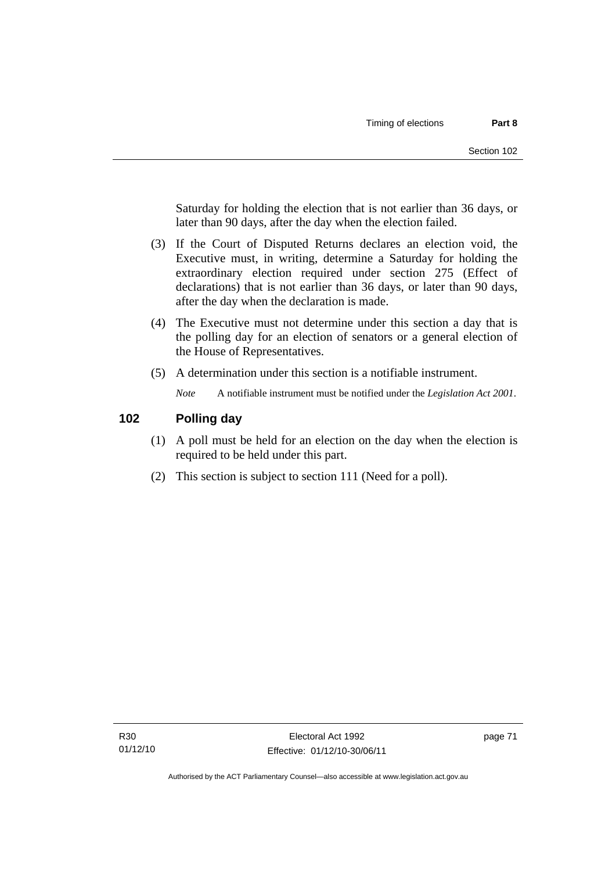Saturday for holding the election that is not earlier than 36 days, or later than 90 days, after the day when the election failed.

- (3) If the Court of Disputed Returns declares an election void, the Executive must, in writing, determine a Saturday for holding the extraordinary election required under section 275 (Effect of declarations) that is not earlier than 36 days, or later than 90 days, after the day when the declaration is made.
- (4) The Executive must not determine under this section a day that is the polling day for an election of senators or a general election of the House of Representatives.
- (5) A determination under this section is a notifiable instrument.

*Note* A notifiable instrument must be notified under the *Legislation Act 2001*.

### **102 Polling day**

- (1) A poll must be held for an election on the day when the election is required to be held under this part.
- (2) This section is subject to section 111 (Need for a poll).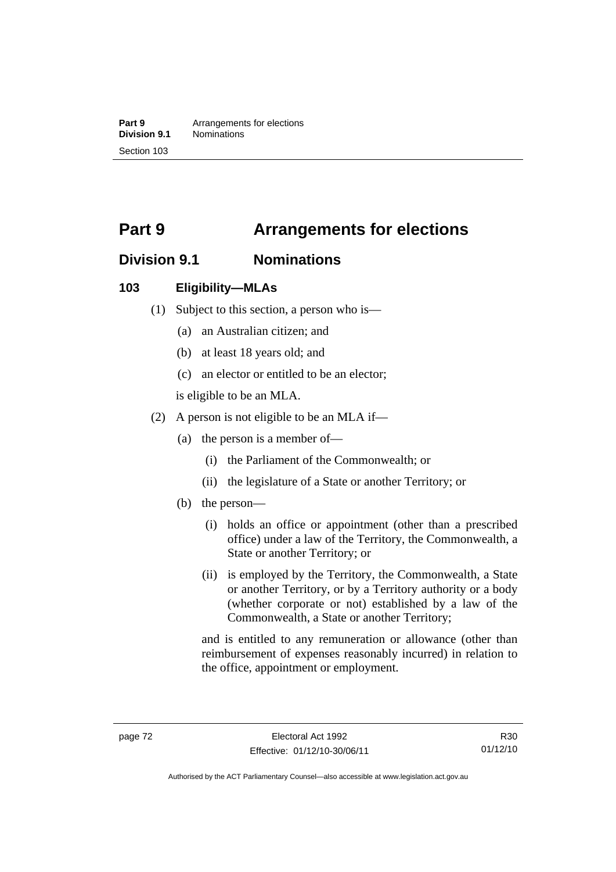**Part 9 Arrangements for elections**<br>**Division 9.1 Nominations Division 9.1** Nominations Section 103

# **Part 9 Arrangements for elections**

# **Division 9.1 Nominations**

#### **103 Eligibility—MLAs**

- (1) Subject to this section, a person who is—
	- (a) an Australian citizen; and
	- (b) at least 18 years old; and
	- (c) an elector or entitled to be an elector;

is eligible to be an MLA.

- (2) A person is not eligible to be an MLA if—
	- (a) the person is a member of—
		- (i) the Parliament of the Commonwealth; or
		- (ii) the legislature of a State or another Territory; or
	- (b) the person—
		- (i) holds an office or appointment (other than a prescribed office) under a law of the Territory, the Commonwealth, a State or another Territory; or
		- (ii) is employed by the Territory, the Commonwealth, a State or another Territory, or by a Territory authority or a body (whether corporate or not) established by a law of the Commonwealth, a State or another Territory;

and is entitled to any remuneration or allowance (other than reimbursement of expenses reasonably incurred) in relation to the office, appointment or employment.

R30 01/12/10

Authorised by the ACT Parliamentary Counsel—also accessible at www.legislation.act.gov.au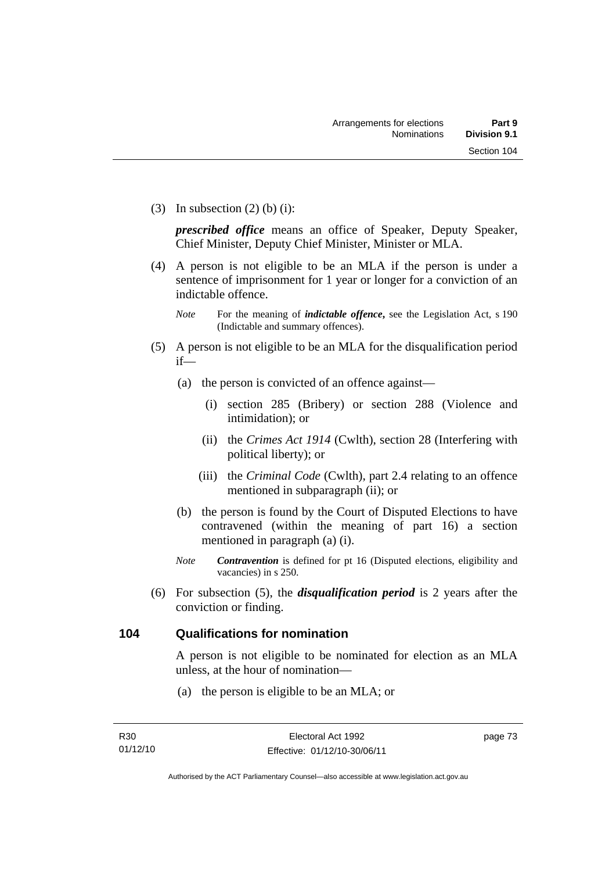(3) In subsection  $(2)$  (b) (i):

*prescribed office* means an office of Speaker, Deputy Speaker, Chief Minister, Deputy Chief Minister, Minister or MLA.

 (4) A person is not eligible to be an MLA if the person is under a sentence of imprisonment for 1 year or longer for a conviction of an indictable offence.

- (5) A person is not eligible to be an MLA for the disqualification period if—
	- (a) the person is convicted of an offence against—
		- (i) section 285 (Bribery) or section 288 (Violence and intimidation); or
		- (ii) the *Crimes Act 1914* (Cwlth), section 28 (Interfering with political liberty); or
		- (iii) the *Criminal Code* (Cwlth), part 2.4 relating to an offence mentioned in subparagraph (ii); or
	- (b) the person is found by the Court of Disputed Elections to have contravened (within the meaning of part 16) a section mentioned in paragraph (a) (i).
	- *Note Contravention* is defined for pt 16 (Disputed elections, eligibility and vacancies) in s 250.
- (6) For subsection (5), the *disqualification period* is 2 years after the conviction or finding.

# **104 Qualifications for nomination**

A person is not eligible to be nominated for election as an MLA unless, at the hour of nomination—

(a) the person is eligible to be an MLA; or

*Note* For the meaning of *indictable offence*, see the Legislation Act, s 190 (Indictable and summary offences).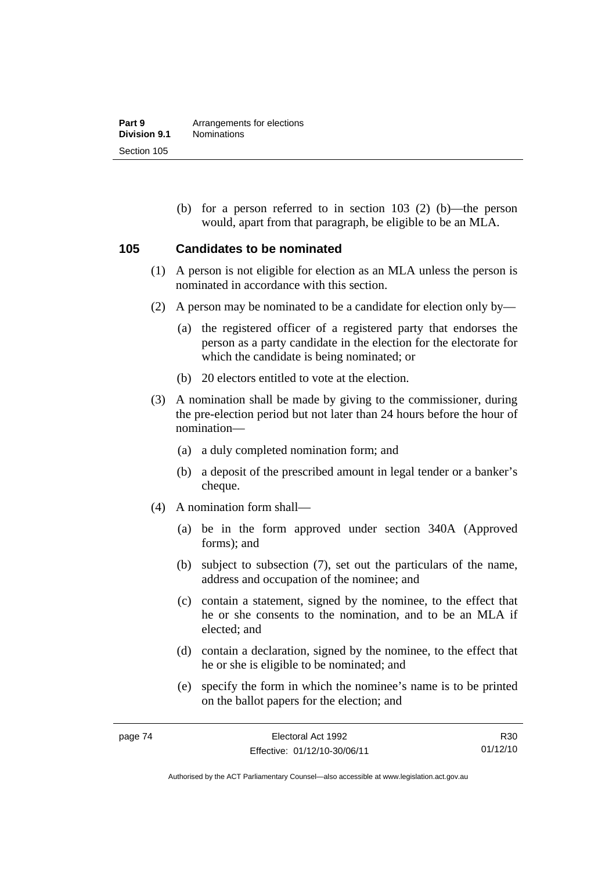(b) for a person referred to in section 103 (2) (b)—the person would, apart from that paragraph, be eligible to be an MLA.

#### **105 Candidates to be nominated**

- (1) A person is not eligible for election as an MLA unless the person is nominated in accordance with this section.
- (2) A person may be nominated to be a candidate for election only by—
	- (a) the registered officer of a registered party that endorses the person as a party candidate in the election for the electorate for which the candidate is being nominated; or
	- (b) 20 electors entitled to vote at the election.
- (3) A nomination shall be made by giving to the commissioner, during the pre-election period but not later than 24 hours before the hour of nomination—
	- (a) a duly completed nomination form; and
	- (b) a deposit of the prescribed amount in legal tender or a banker's cheque.
- (4) A nomination form shall—
	- (a) be in the form approved under section 340A (Approved forms); and
	- (b) subject to subsection (7), set out the particulars of the name, address and occupation of the nominee; and
	- (c) contain a statement, signed by the nominee, to the effect that he or she consents to the nomination, and to be an MLA if elected; and
	- (d) contain a declaration, signed by the nominee, to the effect that he or she is eligible to be nominated; and
	- (e) specify the form in which the nominee's name is to be printed on the ballot papers for the election; and

R30 01/12/10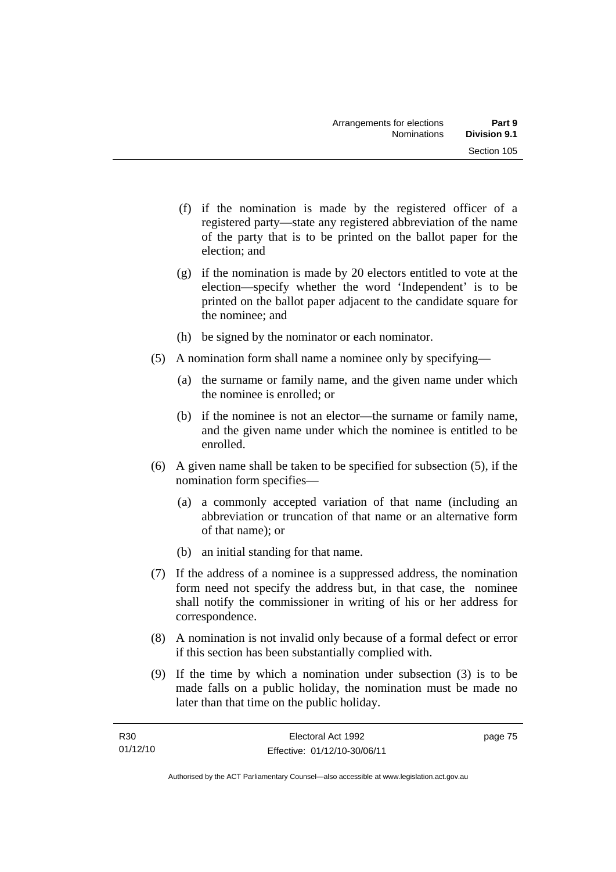- (f) if the nomination is made by the registered officer of a registered party—state any registered abbreviation of the name of the party that is to be printed on the ballot paper for the election; and
- (g) if the nomination is made by 20 electors entitled to vote at the election—specify whether the word 'Independent' is to be printed on the ballot paper adjacent to the candidate square for the nominee; and
- (h) be signed by the nominator or each nominator.
- (5) A nomination form shall name a nominee only by specifying—
	- (a) the surname or family name, and the given name under which the nominee is enrolled; or
	- (b) if the nominee is not an elector—the surname or family name, and the given name under which the nominee is entitled to be enrolled.
- (6) A given name shall be taken to be specified for subsection (5), if the nomination form specifies—
	- (a) a commonly accepted variation of that name (including an abbreviation or truncation of that name or an alternative form of that name); or
	- (b) an initial standing for that name.
- (7) If the address of a nominee is a suppressed address, the nomination form need not specify the address but, in that case, the nominee shall notify the commissioner in writing of his or her address for correspondence.
- (8) A nomination is not invalid only because of a formal defect or error if this section has been substantially complied with.
- (9) If the time by which a nomination under subsection (3) is to be made falls on a public holiday, the nomination must be made no later than that time on the public holiday.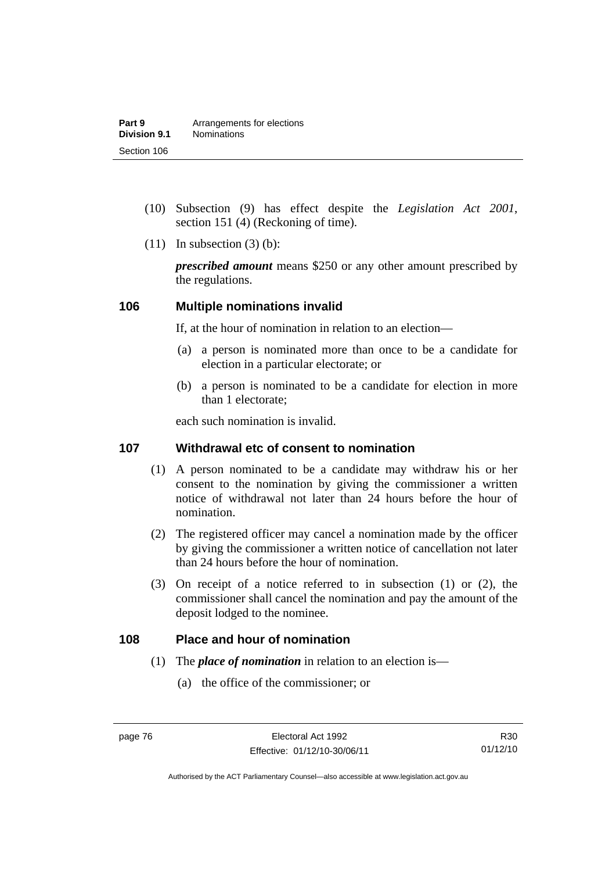- (10) Subsection (9) has effect despite the *Legislation Act 2001*, section 151 (4) (Reckoning of time).
- $(11)$  In subsection  $(3)$  (b):

*prescribed amount* means \$250 or any other amount prescribed by the regulations.

#### **106 Multiple nominations invalid**

If, at the hour of nomination in relation to an election—

- (a) a person is nominated more than once to be a candidate for election in a particular electorate; or
- (b) a person is nominated to be a candidate for election in more than 1 electorate;

each such nomination is invalid.

### **107 Withdrawal etc of consent to nomination**

- (1) A person nominated to be a candidate may withdraw his or her consent to the nomination by giving the commissioner a written notice of withdrawal not later than 24 hours before the hour of nomination.
- (2) The registered officer may cancel a nomination made by the officer by giving the commissioner a written notice of cancellation not later than 24 hours before the hour of nomination.
- (3) On receipt of a notice referred to in subsection (1) or (2), the commissioner shall cancel the nomination and pay the amount of the deposit lodged to the nominee.

#### **108 Place and hour of nomination**

- (1) The *place of nomination* in relation to an election is—
	- (a) the office of the commissioner; or

R30 01/12/10

Authorised by the ACT Parliamentary Counsel—also accessible at www.legislation.act.gov.au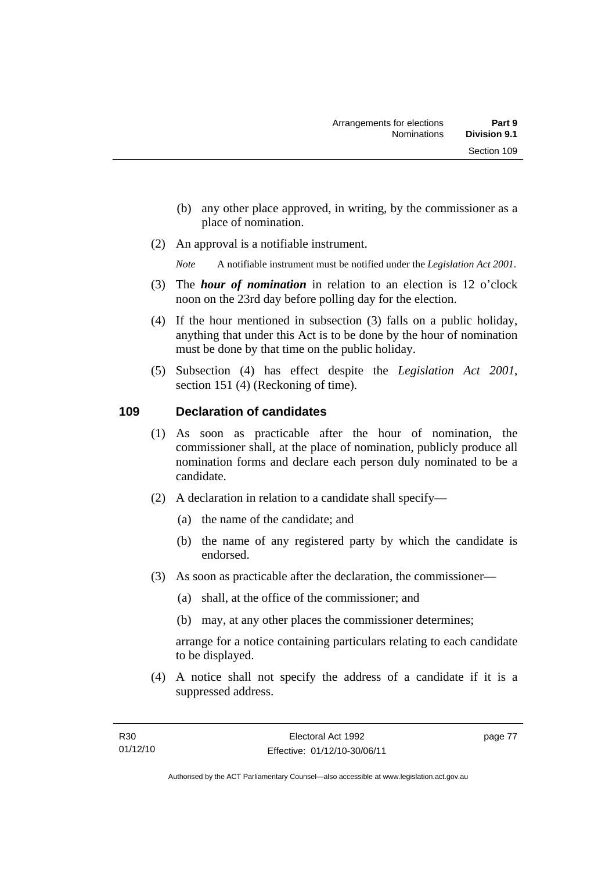- (b) any other place approved, in writing, by the commissioner as a place of nomination.
- (2) An approval is a notifiable instrument.

*Note* A notifiable instrument must be notified under the *Legislation Act 2001*.

- (3) The *hour of nomination* in relation to an election is 12 o'clock noon on the 23rd day before polling day for the election.
- (4) If the hour mentioned in subsection (3) falls on a public holiday, anything that under this Act is to be done by the hour of nomination must be done by that time on the public holiday.
- (5) Subsection (4) has effect despite the *Legislation Act 2001*, section 151 (4) (Reckoning of time).

# **109 Declaration of candidates**

- (1) As soon as practicable after the hour of nomination, the commissioner shall, at the place of nomination, publicly produce all nomination forms and declare each person duly nominated to be a candidate.
- (2) A declaration in relation to a candidate shall specify—
	- (a) the name of the candidate; and
	- (b) the name of any registered party by which the candidate is endorsed.
- (3) As soon as practicable after the declaration, the commissioner—
	- (a) shall, at the office of the commissioner; and
	- (b) may, at any other places the commissioner determines;

arrange for a notice containing particulars relating to each candidate to be displayed.

 (4) A notice shall not specify the address of a candidate if it is a suppressed address.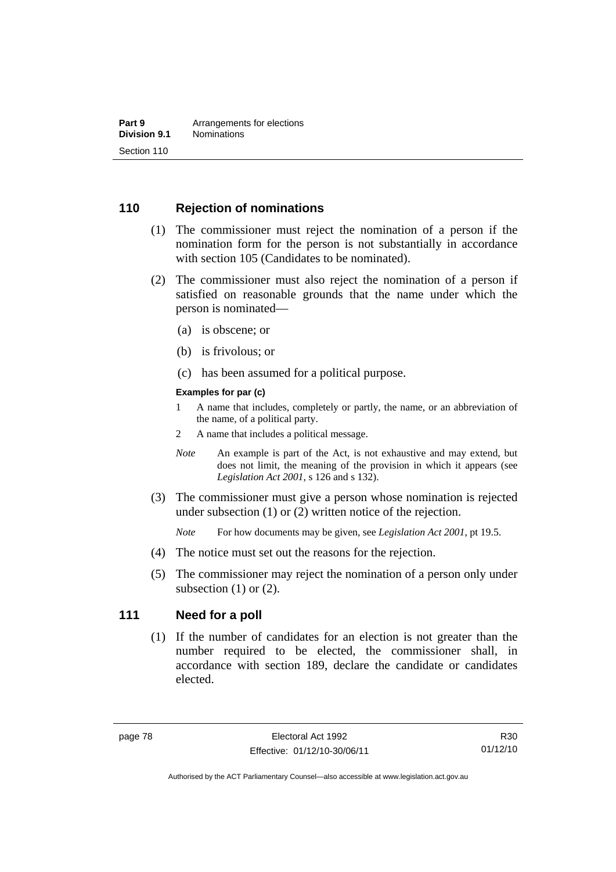## **110 Rejection of nominations**

- (1) The commissioner must reject the nomination of a person if the nomination form for the person is not substantially in accordance with section 105 (Candidates to be nominated).
- (2) The commissioner must also reject the nomination of a person if satisfied on reasonable grounds that the name under which the person is nominated—
	- (a) is obscene; or
	- (b) is frivolous; or
	- (c) has been assumed for a political purpose.

#### **Examples for par (c)**

- 1 A name that includes, completely or partly, the name, or an abbreviation of the name, of a political party.
- 2 A name that includes a political message.
- *Note* An example is part of the Act, is not exhaustive and may extend, but does not limit, the meaning of the provision in which it appears (see *Legislation Act 2001*, s 126 and s 132).
- (3) The commissioner must give a person whose nomination is rejected under subsection (1) or (2) written notice of the rejection.

*Note* For how documents may be given, see *Legislation Act 2001*, pt 19.5.

- (4) The notice must set out the reasons for the rejection.
- (5) The commissioner may reject the nomination of a person only under subsection  $(1)$  or  $(2)$ .

#### **111 Need for a poll**

(1) If the number of candidates for an election is not greater than the number required to be elected, the commissioner shall, in accordance with section 189, declare the candidate or candidates elected.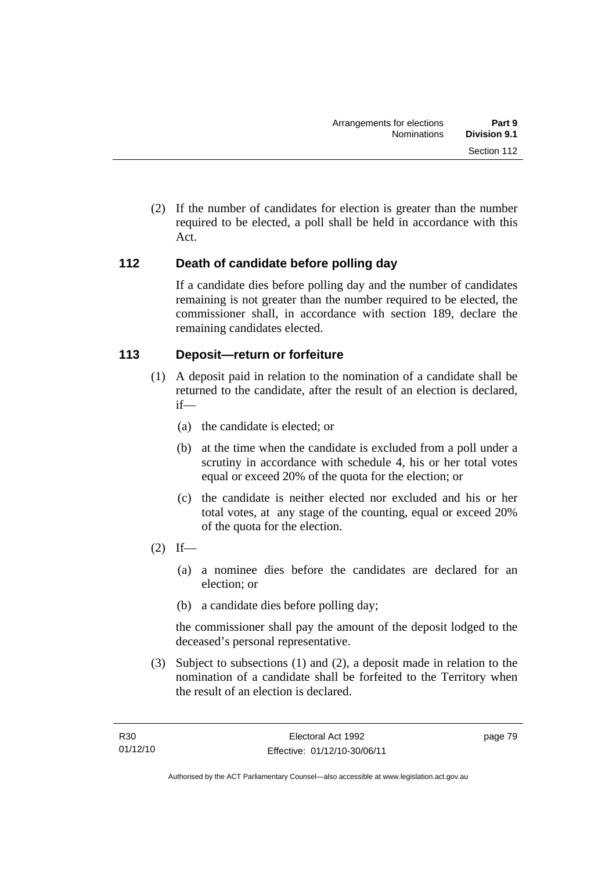(2) If the number of candidates for election is greater than the number required to be elected, a poll shall be held in accordance with this Act.

# **112 Death of candidate before polling day**

If a candidate dies before polling day and the number of candidates remaining is not greater than the number required to be elected, the commissioner shall, in accordance with section 189, declare the remaining candidates elected.

# **113 Deposit—return or forfeiture**

- (1) A deposit paid in relation to the nomination of a candidate shall be returned to the candidate, after the result of an election is declared, if—
	- (a) the candidate is elected; or
	- (b) at the time when the candidate is excluded from a poll under a scrutiny in accordance with schedule 4, his or her total votes equal or exceed 20% of the quota for the election; or
	- (c) the candidate is neither elected nor excluded and his or her total votes, at any stage of the counting, equal or exceed 20% of the quota for the election.
- $(2)$  If—
	- (a) a nominee dies before the candidates are declared for an election; or
	- (b) a candidate dies before polling day;

the commissioner shall pay the amount of the deposit lodged to the deceased's personal representative.

 (3) Subject to subsections (1) and (2), a deposit made in relation to the nomination of a candidate shall be forfeited to the Territory when the result of an election is declared.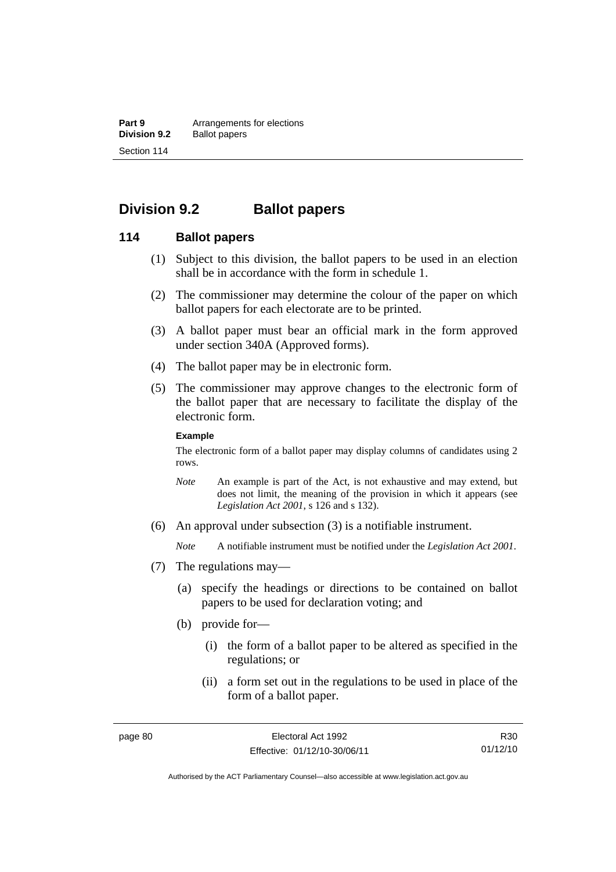**Part 9 Arrangements for elections**<br>**Division 9.2 Ballot papers Ballot papers** Section 114

# **Division 9.2 Ballot papers**

#### **114 Ballot papers**

- (1) Subject to this division, the ballot papers to be used in an election shall be in accordance with the form in schedule 1.
- (2) The commissioner may determine the colour of the paper on which ballot papers for each electorate are to be printed.
- (3) A ballot paper must bear an official mark in the form approved under section 340A (Approved forms).
- (4) The ballot paper may be in electronic form.
- (5) The commissioner may approve changes to the electronic form of the ballot paper that are necessary to facilitate the display of the electronic form.

#### **Example**

The electronic form of a ballot paper may display columns of candidates using 2 rows.

- *Note* An example is part of the Act, is not exhaustive and may extend, but does not limit, the meaning of the provision in which it appears (see *Legislation Act 2001*, s 126 and s 132).
- (6) An approval under subsection (3) is a notifiable instrument.

*Note* A notifiable instrument must be notified under the *Legislation Act 2001*.

- (7) The regulations may—
	- (a) specify the headings or directions to be contained on ballot papers to be used for declaration voting; and
	- (b) provide for—
		- (i) the form of a ballot paper to be altered as specified in the regulations; or
		- (ii) a form set out in the regulations to be used in place of the form of a ballot paper.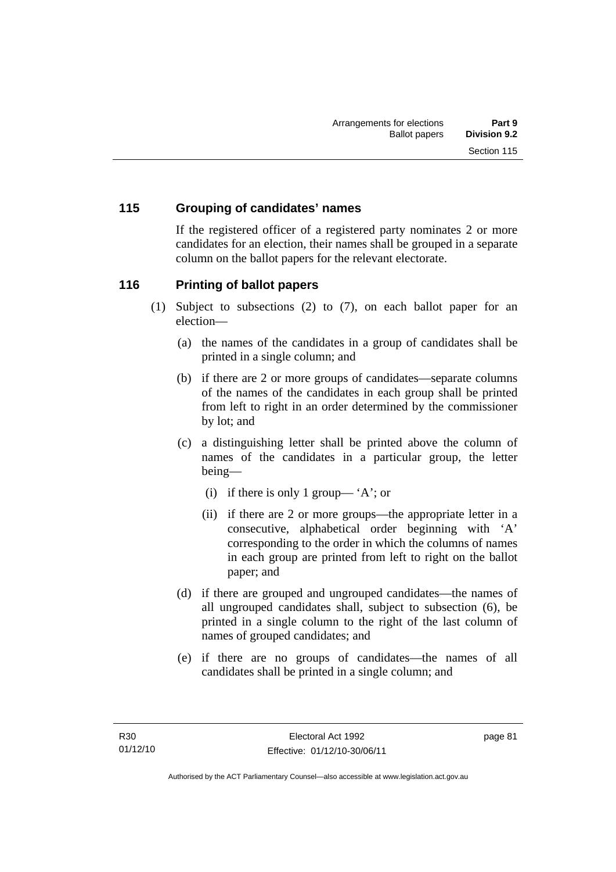# **115 Grouping of candidates' names**

If the registered officer of a registered party nominates 2 or more candidates for an election, their names shall be grouped in a separate column on the ballot papers for the relevant electorate.

### **116 Printing of ballot papers**

- (1) Subject to subsections (2) to (7), on each ballot paper for an election—
	- (a) the names of the candidates in a group of candidates shall be printed in a single column; and
	- (b) if there are 2 or more groups of candidates—separate columns of the names of the candidates in each group shall be printed from left to right in an order determined by the commissioner by lot; and
	- (c) a distinguishing letter shall be printed above the column of names of the candidates in a particular group, the letter being—
		- (i) if there is only 1 group— 'A'; or
		- (ii) if there are 2 or more groups—the appropriate letter in a consecutive, alphabetical order beginning with 'A' corresponding to the order in which the columns of names in each group are printed from left to right on the ballot paper; and
	- (d) if there are grouped and ungrouped candidates—the names of all ungrouped candidates shall, subject to subsection (6), be printed in a single column to the right of the last column of names of grouped candidates; and
	- (e) if there are no groups of candidates—the names of all candidates shall be printed in a single column; and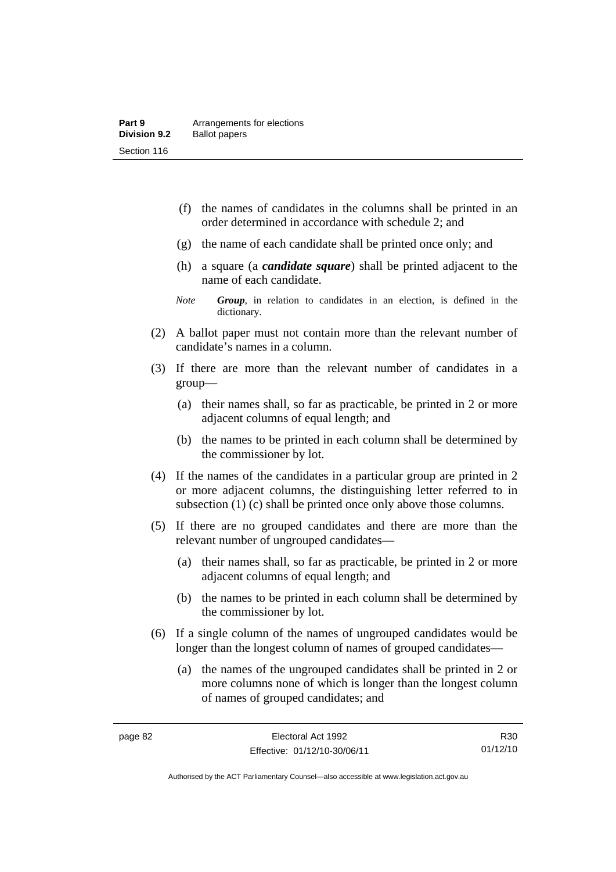- (f) the names of candidates in the columns shall be printed in an order determined in accordance with schedule 2; and
- (g) the name of each candidate shall be printed once only; and
- (h) a square (a *candidate square*) shall be printed adjacent to the name of each candidate.
- *Note Group*, in relation to candidates in an election, is defined in the dictionary.
- (2) A ballot paper must not contain more than the relevant number of candidate's names in a column.
- (3) If there are more than the relevant number of candidates in a group—
	- (a) their names shall, so far as practicable, be printed in 2 or more adjacent columns of equal length; and
	- (b) the names to be printed in each column shall be determined by the commissioner by lot.
- (4) If the names of the candidates in a particular group are printed in 2 or more adjacent columns, the distinguishing letter referred to in subsection (1) (c) shall be printed once only above those columns.
- (5) If there are no grouped candidates and there are more than the relevant number of ungrouped candidates—
	- (a) their names shall, so far as practicable, be printed in 2 or more adjacent columns of equal length; and
	- (b) the names to be printed in each column shall be determined by the commissioner by lot.
- (6) If a single column of the names of ungrouped candidates would be longer than the longest column of names of grouped candidates—
	- (a) the names of the ungrouped candidates shall be printed in 2 or more columns none of which is longer than the longest column of names of grouped candidates; and

R30 01/12/10

Authorised by the ACT Parliamentary Counsel—also accessible at www.legislation.act.gov.au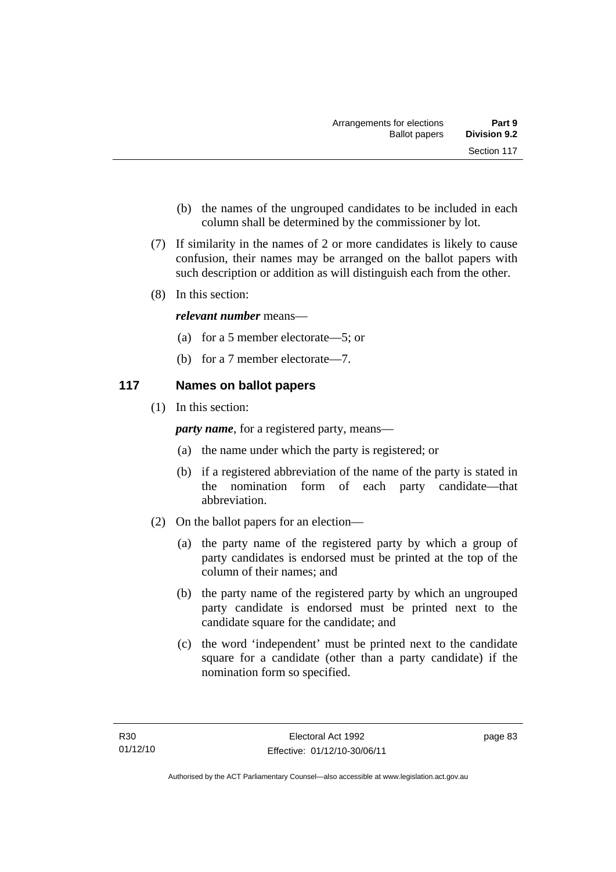- (b) the names of the ungrouped candidates to be included in each column shall be determined by the commissioner by lot.
- (7) If similarity in the names of 2 or more candidates is likely to cause confusion, their names may be arranged on the ballot papers with such description or addition as will distinguish each from the other.
- (8) In this section:

### *relevant number* means—

- (a) for a 5 member electorate—5; or
- (b) for a 7 member electorate—7.

# **117 Names on ballot papers**

(1) In this section:

*party name*, for a registered party, means—

- (a) the name under which the party is registered; or
- (b) if a registered abbreviation of the name of the party is stated in the nomination form of each party candidate—that abbreviation.
- (2) On the ballot papers for an election—
	- (a) the party name of the registered party by which a group of party candidates is endorsed must be printed at the top of the column of their names; and
	- (b) the party name of the registered party by which an ungrouped party candidate is endorsed must be printed next to the candidate square for the candidate; and
	- (c) the word 'independent' must be printed next to the candidate square for a candidate (other than a party candidate) if the nomination form so specified.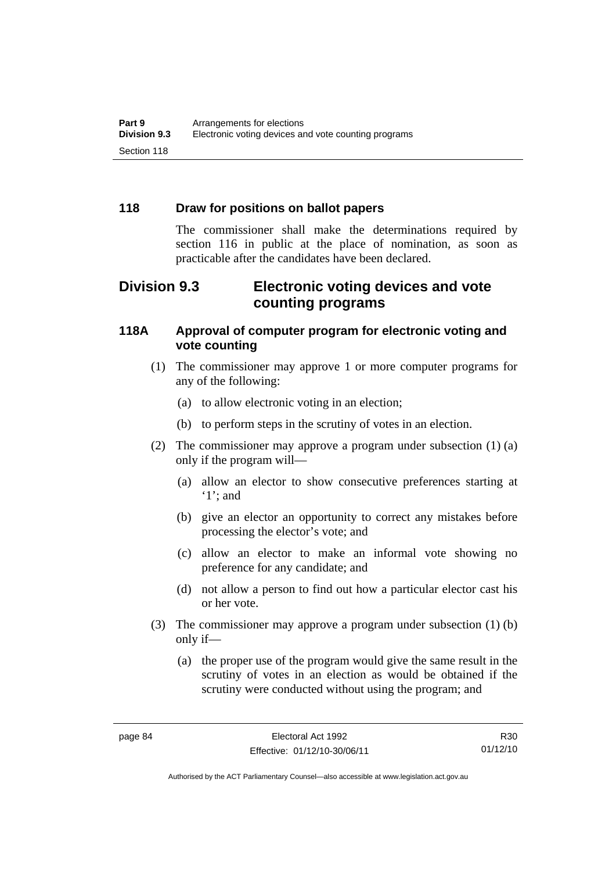## **118 Draw for positions on ballot papers**

The commissioner shall make the determinations required by section 116 in public at the place of nomination, as soon as practicable after the candidates have been declared.

# **Division 9.3 Electronic voting devices and vote counting programs**

### **118A Approval of computer program for electronic voting and vote counting**

- (1) The commissioner may approve 1 or more computer programs for any of the following:
	- (a) to allow electronic voting in an election;
	- (b) to perform steps in the scrutiny of votes in an election.
- (2) The commissioner may approve a program under subsection (1) (a) only if the program will—
	- (a) allow an elector to show consecutive preferences starting at '1'; and
	- (b) give an elector an opportunity to correct any mistakes before processing the elector's vote; and
	- (c) allow an elector to make an informal vote showing no preference for any candidate; and
	- (d) not allow a person to find out how a particular elector cast his or her vote.
- (3) The commissioner may approve a program under subsection (1) (b) only if—
	- (a) the proper use of the program would give the same result in the scrutiny of votes in an election as would be obtained if the scrutiny were conducted without using the program; and

R30 01/12/10

Authorised by the ACT Parliamentary Counsel—also accessible at www.legislation.act.gov.au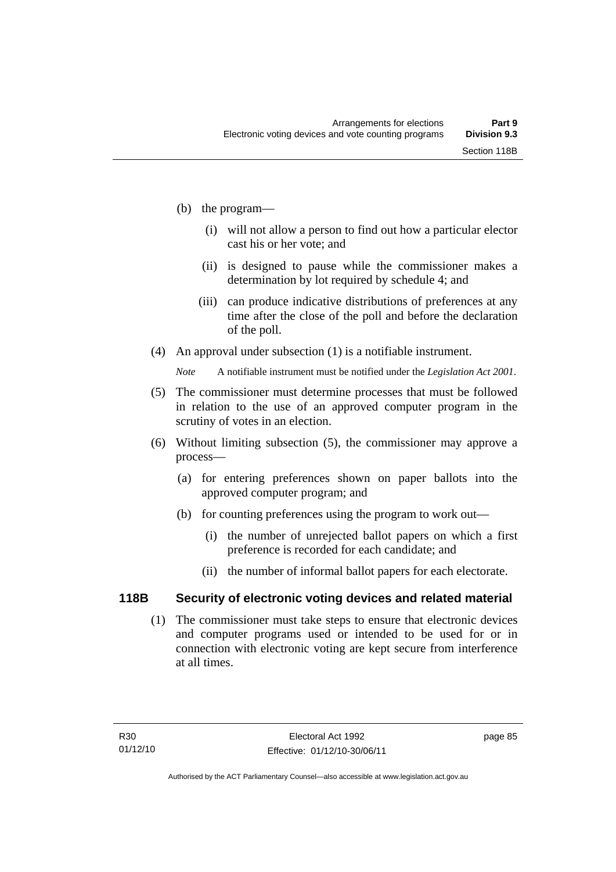- (b) the program—
	- (i) will not allow a person to find out how a particular elector cast his or her vote; and
	- (ii) is designed to pause while the commissioner makes a determination by lot required by schedule 4; and
	- (iii) can produce indicative distributions of preferences at any time after the close of the poll and before the declaration of the poll.
- (4) An approval under subsection (1) is a notifiable instrument.

*Note* A notifiable instrument must be notified under the *Legislation Act 2001*.

- (5) The commissioner must determine processes that must be followed in relation to the use of an approved computer program in the scrutiny of votes in an election.
- (6) Without limiting subsection (5), the commissioner may approve a process—
	- (a) for entering preferences shown on paper ballots into the approved computer program; and
	- (b) for counting preferences using the program to work out—
		- (i) the number of unrejected ballot papers on which a first preference is recorded for each candidate; and
		- (ii) the number of informal ballot papers for each electorate.

# **118B Security of electronic voting devices and related material**

 (1) The commissioner must take steps to ensure that electronic devices and computer programs used or intended to be used for or in connection with electronic voting are kept secure from interference at all times.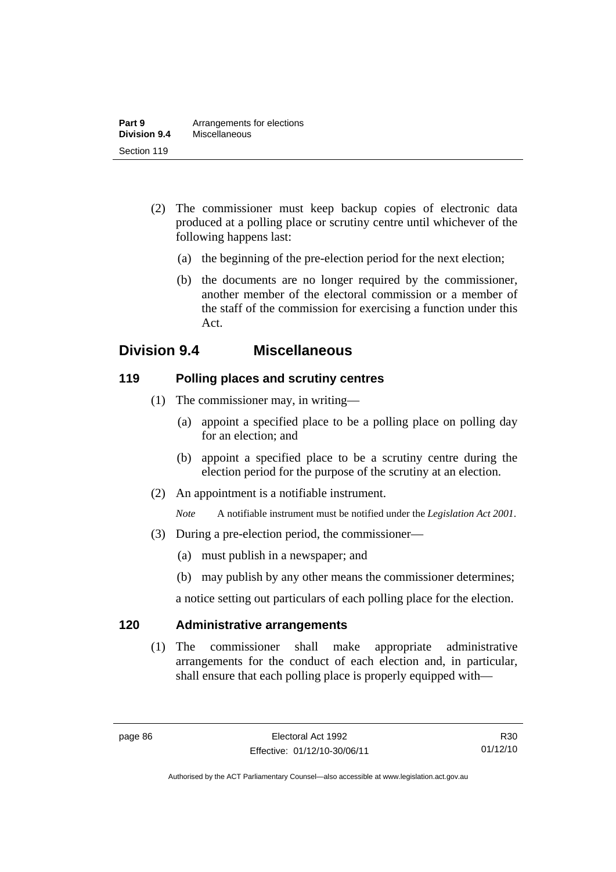- (2) The commissioner must keep backup copies of electronic data produced at a polling place or scrutiny centre until whichever of the following happens last:
	- (a) the beginning of the pre-election period for the next election;
	- (b) the documents are no longer required by the commissioner, another member of the electoral commission or a member of the staff of the commission for exercising a function under this Act.

# **Division 9.4 Miscellaneous**

# **119 Polling places and scrutiny centres**

- (1) The commissioner may, in writing—
	- (a) appoint a specified place to be a polling place on polling day for an election; and
	- (b) appoint a specified place to be a scrutiny centre during the election period for the purpose of the scrutiny at an election.
- (2) An appointment is a notifiable instrument.

*Note* A notifiable instrument must be notified under the *Legislation Act 2001*.

- (3) During a pre-election period, the commissioner—
	- (a) must publish in a newspaper; and
	- (b) may publish by any other means the commissioner determines;

a notice setting out particulars of each polling place for the election.

# **120 Administrative arrangements**

(1) The commissioner shall make appropriate administrative arrangements for the conduct of each election and, in particular, shall ensure that each polling place is properly equipped with—

R30 01/12/10

Authorised by the ACT Parliamentary Counsel—also accessible at www.legislation.act.gov.au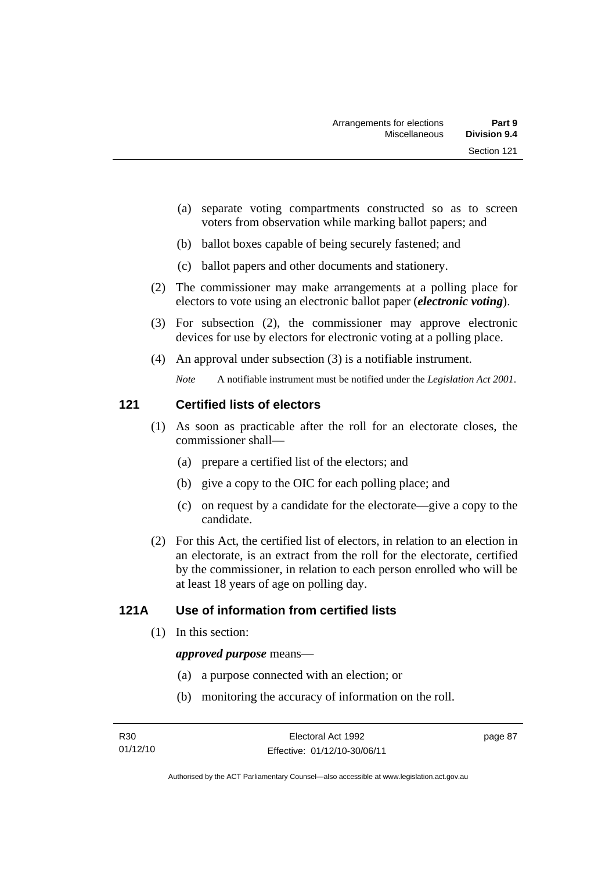- (a) separate voting compartments constructed so as to screen voters from observation while marking ballot papers; and
- (b) ballot boxes capable of being securely fastened; and
- (c) ballot papers and other documents and stationery.
- (2) The commissioner may make arrangements at a polling place for electors to vote using an electronic ballot paper (*electronic voting*).
- (3) For subsection (2), the commissioner may approve electronic devices for use by electors for electronic voting at a polling place.
- (4) An approval under subsection (3) is a notifiable instrument.

*Note* A notifiable instrument must be notified under the *Legislation Act 2001*.

### **121 Certified lists of electors**

- (1) As soon as practicable after the roll for an electorate closes, the commissioner shall—
	- (a) prepare a certified list of the electors; and
	- (b) give a copy to the OIC for each polling place; and
	- (c) on request by a candidate for the electorate—give a copy to the candidate.
- (2) For this Act, the certified list of electors, in relation to an election in an electorate, is an extract from the roll for the electorate, certified by the commissioner, in relation to each person enrolled who will be at least 18 years of age on polling day.

# **121A Use of information from certified lists**

(1) In this section:

#### *approved purpose* means—

- (a) a purpose connected with an election; or
- (b) monitoring the accuracy of information on the roll.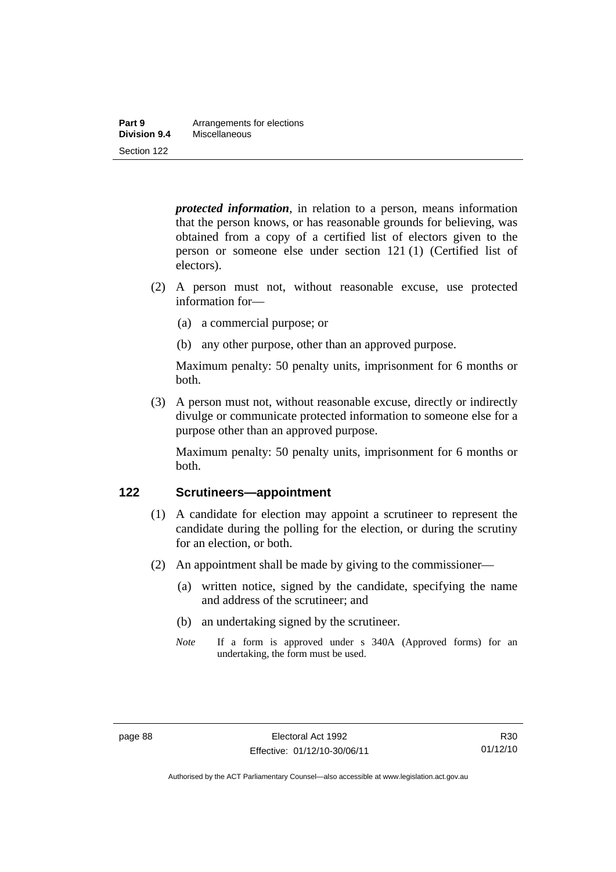| Part 9       | Arrangements for elections |
|--------------|----------------------------|
| Division 9.4 | Miscellaneous              |
| Section 122  |                            |

*protected information*, in relation to a person, means information that the person knows, or has reasonable grounds for believing, was obtained from a copy of a certified list of electors given to the person or someone else under section 121 (1) (Certified list of electors).

- (2) A person must not, without reasonable excuse, use protected information for—
	- (a) a commercial purpose; or
	- (b) any other purpose, other than an approved purpose.

Maximum penalty: 50 penalty units, imprisonment for 6 months or both.

 (3) A person must not, without reasonable excuse, directly or indirectly divulge or communicate protected information to someone else for a purpose other than an approved purpose.

Maximum penalty: 50 penalty units, imprisonment for 6 months or both.

#### **122 Scrutineers—appointment**

- (1) A candidate for election may appoint a scrutineer to represent the candidate during the polling for the election, or during the scrutiny for an election, or both.
- (2) An appointment shall be made by giving to the commissioner—
	- (a) written notice, signed by the candidate, specifying the name and address of the scrutineer; and
	- (b) an undertaking signed by the scrutineer.
	- *Note* If a form is approved under s 340A (Approved forms) for an undertaking, the form must be used.

Authorised by the ACT Parliamentary Counsel—also accessible at www.legislation.act.gov.au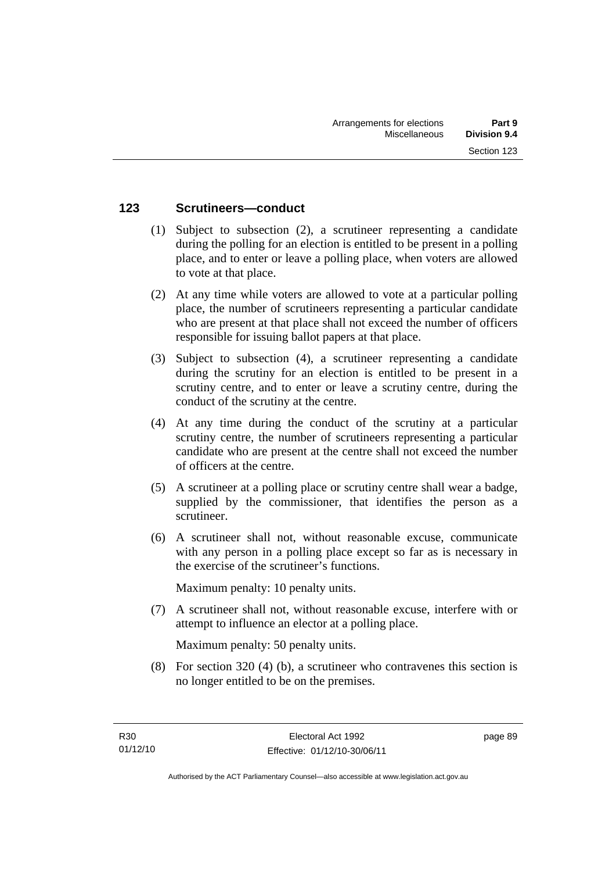## **123 Scrutineers—conduct**

- (1) Subject to subsection (2), a scrutineer representing a candidate during the polling for an election is entitled to be present in a polling place, and to enter or leave a polling place, when voters are allowed to vote at that place.
- (2) At any time while voters are allowed to vote at a particular polling place, the number of scrutineers representing a particular candidate who are present at that place shall not exceed the number of officers responsible for issuing ballot papers at that place.
- (3) Subject to subsection (4), a scrutineer representing a candidate during the scrutiny for an election is entitled to be present in a scrutiny centre, and to enter or leave a scrutiny centre, during the conduct of the scrutiny at the centre.
- (4) At any time during the conduct of the scrutiny at a particular scrutiny centre, the number of scrutineers representing a particular candidate who are present at the centre shall not exceed the number of officers at the centre.
- (5) A scrutineer at a polling place or scrutiny centre shall wear a badge, supplied by the commissioner, that identifies the person as a scrutineer.
- (6) A scrutineer shall not, without reasonable excuse, communicate with any person in a polling place except so far as is necessary in the exercise of the scrutineer's functions.

Maximum penalty: 10 penalty units.

 (7) A scrutineer shall not, without reasonable excuse, interfere with or attempt to influence an elector at a polling place.

Maximum penalty: 50 penalty units.

 (8) For section 320 (4) (b), a scrutineer who contravenes this section is no longer entitled to be on the premises.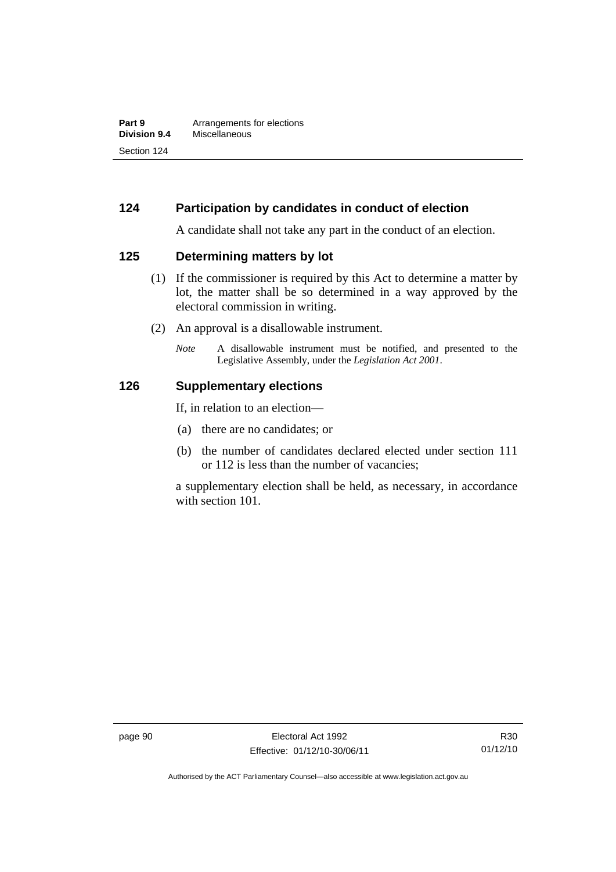## **124 Participation by candidates in conduct of election**

A candidate shall not take any part in the conduct of an election.

#### **125 Determining matters by lot**

- (1) If the commissioner is required by this Act to determine a matter by lot, the matter shall be so determined in a way approved by the electoral commission in writing.
- (2) An approval is a disallowable instrument.
	- *Note* A disallowable instrument must be notified, and presented to the Legislative Assembly, under the *Legislation Act 2001*.

#### **126 Supplementary elections**

If, in relation to an election—

- (a) there are no candidates; or
- (b) the number of candidates declared elected under section 111 or 112 is less than the number of vacancies;

a supplementary election shall be held, as necessary, in accordance with section 101.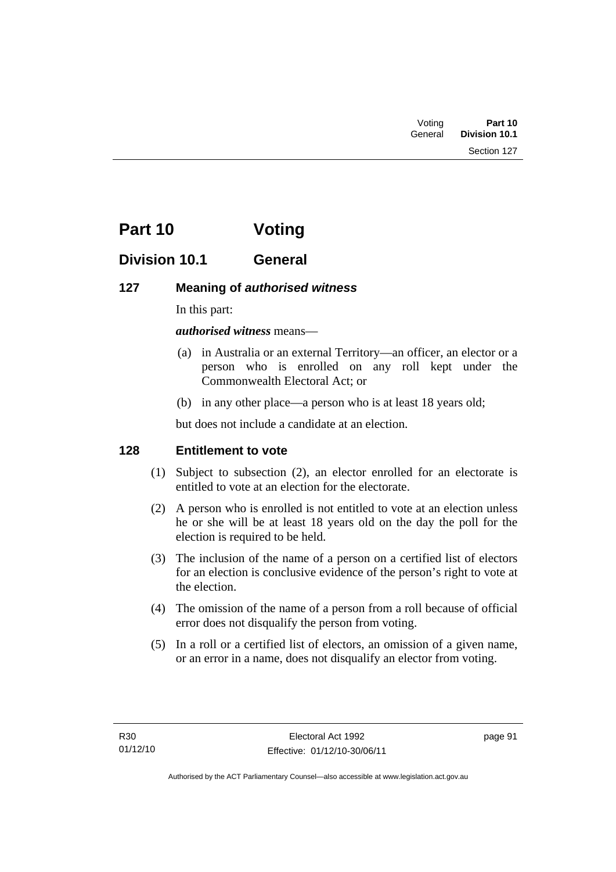| Voting  | Part 10       |
|---------|---------------|
| General | Division 10.1 |

# **Part 10 Voting**

# **Division 10.1 General**

### **127 Meaning of** *authorised witness*

In this part:

*authorised witness* means—

- (a) in Australia or an external Territory—an officer, an elector or a person who is enrolled on any roll kept under the Commonwealth Electoral Act; or
- (b) in any other place—a person who is at least 18 years old;

but does not include a candidate at an election.

### **128 Entitlement to vote**

- (1) Subject to subsection (2), an elector enrolled for an electorate is entitled to vote at an election for the electorate.
- (2) A person who is enrolled is not entitled to vote at an election unless he or she will be at least 18 years old on the day the poll for the election is required to be held.
- (3) The inclusion of the name of a person on a certified list of electors for an election is conclusive evidence of the person's right to vote at the election.
- (4) The omission of the name of a person from a roll because of official error does not disqualify the person from voting.
- (5) In a roll or a certified list of electors, an omission of a given name, or an error in a name, does not disqualify an elector from voting.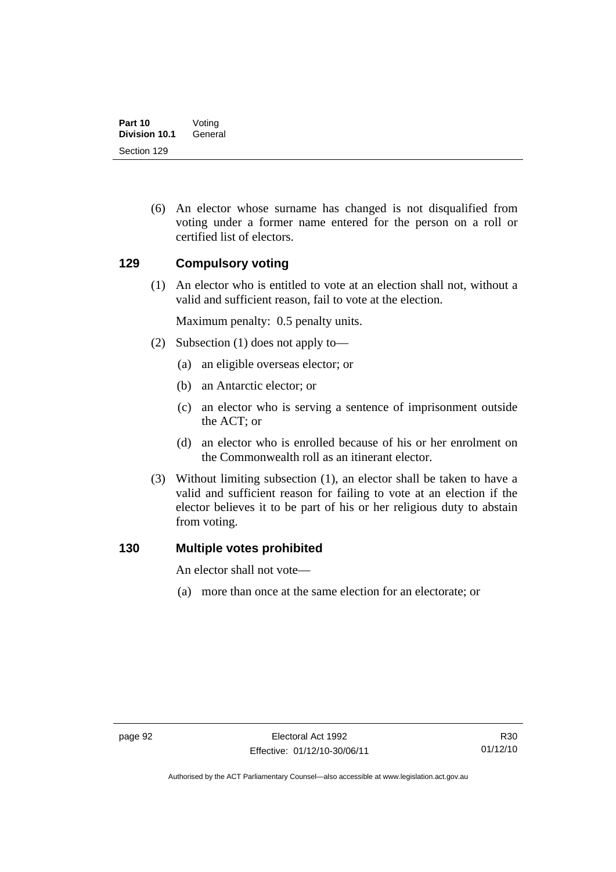(6) An elector whose surname has changed is not disqualified from voting under a former name entered for the person on a roll or certified list of electors.

### **129 Compulsory voting**

(1) An elector who is entitled to vote at an election shall not, without a valid and sufficient reason, fail to vote at the election.

Maximum penalty: 0.5 penalty units.

- (2) Subsection (1) does not apply to—
	- (a) an eligible overseas elector; or
	- (b) an Antarctic elector; or
	- (c) an elector who is serving a sentence of imprisonment outside the ACT; or
	- (d) an elector who is enrolled because of his or her enrolment on the Commonwealth roll as an itinerant elector.
- (3) Without limiting subsection (1), an elector shall be taken to have a valid and sufficient reason for failing to vote at an election if the elector believes it to be part of his or her religious duty to abstain from voting.

### **130 Multiple votes prohibited**

An elector shall not vote—

(a) more than once at the same election for an electorate; or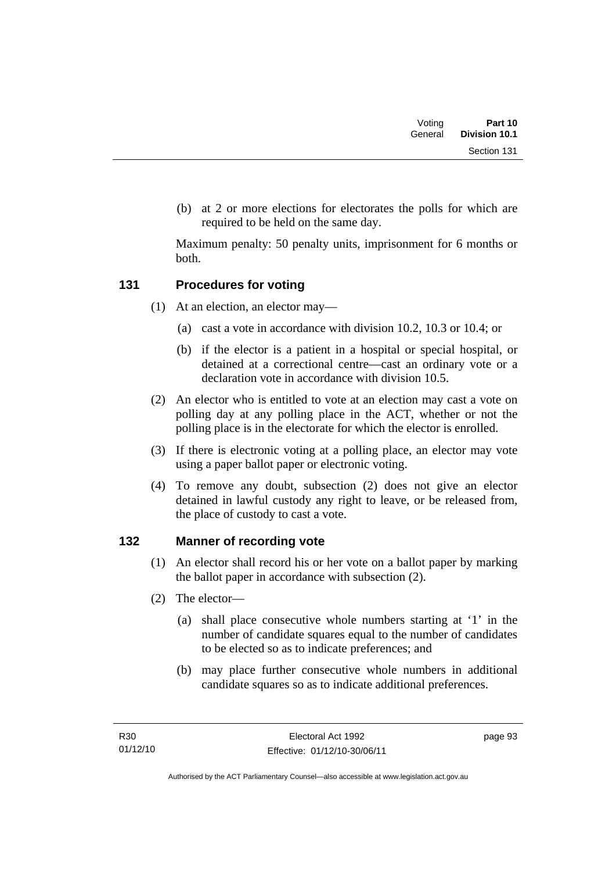| Voting  | Part 10       |
|---------|---------------|
| General | Division 10.1 |
|         | Section 131   |

 (b) at 2 or more elections for electorates the polls for which are required to be held on the same day.

Maximum penalty: 50 penalty units, imprisonment for 6 months or both.

### **131 Procedures for voting**

- (1) At an election, an elector may—
	- (a) cast a vote in accordance with division 10.2, 10.3 or 10.4; or
	- (b) if the elector is a patient in a hospital or special hospital, or detained at a correctional centre—cast an ordinary vote or a declaration vote in accordance with division 10.5.
- (2) An elector who is entitled to vote at an election may cast a vote on polling day at any polling place in the ACT, whether or not the polling place is in the electorate for which the elector is enrolled.
- (3) If there is electronic voting at a polling place, an elector may vote using a paper ballot paper or electronic voting.
- (4) To remove any doubt, subsection (2) does not give an elector detained in lawful custody any right to leave, or be released from, the place of custody to cast a vote.

### **132 Manner of recording vote**

- (1) An elector shall record his or her vote on a ballot paper by marking the ballot paper in accordance with subsection (2).
- (2) The elector—
	- (a) shall place consecutive whole numbers starting at '1' in the number of candidate squares equal to the number of candidates to be elected so as to indicate preferences; and
	- (b) may place further consecutive whole numbers in additional candidate squares so as to indicate additional preferences.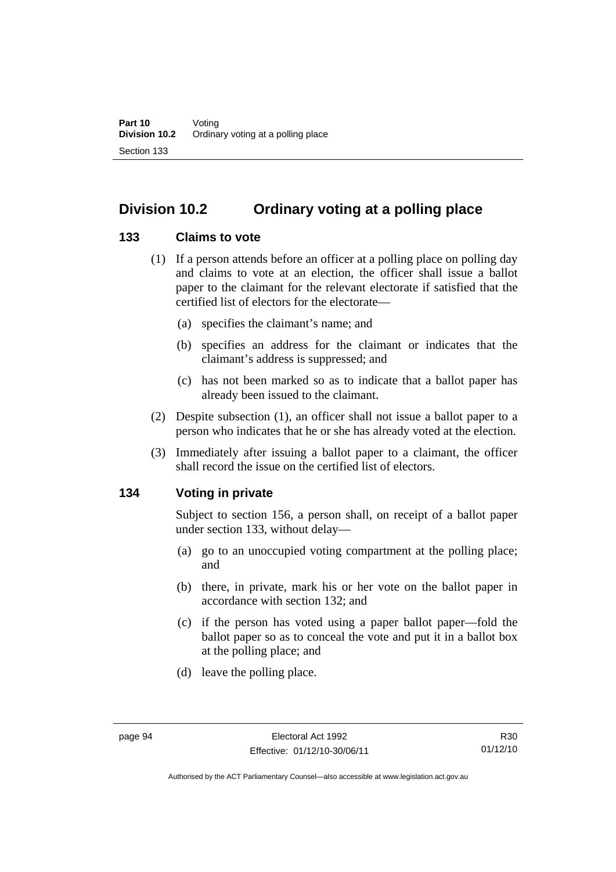# **Division 10.2 Ordinary voting at a polling place**

### **133 Claims to vote**

- (1) If a person attends before an officer at a polling place on polling day and claims to vote at an election, the officer shall issue a ballot paper to the claimant for the relevant electorate if satisfied that the certified list of electors for the electorate—
	- (a) specifies the claimant's name; and
	- (b) specifies an address for the claimant or indicates that the claimant's address is suppressed; and
	- (c) has not been marked so as to indicate that a ballot paper has already been issued to the claimant.
- (2) Despite subsection (1), an officer shall not issue a ballot paper to a person who indicates that he or she has already voted at the election.
- (3) Immediately after issuing a ballot paper to a claimant, the officer shall record the issue on the certified list of electors.

### **134 Voting in private**

Subject to section 156, a person shall, on receipt of a ballot paper under section 133, without delay—

- (a) go to an unoccupied voting compartment at the polling place; and
- (b) there, in private, mark his or her vote on the ballot paper in accordance with section 132; and
- (c) if the person has voted using a paper ballot paper—fold the ballot paper so as to conceal the vote and put it in a ballot box at the polling place; and
- (d) leave the polling place.

Authorised by the ACT Parliamentary Counsel—also accessible at www.legislation.act.gov.au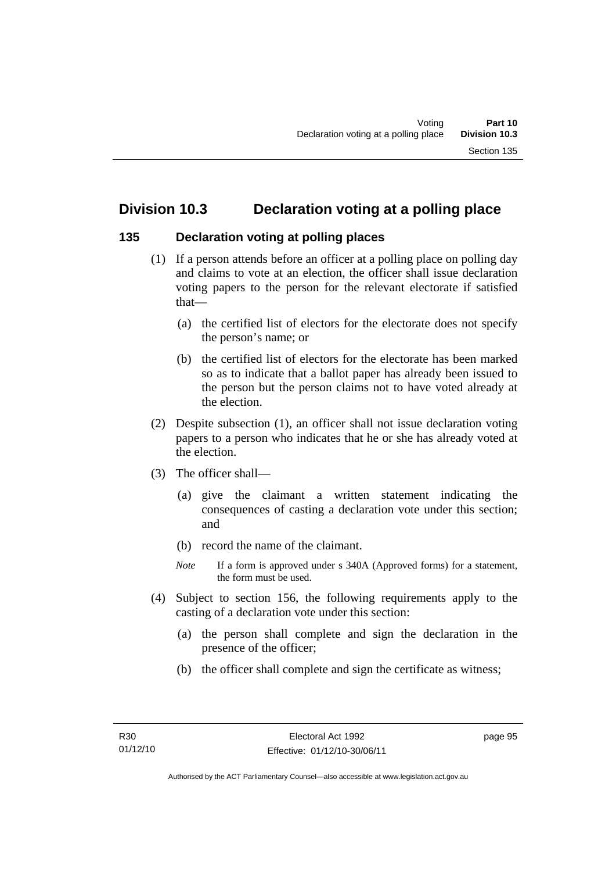# **Division 10.3 Declaration voting at a polling place**

### **135 Declaration voting at polling places**

- (1) If a person attends before an officer at a polling place on polling day and claims to vote at an election, the officer shall issue declaration voting papers to the person for the relevant electorate if satisfied that—
	- (a) the certified list of electors for the electorate does not specify the person's name; or
	- (b) the certified list of electors for the electorate has been marked so as to indicate that a ballot paper has already been issued to the person but the person claims not to have voted already at the election.
- (2) Despite subsection (1), an officer shall not issue declaration voting papers to a person who indicates that he or she has already voted at the election.
- (3) The officer shall—
	- (a) give the claimant a written statement indicating the consequences of casting a declaration vote under this section; and
	- (b) record the name of the claimant.
	- *Note* If a form is approved under s 340A (Approved forms) for a statement, the form must be used.
- (4) Subject to section 156, the following requirements apply to the casting of a declaration vote under this section:
	- (a) the person shall complete and sign the declaration in the presence of the officer;
	- (b) the officer shall complete and sign the certificate as witness;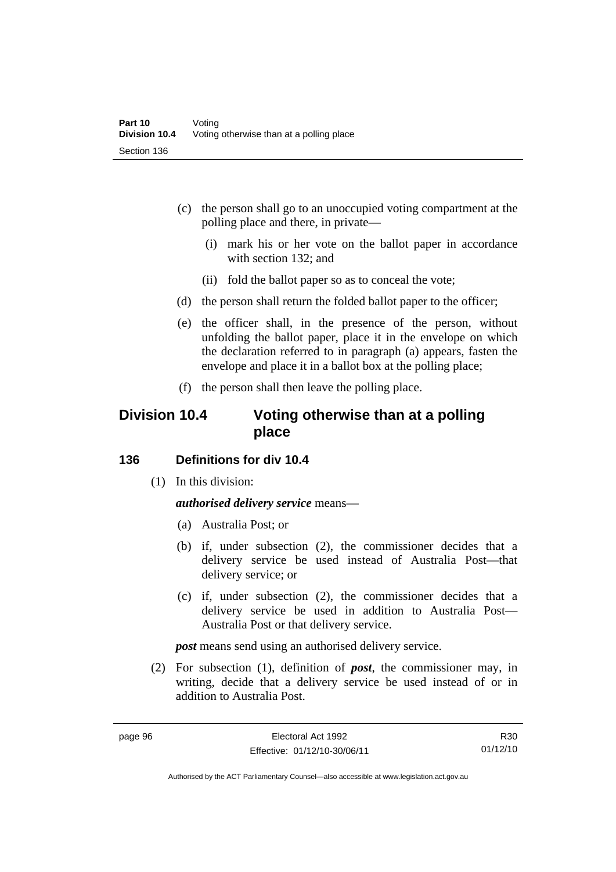- (c) the person shall go to an unoccupied voting compartment at the polling place and there, in private—
	- (i) mark his or her vote on the ballot paper in accordance with section 132; and
	- (ii) fold the ballot paper so as to conceal the vote;
- (d) the person shall return the folded ballot paper to the officer;
- (e) the officer shall, in the presence of the person, without unfolding the ballot paper, place it in the envelope on which the declaration referred to in paragraph (a) appears, fasten the envelope and place it in a ballot box at the polling place;
- (f) the person shall then leave the polling place.

## **Division 10.4 Voting otherwise than at a polling place**

### **136 Definitions for div 10.4**

(1) In this division:

#### *authorised delivery service* means—

- (a) Australia Post; or
- (b) if, under subsection (2), the commissioner decides that a delivery service be used instead of Australia Post—that delivery service; or
- (c) if, under subsection (2), the commissioner decides that a delivery service be used in addition to Australia Post— Australia Post or that delivery service.

*post* means send using an authorised delivery service.

 (2) For subsection (1), definition of *post*, the commissioner may, in writing, decide that a delivery service be used instead of or in addition to Australia Post.

R30 01/12/10

Authorised by the ACT Parliamentary Counsel—also accessible at www.legislation.act.gov.au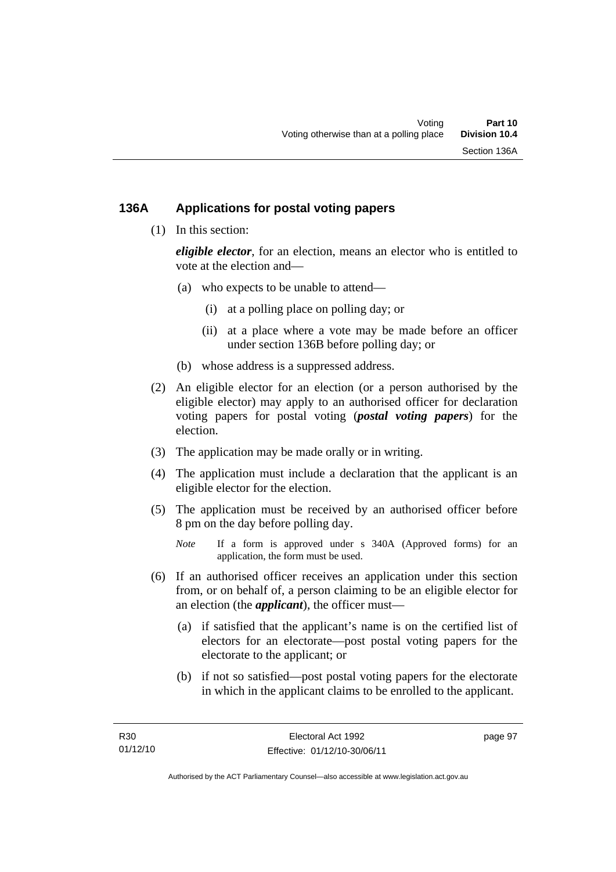### **136A Applications for postal voting papers**

(1) In this section:

*eligible elector*, for an election, means an elector who is entitled to vote at the election and—

- (a) who expects to be unable to attend—
	- (i) at a polling place on polling day; or
	- (ii) at a place where a vote may be made before an officer under section 136B before polling day; or
- (b) whose address is a suppressed address.
- (2) An eligible elector for an election (or a person authorised by the eligible elector) may apply to an authorised officer for declaration voting papers for postal voting (*postal voting papers*) for the election.
- (3) The application may be made orally or in writing.
- (4) The application must include a declaration that the applicant is an eligible elector for the election.
- (5) The application must be received by an authorised officer before 8 pm on the day before polling day.
	- *Note* If a form is approved under s 340A (Approved forms) for an application, the form must be used.
- (6) If an authorised officer receives an application under this section from, or on behalf of, a person claiming to be an eligible elector for an election (the *applicant*), the officer must—
	- (a) if satisfied that the applicant's name is on the certified list of electors for an electorate—post postal voting papers for the electorate to the applicant; or
	- (b) if not so satisfied—post postal voting papers for the electorate in which in the applicant claims to be enrolled to the applicant.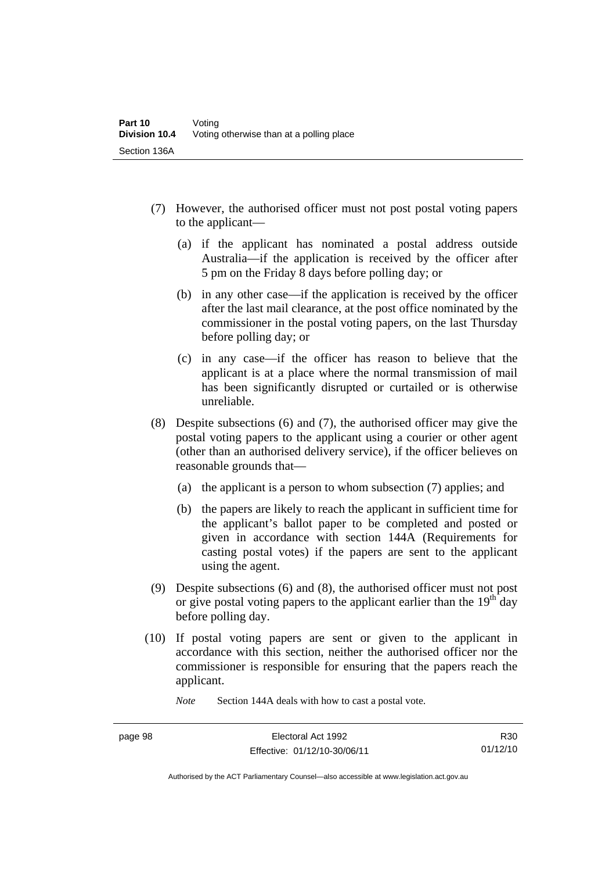- (7) However, the authorised officer must not post postal voting papers to the applicant—
	- (a) if the applicant has nominated a postal address outside Australia—if the application is received by the officer after 5 pm on the Friday 8 days before polling day; or
	- (b) in any other case—if the application is received by the officer after the last mail clearance, at the post office nominated by the commissioner in the postal voting papers, on the last Thursday before polling day; or
	- (c) in any case—if the officer has reason to believe that the applicant is at a place where the normal transmission of mail has been significantly disrupted or curtailed or is otherwise unreliable.
- (8) Despite subsections (6) and (7), the authorised officer may give the postal voting papers to the applicant using a courier or other agent (other than an authorised delivery service), if the officer believes on reasonable grounds that—
	- (a) the applicant is a person to whom subsection (7) applies; and
	- (b) the papers are likely to reach the applicant in sufficient time for the applicant's ballot paper to be completed and posted or given in accordance with section 144A (Requirements for casting postal votes) if the papers are sent to the applicant using the agent.
- (9) Despite subsections (6) and (8), the authorised officer must not post or give postal voting papers to the applicant earlier than the  $19<sup>th</sup>$  day before polling day.
- (10) If postal voting papers are sent or given to the applicant in accordance with this section, neither the authorised officer nor the commissioner is responsible for ensuring that the papers reach the applicant.

*Note* Section 144A deals with how to cast a postal vote.

Authorised by the ACT Parliamentary Counsel—also accessible at www.legislation.act.gov.au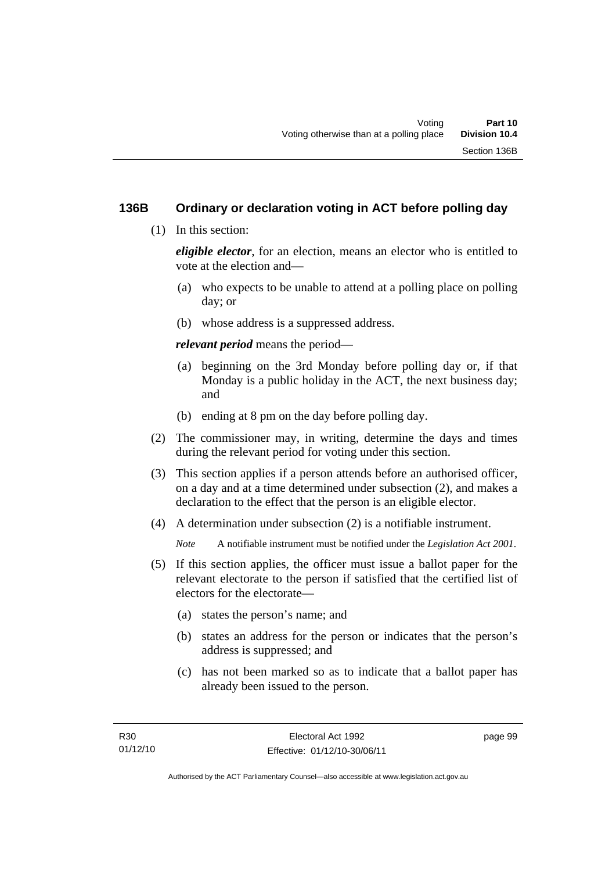### **136B Ordinary or declaration voting in ACT before polling day**

(1) In this section:

*eligible elector*, for an election, means an elector who is entitled to vote at the election and—

- (a) who expects to be unable to attend at a polling place on polling day; or
- (b) whose address is a suppressed address.

*relevant period* means the period—

- (a) beginning on the 3rd Monday before polling day or, if that Monday is a public holiday in the ACT, the next business day; and
- (b) ending at 8 pm on the day before polling day.
- (2) The commissioner may, in writing, determine the days and times during the relevant period for voting under this section.
- (3) This section applies if a person attends before an authorised officer, on a day and at a time determined under subsection (2), and makes a declaration to the effect that the person is an eligible elector.
- (4) A determination under subsection (2) is a notifiable instrument.

*Note* A notifiable instrument must be notified under the *Legislation Act 2001*.

- (5) If this section applies, the officer must issue a ballot paper for the relevant electorate to the person if satisfied that the certified list of electors for the electorate—
	- (a) states the person's name; and
	- (b) states an address for the person or indicates that the person's address is suppressed; and
	- (c) has not been marked so as to indicate that a ballot paper has already been issued to the person.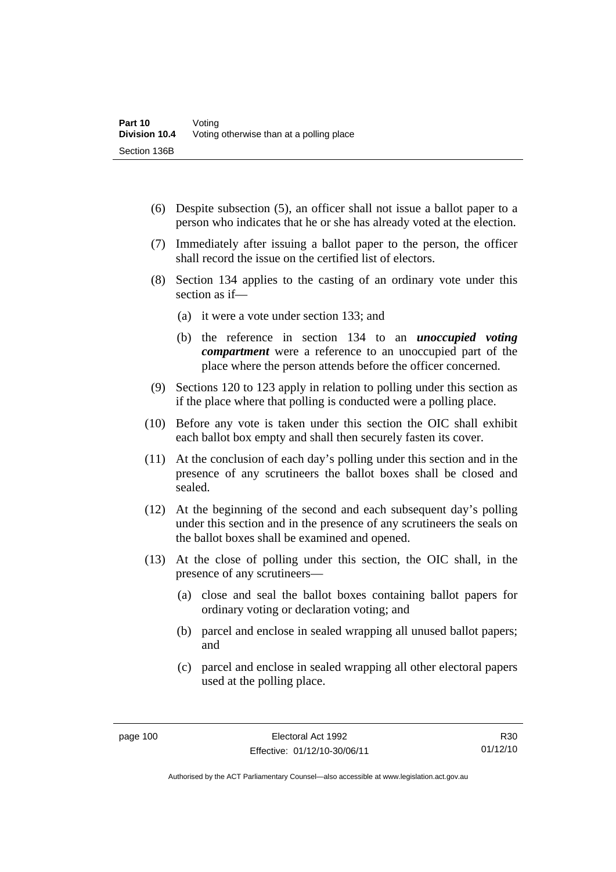- (6) Despite subsection (5), an officer shall not issue a ballot paper to a person who indicates that he or she has already voted at the election.
- (7) Immediately after issuing a ballot paper to the person, the officer shall record the issue on the certified list of electors.
- (8) Section 134 applies to the casting of an ordinary vote under this section as if—
	- (a) it were a vote under section 133; and
	- (b) the reference in section 134 to an *unoccupied voting compartment* were a reference to an unoccupied part of the place where the person attends before the officer concerned.
- (9) Sections 120 to 123 apply in relation to polling under this section as if the place where that polling is conducted were a polling place.
- (10) Before any vote is taken under this section the OIC shall exhibit each ballot box empty and shall then securely fasten its cover.
- (11) At the conclusion of each day's polling under this section and in the presence of any scrutineers the ballot boxes shall be closed and sealed.
- (12) At the beginning of the second and each subsequent day's polling under this section and in the presence of any scrutineers the seals on the ballot boxes shall be examined and opened.
- (13) At the close of polling under this section, the OIC shall, in the presence of any scrutineers—
	- (a) close and seal the ballot boxes containing ballot papers for ordinary voting or declaration voting; and
	- (b) parcel and enclose in sealed wrapping all unused ballot papers; and
	- (c) parcel and enclose in sealed wrapping all other electoral papers used at the polling place.

R30 01/12/10

Authorised by the ACT Parliamentary Counsel—also accessible at www.legislation.act.gov.au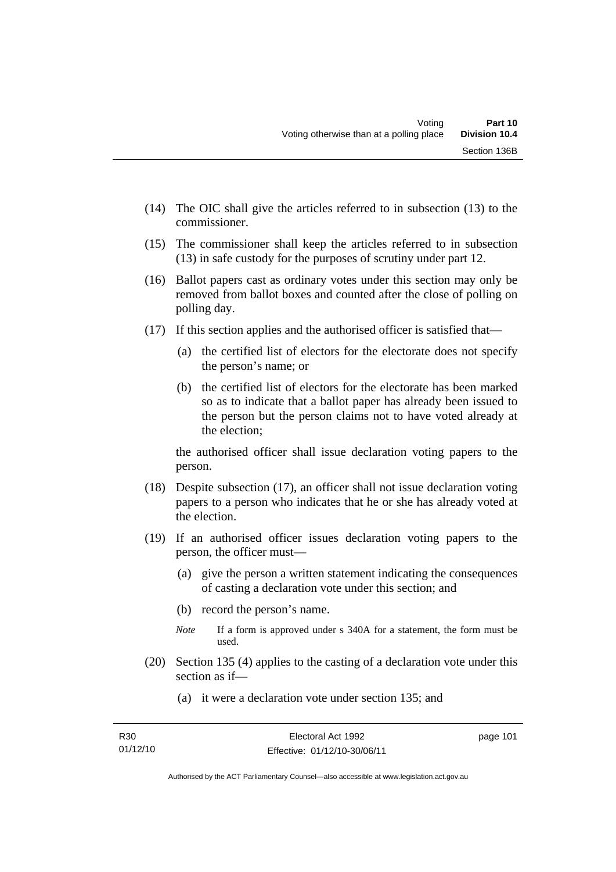- (14) The OIC shall give the articles referred to in subsection (13) to the commissioner.
- (15) The commissioner shall keep the articles referred to in subsection (13) in safe custody for the purposes of scrutiny under part 12.
- (16) Ballot papers cast as ordinary votes under this section may only be removed from ballot boxes and counted after the close of polling on polling day.
- (17) If this section applies and the authorised officer is satisfied that—
	- (a) the certified list of electors for the electorate does not specify the person's name; or
	- (b) the certified list of electors for the electorate has been marked so as to indicate that a ballot paper has already been issued to the person but the person claims not to have voted already at the election;

the authorised officer shall issue declaration voting papers to the person.

- (18) Despite subsection (17), an officer shall not issue declaration voting papers to a person who indicates that he or she has already voted at the election.
- (19) If an authorised officer issues declaration voting papers to the person, the officer must—
	- (a) give the person a written statement indicating the consequences of casting a declaration vote under this section; and
	- (b) record the person's name.
	- *Note* If a form is approved under s 340A for a statement, the form must be used.
- (20) Section 135 (4) applies to the casting of a declaration vote under this section as if—
	- (a) it were a declaration vote under section 135; and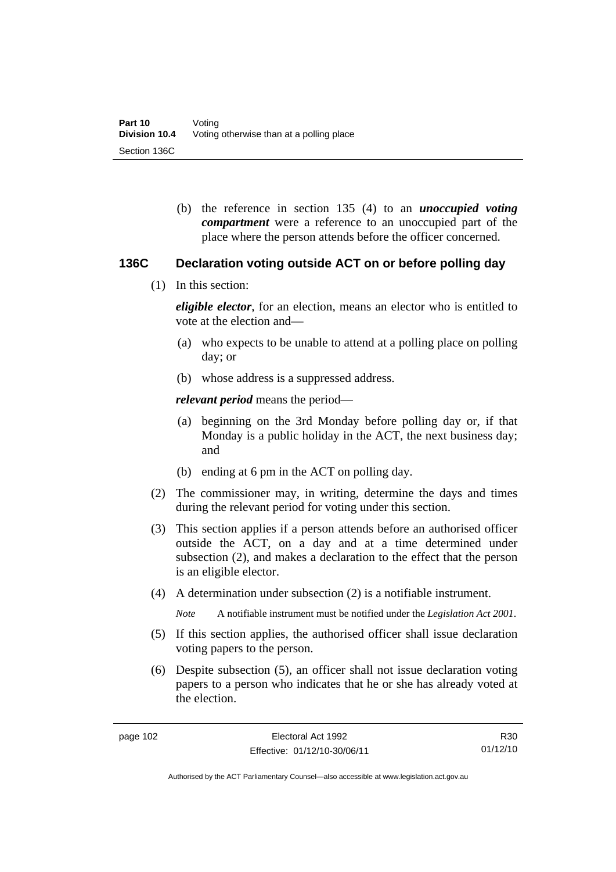(b) the reference in section 135 (4) to an *unoccupied voting compartment* were a reference to an unoccupied part of the place where the person attends before the officer concerned.

#### **136C Declaration voting outside ACT on or before polling day**

(1) In this section:

*eligible elector*, for an election, means an elector who is entitled to vote at the election and—

- (a) who expects to be unable to attend at a polling place on polling day; or
- (b) whose address is a suppressed address.

*relevant period* means the period—

- (a) beginning on the 3rd Monday before polling day or, if that Monday is a public holiday in the ACT, the next business day; and
- (b) ending at 6 pm in the ACT on polling day.
- (2) The commissioner may, in writing, determine the days and times during the relevant period for voting under this section.
- (3) This section applies if a person attends before an authorised officer outside the ACT, on a day and at a time determined under subsection (2), and makes a declaration to the effect that the person is an eligible elector.
- (4) A determination under subsection (2) is a notifiable instrument.

*Note* A notifiable instrument must be notified under the *Legislation Act 2001*.

- (5) If this section applies, the authorised officer shall issue declaration voting papers to the person.
- (6) Despite subsection (5), an officer shall not issue declaration voting papers to a person who indicates that he or she has already voted at the election.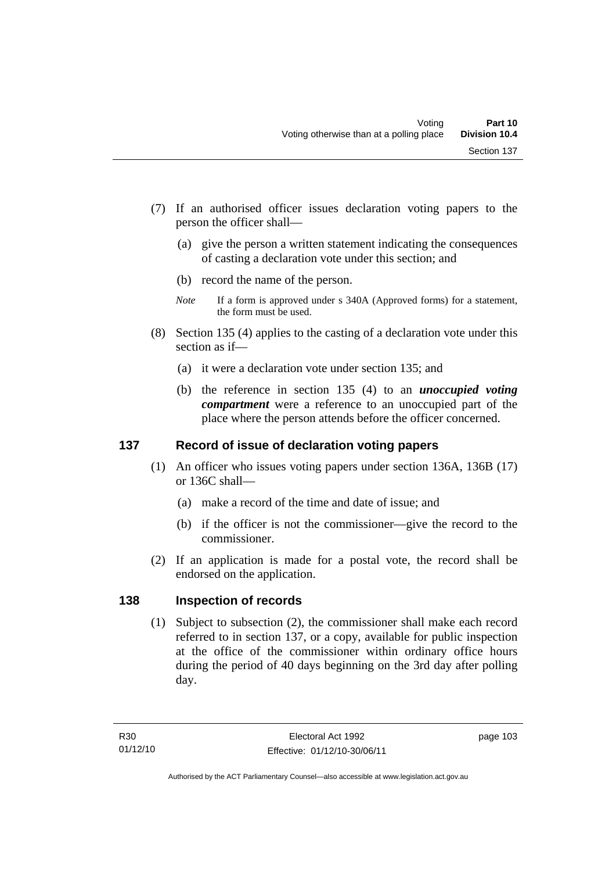- (7) If an authorised officer issues declaration voting papers to the person the officer shall—
	- (a) give the person a written statement indicating the consequences of casting a declaration vote under this section; and
	- (b) record the name of the person.
	- *Note* If a form is approved under s 340A (Approved forms) for a statement, the form must be used.
- (8) Section 135 (4) applies to the casting of a declaration vote under this section as if—
	- (a) it were a declaration vote under section 135; and
	- (b) the reference in section 135 (4) to an *unoccupied voting compartment* were a reference to an unoccupied part of the place where the person attends before the officer concerned.

### **137 Record of issue of declaration voting papers**

- (1) An officer who issues voting papers under section 136A, 136B (17) or 136C shall—
	- (a) make a record of the time and date of issue; and
	- (b) if the officer is not the commissioner—give the record to the commissioner.
- (2) If an application is made for a postal vote, the record shall be endorsed on the application.

### **138 Inspection of records**

(1) Subject to subsection (2), the commissioner shall make each record referred to in section 137, or a copy, available for public inspection at the office of the commissioner within ordinary office hours during the period of 40 days beginning on the 3rd day after polling day.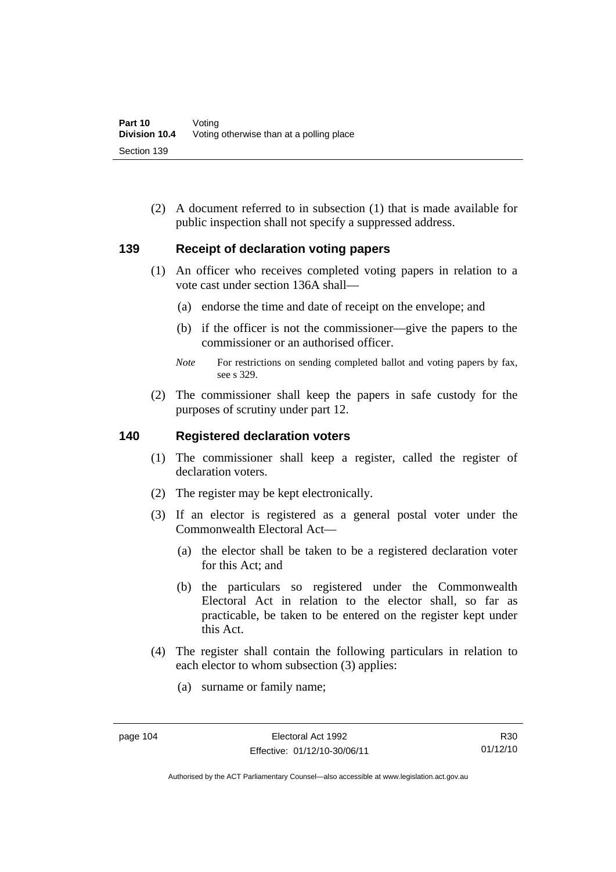(2) A document referred to in subsection (1) that is made available for public inspection shall not specify a suppressed address.

### **139 Receipt of declaration voting papers**

- (1) An officer who receives completed voting papers in relation to a vote cast under section 136A shall—
	- (a) endorse the time and date of receipt on the envelope; and
	- (b) if the officer is not the commissioner—give the papers to the commissioner or an authorised officer.
	- *Note* For restrictions on sending completed ballot and voting papers by fax, see s 329.
- (2) The commissioner shall keep the papers in safe custody for the purposes of scrutiny under part 12.

#### **140 Registered declaration voters**

- (1) The commissioner shall keep a register, called the register of declaration voters.
- (2) The register may be kept electronically.
- (3) If an elector is registered as a general postal voter under the Commonwealth Electoral Act—
	- (a) the elector shall be taken to be a registered declaration voter for this Act; and
	- (b) the particulars so registered under the Commonwealth Electoral Act in relation to the elector shall, so far as practicable, be taken to be entered on the register kept under this Act.
- (4) The register shall contain the following particulars in relation to each elector to whom subsection (3) applies:
	- (a) surname or family name;

Authorised by the ACT Parliamentary Counsel—also accessible at www.legislation.act.gov.au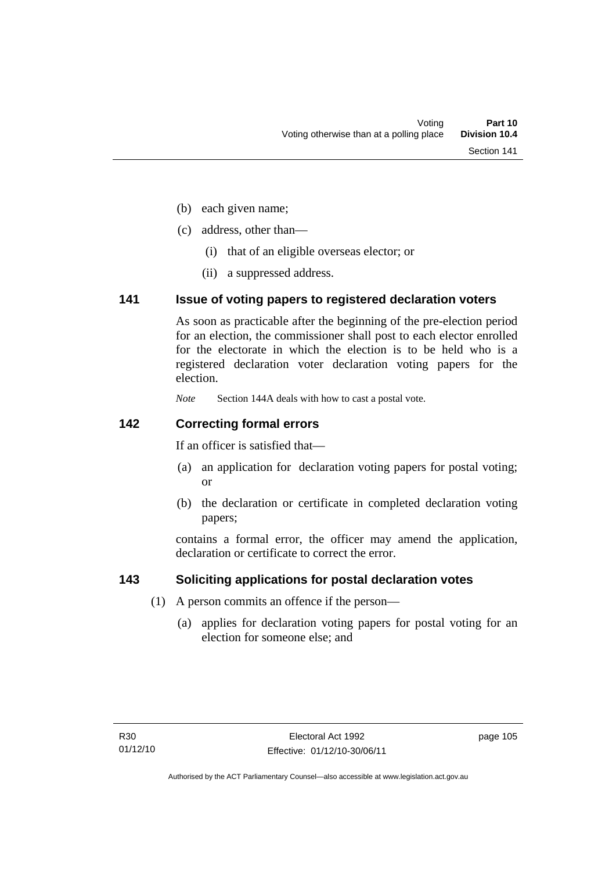- (b) each given name;
- (c) address, other than—
	- (i) that of an eligible overseas elector; or
	- (ii) a suppressed address.

### **141 Issue of voting papers to registered declaration voters**

As soon as practicable after the beginning of the pre-election period for an election, the commissioner shall post to each elector enrolled for the electorate in which the election is to be held who is a registered declaration voter declaration voting papers for the election.

*Note* Section 144A deals with how to cast a postal vote.

### **142 Correcting formal errors**

If an officer is satisfied that—

- (a) an application for declaration voting papers for postal voting; or
- (b) the declaration or certificate in completed declaration voting papers;

contains a formal error, the officer may amend the application, declaration or certificate to correct the error.

### **143 Soliciting applications for postal declaration votes**

- (1) A person commits an offence if the person—
	- (a) applies for declaration voting papers for postal voting for an election for someone else; and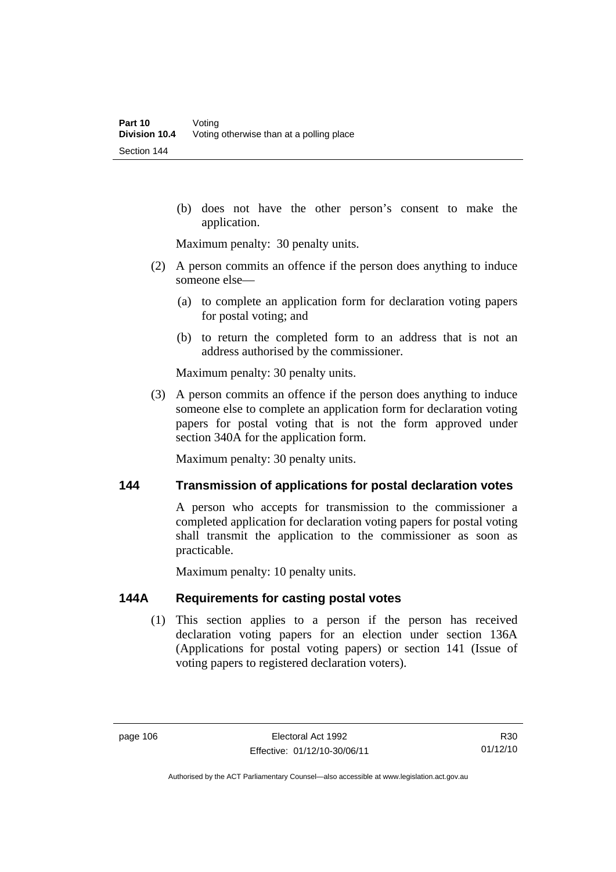(b) does not have the other person's consent to make the application.

Maximum penalty: 30 penalty units.

- (2) A person commits an offence if the person does anything to induce someone else—
	- (a) to complete an application form for declaration voting papers for postal voting; and
	- (b) to return the completed form to an address that is not an address authorised by the commissioner.

Maximum penalty: 30 penalty units.

 (3) A person commits an offence if the person does anything to induce someone else to complete an application form for declaration voting papers for postal voting that is not the form approved under section 340A for the application form.

Maximum penalty: 30 penalty units.

### **144 Transmission of applications for postal declaration votes**

A person who accepts for transmission to the commissioner a completed application for declaration voting papers for postal voting shall transmit the application to the commissioner as soon as practicable.

Maximum penalty: 10 penalty units.

### **144A Requirements for casting postal votes**

(1) This section applies to a person if the person has received declaration voting papers for an election under section 136A (Applications for postal voting papers) or section 141 (Issue of voting papers to registered declaration voters).

R30 01/12/10

Authorised by the ACT Parliamentary Counsel—also accessible at www.legislation.act.gov.au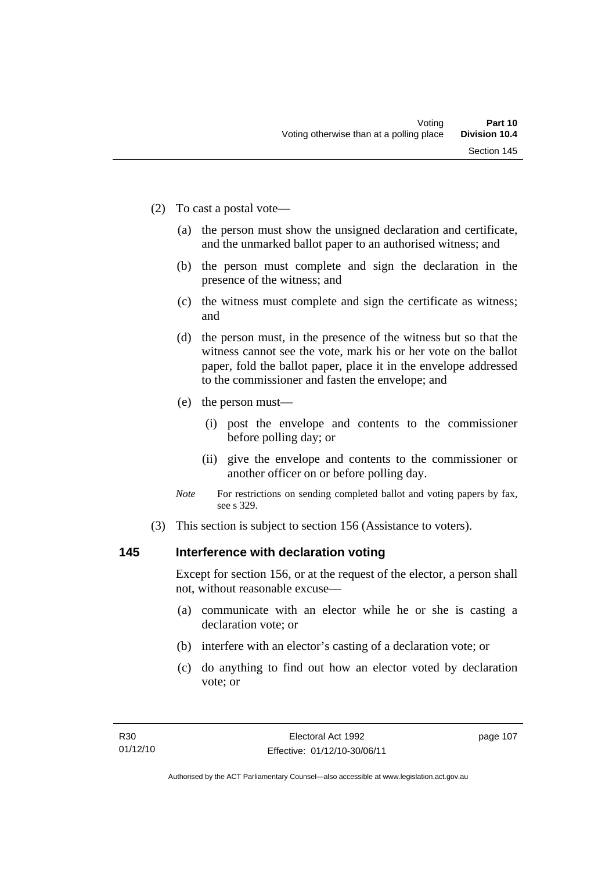- (2) To cast a postal vote—
	- (a) the person must show the unsigned declaration and certificate, and the unmarked ballot paper to an authorised witness; and
	- (b) the person must complete and sign the declaration in the presence of the witness; and
	- (c) the witness must complete and sign the certificate as witness; and
	- (d) the person must, in the presence of the witness but so that the witness cannot see the vote, mark his or her vote on the ballot paper, fold the ballot paper, place it in the envelope addressed to the commissioner and fasten the envelope; and
	- (e) the person must—
		- (i) post the envelope and contents to the commissioner before polling day; or
		- (ii) give the envelope and contents to the commissioner or another officer on or before polling day.
	- *Note* For restrictions on sending completed ballot and voting papers by fax, see s 329.
- (3) This section is subject to section 156 (Assistance to voters).

### **145 Interference with declaration voting**

Except for section 156, or at the request of the elector, a person shall not, without reasonable excuse—

- (a) communicate with an elector while he or she is casting a declaration vote; or
- (b) interfere with an elector's casting of a declaration vote; or
- (c) do anything to find out how an elector voted by declaration vote; or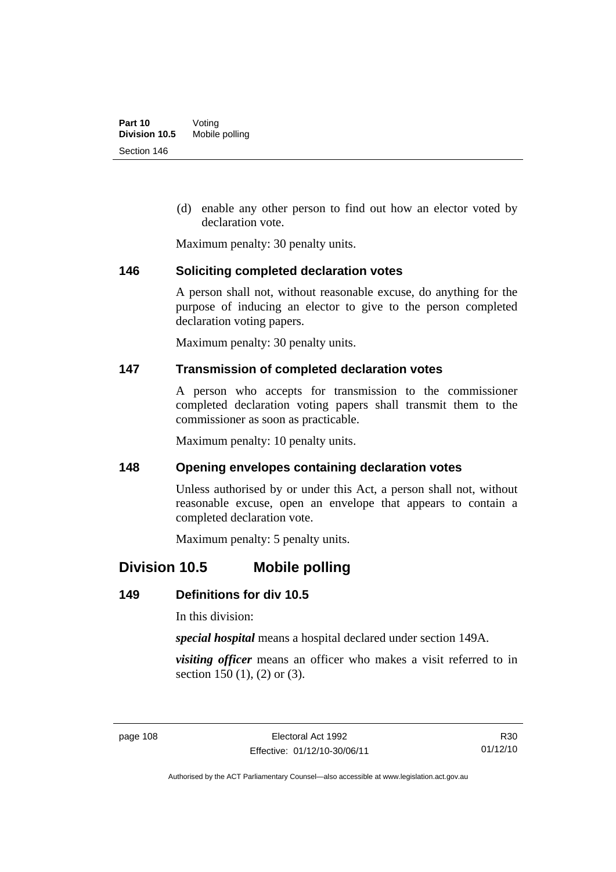(d) enable any other person to find out how an elector voted by declaration vote.

Maximum penalty: 30 penalty units.

### **146 Soliciting completed declaration votes**

A person shall not, without reasonable excuse, do anything for the purpose of inducing an elector to give to the person completed declaration voting papers.

Maximum penalty: 30 penalty units.

### **147 Transmission of completed declaration votes**

A person who accepts for transmission to the commissioner completed declaration voting papers shall transmit them to the commissioner as soon as practicable.

Maximum penalty: 10 penalty units.

### **148 Opening envelopes containing declaration votes**

Unless authorised by or under this Act, a person shall not, without reasonable excuse, open an envelope that appears to contain a completed declaration vote.

Maximum penalty: 5 penalty units.

# **Division 10.5 Mobile polling**

### **149 Definitions for div 10.5**

In this division:

*special hospital* means a hospital declared under section 149A.

*visiting officer* means an officer who makes a visit referred to in section 150 (1), (2) or (3).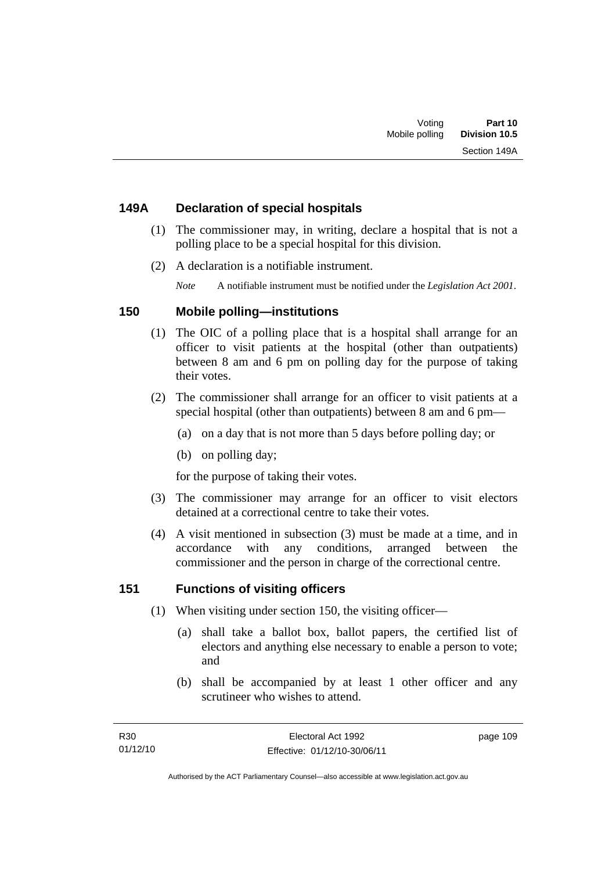### **149A Declaration of special hospitals**

- (1) The commissioner may, in writing, declare a hospital that is not a polling place to be a special hospital for this division.
- (2) A declaration is a notifiable instrument.

*Note* A notifiable instrument must be notified under the *Legislation Act 2001*.

### **150 Mobile polling—institutions**

- (1) The OIC of a polling place that is a hospital shall arrange for an officer to visit patients at the hospital (other than outpatients) between 8 am and 6 pm on polling day for the purpose of taking their votes.
- (2) The commissioner shall arrange for an officer to visit patients at a special hospital (other than outpatients) between 8 am and 6 pm—
	- (a) on a day that is not more than 5 days before polling day; or
	- (b) on polling day;

for the purpose of taking their votes.

- (3) The commissioner may arrange for an officer to visit electors detained at a correctional centre to take their votes.
- (4) A visit mentioned in subsection (3) must be made at a time, and in accordance with any conditions, arranged between the commissioner and the person in charge of the correctional centre.

### **151 Functions of visiting officers**

- (1) When visiting under section 150, the visiting officer—
	- (a) shall take a ballot box, ballot papers, the certified list of electors and anything else necessary to enable a person to vote; and
	- (b) shall be accompanied by at least 1 other officer and any scrutineer who wishes to attend.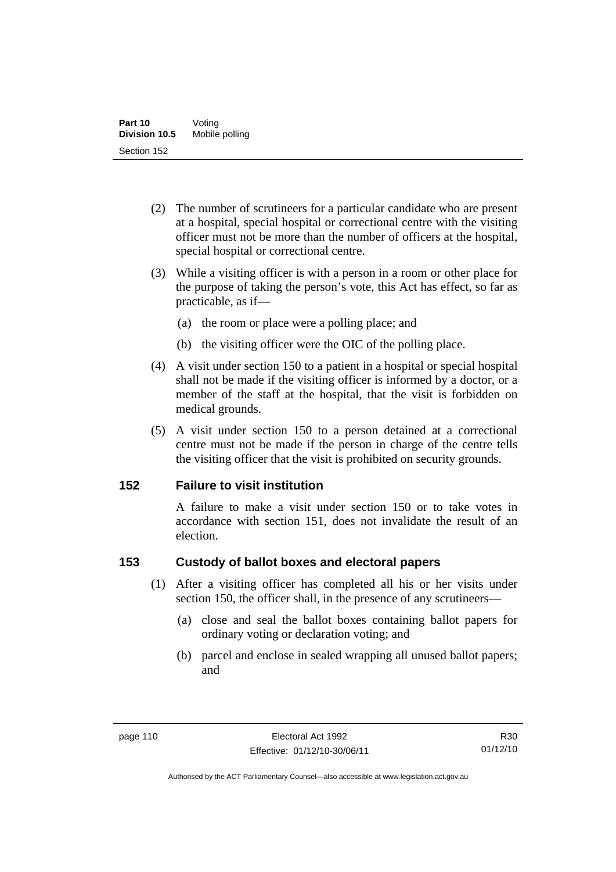- (2) The number of scrutineers for a particular candidate who are present at a hospital, special hospital or correctional centre with the visiting officer must not be more than the number of officers at the hospital, special hospital or correctional centre.
- (3) While a visiting officer is with a person in a room or other place for the purpose of taking the person's vote, this Act has effect, so far as practicable, as if—
	- (a) the room or place were a polling place; and
	- (b) the visiting officer were the OIC of the polling place.
- (4) A visit under section 150 to a patient in a hospital or special hospital shall not be made if the visiting officer is informed by a doctor, or a member of the staff at the hospital, that the visit is forbidden on medical grounds.
- (5) A visit under section 150 to a person detained at a correctional centre must not be made if the person in charge of the centre tells the visiting officer that the visit is prohibited on security grounds.

### **152 Failure to visit institution**

A failure to make a visit under section 150 or to take votes in accordance with section 151, does not invalidate the result of an election.

### **153 Custody of ballot boxes and electoral papers**

- (1) After a visiting officer has completed all his or her visits under section 150, the officer shall, in the presence of any scrutineers—
	- (a) close and seal the ballot boxes containing ballot papers for ordinary voting or declaration voting; and
	- (b) parcel and enclose in sealed wrapping all unused ballot papers; and

R30 01/12/10

Authorised by the ACT Parliamentary Counsel—also accessible at www.legislation.act.gov.au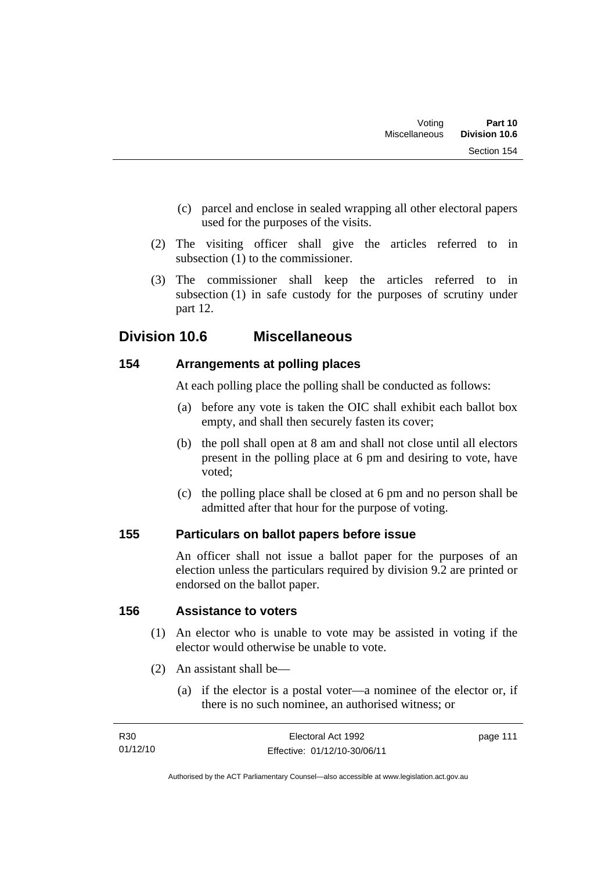- (c) parcel and enclose in sealed wrapping all other electoral papers used for the purposes of the visits.
- (2) The visiting officer shall give the articles referred to in subsection (1) to the commissioner.
- (3) The commissioner shall keep the articles referred to in subsection (1) in safe custody for the purposes of scrutiny under part 12.

# **Division 10.6 Miscellaneous**

### **154 Arrangements at polling places**

At each polling place the polling shall be conducted as follows:

- (a) before any vote is taken the OIC shall exhibit each ballot box empty, and shall then securely fasten its cover;
- (b) the poll shall open at 8 am and shall not close until all electors present in the polling place at 6 pm and desiring to vote, have voted;
- (c) the polling place shall be closed at 6 pm and no person shall be admitted after that hour for the purpose of voting.

### **155 Particulars on ballot papers before issue**

An officer shall not issue a ballot paper for the purposes of an election unless the particulars required by division 9.2 are printed or endorsed on the ballot paper.

### **156 Assistance to voters**

- (1) An elector who is unable to vote may be assisted in voting if the elector would otherwise be unable to vote.
- (2) An assistant shall be—
	- (a) if the elector is a postal voter—a nominee of the elector or, if there is no such nominee, an authorised witness; or

| R30      | Electoral Act 1992           | page 111 |
|----------|------------------------------|----------|
| 01/12/10 | Effective: 01/12/10-30/06/11 |          |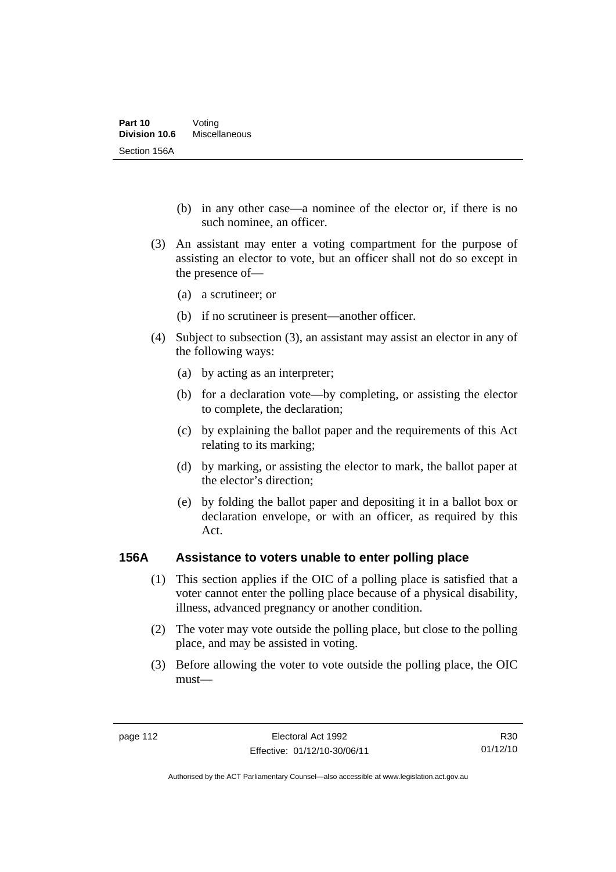- (b) in any other case—a nominee of the elector or, if there is no such nominee, an officer.
- (3) An assistant may enter a voting compartment for the purpose of assisting an elector to vote, but an officer shall not do so except in the presence of—
	- (a) a scrutineer; or
	- (b) if no scrutineer is present—another officer.
- (4) Subject to subsection (3), an assistant may assist an elector in any of the following ways:
	- (a) by acting as an interpreter;
	- (b) for a declaration vote—by completing, or assisting the elector to complete, the declaration;
	- (c) by explaining the ballot paper and the requirements of this Act relating to its marking;
	- (d) by marking, or assisting the elector to mark, the ballot paper at the elector's direction;
	- (e) by folding the ballot paper and depositing it in a ballot box or declaration envelope, or with an officer, as required by this Act.

### **156A Assistance to voters unable to enter polling place**

- (1) This section applies if the OIC of a polling place is satisfied that a voter cannot enter the polling place because of a physical disability, illness, advanced pregnancy or another condition.
- (2) The voter may vote outside the polling place, but close to the polling place, and may be assisted in voting.
- (3) Before allowing the voter to vote outside the polling place, the OIC must—

R30 01/12/10

Authorised by the ACT Parliamentary Counsel—also accessible at www.legislation.act.gov.au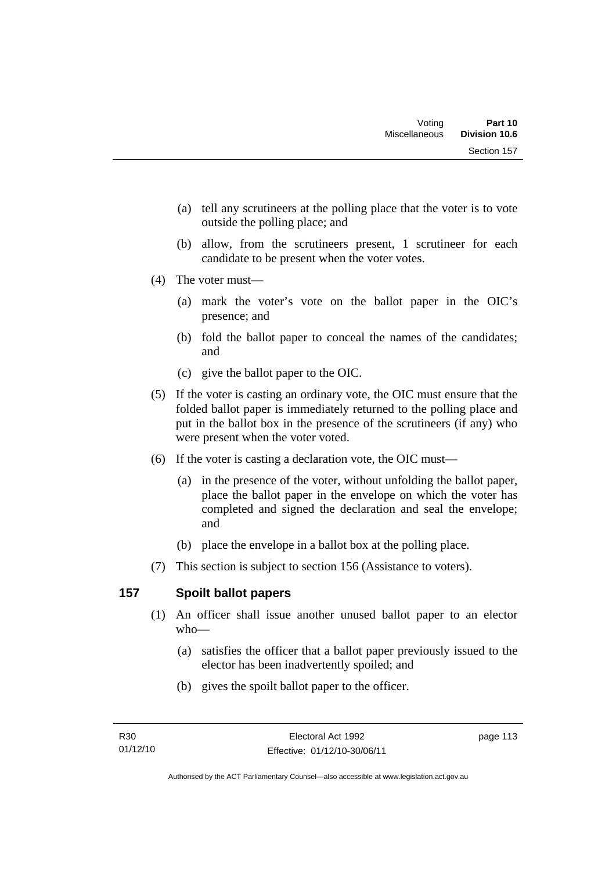- (a) tell any scrutineers at the polling place that the voter is to vote outside the polling place; and
- (b) allow, from the scrutineers present, 1 scrutineer for each candidate to be present when the voter votes.
- (4) The voter must—
	- (a) mark the voter's vote on the ballot paper in the OIC's presence; and
	- (b) fold the ballot paper to conceal the names of the candidates; and
	- (c) give the ballot paper to the OIC.
- (5) If the voter is casting an ordinary vote, the OIC must ensure that the folded ballot paper is immediately returned to the polling place and put in the ballot box in the presence of the scrutineers (if any) who were present when the voter voted.
- (6) If the voter is casting a declaration vote, the OIC must—
	- (a) in the presence of the voter, without unfolding the ballot paper, place the ballot paper in the envelope on which the voter has completed and signed the declaration and seal the envelope; and
	- (b) place the envelope in a ballot box at the polling place.
- (7) This section is subject to section 156 (Assistance to voters).

## **157 Spoilt ballot papers**

- (1) An officer shall issue another unused ballot paper to an elector who—
	- (a) satisfies the officer that a ballot paper previously issued to the elector has been inadvertently spoiled; and
	- (b) gives the spoilt ballot paper to the officer.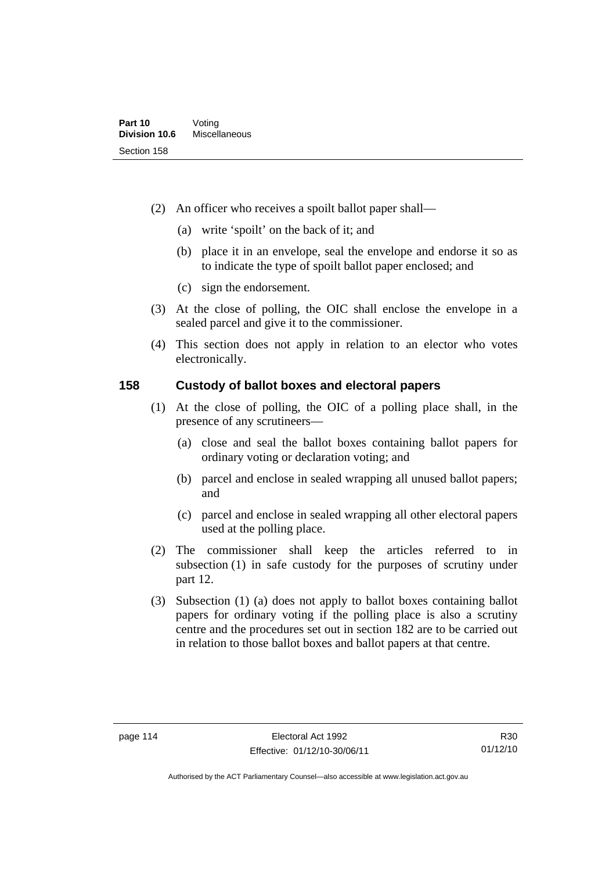- (2) An officer who receives a spoilt ballot paper shall—
	- (a) write 'spoilt' on the back of it; and
	- (b) place it in an envelope, seal the envelope and endorse it so as to indicate the type of spoilt ballot paper enclosed; and
	- (c) sign the endorsement.
- (3) At the close of polling, the OIC shall enclose the envelope in a sealed parcel and give it to the commissioner.
- (4) This section does not apply in relation to an elector who votes electronically.

### **158 Custody of ballot boxes and electoral papers**

- (1) At the close of polling, the OIC of a polling place shall, in the presence of any scrutineers—
	- (a) close and seal the ballot boxes containing ballot papers for ordinary voting or declaration voting; and
	- (b) parcel and enclose in sealed wrapping all unused ballot papers; and
	- (c) parcel and enclose in sealed wrapping all other electoral papers used at the polling place.
- (2) The commissioner shall keep the articles referred to in subsection (1) in safe custody for the purposes of scrutiny under part 12.
- (3) Subsection (1) (a) does not apply to ballot boxes containing ballot papers for ordinary voting if the polling place is also a scrutiny centre and the procedures set out in section 182 are to be carried out in relation to those ballot boxes and ballot papers at that centre.

Authorised by the ACT Parliamentary Counsel—also accessible at www.legislation.act.gov.au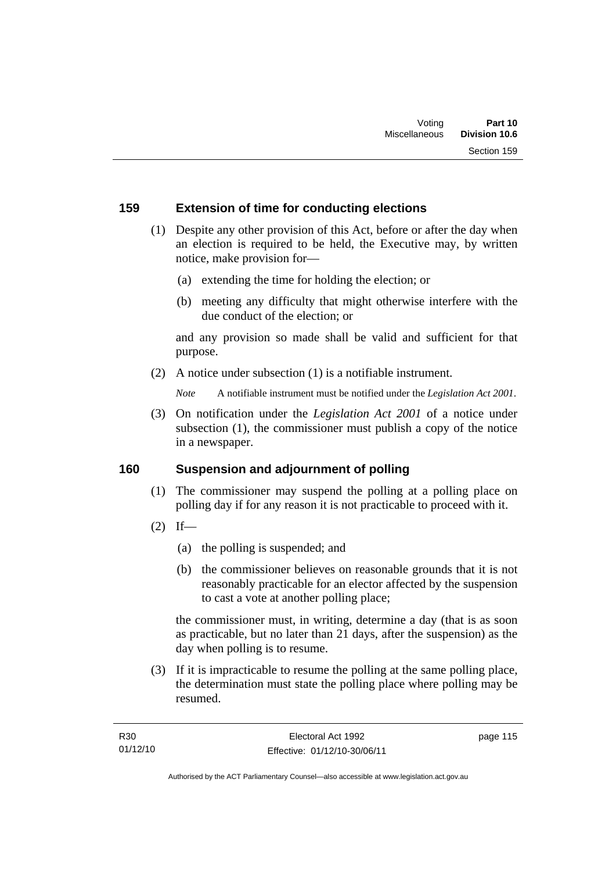### **159 Extension of time for conducting elections**

- (1) Despite any other provision of this Act, before or after the day when an election is required to be held, the Executive may, by written notice, make provision for—
	- (a) extending the time for holding the election; or
	- (b) meeting any difficulty that might otherwise interfere with the due conduct of the election; or

and any provision so made shall be valid and sufficient for that purpose.

(2) A notice under subsection (1) is a notifiable instrument.

*Note* A notifiable instrument must be notified under the *Legislation Act 2001*.

 (3) On notification under the *Legislation Act 2001* of a notice under subsection (1), the commissioner must publish a copy of the notice in a newspaper.

### **160 Suspension and adjournment of polling**

- (1) The commissioner may suspend the polling at a polling place on polling day if for any reason it is not practicable to proceed with it.
- $(2)$  If—
	- (a) the polling is suspended; and
	- (b) the commissioner believes on reasonable grounds that it is not reasonably practicable for an elector affected by the suspension to cast a vote at another polling place;

the commissioner must, in writing, determine a day (that is as soon as practicable, but no later than 21 days, after the suspension) as the day when polling is to resume.

 (3) If it is impracticable to resume the polling at the same polling place, the determination must state the polling place where polling may be resumed.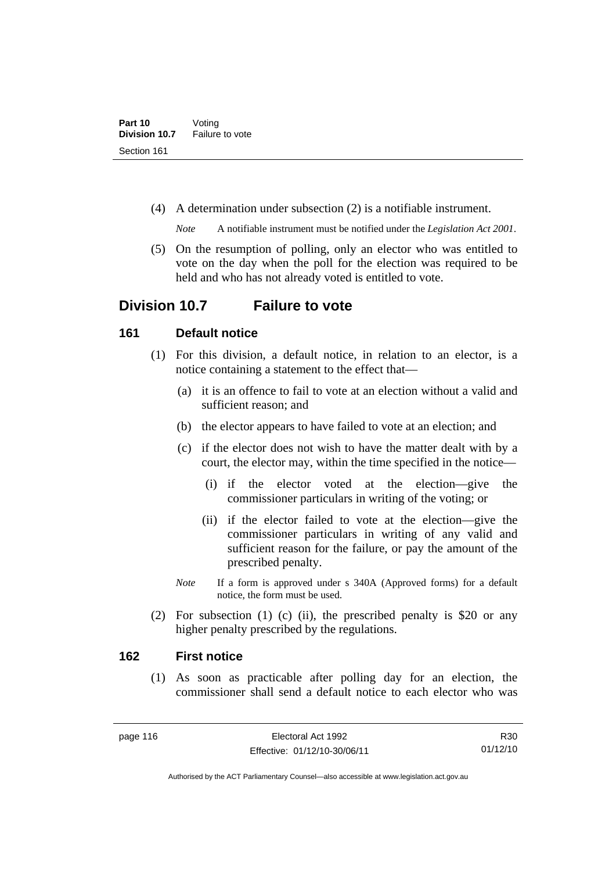(4) A determination under subsection (2) is a notifiable instrument.

*Note* A notifiable instrument must be notified under the *Legislation Act 2001*.

 (5) On the resumption of polling, only an elector who was entitled to vote on the day when the poll for the election was required to be held and who has not already voted is entitled to vote.

## **Division 10.7 Failure to vote**

### **161 Default notice**

- (1) For this division, a default notice, in relation to an elector, is a notice containing a statement to the effect that—
	- (a) it is an offence to fail to vote at an election without a valid and sufficient reason; and
	- (b) the elector appears to have failed to vote at an election; and
	- (c) if the elector does not wish to have the matter dealt with by a court, the elector may, within the time specified in the notice—
		- (i) if the elector voted at the election—give the commissioner particulars in writing of the voting; or
		- (ii) if the elector failed to vote at the election—give the commissioner particulars in writing of any valid and sufficient reason for the failure, or pay the amount of the prescribed penalty.
	- *Note* If a form is approved under s 340A (Approved forms) for a default notice, the form must be used.
- (2) For subsection (1) (c) (ii), the prescribed penalty is \$20 or any higher penalty prescribed by the regulations.

### **162 First notice**

(1) As soon as practicable after polling day for an election, the commissioner shall send a default notice to each elector who was

R30 01/12/10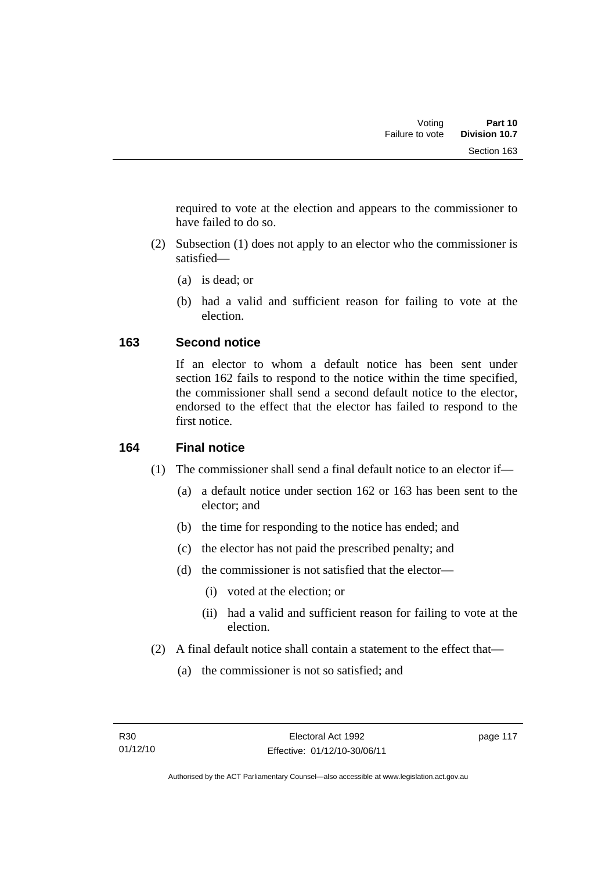required to vote at the election and appears to the commissioner to have failed to do so.

- (2) Subsection (1) does not apply to an elector who the commissioner is satisfied—
	- (a) is dead; or
	- (b) had a valid and sufficient reason for failing to vote at the election.

### **163 Second notice**

If an elector to whom a default notice has been sent under section 162 fails to respond to the notice within the time specified, the commissioner shall send a second default notice to the elector, endorsed to the effect that the elector has failed to respond to the first notice.

### **164 Final notice**

- (1) The commissioner shall send a final default notice to an elector if—
	- (a) a default notice under section 162 or 163 has been sent to the elector; and
	- (b) the time for responding to the notice has ended; and
	- (c) the elector has not paid the prescribed penalty; and
	- (d) the commissioner is not satisfied that the elector—
		- (i) voted at the election; or
		- (ii) had a valid and sufficient reason for failing to vote at the election.
- (2) A final default notice shall contain a statement to the effect that—
	- (a) the commissioner is not so satisfied; and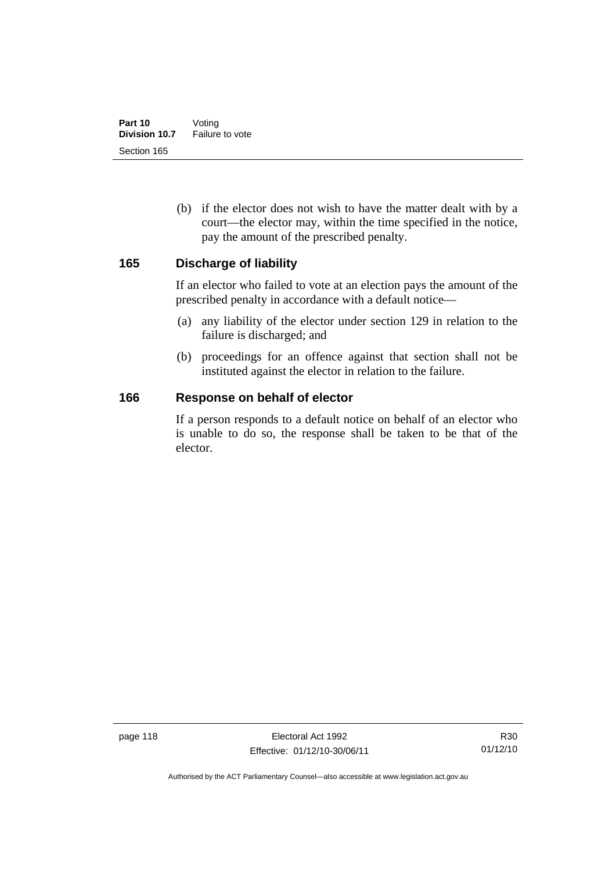(b) if the elector does not wish to have the matter dealt with by a court—the elector may, within the time specified in the notice, pay the amount of the prescribed penalty.

### **165 Discharge of liability**

If an elector who failed to vote at an election pays the amount of the prescribed penalty in accordance with a default notice—

- (a) any liability of the elector under section 129 in relation to the failure is discharged; and
- (b) proceedings for an offence against that section shall not be instituted against the elector in relation to the failure.

### **166 Response on behalf of elector**

If a person responds to a default notice on behalf of an elector who is unable to do so, the response shall be taken to be that of the elector.

Authorised by the ACT Parliamentary Counsel—also accessible at www.legislation.act.gov.au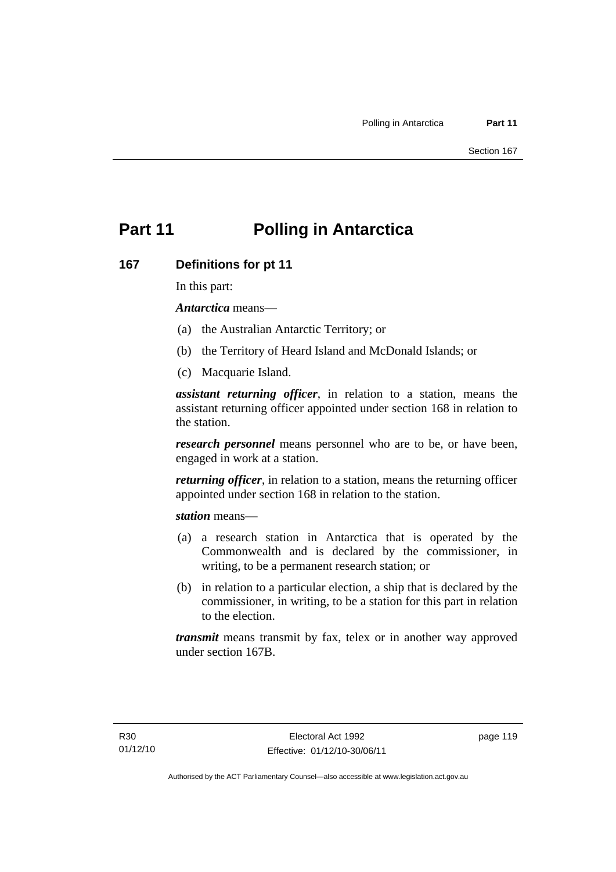# **Part 11 Polling in Antarctica**

### **167 Definitions for pt 11**

In this part:

*Antarctica* means—

- (a) the Australian Antarctic Territory; or
- (b) the Territory of Heard Island and McDonald Islands; or
- (c) Macquarie Island.

*assistant returning officer*, in relation to a station, means the assistant returning officer appointed under section 168 in relation to the station.

*research personnel* means personnel who are to be, or have been, engaged in work at a station.

*returning officer*, in relation to a station, means the returning officer appointed under section 168 in relation to the station.

*station* means—

- (a) a research station in Antarctica that is operated by the Commonwealth and is declared by the commissioner, in writing, to be a permanent research station; or
- (b) in relation to a particular election, a ship that is declared by the commissioner, in writing, to be a station for this part in relation to the election.

*transmit* means transmit by fax, telex or in another way approved under section 167B.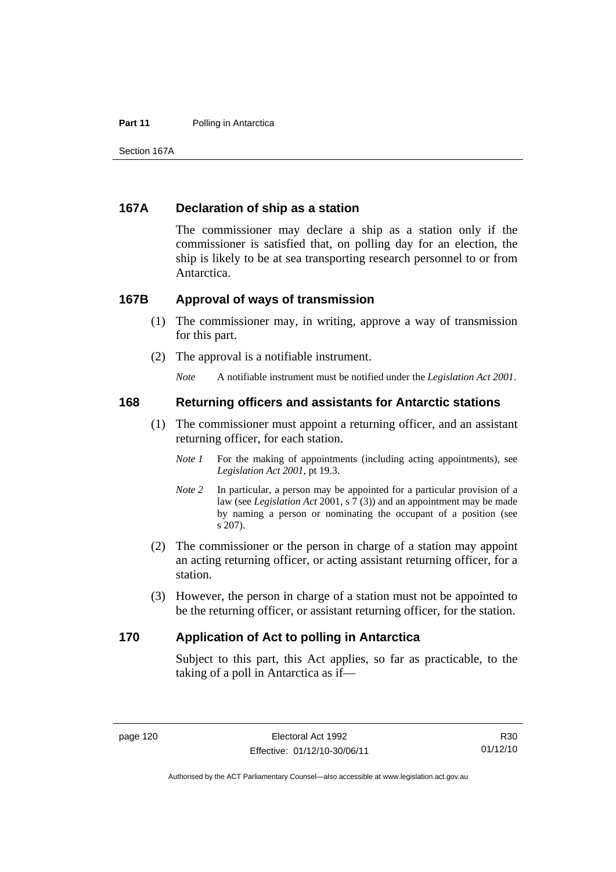#### **Part 11** Polling in Antarctica

Section 167A

### **167A Declaration of ship as a station**

The commissioner may declare a ship as a station only if the commissioner is satisfied that, on polling day for an election, the ship is likely to be at sea transporting research personnel to or from Antarctica.

#### **167B Approval of ways of transmission**

- (1) The commissioner may, in writing, approve a way of transmission for this part.
- (2) The approval is a notifiable instrument.

*Note* A notifiable instrument must be notified under the *Legislation Act 2001*.

#### **168 Returning officers and assistants for Antarctic stations**

- (1) The commissioner must appoint a returning officer, and an assistant returning officer, for each station.
	- *Note 1* For the making of appointments (including acting appointments), see *Legislation Act 2001*, pt 19.3.
	- *Note 2* In particular, a person may be appointed for a particular provision of a law (see *Legislation Act* 2001, s 7 (3)) and an appointment may be made by naming a person or nominating the occupant of a position (see s 207).
- (2) The commissioner or the person in charge of a station may appoint an acting returning officer, or acting assistant returning officer, for a station.
- (3) However, the person in charge of a station must not be appointed to be the returning officer, or assistant returning officer, for the station.

#### **170 Application of Act to polling in Antarctica**

Subject to this part, this Act applies, so far as practicable, to the taking of a poll in Antarctica as if—

Authorised by the ACT Parliamentary Counsel—also accessible at www.legislation.act.gov.au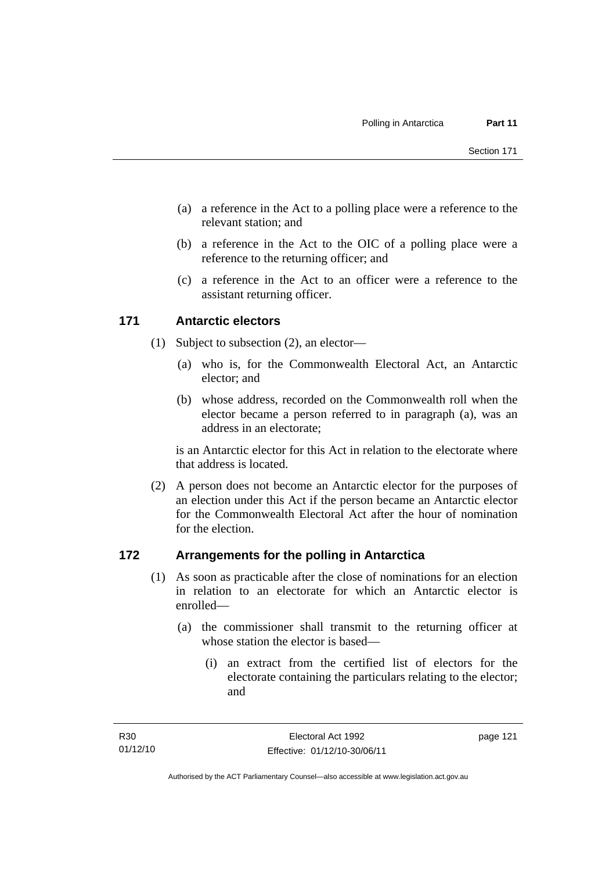- (a) a reference in the Act to a polling place were a reference to the relevant station; and
- (b) a reference in the Act to the OIC of a polling place were a reference to the returning officer; and
- (c) a reference in the Act to an officer were a reference to the assistant returning officer.

### **171 Antarctic electors**

- (1) Subject to subsection (2), an elector—
	- (a) who is, for the Commonwealth Electoral Act, an Antarctic elector; and
	- (b) whose address, recorded on the Commonwealth roll when the elector became a person referred to in paragraph (a), was an address in an electorate;

is an Antarctic elector for this Act in relation to the electorate where that address is located.

 (2) A person does not become an Antarctic elector for the purposes of an election under this Act if the person became an Antarctic elector for the Commonwealth Electoral Act after the hour of nomination for the election.

### **172 Arrangements for the polling in Antarctica**

- (1) As soon as practicable after the close of nominations for an election in relation to an electorate for which an Antarctic elector is enrolled—
	- (a) the commissioner shall transmit to the returning officer at whose station the elector is based—
		- (i) an extract from the certified list of electors for the electorate containing the particulars relating to the elector; and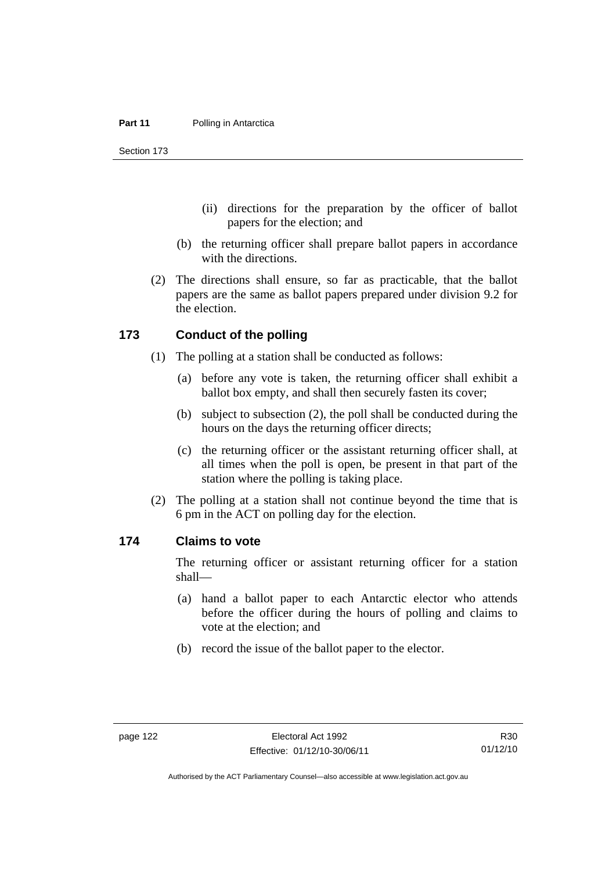Section 173

- (ii) directions for the preparation by the officer of ballot papers for the election; and
- (b) the returning officer shall prepare ballot papers in accordance with the directions.
- (2) The directions shall ensure, so far as practicable, that the ballot papers are the same as ballot papers prepared under division 9.2 for the election.

#### **173 Conduct of the polling**

- (1) The polling at a station shall be conducted as follows:
	- (a) before any vote is taken, the returning officer shall exhibit a ballot box empty, and shall then securely fasten its cover;
	- (b) subject to subsection (2), the poll shall be conducted during the hours on the days the returning officer directs;
	- (c) the returning officer or the assistant returning officer shall, at all times when the poll is open, be present in that part of the station where the polling is taking place.
- (2) The polling at a station shall not continue beyond the time that is 6 pm in the ACT on polling day for the election.

#### **174 Claims to vote**

The returning officer or assistant returning officer for a station shall—

- (a) hand a ballot paper to each Antarctic elector who attends before the officer during the hours of polling and claims to vote at the election; and
- (b) record the issue of the ballot paper to the elector.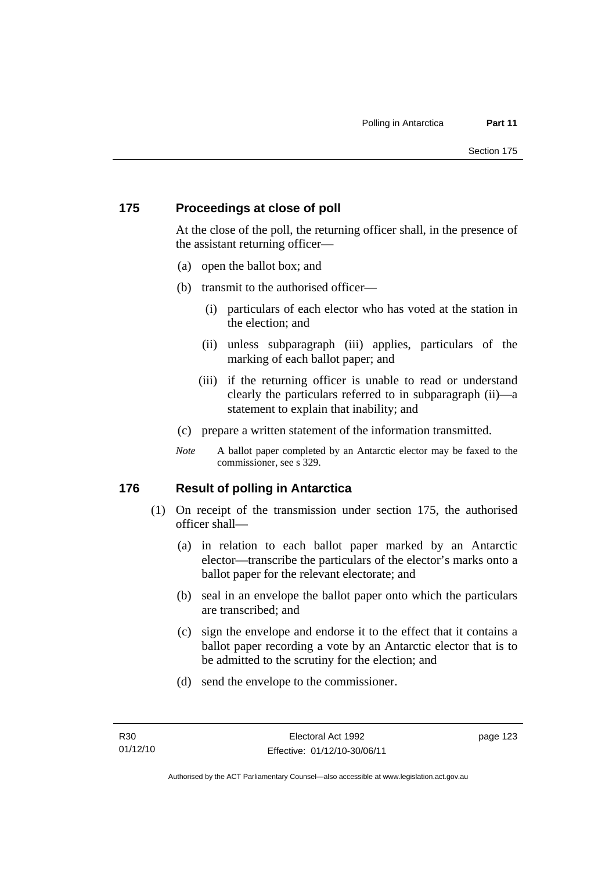### **175 Proceedings at close of poll**

At the close of the poll, the returning officer shall, in the presence of the assistant returning officer—

- (a) open the ballot box; and
- (b) transmit to the authorised officer—
	- (i) particulars of each elector who has voted at the station in the election; and
	- (ii) unless subparagraph (iii) applies, particulars of the marking of each ballot paper; and
	- (iii) if the returning officer is unable to read or understand clearly the particulars referred to in subparagraph (ii)—a statement to explain that inability; and
- (c) prepare a written statement of the information transmitted.
- *Note* A ballot paper completed by an Antarctic elector may be faxed to the commissioner, see s 329.

### **176 Result of polling in Antarctica**

- (1) On receipt of the transmission under section 175, the authorised officer shall—
	- (a) in relation to each ballot paper marked by an Antarctic elector—transcribe the particulars of the elector's marks onto a ballot paper for the relevant electorate; and
	- (b) seal in an envelope the ballot paper onto which the particulars are transcribed; and
	- (c) sign the envelope and endorse it to the effect that it contains a ballot paper recording a vote by an Antarctic elector that is to be admitted to the scrutiny for the election; and
	- (d) send the envelope to the commissioner.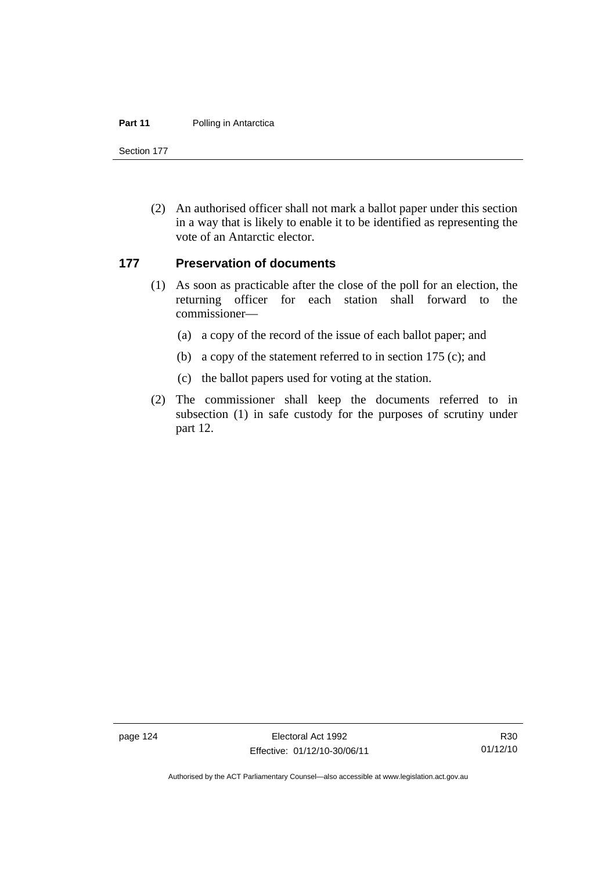#### **Part 11** Polling in Antarctica

Section 177

 (2) An authorised officer shall not mark a ballot paper under this section in a way that is likely to enable it to be identified as representing the vote of an Antarctic elector.

#### **177 Preservation of documents**

- (1) As soon as practicable after the close of the poll for an election, the returning officer for each station shall forward to the commissioner—
	- (a) a copy of the record of the issue of each ballot paper; and
	- (b) a copy of the statement referred to in section 175 (c); and
	- (c) the ballot papers used for voting at the station.
- (2) The commissioner shall keep the documents referred to in subsection (1) in safe custody for the purposes of scrutiny under part 12.

page 124 Electoral Act 1992 Effective: 01/12/10-30/06/11

Authorised by the ACT Parliamentary Counsel—also accessible at www.legislation.act.gov.au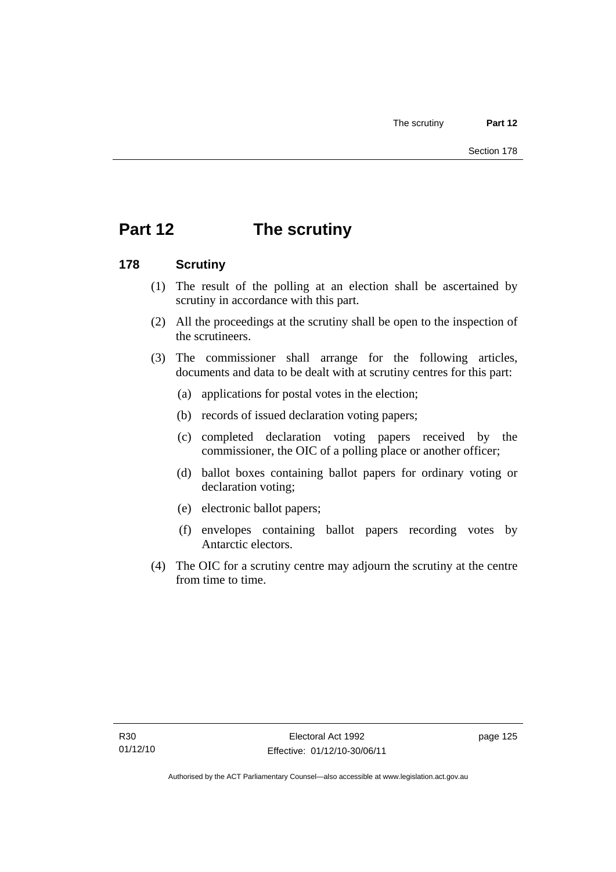# **Part 12 The scrutiny**

### **178 Scrutiny**

- (1) The result of the polling at an election shall be ascertained by scrutiny in accordance with this part.
- (2) All the proceedings at the scrutiny shall be open to the inspection of the scrutineers.
- (3) The commissioner shall arrange for the following articles, documents and data to be dealt with at scrutiny centres for this part:
	- (a) applications for postal votes in the election;
	- (b) records of issued declaration voting papers;
	- (c) completed declaration voting papers received by the commissioner, the OIC of a polling place or another officer;
	- (d) ballot boxes containing ballot papers for ordinary voting or declaration voting;
	- (e) electronic ballot papers;
	- (f) envelopes containing ballot papers recording votes by Antarctic electors.
- (4) The OIC for a scrutiny centre may adjourn the scrutiny at the centre from time to time.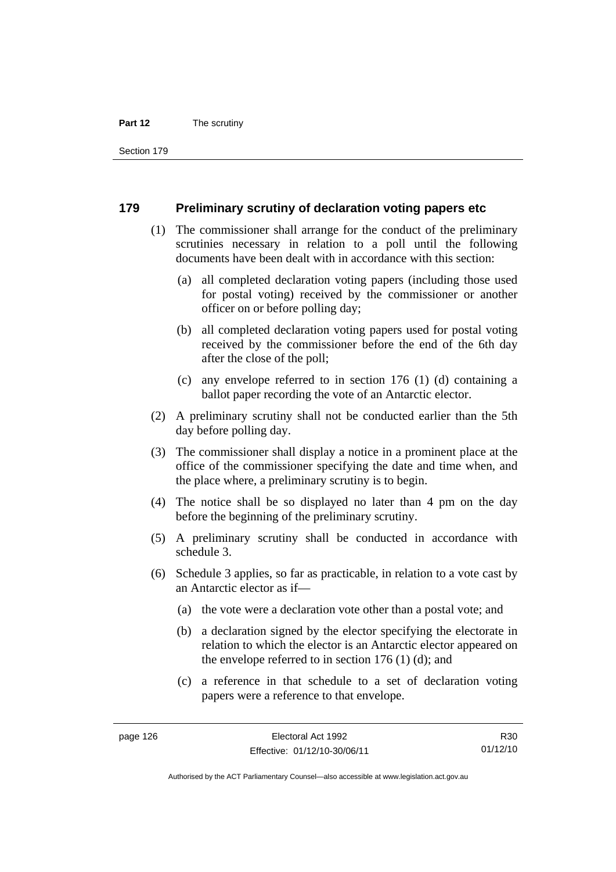#### **Part 12** The scrutiny

Section 179

#### **179 Preliminary scrutiny of declaration voting papers etc**

- (1) The commissioner shall arrange for the conduct of the preliminary scrutinies necessary in relation to a poll until the following documents have been dealt with in accordance with this section:
	- (a) all completed declaration voting papers (including those used for postal voting) received by the commissioner or another officer on or before polling day;
	- (b) all completed declaration voting papers used for postal voting received by the commissioner before the end of the 6th day after the close of the poll;
	- (c) any envelope referred to in section 176 (1) (d) containing a ballot paper recording the vote of an Antarctic elector.
- (2) A preliminary scrutiny shall not be conducted earlier than the 5th day before polling day.
- (3) The commissioner shall display a notice in a prominent place at the office of the commissioner specifying the date and time when, and the place where, a preliminary scrutiny is to begin.
- (4) The notice shall be so displayed no later than 4 pm on the day before the beginning of the preliminary scrutiny.
- (5) A preliminary scrutiny shall be conducted in accordance with schedule 3.
- (6) Schedule 3 applies, so far as practicable, in relation to a vote cast by an Antarctic elector as if—
	- (a) the vote were a declaration vote other than a postal vote; and
	- (b) a declaration signed by the elector specifying the electorate in relation to which the elector is an Antarctic elector appeared on the envelope referred to in section 176 (1) (d); and
	- (c) a reference in that schedule to a set of declaration voting papers were a reference to that envelope.

R30 01/12/10

Authorised by the ACT Parliamentary Counsel—also accessible at www.legislation.act.gov.au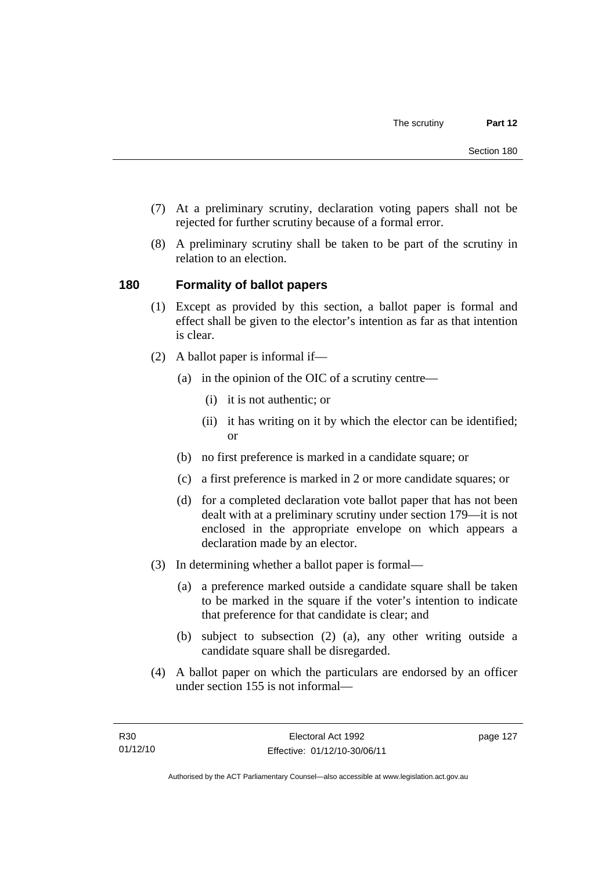- (7) At a preliminary scrutiny, declaration voting papers shall not be rejected for further scrutiny because of a formal error.
- (8) A preliminary scrutiny shall be taken to be part of the scrutiny in relation to an election.

# **180 Formality of ballot papers**

- (1) Except as provided by this section, a ballot paper is formal and effect shall be given to the elector's intention as far as that intention is clear.
- (2) A ballot paper is informal if—
	- (a) in the opinion of the OIC of a scrutiny centre—
		- (i) it is not authentic; or
		- (ii) it has writing on it by which the elector can be identified; or
	- (b) no first preference is marked in a candidate square; or
	- (c) a first preference is marked in 2 or more candidate squares; or
	- (d) for a completed declaration vote ballot paper that has not been dealt with at a preliminary scrutiny under section 179—it is not enclosed in the appropriate envelope on which appears a declaration made by an elector.
- (3) In determining whether a ballot paper is formal—
	- (a) a preference marked outside a candidate square shall be taken to be marked in the square if the voter's intention to indicate that preference for that candidate is clear; and
	- (b) subject to subsection (2) (a), any other writing outside a candidate square shall be disregarded.
- (4) A ballot paper on which the particulars are endorsed by an officer under section 155 is not informal—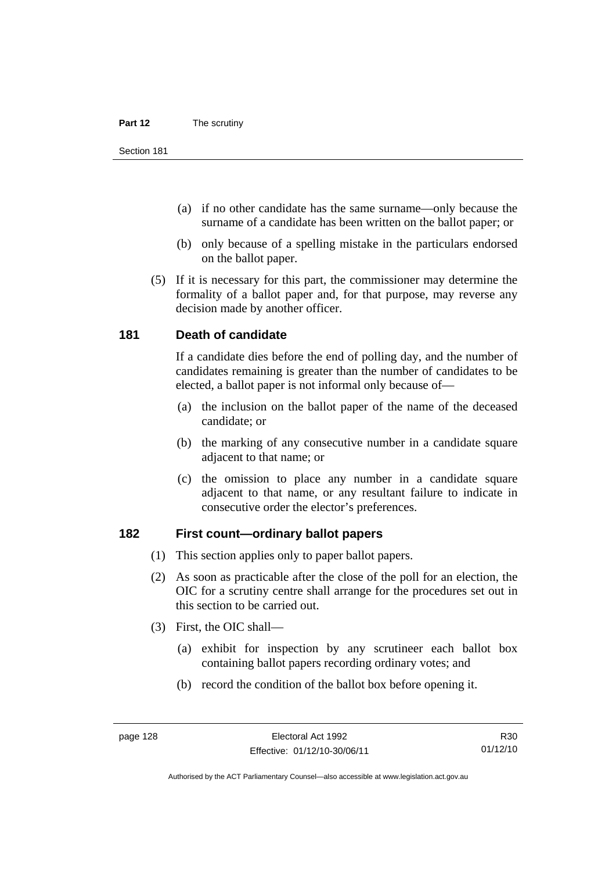- (a) if no other candidate has the same surname—only because the surname of a candidate has been written on the ballot paper; or
- (b) only because of a spelling mistake in the particulars endorsed on the ballot paper.
- (5) If it is necessary for this part, the commissioner may determine the formality of a ballot paper and, for that purpose, may reverse any decision made by another officer.

#### **181 Death of candidate**

If a candidate dies before the end of polling day, and the number of candidates remaining is greater than the number of candidates to be elected, a ballot paper is not informal only because of—

- (a) the inclusion on the ballot paper of the name of the deceased candidate; or
- (b) the marking of any consecutive number in a candidate square adjacent to that name; or
- (c) the omission to place any number in a candidate square adjacent to that name, or any resultant failure to indicate in consecutive order the elector's preferences.

#### **182 First count—ordinary ballot papers**

- (1) This section applies only to paper ballot papers.
- (2) As soon as practicable after the close of the poll for an election, the OIC for a scrutiny centre shall arrange for the procedures set out in this section to be carried out.
- (3) First, the OIC shall—
	- (a) exhibit for inspection by any scrutineer each ballot box containing ballot papers recording ordinary votes; and
	- (b) record the condition of the ballot box before opening it.

R30 01/12/10

Authorised by the ACT Parliamentary Counsel—also accessible at www.legislation.act.gov.au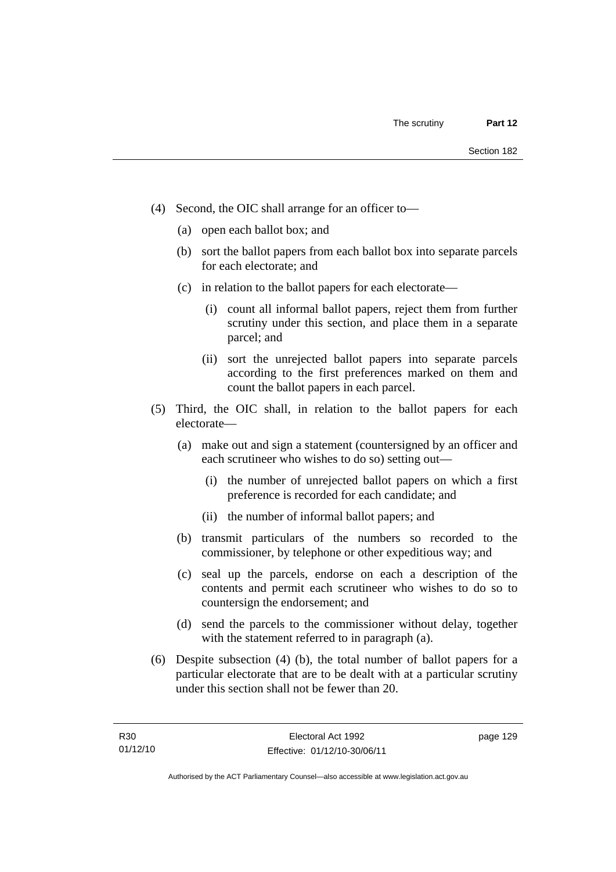- (4) Second, the OIC shall arrange for an officer to—
	- (a) open each ballot box; and
	- (b) sort the ballot papers from each ballot box into separate parcels for each electorate; and
	- (c) in relation to the ballot papers for each electorate—
		- (i) count all informal ballot papers, reject them from further scrutiny under this section, and place them in a separate parcel; and
		- (ii) sort the unrejected ballot papers into separate parcels according to the first preferences marked on them and count the ballot papers in each parcel.
- (5) Third, the OIC shall, in relation to the ballot papers for each electorate—
	- (a) make out and sign a statement (countersigned by an officer and each scrutineer who wishes to do so) setting out—
		- (i) the number of unrejected ballot papers on which a first preference is recorded for each candidate; and
		- (ii) the number of informal ballot papers; and
	- (b) transmit particulars of the numbers so recorded to the commissioner, by telephone or other expeditious way; and
	- (c) seal up the parcels, endorse on each a description of the contents and permit each scrutineer who wishes to do so to countersign the endorsement; and
	- (d) send the parcels to the commissioner without delay, together with the statement referred to in paragraph (a).
- (6) Despite subsection (4) (b), the total number of ballot papers for a particular electorate that are to be dealt with at a particular scrutiny under this section shall not be fewer than 20.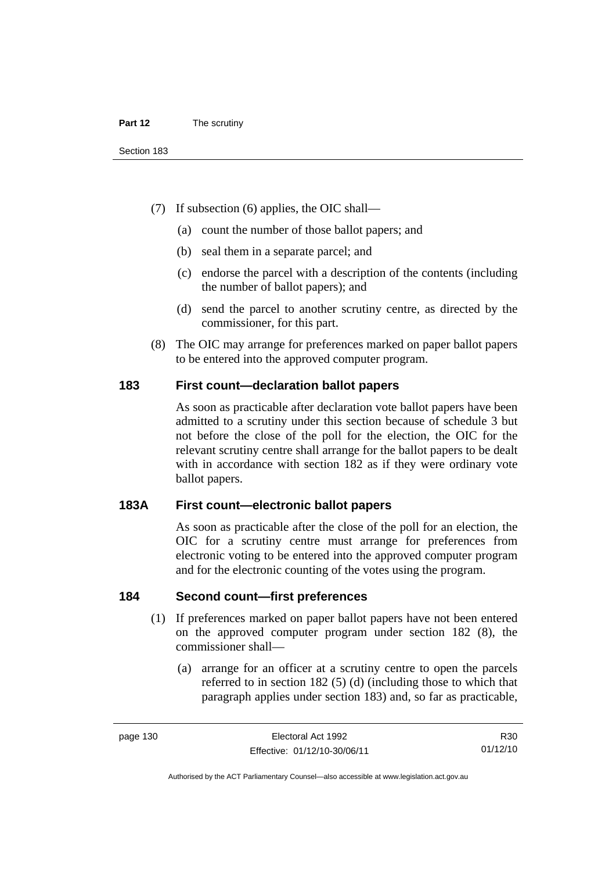- (7) If subsection (6) applies, the OIC shall—
	- (a) count the number of those ballot papers; and
	- (b) seal them in a separate parcel; and
	- (c) endorse the parcel with a description of the contents (including the number of ballot papers); and
	- (d) send the parcel to another scrutiny centre, as directed by the commissioner, for this part.
- (8) The OIC may arrange for preferences marked on paper ballot papers to be entered into the approved computer program.

#### **183 First count—declaration ballot papers**

As soon as practicable after declaration vote ballot papers have been admitted to a scrutiny under this section because of schedule 3 but not before the close of the poll for the election, the OIC for the relevant scrutiny centre shall arrange for the ballot papers to be dealt with in accordance with section 182 as if they were ordinary vote ballot papers.

#### **183A First count—electronic ballot papers**

As soon as practicable after the close of the poll for an election, the OIC for a scrutiny centre must arrange for preferences from electronic voting to be entered into the approved computer program and for the electronic counting of the votes using the program.

#### **184 Second count—first preferences**

- (1) If preferences marked on paper ballot papers have not been entered on the approved computer program under section 182 (8), the commissioner shall—
	- (a) arrange for an officer at a scrutiny centre to open the parcels referred to in section 182 (5) (d) (including those to which that paragraph applies under section 183) and, so far as practicable,

Authorised by the ACT Parliamentary Counsel—also accessible at www.legislation.act.gov.au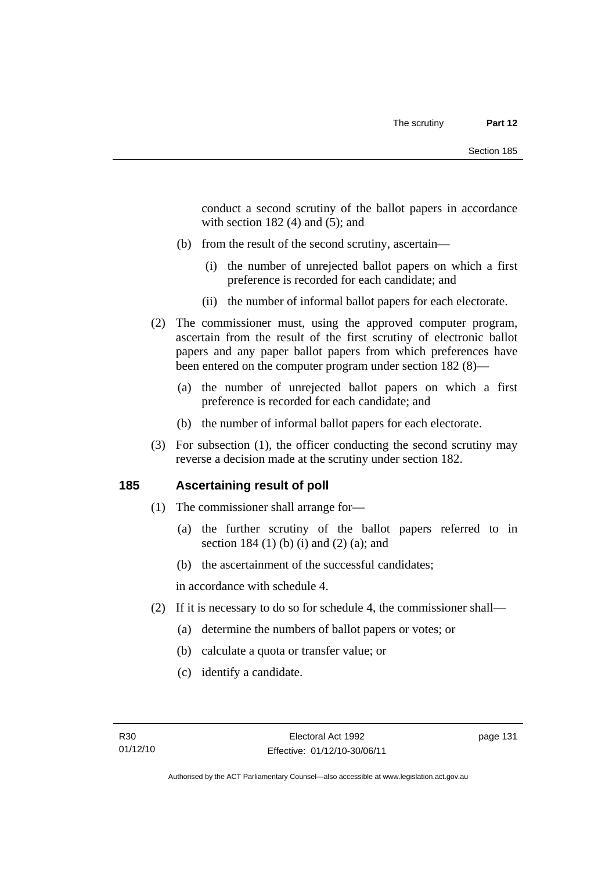conduct a second scrutiny of the ballot papers in accordance with section  $182(4)$  and  $(5)$ ; and

- (b) from the result of the second scrutiny, ascertain—
	- (i) the number of unrejected ballot papers on which a first preference is recorded for each candidate; and
	- (ii) the number of informal ballot papers for each electorate.
- (2) The commissioner must, using the approved computer program, ascertain from the result of the first scrutiny of electronic ballot papers and any paper ballot papers from which preferences have been entered on the computer program under section 182 (8)—
	- (a) the number of unrejected ballot papers on which a first preference is recorded for each candidate; and
	- (b) the number of informal ballot papers for each electorate.
- (3) For subsection (1), the officer conducting the second scrutiny may reverse a decision made at the scrutiny under section 182.

#### **185 Ascertaining result of poll**

- (1) The commissioner shall arrange for—
	- (a) the further scrutiny of the ballot papers referred to in section 184 (1) (b) (i) and (2) (a); and
	- (b) the ascertainment of the successful candidates;

in accordance with schedule 4.

- (2) If it is necessary to do so for schedule 4, the commissioner shall—
	- (a) determine the numbers of ballot papers or votes; or
	- (b) calculate a quota or transfer value; or
	- (c) identify a candidate.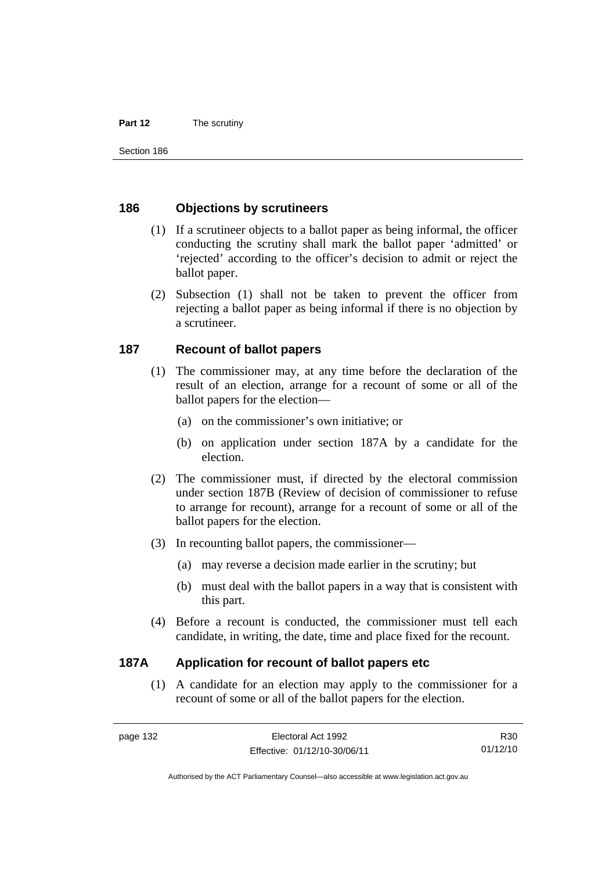#### **Part 12** The scrutiny

#### **186 Objections by scrutineers**

- (1) If a scrutineer objects to a ballot paper as being informal, the officer conducting the scrutiny shall mark the ballot paper 'admitted' or 'rejected' according to the officer's decision to admit or reject the ballot paper.
- (2) Subsection (1) shall not be taken to prevent the officer from rejecting a ballot paper as being informal if there is no objection by a scrutineer.

#### **187 Recount of ballot papers**

- (1) The commissioner may, at any time before the declaration of the result of an election, arrange for a recount of some or all of the ballot papers for the election—
	- (a) on the commissioner's own initiative; or
	- (b) on application under section 187A by a candidate for the election.
- (2) The commissioner must, if directed by the electoral commission under section 187B (Review of decision of commissioner to refuse to arrange for recount), arrange for a recount of some or all of the ballot papers for the election.
- (3) In recounting ballot papers, the commissioner—
	- (a) may reverse a decision made earlier in the scrutiny; but
	- (b) must deal with the ballot papers in a way that is consistent with this part.
- (4) Before a recount is conducted, the commissioner must tell each candidate, in writing, the date, time and place fixed for the recount.

#### **187A Application for recount of ballot papers etc**

(1) A candidate for an election may apply to the commissioner for a recount of some or all of the ballot papers for the election.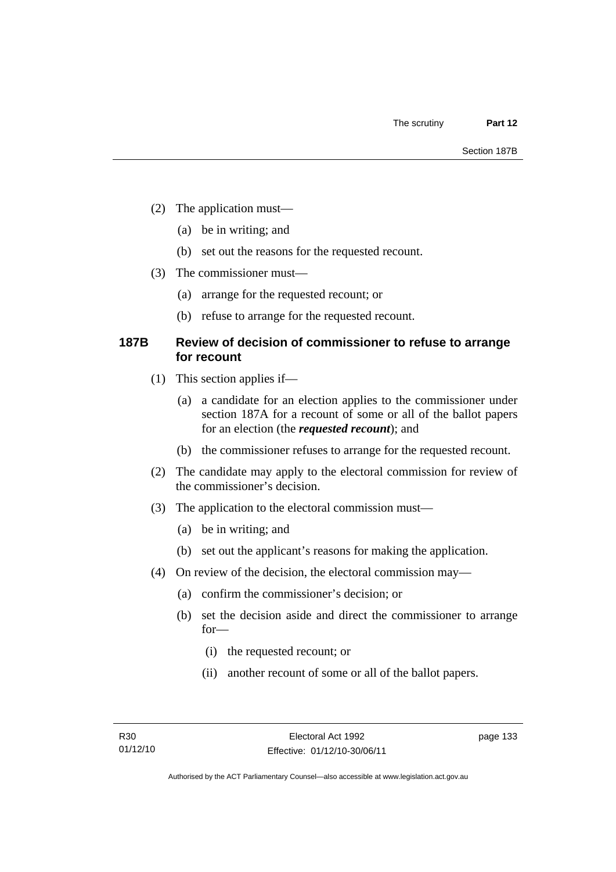- (2) The application must—
	- (a) be in writing; and
	- (b) set out the reasons for the requested recount.
- (3) The commissioner must—
	- (a) arrange for the requested recount; or
	- (b) refuse to arrange for the requested recount.

#### **187B Review of decision of commissioner to refuse to arrange for recount**

- (1) This section applies if—
	- (a) a candidate for an election applies to the commissioner under section 187A for a recount of some or all of the ballot papers for an election (the *requested recount*); and
	- (b) the commissioner refuses to arrange for the requested recount.
- (2) The candidate may apply to the electoral commission for review of the commissioner's decision.
- (3) The application to the electoral commission must—
	- (a) be in writing; and
	- (b) set out the applicant's reasons for making the application.
- (4) On review of the decision, the electoral commission may—
	- (a) confirm the commissioner's decision; or
	- (b) set the decision aside and direct the commissioner to arrange for—
		- (i) the requested recount; or
		- (ii) another recount of some or all of the ballot papers.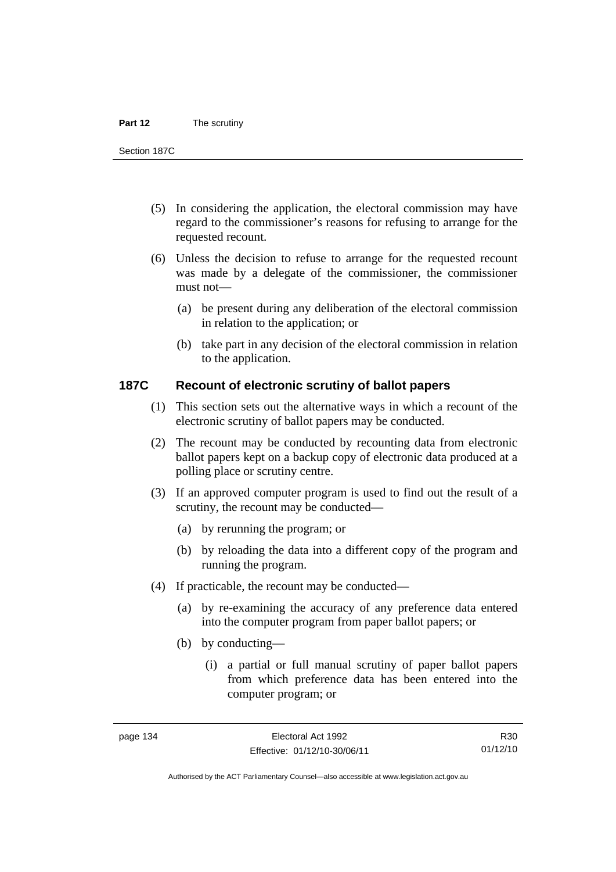#### **Part 12** The scrutiny

Section 187C

- (5) In considering the application, the electoral commission may have regard to the commissioner's reasons for refusing to arrange for the requested recount.
- (6) Unless the decision to refuse to arrange for the requested recount was made by a delegate of the commissioner, the commissioner must not—
	- (a) be present during any deliberation of the electoral commission in relation to the application; or
	- (b) take part in any decision of the electoral commission in relation to the application.

#### **187C Recount of electronic scrutiny of ballot papers**

- (1) This section sets out the alternative ways in which a recount of the electronic scrutiny of ballot papers may be conducted.
- (2) The recount may be conducted by recounting data from electronic ballot papers kept on a backup copy of electronic data produced at a polling place or scrutiny centre.
- (3) If an approved computer program is used to find out the result of a scrutiny, the recount may be conducted—
	- (a) by rerunning the program; or
	- (b) by reloading the data into a different copy of the program and running the program.
- (4) If practicable, the recount may be conducted—
	- (a) by re-examining the accuracy of any preference data entered into the computer program from paper ballot papers; or
	- (b) by conducting—
		- (i) a partial or full manual scrutiny of paper ballot papers from which preference data has been entered into the computer program; or

R30 01/12/10

Authorised by the ACT Parliamentary Counsel—also accessible at www.legislation.act.gov.au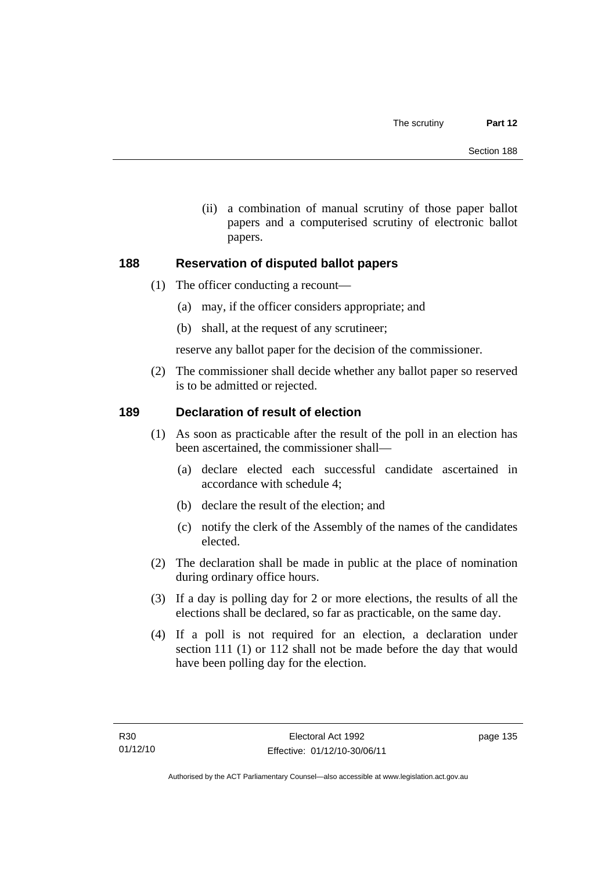(ii) a combination of manual scrutiny of those paper ballot papers and a computerised scrutiny of electronic ballot papers.

#### **188 Reservation of disputed ballot papers**

- (1) The officer conducting a recount—
	- (a) may, if the officer considers appropriate; and
	- (b) shall, at the request of any scrutineer;

reserve any ballot paper for the decision of the commissioner.

 (2) The commissioner shall decide whether any ballot paper so reserved is to be admitted or rejected.

# **189 Declaration of result of election**

- (1) As soon as practicable after the result of the poll in an election has been ascertained, the commissioner shall—
	- (a) declare elected each successful candidate ascertained in accordance with schedule 4;
	- (b) declare the result of the election; and
	- (c) notify the clerk of the Assembly of the names of the candidates elected.
- (2) The declaration shall be made in public at the place of nomination during ordinary office hours.
- (3) If a day is polling day for 2 or more elections, the results of all the elections shall be declared, so far as practicable, on the same day.
- (4) If a poll is not required for an election, a declaration under section 111 (1) or 112 shall not be made before the day that would have been polling day for the election.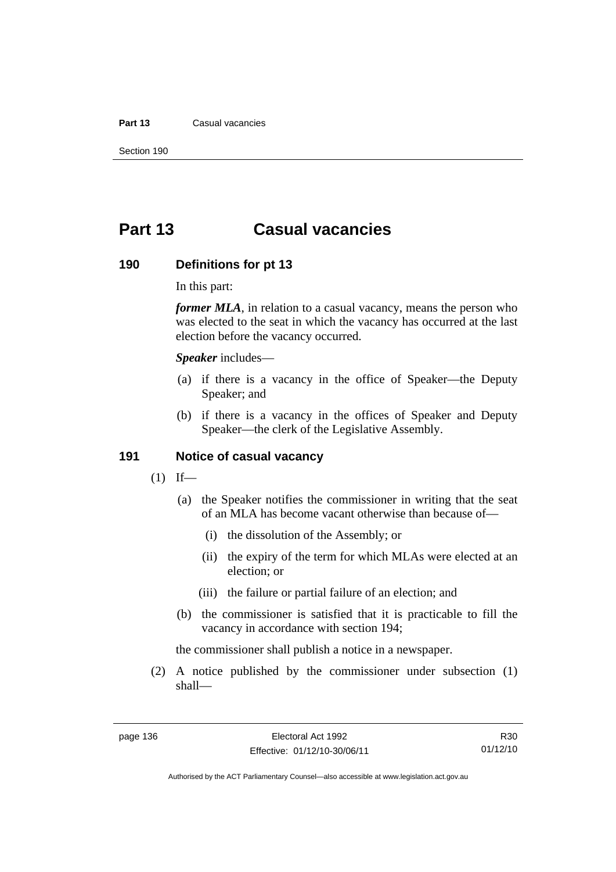#### **Part 13** Casual vacancies

Section 190

# **Part 13 Casual vacancies**

#### **190 Definitions for pt 13**

In this part:

*former MLA*, in relation to a casual vacancy, means the person who was elected to the seat in which the vacancy has occurred at the last election before the vacancy occurred.

*Speaker* includes—

- (a) if there is a vacancy in the office of Speaker—the Deputy Speaker; and
- (b) if there is a vacancy in the offices of Speaker and Deputy Speaker—the clerk of the Legislative Assembly.

#### **191 Notice of casual vacancy**

- $(1)$  If—
	- (a) the Speaker notifies the commissioner in writing that the seat of an MLA has become vacant otherwise than because of—
		- (i) the dissolution of the Assembly; or
		- (ii) the expiry of the term for which MLAs were elected at an election; or
		- (iii) the failure or partial failure of an election; and
	- (b) the commissioner is satisfied that it is practicable to fill the vacancy in accordance with section 194;

the commissioner shall publish a notice in a newspaper.

 (2) A notice published by the commissioner under subsection (1) shall—

R30 01/12/10

Authorised by the ACT Parliamentary Counsel—also accessible at www.legislation.act.gov.au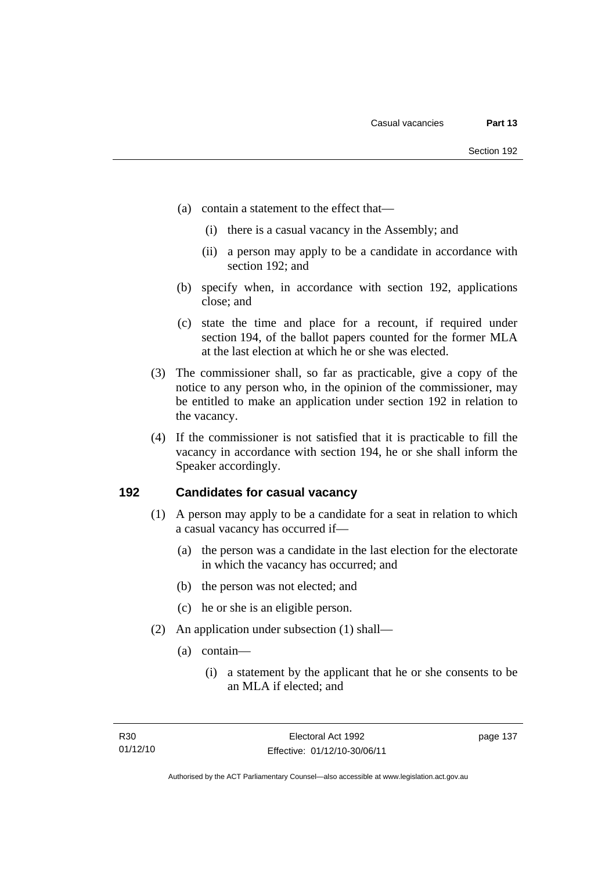- (a) contain a statement to the effect that—
	- (i) there is a casual vacancy in the Assembly; and
	- (ii) a person may apply to be a candidate in accordance with section 192; and
- (b) specify when, in accordance with section 192, applications close; and
- (c) state the time and place for a recount, if required under section 194, of the ballot papers counted for the former MLA at the last election at which he or she was elected.
- (3) The commissioner shall, so far as practicable, give a copy of the notice to any person who, in the opinion of the commissioner, may be entitled to make an application under section 192 in relation to the vacancy.
- (4) If the commissioner is not satisfied that it is practicable to fill the vacancy in accordance with section 194, he or she shall inform the Speaker accordingly.

#### **192 Candidates for casual vacancy**

- (1) A person may apply to be a candidate for a seat in relation to which a casual vacancy has occurred if—
	- (a) the person was a candidate in the last election for the electorate in which the vacancy has occurred; and
	- (b) the person was not elected; and
	- (c) he or she is an eligible person.
- (2) An application under subsection (1) shall—
	- (a) contain—
		- (i) a statement by the applicant that he or she consents to be an MLA if elected; and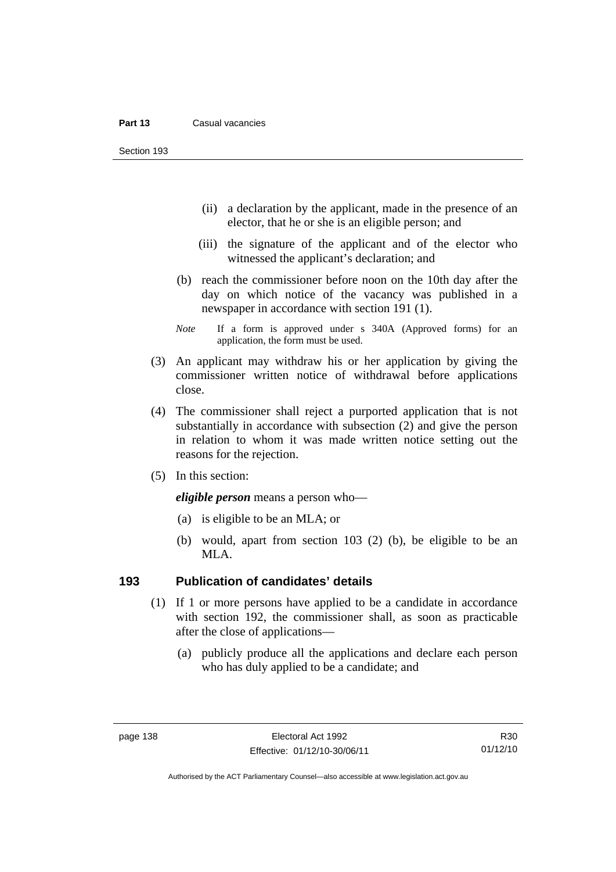Section 193

- (ii) a declaration by the applicant, made in the presence of an elector, that he or she is an eligible person; and
- (iii) the signature of the applicant and of the elector who witnessed the applicant's declaration; and
- (b) reach the commissioner before noon on the 10th day after the day on which notice of the vacancy was published in a newspaper in accordance with section 191 (1).
- *Note* If a form is approved under s 340A (Approved forms) for an application, the form must be used.
- (3) An applicant may withdraw his or her application by giving the commissioner written notice of withdrawal before applications close.
- (4) The commissioner shall reject a purported application that is not substantially in accordance with subsection (2) and give the person in relation to whom it was made written notice setting out the reasons for the rejection.
- (5) In this section:

*eligible person* means a person who—

- (a) is eligible to be an MLA; or
- (b) would, apart from section 103 (2) (b), be eligible to be an MLA.

#### **193 Publication of candidates' details**

- (1) If 1 or more persons have applied to be a candidate in accordance with section 192, the commissioner shall, as soon as practicable after the close of applications—
	- (a) publicly produce all the applications and declare each person who has duly applied to be a candidate; and

R30 01/12/10

Authorised by the ACT Parliamentary Counsel—also accessible at www.legislation.act.gov.au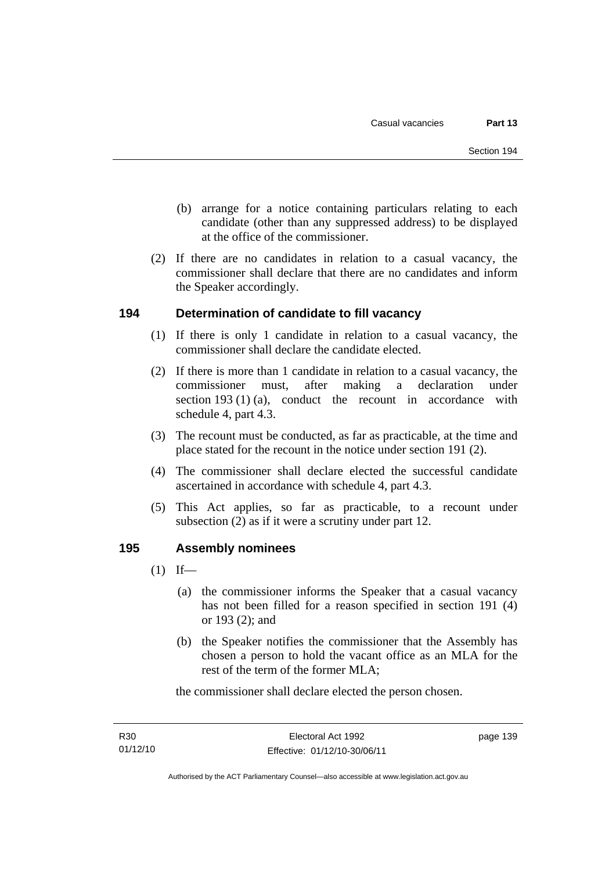- (b) arrange for a notice containing particulars relating to each candidate (other than any suppressed address) to be displayed at the office of the commissioner.
- (2) If there are no candidates in relation to a casual vacancy, the commissioner shall declare that there are no candidates and inform the Speaker accordingly.

# **194 Determination of candidate to fill vacancy**

- (1) If there is only 1 candidate in relation to a casual vacancy, the commissioner shall declare the candidate elected.
- (2) If there is more than 1 candidate in relation to a casual vacancy, the commissioner must, after making a declaration under section 193 (1) (a), conduct the recount in accordance with schedule 4, part 4.3.
- (3) The recount must be conducted, as far as practicable, at the time and place stated for the recount in the notice under section 191 (2).
- (4) The commissioner shall declare elected the successful candidate ascertained in accordance with schedule 4, part 4.3.
- (5) This Act applies, so far as practicable, to a recount under subsection (2) as if it were a scrutiny under part 12.

# **195 Assembly nominees**

- $(1)$  If—
	- (a) the commissioner informs the Speaker that a casual vacancy has not been filled for a reason specified in section 191 (4) or 193 (2); and
	- (b) the Speaker notifies the commissioner that the Assembly has chosen a person to hold the vacant office as an MLA for the rest of the term of the former MLA;

the commissioner shall declare elected the person chosen.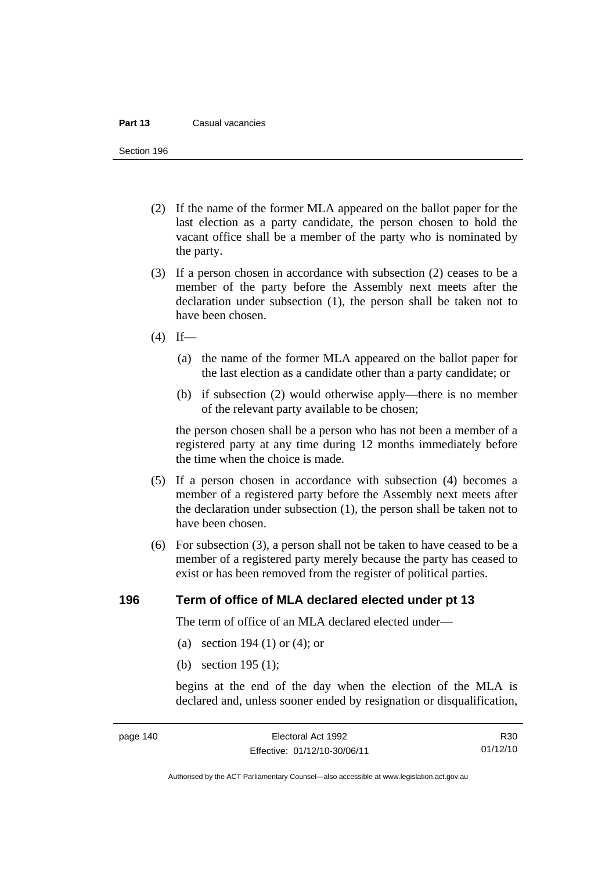#### **Part 13** Casual vacancies

Section 196

- (2) If the name of the former MLA appeared on the ballot paper for the last election as a party candidate, the person chosen to hold the vacant office shall be a member of the party who is nominated by the party.
- (3) If a person chosen in accordance with subsection (2) ceases to be a member of the party before the Assembly next meets after the declaration under subsection (1), the person shall be taken not to have been chosen.
- $(4)$  If—
	- (a) the name of the former MLA appeared on the ballot paper for the last election as a candidate other than a party candidate; or
	- (b) if subsection (2) would otherwise apply—there is no member of the relevant party available to be chosen;

the person chosen shall be a person who has not been a member of a registered party at any time during 12 months immediately before the time when the choice is made.

- (5) If a person chosen in accordance with subsection (4) becomes a member of a registered party before the Assembly next meets after the declaration under subsection (1), the person shall be taken not to have been chosen.
- (6) For subsection (3), a person shall not be taken to have ceased to be a member of a registered party merely because the party has ceased to exist or has been removed from the register of political parties.

#### **196 Term of office of MLA declared elected under pt 13**

The term of office of an MLA declared elected under—

- (a) section 194 (1) or (4); or
- (b) section 195 (1);

begins at the end of the day when the election of the MLA is declared and, unless sooner ended by resignation or disqualification,

R30 01/12/10

Authorised by the ACT Parliamentary Counsel—also accessible at www.legislation.act.gov.au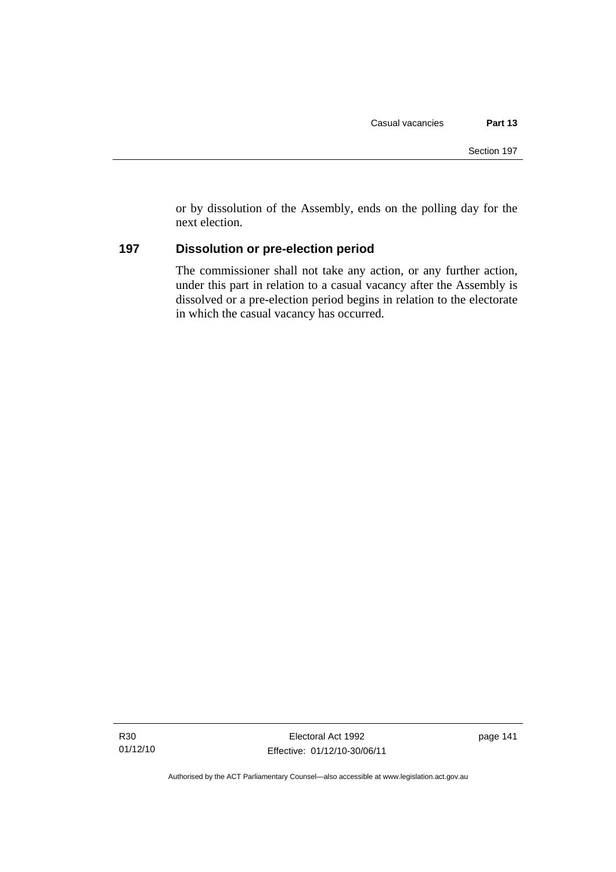or by dissolution of the Assembly, ends on the polling day for the next election.

# **197 Dissolution or pre-election period**

The commissioner shall not take any action, or any further action, under this part in relation to a casual vacancy after the Assembly is dissolved or a pre-election period begins in relation to the electorate in which the casual vacancy has occurred.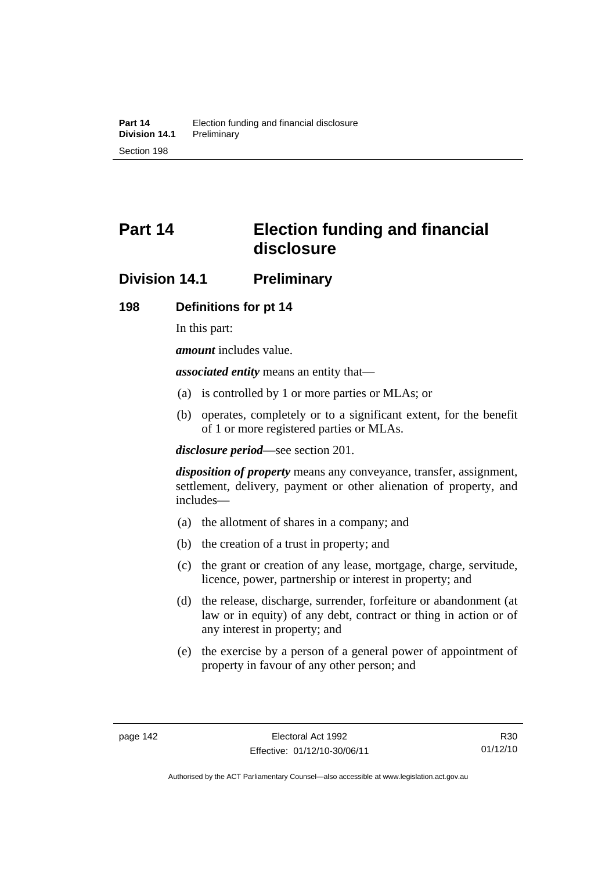# **Part 14 Election funding and financial disclosure**

# **Division 14.1 Preliminary**

#### **198 Definitions for pt 14**

In this part:

*amount* includes value.

*associated entity* means an entity that—

- (a) is controlled by 1 or more parties or MLAs; or
- (b) operates, completely or to a significant extent, for the benefit of 1 or more registered parties or MLAs.

*disclosure period*—see section 201.

*disposition of property* means any conveyance, transfer, assignment, settlement, delivery, payment or other alienation of property, and includes—

- (a) the allotment of shares in a company; and
- (b) the creation of a trust in property; and
- (c) the grant or creation of any lease, mortgage, charge, servitude, licence, power, partnership or interest in property; and
- (d) the release, discharge, surrender, forfeiture or abandonment (at law or in equity) of any debt, contract or thing in action or of any interest in property; and
- (e) the exercise by a person of a general power of appointment of property in favour of any other person; and

R30 01/12/10

Authorised by the ACT Parliamentary Counsel—also accessible at www.legislation.act.gov.au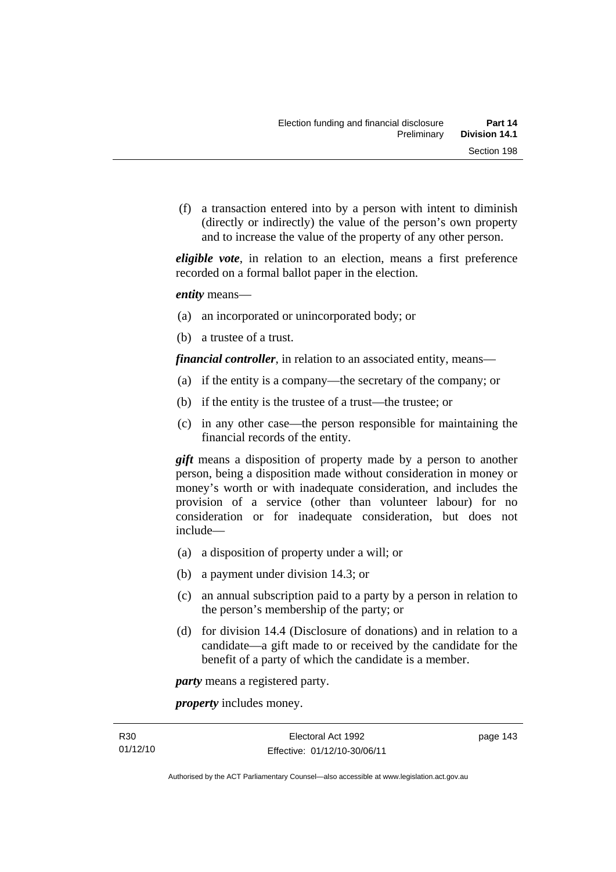(f) a transaction entered into by a person with intent to diminish (directly or indirectly) the value of the person's own property and to increase the value of the property of any other person.

*eligible vote*, in relation to an election, means a first preference recorded on a formal ballot paper in the election.

*entity* means—

- (a) an incorporated or unincorporated body; or
- (b) a trustee of a trust.

*financial controller*, in relation to an associated entity, means—

- (a) if the entity is a company—the secretary of the company; or
- (b) if the entity is the trustee of a trust—the trustee; or
- (c) in any other case—the person responsible for maintaining the financial records of the entity.

*gift* means a disposition of property made by a person to another person, being a disposition made without consideration in money or money's worth or with inadequate consideration, and includes the provision of a service (other than volunteer labour) for no consideration or for inadequate consideration, but does not include—

- (a) a disposition of property under a will; or
- (b) a payment under division 14.3; or
- (c) an annual subscription paid to a party by a person in relation to the person's membership of the party; or
- (d) for division 14.4 (Disclosure of donations) and in relation to a candidate—a gift made to or received by the candidate for the benefit of a party of which the candidate is a member.

*party* means a registered party.

*property* includes money.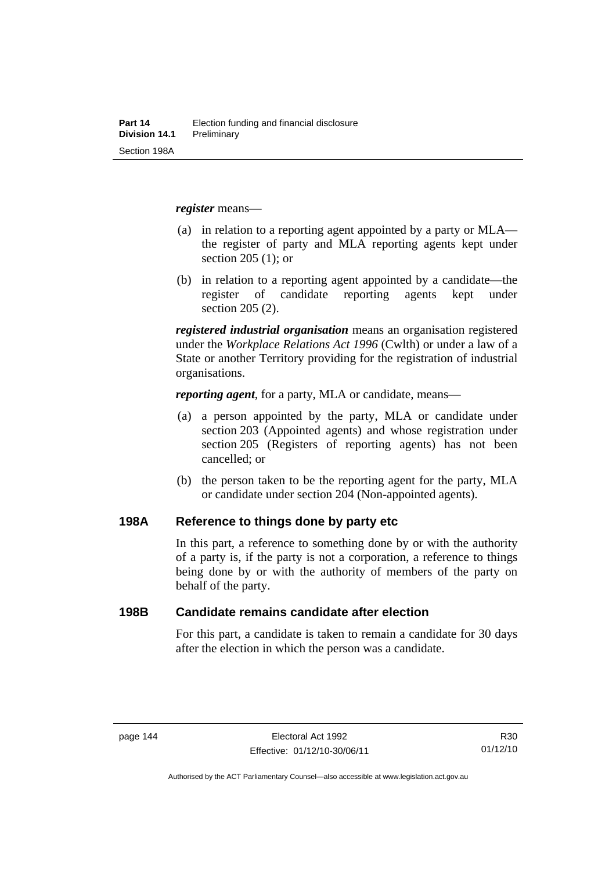*register* means—

- (a) in relation to a reporting agent appointed by a party or MLA the register of party and MLA reporting agents kept under section 205 (1); or
- (b) in relation to a reporting agent appointed by a candidate—the register of candidate reporting agents kept under section 205 (2).

*registered industrial organisation* means an organisation registered under the *Workplace Relations Act 1996* (Cwlth) or under a law of a State or another Territory providing for the registration of industrial organisations.

*reporting agent*, for a party, MLA or candidate, means—

- (a) a person appointed by the party, MLA or candidate under section 203 (Appointed agents) and whose registration under section 205 (Registers of reporting agents) has not been cancelled; or
- (b) the person taken to be the reporting agent for the party, MLA or candidate under section 204 (Non-appointed agents).

#### **198A Reference to things done by party etc**

In this part, a reference to something done by or with the authority of a party is, if the party is not a corporation, a reference to things being done by or with the authority of members of the party on behalf of the party.

#### **198B Candidate remains candidate after election**

For this part, a candidate is taken to remain a candidate for 30 days after the election in which the person was a candidate.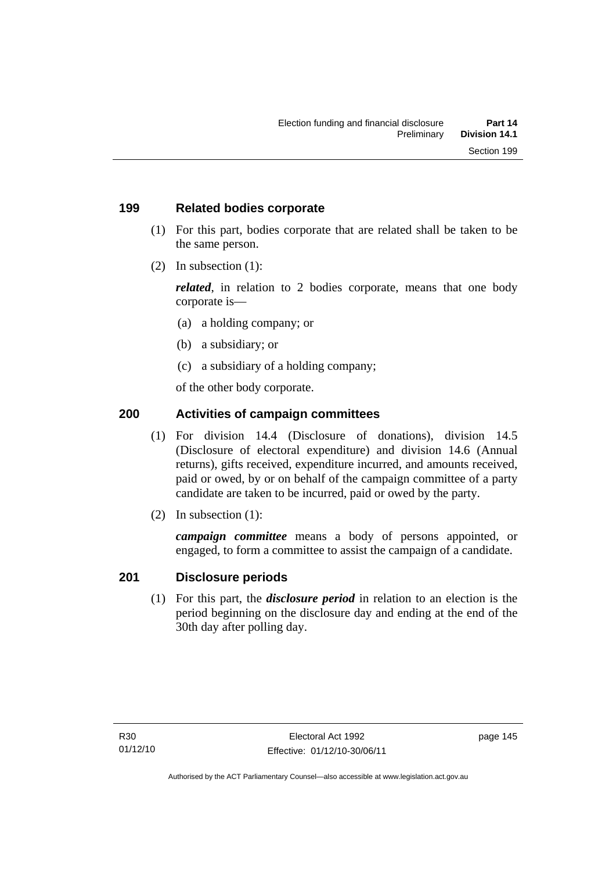#### **199 Related bodies corporate**

- (1) For this part, bodies corporate that are related shall be taken to be the same person.
- (2) In subsection (1):

*related*, in relation to 2 bodies corporate, means that one body corporate is—

- (a) a holding company; or
- (b) a subsidiary; or
- (c) a subsidiary of a holding company;

of the other body corporate.

### **200 Activities of campaign committees**

- (1) For division 14.4 (Disclosure of donations), division 14.5 (Disclosure of electoral expenditure) and division 14.6 (Annual returns), gifts received, expenditure incurred, and amounts received, paid or owed, by or on behalf of the campaign committee of a party candidate are taken to be incurred, paid or owed by the party.
- (2) In subsection (1):

*campaign committee* means a body of persons appointed, or engaged, to form a committee to assist the campaign of a candidate.

#### **201 Disclosure periods**

(1) For this part, the *disclosure period* in relation to an election is the period beginning on the disclosure day and ending at the end of the 30th day after polling day.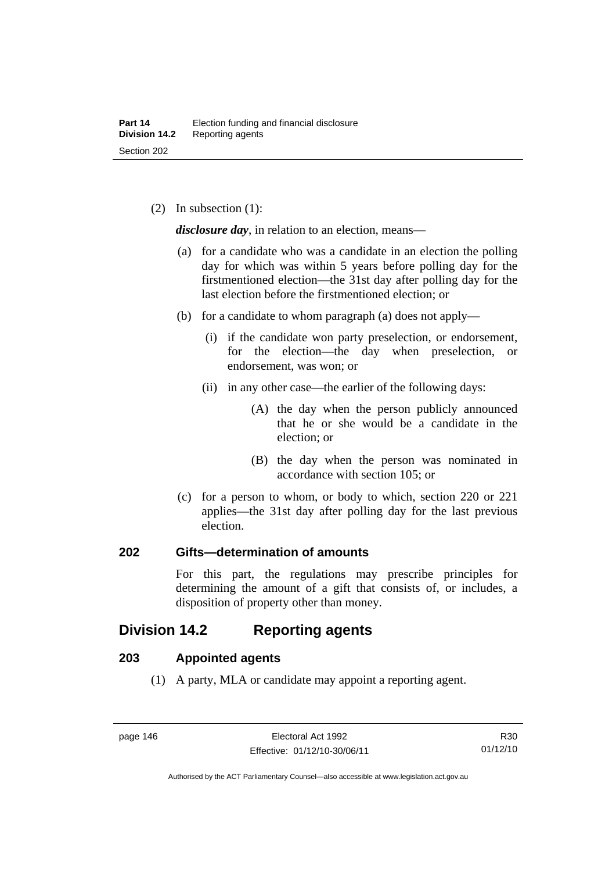(2) In subsection (1):

*disclosure day*, in relation to an election, means—

- (a) for a candidate who was a candidate in an election the polling day for which was within 5 years before polling day for the firstmentioned election—the 31st day after polling day for the last election before the firstmentioned election; or
- (b) for a candidate to whom paragraph (a) does not apply—
	- (i) if the candidate won party preselection, or endorsement, for the election—the day when preselection, or endorsement, was won; or
	- (ii) in any other case—the earlier of the following days:
		- (A) the day when the person publicly announced that he or she would be a candidate in the election; or
		- (B) the day when the person was nominated in accordance with section 105; or
- (c) for a person to whom, or body to which, section 220 or 221 applies—the 31st day after polling day for the last previous election.

#### **202 Gifts—determination of amounts**

For this part, the regulations may prescribe principles for determining the amount of a gift that consists of, or includes, a disposition of property other than money.

# **Division 14.2 Reporting agents**

#### **203 Appointed agents**

(1) A party, MLA or candidate may appoint a reporting agent.

Authorised by the ACT Parliamentary Counsel—also accessible at www.legislation.act.gov.au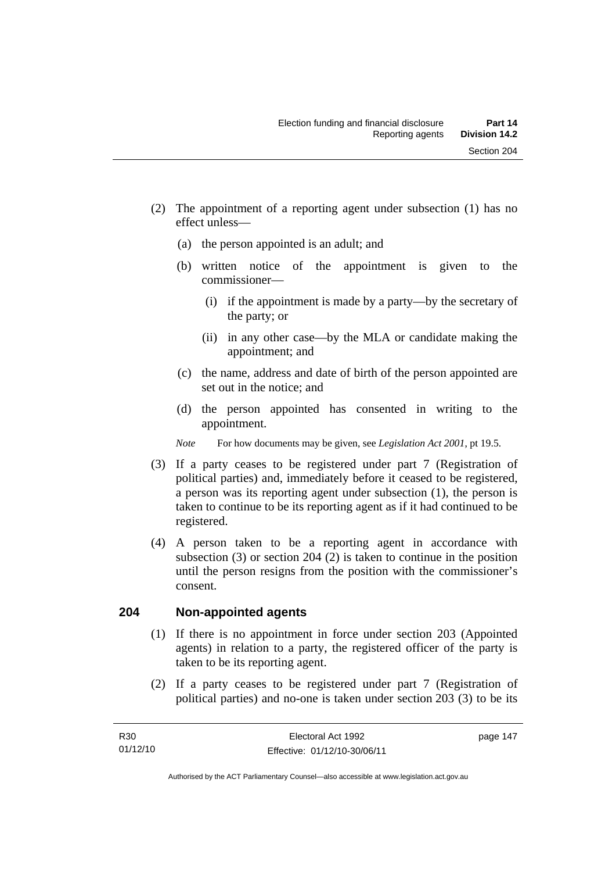- (a) the person appointed is an adult; and
- (b) written notice of the appointment is given to the commissioner—
	- (i) if the appointment is made by a party—by the secretary of the party; or
	- (ii) in any other case—by the MLA or candidate making the appointment; and
- (c) the name, address and date of birth of the person appointed are set out in the notice; and
- (d) the person appointed has consented in writing to the appointment.
- *Note* For how documents may be given, see *Legislation Act 2001*, pt 19.5.
- (3) If a party ceases to be registered under part 7 (Registration of political parties) and, immediately before it ceased to be registered, a person was its reporting agent under subsection (1), the person is taken to continue to be its reporting agent as if it had continued to be registered.
- (4) A person taken to be a reporting agent in accordance with subsection (3) or section 204 (2) is taken to continue in the position until the person resigns from the position with the commissioner's consent.

# **204 Non-appointed agents**

- (1) If there is no appointment in force under section 203 (Appointed agents) in relation to a party, the registered officer of the party is taken to be its reporting agent.
- (2) If a party ceases to be registered under part 7 (Registration of political parties) and no-one is taken under section 203 (3) to be its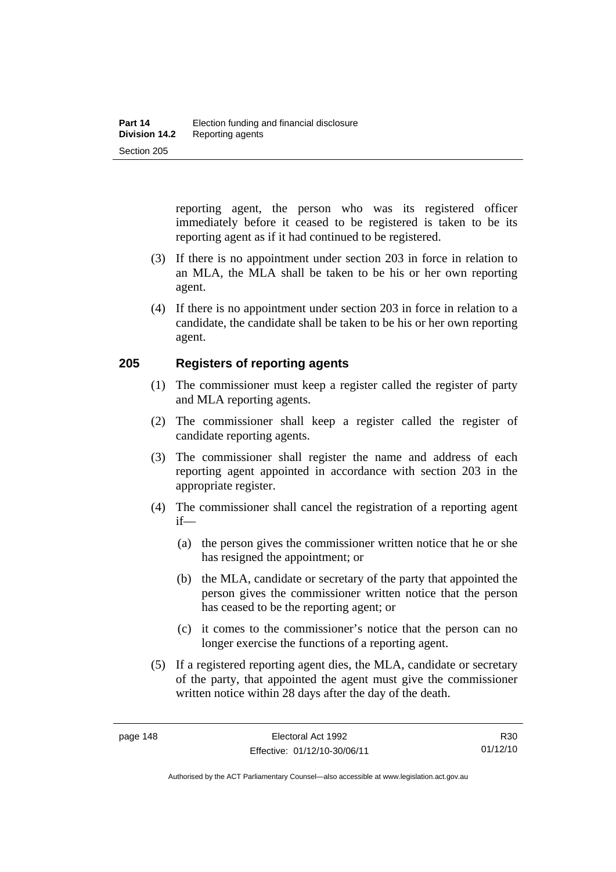reporting agent, the person who was its registered officer immediately before it ceased to be registered is taken to be its reporting agent as if it had continued to be registered.

- (3) If there is no appointment under section 203 in force in relation to an MLA, the MLA shall be taken to be his or her own reporting agent.
- (4) If there is no appointment under section 203 in force in relation to a candidate, the candidate shall be taken to be his or her own reporting agent.

#### **205 Registers of reporting agents**

- (1) The commissioner must keep a register called the register of party and MLA reporting agents.
- (2) The commissioner shall keep a register called the register of candidate reporting agents.
- (3) The commissioner shall register the name and address of each reporting agent appointed in accordance with section 203 in the appropriate register.
- (4) The commissioner shall cancel the registration of a reporting agent if—
	- (a) the person gives the commissioner written notice that he or she has resigned the appointment; or
	- (b) the MLA, candidate or secretary of the party that appointed the person gives the commissioner written notice that the person has ceased to be the reporting agent; or
	- (c) it comes to the commissioner's notice that the person can no longer exercise the functions of a reporting agent.
- (5) If a registered reporting agent dies, the MLA, candidate or secretary of the party, that appointed the agent must give the commissioner written notice within 28 days after the day of the death.

R30 01/12/10

Authorised by the ACT Parliamentary Counsel—also accessible at www.legislation.act.gov.au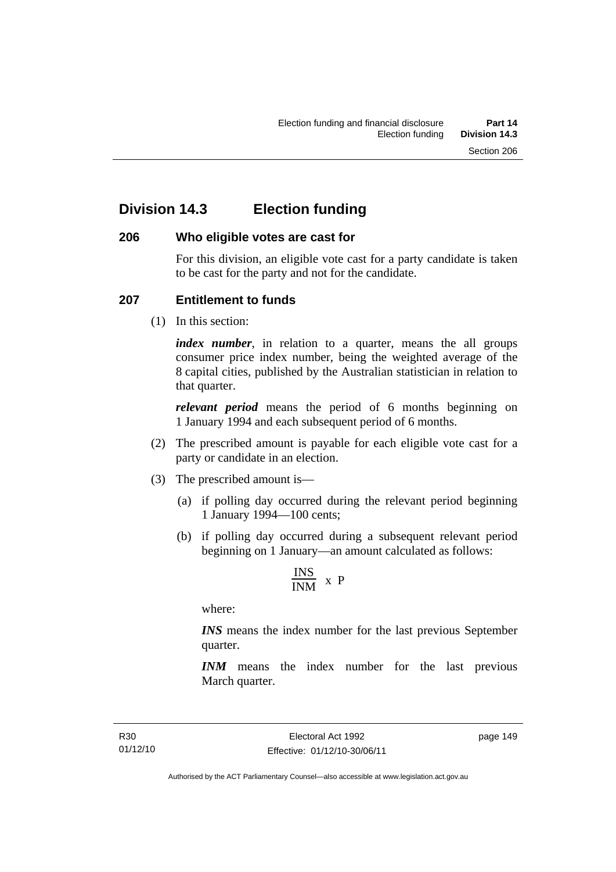# **Division 14.3 Election funding**

#### **206 Who eligible votes are cast for**

For this division, an eligible vote cast for a party candidate is taken to be cast for the party and not for the candidate.

#### **207 Entitlement to funds**

(1) In this section:

*index number*, in relation to a quarter, means the all groups consumer price index number, being the weighted average of the 8 capital cities, published by the Australian statistician in relation to that quarter.

*relevant period* means the period of 6 months beginning on 1 January 1994 and each subsequent period of 6 months.

- (2) The prescribed amount is payable for each eligible vote cast for a party or candidate in an election.
- (3) The prescribed amount is—
	- (a) if polling day occurred during the relevant period beginning 1 January 1994—100 cents;
	- (b) if polling day occurred during a subsequent relevant period beginning on 1 January—an amount calculated as follows:

$$
\frac{INS}{INM} \times P
$$

where:

*INS* means the index number for the last previous September quarter.

*INM* means the index number for the last previous March quarter.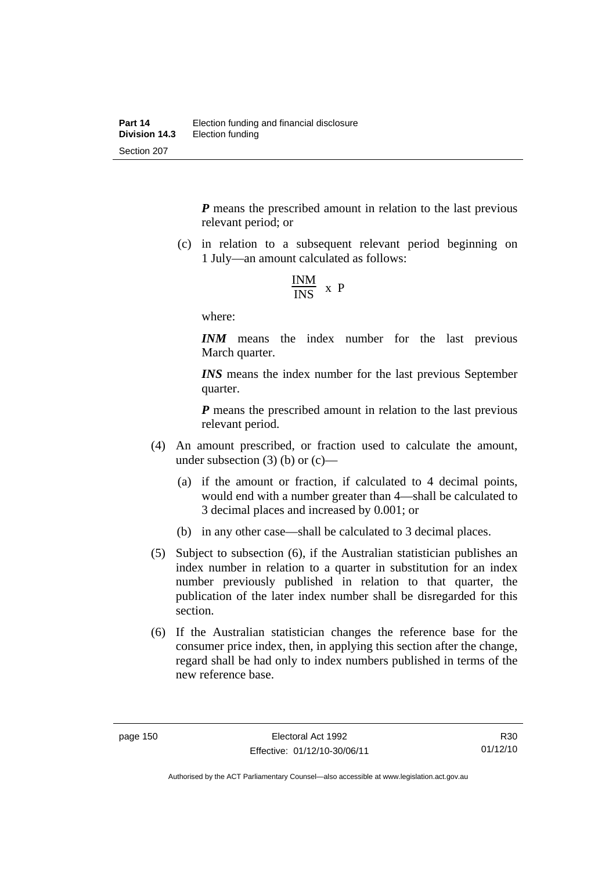*P* means the prescribed amount in relation to the last previous relevant period; or

 (c) in relation to a subsequent relevant period beginning on 1 July—an amount calculated as follows:

$$
\frac{INM}{INS} \times P
$$

where:

*INM* means the index number for the last previous March quarter.

*INS* means the index number for the last previous September quarter.

*P* means the prescribed amount in relation to the last previous relevant period.

- (4) An amount prescribed, or fraction used to calculate the amount, under subsection  $(3)$  (b) or  $(c)$ —
	- (a) if the amount or fraction, if calculated to 4 decimal points, would end with a number greater than 4—shall be calculated to 3 decimal places and increased by 0.001; or
	- (b) in any other case—shall be calculated to 3 decimal places.
- (5) Subject to subsection (6), if the Australian statistician publishes an index number in relation to a quarter in substitution for an index number previously published in relation to that quarter, the publication of the later index number shall be disregarded for this section.
- (6) If the Australian statistician changes the reference base for the consumer price index, then, in applying this section after the change, regard shall be had only to index numbers published in terms of the new reference base.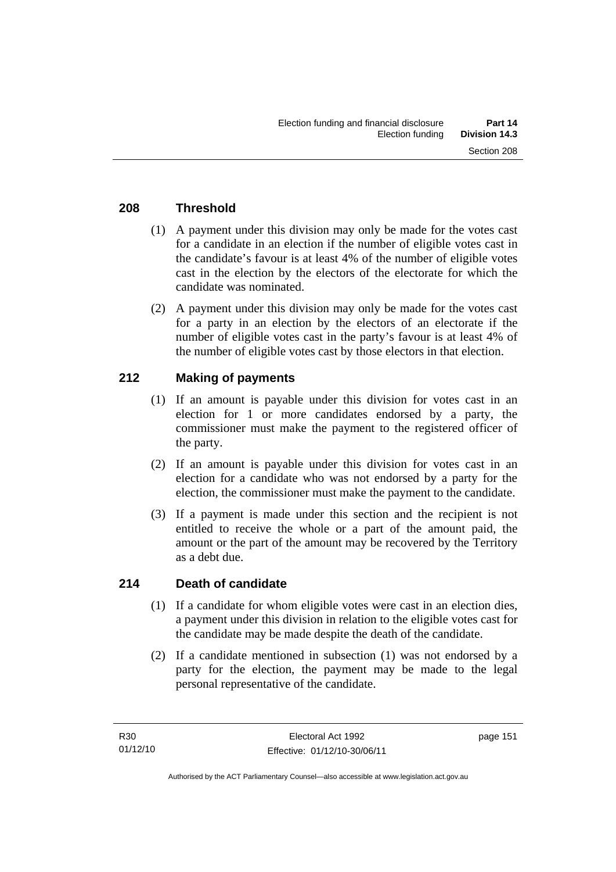### **208 Threshold**

- (1) A payment under this division may only be made for the votes cast for a candidate in an election if the number of eligible votes cast in the candidate's favour is at least 4% of the number of eligible votes cast in the election by the electors of the electorate for which the candidate was nominated.
- (2) A payment under this division may only be made for the votes cast for a party in an election by the electors of an electorate if the number of eligible votes cast in the party's favour is at least 4% of the number of eligible votes cast by those electors in that election.

# **212 Making of payments**

- (1) If an amount is payable under this division for votes cast in an election for 1 or more candidates endorsed by a party, the commissioner must make the payment to the registered officer of the party.
- (2) If an amount is payable under this division for votes cast in an election for a candidate who was not endorsed by a party for the election, the commissioner must make the payment to the candidate.
- (3) If a payment is made under this section and the recipient is not entitled to receive the whole or a part of the amount paid, the amount or the part of the amount may be recovered by the Territory as a debt due.

#### **214 Death of candidate**

- (1) If a candidate for whom eligible votes were cast in an election dies, a payment under this division in relation to the eligible votes cast for the candidate may be made despite the death of the candidate.
- (2) If a candidate mentioned in subsection (1) was not endorsed by a party for the election, the payment may be made to the legal personal representative of the candidate.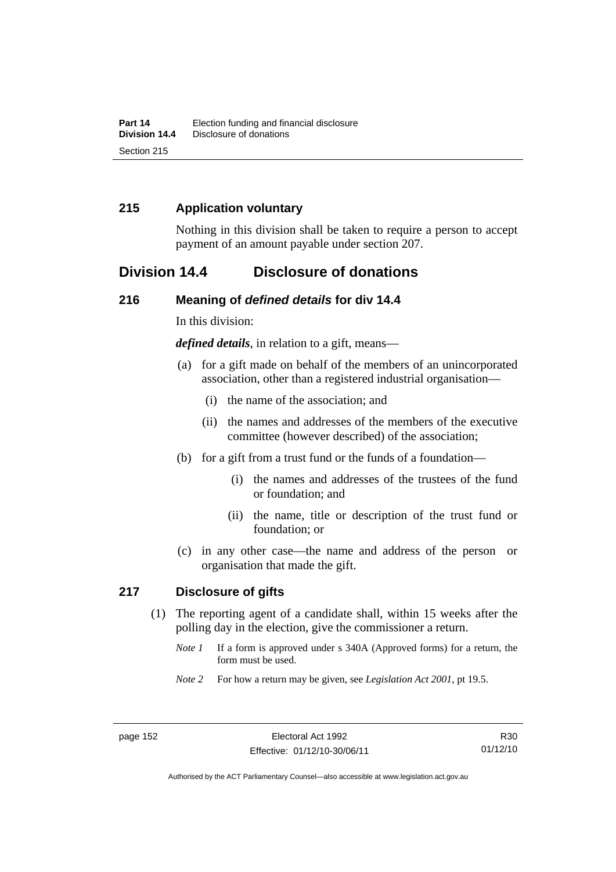### **215 Application voluntary**

Nothing in this division shall be taken to require a person to accept payment of an amount payable under section 207.

# **Division 14.4 Disclosure of donations**

#### **216 Meaning of** *defined details* **for div 14.4**

In this division:

*defined details*, in relation to a gift, means—

- (a) for a gift made on behalf of the members of an unincorporated association, other than a registered industrial organisation—
	- (i) the name of the association; and
	- (ii) the names and addresses of the members of the executive committee (however described) of the association;
- (b) for a gift from a trust fund or the funds of a foundation—
	- (i) the names and addresses of the trustees of the fund or foundation; and
	- (ii) the name, title or description of the trust fund or foundation; or
- (c) in any other case—the name and address of the person or organisation that made the gift.

#### **217 Disclosure of gifts**

- (1) The reporting agent of a candidate shall, within 15 weeks after the polling day in the election, give the commissioner a return.
	- *Note 1* If a form is approved under s 340A (Approved forms) for a return, the form must be used.
	- *Note 2* For how a return may be given, see *Legislation Act 2001*, pt 19.5.

Authorised by the ACT Parliamentary Counsel—also accessible at www.legislation.act.gov.au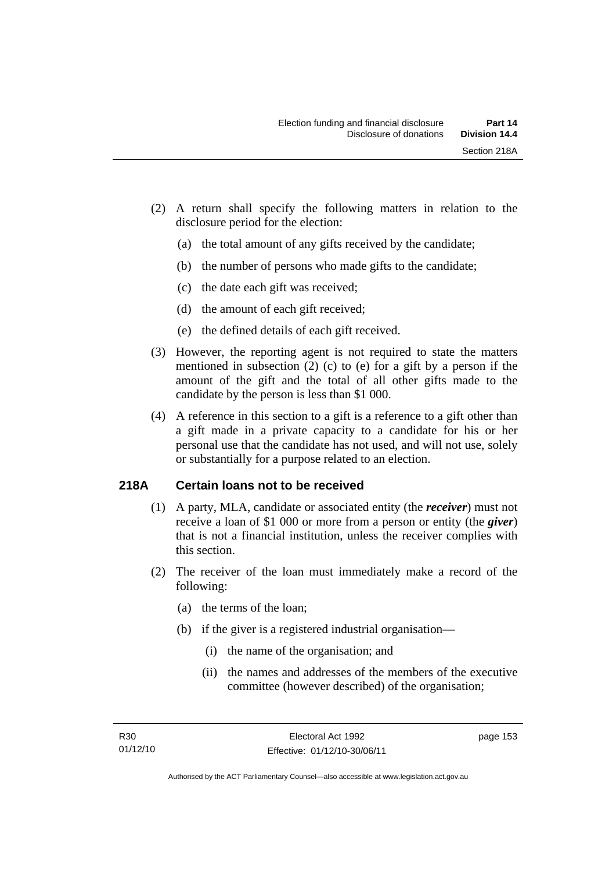- (2) A return shall specify the following matters in relation to the disclosure period for the election:
	- (a) the total amount of any gifts received by the candidate;
	- (b) the number of persons who made gifts to the candidate;
	- (c) the date each gift was received;
	- (d) the amount of each gift received;
	- (e) the defined details of each gift received.
- (3) However, the reporting agent is not required to state the matters mentioned in subsection (2) (c) to (e) for a gift by a person if the amount of the gift and the total of all other gifts made to the candidate by the person is less than \$1 000.
- (4) A reference in this section to a gift is a reference to a gift other than a gift made in a private capacity to a candidate for his or her personal use that the candidate has not used, and will not use, solely or substantially for a purpose related to an election.

# **218A Certain loans not to be received**

- (1) A party, MLA, candidate or associated entity (the *receiver*) must not receive a loan of \$1 000 or more from a person or entity (the *giver*) that is not a financial institution, unless the receiver complies with this section.
- (2) The receiver of the loan must immediately make a record of the following:
	- (a) the terms of the loan;
	- (b) if the giver is a registered industrial organisation—
		- (i) the name of the organisation; and
		- (ii) the names and addresses of the members of the executive committee (however described) of the organisation;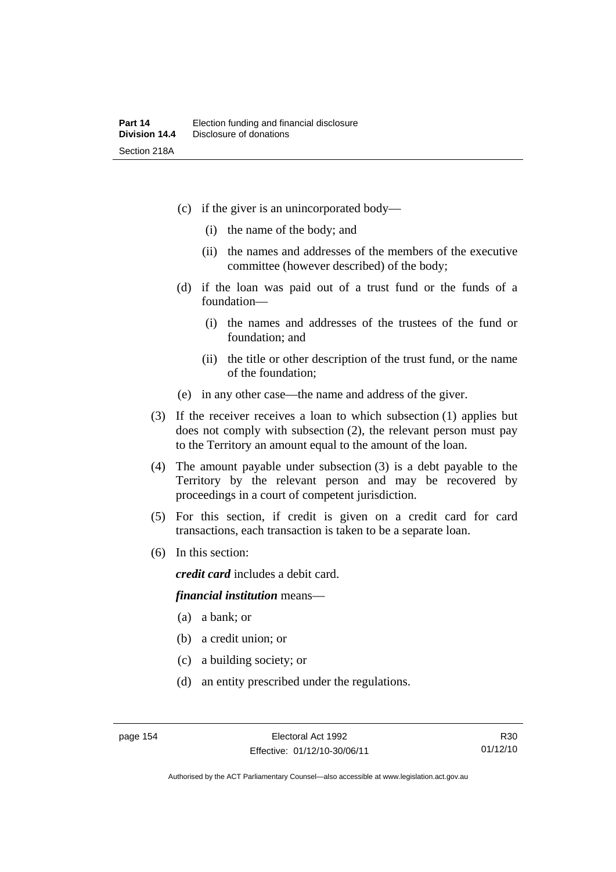- (c) if the giver is an unincorporated body—
	- (i) the name of the body; and
	- (ii) the names and addresses of the members of the executive committee (however described) of the body;
- (d) if the loan was paid out of a trust fund or the funds of a foundation—
	- (i) the names and addresses of the trustees of the fund or foundation; and
	- (ii) the title or other description of the trust fund, or the name of the foundation;
- (e) in any other case—the name and address of the giver.
- (3) If the receiver receives a loan to which subsection (1) applies but does not comply with subsection (2), the relevant person must pay to the Territory an amount equal to the amount of the loan.
- (4) The amount payable under subsection (3) is a debt payable to the Territory by the relevant person and may be recovered by proceedings in a court of competent jurisdiction.
- (5) For this section, if credit is given on a credit card for card transactions, each transaction is taken to be a separate loan.
- (6) In this section:

*credit card* includes a debit card.

#### *financial institution* means—

- (a) a bank; or
- (b) a credit union; or
- (c) a building society; or
- (d) an entity prescribed under the regulations.

Authorised by the ACT Parliamentary Counsel—also accessible at www.legislation.act.gov.au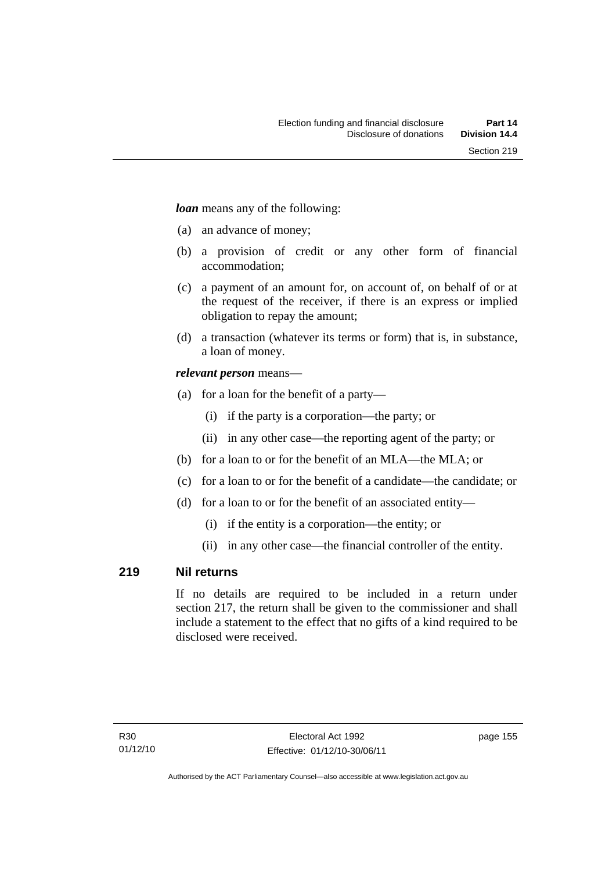*loan* means any of the following:

- (a) an advance of money;
- (b) a provision of credit or any other form of financial accommodation;
- (c) a payment of an amount for, on account of, on behalf of or at the request of the receiver, if there is an express or implied obligation to repay the amount;
- (d) a transaction (whatever its terms or form) that is, in substance, a loan of money.

#### *relevant person* means—

- (a) for a loan for the benefit of a party—
	- (i) if the party is a corporation—the party; or
	- (ii) in any other case—the reporting agent of the party; or
- (b) for a loan to or for the benefit of an MLA—the MLA; or
- (c) for a loan to or for the benefit of a candidate—the candidate; or
- (d) for a loan to or for the benefit of an associated entity—
	- (i) if the entity is a corporation—the entity; or
	- (ii) in any other case—the financial controller of the entity.

#### **219 Nil returns**

If no details are required to be included in a return under section 217, the return shall be given to the commissioner and shall include a statement to the effect that no gifts of a kind required to be disclosed were received.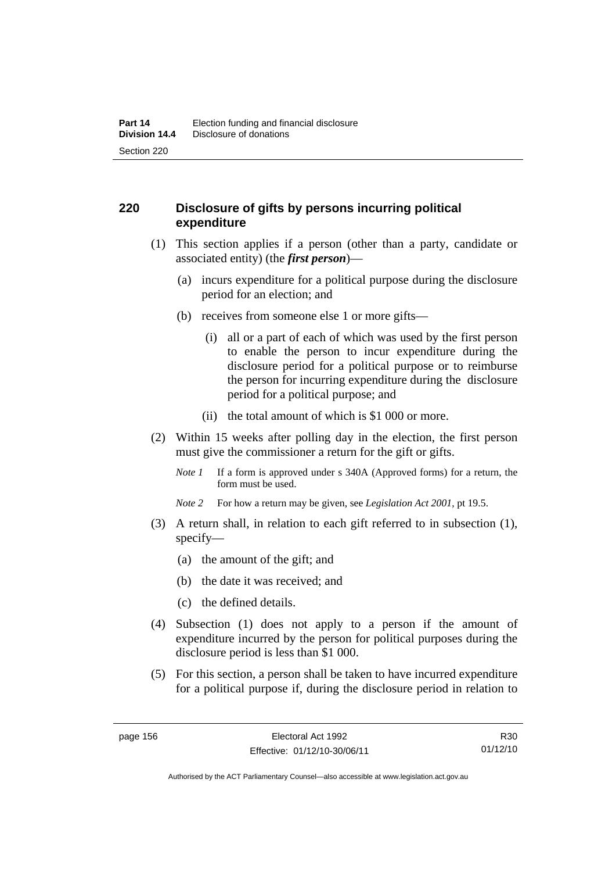### **220 Disclosure of gifts by persons incurring political expenditure**

- (1) This section applies if a person (other than a party, candidate or associated entity) (the *first person*)—
	- (a) incurs expenditure for a political purpose during the disclosure period for an election; and
	- (b) receives from someone else 1 or more gifts—
		- (i) all or a part of each of which was used by the first person to enable the person to incur expenditure during the disclosure period for a political purpose or to reimburse the person for incurring expenditure during the disclosure period for a political purpose; and
		- (ii) the total amount of which is \$1 000 or more.
- (2) Within 15 weeks after polling day in the election, the first person must give the commissioner a return for the gift or gifts.
	- *Note 1* If a form is approved under s 340A (Approved forms) for a return, the form must be used.
	- *Note 2* For how a return may be given, see *Legislation Act 2001*, pt 19.5.
- (3) A return shall, in relation to each gift referred to in subsection (1), specify—
	- (a) the amount of the gift; and
	- (b) the date it was received; and
	- (c) the defined details.
- (4) Subsection (1) does not apply to a person if the amount of expenditure incurred by the person for political purposes during the disclosure period is less than \$1 000.
- (5) For this section, a person shall be taken to have incurred expenditure for a political purpose if, during the disclosure period in relation to

R30 01/12/10

Authorised by the ACT Parliamentary Counsel—also accessible at www.legislation.act.gov.au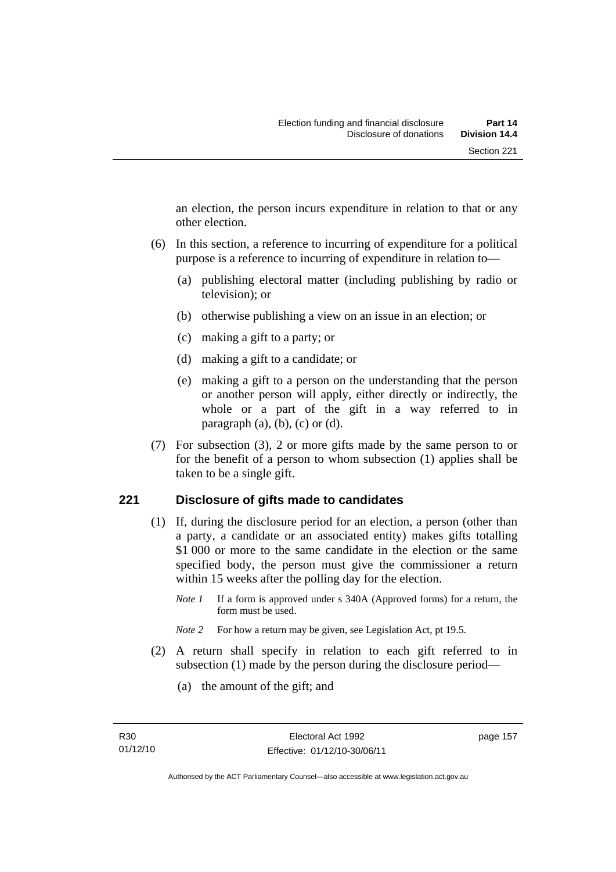an election, the person incurs expenditure in relation to that or any other election.

- (6) In this section, a reference to incurring of expenditure for a political purpose is a reference to incurring of expenditure in relation to—
	- (a) publishing electoral matter (including publishing by radio or television); or
	- (b) otherwise publishing a view on an issue in an election; or
	- (c) making a gift to a party; or
	- (d) making a gift to a candidate; or
	- (e) making a gift to a person on the understanding that the person or another person will apply, either directly or indirectly, the whole or a part of the gift in a way referred to in paragraph  $(a)$ ,  $(b)$ ,  $(c)$  or  $(d)$ .
- (7) For subsection (3), 2 or more gifts made by the same person to or for the benefit of a person to whom subsection (1) applies shall be taken to be a single gift.

#### **221 Disclosure of gifts made to candidates**

- (1) If, during the disclosure period for an election, a person (other than a party, a candidate or an associated entity) makes gifts totalling \$1 000 or more to the same candidate in the election or the same specified body, the person must give the commissioner a return within 15 weeks after the polling day for the election.
	- *Note 1* If a form is approved under s 340A (Approved forms) for a return, the form must be used.
	- *Note* 2 For how a return may be given, see Legislation Act, pt 19.5.
- (2) A return shall specify in relation to each gift referred to in subsection (1) made by the person during the disclosure period—
	- (a) the amount of the gift; and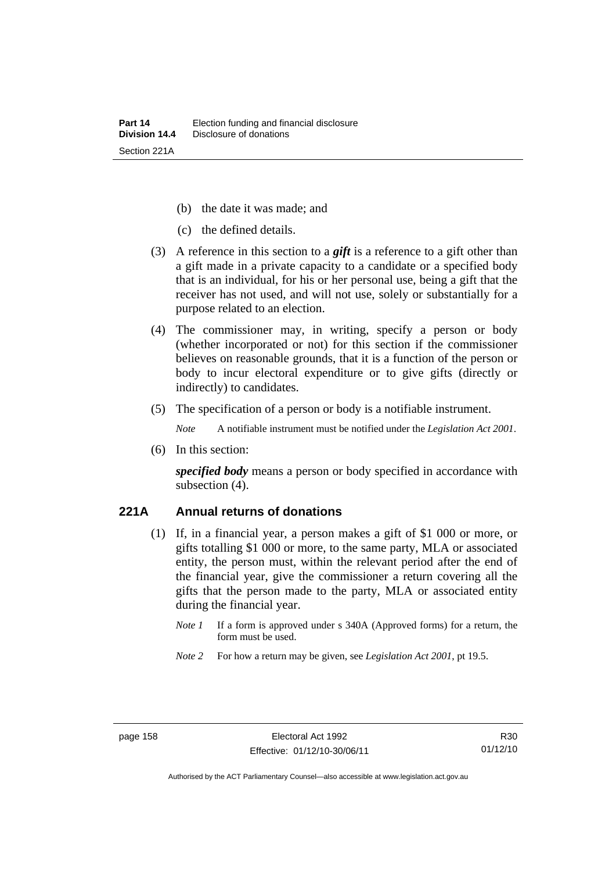- (b) the date it was made; and
- (c) the defined details.
- (3) A reference in this section to a *gift* is a reference to a gift other than a gift made in a private capacity to a candidate or a specified body that is an individual, for his or her personal use, being a gift that the receiver has not used, and will not use, solely or substantially for a purpose related to an election.
- (4) The commissioner may, in writing, specify a person or body (whether incorporated or not) for this section if the commissioner believes on reasonable grounds, that it is a function of the person or body to incur electoral expenditure or to give gifts (directly or indirectly) to candidates.
- (5) The specification of a person or body is a notifiable instrument.

*Note* A notifiable instrument must be notified under the *Legislation Act 2001*.

(6) In this section:

*specified body* means a person or body specified in accordance with subsection (4).

#### **221A Annual returns of donations**

- (1) If, in a financial year, a person makes a gift of \$1 000 or more, or gifts totalling \$1 000 or more, to the same party, MLA or associated entity, the person must, within the relevant period after the end of the financial year, give the commissioner a return covering all the gifts that the person made to the party, MLA or associated entity during the financial year.
	- *Note 1* If a form is approved under s 340A (Approved forms) for a return, the form must be used.
	- *Note 2* For how a return may be given, see *Legislation Act 2001*, pt 19.5.

Authorised by the ACT Parliamentary Counsel—also accessible at www.legislation.act.gov.au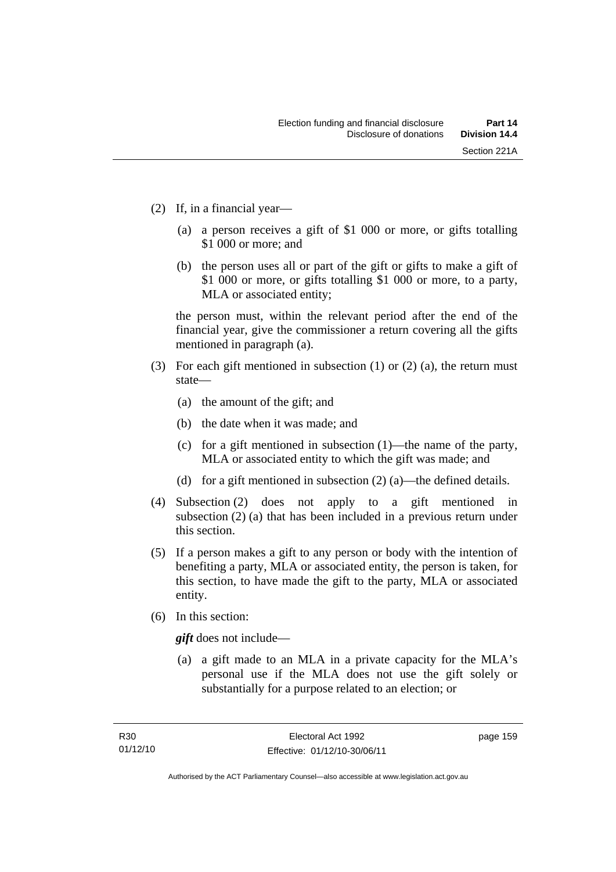- (2) If, in a financial year—
	- (a) a person receives a gift of \$1 000 or more, or gifts totalling \$1 000 or more; and
	- (b) the person uses all or part of the gift or gifts to make a gift of \$1 000 or more, or gifts totalling \$1 000 or more, to a party, MLA or associated entity;

the person must, within the relevant period after the end of the financial year, give the commissioner a return covering all the gifts mentioned in paragraph (a).

- (3) For each gift mentioned in subsection (1) or (2) (a), the return must state—
	- (a) the amount of the gift; and
	- (b) the date when it was made; and
	- (c) for a gift mentioned in subsection (1)—the name of the party, MLA or associated entity to which the gift was made; and
	- (d) for a gift mentioned in subsection (2) (a)—the defined details.
- (4) Subsection (2) does not apply to a gift mentioned in subsection (2) (a) that has been included in a previous return under this section.
- (5) If a person makes a gift to any person or body with the intention of benefiting a party, MLA or associated entity, the person is taken, for this section, to have made the gift to the party, MLA or associated entity.
- (6) In this section:

*gift* does not include—

 (a) a gift made to an MLA in a private capacity for the MLA's personal use if the MLA does not use the gift solely or substantially for a purpose related to an election; or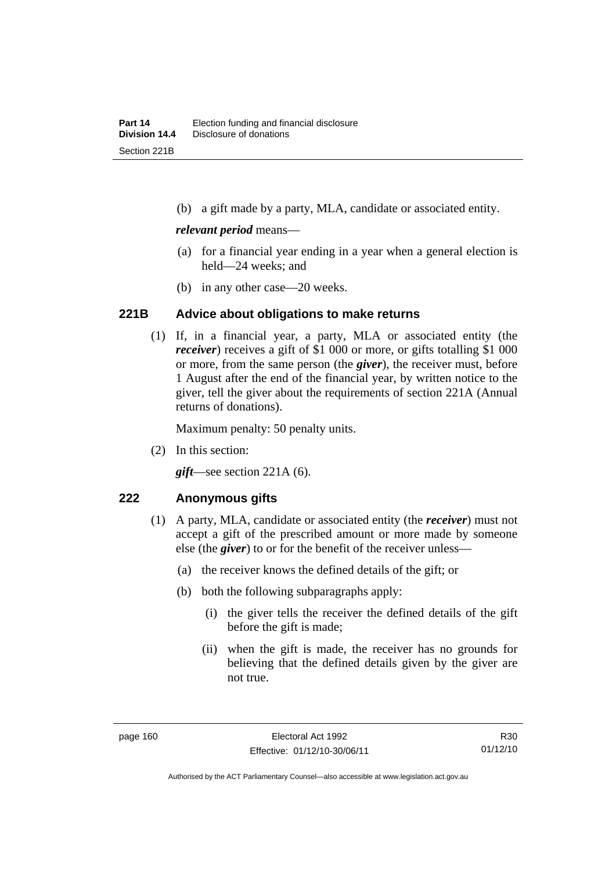(b) a gift made by a party, MLA, candidate or associated entity.

#### *relevant period* means—

- (a) for a financial year ending in a year when a general election is held—24 weeks; and
- (b) in any other case—20 weeks.

#### **221B Advice about obligations to make returns**

(1) If, in a financial year, a party, MLA or associated entity (the *receiver*) receives a gift of \$1 000 or more, or gifts totalling \$1 000 or more, from the same person (the *giver*), the receiver must, before 1 August after the end of the financial year, by written notice to the giver, tell the giver about the requirements of section 221A (Annual returns of donations).

Maximum penalty: 50 penalty units.

(2) In this section:

*gift*—see section 221A (6).

#### **222 Anonymous gifts**

- (1) A party, MLA, candidate or associated entity (the *receiver*) must not accept a gift of the prescribed amount or more made by someone else (the *giver*) to or for the benefit of the receiver unless—
	- (a) the receiver knows the defined details of the gift; or
	- (b) both the following subparagraphs apply:
		- (i) the giver tells the receiver the defined details of the gift before the gift is made;
		- (ii) when the gift is made, the receiver has no grounds for believing that the defined details given by the giver are not true.

R30 01/12/10

Authorised by the ACT Parliamentary Counsel—also accessible at www.legislation.act.gov.au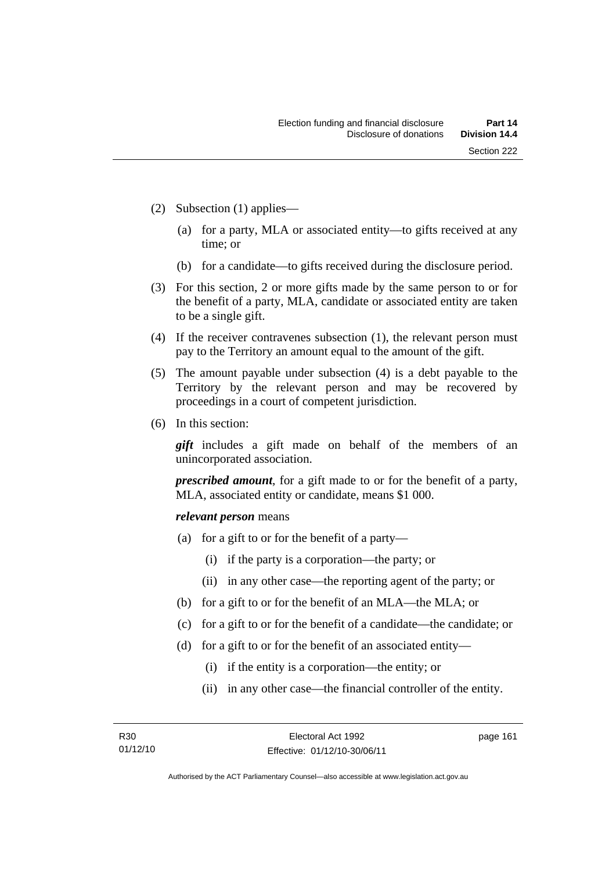- (2) Subsection (1) applies—
	- (a) for a party, MLA or associated entity—to gifts received at any time; or
	- (b) for a candidate—to gifts received during the disclosure period.
- (3) For this section, 2 or more gifts made by the same person to or for the benefit of a party, MLA, candidate or associated entity are taken to be a single gift.
- (4) If the receiver contravenes subsection (1), the relevant person must pay to the Territory an amount equal to the amount of the gift.
- (5) The amount payable under subsection (4) is a debt payable to the Territory by the relevant person and may be recovered by proceedings in a court of competent jurisdiction.
- (6) In this section:

*gift* includes a gift made on behalf of the members of an unincorporated association.

*prescribed amount*, for a gift made to or for the benefit of a party, MLA, associated entity or candidate, means \$1 000.

#### *relevant person* means

- (a) for a gift to or for the benefit of a party—
	- (i) if the party is a corporation—the party; or
	- (ii) in any other case—the reporting agent of the party; or
- (b) for a gift to or for the benefit of an MLA—the MLA; or
- (c) for a gift to or for the benefit of a candidate—the candidate; or
- (d) for a gift to or for the benefit of an associated entity—
	- (i) if the entity is a corporation—the entity; or
	- (ii) in any other case—the financial controller of the entity.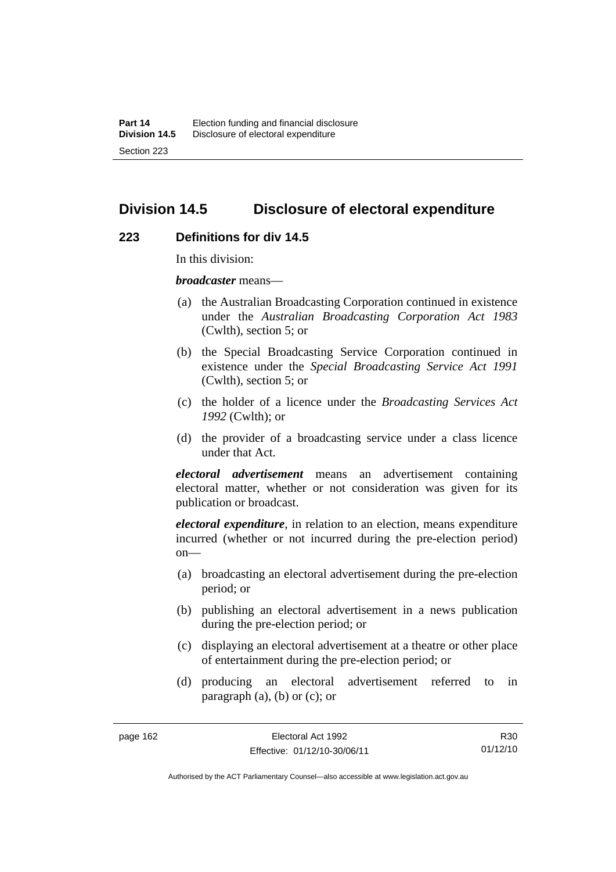# **Division 14.5 Disclosure of electoral expenditure**

#### **223 Definitions for div 14.5**

In this division:

*broadcaster* means—

- (a) the Australian Broadcasting Corporation continued in existence under the *Australian Broadcasting Corporation Act 1983* (Cwlth), section 5; or
- (b) the Special Broadcasting Service Corporation continued in existence under the *Special Broadcasting Service Act 1991*  (Cwlth), section 5; or
- (c) the holder of a licence under the *Broadcasting Services Act 1992* (Cwlth); or
- (d) the provider of a broadcasting service under a class licence under that Act.

*electoral advertisement* means an advertisement containing electoral matter, whether or not consideration was given for its publication or broadcast.

*electoral expenditure*, in relation to an election, means expenditure incurred (whether or not incurred during the pre-election period)  $on$ —

- (a) broadcasting an electoral advertisement during the pre-election period; or
- (b) publishing an electoral advertisement in a news publication during the pre-election period; or
- (c) displaying an electoral advertisement at a theatre or other place of entertainment during the pre-election period; or
- (d) producing an electoral advertisement referred to in paragraph  $(a)$ ,  $(b)$  or  $(c)$ ; or

R30 01/12/10

Authorised by the ACT Parliamentary Counsel—also accessible at www.legislation.act.gov.au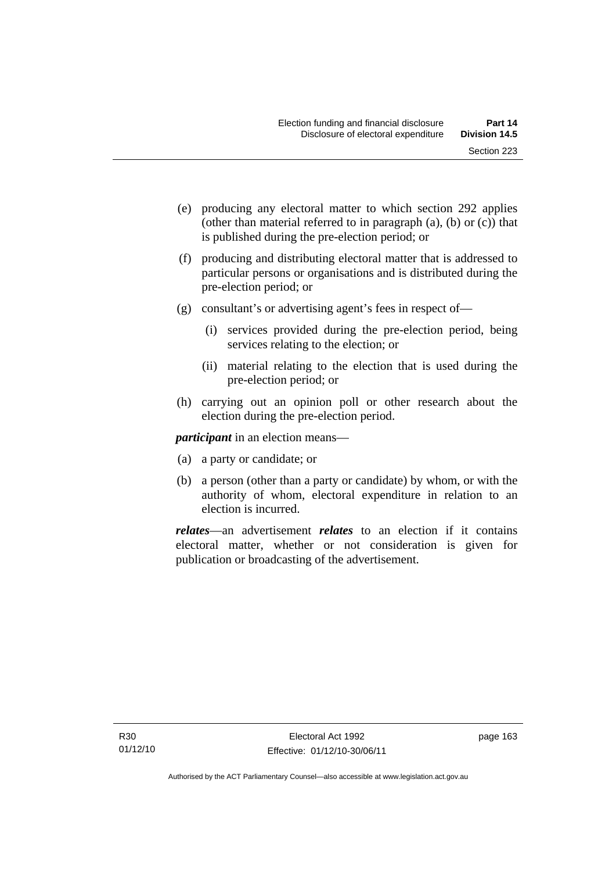- (e) producing any electoral matter to which section 292 applies (other than material referred to in paragraph (a), (b) or (c)) that is published during the pre-election period; or
- (f) producing and distributing electoral matter that is addressed to particular persons or organisations and is distributed during the pre-election period; or
- (g) consultant's or advertising agent's fees in respect of—
	- (i) services provided during the pre-election period, being services relating to the election; or
	- (ii) material relating to the election that is used during the pre-election period; or
- (h) carrying out an opinion poll or other research about the election during the pre-election period.

*participant* in an election means—

- (a) a party or candidate; or
- (b) a person (other than a party or candidate) by whom, or with the authority of whom, electoral expenditure in relation to an election is incurred.

*relates*—an advertisement *relates* to an election if it contains electoral matter, whether or not consideration is given for publication or broadcasting of the advertisement.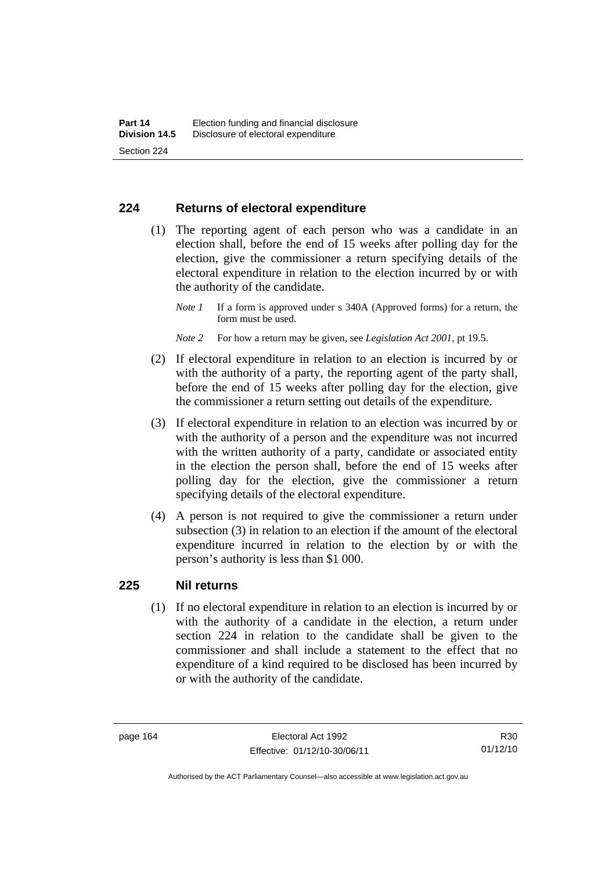#### **224 Returns of electoral expenditure**

 (1) The reporting agent of each person who was a candidate in an election shall, before the end of 15 weeks after polling day for the election, give the commissioner a return specifying details of the electoral expenditure in relation to the election incurred by or with the authority of the candidate.

- *Note 2* For how a return may be given, see *Legislation Act 2001*, pt 19.5.
- (2) If electoral expenditure in relation to an election is incurred by or with the authority of a party, the reporting agent of the party shall, before the end of 15 weeks after polling day for the election, give the commissioner a return setting out details of the expenditure.
- (3) If electoral expenditure in relation to an election was incurred by or with the authority of a person and the expenditure was not incurred with the written authority of a party, candidate or associated entity in the election the person shall, before the end of 15 weeks after polling day for the election, give the commissioner a return specifying details of the electoral expenditure.
- (4) A person is not required to give the commissioner a return under subsection (3) in relation to an election if the amount of the electoral expenditure incurred in relation to the election by or with the person's authority is less than \$1 000.

#### **225 Nil returns**

(1) If no electoral expenditure in relation to an election is incurred by or with the authority of a candidate in the election, a return under section 224 in relation to the candidate shall be given to the commissioner and shall include a statement to the effect that no expenditure of a kind required to be disclosed has been incurred by or with the authority of the candidate.

Authorised by the ACT Parliamentary Counsel—also accessible at www.legislation.act.gov.au

*Note 1* If a form is approved under s 340A (Approved forms) for a return, the form must be used.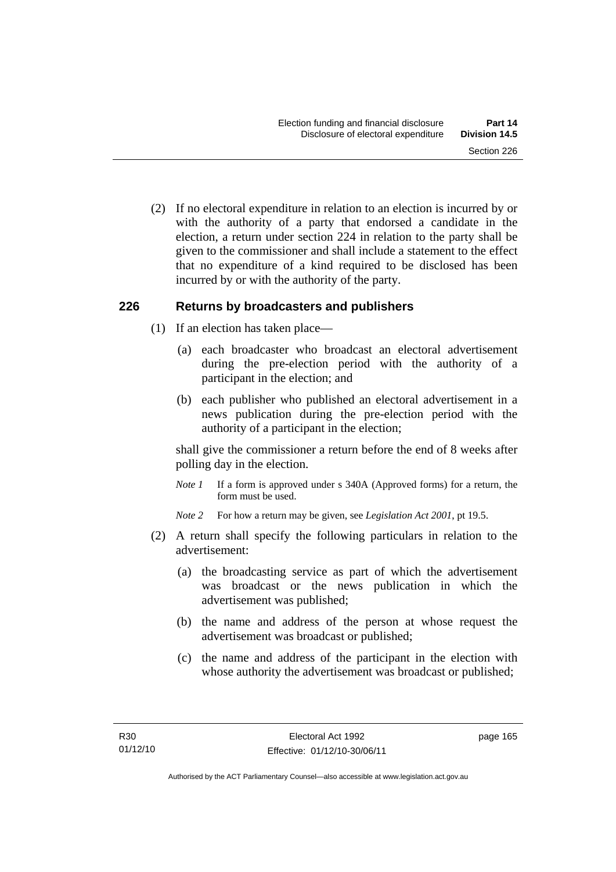(2) If no electoral expenditure in relation to an election is incurred by or with the authority of a party that endorsed a candidate in the election, a return under section 224 in relation to the party shall be given to the commissioner and shall include a statement to the effect that no expenditure of a kind required to be disclosed has been incurred by or with the authority of the party.

#### **226 Returns by broadcasters and publishers**

- (1) If an election has taken place—
	- (a) each broadcaster who broadcast an electoral advertisement during the pre-election period with the authority of a participant in the election; and
	- (b) each publisher who published an electoral advertisement in a news publication during the pre-election period with the authority of a participant in the election;

shall give the commissioner a return before the end of 8 weeks after polling day in the election.

*Note 1* If a form is approved under s 340A (Approved forms) for a return, the form must be used.

*Note 2* For how a return may be given, see *Legislation Act 2001*, pt 19.5.

- (2) A return shall specify the following particulars in relation to the advertisement:
	- (a) the broadcasting service as part of which the advertisement was broadcast or the news publication in which the advertisement was published;
	- (b) the name and address of the person at whose request the advertisement was broadcast or published;
	- (c) the name and address of the participant in the election with whose authority the advertisement was broadcast or published;

page 165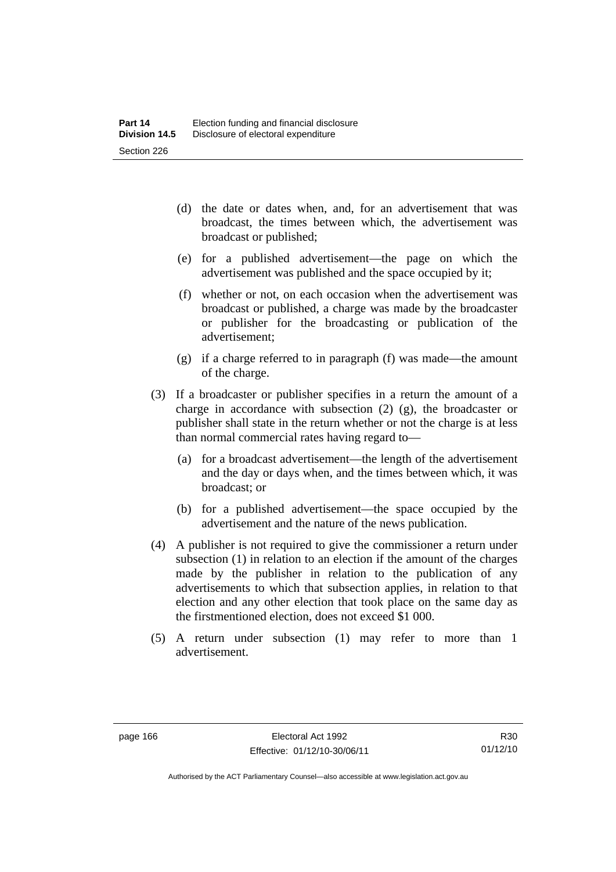- (d) the date or dates when, and, for an advertisement that was broadcast, the times between which, the advertisement was broadcast or published;
- (e) for a published advertisement—the page on which the advertisement was published and the space occupied by it;
- (f) whether or not, on each occasion when the advertisement was broadcast or published, a charge was made by the broadcaster or publisher for the broadcasting or publication of the advertisement;
- (g) if a charge referred to in paragraph (f) was made—the amount of the charge.
- (3) If a broadcaster or publisher specifies in a return the amount of a charge in accordance with subsection (2) (g), the broadcaster or publisher shall state in the return whether or not the charge is at less than normal commercial rates having regard to—
	- (a) for a broadcast advertisement—the length of the advertisement and the day or days when, and the times between which, it was broadcast; or
	- (b) for a published advertisement—the space occupied by the advertisement and the nature of the news publication.
- (4) A publisher is not required to give the commissioner a return under subsection (1) in relation to an election if the amount of the charges made by the publisher in relation to the publication of any advertisements to which that subsection applies, in relation to that election and any other election that took place on the same day as the firstmentioned election, does not exceed \$1 000.
- (5) A return under subsection (1) may refer to more than 1 advertisement.

Authorised by the ACT Parliamentary Counsel—also accessible at www.legislation.act.gov.au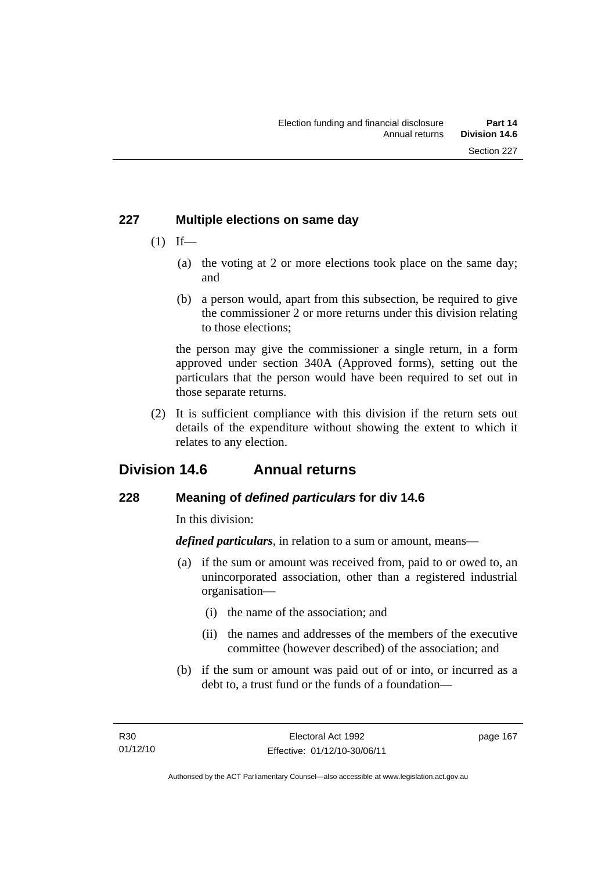## **227 Multiple elections on same day**

- $(1)$  If—
	- (a) the voting at 2 or more elections took place on the same day; and
	- (b) a person would, apart from this subsection, be required to give the commissioner 2 or more returns under this division relating to those elections;

the person may give the commissioner a single return, in a form approved under section 340A (Approved forms), setting out the particulars that the person would have been required to set out in those separate returns.

 (2) It is sufficient compliance with this division if the return sets out details of the expenditure without showing the extent to which it relates to any election.

# **Division 14.6 Annual returns**

# **228 Meaning of** *defined particulars* **for div 14.6**

In this division:

*defined particulars*, in relation to a sum or amount, means—

- (a) if the sum or amount was received from, paid to or owed to, an unincorporated association, other than a registered industrial organisation—
	- (i) the name of the association; and
	- (ii) the names and addresses of the members of the executive committee (however described) of the association; and
- (b) if the sum or amount was paid out of or into, or incurred as a debt to, a trust fund or the funds of a foundation—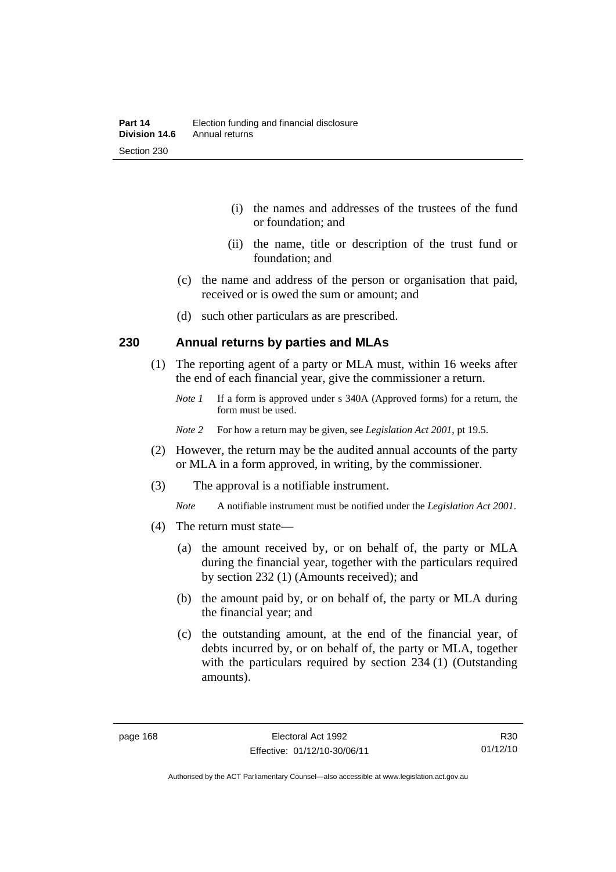- (i) the names and addresses of the trustees of the fund or foundation; and
- (ii) the name, title or description of the trust fund or foundation; and
- (c) the name and address of the person or organisation that paid, received or is owed the sum or amount; and
- (d) such other particulars as are prescribed.

#### **230 Annual returns by parties and MLAs**

- (1) The reporting agent of a party or MLA must, within 16 weeks after the end of each financial year, give the commissioner a return.
	- *Note 1* If a form is approved under s 340A (Approved forms) for a return, the form must be used.
	- *Note 2* For how a return may be given, see *Legislation Act 2001*, pt 19.5.
- (2) However, the return may be the audited annual accounts of the party or MLA in a form approved, in writing, by the commissioner.
- (3) The approval is a notifiable instrument.
	- *Note* A notifiable instrument must be notified under the *Legislation Act 2001*.
- (4) The return must state—
	- (a) the amount received by, or on behalf of, the party or MLA during the financial year, together with the particulars required by section 232 (1) (Amounts received); and
	- (b) the amount paid by, or on behalf of, the party or MLA during the financial year; and
	- (c) the outstanding amount, at the end of the financial year, of debts incurred by, or on behalf of, the party or MLA, together with the particulars required by section 234 (1) (Outstanding amounts).

R30 01/12/10

Authorised by the ACT Parliamentary Counsel—also accessible at www.legislation.act.gov.au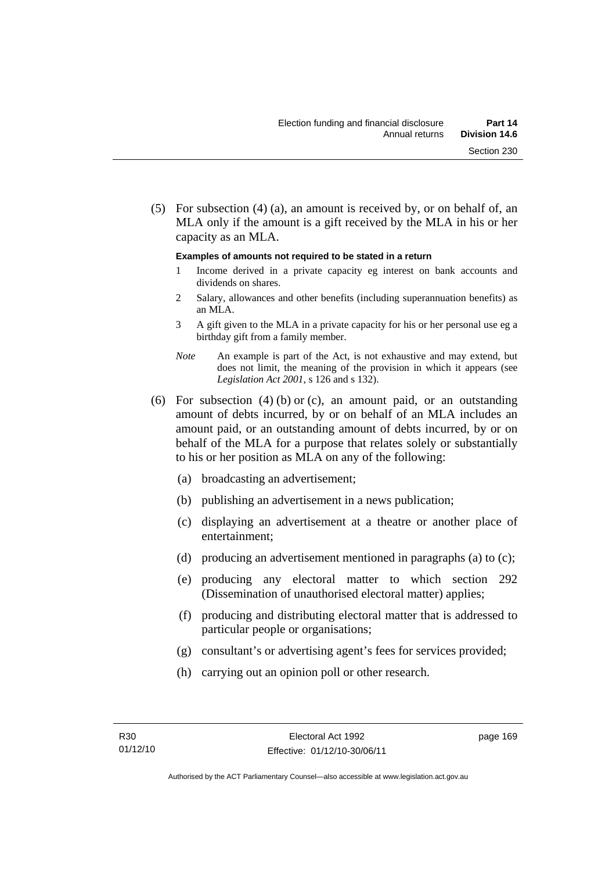(5) For subsection (4) (a), an amount is received by, or on behalf of, an MLA only if the amount is a gift received by the MLA in his or her capacity as an MLA.

#### **Examples of amounts not required to be stated in a return**

- 1 Income derived in a private capacity eg interest on bank accounts and dividends on shares.
- 2 Salary, allowances and other benefits (including superannuation benefits) as an MLA.
- 3 A gift given to the MLA in a private capacity for his or her personal use eg a birthday gift from a family member.
- *Note* An example is part of the Act, is not exhaustive and may extend, but does not limit, the meaning of the provision in which it appears (see *Legislation Act 2001*, s 126 and s 132).
- (6) For subsection (4) (b) or (c), an amount paid, or an outstanding amount of debts incurred, by or on behalf of an MLA includes an amount paid, or an outstanding amount of debts incurred, by or on behalf of the MLA for a purpose that relates solely or substantially to his or her position as MLA on any of the following:
	- (a) broadcasting an advertisement;
	- (b) publishing an advertisement in a news publication;
	- (c) displaying an advertisement at a theatre or another place of entertainment;
	- (d) producing an advertisement mentioned in paragraphs (a) to (c);
	- (e) producing any electoral matter to which section 292 (Dissemination of unauthorised electoral matter) applies;
	- (f) producing and distributing electoral matter that is addressed to particular people or organisations;
	- (g) consultant's or advertising agent's fees for services provided;
	- (h) carrying out an opinion poll or other research.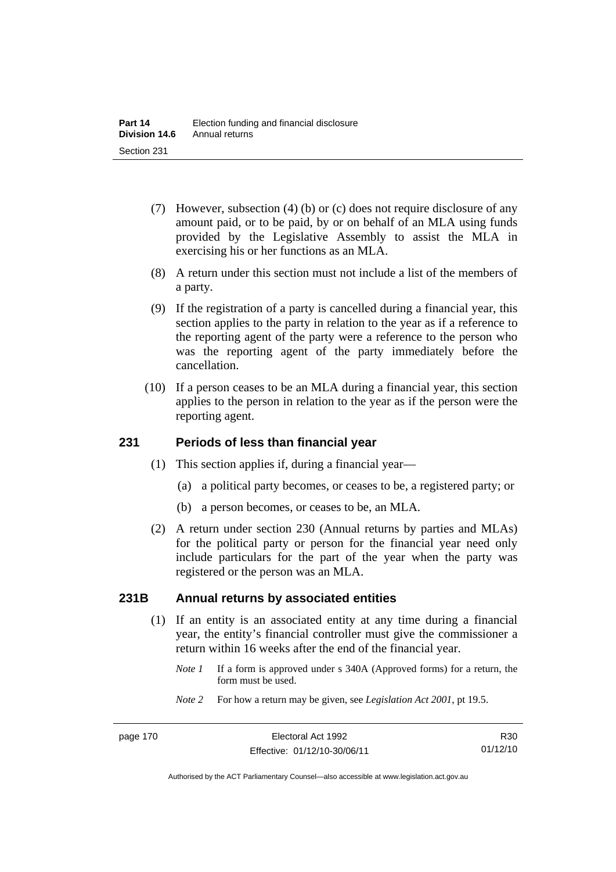- (7) However, subsection (4) (b) or (c) does not require disclosure of any amount paid, or to be paid, by or on behalf of an MLA using funds provided by the Legislative Assembly to assist the MLA in exercising his or her functions as an MLA.
- (8) A return under this section must not include a list of the members of a party.
- (9) If the registration of a party is cancelled during a financial year, this section applies to the party in relation to the year as if a reference to the reporting agent of the party were a reference to the person who was the reporting agent of the party immediately before the cancellation.
- (10) If a person ceases to be an MLA during a financial year, this section applies to the person in relation to the year as if the person were the reporting agent.

#### **231 Periods of less than financial year**

- (1) This section applies if, during a financial year—
	- (a) a political party becomes, or ceases to be, a registered party; or
	- (b) a person becomes, or ceases to be, an MLA.
- (2) A return under section 230 (Annual returns by parties and MLAs) for the political party or person for the financial year need only include particulars for the part of the year when the party was registered or the person was an MLA.

#### **231B Annual returns by associated entities**

- (1) If an entity is an associated entity at any time during a financial year, the entity's financial controller must give the commissioner a return within 16 weeks after the end of the financial year.
	- *Note 1* If a form is approved under s 340A (Approved forms) for a return, the form must be used.
	- *Note 2* For how a return may be given, see *Legislation Act 2001*, pt 19.5.

Authorised by the ACT Parliamentary Counsel—also accessible at www.legislation.act.gov.au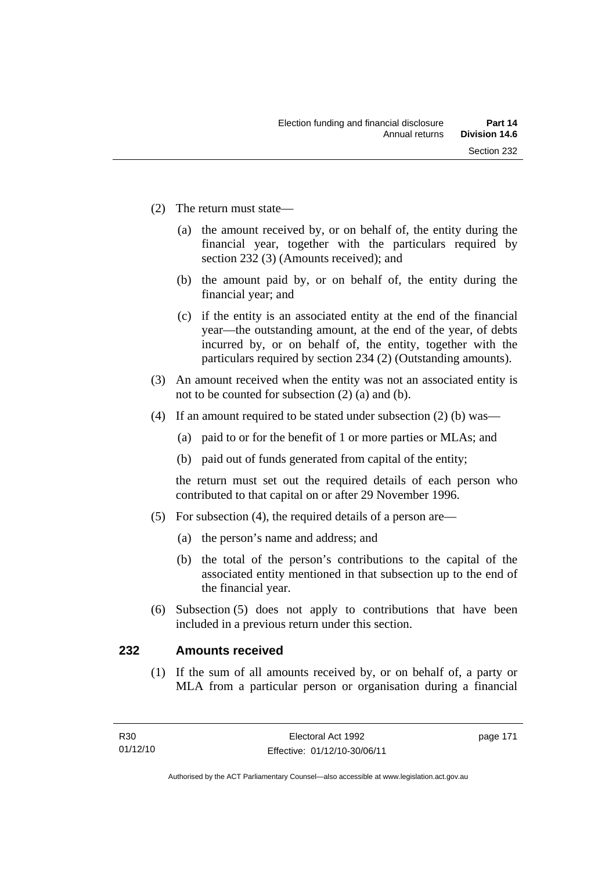- (2) The return must state—
	- (a) the amount received by, or on behalf of, the entity during the financial year, together with the particulars required by section 232 (3) (Amounts received); and
	- (b) the amount paid by, or on behalf of, the entity during the financial year; and
	- (c) if the entity is an associated entity at the end of the financial year—the outstanding amount, at the end of the year, of debts incurred by, or on behalf of, the entity, together with the particulars required by section 234 (2) (Outstanding amounts).
- (3) An amount received when the entity was not an associated entity is not to be counted for subsection (2) (a) and (b).
- (4) If an amount required to be stated under subsection (2) (b) was—
	- (a) paid to or for the benefit of 1 or more parties or MLAs; and
	- (b) paid out of funds generated from capital of the entity;

the return must set out the required details of each person who contributed to that capital on or after 29 November 1996.

- (5) For subsection (4), the required details of a person are—
	- (a) the person's name and address; and
	- (b) the total of the person's contributions to the capital of the associated entity mentioned in that subsection up to the end of the financial year.
- (6) Subsection (5) does not apply to contributions that have been included in a previous return under this section.

### **232 Amounts received**

(1) If the sum of all amounts received by, or on behalf of, a party or MLA from a particular person or organisation during a financial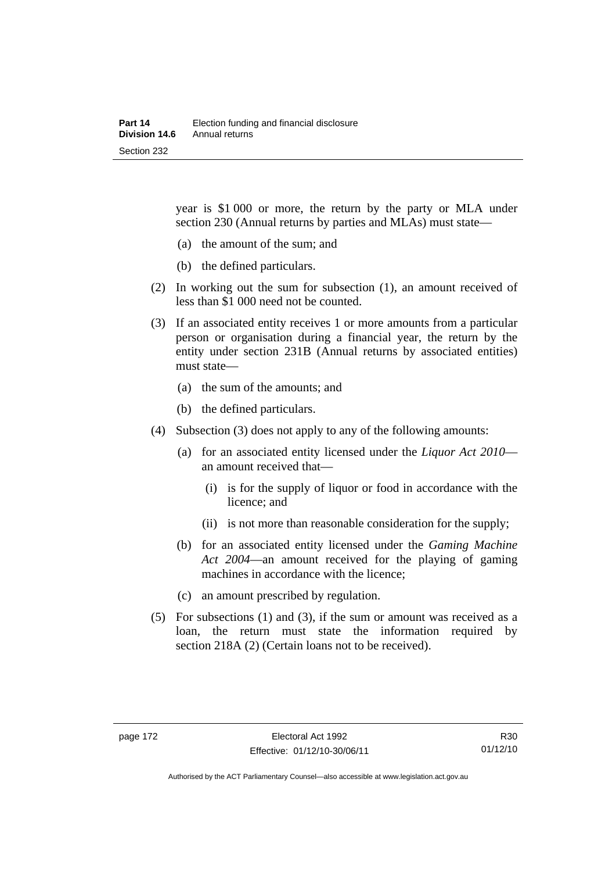year is \$1 000 or more, the return by the party or MLA under section 230 (Annual returns by parties and MLAs) must state—

- (a) the amount of the sum; and
- (b) the defined particulars.
- (2) In working out the sum for subsection (1), an amount received of less than \$1 000 need not be counted.
- (3) If an associated entity receives 1 or more amounts from a particular person or organisation during a financial year, the return by the entity under section 231B (Annual returns by associated entities) must state—
	- (a) the sum of the amounts; and
	- (b) the defined particulars.
- (4) Subsection (3) does not apply to any of the following amounts:
	- (a) for an associated entity licensed under the *Liquor Act 2010* an amount received that—
		- (i) is for the supply of liquor or food in accordance with the licence; and
		- (ii) is not more than reasonable consideration for the supply;
	- (b) for an associated entity licensed under the *Gaming Machine Act 2004*—an amount received for the playing of gaming machines in accordance with the licence;
	- (c) an amount prescribed by regulation.
- (5) For subsections (1) and (3), if the sum or amount was received as a loan, the return must state the information required by section 218A (2) (Certain loans not to be received).

Authorised by the ACT Parliamentary Counsel—also accessible at www.legislation.act.gov.au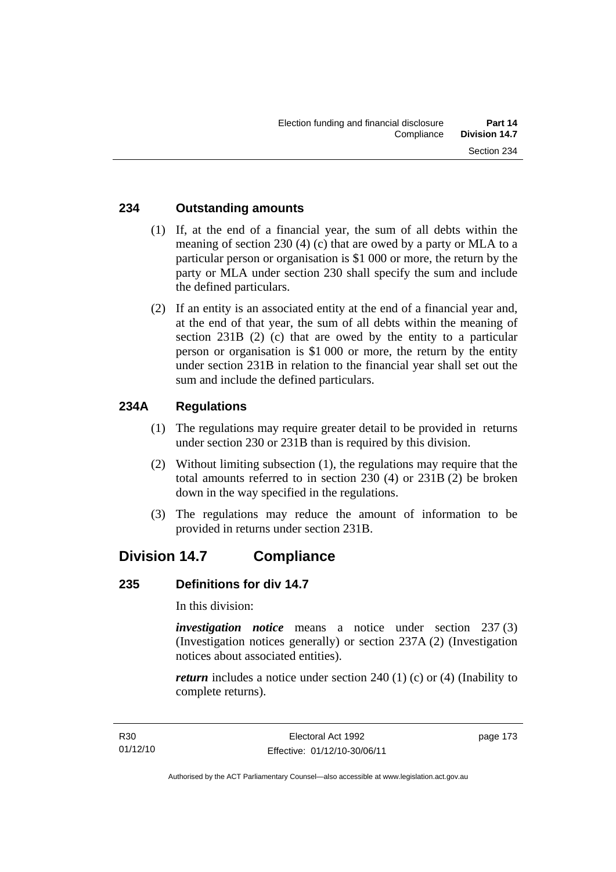#### **234 Outstanding amounts**

- (1) If, at the end of a financial year, the sum of all debts within the meaning of section 230 (4) (c) that are owed by a party or MLA to a particular person or organisation is \$1 000 or more, the return by the party or MLA under section 230 shall specify the sum and include the defined particulars.
- (2) If an entity is an associated entity at the end of a financial year and, at the end of that year, the sum of all debts within the meaning of section 231B (2) (c) that are owed by the entity to a particular person or organisation is \$1 000 or more, the return by the entity under section 231B in relation to the financial year shall set out the sum and include the defined particulars.

## **234A Regulations**

- (1) The regulations may require greater detail to be provided in returns under section 230 or 231B than is required by this division.
- (2) Without limiting subsection (1), the regulations may require that the total amounts referred to in section 230 (4) or 231B (2) be broken down in the way specified in the regulations.
- (3) The regulations may reduce the amount of information to be provided in returns under section 231B.

# **Division 14.7 Compliance**

#### **235 Definitions for div 14.7**

In this division:

*investigation notice* means a notice under section 237 (3) (Investigation notices generally) or section 237A (2) (Investigation notices about associated entities).

*return* includes a notice under section 240 (1) (c) or (4) (Inability to complete returns).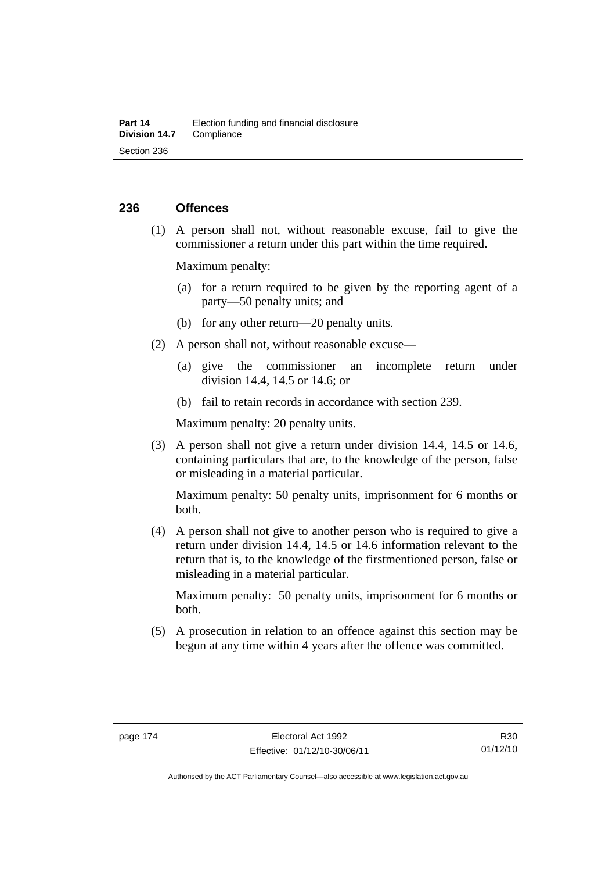#### **236 Offences**

 (1) A person shall not, without reasonable excuse, fail to give the commissioner a return under this part within the time required.

Maximum penalty:

- (a) for a return required to be given by the reporting agent of a party—50 penalty units; and
- (b) for any other return—20 penalty units.
- (2) A person shall not, without reasonable excuse—
	- (a) give the commissioner an incomplete return under division 14.4, 14.5 or 14.6; or
	- (b) fail to retain records in accordance with section 239.

Maximum penalty: 20 penalty units.

 (3) A person shall not give a return under division 14.4, 14.5 or 14.6, containing particulars that are, to the knowledge of the person, false or misleading in a material particular.

Maximum penalty: 50 penalty units, imprisonment for 6 months or both.

 (4) A person shall not give to another person who is required to give a return under division 14.4, 14.5 or 14.6 information relevant to the return that is, to the knowledge of the firstmentioned person, false or misleading in a material particular.

Maximum penalty: 50 penalty units, imprisonment for 6 months or both.

 (5) A prosecution in relation to an offence against this section may be begun at any time within 4 years after the offence was committed.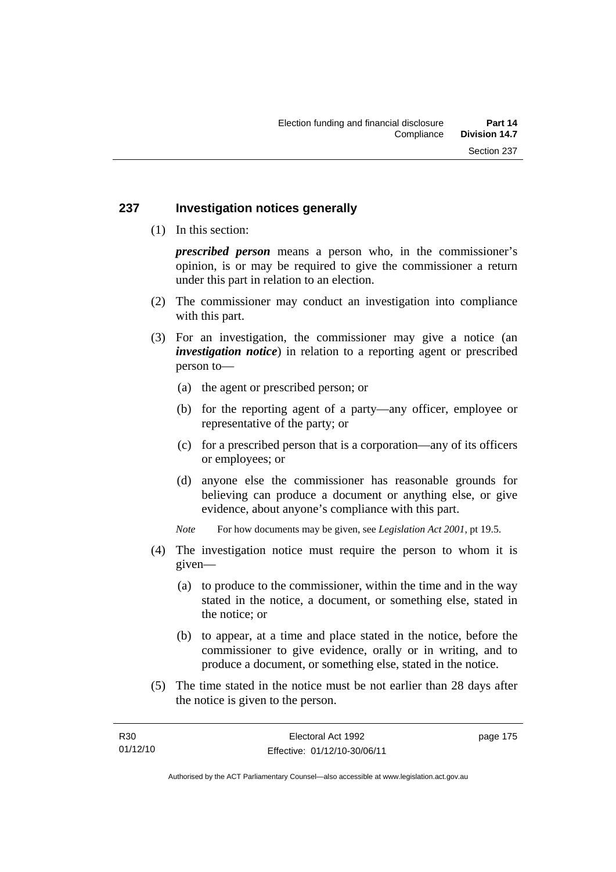#### **237 Investigation notices generally**

(1) In this section:

*prescribed person* means a person who, in the commissioner's opinion, is or may be required to give the commissioner a return under this part in relation to an election.

- (2) The commissioner may conduct an investigation into compliance with this part.
- (3) For an investigation, the commissioner may give a notice (an *investigation notice*) in relation to a reporting agent or prescribed person to—
	- (a) the agent or prescribed person; or
	- (b) for the reporting agent of a party—any officer, employee or representative of the party; or
	- (c) for a prescribed person that is a corporation—any of its officers or employees; or
	- (d) anyone else the commissioner has reasonable grounds for believing can produce a document or anything else, or give evidence, about anyone's compliance with this part.
	- *Note* For how documents may be given, see *Legislation Act 2001*, pt 19.5.
- (4) The investigation notice must require the person to whom it is given—
	- (a) to produce to the commissioner, within the time and in the way stated in the notice, a document, or something else, stated in the notice; or
	- (b) to appear, at a time and place stated in the notice, before the commissioner to give evidence, orally or in writing, and to produce a document, or something else, stated in the notice.
- (5) The time stated in the notice must be not earlier than 28 days after the notice is given to the person.

page 175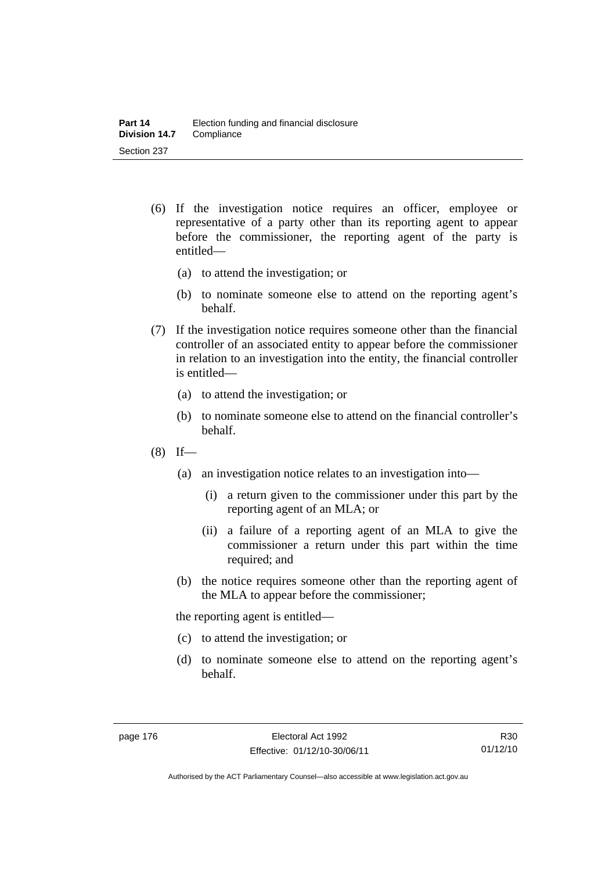- (6) If the investigation notice requires an officer, employee or representative of a party other than its reporting agent to appear before the commissioner, the reporting agent of the party is entitled—
	- (a) to attend the investigation; or
	- (b) to nominate someone else to attend on the reporting agent's behalf.
- (7) If the investigation notice requires someone other than the financial controller of an associated entity to appear before the commissioner in relation to an investigation into the entity, the financial controller is entitled—
	- (a) to attend the investigation; or
	- (b) to nominate someone else to attend on the financial controller's behalf.
- $(8)$  If—
	- (a) an investigation notice relates to an investigation into—
		- (i) a return given to the commissioner under this part by the reporting agent of an MLA; or
		- (ii) a failure of a reporting agent of an MLA to give the commissioner a return under this part within the time required; and
	- (b) the notice requires someone other than the reporting agent of the MLA to appear before the commissioner;

the reporting agent is entitled—

- (c) to attend the investigation; or
- (d) to nominate someone else to attend on the reporting agent's behalf.

Authorised by the ACT Parliamentary Counsel—also accessible at www.legislation.act.gov.au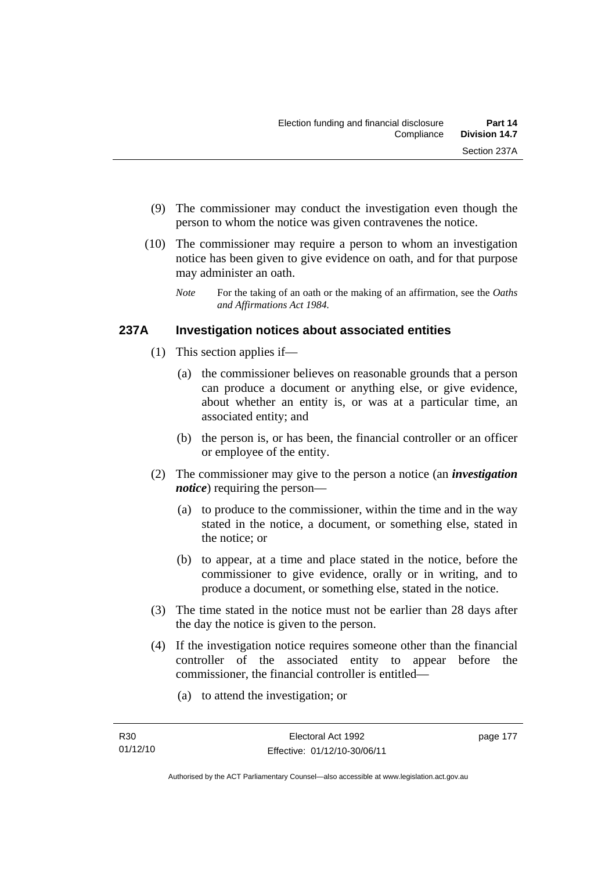- (9) The commissioner may conduct the investigation even though the person to whom the notice was given contravenes the notice.
- (10) The commissioner may require a person to whom an investigation notice has been given to give evidence on oath, and for that purpose may administer an oath.
	- *Note* For the taking of an oath or the making of an affirmation, see the *Oaths and Affirmations Act 1984.*

## **237A Investigation notices about associated entities**

- (1) This section applies if—
	- (a) the commissioner believes on reasonable grounds that a person can produce a document or anything else, or give evidence, about whether an entity is, or was at a particular time, an associated entity; and
	- (b) the person is, or has been, the financial controller or an officer or employee of the entity.
- (2) The commissioner may give to the person a notice (an *investigation notice*) requiring the person—
	- (a) to produce to the commissioner, within the time and in the way stated in the notice, a document, or something else, stated in the notice; or
	- (b) to appear, at a time and place stated in the notice, before the commissioner to give evidence, orally or in writing, and to produce a document, or something else, stated in the notice.
- (3) The time stated in the notice must not be earlier than 28 days after the day the notice is given to the person.
- (4) If the investigation notice requires someone other than the financial controller of the associated entity to appear before the commissioner, the financial controller is entitled—
	- (a) to attend the investigation; or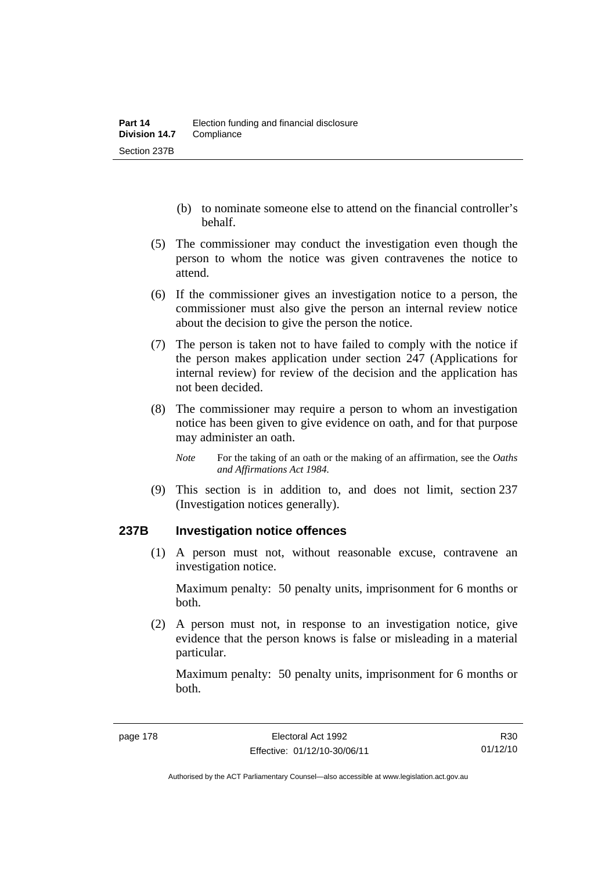- (b) to nominate someone else to attend on the financial controller's behalf.
- (5) The commissioner may conduct the investigation even though the person to whom the notice was given contravenes the notice to attend.
- (6) If the commissioner gives an investigation notice to a person, the commissioner must also give the person an internal review notice about the decision to give the person the notice.
- (7) The person is taken not to have failed to comply with the notice if the person makes application under section 247 (Applications for internal review) for review of the decision and the application has not been decided.
- (8) The commissioner may require a person to whom an investigation notice has been given to give evidence on oath, and for that purpose may administer an oath.
	- *Note* For the taking of an oath or the making of an affirmation, see the *Oaths and Affirmations Act 1984.*
- (9) This section is in addition to, and does not limit, section 237 (Investigation notices generally).

#### **237B Investigation notice offences**

(1) A person must not, without reasonable excuse, contravene an investigation notice.

Maximum penalty: 50 penalty units, imprisonment for 6 months or both.

 (2) A person must not, in response to an investigation notice, give evidence that the person knows is false or misleading in a material particular.

Maximum penalty: 50 penalty units, imprisonment for 6 months or both.

R30 01/12/10

Authorised by the ACT Parliamentary Counsel—also accessible at www.legislation.act.gov.au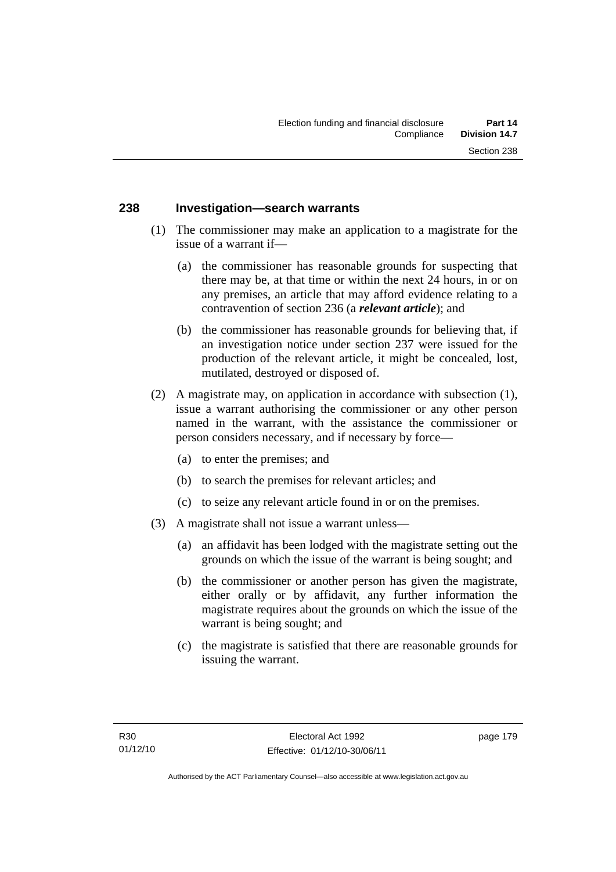#### **238 Investigation—search warrants**

- (1) The commissioner may make an application to a magistrate for the issue of a warrant if—
	- (a) the commissioner has reasonable grounds for suspecting that there may be, at that time or within the next 24 hours, in or on any premises, an article that may afford evidence relating to a contravention of section 236 (a *relevant article*); and
	- (b) the commissioner has reasonable grounds for believing that, if an investigation notice under section 237 were issued for the production of the relevant article, it might be concealed, lost, mutilated, destroyed or disposed of.
- (2) A magistrate may, on application in accordance with subsection (1), issue a warrant authorising the commissioner or any other person named in the warrant, with the assistance the commissioner or person considers necessary, and if necessary by force—
	- (a) to enter the premises; and
	- (b) to search the premises for relevant articles; and
	- (c) to seize any relevant article found in or on the premises.
- (3) A magistrate shall not issue a warrant unless—
	- (a) an affidavit has been lodged with the magistrate setting out the grounds on which the issue of the warrant is being sought; and
	- (b) the commissioner or another person has given the magistrate, either orally or by affidavit, any further information the magistrate requires about the grounds on which the issue of the warrant is being sought; and
	- (c) the magistrate is satisfied that there are reasonable grounds for issuing the warrant.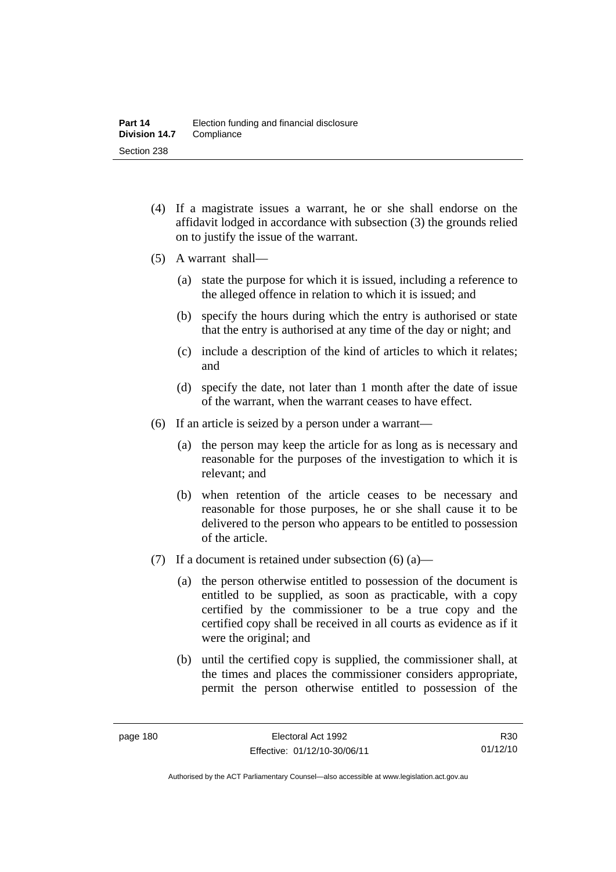- (4) If a magistrate issues a warrant, he or she shall endorse on the affidavit lodged in accordance with subsection (3) the grounds relied on to justify the issue of the warrant.
- (5) A warrant shall—
	- (a) state the purpose for which it is issued, including a reference to the alleged offence in relation to which it is issued; and
	- (b) specify the hours during which the entry is authorised or state that the entry is authorised at any time of the day or night; and
	- (c) include a description of the kind of articles to which it relates; and
	- (d) specify the date, not later than 1 month after the date of issue of the warrant, when the warrant ceases to have effect.
- (6) If an article is seized by a person under a warrant—
	- (a) the person may keep the article for as long as is necessary and reasonable for the purposes of the investigation to which it is relevant; and
	- (b) when retention of the article ceases to be necessary and reasonable for those purposes, he or she shall cause it to be delivered to the person who appears to be entitled to possession of the article.
- (7) If a document is retained under subsection  $(6)$  (a)—
	- (a) the person otherwise entitled to possession of the document is entitled to be supplied, as soon as practicable, with a copy certified by the commissioner to be a true copy and the certified copy shall be received in all courts as evidence as if it were the original; and
	- (b) until the certified copy is supplied, the commissioner shall, at the times and places the commissioner considers appropriate, permit the person otherwise entitled to possession of the

R30 01/12/10

Authorised by the ACT Parliamentary Counsel—also accessible at www.legislation.act.gov.au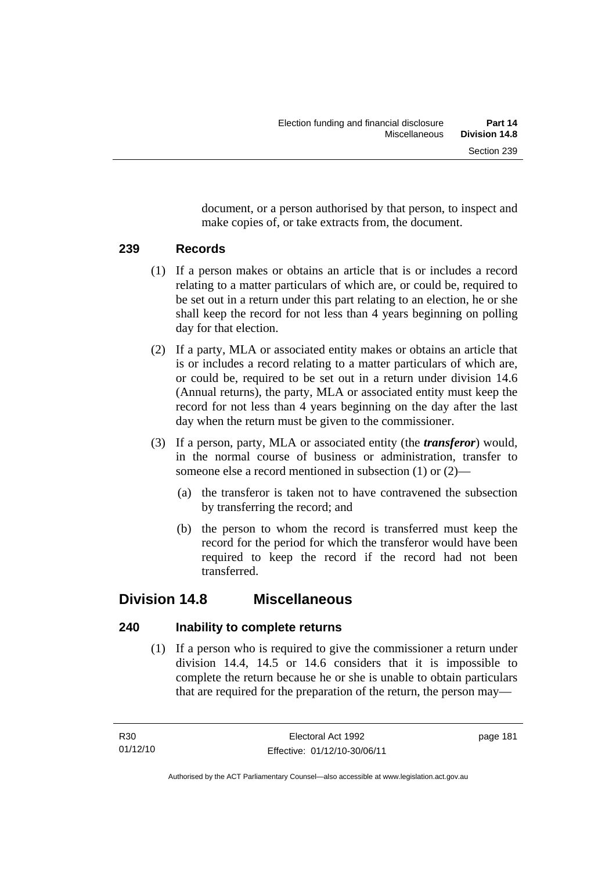document, or a person authorised by that person, to inspect and make copies of, or take extracts from, the document.

#### **239 Records**

- (1) If a person makes or obtains an article that is or includes a record relating to a matter particulars of which are, or could be, required to be set out in a return under this part relating to an election, he or she shall keep the record for not less than 4 years beginning on polling day for that election.
- (2) If a party, MLA or associated entity makes or obtains an article that is or includes a record relating to a matter particulars of which are, or could be, required to be set out in a return under division 14.6 (Annual returns), the party, MLA or associated entity must keep the record for not less than 4 years beginning on the day after the last day when the return must be given to the commissioner.
- (3) If a person, party, MLA or associated entity (the *transferor*) would, in the normal course of business or administration, transfer to someone else a record mentioned in subsection (1) or (2)—
	- (a) the transferor is taken not to have contravened the subsection by transferring the record; and
	- (b) the person to whom the record is transferred must keep the record for the period for which the transferor would have been required to keep the record if the record had not been transferred.

# **Division 14.8 Miscellaneous**

## **240 Inability to complete returns**

 (1) If a person who is required to give the commissioner a return under division 14.4, 14.5 or 14.6 considers that it is impossible to complete the return because he or she is unable to obtain particulars that are required for the preparation of the return, the person may—

page 181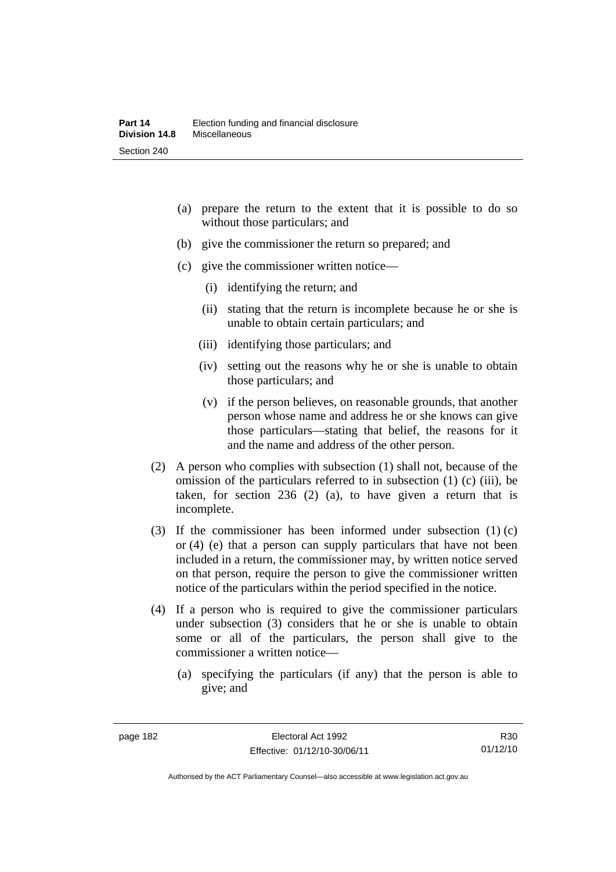- (a) prepare the return to the extent that it is possible to do so without those particulars; and
- (b) give the commissioner the return so prepared; and
- (c) give the commissioner written notice—
	- (i) identifying the return; and
	- (ii) stating that the return is incomplete because he or she is unable to obtain certain particulars; and
	- (iii) identifying those particulars; and
	- (iv) setting out the reasons why he or she is unable to obtain those particulars; and
	- (v) if the person believes, on reasonable grounds, that another person whose name and address he or she knows can give those particulars—stating that belief, the reasons for it and the name and address of the other person.
- (2) A person who complies with subsection (1) shall not, because of the omission of the particulars referred to in subsection (1) (c) (iii), be taken, for section 236 (2) (a), to have given a return that is incomplete.
- (3) If the commissioner has been informed under subsection (1) (c) or (4) (e) that a person can supply particulars that have not been included in a return, the commissioner may, by written notice served on that person, require the person to give the commissioner written notice of the particulars within the period specified in the notice.
- (4) If a person who is required to give the commissioner particulars under subsection (3) considers that he or she is unable to obtain some or all of the particulars, the person shall give to the commissioner a written notice—
	- (a) specifying the particulars (if any) that the person is able to give; and

R30 01/12/10

Authorised by the ACT Parliamentary Counsel—also accessible at www.legislation.act.gov.au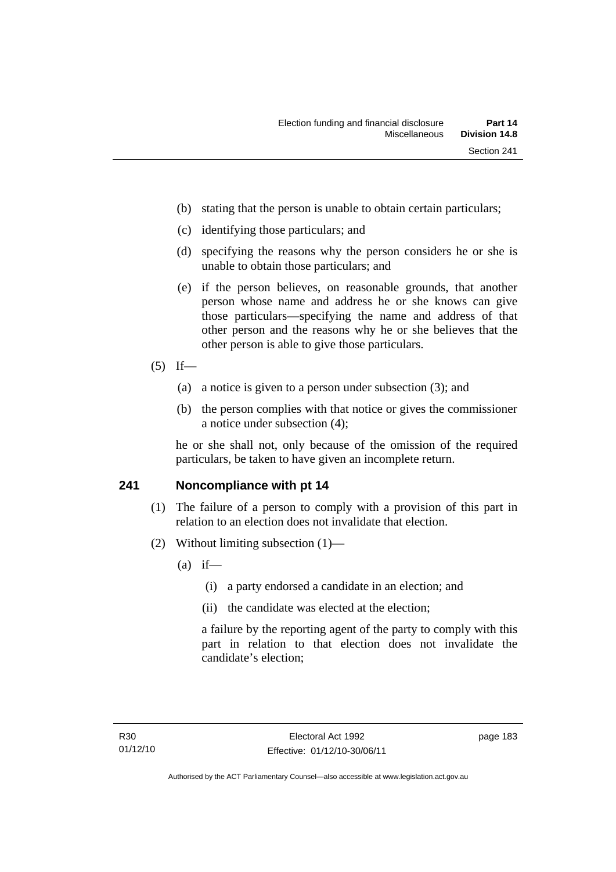- (b) stating that the person is unable to obtain certain particulars;
- (c) identifying those particulars; and
- (d) specifying the reasons why the person considers he or she is unable to obtain those particulars; and
- (e) if the person believes, on reasonable grounds, that another person whose name and address he or she knows can give those particulars—specifying the name and address of that other person and the reasons why he or she believes that the other person is able to give those particulars.
- $(5)$  If—
	- (a) a notice is given to a person under subsection (3); and
	- (b) the person complies with that notice or gives the commissioner a notice under subsection (4);

he or she shall not, only because of the omission of the required particulars, be taken to have given an incomplete return.

#### **241 Noncompliance with pt 14**

- (1) The failure of a person to comply with a provision of this part in relation to an election does not invalidate that election.
- (2) Without limiting subsection (1)—
	- $(a)$  if—
		- (i) a party endorsed a candidate in an election; and
		- (ii) the candidate was elected at the election;

a failure by the reporting agent of the party to comply with this part in relation to that election does not invalidate the candidate's election;

page 183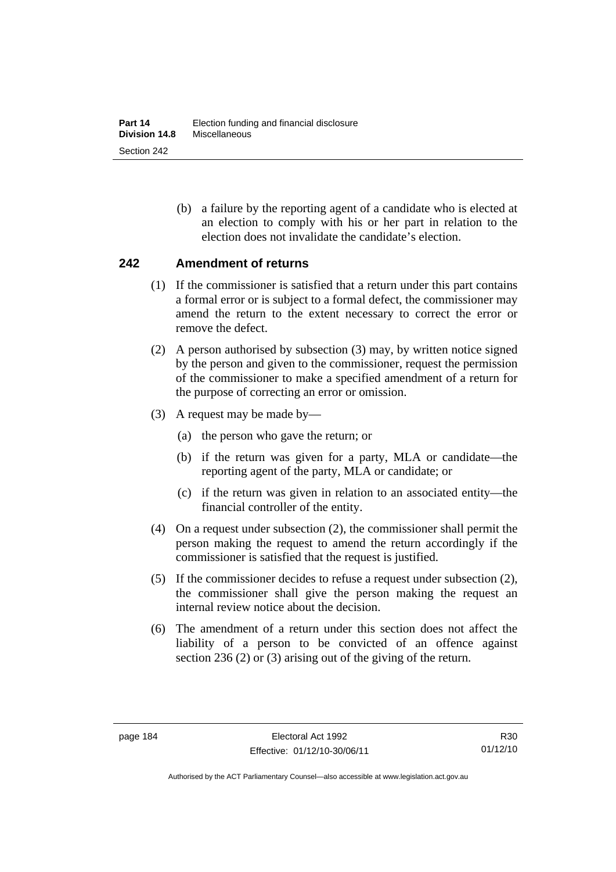(b) a failure by the reporting agent of a candidate who is elected at an election to comply with his or her part in relation to the election does not invalidate the candidate's election.

#### **242 Amendment of returns**

- (1) If the commissioner is satisfied that a return under this part contains a formal error or is subject to a formal defect, the commissioner may amend the return to the extent necessary to correct the error or remove the defect.
- (2) A person authorised by subsection (3) may, by written notice signed by the person and given to the commissioner, request the permission of the commissioner to make a specified amendment of a return for the purpose of correcting an error or omission.
- (3) A request may be made by—
	- (a) the person who gave the return; or
	- (b) if the return was given for a party, MLA or candidate—the reporting agent of the party, MLA or candidate; or
	- (c) if the return was given in relation to an associated entity—the financial controller of the entity.
- (4) On a request under subsection (2), the commissioner shall permit the person making the request to amend the return accordingly if the commissioner is satisfied that the request is justified.
- (5) If the commissioner decides to refuse a request under subsection (2), the commissioner shall give the person making the request an internal review notice about the decision.
- (6) The amendment of a return under this section does not affect the liability of a person to be convicted of an offence against section 236 (2) or (3) arising out of the giving of the return.

Authorised by the ACT Parliamentary Counsel—also accessible at www.legislation.act.gov.au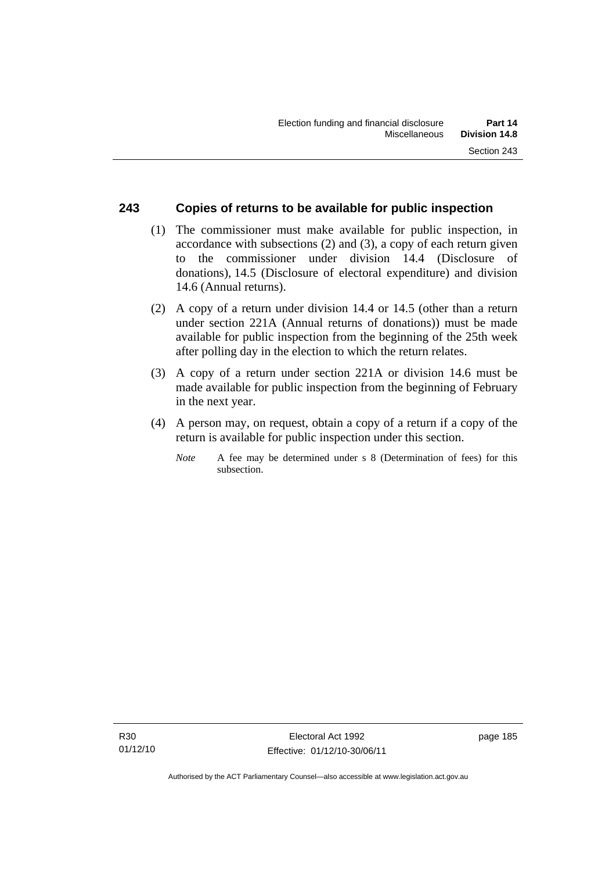#### **243 Copies of returns to be available for public inspection**

- (1) The commissioner must make available for public inspection, in accordance with subsections (2) and (3), a copy of each return given to the commissioner under division 14.4 (Disclosure of donations), 14.5 (Disclosure of electoral expenditure) and division 14.6 (Annual returns).
- (2) A copy of a return under division 14.4 or 14.5 (other than a return under section 221A (Annual returns of donations)) must be made available for public inspection from the beginning of the 25th week after polling day in the election to which the return relates.
- (3) A copy of a return under section 221A or division 14.6 must be made available for public inspection from the beginning of February in the next year.
- (4) A person may, on request, obtain a copy of a return if a copy of the return is available for public inspection under this section.
	- *Note* A fee may be determined under s 8 (Determination of fees) for this subsection.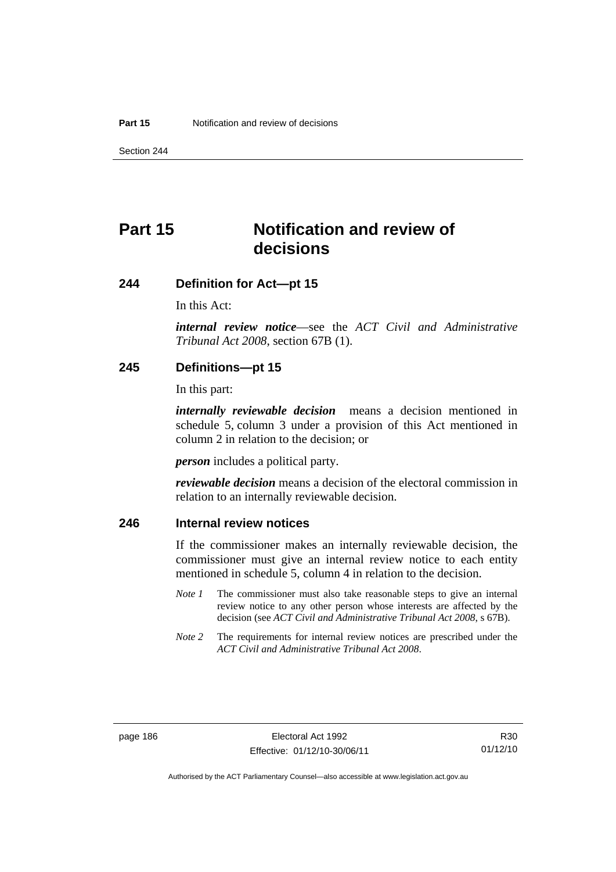Section 244

# **Part 15 Notification and review of decisions**

#### **244 Definition for Act—pt 15**

In this Act:

*internal review notice*—see the *ACT Civil and Administrative Tribunal Act 2008*, section 67B (1).

#### **245 Definitions—pt 15**

In this part:

*internally reviewable decision* means a decision mentioned in schedule 5, column 3 under a provision of this Act mentioned in column 2 in relation to the decision; or

*person* includes a political party.

*reviewable decision* means a decision of the electoral commission in relation to an internally reviewable decision.

#### **246 Internal review notices**

If the commissioner makes an internally reviewable decision, the commissioner must give an internal review notice to each entity mentioned in schedule 5, column 4 in relation to the decision.

- *Note 1* The commissioner must also take reasonable steps to give an internal review notice to any other person whose interests are affected by the decision (see *ACT Civil and Administrative Tribunal Act 2008*, s 67B).
- *Note* 2 The requirements for internal review notices are prescribed under the *ACT Civil and Administrative Tribunal Act 2008*.

Authorised by the ACT Parliamentary Counsel—also accessible at www.legislation.act.gov.au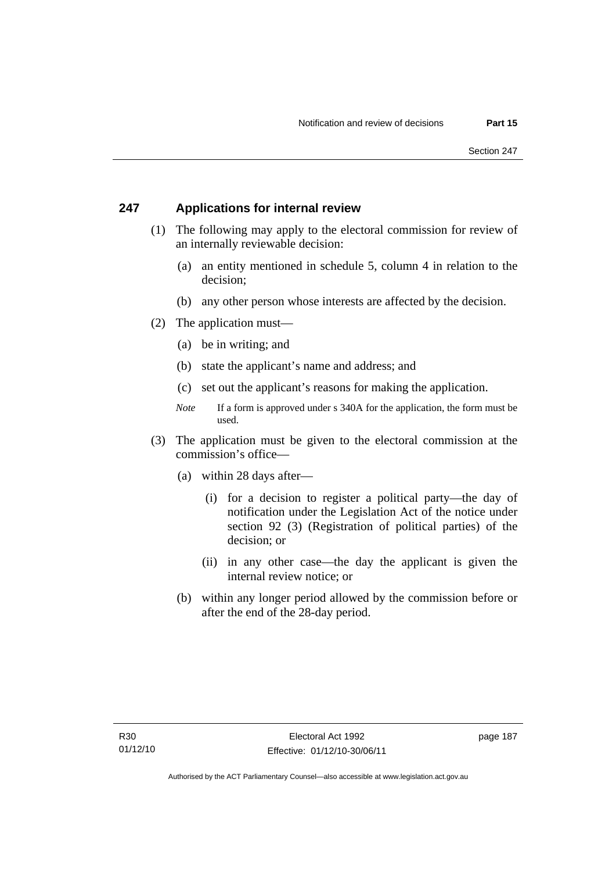#### **247 Applications for internal review**

- (1) The following may apply to the electoral commission for review of an internally reviewable decision:
	- (a) an entity mentioned in schedule 5, column 4 in relation to the decision;
	- (b) any other person whose interests are affected by the decision.
- (2) The application must—
	- (a) be in writing; and
	- (b) state the applicant's name and address; and
	- (c) set out the applicant's reasons for making the application.
	- *Note* If a form is approved under s 340A for the application, the form must be used.
- (3) The application must be given to the electoral commission at the commission's office—
	- (a) within 28 days after—
		- (i) for a decision to register a political party—the day of notification under the Legislation Act of the notice under section 92 (3) (Registration of political parties) of the decision; or
		- (ii) in any other case—the day the applicant is given the internal review notice; or
	- (b) within any longer period allowed by the commission before or after the end of the 28-day period.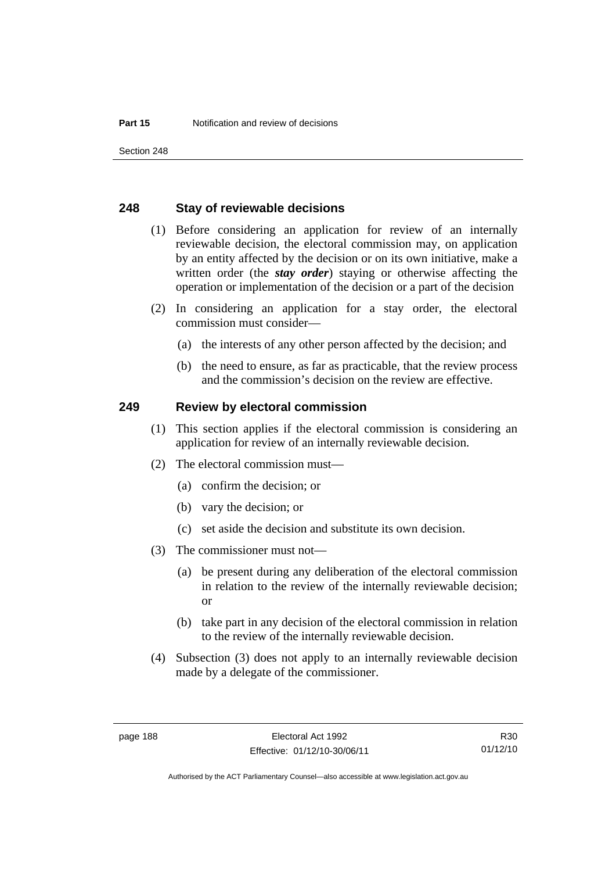Section 248

#### **248 Stay of reviewable decisions**

- (1) Before considering an application for review of an internally reviewable decision, the electoral commission may, on application by an entity affected by the decision or on its own initiative, make a written order (the *stay order*) staying or otherwise affecting the operation or implementation of the decision or a part of the decision
- (2) In considering an application for a stay order, the electoral commission must consider—
	- (a) the interests of any other person affected by the decision; and
	- (b) the need to ensure, as far as practicable, that the review process and the commission's decision on the review are effective.

#### **249 Review by electoral commission**

- (1) This section applies if the electoral commission is considering an application for review of an internally reviewable decision.
- (2) The electoral commission must—
	- (a) confirm the decision; or
	- (b) vary the decision; or
	- (c) set aside the decision and substitute its own decision.
- (3) The commissioner must not—
	- (a) be present during any deliberation of the electoral commission in relation to the review of the internally reviewable decision; or
	- (b) take part in any decision of the electoral commission in relation to the review of the internally reviewable decision.
- (4) Subsection (3) does not apply to an internally reviewable decision made by a delegate of the commissioner.

R30 01/12/10

Authorised by the ACT Parliamentary Counsel—also accessible at www.legislation.act.gov.au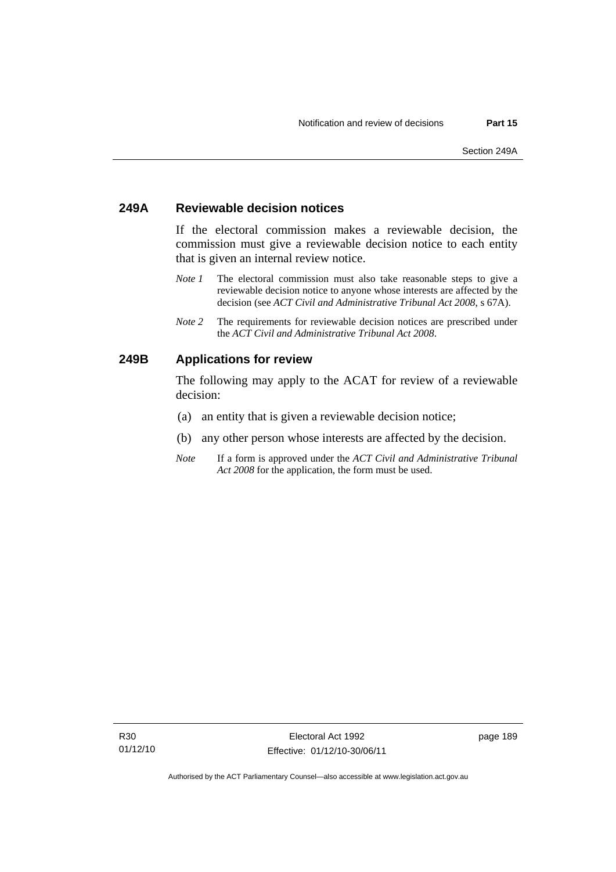#### **249A Reviewable decision notices**

If the electoral commission makes a reviewable decision, the commission must give a reviewable decision notice to each entity that is given an internal review notice.

- *Note 1* The electoral commission must also take reasonable steps to give a reviewable decision notice to anyone whose interests are affected by the decision (see *ACT Civil and Administrative Tribunal Act 2008*, s 67A).
- *Note 2* The requirements for reviewable decision notices are prescribed under the *ACT Civil and Administrative Tribunal Act 2008*.

### **249B Applications for review**

The following may apply to the ACAT for review of a reviewable decision:

- (a) an entity that is given a reviewable decision notice;
- (b) any other person whose interests are affected by the decision.
- *Note* If a form is approved under the *ACT Civil and Administrative Tribunal Act 2008* for the application, the form must be used.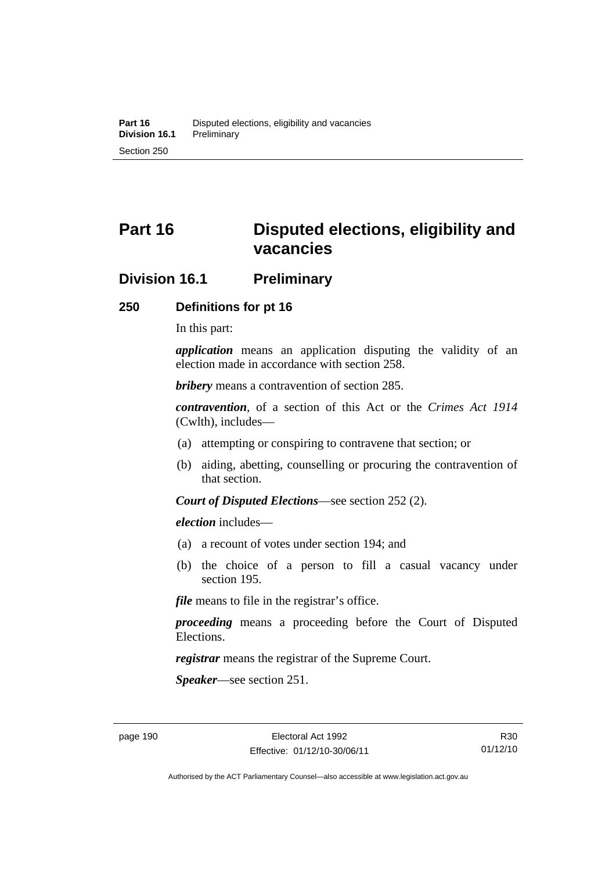# **Part 16 Disputed elections, eligibility and vacancies**

# **Division 16.1 Preliminary**

#### **250 Definitions for pt 16**

In this part:

*application* means an application disputing the validity of an election made in accordance with section 258.

*bribery* means a contravention of section 285.

*contravention*, of a section of this Act or the *Crimes Act 1914* (Cwlth), includes—

- (a) attempting or conspiring to contravene that section; or
- (b) aiding, abetting, counselling or procuring the contravention of that section.

*Court of Disputed Elections*—see section 252 (2).

*election* includes—

- (a) a recount of votes under section 194; and
- (b) the choice of a person to fill a casual vacancy under section 195.

*file* means to file in the registrar's office.

*proceeding* means a proceeding before the Court of Disputed Elections.

*registrar* means the registrar of the Supreme Court.

*Speaker*—see section 251.

Authorised by the ACT Parliamentary Counsel—also accessible at www.legislation.act.gov.au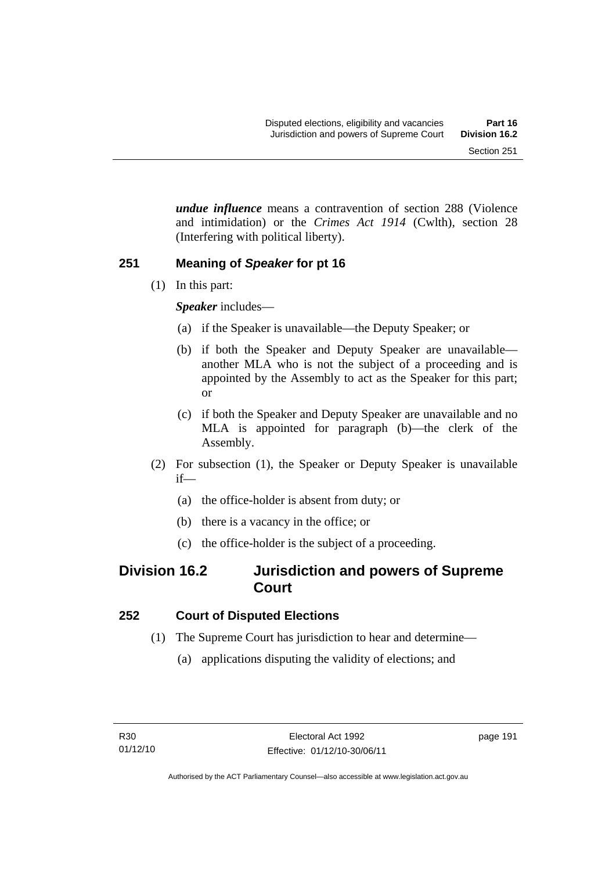*undue influence* means a contravention of section 288 (Violence and intimidation) or the *Crimes Act 1914* (Cwlth), section 28 (Interfering with political liberty).

#### **251 Meaning of** *Speaker* **for pt 16**

(1) In this part:

*Speaker* includes—

- (a) if the Speaker is unavailable—the Deputy Speaker; or
- (b) if both the Speaker and Deputy Speaker are unavailable another MLA who is not the subject of a proceeding and is appointed by the Assembly to act as the Speaker for this part; or
- (c) if both the Speaker and Deputy Speaker are unavailable and no MLA is appointed for paragraph (b)—the clerk of the Assembly.
- (2) For subsection (1), the Speaker or Deputy Speaker is unavailable if—
	- (a) the office-holder is absent from duty; or
	- (b) there is a vacancy in the office; or
	- (c) the office-holder is the subject of a proceeding.

# **Division 16.2 Jurisdiction and powers of Supreme Court**

## **252 Court of Disputed Elections**

- (1) The Supreme Court has jurisdiction to hear and determine—
	- (a) applications disputing the validity of elections; and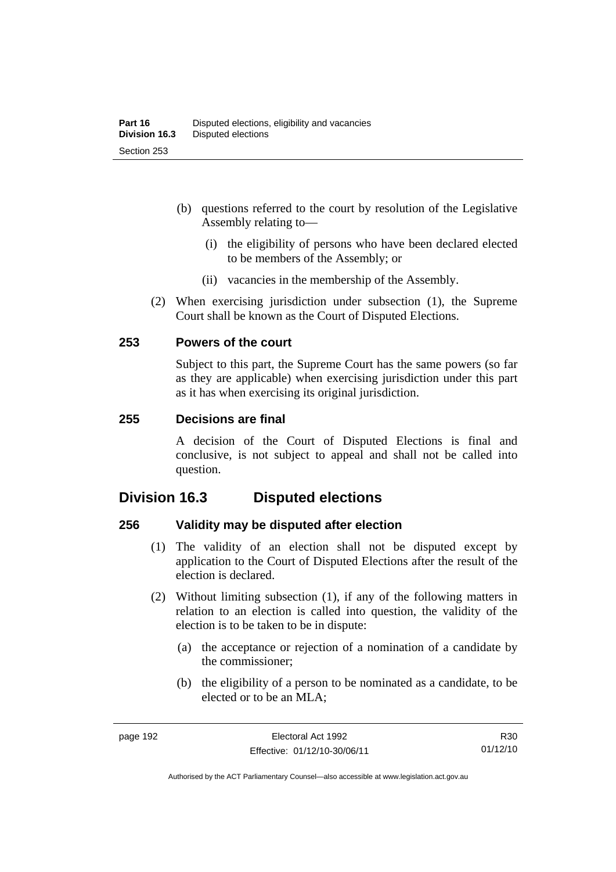- (b) questions referred to the court by resolution of the Legislative Assembly relating to—
	- (i) the eligibility of persons who have been declared elected to be members of the Assembly; or
	- (ii) vacancies in the membership of the Assembly.
- (2) When exercising jurisdiction under subsection (1), the Supreme Court shall be known as the Court of Disputed Elections.

#### **253 Powers of the court**

Subject to this part, the Supreme Court has the same powers (so far as they are applicable) when exercising jurisdiction under this part as it has when exercising its original jurisdiction.

#### **255 Decisions are final**

A decision of the Court of Disputed Elections is final and conclusive, is not subject to appeal and shall not be called into question.

# **Division 16.3 Disputed elections**

#### **256 Validity may be disputed after election**

- (1) The validity of an election shall not be disputed except by application to the Court of Disputed Elections after the result of the election is declared.
- (2) Without limiting subsection (1), if any of the following matters in relation to an election is called into question, the validity of the election is to be taken to be in dispute:
	- (a) the acceptance or rejection of a nomination of a candidate by the commissioner;
	- (b) the eligibility of a person to be nominated as a candidate, to be elected or to be an MLA;

R30 01/12/10

Authorised by the ACT Parliamentary Counsel—also accessible at www.legislation.act.gov.au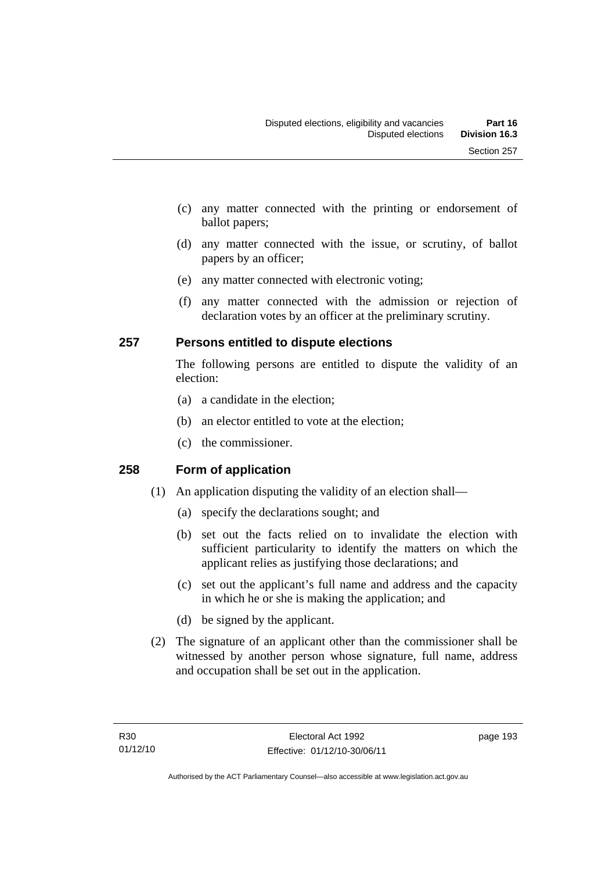- (c) any matter connected with the printing or endorsement of ballot papers;
- (d) any matter connected with the issue, or scrutiny, of ballot papers by an officer;
- (e) any matter connected with electronic voting;
- (f) any matter connected with the admission or rejection of declaration votes by an officer at the preliminary scrutiny.

## **257 Persons entitled to dispute elections**

The following persons are entitled to dispute the validity of an election:

- (a) a candidate in the election;
- (b) an elector entitled to vote at the election;
- (c) the commissioner.

## **258 Form of application**

- (1) An application disputing the validity of an election shall—
	- (a) specify the declarations sought; and
	- (b) set out the facts relied on to invalidate the election with sufficient particularity to identify the matters on which the applicant relies as justifying those declarations; and
	- (c) set out the applicant's full name and address and the capacity in which he or she is making the application; and
	- (d) be signed by the applicant.
- (2) The signature of an applicant other than the commissioner shall be witnessed by another person whose signature, full name, address and occupation shall be set out in the application.

page 193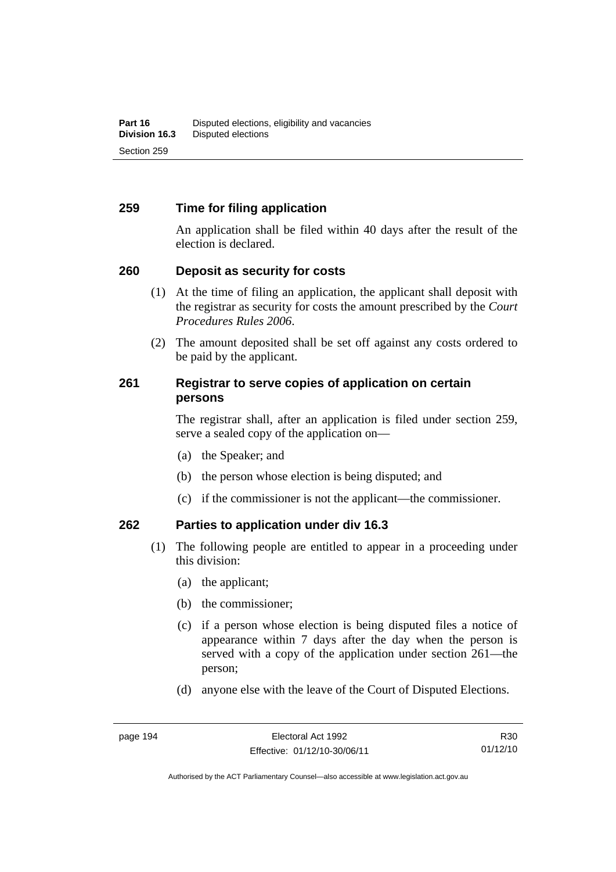### **259 Time for filing application**

An application shall be filed within 40 days after the result of the election is declared.

#### **260 Deposit as security for costs**

- (1) At the time of filing an application, the applicant shall deposit with the registrar as security for costs the amount prescribed by the *Court Procedures Rules 2006*.
- (2) The amount deposited shall be set off against any costs ordered to be paid by the applicant.

#### **261 Registrar to serve copies of application on certain persons**

The registrar shall, after an application is filed under section 259, serve a sealed copy of the application on—

- (a) the Speaker; and
- (b) the person whose election is being disputed; and
- (c) if the commissioner is not the applicant—the commissioner.

#### **262 Parties to application under div 16.3**

- (1) The following people are entitled to appear in a proceeding under this division:
	- (a) the applicant;
	- (b) the commissioner;
	- (c) if a person whose election is being disputed files a notice of appearance within 7 days after the day when the person is served with a copy of the application under section 261—the person;
	- (d) anyone else with the leave of the Court of Disputed Elections.

R30 01/12/10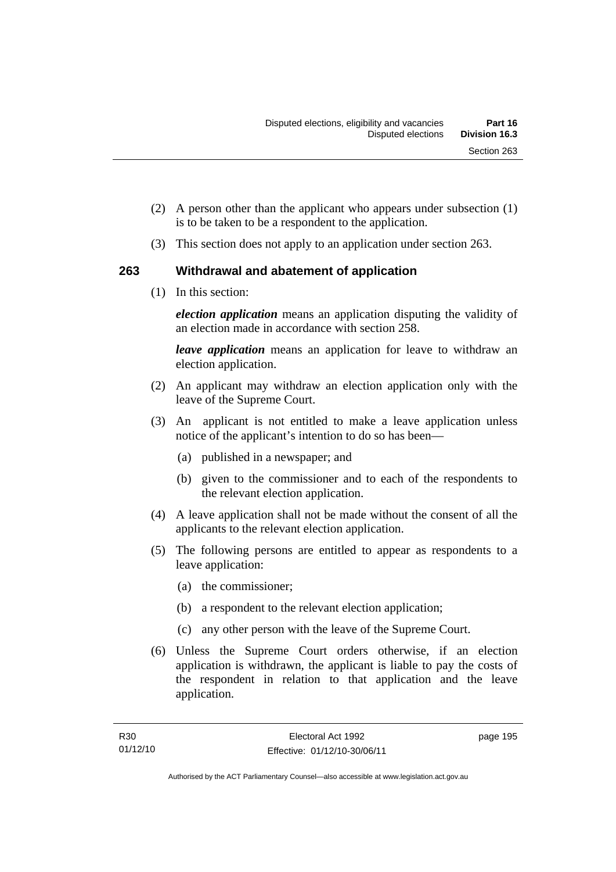- (2) A person other than the applicant who appears under subsection (1) is to be taken to be a respondent to the application.
- (3) This section does not apply to an application under section 263.

## **263 Withdrawal and abatement of application**

(1) In this section:

*election application* means an application disputing the validity of an election made in accordance with section 258.

*leave application* means an application for leave to withdraw an election application.

- (2) An applicant may withdraw an election application only with the leave of the Supreme Court.
- (3) An applicant is not entitled to make a leave application unless notice of the applicant's intention to do so has been—
	- (a) published in a newspaper; and
	- (b) given to the commissioner and to each of the respondents to the relevant election application.
- (4) A leave application shall not be made without the consent of all the applicants to the relevant election application.
- (5) The following persons are entitled to appear as respondents to a leave application:
	- (a) the commissioner;
	- (b) a respondent to the relevant election application;
	- (c) any other person with the leave of the Supreme Court.
- (6) Unless the Supreme Court orders otherwise, if an election application is withdrawn, the applicant is liable to pay the costs of the respondent in relation to that application and the leave application.

page 195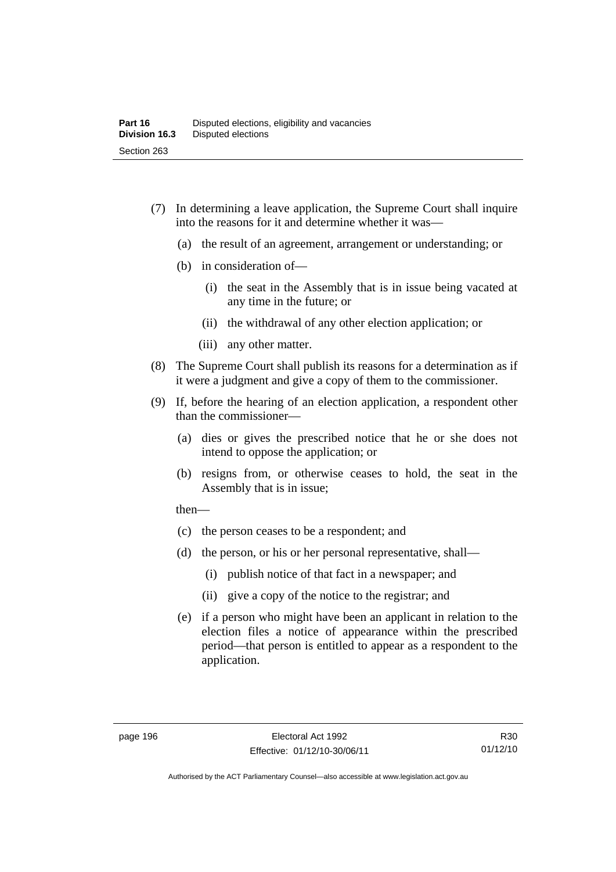- (7) In determining a leave application, the Supreme Court shall inquire into the reasons for it and determine whether it was—
	- (a) the result of an agreement, arrangement or understanding; or
	- (b) in consideration of—
		- (i) the seat in the Assembly that is in issue being vacated at any time in the future; or
		- (ii) the withdrawal of any other election application; or
		- (iii) any other matter.
- (8) The Supreme Court shall publish its reasons for a determination as if it were a judgment and give a copy of them to the commissioner.
- (9) If, before the hearing of an election application, a respondent other than the commissioner—
	- (a) dies or gives the prescribed notice that he or she does not intend to oppose the application; or
	- (b) resigns from, or otherwise ceases to hold, the seat in the Assembly that is in issue;

then—

- (c) the person ceases to be a respondent; and
- (d) the person, or his or her personal representative, shall—
	- (i) publish notice of that fact in a newspaper; and
	- (ii) give a copy of the notice to the registrar; and
- (e) if a person who might have been an applicant in relation to the election files a notice of appearance within the prescribed period—that person is entitled to appear as a respondent to the application.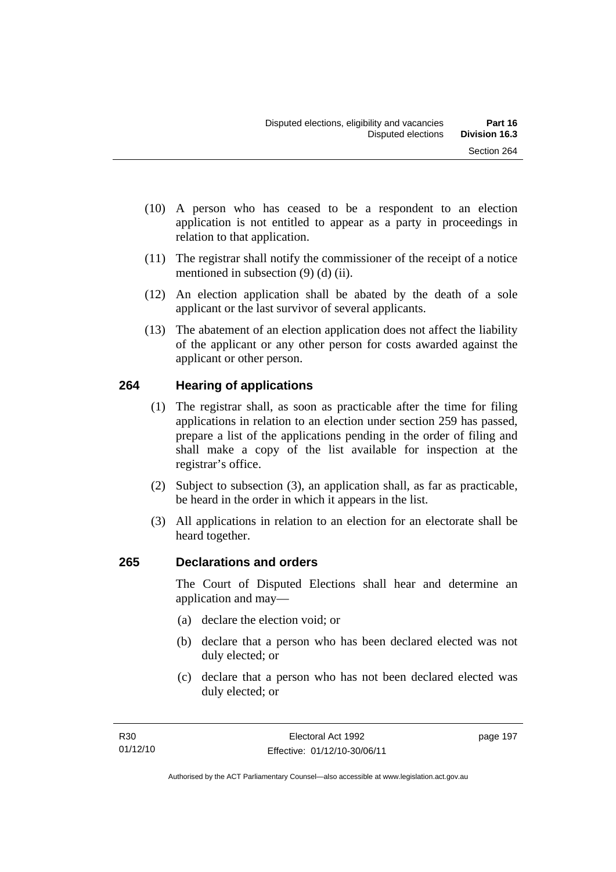- (10) A person who has ceased to be a respondent to an election application is not entitled to appear as a party in proceedings in relation to that application.
- (11) The registrar shall notify the commissioner of the receipt of a notice mentioned in subsection (9) (d) (ii).
- (12) An election application shall be abated by the death of a sole applicant or the last survivor of several applicants.
- (13) The abatement of an election application does not affect the liability of the applicant or any other person for costs awarded against the applicant or other person.

# **264 Hearing of applications**

- (1) The registrar shall, as soon as practicable after the time for filing applications in relation to an election under section 259 has passed, prepare a list of the applications pending in the order of filing and shall make a copy of the list available for inspection at the registrar's office.
- (2) Subject to subsection (3), an application shall, as far as practicable, be heard in the order in which it appears in the list.
- (3) All applications in relation to an election for an electorate shall be heard together.

# **265 Declarations and orders**

The Court of Disputed Elections shall hear and determine an application and may—

- (a) declare the election void; or
- (b) declare that a person who has been declared elected was not duly elected; or
- (c) declare that a person who has not been declared elected was duly elected; or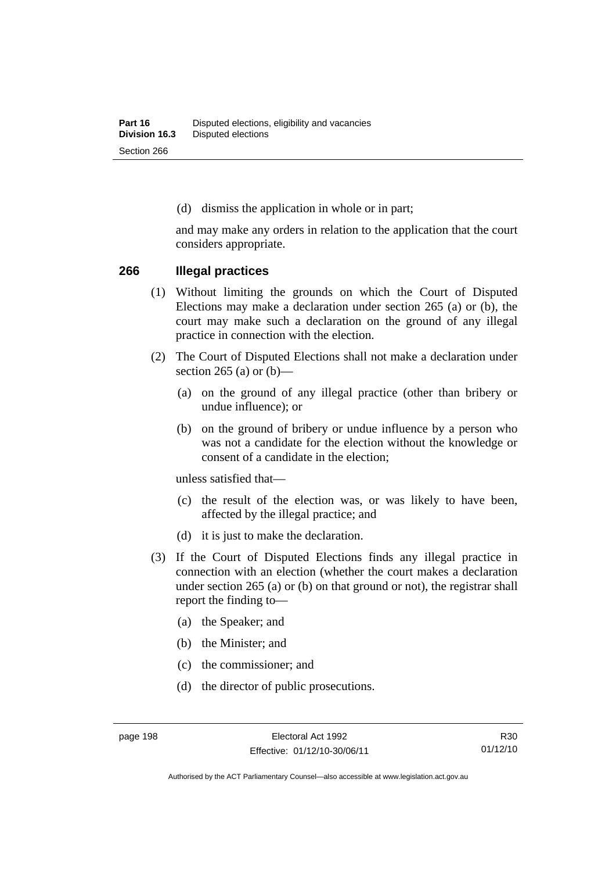(d) dismiss the application in whole or in part;

and may make any orders in relation to the application that the court considers appropriate.

#### **266 Illegal practices**

- (1) Without limiting the grounds on which the Court of Disputed Elections may make a declaration under section 265 (a) or (b), the court may make such a declaration on the ground of any illegal practice in connection with the election.
- (2) The Court of Disputed Elections shall not make a declaration under section 265 (a) or  $(b)$ —
	- (a) on the ground of any illegal practice (other than bribery or undue influence); or
	- (b) on the ground of bribery or undue influence by a person who was not a candidate for the election without the knowledge or consent of a candidate in the election;

unless satisfied that—

- (c) the result of the election was, or was likely to have been, affected by the illegal practice; and
- (d) it is just to make the declaration.
- (3) If the Court of Disputed Elections finds any illegal practice in connection with an election (whether the court makes a declaration under section 265 (a) or (b) on that ground or not), the registrar shall report the finding to—
	- (a) the Speaker; and
	- (b) the Minister; and
	- (c) the commissioner; and
	- (d) the director of public prosecutions.

Authorised by the ACT Parliamentary Counsel—also accessible at www.legislation.act.gov.au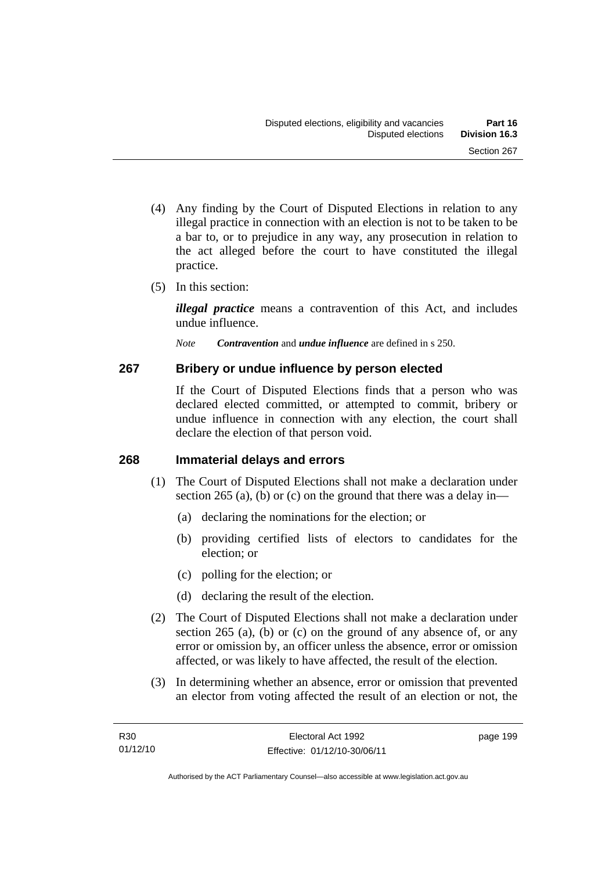- (4) Any finding by the Court of Disputed Elections in relation to any illegal practice in connection with an election is not to be taken to be a bar to, or to prejudice in any way, any prosecution in relation to the act alleged before the court to have constituted the illegal practice.
- (5) In this section:

*illegal practice* means a contravention of this Act, and includes undue influence.

*Note Contravention* and *undue influence* are defined in s 250.

### **267 Bribery or undue influence by person elected**

If the Court of Disputed Elections finds that a person who was declared elected committed, or attempted to commit, bribery or undue influence in connection with any election, the court shall declare the election of that person void.

### **268 Immaterial delays and errors**

- (1) The Court of Disputed Elections shall not make a declaration under section 265 (a), (b) or (c) on the ground that there was a delay in—
	- (a) declaring the nominations for the election; or
	- (b) providing certified lists of electors to candidates for the election; or
	- (c) polling for the election; or
	- (d) declaring the result of the election.
- (2) The Court of Disputed Elections shall not make a declaration under section 265 (a), (b) or (c) on the ground of any absence of, or any error or omission by, an officer unless the absence, error or omission affected, or was likely to have affected, the result of the election.
- (3) In determining whether an absence, error or omission that prevented an elector from voting affected the result of an election or not, the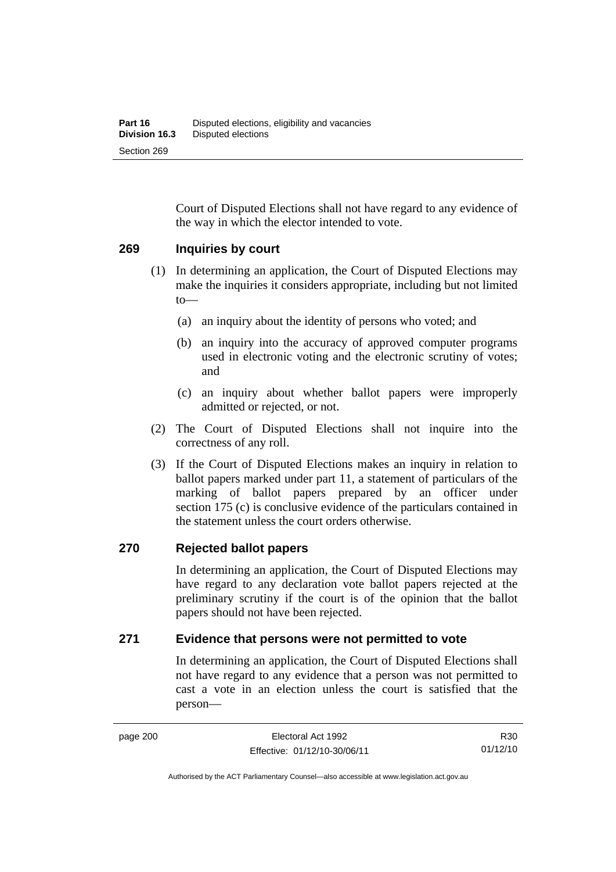Court of Disputed Elections shall not have regard to any evidence of the way in which the elector intended to vote.

#### **269 Inquiries by court**

- (1) In determining an application, the Court of Disputed Elections may make the inquiries it considers appropriate, including but not limited to—
	- (a) an inquiry about the identity of persons who voted; and
	- (b) an inquiry into the accuracy of approved computer programs used in electronic voting and the electronic scrutiny of votes; and
	- (c) an inquiry about whether ballot papers were improperly admitted or rejected, or not.
- (2) The Court of Disputed Elections shall not inquire into the correctness of any roll.
- (3) If the Court of Disputed Elections makes an inquiry in relation to ballot papers marked under part 11, a statement of particulars of the marking of ballot papers prepared by an officer under section 175 (c) is conclusive evidence of the particulars contained in the statement unless the court orders otherwise.

### **270 Rejected ballot papers**

In determining an application, the Court of Disputed Elections may have regard to any declaration vote ballot papers rejected at the preliminary scrutiny if the court is of the opinion that the ballot papers should not have been rejected.

### **271 Evidence that persons were not permitted to vote**

In determining an application, the Court of Disputed Elections shall not have regard to any evidence that a person was not permitted to cast a vote in an election unless the court is satisfied that the person—

R30 01/12/10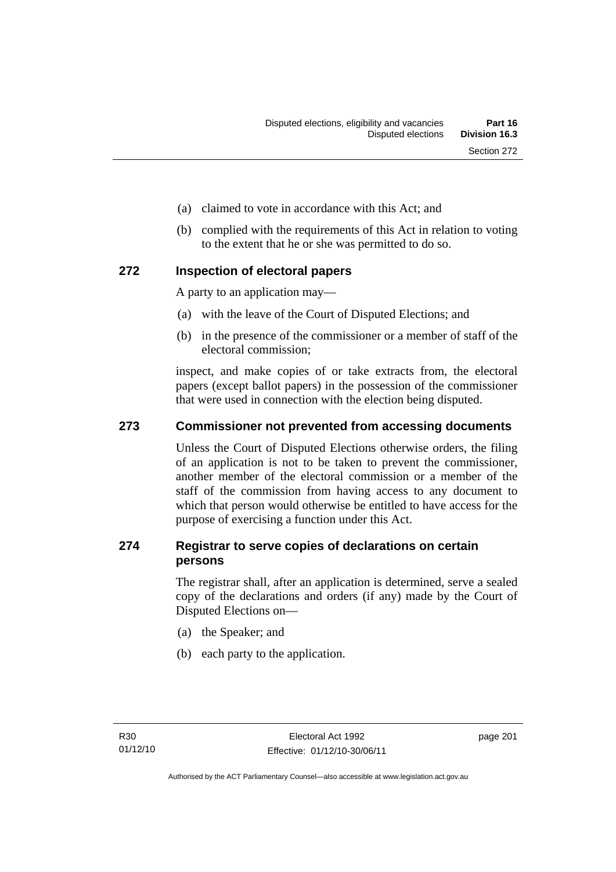- (a) claimed to vote in accordance with this Act; and
- (b) complied with the requirements of this Act in relation to voting to the extent that he or she was permitted to do so.

### **272 Inspection of electoral papers**

A party to an application may—

- (a) with the leave of the Court of Disputed Elections; and
- (b) in the presence of the commissioner or a member of staff of the electoral commission;

inspect, and make copies of or take extracts from, the electoral papers (except ballot papers) in the possession of the commissioner that were used in connection with the election being disputed.

### **273 Commissioner not prevented from accessing documents**

Unless the Court of Disputed Elections otherwise orders, the filing of an application is not to be taken to prevent the commissioner, another member of the electoral commission or a member of the staff of the commission from having access to any document to which that person would otherwise be entitled to have access for the purpose of exercising a function under this Act.

### **274 Registrar to serve copies of declarations on certain persons**

The registrar shall, after an application is determined, serve a sealed copy of the declarations and orders (if any) made by the Court of Disputed Elections on—

- (a) the Speaker; and
- (b) each party to the application.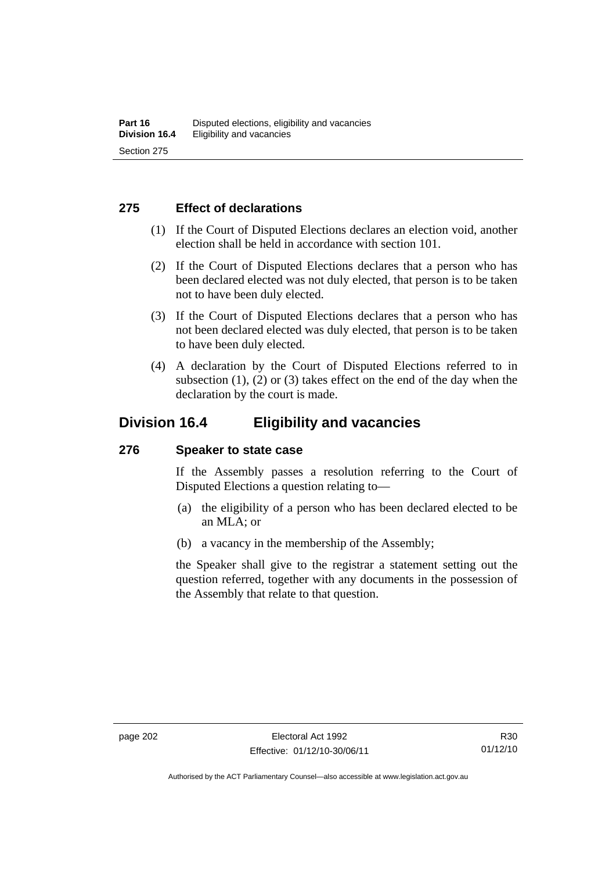### **275 Effect of declarations**

- (1) If the Court of Disputed Elections declares an election void, another election shall be held in accordance with section 101.
- (2) If the Court of Disputed Elections declares that a person who has been declared elected was not duly elected, that person is to be taken not to have been duly elected.
- (3) If the Court of Disputed Elections declares that a person who has not been declared elected was duly elected, that person is to be taken to have been duly elected.
- (4) A declaration by the Court of Disputed Elections referred to in subsection  $(1)$ ,  $(2)$  or  $(3)$  takes effect on the end of the day when the declaration by the court is made.

### **Division 16.4 Eligibility and vacancies**

### **276 Speaker to state case**

If the Assembly passes a resolution referring to the Court of Disputed Elections a question relating to—

- (a) the eligibility of a person who has been declared elected to be an MLA; or
- (b) a vacancy in the membership of the Assembly;

the Speaker shall give to the registrar a statement setting out the question referred, together with any documents in the possession of the Assembly that relate to that question.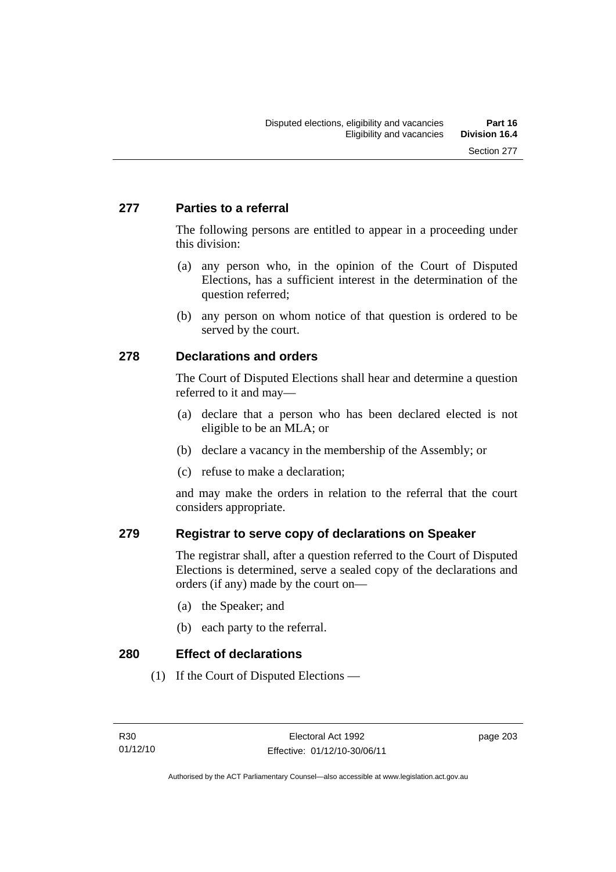### **277 Parties to a referral**

The following persons are entitled to appear in a proceeding under this division:

- (a) any person who, in the opinion of the Court of Disputed Elections, has a sufficient interest in the determination of the question referred;
- (b) any person on whom notice of that question is ordered to be served by the court.

### **278 Declarations and orders**

The Court of Disputed Elections shall hear and determine a question referred to it and may—

- (a) declare that a person who has been declared elected is not eligible to be an MLA; or
- (b) declare a vacancy in the membership of the Assembly; or
- (c) refuse to make a declaration;

and may make the orders in relation to the referral that the court considers appropriate.

### **279 Registrar to serve copy of declarations on Speaker**

The registrar shall, after a question referred to the Court of Disputed Elections is determined, serve a sealed copy of the declarations and orders (if any) made by the court on—

- (a) the Speaker; and
- (b) each party to the referral.

**280 Effect of declarations** 

(1) If the Court of Disputed Elections —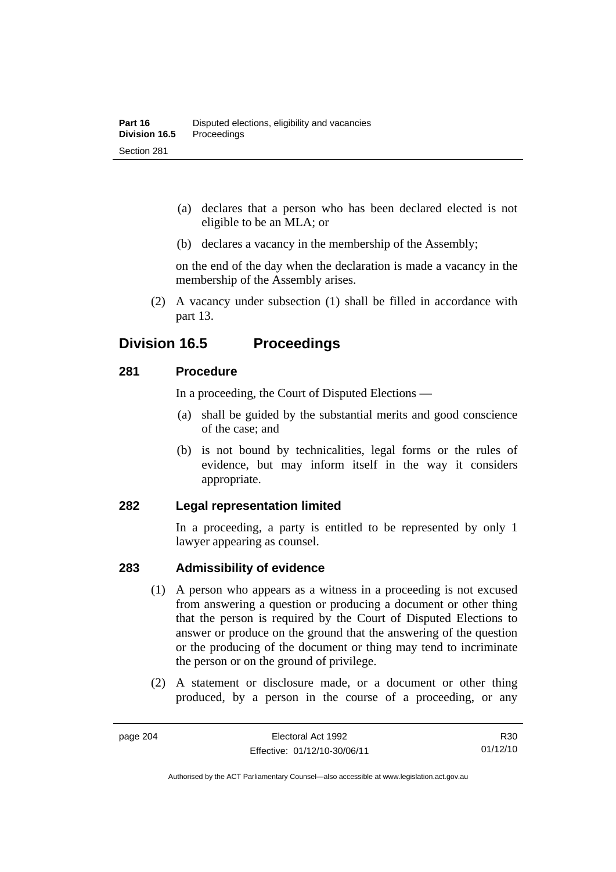- (a) declares that a person who has been declared elected is not eligible to be an MLA; or
- (b) declares a vacancy in the membership of the Assembly;

on the end of the day when the declaration is made a vacancy in the membership of the Assembly arises.

 (2) A vacancy under subsection (1) shall be filled in accordance with part 13.

## **Division 16.5 Proceedings**

### **281 Procedure**

In a proceeding, the Court of Disputed Elections —

- (a) shall be guided by the substantial merits and good conscience of the case; and
- (b) is not bound by technicalities, legal forms or the rules of evidence, but may inform itself in the way it considers appropriate.

### **282 Legal representation limited**

In a proceeding, a party is entitled to be represented by only 1 lawyer appearing as counsel.

### **283 Admissibility of evidence**

- (1) A person who appears as a witness in a proceeding is not excused from answering a question or producing a document or other thing that the person is required by the Court of Disputed Elections to answer or produce on the ground that the answering of the question or the producing of the document or thing may tend to incriminate the person or on the ground of privilege.
- (2) A statement or disclosure made, or a document or other thing produced, by a person in the course of a proceeding, or any

Authorised by the ACT Parliamentary Counsel—also accessible at www.legislation.act.gov.au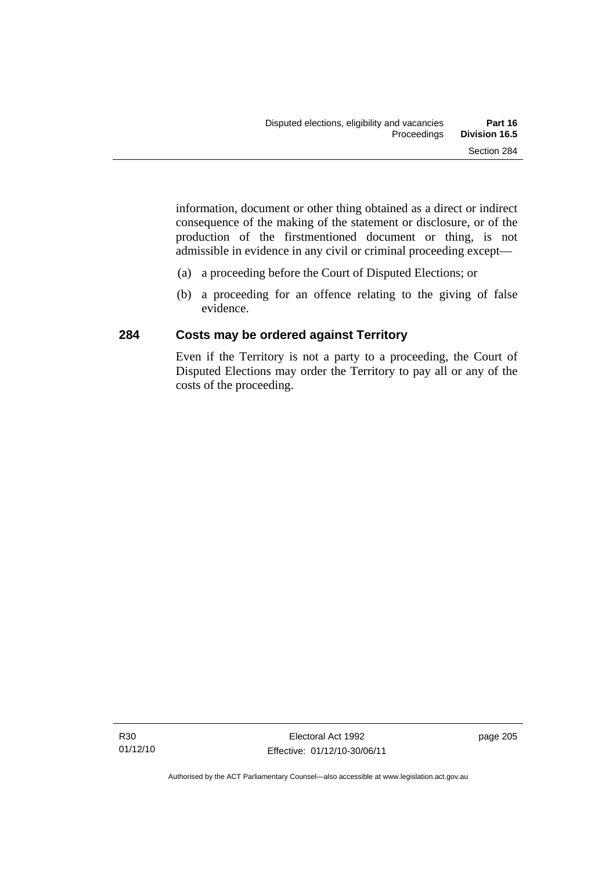information, document or other thing obtained as a direct or indirect consequence of the making of the statement or disclosure, or of the production of the firstmentioned document or thing, is not admissible in evidence in any civil or criminal proceeding except—

- (a) a proceeding before the Court of Disputed Elections; or
- (b) a proceeding for an offence relating to the giving of false evidence.

### **284 Costs may be ordered against Territory**

Even if the Territory is not a party to a proceeding, the Court of Disputed Elections may order the Territory to pay all or any of the costs of the proceeding.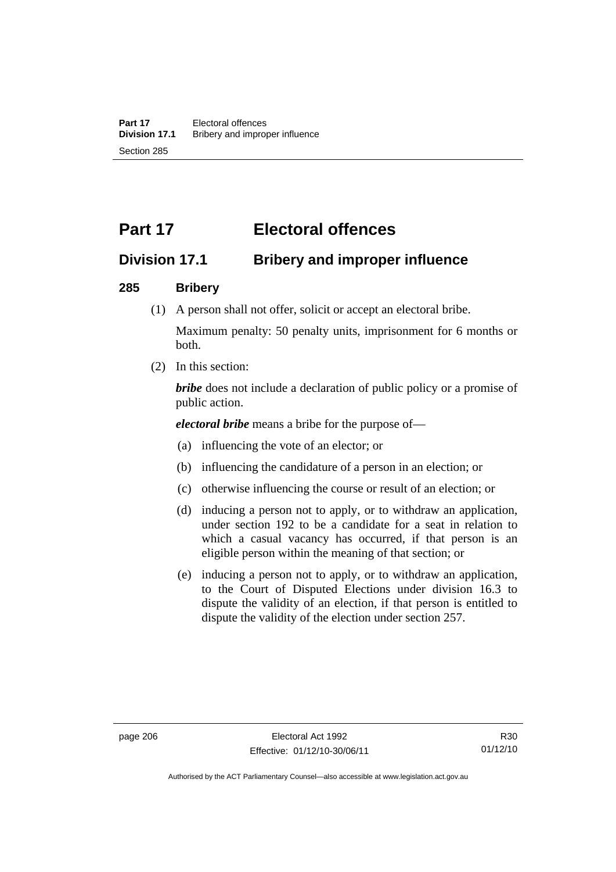# **Part 17 Electoral offences**

## **Division 17.1 Bribery and improper influence**

### **285 Bribery**

(1) A person shall not offer, solicit or accept an electoral bribe.

Maximum penalty: 50 penalty units, imprisonment for 6 months or both.

(2) In this section:

*bribe* does not include a declaration of public policy or a promise of public action.

*electoral bribe* means a bribe for the purpose of—

- (a) influencing the vote of an elector; or
- (b) influencing the candidature of a person in an election; or
- (c) otherwise influencing the course or result of an election; or
- (d) inducing a person not to apply, or to withdraw an application, under section 192 to be a candidate for a seat in relation to which a casual vacancy has occurred, if that person is an eligible person within the meaning of that section; or
- (e) inducing a person not to apply, or to withdraw an application, to the Court of Disputed Elections under division 16.3 to dispute the validity of an election, if that person is entitled to dispute the validity of the election under section 257.

Authorised by the ACT Parliamentary Counsel—also accessible at www.legislation.act.gov.au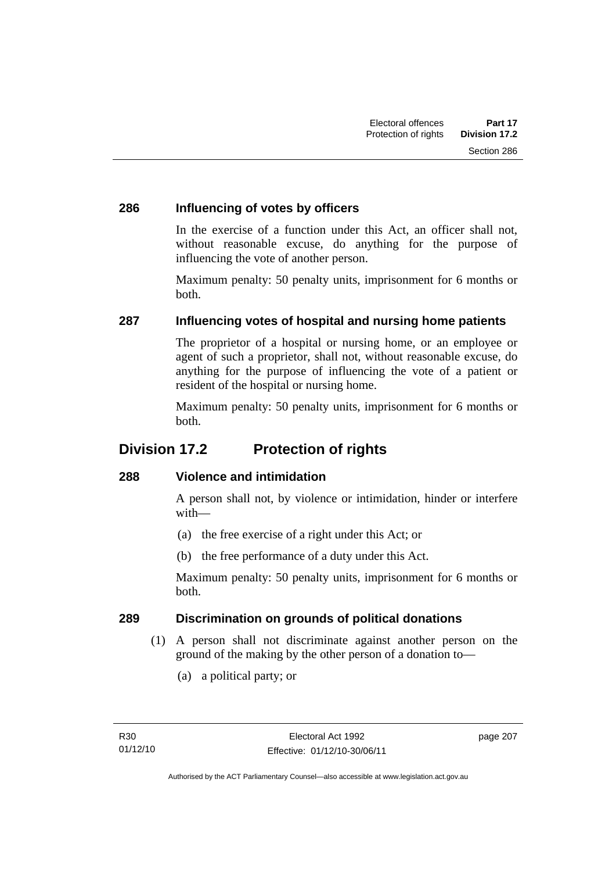### **286 Influencing of votes by officers**

In the exercise of a function under this Act, an officer shall not, without reasonable excuse, do anything for the purpose of influencing the vote of another person.

Maximum penalty: 50 penalty units, imprisonment for 6 months or both.

### **287 Influencing votes of hospital and nursing home patients**

The proprietor of a hospital or nursing home, or an employee or agent of such a proprietor, shall not, without reasonable excuse, do anything for the purpose of influencing the vote of a patient or resident of the hospital or nursing home.

Maximum penalty: 50 penalty units, imprisonment for 6 months or both.

## **Division 17.2 Protection of rights**

### **288 Violence and intimidation**

A person shall not, by violence or intimidation, hinder or interfere with—

- (a) the free exercise of a right under this Act; or
- (b) the free performance of a duty under this Act.

Maximum penalty: 50 penalty units, imprisonment for 6 months or both.

### **289 Discrimination on grounds of political donations**

- (1) A person shall not discriminate against another person on the ground of the making by the other person of a donation to—
	- (a) a political party; or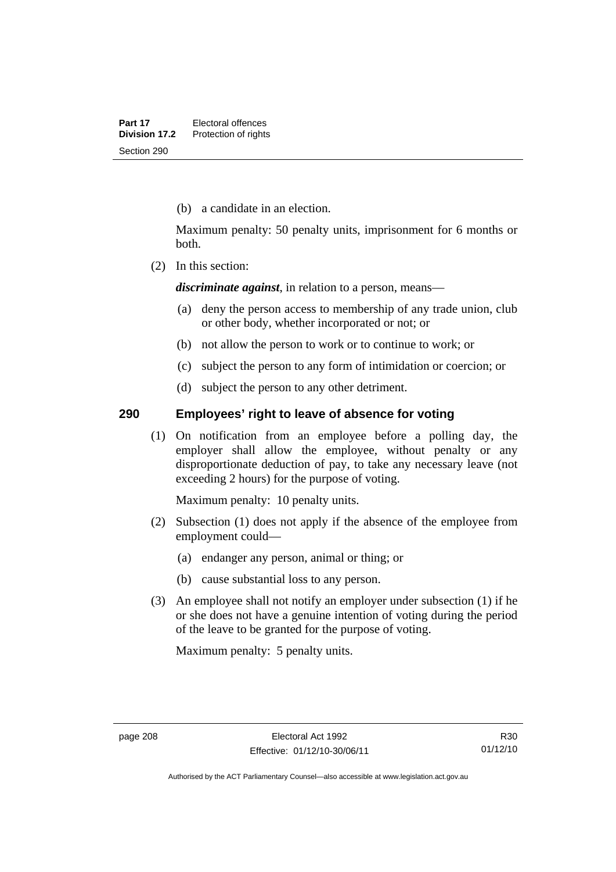(b) a candidate in an election.

Maximum penalty: 50 penalty units, imprisonment for 6 months or both.

(2) In this section:

*discriminate against*, in relation to a person, means—

- (a) deny the person access to membership of any trade union, club or other body, whether incorporated or not; or
- (b) not allow the person to work or to continue to work; or
- (c) subject the person to any form of intimidation or coercion; or
- (d) subject the person to any other detriment.

### **290 Employees' right to leave of absence for voting**

(1) On notification from an employee before a polling day, the employer shall allow the employee, without penalty or any disproportionate deduction of pay, to take any necessary leave (not exceeding 2 hours) for the purpose of voting.

Maximum penalty: 10 penalty units.

- (2) Subsection (1) does not apply if the absence of the employee from employment could—
	- (a) endanger any person, animal or thing; or
	- (b) cause substantial loss to any person.
- (3) An employee shall not notify an employer under subsection (1) if he or she does not have a genuine intention of voting during the period of the leave to be granted for the purpose of voting.

Maximum penalty: 5 penalty units.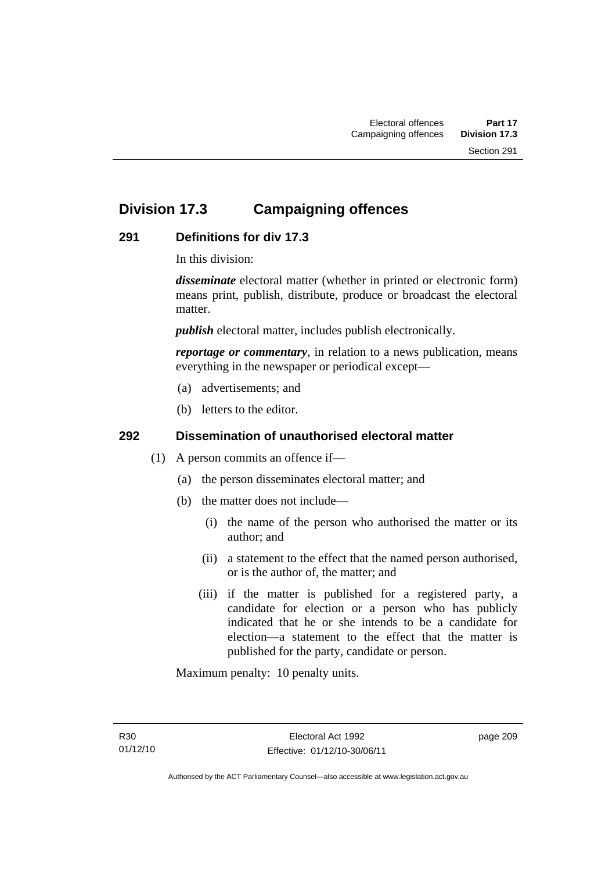## **Division 17.3 Campaigning offences**

### **291 Definitions for div 17.3**

In this division:

*disseminate* electoral matter (whether in printed or electronic form) means print, publish, distribute, produce or broadcast the electoral matter.

*publish* electoral matter, includes publish electronically.

*reportage or commentary*, in relation to a news publication, means everything in the newspaper or periodical except—

- (a) advertisements; and
- (b) letters to the editor.

### **292 Dissemination of unauthorised electoral matter**

- (1) A person commits an offence if—
	- (a) the person disseminates electoral matter; and
	- (b) the matter does not include—
		- (i) the name of the person who authorised the matter or its author; and
		- (ii) a statement to the effect that the named person authorised, or is the author of, the matter; and
		- (iii) if the matter is published for a registered party, a candidate for election or a person who has publicly indicated that he or she intends to be a candidate for election—a statement to the effect that the matter is published for the party, candidate or person.

Maximum penalty: 10 penalty units.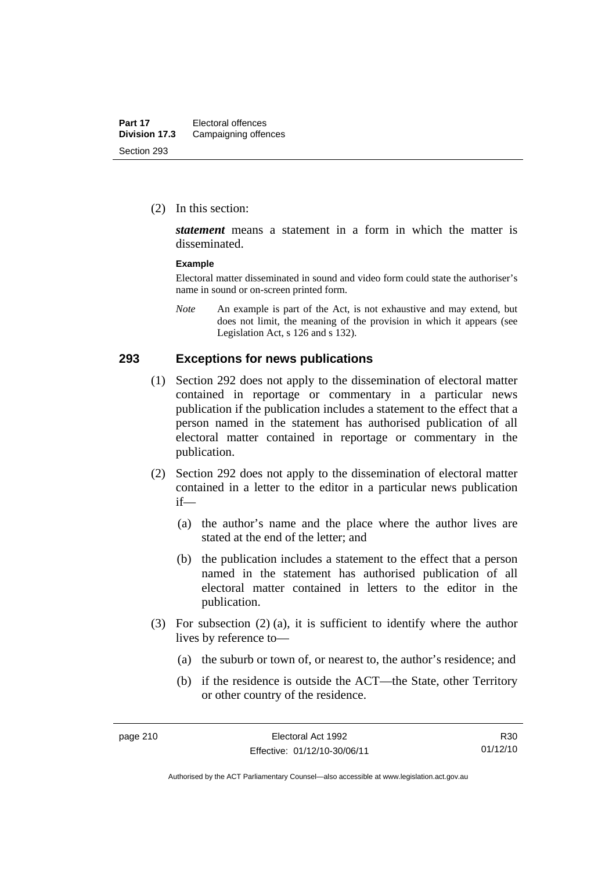(2) In this section:

*statement* means a statement in a form in which the matter is disseminated.

#### **Example**

Electoral matter disseminated in sound and video form could state the authoriser's name in sound or on-screen printed form.

*Note* An example is part of the Act, is not exhaustive and may extend, but does not limit, the meaning of the provision in which it appears (see Legislation Act, s 126 and s 132).

#### **293 Exceptions for news publications**

- (1) Section 292 does not apply to the dissemination of electoral matter contained in reportage or commentary in a particular news publication if the publication includes a statement to the effect that a person named in the statement has authorised publication of all electoral matter contained in reportage or commentary in the publication.
- (2) Section 292 does not apply to the dissemination of electoral matter contained in a letter to the editor in a particular news publication if—
	- (a) the author's name and the place where the author lives are stated at the end of the letter; and
	- (b) the publication includes a statement to the effect that a person named in the statement has authorised publication of all electoral matter contained in letters to the editor in the publication.
- (3) For subsection (2) (a), it is sufficient to identify where the author lives by reference to—
	- (a) the suburb or town of, or nearest to, the author's residence; and
	- (b) if the residence is outside the ACT—the State, other Territory or other country of the residence.

R30 01/12/10

Authorised by the ACT Parliamentary Counsel—also accessible at www.legislation.act.gov.au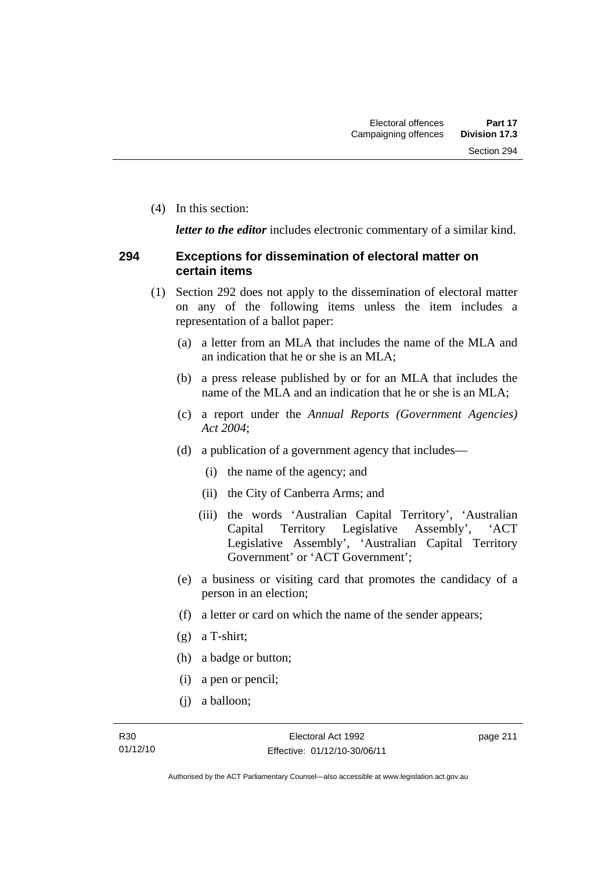(4) In this section:

*letter to the editor* includes electronic commentary of a similar kind.

### **294 Exceptions for dissemination of electoral matter on certain items**

- (1) Section 292 does not apply to the dissemination of electoral matter on any of the following items unless the item includes a representation of a ballot paper:
	- (a) a letter from an MLA that includes the name of the MLA and an indication that he or she is an MLA;
	- (b) a press release published by or for an MLA that includes the name of the MLA and an indication that he or she is an MLA;
	- (c) a report under the *Annual Reports (Government Agencies) Act 2004*;
	- (d) a publication of a government agency that includes—
		- (i) the name of the agency; and
		- (ii) the City of Canberra Arms; and
		- (iii) the words 'Australian Capital Territory', 'Australian Capital Territory Legislative Assembly', 'ACT Legislative Assembly', 'Australian Capital Territory Government' or 'ACT Government';
	- (e) a business or visiting card that promotes the candidacy of a person in an election;
	- (f) a letter or card on which the name of the sender appears;
	- (g) a T-shirt;
	- (h) a badge or button;
	- (i) a pen or pencil;
	- (j) a balloon;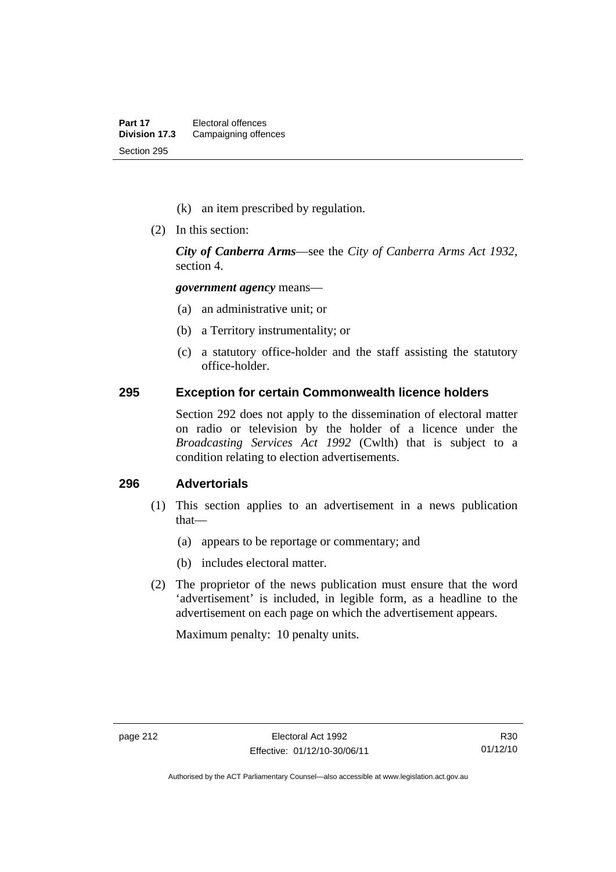- (k) an item prescribed by regulation.
- (2) In this section:

*City of Canberra Arms*—see the *City of Canberra Arms Act 1932*, section 4.

*government agency* means—

- (a) an administrative unit; or
- (b) a Territory instrumentality; or
- (c) a statutory office-holder and the staff assisting the statutory office-holder.

#### **295 Exception for certain Commonwealth licence holders**

Section 292 does not apply to the dissemination of electoral matter on radio or television by the holder of a licence under the *Broadcasting Services Act 1992* (Cwlth) that is subject to a condition relating to election advertisements.

### **296 Advertorials**

- (1) This section applies to an advertisement in a news publication that—
	- (a) appears to be reportage or commentary; and
	- (b) includes electoral matter.
- (2) The proprietor of the news publication must ensure that the word 'advertisement' is included, in legible form, as a headline to the advertisement on each page on which the advertisement appears.

Maximum penalty: 10 penalty units.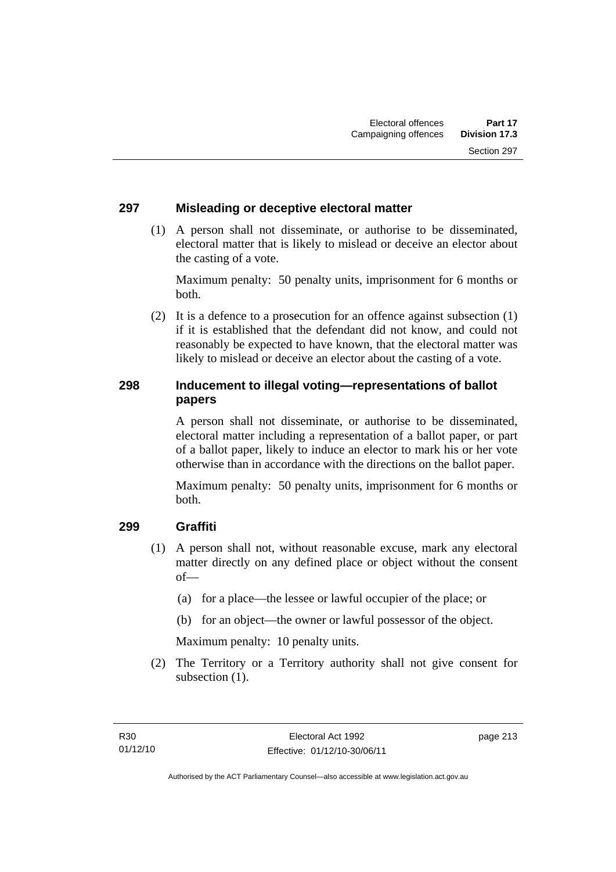### **297 Misleading or deceptive electoral matter**

 (1) A person shall not disseminate, or authorise to be disseminated, electoral matter that is likely to mislead or deceive an elector about the casting of a vote.

Maximum penalty: 50 penalty units, imprisonment for 6 months or both.

 (2) It is a defence to a prosecution for an offence against subsection (1) if it is established that the defendant did not know, and could not reasonably be expected to have known, that the electoral matter was likely to mislead or deceive an elector about the casting of a vote.

### **298 Inducement to illegal voting—representations of ballot papers**

A person shall not disseminate, or authorise to be disseminated, electoral matter including a representation of a ballot paper, or part of a ballot paper, likely to induce an elector to mark his or her vote otherwise than in accordance with the directions on the ballot paper.

Maximum penalty: 50 penalty units, imprisonment for 6 months or both.

### **299 Graffiti**

- (1) A person shall not, without reasonable excuse, mark any electoral matter directly on any defined place or object without the consent of—
	- (a) for a place—the lessee or lawful occupier of the place; or
	- (b) for an object—the owner or lawful possessor of the object.

Maximum penalty: 10 penalty units.

 (2) The Territory or a Territory authority shall not give consent for subsection  $(1)$ .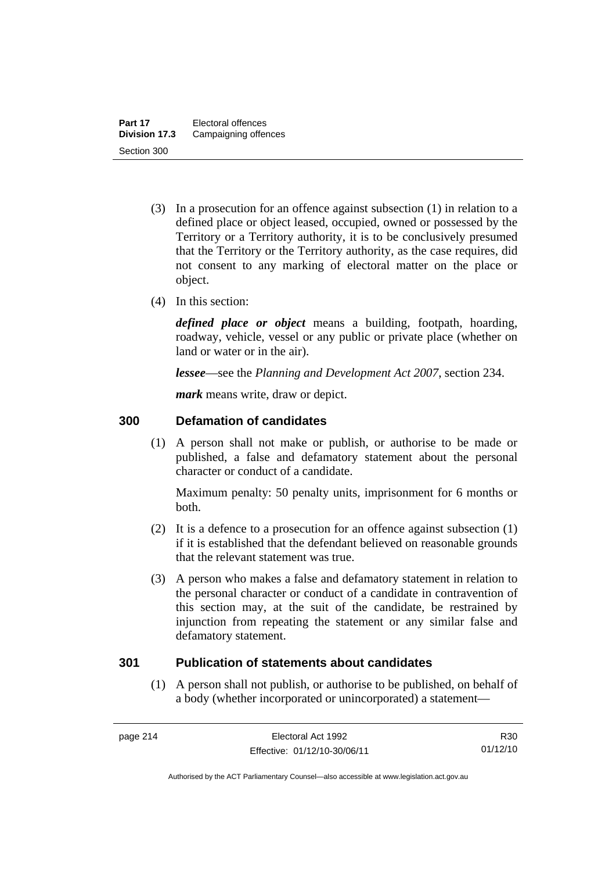- (3) In a prosecution for an offence against subsection (1) in relation to a defined place or object leased, occupied, owned or possessed by the Territory or a Territory authority, it is to be conclusively presumed that the Territory or the Territory authority, as the case requires, did not consent to any marking of electoral matter on the place or object.
- (4) In this section:

*defined place or object* means a building, footpath, hoarding, roadway, vehicle, vessel or any public or private place (whether on land or water or in the air).

*lessee*—see the *Planning and Development Act 2007*, section 234.

*mark* means write, draw or depict.

### **300 Defamation of candidates**

(1) A person shall not make or publish, or authorise to be made or published, a false and defamatory statement about the personal character or conduct of a candidate.

Maximum penalty: 50 penalty units, imprisonment for 6 months or both.

- (2) It is a defence to a prosecution for an offence against subsection (1) if it is established that the defendant believed on reasonable grounds that the relevant statement was true.
- (3) A person who makes a false and defamatory statement in relation to the personal character or conduct of a candidate in contravention of this section may, at the suit of the candidate, be restrained by injunction from repeating the statement or any similar false and defamatory statement.

### **301 Publication of statements about candidates**

 (1) A person shall not publish, or authorise to be published, on behalf of a body (whether incorporated or unincorporated) a statement—

R30 01/12/10

Authorised by the ACT Parliamentary Counsel—also accessible at www.legislation.act.gov.au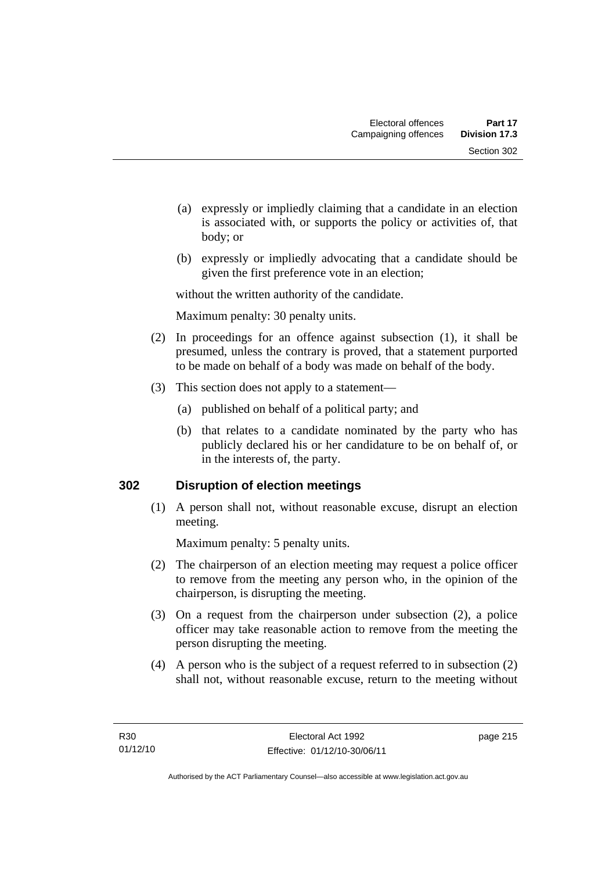- (a) expressly or impliedly claiming that a candidate in an election is associated with, or supports the policy or activities of, that body; or
- (b) expressly or impliedly advocating that a candidate should be given the first preference vote in an election;

without the written authority of the candidate.

Maximum penalty: 30 penalty units.

- (2) In proceedings for an offence against subsection (1), it shall be presumed, unless the contrary is proved, that a statement purported to be made on behalf of a body was made on behalf of the body.
- (3) This section does not apply to a statement—
	- (a) published on behalf of a political party; and
	- (b) that relates to a candidate nominated by the party who has publicly declared his or her candidature to be on behalf of, or in the interests of, the party.

### **302 Disruption of election meetings**

(1) A person shall not, without reasonable excuse, disrupt an election meeting.

Maximum penalty: 5 penalty units.

- (2) The chairperson of an election meeting may request a police officer to remove from the meeting any person who, in the opinion of the chairperson, is disrupting the meeting.
- (3) On a request from the chairperson under subsection (2), a police officer may take reasonable action to remove from the meeting the person disrupting the meeting.
- (4) A person who is the subject of a request referred to in subsection (2) shall not, without reasonable excuse, return to the meeting without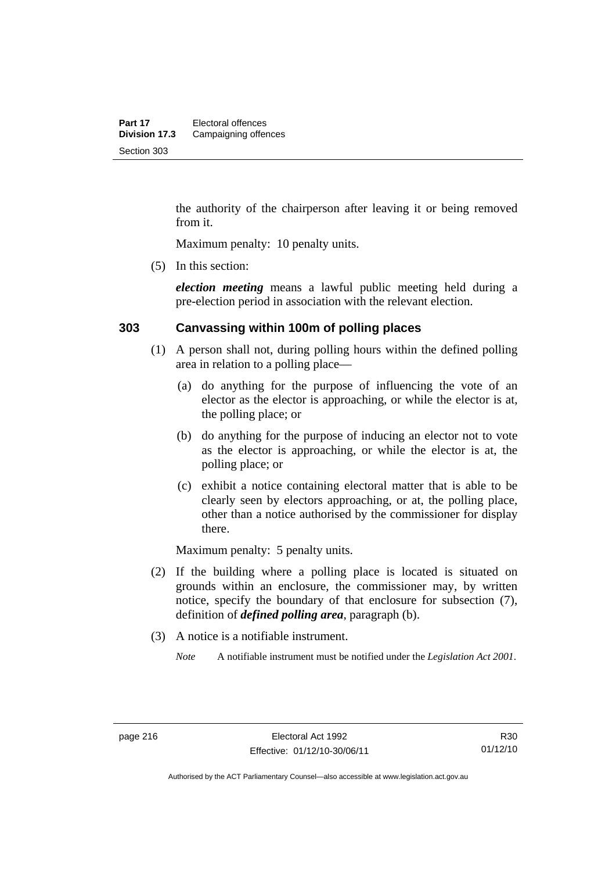the authority of the chairperson after leaving it or being removed from it.

Maximum penalty: 10 penalty units.

(5) In this section:

*election meeting* means a lawful public meeting held during a pre-election period in association with the relevant election.

#### **303 Canvassing within 100m of polling places**

- (1) A person shall not, during polling hours within the defined polling area in relation to a polling place—
	- (a) do anything for the purpose of influencing the vote of an elector as the elector is approaching, or while the elector is at, the polling place; or
	- (b) do anything for the purpose of inducing an elector not to vote as the elector is approaching, or while the elector is at, the polling place; or
	- (c) exhibit a notice containing electoral matter that is able to be clearly seen by electors approaching, or at, the polling place, other than a notice authorised by the commissioner for display there.

Maximum penalty: 5 penalty units.

- (2) If the building where a polling place is located is situated on grounds within an enclosure, the commissioner may, by written notice, specify the boundary of that enclosure for subsection (7), definition of *defined polling area*, paragraph (b).
- (3) A notice is a notifiable instrument.

*Note* A notifiable instrument must be notified under the *Legislation Act 2001*.

Authorised by the ACT Parliamentary Counsel—also accessible at www.legislation.act.gov.au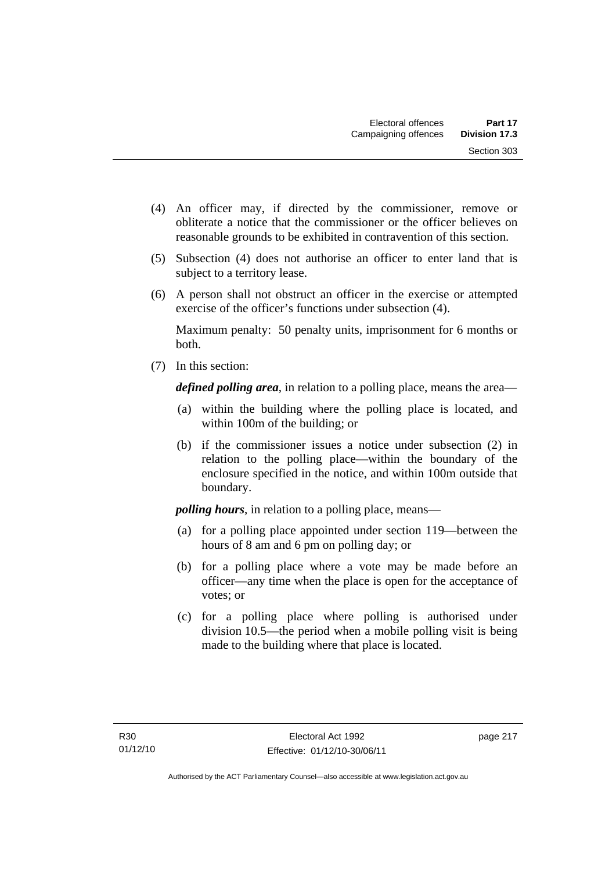- (4) An officer may, if directed by the commissioner, remove or obliterate a notice that the commissioner or the officer believes on reasonable grounds to be exhibited in contravention of this section.
- (5) Subsection (4) does not authorise an officer to enter land that is subject to a territory lease.
- (6) A person shall not obstruct an officer in the exercise or attempted exercise of the officer's functions under subsection (4).

Maximum penalty: 50 penalty units, imprisonment for 6 months or both.

(7) In this section:

*defined polling area*, in relation to a polling place, means the area—

- (a) within the building where the polling place is located, and within 100m of the building; or
- (b) if the commissioner issues a notice under subsection (2) in relation to the polling place—within the boundary of the enclosure specified in the notice, and within 100m outside that boundary.

*polling hours*, in relation to a polling place, means—

- (a) for a polling place appointed under section 119—between the hours of 8 am and 6 pm on polling day; or
- (b) for a polling place where a vote may be made before an officer—any time when the place is open for the acceptance of votes; or
- (c) for a polling place where polling is authorised under division 10.5—the period when a mobile polling visit is being made to the building where that place is located.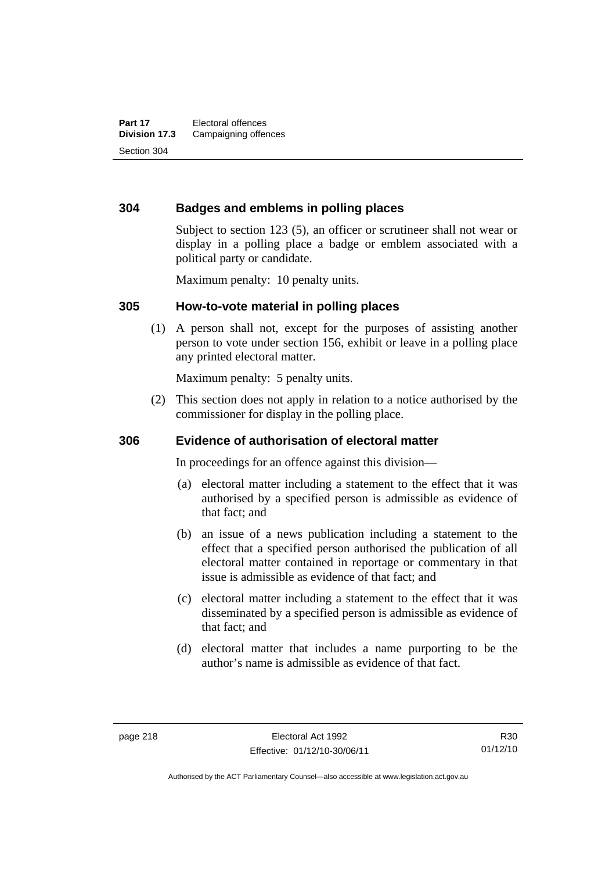### **304 Badges and emblems in polling places**

Subject to section 123 (5), an officer or scrutineer shall not wear or display in a polling place a badge or emblem associated with a political party or candidate.

Maximum penalty: 10 penalty units.

#### **305 How-to-vote material in polling places**

(1) A person shall not, except for the purposes of assisting another person to vote under section 156, exhibit or leave in a polling place any printed electoral matter.

Maximum penalty: 5 penalty units.

 (2) This section does not apply in relation to a notice authorised by the commissioner for display in the polling place.

### **306 Evidence of authorisation of electoral matter**

In proceedings for an offence against this division—

- (a) electoral matter including a statement to the effect that it was authorised by a specified person is admissible as evidence of that fact; and
- (b) an issue of a news publication including a statement to the effect that a specified person authorised the publication of all electoral matter contained in reportage or commentary in that issue is admissible as evidence of that fact; and
- (c) electoral matter including a statement to the effect that it was disseminated by a specified person is admissible as evidence of that fact; and
- (d) electoral matter that includes a name purporting to be the author's name is admissible as evidence of that fact.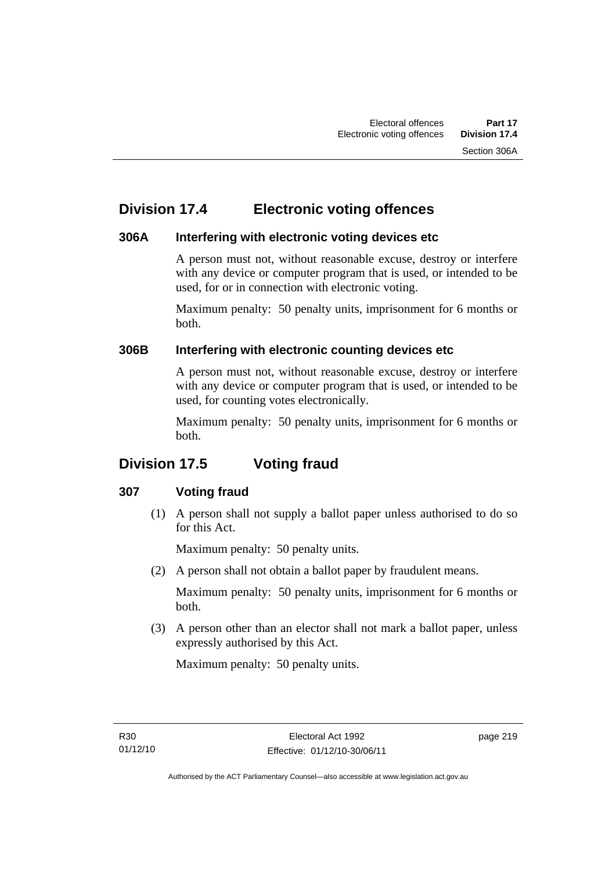# **Division 17.4 Electronic voting offences**

### **306A Interfering with electronic voting devices etc**

A person must not, without reasonable excuse, destroy or interfere with any device or computer program that is used, or intended to be used, for or in connection with electronic voting.

Maximum penalty: 50 penalty units, imprisonment for 6 months or both.

### **306B Interfering with electronic counting devices etc**

A person must not, without reasonable excuse, destroy or interfere with any device or computer program that is used, or intended to be used, for counting votes electronically.

Maximum penalty: 50 penalty units, imprisonment for 6 months or both.

# **Division 17.5 Voting fraud**

### **307 Voting fraud**

 (1) A person shall not supply a ballot paper unless authorised to do so for this Act.

Maximum penalty: 50 penalty units.

(2) A person shall not obtain a ballot paper by fraudulent means.

Maximum penalty: 50 penalty units, imprisonment for 6 months or both.

 (3) A person other than an elector shall not mark a ballot paper, unless expressly authorised by this Act.

Maximum penalty: 50 penalty units.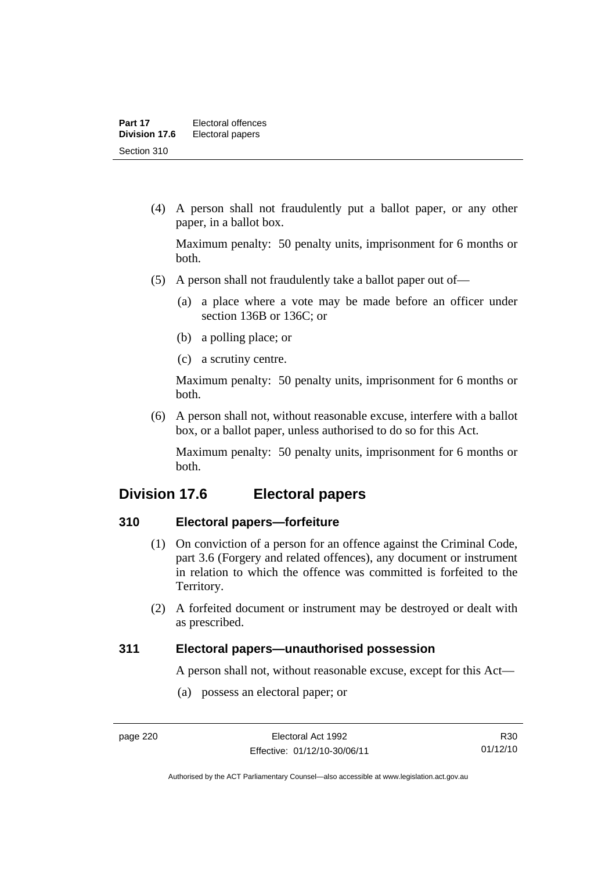(4) A person shall not fraudulently put a ballot paper, or any other paper, in a ballot box.

Maximum penalty: 50 penalty units, imprisonment for 6 months or both.

- (5) A person shall not fraudulently take a ballot paper out of—
	- (a) a place where a vote may be made before an officer under section 136B or 136C; or
	- (b) a polling place; or
	- (c) a scrutiny centre.

Maximum penalty: 50 penalty units, imprisonment for 6 months or both.

 (6) A person shall not, without reasonable excuse, interfere with a ballot box, or a ballot paper, unless authorised to do so for this Act.

Maximum penalty: 50 penalty units, imprisonment for 6 months or both.

## **Division 17.6 Electoral papers**

### **310 Electoral papers—forfeiture**

- (1) On conviction of a person for an offence against the Criminal Code, part 3.6 (Forgery and related offences), any document or instrument in relation to which the offence was committed is forfeited to the Territory.
- (2) A forfeited document or instrument may be destroyed or dealt with as prescribed.

### **311 Electoral papers—unauthorised possession**

A person shall not, without reasonable excuse, except for this Act—

(a) possess an electoral paper; or

R30 01/12/10

Authorised by the ACT Parliamentary Counsel—also accessible at www.legislation.act.gov.au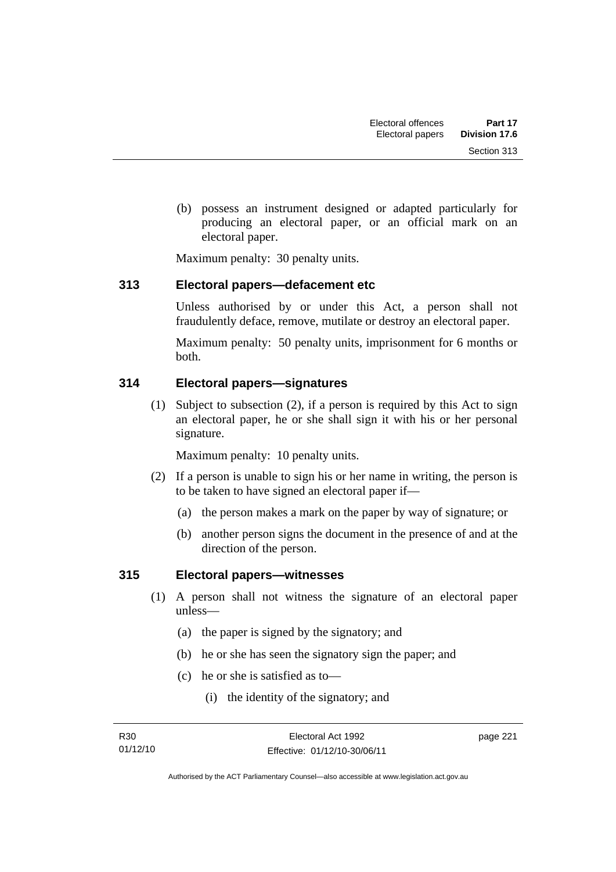(b) possess an instrument designed or adapted particularly for producing an electoral paper, or an official mark on an electoral paper.

Maximum penalty: 30 penalty units.

### **313 Electoral papers—defacement etc**

Unless authorised by or under this Act, a person shall not fraudulently deface, remove, mutilate or destroy an electoral paper.

Maximum penalty: 50 penalty units, imprisonment for 6 months or both.

### **314 Electoral papers—signatures**

(1) Subject to subsection (2), if a person is required by this Act to sign an electoral paper, he or she shall sign it with his or her personal signature.

Maximum penalty: 10 penalty units.

- (2) If a person is unable to sign his or her name in writing, the person is to be taken to have signed an electoral paper if—
	- (a) the person makes a mark on the paper by way of signature; or
	- (b) another person signs the document in the presence of and at the direction of the person.

### **315 Electoral papers—witnesses**

- (1) A person shall not witness the signature of an electoral paper unless—
	- (a) the paper is signed by the signatory; and
	- (b) he or she has seen the signatory sign the paper; and
	- (c) he or she is satisfied as to—
		- (i) the identity of the signatory; and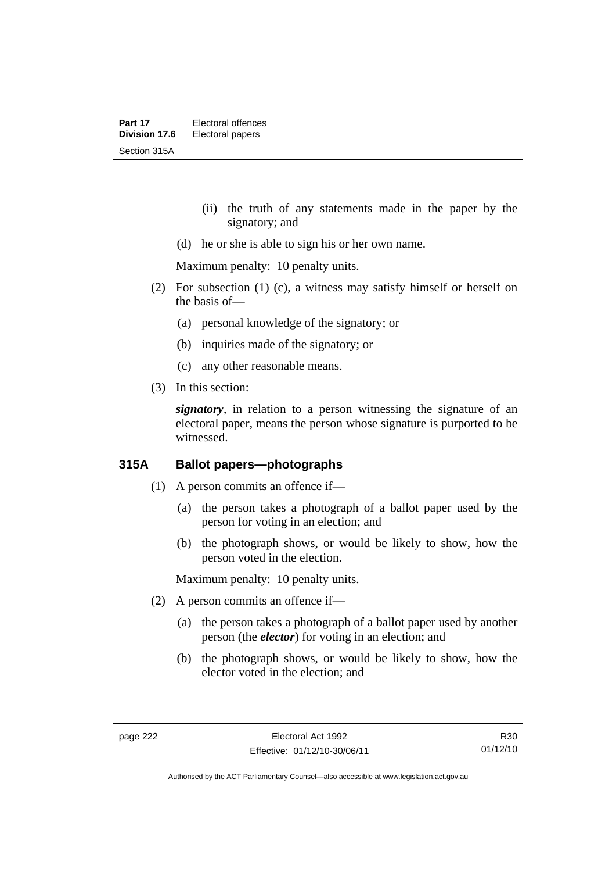- (ii) the truth of any statements made in the paper by the signatory; and
- (d) he or she is able to sign his or her own name.

Maximum penalty: 10 penalty units.

- (2) For subsection (1) (c), a witness may satisfy himself or herself on the basis of—
	- (a) personal knowledge of the signatory; or
	- (b) inquiries made of the signatory; or
	- (c) any other reasonable means.
- (3) In this section:

*signatory*, in relation to a person witnessing the signature of an electoral paper, means the person whose signature is purported to be witnessed.

### **315A Ballot papers—photographs**

- (1) A person commits an offence if—
	- (a) the person takes a photograph of a ballot paper used by the person for voting in an election; and
	- (b) the photograph shows, or would be likely to show, how the person voted in the election.

Maximum penalty: 10 penalty units.

- (2) A person commits an offence if—
	- (a) the person takes a photograph of a ballot paper used by another person (the *elector*) for voting in an election; and
	- (b) the photograph shows, or would be likely to show, how the elector voted in the election; and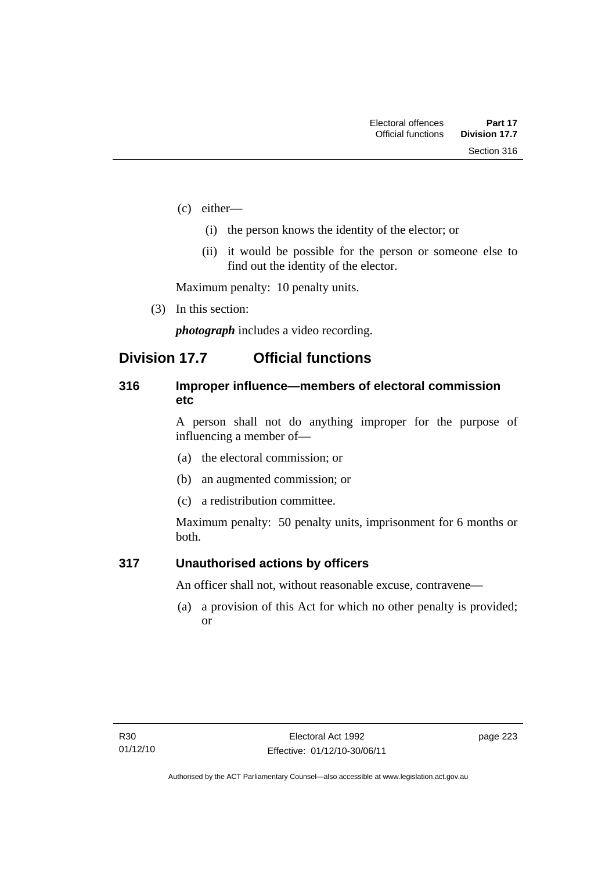- (c) either—
	- (i) the person knows the identity of the elector; or
	- (ii) it would be possible for the person or someone else to find out the identity of the elector.

Maximum penalty: 10 penalty units.

(3) In this section:

*photograph* includes a video recording.

## **Division 17.7 Official functions**

### **316 Improper influence—members of electoral commission etc**

A person shall not do anything improper for the purpose of influencing a member of—

- (a) the electoral commission; or
- (b) an augmented commission; or
- (c) a redistribution committee.

Maximum penalty: 50 penalty units, imprisonment for 6 months or both.

### **317 Unauthorised actions by officers**

An officer shall not, without reasonable excuse, contravene—

(a) a provision of this Act for which no other penalty is provided; or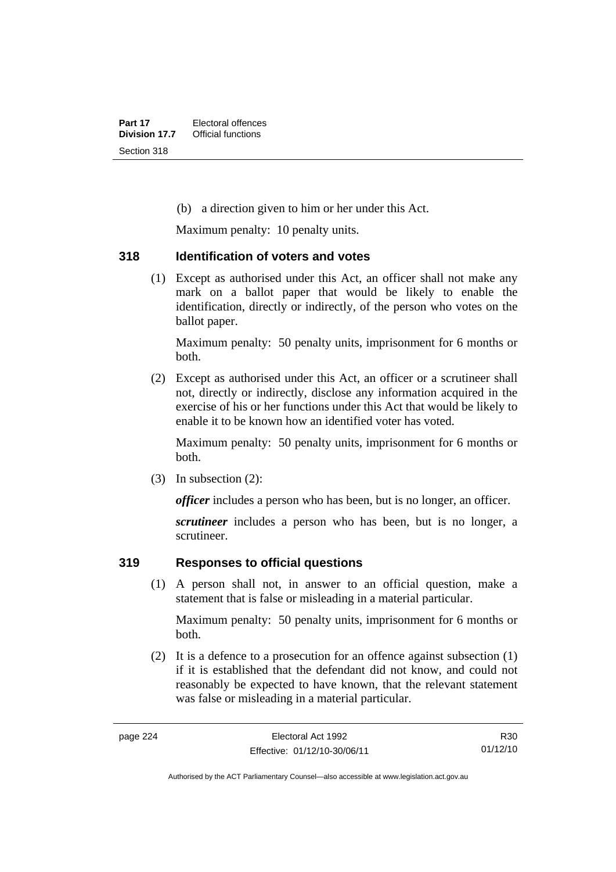(b) a direction given to him or her under this Act.

Maximum penalty: 10 penalty units.

### **318 Identification of voters and votes**

(1) Except as authorised under this Act, an officer shall not make any mark on a ballot paper that would be likely to enable the identification, directly or indirectly, of the person who votes on the ballot paper.

Maximum penalty: 50 penalty units, imprisonment for 6 months or both.

 (2) Except as authorised under this Act, an officer or a scrutineer shall not, directly or indirectly, disclose any information acquired in the exercise of his or her functions under this Act that would be likely to enable it to be known how an identified voter has voted.

Maximum penalty: 50 penalty units, imprisonment for 6 months or both.

(3) In subsection (2):

*officer* includes a person who has been, but is no longer, an officer.

*scrutineer* includes a person who has been, but is no longer, a scrutineer.

### **319 Responses to official questions**

(1) A person shall not, in answer to an official question, make a statement that is false or misleading in a material particular.

Maximum penalty: 50 penalty units, imprisonment for 6 months or both.

 (2) It is a defence to a prosecution for an offence against subsection (1) if it is established that the defendant did not know, and could not reasonably be expected to have known, that the relevant statement was false or misleading in a material particular.

R30 01/12/10

Authorised by the ACT Parliamentary Counsel—also accessible at www.legislation.act.gov.au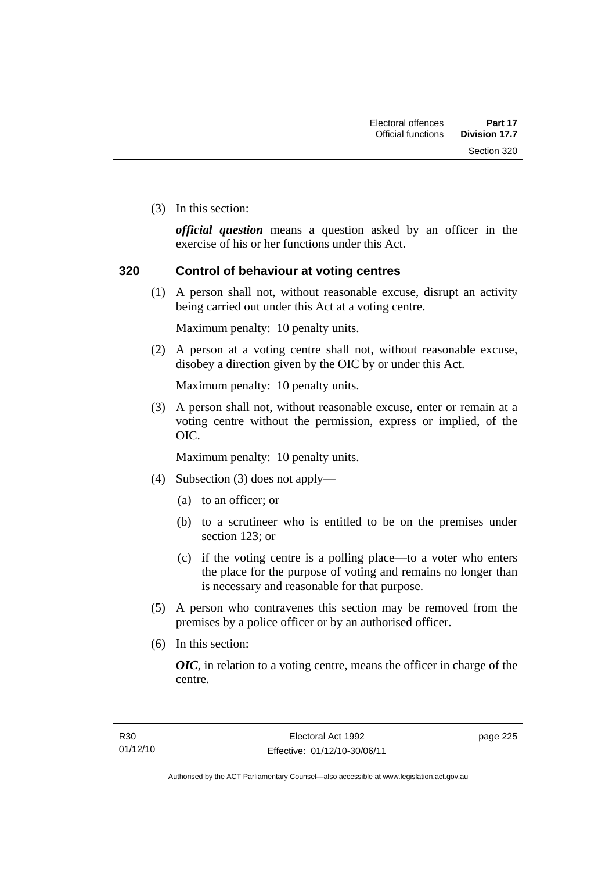Section 320

(3) In this section:

*official question* means a question asked by an officer in the exercise of his or her functions under this Act.

### **320 Control of behaviour at voting centres**

 (1) A person shall not, without reasonable excuse, disrupt an activity being carried out under this Act at a voting centre.

Maximum penalty: 10 penalty units.

 (2) A person at a voting centre shall not, without reasonable excuse, disobey a direction given by the OIC by or under this Act.

Maximum penalty: 10 penalty units.

 (3) A person shall not, without reasonable excuse, enter or remain at a voting centre without the permission, express or implied, of the OIC.

Maximum penalty: 10 penalty units.

- (4) Subsection (3) does not apply—
	- (a) to an officer; or
	- (b) to a scrutineer who is entitled to be on the premises under section 123; or
	- (c) if the voting centre is a polling place—to a voter who enters the place for the purpose of voting and remains no longer than is necessary and reasonable for that purpose.
- (5) A person who contravenes this section may be removed from the premises by a police officer or by an authorised officer.
- (6) In this section:

*OIC*, in relation to a voting centre, means the officer in charge of the centre.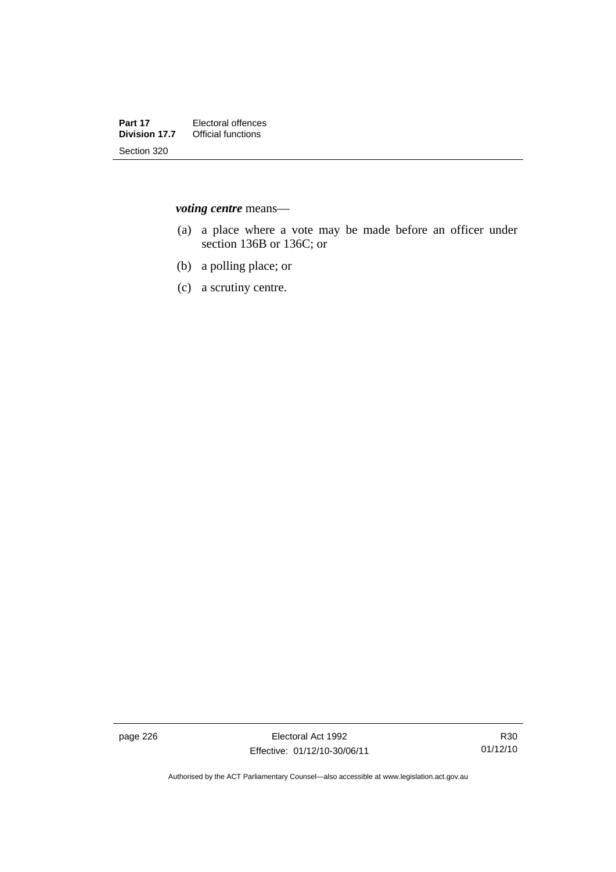*voting centre* means—

- (a) a place where a vote may be made before an officer under section 136B or 136C; or
- (b) a polling place; or
- (c) a scrutiny centre.

page 226 **Electoral Act 1992** Effective: 01/12/10-30/06/11

Authorised by the ACT Parliamentary Counsel—also accessible at www.legislation.act.gov.au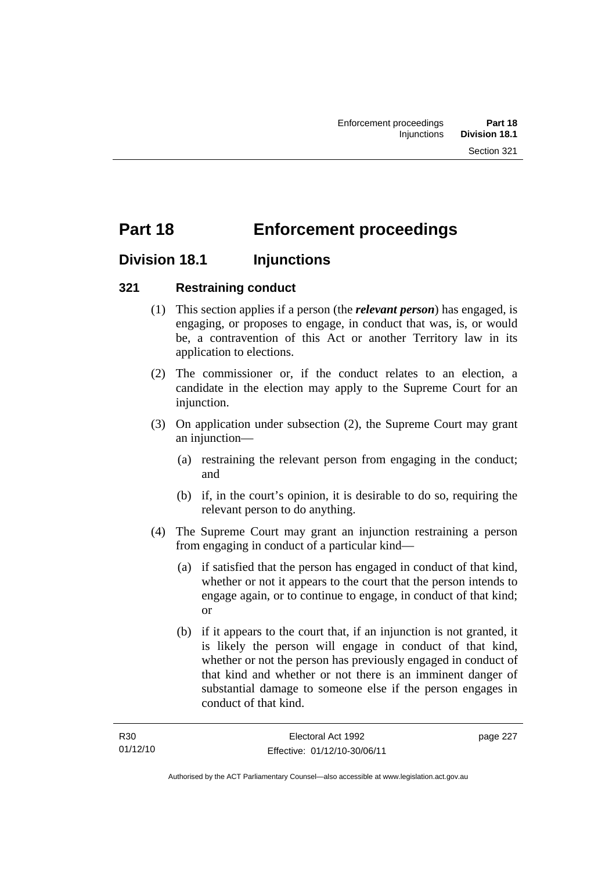# **Part 18 Enforcement proceedings**

## **Division 18.1 Injunctions**

### **321 Restraining conduct**

- (1) This section applies if a person (the *relevant person*) has engaged, is engaging, or proposes to engage, in conduct that was, is, or would be, a contravention of this Act or another Territory law in its application to elections.
- (2) The commissioner or, if the conduct relates to an election, a candidate in the election may apply to the Supreme Court for an injunction.
- (3) On application under subsection (2), the Supreme Court may grant an injunction—
	- (a) restraining the relevant person from engaging in the conduct; and
	- (b) if, in the court's opinion, it is desirable to do so, requiring the relevant person to do anything.
- (4) The Supreme Court may grant an injunction restraining a person from engaging in conduct of a particular kind—
	- (a) if satisfied that the person has engaged in conduct of that kind, whether or not it appears to the court that the person intends to engage again, or to continue to engage, in conduct of that kind; or
	- (b) if it appears to the court that, if an injunction is not granted, it is likely the person will engage in conduct of that kind, whether or not the person has previously engaged in conduct of that kind and whether or not there is an imminent danger of substantial damage to someone else if the person engages in conduct of that kind.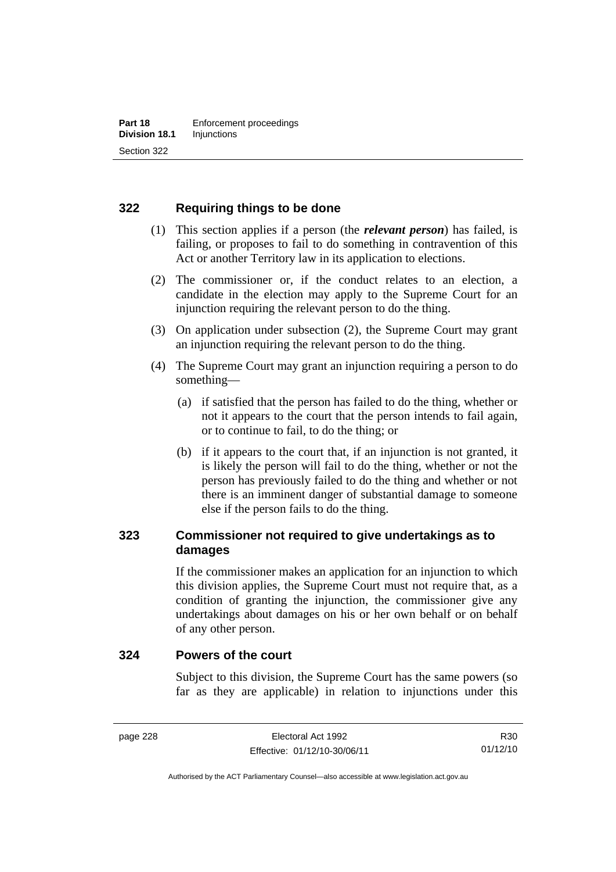### **322 Requiring things to be done**

- (1) This section applies if a person (the *relevant person*) has failed, is failing, or proposes to fail to do something in contravention of this Act or another Territory law in its application to elections.
- (2) The commissioner or, if the conduct relates to an election, a candidate in the election may apply to the Supreme Court for an injunction requiring the relevant person to do the thing.
- (3) On application under subsection (2), the Supreme Court may grant an injunction requiring the relevant person to do the thing.
- (4) The Supreme Court may grant an injunction requiring a person to do something—
	- (a) if satisfied that the person has failed to do the thing, whether or not it appears to the court that the person intends to fail again, or to continue to fail, to do the thing; or
	- (b) if it appears to the court that, if an injunction is not granted, it is likely the person will fail to do the thing, whether or not the person has previously failed to do the thing and whether or not there is an imminent danger of substantial damage to someone else if the person fails to do the thing.

### **323 Commissioner not required to give undertakings as to damages**

If the commissioner makes an application for an injunction to which this division applies, the Supreme Court must not require that, as a condition of granting the injunction, the commissioner give any undertakings about damages on his or her own behalf or on behalf of any other person.

### **324 Powers of the court**

Subject to this division, the Supreme Court has the same powers (so far as they are applicable) in relation to injunctions under this

R30 01/12/10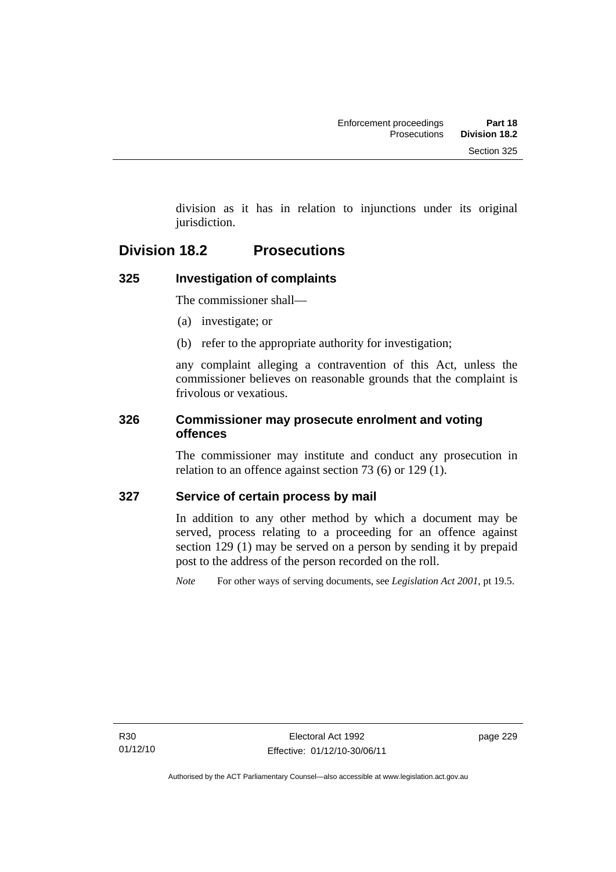division as it has in relation to injunctions under its original jurisdiction.

## **Division 18.2 Prosecutions**

## **325 Investigation of complaints**

The commissioner shall—

- (a) investigate; or
- (b) refer to the appropriate authority for investigation;

any complaint alleging a contravention of this Act, unless the commissioner believes on reasonable grounds that the complaint is frivolous or vexatious.

### **326 Commissioner may prosecute enrolment and voting offences**

The commissioner may institute and conduct any prosecution in relation to an offence against section 73 (6) or 129 (1).

### **327 Service of certain process by mail**

In addition to any other method by which a document may be served, process relating to a proceeding for an offence against section 129 (1) may be served on a person by sending it by prepaid post to the address of the person recorded on the roll.

*Note* For other ways of serving documents, see *Legislation Act 2001*, pt 19.5.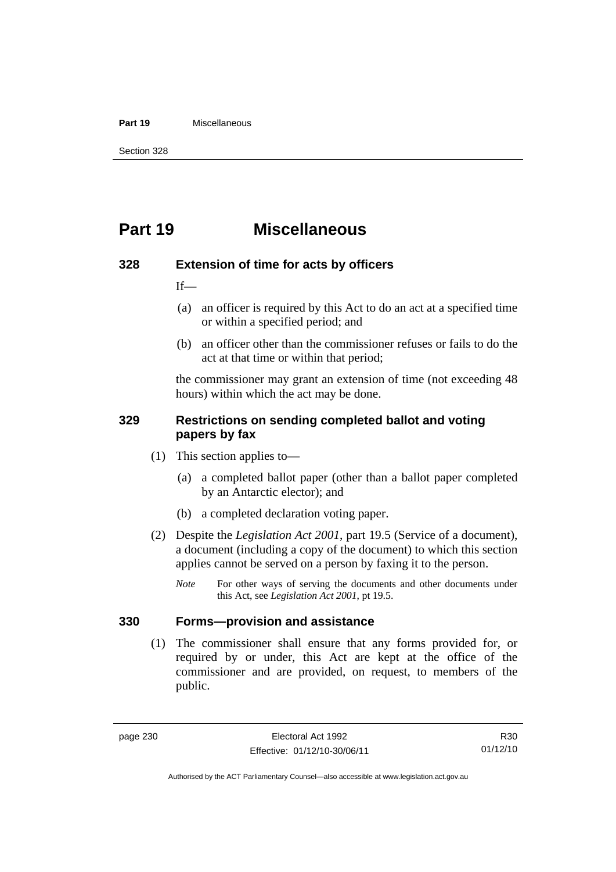#### **Part 19** Miscellaneous

Section 328

## **Part 19 Miscellaneous**

#### **328 Extension of time for acts by officers**

If—

- (a) an officer is required by this Act to do an act at a specified time or within a specified period; and
- (b) an officer other than the commissioner refuses or fails to do the act at that time or within that period;

the commissioner may grant an extension of time (not exceeding 48 hours) within which the act may be done.

### **329 Restrictions on sending completed ballot and voting papers by fax**

- (1) This section applies to—
	- (a) a completed ballot paper (other than a ballot paper completed by an Antarctic elector); and
	- (b) a completed declaration voting paper.
- (2) Despite the *Legislation Act 2001*, part 19.5 (Service of a document), a document (including a copy of the document) to which this section applies cannot be served on a person by faxing it to the person.
	- *Note* For other ways of serving the documents and other documents under this Act, see *Legislation Act 2001*, pt 19.5.

### **330 Forms—provision and assistance**

 (1) The commissioner shall ensure that any forms provided for, or required by or under, this Act are kept at the office of the commissioner and are provided, on request, to members of the public.

R30 01/12/10

Authorised by the ACT Parliamentary Counsel—also accessible at www.legislation.act.gov.au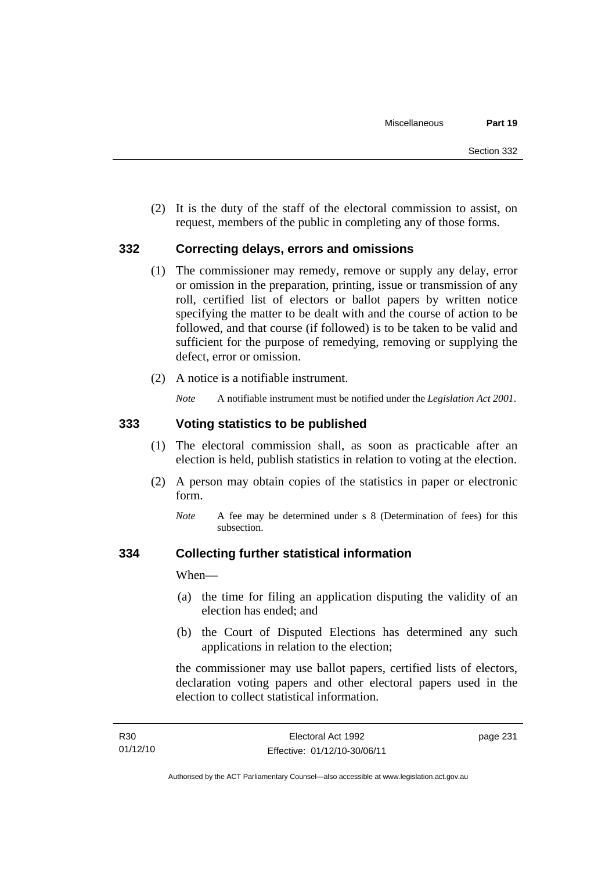(2) It is the duty of the staff of the electoral commission to assist, on request, members of the public in completing any of those forms.

#### **332 Correcting delays, errors and omissions**

- (1) The commissioner may remedy, remove or supply any delay, error or omission in the preparation, printing, issue or transmission of any roll, certified list of electors or ballot papers by written notice specifying the matter to be dealt with and the course of action to be followed, and that course (if followed) is to be taken to be valid and sufficient for the purpose of remedying, removing or supplying the defect, error or omission.
- (2) A notice is a notifiable instrument.

*Note* A notifiable instrument must be notified under the *Legislation Act 2001*.

### **333 Voting statistics to be published**

- (1) The electoral commission shall, as soon as practicable after an election is held, publish statistics in relation to voting at the election.
- (2) A person may obtain copies of the statistics in paper or electronic form.
	- *Note* A fee may be determined under s 8 (Determination of fees) for this subsection.

### **334 Collecting further statistical information**

When—

- (a) the time for filing an application disputing the validity of an election has ended; and
- (b) the Court of Disputed Elections has determined any such applications in relation to the election;

the commissioner may use ballot papers, certified lists of electors, declaration voting papers and other electoral papers used in the election to collect statistical information.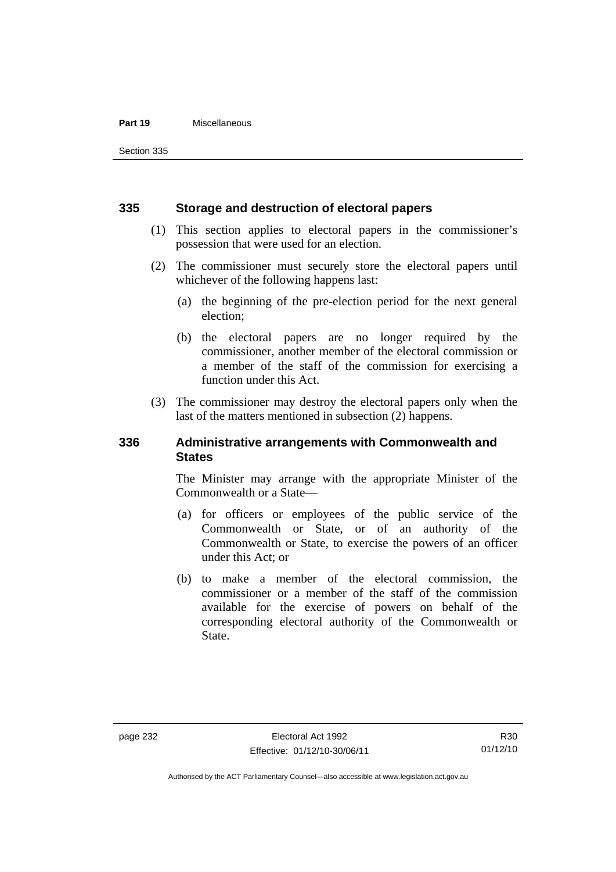#### **Part 19** Miscellaneous

Section 335

#### **335 Storage and destruction of electoral papers**

- (1) This section applies to electoral papers in the commissioner's possession that were used for an election.
- (2) The commissioner must securely store the electoral papers until whichever of the following happens last:
	- (a) the beginning of the pre-election period for the next general election;
	- (b) the electoral papers are no longer required by the commissioner, another member of the electoral commission or a member of the staff of the commission for exercising a function under this Act.
- (3) The commissioner may destroy the electoral papers only when the last of the matters mentioned in subsection (2) happens.

### **336 Administrative arrangements with Commonwealth and States**

The Minister may arrange with the appropriate Minister of the Commonwealth or a State—

- (a) for officers or employees of the public service of the Commonwealth or State, or of an authority of the Commonwealth or State, to exercise the powers of an officer under this Act; or
- (b) to make a member of the electoral commission, the commissioner or a member of the staff of the commission available for the exercise of powers on behalf of the corresponding electoral authority of the Commonwealth or State.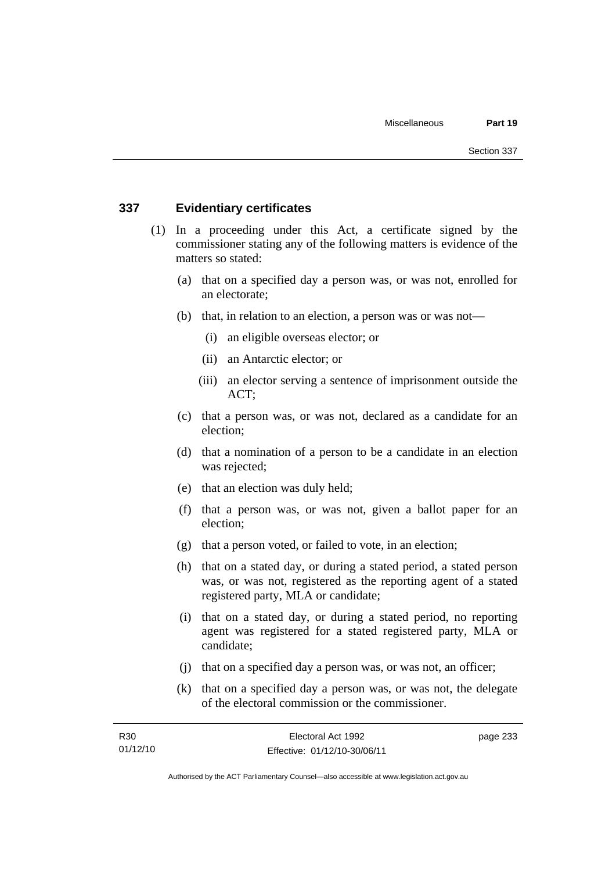### **337 Evidentiary certificates**

- (1) In a proceeding under this Act, a certificate signed by the commissioner stating any of the following matters is evidence of the matters so stated:
	- (a) that on a specified day a person was, or was not, enrolled for an electorate;
	- (b) that, in relation to an election, a person was or was not—
		- (i) an eligible overseas elector; or
		- (ii) an Antarctic elector; or
		- (iii) an elector serving a sentence of imprisonment outside the ACT;
	- (c) that a person was, or was not, declared as a candidate for an election;
	- (d) that a nomination of a person to be a candidate in an election was rejected;
	- (e) that an election was duly held;
	- (f) that a person was, or was not, given a ballot paper for an election;
	- (g) that a person voted, or failed to vote, in an election;
	- (h) that on a stated day, or during a stated period, a stated person was, or was not, registered as the reporting agent of a stated registered party, MLA or candidate;
	- (i) that on a stated day, or during a stated period, no reporting agent was registered for a stated registered party, MLA or candidate;
	- (j) that on a specified day a person was, or was not, an officer;
	- (k) that on a specified day a person was, or was not, the delegate of the electoral commission or the commissioner.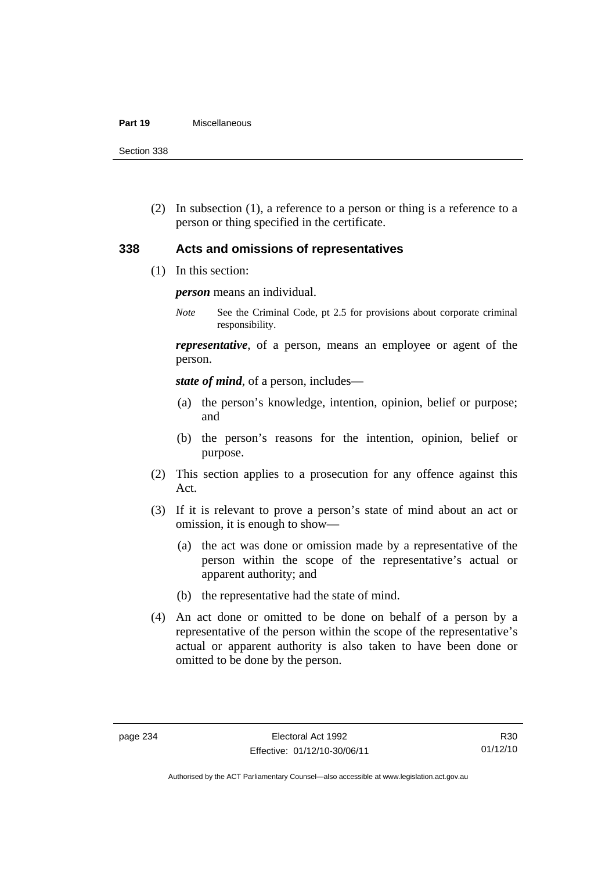#### **Part 19** Miscellaneous

Section 338

 (2) In subsection (1), a reference to a person or thing is a reference to a person or thing specified in the certificate.

### **338 Acts and omissions of representatives**

(1) In this section:

*person* means an individual.

*Note* See the Criminal Code, pt 2.5 for provisions about corporate criminal responsibility.

*representative*, of a person, means an employee or agent of the person.

*state of mind*, of a person, includes—

- (a) the person's knowledge, intention, opinion, belief or purpose; and
- (b) the person's reasons for the intention, opinion, belief or purpose.
- (2) This section applies to a prosecution for any offence against this Act.
- (3) If it is relevant to prove a person's state of mind about an act or omission, it is enough to show—
	- (a) the act was done or omission made by a representative of the person within the scope of the representative's actual or apparent authority; and
	- (b) the representative had the state of mind.
- (4) An act done or omitted to be done on behalf of a person by a representative of the person within the scope of the representative's actual or apparent authority is also taken to have been done or omitted to be done by the person.

Authorised by the ACT Parliamentary Counsel—also accessible at www.legislation.act.gov.au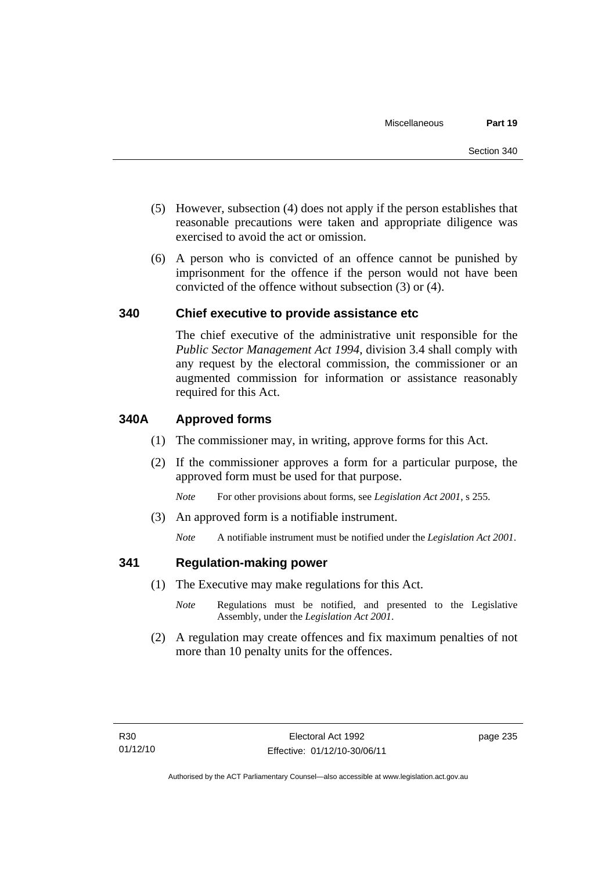- (5) However, subsection (4) does not apply if the person establishes that reasonable precautions were taken and appropriate diligence was exercised to avoid the act or omission.
- (6) A person who is convicted of an offence cannot be punished by imprisonment for the offence if the person would not have been convicted of the offence without subsection (3) or (4).

#### **340 Chief executive to provide assistance etc**

The chief executive of the administrative unit responsible for the *Public Sector Management Act 1994*, division 3.4 shall comply with any request by the electoral commission, the commissioner or an augmented commission for information or assistance reasonably required for this Act.

#### **340A Approved forms**

- (1) The commissioner may, in writing, approve forms for this Act.
- (2) If the commissioner approves a form for a particular purpose, the approved form must be used for that purpose.

*Note* For other provisions about forms, see *Legislation Act 2001*, s 255.

(3) An approved form is a notifiable instrument.

*Note* A notifiable instrument must be notified under the *Legislation Act 2001*.

#### **341 Regulation-making power**

- (1) The Executive may make regulations for this Act.
	- *Note* **Regulations** must be notified, and presented to the Legislative Assembly, under the *Legislation Act 2001*.
- (2) A regulation may create offences and fix maximum penalties of not more than 10 penalty units for the offences.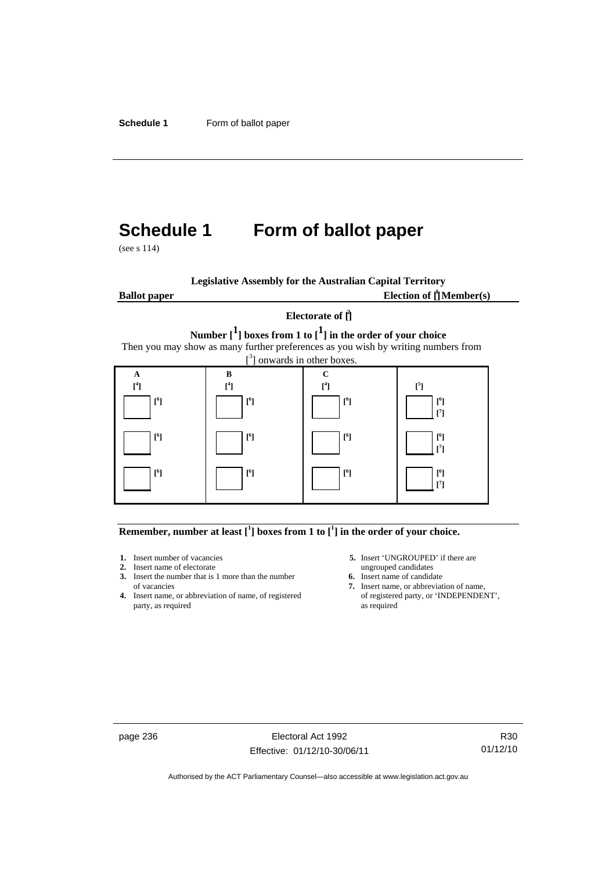# **Schedule 1 Form of ballot paper**

(see s 114)

|                     | <b>Legislative Assembly for the Australian Capital Territory</b>                                                              |                           |                                                  |
|---------------------|-------------------------------------------------------------------------------------------------------------------------------|---------------------------|--------------------------------------------------|
| <b>Ballot</b> paper |                                                                                                                               |                           | Election of $\prod_{i=1}^{n} \mathbf{Member(s)}$ |
|                     | Number $\begin{bmatrix} 1 \end{bmatrix}$ boxes from 1 to $\begin{bmatrix} 1 \end{bmatrix}$ in the order of your choice        | Electorate of $\hat{\Pi}$ |                                                  |
|                     | Then you may show as many further preferences as you wish by writing numbers from<br>$\int_{0}^{3}$ ] onwards in other boxes. |                           |                                                  |
| A                   | R                                                                                                                             | C                         |                                                  |
| $\mathsf{I}^4$      | $[$ <sup>4</sup> ]                                                                                                            | $\lceil$ <sup>4</sup>     | $[^{5}]$                                         |
| [6]                 | [ <sup>6</sup> ]                                                                                                              | $[^6]$                    | $[^6]$<br>$[^7]$                                 |
| [ <sup>6</sup> ]    | $\lceil^{6} \rceil$                                                                                                           | $[^6]$                    | $[^6]$<br>$\lceil$ <sup>7</sup>                  |
| [6]                 | $\lceil^6\rceil$                                                                                                              | $[^6]$                    | [6]<br>[7]                                       |

#### **Remember, number at least**  $\begin{bmatrix} 1 \end{bmatrix}$  boxes from 1 to  $\begin{bmatrix} 1 \end{bmatrix}$  in the order of your choice.

- 
- 
- **2.** Insert name of electorate ungrouped candidates<br> **3.** Insert the number that is 1 more than the number<br> **6.** Insert name of candidate **3.** Insert the number that is 1 more than the number
- **4.** Insert name, or abbreviation of name, of registered of registered party, as required party, as required
- **1.** Insert number of vacancies **5.** Insert 'UNGROUPED' if there are **2.** Insert name of electorate **1.** Insert name of electorate
	-
	- of vacancies **7.** Insert name, or abbreviation of name, or abbreviation of name, or abbreviation of name, or registered **7.** Insert name, or **TNDEPENDENT**,

page 236 Electoral Act 1992 Effective: 01/12/10-30/06/11

R30 01/12/10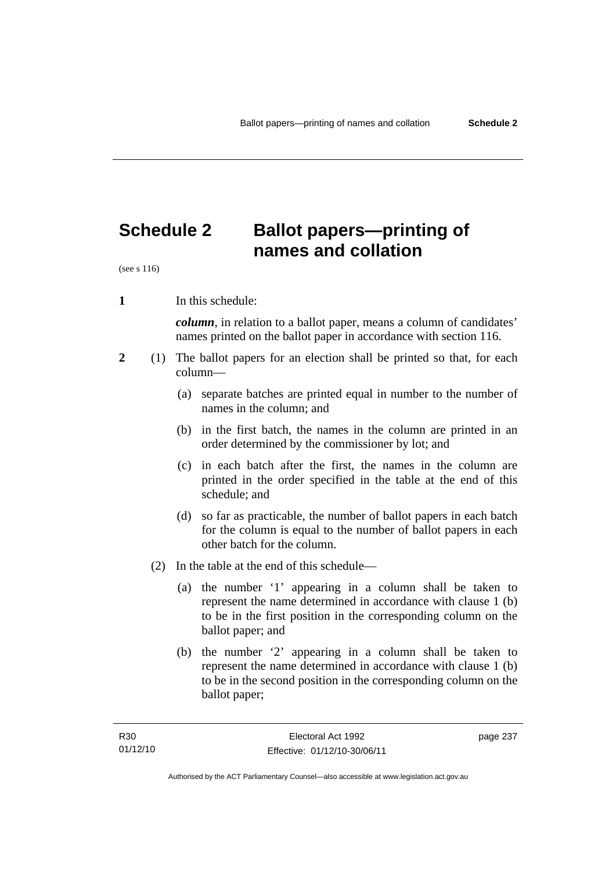# **Schedule 2 Ballot papers—printing of names and collation**

(see s 116)

**1** In this schedule:

*column*, in relation to a ballot paper, means a column of candidates' names printed on the ballot paper in accordance with section 116.

- **2** (1) The ballot papers for an election shall be printed so that, for each column—
	- (a) separate batches are printed equal in number to the number of names in the column; and
	- (b) in the first batch, the names in the column are printed in an order determined by the commissioner by lot; and
	- (c) in each batch after the first, the names in the column are printed in the order specified in the table at the end of this schedule; and
	- (d) so far as practicable, the number of ballot papers in each batch for the column is equal to the number of ballot papers in each other batch for the column.
	- (2) In the table at the end of this schedule—
		- (a) the number '1' appearing in a column shall be taken to represent the name determined in accordance with clause 1 (b) to be in the first position in the corresponding column on the ballot paper; and
		- (b) the number '2' appearing in a column shall be taken to represent the name determined in accordance with clause 1 (b) to be in the second position in the corresponding column on the ballot paper;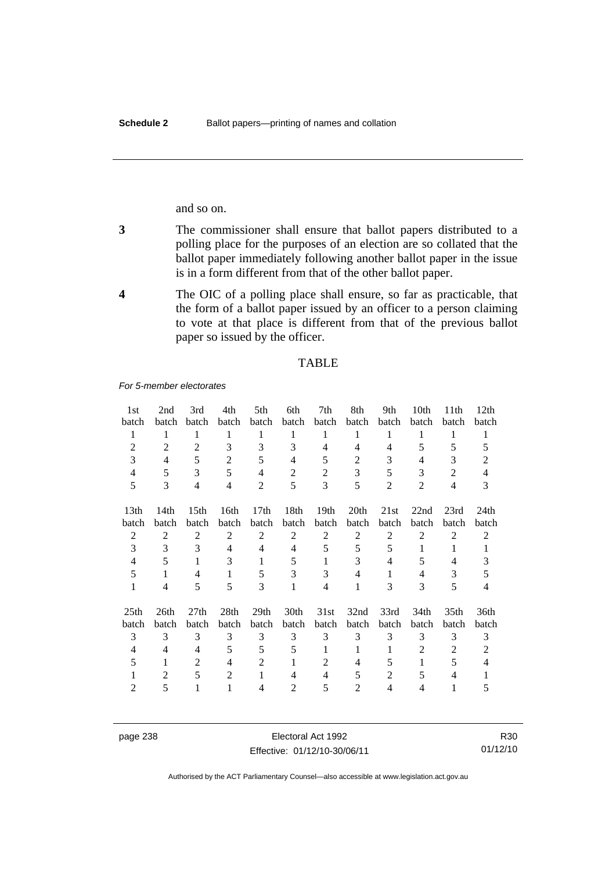and so on.

- **3** The commissioner shall ensure that ballot papers distributed to a polling place for the purposes of an election are so collated that the ballot paper immediately following another ballot paper in the issue is in a form different from that of the other ballot paper.
- **4** The OIC of a polling place shall ensure, so far as practicable, that the form of a ballot paper issued by an officer to a person claiming to vote at that place is different from that of the previous ballot paper so issued by the officer.

#### TABLE

*For 5-member electorates*

| 1st              | 2nd            | 3rd              | 4th            | 5th              | 6th            | 7th              | 8th            | 9th            | 10th           | 11 <sup>th</sup> | 12th             |
|------------------|----------------|------------------|----------------|------------------|----------------|------------------|----------------|----------------|----------------|------------------|------------------|
| batch            | batch          | batch            | batch          | batch            | batch          | batch            | batch          | batch          | batch          | batch            | batch            |
| 1                | 1              | 1                | 1              | 1                | 1              | 1                | 1              | 1              | 1              | 1                | 1                |
| $\overline{2}$   | $\overline{2}$ | $\overline{c}$   | 3              | 3                | 3              | 4                | 4              | 4              | 5              | 5                | 5                |
| 3                | 4              | 5                | $\overline{2}$ | 5                | 4              | 5                | $\overline{c}$ | 3              | 4              | 3                | 2                |
| $\overline{4}$   | 5              | 3                | 5              | 4                | $\overline{2}$ | 2                | 3              | 5              | 3              | $\overline{2}$   | 4                |
| 5                | 3              | 4                | $\overline{4}$ | $\overline{2}$   | 5              | 3                | 5              | 2              | $\overline{2}$ | 4                | 3                |
| 13 <sub>th</sub> | 14th           | 15 <sup>th</sup> | 16th           | 17th             | 18th           | 19 <sub>th</sub> | 20th           | 21st           | 22nd           | 23rd             | 24 <sub>th</sub> |
| batch            | batch          | batch            | batch          | batch            | batch          | batch            | batch          | batch          | batch          | batch            | batch            |
| $\overline{c}$   | $\overline{2}$ | 2                | 2              | $\overline{2}$   | $\overline{c}$ | 2                | $\overline{2}$ | 2              | $\overline{2}$ | $\overline{2}$   | 2                |
| 3                | 3              | 3                | 4              | 4                | 4              | 5                | 5              | 5              | 1              | 1                | 1                |
| 4                | 5              | $\mathbf{1}$     | 3              | 1                | 5              | 1                | 3              | 4              | 5              | 4                | 3                |
| 5                | 1              | 4                | 1              | 5                | 3              | 3                | 4              | 1              | 4              | 3                | 5                |
| $\mathbf{1}$     | 4              | 5                | 5              | 3                | 1              | 4                | 1              | 3              | 3              | 5                | 4                |
| 25 <sub>th</sub> | 26th           | 27 <sub>th</sub> | 28th           | 29 <sub>th</sub> | 30th           | 31st             | 32nd           | 33rd           | 34th           | 35 <sub>th</sub> | 36th             |
| batch            | batch          | batch            | batch          | batch            | batch          | batch            | batch          | batch          | batch          | batch            | batch            |
| 3                | 3              | 3                | 3              | 3                | 3              | 3                | 3              | 3              | 3              | 3                | 3                |
| 4                | 4              | 4                | 5              | 5                | 5              | 1                | 1              | 1              | 2              | 2                | 2                |
| 5                | 1              | 2                | 4              | $\overline{2}$   |                | $\overline{2}$   | 4              | 5              | 1              | 5                | 4                |
|                  | 2              | 5                | $\overline{2}$ | 1                | 4              | 4                | 5              | 2              | 5              | 4                |                  |
| 2                | 5              | 1                | 1              | 4                | 2              | 5                | 2              | $\overline{4}$ | 4              |                  | 5                |

page 238 Electoral Act 1992 Effective: 01/12/10-30/06/11

R30 01/12/10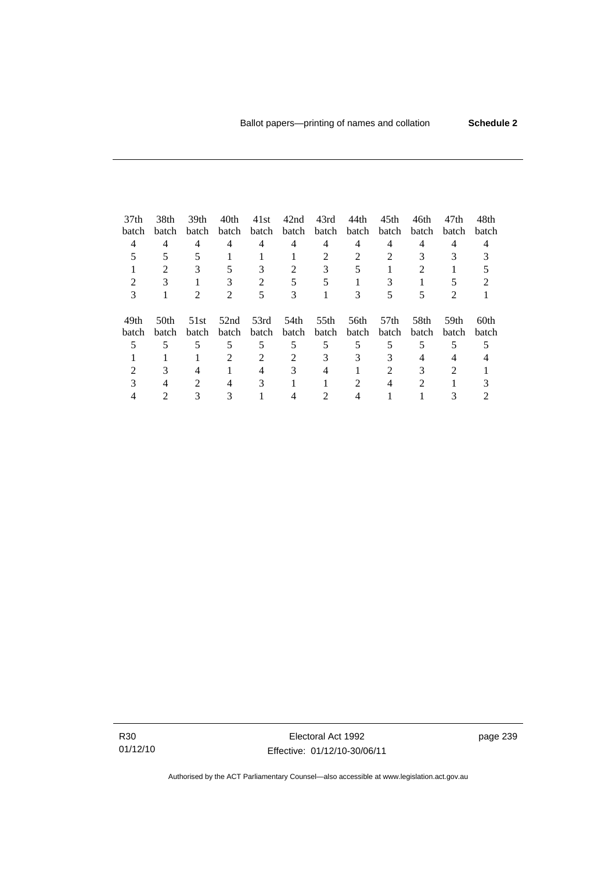| 37 <sub>th</sub> | 38th                        | 39th                        | 40th                        | 41st        | 42nd  | 43rd              | 44th  | 45th  | 46th  | 47th           | 48th  |
|------------------|-----------------------------|-----------------------------|-----------------------------|-------------|-------|-------------------|-------|-------|-------|----------------|-------|
| batch            | batch                       | <b>batch</b>                | batch                       | batch       |       | batch batch batch |       | batch | batch | batch          | batch |
| 4                | $\overline{4}$              | 4                           | 4                           | 4           | 4     | 4                 | 4     | 4     | 4     | 4              |       |
|                  |                             |                             |                             |             |       |                   |       |       |       |                |       |
|                  | $\mathcal{D}_{\mathcal{L}}$ | 3                           | 5                           | 3           | 2     | 3                 |       |       |       |                |       |
|                  |                             |                             |                             |             |       |                   |       |       |       |                |       |
| 3                |                             | $\mathcal{D}_{\mathcal{L}}$ | $\mathcal{D}_{\mathcal{L}}$ | 5           | 3     |                   | 3     |       | 5     | $\mathfrak{D}$ |       |
|                  |                             |                             |                             |             |       |                   |       |       |       |                |       |
| 49th             | 50 <sub>th</sub>            | 51st                        | 52nd                        | 53rd        | 54th  | 55th              | 56th  | .57th | 58th  | 59th           | 60th  |
| batch            | batch                       | batch                       |                             | batch batch | batch | batch             | batch | batch | batch | batch          | batch |
|                  |                             | 5                           | 5                           | 5           | 5     | 5                 | 5     | 5     | 5     | 5              |       |
|                  |                             |                             |                             | 2           |       |                   | 3     |       |       |                |       |
|                  |                             |                             |                             |             |       |                   |       |       |       | $\mathcal{D}$  |       |
|                  |                             | $\mathcal{D}_{\mathcal{L}}$ | 4                           | 3           |       |                   | 2     |       | 2     |                |       |
|                  |                             |                             |                             |             |       |                   |       |       |       |                |       |

R30 01/12/10

Electoral Act 1992 Effective: 01/12/10-30/06/11 page 239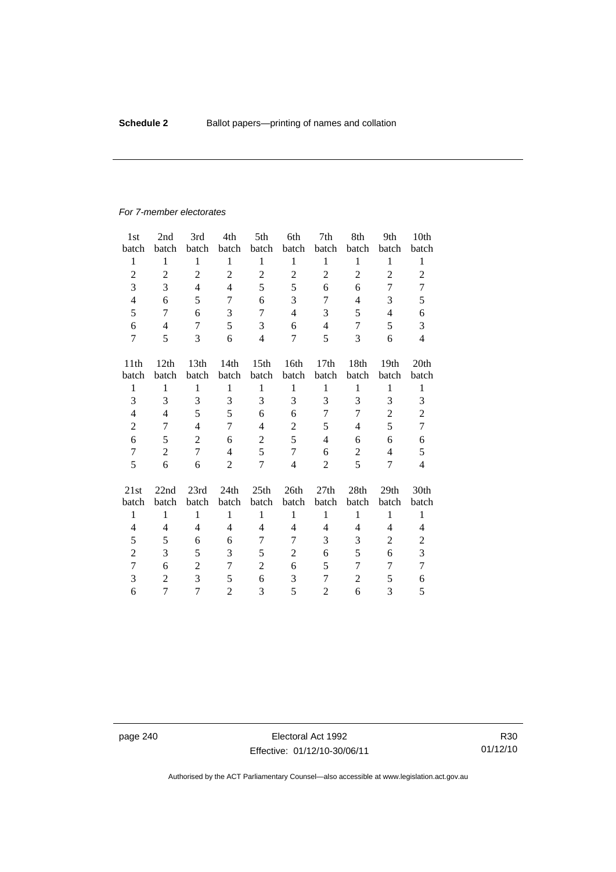#### *For 7-member electorates*

| 1 <sub>st</sub>  | 2nd            | 3rd            | 4th            | 5th              | 6th              | 7th            | 8th            | 9th              | 10 <sub>th</sub> |
|------------------|----------------|----------------|----------------|------------------|------------------|----------------|----------------|------------------|------------------|
| batch            | batch          | batch          | batch          | batch            | batch            | batch          | batch          | batch            | batch            |
| $\mathbf{1}$     | 1              | $\mathbf{1}$   | $\mathbf{1}$   | $\mathbf{1}$     | $\mathbf{1}$     | $\mathbf{1}$   | $\mathbf{1}$   | $\mathbf{1}$     | $\mathbf{1}$     |
| $\overline{c}$   | $\mathfrak{2}$ | $\overline{2}$ | $\overline{2}$ | $\overline{c}$   | $\overline{2}$   | $\overline{2}$ | $\overline{2}$ | $\overline{2}$   | $\overline{2}$   |
| 3                | 3              | $\overline{4}$ | 4              | 5                | 5                | 6              | 6              | 7                | 7                |
| 4                | 6              | 5              | 7              | 6                | 3                | 7              | 4              | 3                | 5                |
| 5                | 7              | 6              | 3              | 7                | $\overline{4}$   | 3              | 5              | 4                | 6                |
| 6                | $\overline{4}$ | $\overline{7}$ | 5              | 3                | 6                | $\overline{4}$ | 7              | 5                | 3                |
| 7                | 5              | 3              | 6              | 4                | 7                | 5              | 3              | 6                | $\overline{4}$   |
| 11th             | 12th           | 13th           | 14th           | 15 <sup>th</sup> | 16th             | 17th           | 18th           | 19 <sub>th</sub> | 20th             |
| batch            | batch          | batch          | batch          | batch            | batch            | batch          | batch          | batch            | batch            |
| $\mathbf{1}$     | $\mathbf{1}$   | $\mathbf{1}$   | $\mathbf{1}$   | $\mathbf{1}$     | $\mathbf{1}$     | $\mathbf{1}$   | $\,1$          | $\mathbf{1}$     | $\mathbf{1}$     |
| 3                | 3              | 3              | 3              | 3                | 3                | 3              | 3              | 3                | 3                |
| 4                | $\overline{4}$ | 5              | 5              | 6                | 6                | 7              | 7              | $\overline{2}$   | $\overline{c}$   |
| $\overline{c}$   | 7              | $\overline{4}$ | 7              | 4                | $\overline{2}$   | 5              | 4              | 5                | $\overline{7}$   |
| 6                | 5              | $\overline{2}$ | 6              | $\overline{c}$   | 5                | 4              | 6              | 6                | 6                |
| $\boldsymbol{7}$ | $\overline{2}$ | $\overline{7}$ | $\overline{4}$ | 5                | $\boldsymbol{7}$ | 6              | $\overline{c}$ | $\overline{4}$   | 5                |
| 5                | 6              | 6              | $\overline{2}$ | 7                | $\overline{4}$   | $\overline{2}$ | 5              | 7                | $\overline{4}$   |
| 21st             | 22nd           | 23rd           | 24th           | 25th             | 26th             | 27th           | 28th           | 29th             | 30th             |
| batch            | batch          | batch          | batch          | batch            | batch            | batch          | batch          | batch            | batch            |
| $\mathbf{1}$     | $\mathbf{1}$   | $\mathbf{1}$   | $\mathbf{1}$   | $\mathbf{1}$     | $\mathbf{1}$     | $\mathbf{1}$   | $\mathbf{1}$   | $\mathbf{1}$     | $\mathbf{1}$     |
| 4                | 4              | $\overline{4}$ | 4              | 4                | 4                | 4              | 4              | 4                | 4                |
| 5                | 5              | 6              | 6              | 7                | 7                | 3              | 3              | 2                | $\overline{c}$   |
| $\overline{2}$   | 3              | 5              | 3              | 5                | $\overline{2}$   | 6              | 5              | 6                | 3                |
| $\overline{7}$   | 6              | $\overline{c}$ | $\overline{7}$ | $\overline{2}$   | 6                | 5              | $\overline{7}$ | 7                | $\overline{7}$   |
| 3                | $\overline{2}$ | 3              | 5              | 6                | 3                | 7              | $\overline{2}$ | 5                | 6                |
| 6                | 7              | $\overline{7}$ | $\overline{2}$ | 3                | 5                | $\overline{c}$ | 6              | 3                | 5                |

page 240 Electoral Act 1992 Effective: 01/12/10-30/06/11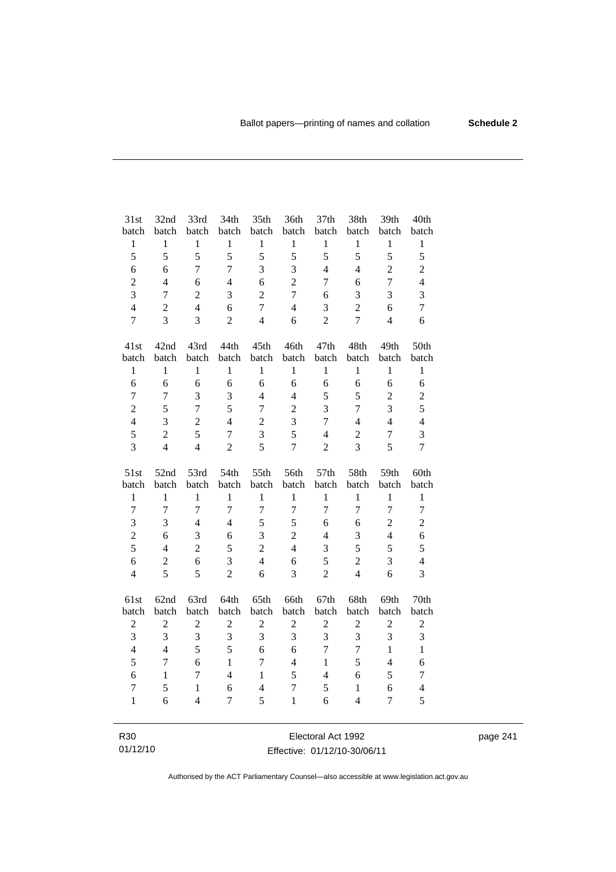| 31st             | 32nd             | 33rd           | 34th             | 35th             | 36th                    | 37th             | 38th           | 39th           | 40th           |
|------------------|------------------|----------------|------------------|------------------|-------------------------|------------------|----------------|----------------|----------------|
| batch            | batch            | batch          | batch            | batch            | batch                   | batch            | batch          | batch          | batch          |
| $\mathbf{1}$     | $\mathbf{1}$     | $\mathbf{1}$   | $\mathbf{1}$     | $\mathbf{1}$     | $\,1$                   | $\mathbf{1}$     | $\mathbf{1}$   | $\mathbf{1}$   | $\mathbf{1}$   |
| 5                | 5                | 5              | 5                | 5                | 5                       | 5                | 5              | 5              | 5              |
| 6                | 6                | $\overline{7}$ | $\overline{7}$   | 3                | 3                       | $\overline{4}$   | $\overline{4}$ | $\overline{2}$ | $\overline{c}$ |
| $\boldsymbol{2}$ | $\overline{4}$   | 6              | $\overline{4}$   | 6                | $\overline{2}$          | 7                | 6              | $\overline{7}$ | $\overline{4}$ |
| 3                | $\overline{7}$   | $\overline{c}$ | 3                | $\overline{2}$   | $\boldsymbol{7}$        | 6                | 3              | 3              | 3              |
| $\overline{4}$   | $\overline{2}$   | $\overline{4}$ | 6                | $\overline{7}$   | $\overline{4}$          | 3                | $\overline{2}$ | 6              | $\tau$         |
| $\overline{7}$   | $\overline{3}$   | $\overline{3}$ | $\overline{2}$   | $\overline{4}$   | 6                       | $\overline{2}$   | $\overline{7}$ | $\overline{4}$ | 6              |
| 41st             | 42nd             | 43rd           | 44th             | 45th             | 46th                    | 47th             | 48th           | 49th           | 50th           |
| batch            | batch            | batch          | batch            | batch            | batch                   | batch            | batch          | batch          | batch          |
| $\mathbf{1}$     | $\mathbf{1}$     | $\mathbf{1}$   | $\mathbf{1}$     | $\mathbf{1}$     | $\mathbf{1}$            | $\mathbf{1}$     | $\mathbf{1}$   | $\mathbf{1}$   | $\mathbf{1}$   |
| 6                | 6                | 6              | 6                | 6                | 6                       | 6                | 6              | 6              | 6              |
| 7                | $\boldsymbol{7}$ | 3              | 3                | $\overline{4}$   | $\overline{4}$          | 5                | 5              | $\overline{c}$ | $\overline{c}$ |
| $\overline{2}$   | 5                | $\overline{7}$ | 5                | $\overline{7}$   | $\overline{c}$          | 3                | $\overline{7}$ | 3              | 5              |
| $\overline{4}$   | $\overline{3}$   | $\overline{2}$ | $\overline{4}$   | $\overline{2}$   | $\overline{\mathbf{3}}$ | $\boldsymbol{7}$ | $\overline{4}$ | $\overline{4}$ | $\overline{4}$ |
| 5                | $\overline{c}$   | 5              | $\boldsymbol{7}$ | 3                | 5                       | $\overline{4}$   | $\overline{c}$ | $\overline{7}$ | 3              |
| 3                | $\overline{4}$   | $\overline{4}$ | $\overline{2}$   | 5                | $\overline{7}$          | $\overline{2}$   | 3              | 5              | $\overline{7}$ |
|                  |                  |                |                  |                  |                         |                  |                |                |                |
| 51st             | 52nd             | 53rd           | 54th             | 55th             | 56th                    | 57th             | 58th           | 59th           | 60th           |
| batch            | batch            | batch          | batch            | batch            | batch                   | batch            | batch          | batch          | batch          |
| $\mathbf{1}$     | $\mathbf{1}$     | $\mathbf{1}$   | $\mathbf{1}$     | $\mathbf{1}$     | $\mathbf{1}$            | $\mathbf{1}$     | $\mathbf{1}$   | $\mathbf{1}$   | $\mathbf{1}$   |
| $\overline{7}$   | $\overline{7}$   | $\overline{7}$ | $\overline{7}$   | $\overline{7}$   | $\overline{7}$          | $\overline{7}$   | $\overline{7}$ | $\overline{7}$ | $\tau$         |
| 3                | 3                | $\overline{4}$ | $\overline{4}$   | 5                | 5                       | 6                | 6              | $\overline{c}$ | $\overline{c}$ |
| $\overline{c}$   | 6                | 3              | 6                | 3                | $\overline{c}$          | $\overline{4}$   | 3              | $\overline{4}$ | 6              |
| 5                | $\overline{4}$   | $\overline{2}$ | 5                | $\overline{2}$   | $\overline{4}$          | 3                | 5              | 5              | 5              |
| 6                | $\mathbf{2}$     | 6              | 3                | $\overline{4}$   | 6                       | 5                | $\overline{c}$ | 3              | $\overline{4}$ |
| $\overline{4}$   | 5                | 5              | $\overline{c}$   | 6                | 3                       | $\overline{c}$   | $\overline{4}$ | 6              | 3              |
| 61st             | 62nd             | 63rd           | 64th             | 65th             | 66th                    | 67th             | 68th           | 69th           | 70th           |
| batch            | batch            | batch          | batch            | batch            | batch                   | batch            | batch          | batch          | batch          |
| $\overline{c}$   | $\overline{c}$   | $\overline{c}$ | $\overline{c}$   | $\boldsymbol{2}$ | $\overline{2}$          | $\overline{2}$   | $\overline{c}$ | $\overline{c}$ | $\overline{c}$ |
| 3                | $\overline{3}$   | 3              | 3                | 3                | 3                       | 3                | 3              | $\overline{3}$ | 3              |
| $\overline{4}$   | $\overline{4}$   | 5              | 5                | 6                | 6                       | $\overline{7}$   | $\overline{7}$ | $\mathbf{1}$   | $\mathbf{1}$   |
| 5                | $\boldsymbol{7}$ | 6              | $\mathbf{1}$     | $\overline{7}$   | $\overline{4}$          | $\mathbf{1}$     | 5              | $\overline{4}$ | 6              |
| 6                | $\mathbf{1}$     | $\tau$         | $\overline{4}$   | $\mathbf{1}$     | 5                       | $\overline{4}$   | $\epsilon$     | 5              | $\tau$         |
| $\overline{7}$   | 5                | $\mathbf{1}$   | 6                | $\overline{4}$   | $\overline{7}$          | 5                | $\mathbf{1}$   | 6              | $\overline{4}$ |
| $\mathbf{1}$     | 6                | $\overline{4}$ | 7                | 5                | $\mathbf{1}$            | 6                | $\overline{4}$ | $\overline{7}$ | 5              |

page 241

Effective: 01/12/10-30/06/11

R30 01/12/10

Authorised by the ACT Parliamentary Counsel—also accessible at www.legislation.act.gov.au

Electoral Act 1992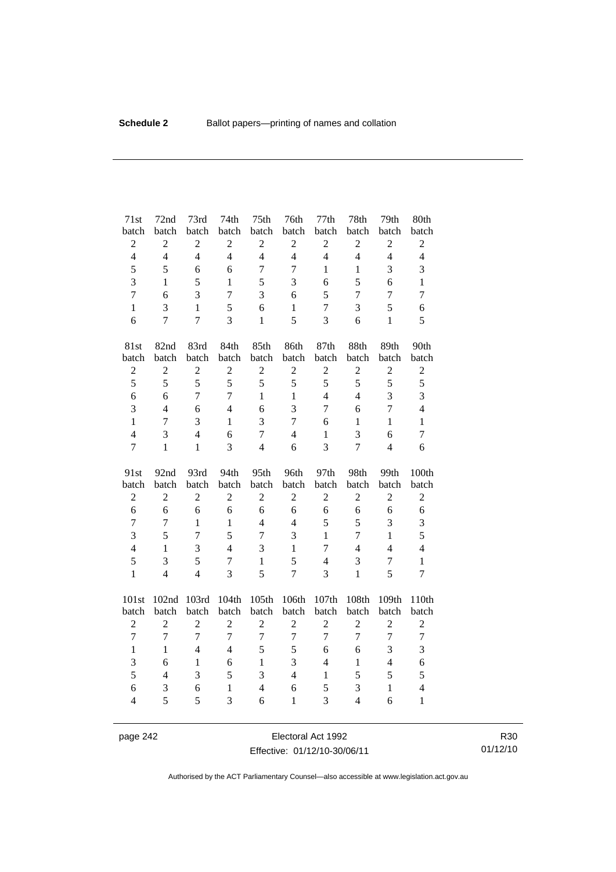| 71st                | 72nd             | 73rd           | 74th              | 75 <sup>th</sup>    | 76th              | 77th             | 78th                | 79th              | 80th                           |
|---------------------|------------------|----------------|-------------------|---------------------|-------------------|------------------|---------------------|-------------------|--------------------------------|
| batch               | batch            | batch          | batch             | batch               | batch             | batch            | batch               | batch             | batch                          |
| $\overline{c}$      | $\sqrt{2}$       | $\overline{c}$ | $\overline{c}$    | $\overline{2}$      | $\sqrt{2}$        | $\overline{2}$   | $\sqrt{2}$          | $\mathbf{2}$      | $\overline{c}$                 |
| $\overline{4}$      | $\overline{4}$   | $\overline{4}$ | $\overline{4}$    | $\overline{4}$      | $\overline{4}$    | $\overline{4}$   | $\overline{4}$      | $\overline{4}$    | $\overline{4}$                 |
| 5                   | 5                | 6              | 6                 | $\overline{7}$      | $\overline{7}$    | $\mathbf{1}$     | $\mathbf{1}$        | 3                 | 3                              |
| 3                   | $\mathbf{1}$     | 5              | $\mathbf{1}$      | 5                   | 3                 | 6                | 5                   | 6                 | $\mathbf{1}$                   |
| $\overline{7}$      | 6                | 3              | $\overline{7}$    | 3                   | 6                 | 5                | $\tau$              | $\overline{7}$    | $\overline{7}$                 |
| $\mathbf{1}$        | 3                | $\mathbf{1}$   | 5                 | 6                   | $\mathbf{1}$      | $\boldsymbol{7}$ | 3                   | 5                 | 6                              |
| 6                   | $\overline{7}$   | $\overline{7}$ | 3                 | $\mathbf{1}$        | 5                 | 3                | 6                   | $\mathbf{1}$      | 5                              |
| 81st                | 82nd             | 83rd           | 84th              | 85th                | 86th              | 87th             | 88th                | 89th              | 90th                           |
| batch               | batch            | batch          | batch             | batch               | batch             | batch            | batch               | batch             | batch                          |
| $\sqrt{2}$          | $\overline{c}$   | $\overline{c}$ | $\overline{2}$    | $\overline{2}$      | $\overline{2}$    | $\overline{2}$   | $\overline{c}$      | $\overline{c}$    | $\sqrt{2}$                     |
| 5                   | 5                | 5              | 5                 | 5                   | 5                 | 5                | 5                   | 5                 | 5                              |
| 6                   | 6                | $\overline{7}$ | $\overline{7}$    | $\mathbf{1}$        | $\mathbf{1}$      | $\overline{4}$   | $\overline{4}$      | 3                 | 3                              |
| 3                   | $\overline{4}$   | 6              | $\overline{4}$    | 6                   | 3                 | $\tau$           | 6                   | $\overline{7}$    | $\overline{4}$                 |
| $\mathbf{1}$        | 7                | 3              | $\mathbf{1}$      | 3                   | $\overline{7}$    | 6                | $\mathbf{1}$        | $\mathbf{1}$      | $\mathbf{1}$                   |
| $\overline{4}$      | 3                | $\overline{4}$ | 6                 | $\overline{7}$      | $\overline{4}$    | $\mathbf{1}$     | 3                   | 6                 | $\tau$                         |
| $\overline{7}$      | $\mathbf{1}$     | $\mathbf{1}$   | 3                 | $\overline{4}$      | 6                 | 3                | $\overline{7}$      | $\overline{4}$    | 6                              |
|                     |                  |                |                   |                     |                   |                  |                     |                   |                                |
| 91st                | 92nd             | 93rd           | 94th              | 95th                | 96th              | 97th             | 98th                | 99th              | 100th                          |
| batch               | batch            | batch          | batch             | batch               | batch             | batch            | batch               | batch             | batch                          |
| $\overline{c}$      | $\boldsymbol{2}$ | $\overline{c}$ | $\overline{c}$    | $\sqrt{2}$          | $\overline{2}$    | $\overline{c}$   | $\overline{c}$      | $\overline{c}$    | $\overline{c}$                 |
| 6                   | 6                | 6              | 6                 | 6                   | 6                 | 6                | 6                   | 6                 | 6                              |
| $\overline{7}$      | $\tau$           | $\mathbf{1}$   | $\mathbf{1}$      | $\overline{4}$      | $\overline{4}$    | 5                | 5                   | 3                 | $\mathfrak{Z}$                 |
| 3                   | 5                | $\overline{7}$ | 5                 | $\overline{7}$      | 3                 | $\mathbf{1}$     | 7                   | $\mathbf{1}$      | 5                              |
| $\overline{4}$      | $\mathbf{1}$     | 3              | $\overline{4}$    | 3                   | $\mathbf{1}$      | 7                | $\overline{4}$      | $\overline{4}$    | $\overline{4}$                 |
| 5                   | 3                | 5              | $\tau$            | $\mathbf{1}$        | 5                 | $\overline{4}$   | 3                   | $\boldsymbol{7}$  | $\mathbf{1}$                   |
| $\mathbf{1}$        | $\overline{4}$   | $\overline{4}$ | $\overline{3}$    | 5                   | $\overline{7}$    | 3                | $\mathbf{1}$        | 5                 | $\overline{7}$                 |
| 101st               | 102nd            | 103rd          | 104th             | 105th               | 106th             | 107th            | 108th               | 109th             | 110th                          |
| batch               | batch            | batch          | batch             | batch               | batch             | batch            | batch               | batch             | batch                          |
| $\overline{2}$      | $\overline{2}$   | $\overline{2}$ | $\overline{2}$    | $\overline{2}$      | $\overline{2}$    | $\overline{2}$   | $\overline{c}$      | $\overline{c}$    | $\overline{2}$                 |
| $\overline{7}$      | $\boldsymbol{7}$ | $\overline{7}$ | $\overline{7}$    | $\overline{7}$      | $\boldsymbol{7}$  | $\overline{7}$   | $\overline{7}$      | $\overline{7}$    | $\boldsymbol{7}$               |
| $\mathbf{1}$        | $\mathbf{1}$     | $\overline{4}$ | $\overline{4}$    | 5                   | 5                 | 6                | 6                   | 3                 | 3                              |
| 3                   | 6                | $\mathbf{1}$   | 6                 | $\mathbf{1}$        | 3                 | $\overline{4}$   | $\mathbf{1}$        | $\overline{4}$    | 6                              |
| 5                   | $\overline{4}$   | 3              | 5                 | 3                   | $\overline{4}$    | $\mathbf{1}$     | 5                   | 5                 | 5                              |
| 6<br>$\overline{4}$ | 3<br>5           | 6<br>5         | $\mathbf{1}$<br>3 | $\overline{4}$<br>6 | 6<br>$\mathbf{1}$ | 5<br>3           | 3<br>$\overline{4}$ | $\mathbf{1}$<br>6 | $\overline{4}$<br>$\mathbf{1}$ |

page 242 **Electoral Act 1992** Effective: 01/12/10-30/06/11

R30 01/12/10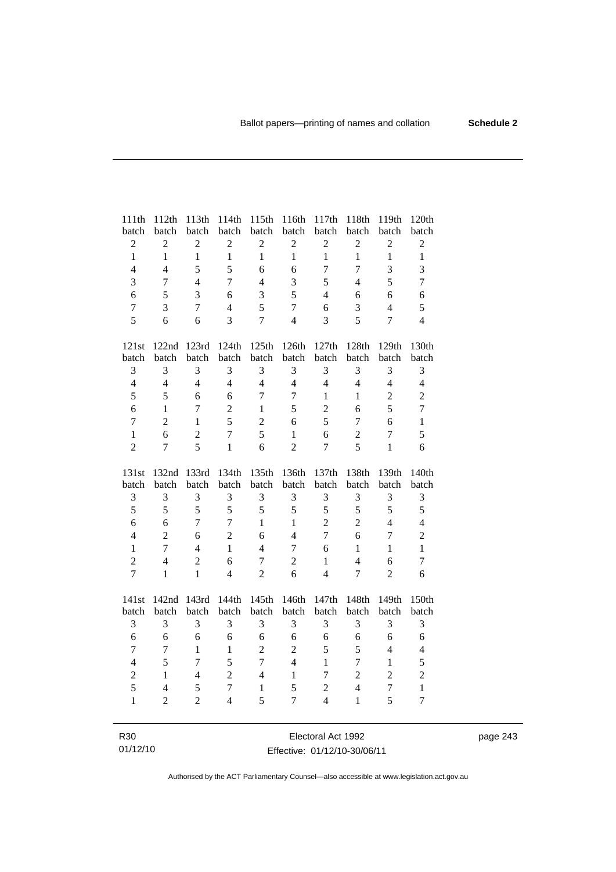| 111th                          | 112th                            | 113th                    | 114th                          | 115th               | 116th                          | 117th                            | 118th                    | 119th                            | 120th                          |
|--------------------------------|----------------------------------|--------------------------|--------------------------------|---------------------|--------------------------------|----------------------------------|--------------------------|----------------------------------|--------------------------------|
| batch                          | batch                            | batch                    | batch                          | batch               | batch                          | batch                            | batch                    | batch                            | batch                          |
| $\sqrt{2}$                     | $\boldsymbol{2}$                 | $\overline{2}$           | $\overline{2}$                 | $\overline{c}$      | $\boldsymbol{2}$               | $\overline{2}$                   | $\sqrt{2}$               | $\boldsymbol{2}$                 | $\sqrt{2}$                     |
| $\mathbf{1}$                   | $\mathbf{1}$                     | $\mathbf{1}$             | $\mathbf{1}$                   | $\mathbf{1}$        | $\mathbf{1}$                   | $\mathbf{1}$                     | $\mathbf{1}$             | $\mathbf{1}$                     | $\mathbf{1}$                   |
| $\overline{4}$                 | $\overline{4}$                   | 5                        | 5                              | 6                   | 6                              | $\overline{7}$                   | $\overline{7}$           | 3                                | 3                              |
| $\overline{3}$                 | 7                                | $\overline{4}$           | $\overline{7}$                 | $\overline{4}$      | 3                              | 5                                | $\overline{\mathcal{L}}$ | 5                                | $\overline{7}$                 |
| 6                              | 5                                | $\overline{3}$           | 6                              | 3                   | 5                              | $\overline{4}$                   | 6                        | 6                                | 6                              |
| $\overline{7}$                 | 3                                | $\overline{7}$           | $\overline{4}$                 | 5                   | $\overline{7}$                 | 6                                | 3                        | $\overline{4}$                   | 5                              |
| 5                              | 6                                | 6                        | 3                              | $\overline{7}$      | $\overline{4}$                 | 3                                | 5                        | $\overline{7}$                   | $\overline{4}$                 |
| 121st                          | 122nd                            | 123rd                    | 124th                          | 125th               | 126th                          | 127th                            | 128th                    | 129th                            | 130th                          |
| batch                          | batch                            | batch                    | batch                          | batch               | batch                          | batch                            | batch                    | batch                            | batch                          |
| 3                              | 3                                | 3                        | 3                              | 3                   | $\mathfrak{Z}$                 | 3                                | 3                        | 3                                | 3                              |
| $\overline{4}$                 | $\overline{4}$                   | $\overline{4}$           | $\overline{4}$                 | $\overline{4}$      | $\overline{4}$                 | $\overline{4}$                   | $\overline{4}$           | $\overline{4}$                   | $\overline{4}$                 |
| 5                              | 5                                | 6                        | 6                              | $\overline{7}$      | $\boldsymbol{7}$               | $\mathbf{1}$                     | 1                        | $\mathbf{2}$                     | $\overline{2}$                 |
| 6                              | $\mathbf{1}$                     | $\overline{7}$           | $\overline{c}$                 | $\mathbf{1}$        | 5                              | $\overline{2}$                   | 6                        | 5                                | $\tau$                         |
| $\overline{7}$                 | $\overline{2}$                   | $\mathbf{1}$             | 5                              | $\overline{2}$      | 6                              | 5                                | $\overline{7}$           | 6                                | $\mathbf{1}$                   |
| $\mathbf{1}$                   | 6                                | $\overline{c}$           | $\overline{7}$                 | 5                   | $\mathbf{1}$                   | 6                                | $\overline{2}$           | $\boldsymbol{7}$                 | 5                              |
| $\overline{2}$                 | 7                                | $\overline{5}$           | $\mathbf{1}$                   | 6                   | $\overline{2}$                 | 7                                | 5                        | $\mathbf{1}$                     | 6                              |
|                                |                                  |                          |                                |                     |                                |                                  |                          |                                  |                                |
| 131st                          | 132nd                            | 133rd                    | 134th                          | 135th               | 136th                          | 137th                            | 138th                    | 139th                            | 140th                          |
| batch                          | batch                            | batch                    | batch                          | batch               | batch                          | batch                            | batch                    | batch                            | batch                          |
| 3                              | 3                                | 3                        | 3                              | 3                   | 3                              | 3                                | 3                        | 3                                | 3                              |
| 5                              | 5                                | 5                        | 5                              | 5                   | 5                              | 5                                | 5                        | 5                                | 5                              |
| 6                              | 6                                | $\tau$                   | $\tau$                         | $\mathbf{1}$        | $\mathbf{1}$<br>$\overline{4}$ | $\overline{2}$<br>$\overline{7}$ | $\overline{2}$           | $\overline{4}$<br>$\overline{7}$ | $\overline{4}$                 |
| $\overline{4}$<br>$\mathbf{1}$ | $\overline{2}$<br>$\overline{7}$ | 6<br>$\overline{4}$      | $\overline{2}$<br>$\mathbf{1}$ | 6<br>$\overline{4}$ | $\overline{7}$                 | 6                                | 6<br>$\mathbf{1}$        | $\mathbf{1}$                     | $\overline{c}$<br>$\mathbf{1}$ |
| $\overline{2}$                 | $\overline{4}$                   | $\overline{2}$           | 6                              | $\boldsymbol{7}$    | $\overline{2}$                 | $\mathbf{1}$                     | $\overline{4}$           | 6                                | $\tau$                         |
| $\overline{7}$                 | $\mathbf{1}$                     | $\mathbf{1}$             | $\overline{4}$                 | $\overline{2}$      | 6                              | $\overline{4}$                   | $\overline{7}$           | $\overline{2}$                   | 6                              |
|                                |                                  |                          |                                |                     |                                |                                  |                          |                                  |                                |
| 141st                          | 142nd<br>batch                   | 143rd<br>batch           | 144th<br>batch                 | 145th<br>batch      | 146th<br>batch                 | 147th<br>batch                   | 148th<br>batch           | 149th<br>batch                   | 150th                          |
| batch<br>3                     | 3                                | 3                        | 3                              | 3                   | 3                              | 3                                | 3                        | 3                                | batch<br>3                     |
| 6                              | 6                                | 6                        | 6                              | 6                   | 6                              | 6                                | 6                        | 6                                | 6                              |
| $\overline{7}$                 | $\tau$                           | $\mathbf{1}$             | $\mathbf{1}$                   | $\overline{2}$      | $\sqrt{2}$                     | 5                                | 5                        | $\overline{\mathcal{L}}$         | $\overline{4}$                 |
| $\overline{4}$                 | 5                                | $\overline{7}$           | 5                              | $\overline{7}$      | $\overline{4}$                 | $\mathbf{1}$                     | $\overline{7}$           | $\mathbf{1}$                     | 5                              |
| $\sqrt{2}$                     | $\mathbf{1}$                     | $\overline{\mathcal{L}}$ | $\overline{c}$                 | $\overline{4}$      | $\mathbf{1}$                   | 7                                | $\overline{2}$           | $\overline{c}$                   |                                |
| 5                              | $\overline{\mathcal{L}}$         | 5                        | $\overline{7}$                 | $\mathbf{1}$        | 5                              | $\overline{2}$                   | $\overline{4}$           | $\overline{7}$                   | $\overline{c}$<br>$\mathbf{1}$ |
| $\mathbf{1}$                   | $\overline{2}$                   | $\overline{2}$           | $\overline{4}$                 | 5                   | $\overline{7}$                 | $\overline{4}$                   | $\mathbf{1}$             | 5                                | $\overline{7}$                 |

R30 01/12/10

Electoral Act 1992 Effective: 01/12/10-30/06/11 page 243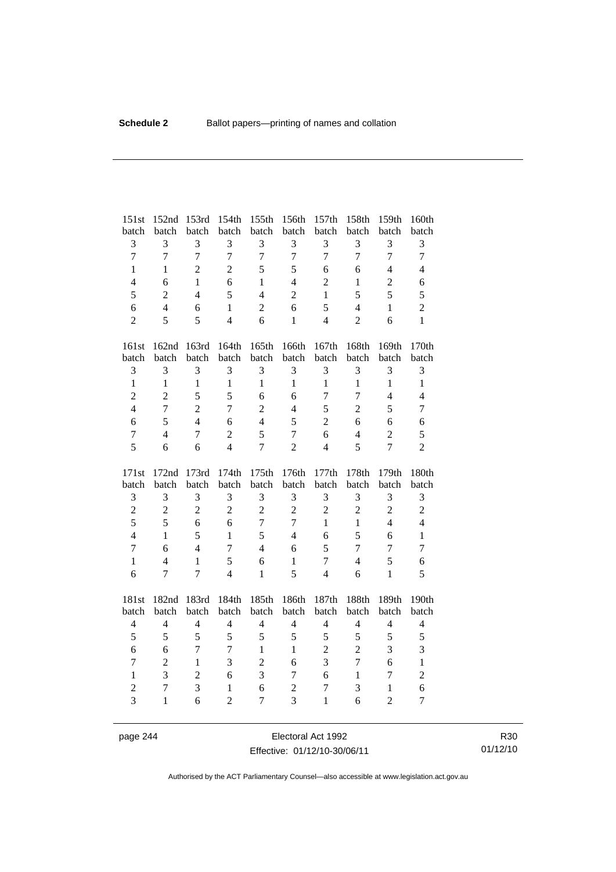| 151st                            | 152nd                            | 153rd               | 154th                          | 155th               | 156th               | 157th             | 158th          | 159th                          | 160th               |
|----------------------------------|----------------------------------|---------------------|--------------------------------|---------------------|---------------------|-------------------|----------------|--------------------------------|---------------------|
| batch                            | batch                            | batch               | batch                          | batch               | batch               | batch             | batch          | batch                          | batch               |
| 3                                | 3                                | 3                   | 3                              | $\mathfrak{Z}$      | 3                   | 3                 | $\overline{3}$ | 3                              | 3                   |
| $\overline{7}$                   | $\overline{7}$                   | $\overline{7}$      | $\overline{7}$                 | $\overline{7}$      | $\overline{7}$      | $\overline{7}$    | $\overline{7}$ | $\overline{7}$                 | $\overline{7}$      |
| $\mathbf{1}$                     | $\mathbf{1}$                     | $\overline{2}$      | $\overline{2}$                 | 5                   | 5                   | 6                 | 6              | $\overline{4}$                 | $\overline{4}$      |
| $\overline{\mathcal{L}}$         | 6                                | $\mathbf{1}$        | 6                              | $\mathbf{1}$        | $\overline{4}$      | $\overline{2}$    | $\mathbf{1}$   | $\overline{c}$                 | 6                   |
| 5                                | $\overline{2}$                   | $\overline{4}$      | 5                              | $\overline{4}$      | $\overline{2}$      | $\mathbf{1}$      | 5              | 5                              | 5                   |
| 6                                | $\overline{4}$                   | 6                   | $\mathbf{1}$                   | $\overline{2}$      | 6                   | 5                 | $\overline{4}$ | $\mathbf{1}$                   | $\overline{c}$      |
| $\overline{2}$                   | 5                                | 5                   | $\overline{4}$                 | 6                   | $\mathbf{1}$        | $\overline{4}$    | $\overline{2}$ | 6                              | $\mathbf{1}$        |
| 161st                            | 162nd                            | 163rd               | 164th                          | 165th               | 166th               | 167th             | 168th          | 169th                          | 170th               |
| batch                            | batch                            | batch               | batch                          | batch               | batch               | batch             | batch          | batch                          | batch               |
| 3                                | 3                                | 3                   | 3                              | 3                   | 3                   | 3                 | 3              | 3                              | 3                   |
| $\mathbf{1}$                     | $\mathbf{1}$                     | $\mathbf{1}$        | $\mathbf{1}$                   | $\mathbf{1}$        | $\mathbf{1}$        | $\mathbf{1}$      | $\mathbf{1}$   | $\mathbf{1}$                   | $\mathbf{1}$        |
| $\overline{c}$                   | $\overline{2}$                   | 5                   | 5                              | 6                   | 6                   | $\tau$            | $\overline{7}$ | $\overline{4}$                 | $\overline{4}$      |
| $\overline{4}$                   | $\overline{7}$                   | $\overline{2}$      | $\overline{7}$                 | $\overline{2}$      | $\overline{4}$      | 5                 | $\overline{2}$ | 5                              | $\overline{7}$      |
| 6                                | 5                                | $\overline{4}$      | 6                              | $\overline{4}$      | 5                   | $\overline{2}$    | 6              | 6                              | 6                   |
| $\overline{7}$                   | $\overline{4}$                   | $\tau$              | $\overline{c}$                 | 5                   | $\overline{7}$      | 6                 | $\overline{4}$ | $\sqrt{2}$                     | 5                   |
| 5                                | 6                                | 6                   | $\overline{4}$                 | $\overline{7}$      | $\overline{2}$      | $\overline{4}$    | 5              | $\overline{7}$                 | $\overline{2}$      |
|                                  |                                  |                     |                                |                     |                     |                   |                |                                |                     |
| 171st                            | 172nd                            | 173rd               | 174th                          | 175th               | 176th               | 177th             | 178th          | 179th                          | 180th               |
| batch                            | batch                            | batch               | batch                          | batch               | batch               | batch             | batch          | batch                          | batch               |
| 3                                | 3                                | 3                   | 3                              | 3                   | 3                   | 3                 | 3              | 3                              | 3                   |
| $\overline{c}$                   | $\sqrt{2}$                       | $\overline{2}$      | $\overline{2}$                 | $\overline{2}$      | $\overline{2}$      | $\overline{2}$    | $\overline{2}$ | $\overline{2}$                 | $\overline{c}$      |
| 5                                | 5                                | 6                   | 6                              | $\overline{7}$      | $\overline{7}$      | $\mathbf{1}$      | $\mathbf{1}$   | $\overline{4}$                 | $\overline{4}$      |
| $\overline{4}$                   | $\mathbf{1}$                     | 5                   | $\mathbf{1}$                   | 5                   | $\overline{4}$      | 6                 | 5              | 6                              | $\mathbf{1}$        |
| $\overline{7}$                   | 6                                | $\overline{4}$      | $\tau$                         | $\overline{4}$      | 6                   | 5                 | 7              | $\tau$                         | $\overline{7}$      |
| $\mathbf{1}$                     | $\overline{4}$                   | $\mathbf{1}$        | 5                              | 6                   | $\mathbf{1}$        | $\tau$            | $\overline{4}$ | 5                              | 6                   |
| 6                                | $\overline{7}$                   | $\overline{7}$      | $\overline{4}$                 | $\mathbf{1}$        | 5                   | 4                 | 6              | $\mathbf{1}$                   | 5                   |
| 181st                            | 182nd                            | 183rd               | 184th                          | 185th               | 186th               | 187th             | 188th          | 189th                          | 190th               |
| batch                            | batch                            | batch               | batch                          | batch               | batch               | batch             | batch          | batch                          | batch               |
| $\overline{4}$                   | $\overline{4}$                   | $\overline{4}$      | $\overline{4}$                 | $\overline{4}$      | $\overline{4}$      | $\overline{4}$    | $\overline{4}$ | $\overline{4}$                 | $\overline{4}$      |
| 5                                | 5                                | 5                   | 5                              | 5                   | 5                   | 5                 | 5              | 5                              | 5                   |
| 6                                | 6                                | 7                   | $\tau$                         | $\mathbf{1}$        | $\mathbf{1}$        | $\overline{c}$    | $\overline{2}$ | 3                              | 3                   |
| $\overline{7}$                   | $\overline{2}$                   | $\mathbf{1}$        | 3                              | $\overline{2}$      | 6                   | 3                 | $\overline{7}$ | 6                              | $\mathbf{1}$        |
| $\mathbf{1}$                     | 3                                | $\overline{2}$      | 6                              | 3                   | $\tau$              | 6                 | $\mathbf{1}$   | $\boldsymbol{7}$               | $\overline{c}$      |
| $\overline{c}$<br>$\overline{3}$ | $\boldsymbol{7}$<br>$\mathbf{1}$ | $\overline{3}$<br>6 | $\mathbf{1}$<br>$\overline{2}$ | 6<br>$\overline{7}$ | $\overline{c}$<br>3 | 7<br>$\mathbf{1}$ | 3<br>6         | $\mathbf{1}$<br>$\overline{2}$ | 6<br>$\overline{7}$ |

page 244 Electoral Act 1992 Effective: 01/12/10-30/06/11

R30 01/12/10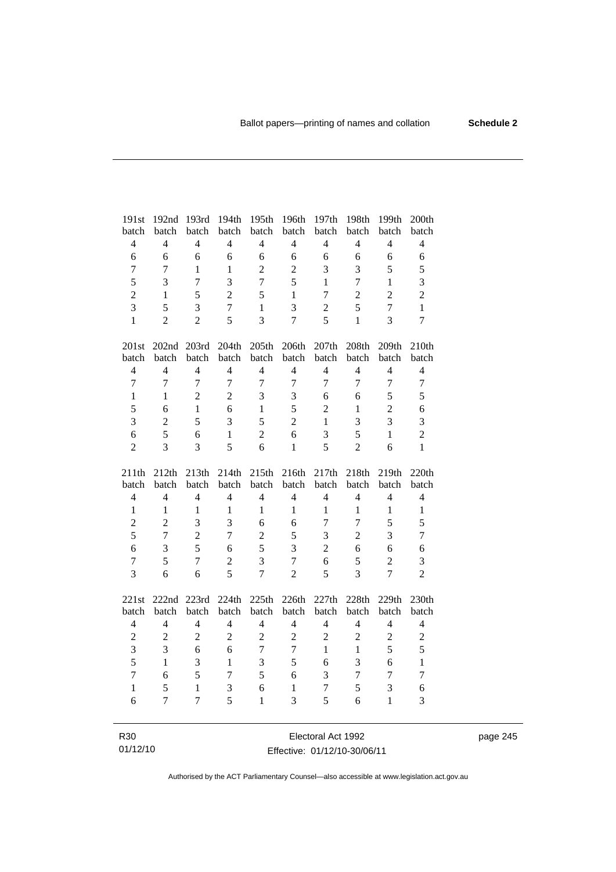| 191st                            | 192nd                   | 193rd                   | 194th                   | 195th                   | 196th                            | 197th                   | 198th                   | 199th                            | 200th                   |
|----------------------------------|-------------------------|-------------------------|-------------------------|-------------------------|----------------------------------|-------------------------|-------------------------|----------------------------------|-------------------------|
| batch                            | batch                   | batch                   | batch                   | batch                   | batch                            | batch                   | batch                   | batch                            | batch                   |
| $\overline{4}$                   | $\overline{4}$          | $\overline{4}$          | $\overline{4}$          | $\overline{4}$          | $\overline{4}$                   | $\overline{4}$          | $\overline{4}$          | $\overline{4}$                   | $\overline{4}$          |
| 6                                | 6                       | 6                       | 6                       | 6                       | 6                                | 6                       | 6                       | 6                                | 6                       |
| $\overline{7}$                   | $\tau$                  | $\mathbf{1}$            | $\mathbf{1}$            | $\overline{2}$          | $\overline{2}$                   | 3                       | 3                       | 5                                | 5                       |
| 5                                | 3                       | $\overline{7}$          | $\overline{3}$          | $\overline{7}$          | 5                                | $\mathbf{1}$            | $\overline{7}$          | $\mathbf{1}$                     | $\overline{3}$          |
| $\overline{c}$                   | 1                       | 5                       | $\overline{c}$          | 5                       | $\mathbf{1}$                     | $\boldsymbol{7}$        | $\overline{c}$          | $\overline{2}$                   | $\overline{2}$          |
| $\overline{3}$                   | 5                       | $\overline{3}$          | $\overline{7}$          | $\mathbf{1}$            | 3                                | $\overline{c}$          | 5                       | $\overline{7}$                   | $\mathbf{1}$            |
| $\mathbf{1}$                     | $\overline{2}$          | $\overline{2}$          | 5                       | $\overline{3}$          | $\overline{7}$                   | 5                       | $\mathbf{1}$            | 3                                | $\overline{7}$          |
|                                  |                         |                         |                         |                         |                                  |                         |                         |                                  |                         |
| 201st                            |                         | 202nd 203rd             | 204th                   | 205th                   | 206th                            | 207th                   | 208th                   | 209th                            | 210th                   |
| batch                            | batch                   | batch                   | batch                   | batch                   | batch                            | batch                   | batch                   | batch                            | batch                   |
| $\overline{4}$                   | $\overline{4}$          | $\overline{4}$          | $\overline{4}$          | $\overline{4}$          | $\overline{4}$                   | $\overline{4}$          | $\overline{4}$          | $\overline{4}$                   | $\overline{4}$          |
| $\overline{7}$                   | $\overline{7}$          | $\overline{7}$          | $\overline{7}$          | $\overline{7}$          | $\overline{7}$                   | 7                       | 7                       | $\overline{7}$                   | $\overline{7}$          |
| $\mathbf{1}$                     | $\mathbf{1}$            | $\overline{2}$          | $\overline{2}$          | 3                       | 3                                | 6                       | 6                       | 5                                | 5                       |
| 5                                | 6                       | $\mathbf{1}$            | 6                       | $\mathbf{1}$            | 5                                | $\overline{2}$          | $\mathbf{1}$            | $\overline{2}$                   | 6                       |
| 3                                | $\overline{2}$          | 5                       | 3                       | 5                       | $\overline{2}$                   | $\mathbf{1}$            | 3                       | 3                                | $\overline{3}$          |
| 6                                | 5                       | 6                       | $\mathbf{1}$            | $\overline{2}$          | 6                                | 3                       | 5                       | $\mathbf{1}$                     | $\overline{c}$          |
| $\overline{2}$                   | $\overline{3}$          | 3                       | 5                       | 6                       | $\mathbf{1}$                     | 5                       | $\overline{2}$          | 6                                | $\mathbf{1}$            |
|                                  |                         |                         |                         |                         |                                  |                         |                         |                                  |                         |
|                                  |                         |                         |                         |                         |                                  |                         |                         |                                  |                         |
| 211th                            | 212th                   | 213th                   | 214th                   | 215th                   | 216th                            | 217th                   | 218th                   | 219th                            | 220th                   |
| batch<br>$\overline{4}$          | batch<br>$\overline{4}$ | batch<br>$\overline{4}$ | batch<br>$\overline{4}$ | batch<br>$\overline{4}$ | batch<br>$\overline{4}$          | batch<br>$\overline{4}$ | batch<br>$\overline{4}$ | batch<br>$\overline{4}$          | batch<br>$\overline{4}$ |
| $\mathbf{1}$                     | $\mathbf{1}$            | $\mathbf{1}$            | $\mathbf{1}$            | $\mathbf{1}$            | $\mathbf{1}$                     | $\mathbf{1}$            | 1                       | $\mathbf{1}$                     | $\mathbf{1}$            |
|                                  | $\overline{2}$          | 3                       | 3                       | 6                       | 6                                | $\tau$                  | $\tau$                  | 5                                |                         |
| $\overline{2}$                   | $\overline{7}$          |                         | $\overline{7}$          |                         |                                  |                         |                         |                                  | 5                       |
| 5<br>6                           | 3                       | $\overline{2}$<br>5     | 6                       | $\overline{c}$          | 5                                | 3<br>$\overline{2}$     | $\overline{2}$<br>6     | 3<br>6                           | $\tau$                  |
|                                  |                         | $\overline{7}$          |                         | 5                       | 3                                |                         |                         |                                  | 6                       |
| $\overline{7}$<br>$\overline{3}$ | 5<br>6                  | 6                       | $\overline{c}$<br>5     | 3<br>$\overline{7}$     | $\overline{7}$<br>$\overline{2}$ | 6<br>5                  | 5<br>$\overline{3}$     | $\overline{2}$<br>$\overline{7}$ | 3<br>$\overline{2}$     |
|                                  |                         |                         |                         |                         |                                  |                         |                         |                                  |                         |
| 221st                            | 222nd 223rd             |                         | 224th                   | 225th                   | 226th                            | 227th                   | 228th                   | 229th                            | 230th                   |
| batch                            | batch                   | batch                   | batch                   | batch                   | batch                            | batch                   | batch                   | batch                            | batch                   |
| $\overline{4}$                   | $\overline{4}$          | $\overline{4}$          | $\overline{4}$          | $\overline{4}$          | $\overline{4}$                   | $\overline{4}$          | $\overline{4}$          | $\overline{4}$                   | $\overline{4}$          |
| $\overline{c}$                   | $\overline{c}$          | $\overline{2}$          | $\overline{2}$          | $\overline{c}$          | $\sqrt{2}$                       | $\overline{2}$          | $\overline{c}$          | $\sqrt{2}$                       | $\overline{c}$          |
| 3                                | 3                       | 6                       | 6                       | $\overline{7}$          | $\boldsymbol{7}$                 | $\mathbf{1}$            | $\mathbf{1}$            | 5                                | 5                       |
| 5                                | $\mathbf{1}$            | 3                       | $\mathbf{1}$            | 3                       | 5                                | 6                       | $\overline{3}$          | 6                                | $\mathbf{1}$            |
| $\overline{7}$                   | 6                       | 5                       | $\overline{7}$          | 5                       | 6                                | 3                       | $\overline{7}$          | $\overline{7}$                   | $\overline{7}$          |
| $\mathbf{1}$                     | 5                       | $\mathbf{1}$            | 3                       | 6                       | $\mathbf{1}$                     | 7                       | 5                       | 3                                | 6                       |
| 6                                | $\overline{7}$          | $\overline{7}$          | 5                       | 1                       | 3                                | 5                       | 6                       | $\mathbf{1}$                     | 3                       |

R30 01/12/10

Electoral Act 1992 Effective: 01/12/10-30/06/11 page 245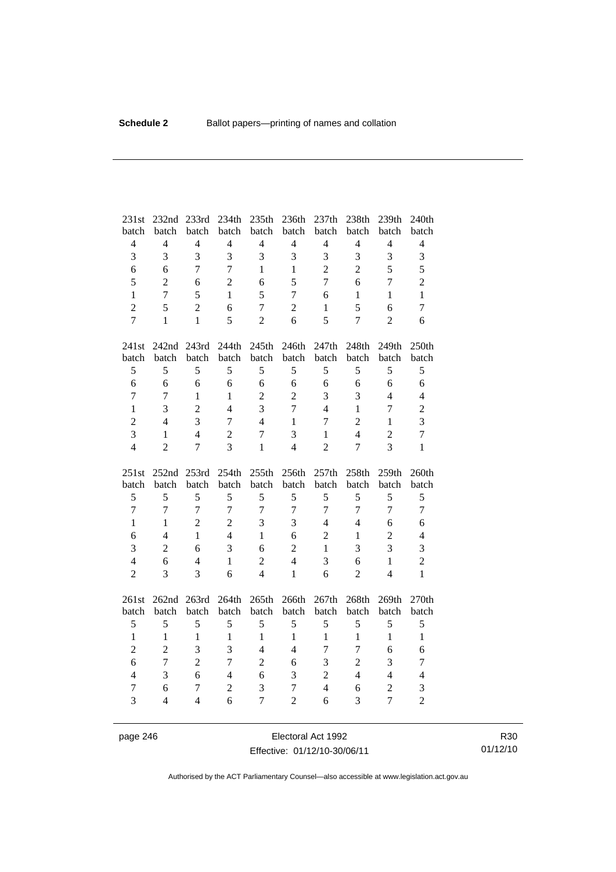| 231st<br>batch          | 232nd<br>batch      | 233rd<br>batch | 234th<br>batch      | 235th<br>batch      | 236th<br>batch                   | 237th<br>batch | 238th<br>batch | 239th<br>batch                   | 240th<br>batch      |
|-------------------------|---------------------|----------------|---------------------|---------------------|----------------------------------|----------------|----------------|----------------------------------|---------------------|
| $\overline{\mathbf{4}}$ | $\overline{4}$      | $\overline{4}$ | $\overline{4}$      | $\overline{4}$      | $\overline{4}$                   | $\overline{4}$ | $\overline{4}$ | $\overline{4}$                   | $\overline{4}$      |
| 3                       | 3                   | $\overline{3}$ | $\overline{3}$      | 3                   | 3                                | 3              | 3              | 3                                | 3                   |
| 6                       | 6                   | $\overline{7}$ | $\overline{7}$      | $\mathbf{1}$        | $\mathbf{1}$                     | $\overline{2}$ | $\overline{2}$ | 5                                | 5                   |
| 5                       | $\overline{2}$      | 6              | $\overline{2}$      | 6                   | 5                                | $\overline{7}$ | 6              | $\overline{7}$                   | $\overline{c}$      |
| $\mathbf{1}$            | $\overline{7}$      | 5              | $\mathbf{1}$        | 5                   | $\overline{7}$                   | 6              | $\mathbf{1}$   | $\mathbf{1}$                     | $\mathbf{1}$        |
| $\overline{2}$          | 5                   | $\overline{2}$ | 6                   | $\overline{7}$      | $\overline{c}$                   | 1              | 5              | 6                                | $\overline{7}$      |
| $\overline{7}$          | $\mathbf{1}$        | $\mathbf{1}$   | 5                   | $\overline{2}$      | 6                                | 5              | 7              | $\overline{2}$                   | 6                   |
|                         |                     |                |                     |                     |                                  |                |                |                                  |                     |
| 241st                   | 242nd 243rd         |                | 244th               | 245th               | 246th                            | 247th          | 248th          | 249th                            | 250th               |
| batch                   | batch               | batch          | batch               | batch               | batch                            | batch          | batch          | batch                            | batch               |
| 5                       | 5                   | 5              | 5                   | 5                   | 5                                | 5              | 5              | 5                                | 5                   |
| $\overline{6}$          | 6                   | 6              | 6                   | 6                   | 6                                | 6              | 6              | 6                                | 6                   |
| $\overline{7}$          | $\overline{7}$      | $\mathbf{1}$   | $\mathbf{1}$        | $\sqrt{2}$          | $\overline{2}$                   | 3              | 3              | $\overline{4}$                   | $\overline{4}$      |
| $\mathbf{1}$            | 3                   | $\overline{2}$ | $\overline{4}$      | 3                   | $\overline{7}$                   | $\overline{4}$ | $\mathbf{1}$   | $\overline{7}$                   | $\overline{c}$      |
| $\overline{c}$          | $\overline{4}$      | 3              | $\overline{7}$      | $\overline{4}$      | $\mathbf{1}$                     | 7              | $\overline{2}$ | $\mathbf{1}$                     | 3                   |
| $\overline{3}$          | $\mathbf{1}$        | $\overline{4}$ | $\overline{2}$      | $\overline{7}$      | 3                                | $\mathbf{1}$   | $\overline{4}$ | $\overline{2}$                   | $\overline{7}$      |
| $\overline{4}$          | $\overline{2}$      | $\overline{7}$ | $\overline{3}$      | $\mathbf{1}$        | $\overline{4}$                   | $\overline{2}$ | $\overline{7}$ | 3                                | $\mathbf{1}$        |
|                         |                     |                |                     |                     |                                  |                |                |                                  |                     |
| 251st                   | 252nd               | 253rd          | 254th               | 255th               | 256th                            | 257th          | 258th          | 259th                            | 260th               |
| batch                   | batch               | batch          | batch               | batch               | batch                            | batch          | batch          | batch                            | batch               |
| 5                       | 5                   | 5              | 5                   | 5                   | 5                                | 5              | 5              | 5                                | 5                   |
| $\overline{7}$          | $\overline{7}$      | $\overline{7}$ | $\overline{7}$      | $\overline{7}$      | $\overline{7}$                   | $\overline{7}$ | $\overline{7}$ | $\overline{7}$                   | $\overline{7}$      |
| $\mathbf{1}$            | $\mathbf{1}$        | $\overline{2}$ | $\overline{2}$      | 3                   | 3                                | $\overline{4}$ | $\overline{4}$ | 6                                | 6                   |
| 6                       | $\overline{4}$      | $\mathbf{1}$   | $\overline{4}$      | $\mathbf{1}$        | 6                                | $\overline{2}$ | $\mathbf{1}$   | $\overline{2}$                   | $\overline{4}$      |
| 3                       | $\overline{2}$      | 6              | 3                   | 6                   | $\overline{2}$                   | 1              | 3              | 3                                | 3                   |
| $\overline{4}$          | 6                   | $\overline{4}$ | $\mathbf{1}$        | $\overline{2}$      | $\overline{4}$                   | 3              | 6              | $\mathbf{1}$                     | $\overline{c}$      |
| $\overline{2}$          | 3                   | 3              | 6                   | $\overline{4}$      | $\mathbf{1}$                     | 6              | $\overline{2}$ | $\overline{4}$                   | $\mathbf{1}$        |
| 261st                   | 262nd 263rd         |                | 264th               | 265th               | 266th                            | 267th          | 268th          | 269th                            | 270th               |
| batch                   | batch               | batch          | batch               | batch               | batch                            | batch          | batch          | batch                            | batch               |
| 5                       | 5                   | 5              | 5                   | 5                   | 5                                | $\sqrt{5}$     | 5              | 5                                | 5                   |
| $\mathbf{1}$            | $\mathbf{1}$        | $\mathbf{1}$   | $\mathbf{1}$        | $\mathbf{1}$        | $\mathbf{1}$                     | $\mathbf{1}$   | $\mathbf{1}$   | $\mathbf{1}$                     | $\mathbf{1}$        |
| $\overline{c}$          | $\overline{2}$      | 3              | 3                   | $\overline{4}$      | $\overline{4}$                   | 7              | $\overline{7}$ | 6                                | 6                   |
| 6                       | $\overline{7}$      | $\overline{2}$ | $\overline{7}$      | $\sqrt{2}$          | 6                                | 3              | $\overline{2}$ | 3                                | $\boldsymbol{7}$    |
| $\overline{4}$          | 3                   | 6              | $\overline{4}$      | 6                   | 3                                | $\overline{2}$ | $\overline{4}$ | $\overline{4}$                   | $\overline{4}$      |
| $\tau$<br>3             | 6<br>$\overline{4}$ | $\tau$         | $\overline{2}$<br>6 | 3<br>$\overline{7}$ | $\overline{7}$<br>$\overline{2}$ | $\overline{4}$ | 6<br>3         | $\overline{c}$<br>$\overline{7}$ | 3<br>$\overline{2}$ |

page 246 Electoral Act 1992 Effective: 01/12/10-30/06/11

R30 01/12/10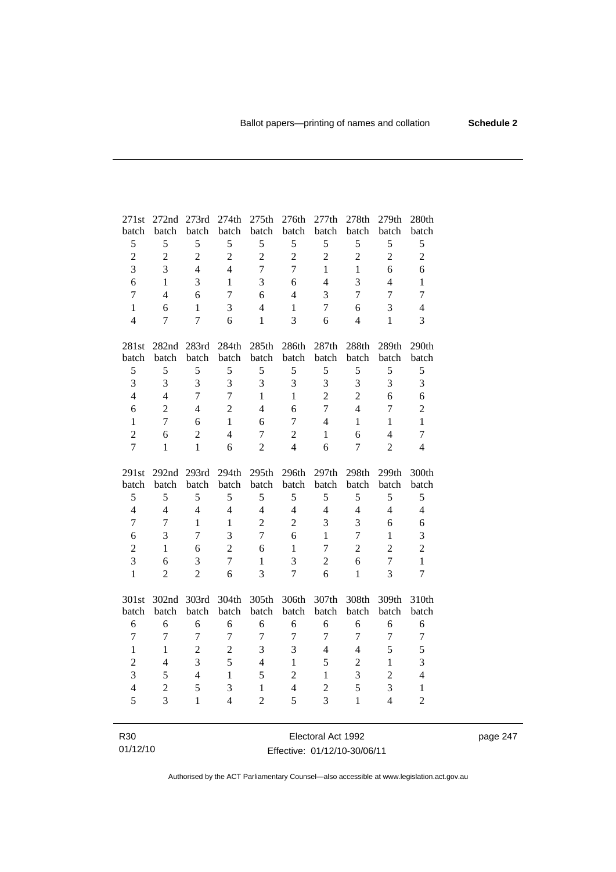| 271st          | 272nd 273rd    |                | 274th          | 275th          | 276th                   | 277th             | 278th          | 279th          | 280th          |
|----------------|----------------|----------------|----------------|----------------|-------------------------|-------------------|----------------|----------------|----------------|
| batch          | batch          | batch          | batch          | batch          | batch                   | batch             | batch          | batch          | batch          |
| 5              | 5              | 5              | 5              | 5              | 5                       | 5                 | 5              | 5              | 5              |
| $\overline{c}$ | $\overline{2}$ | $\overline{2}$ | $\overline{2}$ | $\overline{2}$ | $\overline{2}$          | $\overline{c}$    | $\overline{2}$ | $\overline{2}$ | $\overline{2}$ |
| $\overline{3}$ | 3              | $\overline{4}$ | $\overline{4}$ | $\overline{7}$ | $\overline{7}$          | $\mathbf{1}$      | $\mathbf{1}$   | 6              | 6              |
| 6              | 1              | 3              | 1              | 3              | 6                       | $\overline{4}$    | 3              | $\overline{4}$ | $\mathbf{1}$   |
| $\overline{7}$ | $\overline{4}$ | 6              | $\tau$         | 6              | $\overline{4}$          | 3                 | $\tau$         | $\overline{7}$ | $\overline{7}$ |
| $\mathbf{1}$   | 6              | $\mathbf{1}$   | 3              | $\overline{4}$ | $\mathbf{1}$            | 7                 | 6              | 3              | $\overline{4}$ |
| $\overline{4}$ | $\overline{7}$ | $\overline{7}$ | 6              | $\mathbf{1}$   | $\overline{3}$          | 6                 | $\overline{4}$ | $\mathbf{1}$   | 3              |
|                |                |                |                |                |                         |                   |                |                |                |
| 281st          |                | 282nd 283rd    | 284th          | 285th          | 286th                   | 287 <sub>th</sub> | 288th          | 289th          | 290th          |
| batch          | batch          | batch          | batch          | batch          | batch                   | batch             | batch          | batch          | batch          |
| $\mathfrak s$  | 5              | 5              | 5              | 5              | 5                       | 5                 | 5              | 5              | 5              |
| 3              | 3              | 3              | 3              | 3              | 3                       | 3                 | 3              | 3              | 3              |
| $\overline{4}$ | $\overline{4}$ | $\overline{7}$ | $\overline{7}$ | $\mathbf{1}$   | $\mathbf{1}$            | $\overline{2}$    | $\overline{c}$ | 6              | 6              |
| 6              | $\overline{c}$ | $\overline{4}$ | $\overline{2}$ | $\overline{4}$ | 6                       | $\overline{7}$    | $\overline{4}$ | $\tau$         | $\overline{c}$ |
| $\mathbf{1}$   | $\overline{7}$ | 6              | $\mathbf{1}$   | 6              | $\tau$                  | $\overline{4}$    | $\mathbf{1}$   | $\mathbf{1}$   | $\mathbf{1}$   |
| $\overline{2}$ | 6              | $\overline{2}$ | $\overline{4}$ | $\overline{7}$ | $\overline{2}$          | $\mathbf{1}$      | 6              | $\overline{4}$ | $\tau$         |
| $\overline{7}$ | $\mathbf{1}$   | $\mathbf{1}$   | 6              | $\overline{2}$ | $\overline{4}$          | 6                 | $\tau$         | $\overline{2}$ | $\overline{4}$ |
|                |                |                |                |                |                         |                   |                |                |                |
|                |                |                |                |                |                         |                   |                |                |                |
| 291st          | 292nd 293rd    |                | 294th          | 295th          | 296th                   | 297th             | 298th          | 299th          | 300th          |
| batch          | batch          | batch          | batch          | batch          | batch                   | batch             | batch          | batch          | batch          |
| 5              | 5              | 5              | 5              | 5              | 5                       | 5                 | 5              | 5              | 5              |
| $\overline{4}$ | $\overline{4}$ | $\overline{4}$ | $\overline{4}$ | $\overline{4}$ | $\overline{4}$          | $\overline{4}$    | $\overline{4}$ | $\overline{4}$ | $\overline{4}$ |
| $\overline{7}$ | 7              | $\mathbf{1}$   | $\mathbf{1}$   | $\overline{2}$ | $\overline{2}$          | 3                 | 3              | 6              | 6              |
| 6              | 3              | $\tau$         | $\overline{3}$ | $\overline{7}$ | 6                       | $\mathbf{1}$      | $\tau$         | $\mathbf{1}$   | 3              |
| $\overline{c}$ | $\mathbf{1}$   | 6              | $\overline{c}$ | 6              | $\mathbf{1}$            | $\overline{7}$    | $\overline{c}$ | $\overline{c}$ | $\overline{2}$ |
| $\overline{3}$ | 6              | 3              | $\overline{7}$ | $\mathbf{1}$   | 3                       | $\overline{2}$    | 6              | $\overline{7}$ | $\mathbf{1}$   |
| $\mathbf{1}$   | $\overline{2}$ | $\overline{2}$ | 6              | 3              | $\overline{7}$          | 6                 | $\mathbf{1}$   | 3              | $\overline{7}$ |
|                |                |                |                |                |                         |                   |                |                |                |
| 301st          | 302nd          | 303rd          | 304th          | 305th          | 306th                   | 307th             | 308th          | 309th          | 310th          |
| batch          | batch          | batch          | batch          | batch          | batch                   | batch             | batch          | batch          | batch          |
| 6              | 6              | 6              | 6              | 6              | 6                       | 6                 | 6              | 6              | 6              |
| $\overline{7}$ | $\overline{7}$ | $\overline{7}$ | $\overline{7}$ | $\overline{7}$ | $\overline{7}$          | $\overline{7}$    | 7              | $\overline{7}$ | $\overline{7}$ |
| $\mathbf{1}$   | $\mathbf{1}$   | $\overline{c}$ | $\overline{c}$ | 3              | 3                       | $\overline{4}$    | $\overline{4}$ | 5              | 5              |
| $\overline{c}$ | $\overline{4}$ | $\overline{3}$ | $\overline{5}$ | $\overline{4}$ | $\mathbf{1}$            | 5                 | $\overline{c}$ | $\mathbf{1}$   | 3              |
| $\overline{3}$ | 5              | $\overline{4}$ | $\mathbf{1}$   | 5              | $\overline{c}$          | $\mathbf{1}$      | $\overline{3}$ | $\overline{2}$ | $\overline{4}$ |
| $\overline{4}$ | $\overline{2}$ | 5              | 3              | $\mathbf{1}$   | $\overline{\mathbf{4}}$ | $\overline{c}$    | 5              | 3              | $\mathbf{1}$   |
| 5              | 3              | $\mathbf{1}$   | $\overline{4}$ | $\overline{2}$ | 5                       | 3                 | $\mathbf{1}$   | $\overline{4}$ | $\overline{2}$ |

R30 01/12/10 Electoral Act 1992 Effective: 01/12/10-30/06/11

page 247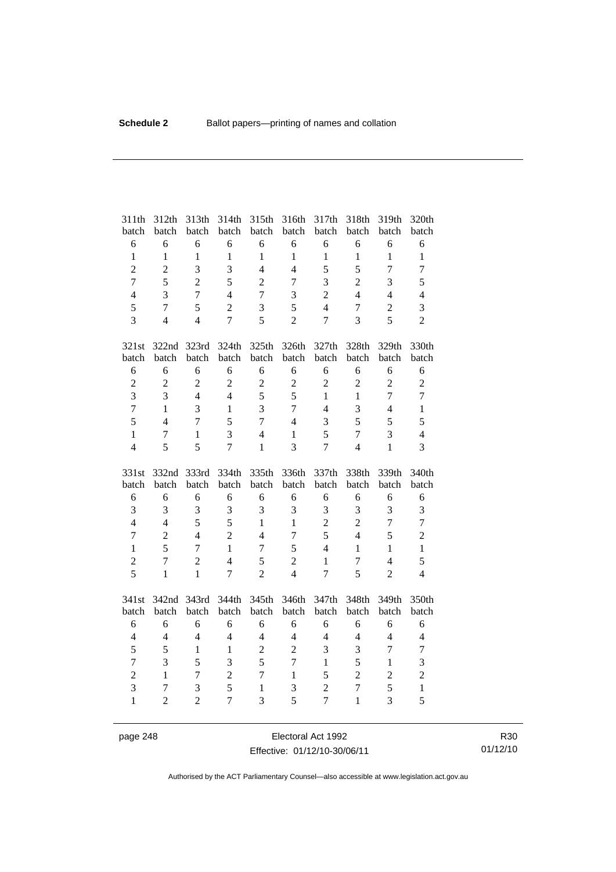| batch                          | 312th<br>batch      | 313th<br>batch    | 314th<br>batch | 315th<br>batch                 | 316th<br>batch                 | 317th<br>batch      | 318th<br>batch | 319th<br>batch      | 320th<br>batch    |
|--------------------------------|---------------------|-------------------|----------------|--------------------------------|--------------------------------|---------------------|----------------|---------------------|-------------------|
| 6                              | 6                   | 6                 | 6              | 6                              | 6                              | 6                   | 6              | 6                   | 6                 |
| $\mathbf{1}$                   | $\mathbf{1}$        | $\mathbf{1}$      | $\mathbf{1}$   | $\mathbf{1}$                   | $\mathbf{1}$                   | $\mathbf{1}$        | $\mathbf{1}$   | $\mathbf{1}$        | $\mathbf{1}$      |
| $\overline{c}$                 | $\overline{2}$      | 3                 | 3              | $\overline{4}$                 | $\overline{4}$                 | 5                   | 5              | $\overline{7}$      | $\tau$            |
| $\overline{7}$                 | 5                   | $\overline{2}$    | 5              | $\overline{2}$                 | $\overline{7}$                 | 3                   | $\overline{2}$ | 3                   | 5                 |
| $\overline{4}$                 | 3                   | $\overline{7}$    | $\overline{4}$ | $\overline{7}$                 | 3                              | $\overline{2}$      | $\overline{4}$ | $\overline{4}$      | $\overline{4}$    |
| 5                              | $\overline{7}$      | 5                 | $\overline{2}$ | 3                              | 5                              | $\overline{4}$      | $\overline{7}$ | $\overline{c}$      | 3                 |
| $\overline{3}$                 | $\overline{4}$      | $\overline{4}$    | $\overline{7}$ | 5                              | $\overline{2}$                 | $\overline{7}$      | 3              | 5                   | $\overline{2}$    |
|                                |                     |                   |                |                                |                                |                     |                |                     |                   |
| 321st                          | 322nd<br>batch      | 323rd<br>batch    | 324th          | 325th<br>batch                 | 326th<br>batch                 | 327th<br>batch      | 328th          | 329th<br>batch      | 330th<br>batch    |
| batch<br>6                     | 6                   | 6                 | batch<br>6     | 6                              | 6                              | 6                   | batch<br>6     | 6                   | $\sqrt{6}$        |
| $\overline{c}$                 | $\overline{2}$      | $\overline{c}$    | $\overline{2}$ | $\overline{c}$                 | $\overline{c}$                 | $\overline{2}$      | $\overline{2}$ | $\overline{2}$      | $\overline{c}$    |
| 3                              | 3                   | $\overline{4}$    | $\overline{4}$ | 5                              | 5                              | $\mathbf{1}$        | $\mathbf{1}$   | $\overline{7}$      | $\boldsymbol{7}$  |
| $\overline{7}$                 | $\mathbf{1}$        | 3                 | $\mathbf{1}$   | $\overline{3}$                 | $\overline{7}$                 | $\overline{4}$      | $\overline{3}$ | $\overline{4}$      | $\,1\,$           |
| 5                              | $\overline{4}$      | $\overline{7}$    | 5              | $\overline{7}$                 | $\overline{4}$                 | 3                   | 5              | 5                   | 5                 |
|                                |                     |                   | 3              |                                |                                |                     | $\overline{7}$ | 3                   | $\overline{4}$    |
| $\mathbf{1}$<br>$\overline{4}$ | $\overline{7}$<br>5 | $\mathbf{1}$<br>5 | $\overline{7}$ | $\overline{4}$<br>$\mathbf{1}$ | $\mathbf{1}$<br>$\overline{3}$ | 5<br>$\overline{7}$ | $\overline{4}$ | $\mathbf{1}$        | $\overline{3}$    |
|                                |                     |                   |                |                                |                                |                     |                |                     |                   |
|                                |                     |                   |                |                                |                                |                     |                |                     |                   |
| 331st                          | 332nd               | 333rd             | 334th          | 335th                          | 336th                          | 337th               | 338th          | 339th               | 340th             |
| batch                          | batch               | batch             | batch          | batch                          | batch                          | batch               | batch          | batch               | batch             |
| 6                              | 6                   | 6                 | 6              | 6                              | 6                              | 6                   | 6              | 6                   | $\sqrt{6}$        |
| 3                              | 3                   | 3                 | 3              | 3                              | 3                              | 3                   | 3              | 3                   | 3                 |
| $\overline{4}$                 | $\overline{4}$      | 5                 | 5              | $\mathbf{1}$                   | $\mathbf{1}$                   | $\overline{2}$      | $\overline{2}$ | $\overline{7}$      | $\tau$            |
| $\overline{7}$                 | $\overline{2}$      | $\overline{4}$    | $\overline{2}$ | $\overline{4}$                 | $\overline{7}$                 | 5                   | $\overline{4}$ | 5                   | $\overline{2}$    |
| $\mathbf{1}$                   | 5                   | 7                 | $\mathbf{1}$   | $\overline{7}$                 | 5                              | $\overline{4}$      | $\mathbf{1}$   | $\mathbf{1}$        | $\mathbf{1}$      |
| $\overline{c}$                 | $\overline{7}$      | $\overline{2}$    | $\overline{4}$ | 5                              | $\overline{2}$                 | $\mathbf{1}$        | $\tau$         | $\overline{4}$      | 5                 |
| 5                              | $\mathbf{1}$        | $\mathbf{1}$      | $\overline{7}$ | $\overline{2}$                 | $\overline{4}$                 | $\overline{7}$      | 5              | $\overline{2}$      | $\overline{4}$    |
| 341st                          | 342nd               | 343rd             | 344th          | 345th                          | 346th                          | 347th               | 348th          | 349th               | 350th             |
| batch                          | batch               | batch             | batch          | batch                          | batch                          | batch               | batch          | batch               | batch             |
| 6                              | 6                   | 6                 | 6              | 6                              | 6                              | 6                   | 6              | 6                   | $\sqrt{6}$        |
| $\overline{4}$                 | $\overline{4}$      | $\overline{4}$    | $\overline{4}$ | $\overline{4}$                 | $\overline{4}$                 | $\overline{4}$      | $\overline{4}$ | $\overline{4}$      | $\overline{4}$    |
| 5                              | 5                   | $\mathbf{1}$      | $\mathbf{1}$   | $\sqrt{2}$                     | $\overline{2}$                 | 3                   | 3              | $\overline{7}$      | $\tau$            |
| $\overline{7}$                 | 3                   | 5                 | 3              | 5                              | $\overline{7}$                 | $\mathbf{1}$        | 5              | $\mathbf{1}$        | 3                 |
| $\overline{2}$                 | $\mathbf{1}$        | $\tau$            | $\overline{2}$ | $\overline{7}$                 | $\mathbf{1}$                   | 5                   | $\overline{2}$ | $\overline{2}$      | $\overline{c}$    |
| $\overline{3}$                 | 7                   | 3                 | 5              | $\mathbf{1}$                   | 3                              | $\overline{2}$      | $\overline{7}$ | 5<br>$\overline{3}$ | $\mathbf{1}$<br>5 |

page 248 Electoral Act 1992 Effective: 01/12/10-30/06/11

R30 01/12/10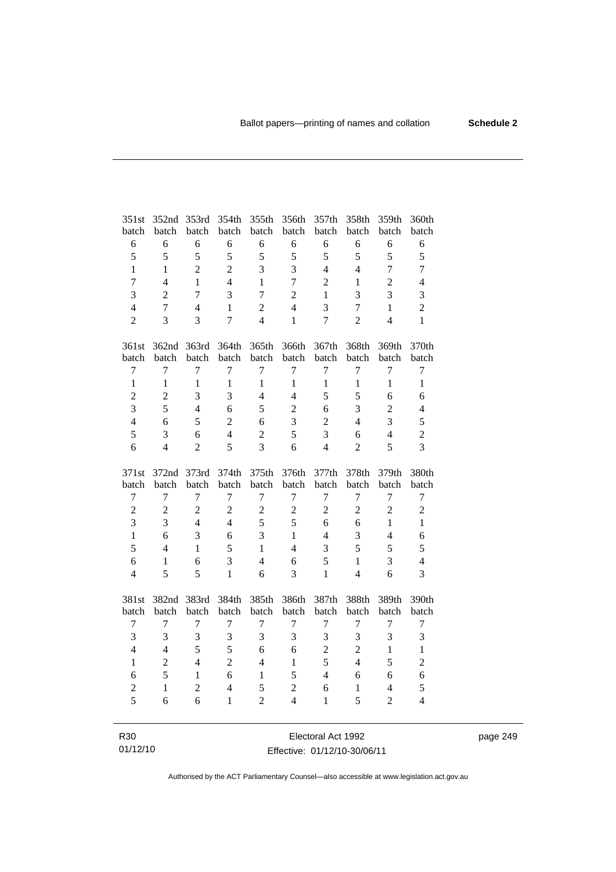| 351st            | 352nd          | 353rd          | 354th          | 355th          | 356th          | 357th          | 358th          | 359th          | 360th            |
|------------------|----------------|----------------|----------------|----------------|----------------|----------------|----------------|----------------|------------------|
| batch            | batch          | batch          | batch          | batch          | batch          | batch          | batch          | batch          | batch            |
| 6                | 6              | 6              | 6              | 6              | 6              | 6              | 6              | 6              | 6                |
| 5                | 5              | 5              | 5              | 5              | 5              | 5              | 5              | 5              | 5                |
| $\mathbf{1}$     | $\mathbf{1}$   | $\overline{2}$ | $\overline{2}$ | 3              | 3              | $\overline{4}$ | $\overline{4}$ | $\overline{7}$ | $\overline{7}$   |
| $\overline{7}$   | $\overline{4}$ | $\mathbf{1}$   | $\overline{4}$ | 1              | $\overline{7}$ | $\overline{2}$ | $\,1$          | $\overline{c}$ | $\overline{4}$   |
| 3                | $\overline{2}$ | $\overline{7}$ | 3              | $\overline{7}$ | $\overline{2}$ | $\mathbf{1}$   | 3              | 3              | 3                |
| $\overline{4}$   | $\overline{7}$ | $\overline{4}$ | $\mathbf{1}$   | $\overline{2}$ | $\overline{4}$ | 3              | $\overline{7}$ | $\mathbf{1}$   | $\overline{2}$   |
| $\overline{2}$   | 3              | 3              | $\overline{7}$ | $\overline{4}$ | $\mathbf{1}$   | $\overline{7}$ | $\overline{2}$ | $\overline{4}$ | $\mathbf{1}$     |
| 361st            |                | 362nd 363rd    | 364th          | 365th          | 366th          | 367th          | 368th          | 369th          | 370th            |
| batch            | batch          | batch          | batch          | batch          | batch          | batch          | batch          | batch          | batch            |
| $\tau$           | $\overline{7}$ | $\overline{7}$ | $\overline{7}$ | $\tau$         | $\overline{7}$ | $\overline{7}$ | $\overline{7}$ | $\overline{7}$ | $\boldsymbol{7}$ |
| $\mathbf{1}$     | $\mathbf{1}$   | $\mathbf{1}$   | $\mathbf{1}$   | $\mathbf{1}$   | $\mathbf{1}$   | $\mathbf{1}$   | $\mathbf{1}$   | $\mathbf{1}$   | $\mathbf{1}$     |
| $\overline{c}$   | $\overline{c}$ | 3              | 3              | $\overline{4}$ | $\overline{4}$ | 5              | 5              | 6              | 6                |
| $\overline{3}$   | 5              | $\overline{4}$ | 6              | 5              | $\overline{2}$ | 6              | 3              | $\overline{c}$ | $\overline{4}$   |
| $\overline{4}$   | 6              | 5              | $\overline{2}$ | 6              | 3              | $\overline{2}$ | $\overline{4}$ | 3              | 5                |
| 5                | 3              | 6              | $\overline{4}$ | $\overline{2}$ | 5              | 3              | 6              | $\overline{4}$ | $\overline{2}$   |
| 6                | $\overline{4}$ | $\overline{2}$ | 5              | $\overline{3}$ | 6              | $\overline{4}$ | $\overline{2}$ | 5              | 3                |
|                  |                |                |                |                |                |                |                |                |                  |
| 371st            | 372nd          | 373rd          | 374th          | 375th          | 376th          | 377th          | 378th          | 379th          | 380th            |
| batch            | batch          | batch          | batch          | batch          | batch          | batch          | batch          | batch          | batch            |
| $\boldsymbol{7}$ | $\overline{7}$ | $\overline{7}$ | $\tau$         | 7              | $\tau$         | $\tau$         | $\tau$         | 7              | $\boldsymbol{7}$ |
| $\overline{c}$   | $\overline{2}$ | $\overline{c}$ | $\overline{2}$ | $\overline{c}$ | $\sqrt{2}$     | $\mathbf{2}$   | $\overline{c}$ | $\overline{2}$ | $\sqrt{2}$       |
| $\overline{3}$   | 3              | $\overline{4}$ | $\overline{4}$ | 5              | 5              | 6              | 6              | $\mathbf{1}$   | $\mathbf{1}$     |
| $\mathbf{1}$     | 6              | 3              | 6              | $\overline{3}$ | $\mathbf{1}$   | $\overline{4}$ | 3              | $\overline{4}$ | 6                |
| 5                | $\overline{4}$ | $\mathbf{1}$   | 5              | $\mathbf{1}$   | $\overline{4}$ | 3              | 5              | 5              | 5                |
| 6                | 1              | 6              | $\overline{3}$ | $\overline{4}$ | 6              | 5              | $\mathbf{1}$   | 3              | $\overline{4}$   |
| $\overline{4}$   | 5              | 5              | $\mathbf{1}$   | 6              | 3              | $\mathbf{1}$   | $\overline{4}$ | 6              | 3                |
| 381st            | 382nd          | 383rd          | 384th          | 385th          | 386th          | 387th          | 388th          | 389th          | 390th            |
| batch            | batch          | batch          | batch          | batch          | batch          | batch          | batch          | batch          | batch            |
| $\tau$           | $\overline{7}$ | $\overline{7}$ | $\overline{7}$ | $\overline{7}$ | $\overline{7}$ | $\overline{7}$ | $\overline{7}$ | $\overline{7}$ | $\boldsymbol{7}$ |
| 3                | 3              | 3              | 3              | 3              | $\mathfrak{Z}$ | 3              | 3              | 3              | 3                |
| $\overline{4}$   | $\overline{4}$ | 5              | 5              | 6              | 6              | $\overline{2}$ | $\overline{2}$ | $\mathbf{1}$   | $\mathbf{1}$     |
| $\mathbf{1}$     | $\overline{2}$ | $\overline{4}$ | $\overline{2}$ | $\overline{4}$ | $\mathbf{1}$   | 5              | $\overline{4}$ | 5              | $\overline{c}$   |
| 6                | 5              | $\mathbf{1}$   | 6              | $\mathbf{1}$   | 5              | $\overline{4}$ | 6              | 6              | 6                |
| $\overline{c}$   | $\mathbf{1}$   | $\overline{c}$ | $\overline{4}$ | 5              | $\sqrt{2}$     | 6              | $\mathbf{1}$   | $\overline{4}$ | 5                |
| 5                | 6              | 6              | $\mathbf{1}$   | $\overline{2}$ | $\overline{4}$ | $\mathbf{1}$   | 5              | $\overline{2}$ | $\overline{4}$   |

R30 01/12/10 Electoral Act 1992 Effective: 01/12/10-30/06/11 page 249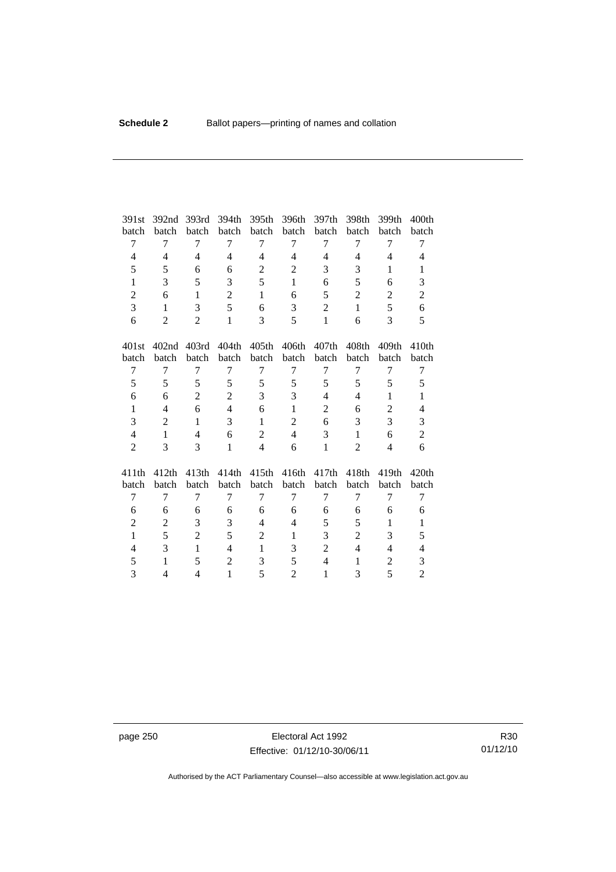| 391st          | 392nd             | 393rd          | 394th          | 395th             | 396th          | 397th             | 398th             | 399th             | 400 <sub>th</sub> |
|----------------|-------------------|----------------|----------------|-------------------|----------------|-------------------|-------------------|-------------------|-------------------|
| batch          | batch             | batch          | batch          | batch             | batch          | batch             | batch             | batch             | batch             |
| 7              | 7                 | 7              | 7              | 7                 | 7              | 7                 | 7                 | 7                 | 7                 |
| $\overline{4}$ | $\overline{4}$    | $\overline{4}$ | $\overline{4}$ | $\overline{4}$    | $\overline{4}$ | $\overline{4}$    | $\overline{4}$    | $\overline{4}$    | 4                 |
| 5              | 5                 | 6              | 6              | $\overline{2}$    | $\mathfrak{2}$ | 3                 | 3                 | $\mathbf{1}$      | 1                 |
| $\mathbf{1}$   | 3                 | 5              | 3              | 5                 | $\mathbf{1}$   | 6                 | 5                 | 6                 | 3                 |
| $\overline{c}$ | 6                 | $\mathbf{1}$   | $\overline{c}$ | $\mathbf{1}$      | 6              | 5                 | $\overline{c}$    | $\overline{c}$    | $\overline{c}$    |
| 3              | 1                 | 3              | 5              | 6                 | 3              | $\overline{2}$    | $\mathbf{1}$      | 5                 | 6                 |
| 6              | $\overline{2}$    | $\overline{2}$ | $\mathbf{1}$   | 3                 | 5              | $\mathbf{1}$      | 6                 | 3                 | 5                 |
| 401st          | 402 <sub>nd</sub> | 403rd          | 404th          | 405 <sub>th</sub> | 406th          | 407 <sub>th</sub> | 408 <sub>th</sub> | 409 <sub>th</sub> | 410 <sub>th</sub> |
| batch          | batch             | batch          | batch          | batch             | batch          | batch             | batch             | batch             | batch             |
| 7              | 7                 | 7              | 7              | 7                 | 7              | 7                 | 7                 | 7                 | 7                 |
| 5              | 5                 | 5              | 5              | 5                 | 5              | 5                 | 5                 | 5                 | 5                 |
| 6              | 6                 | $\overline{2}$ | $\overline{c}$ | 3                 | 3              | $\overline{4}$    | 4                 | $\mathbf{1}$      | $\mathbf{1}$      |
| $\mathbf{1}$   | 4                 | 6              | $\overline{4}$ | 6                 | $\mathbf{1}$   | 2                 | 6                 | 2                 | $\overline{4}$    |
| 3              | $\overline{2}$    | 1              | 3              | $\mathbf{1}$      | $\overline{2}$ | 6                 | 3                 | 3                 | 3                 |
| $\overline{4}$ | $\mathbf{1}$      | $\overline{4}$ | 6              | $\overline{2}$    | $\overline{4}$ | 3                 | $\mathbf{1}$      | 6                 | $\overline{c}$    |
| $\overline{2}$ | 3                 | 3              | $\mathbf{1}$   | $\overline{4}$    | 6              | $\mathbf{1}$      | $\overline{2}$    | $\overline{4}$    | 6                 |
| 411th          | 412th             | 413th          | 414th          | 415th             | 416th          | 417th             | 418 <sub>th</sub> | 419th             | 420th             |
| batch          | batch             | batch          | batch          | batch             | batch          | batch             | batch             | batch             | batch             |
| 7              | $\overline{7}$    | 7              | 7              | 7                 | 7              | 7                 | 7                 | 7                 | $\tau$            |
| 6              | 6                 | 6              | 6              | 6                 | 6              | 6                 | 6                 | 6                 | 6                 |
| $\overline{c}$ | $\overline{2}$    | 3              | 3              | $\overline{4}$    | $\overline{4}$ | 5                 | 5                 | $\mathbf{1}$      | $\mathbf{1}$      |
| $\mathbf{1}$   | 5                 | $\overline{c}$ | 5              | $\overline{c}$    | 1              | 3                 | $\overline{c}$    | 3                 | 5                 |
| 4              | 3                 | $\mathbf{1}$   | $\overline{4}$ | $\mathbf{1}$      | 3              | $\overline{2}$    | $\overline{4}$    | $\overline{4}$    | $\overline{4}$    |
| 5              | $\mathbf{1}$      | 5              | $\overline{2}$ | 3                 | 5              | $\overline{4}$    | 1                 | $\overline{c}$    | 3                 |
| 3              | 4                 | 4              | $\mathbf{1}$   | 5                 | $\overline{2}$ | $\mathbf{1}$      | 3                 | 5                 | $\overline{2}$    |

page 250 **Electoral Act 1992** Effective: 01/12/10-30/06/11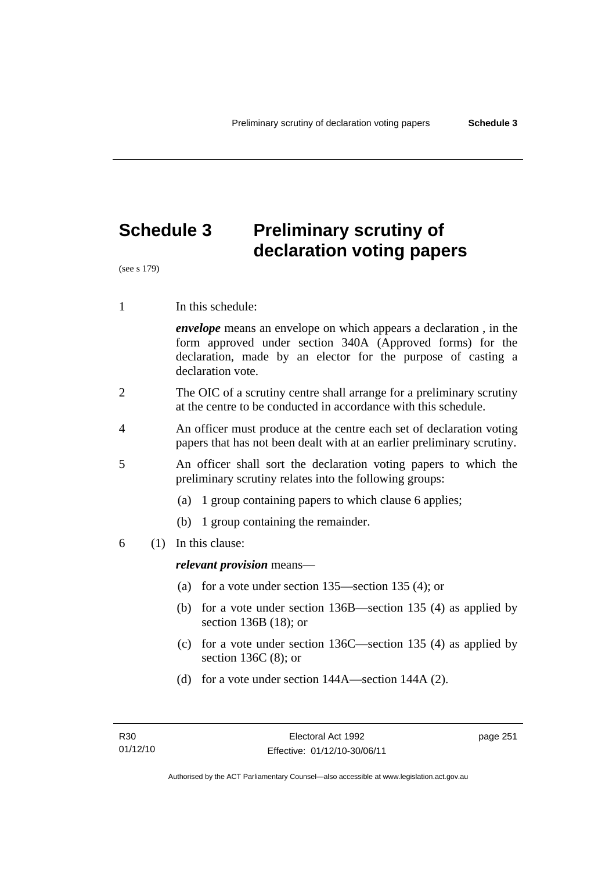# **Schedule 3 Preliminary scrutiny of declaration voting papers**

(see s 179)

1 In this schedule:

*envelope* means an envelope on which appears a declaration , in the form approved under section 340A (Approved forms) for the declaration, made by an elector for the purpose of casting a declaration vote.

- 2 The OIC of a scrutiny centre shall arrange for a preliminary scrutiny at the centre to be conducted in accordance with this schedule.
- 4 An officer must produce at the centre each set of declaration voting papers that has not been dealt with at an earlier preliminary scrutiny.
- 5 An officer shall sort the declaration voting papers to which the preliminary scrutiny relates into the following groups:
	- (a) 1 group containing papers to which clause 6 applies;
	- (b) 1 group containing the remainder.
- 6 (1) In this clause:

*relevant provision* means—

- (a) for a vote under section 135—section 135 (4); or
- (b) for a vote under section 136B—section 135 (4) as applied by section 136B (18); or
- (c) for a vote under section 136C—section 135 (4) as applied by section 136C (8); or
- (d) for a vote under section 144A—section 144A (2).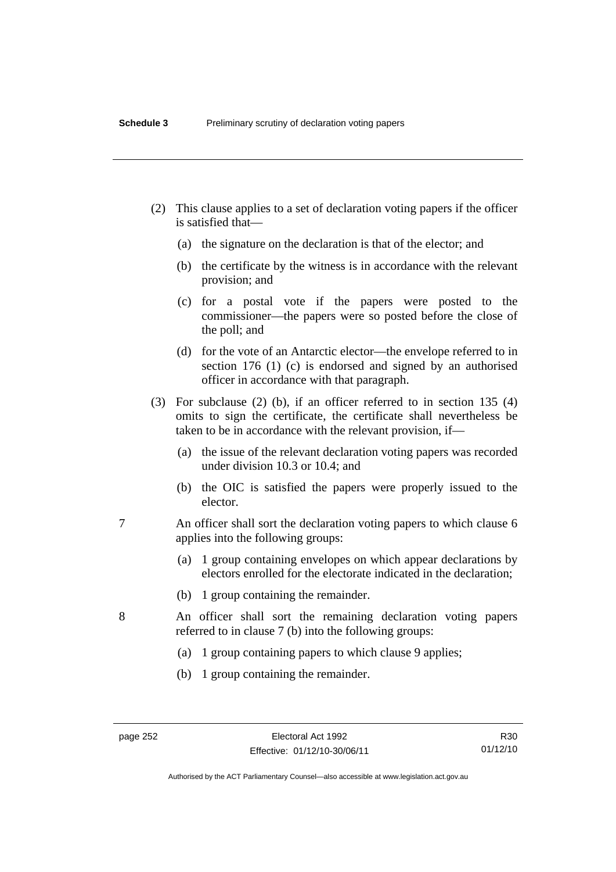- (2) This clause applies to a set of declaration voting papers if the officer is satisfied that—
	- (a) the signature on the declaration is that of the elector; and
	- (b) the certificate by the witness is in accordance with the relevant provision; and
	- (c) for a postal vote if the papers were posted to the commissioner—the papers were so posted before the close of the poll; and
	- (d) for the vote of an Antarctic elector—the envelope referred to in section 176 (1) (c) is endorsed and signed by an authorised officer in accordance with that paragraph.
- (3) For subclause (2) (b), if an officer referred to in section 135 (4) omits to sign the certificate, the certificate shall nevertheless be taken to be in accordance with the relevant provision, if—
	- (a) the issue of the relevant declaration voting papers was recorded under division 10.3 or 10.4; and
	- (b) the OIC is satisfied the papers were properly issued to the elector.
- 7 An officer shall sort the declaration voting papers to which clause 6 applies into the following groups:
	- (a) 1 group containing envelopes on which appear declarations by electors enrolled for the electorate indicated in the declaration;
	- (b) 1 group containing the remainder.
- 8 An officer shall sort the remaining declaration voting papers referred to in clause 7 (b) into the following groups:
	- (a) 1 group containing papers to which clause 9 applies;
	- (b) 1 group containing the remainder.

Authorised by the ACT Parliamentary Counsel—also accessible at www.legislation.act.gov.au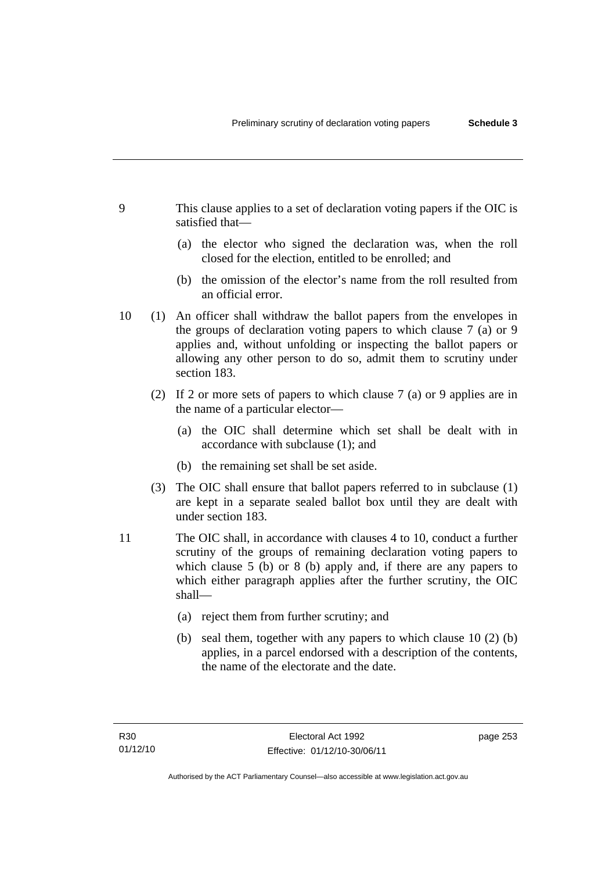- 9 This clause applies to a set of declaration voting papers if the OIC is satisfied that—
	- (a) the elector who signed the declaration was, when the roll closed for the election, entitled to be enrolled; and
	- (b) the omission of the elector's name from the roll resulted from an official error.
- 10 (1) An officer shall withdraw the ballot papers from the envelopes in the groups of declaration voting papers to which clause 7 (a) or 9 applies and, without unfolding or inspecting the ballot papers or allowing any other person to do so, admit them to scrutiny under section 183.
	- (2) If 2 or more sets of papers to which clause 7 (a) or 9 applies are in the name of a particular elector—
		- (a) the OIC shall determine which set shall be dealt with in accordance with subclause (1); and
		- (b) the remaining set shall be set aside.
	- (3) The OIC shall ensure that ballot papers referred to in subclause (1) are kept in a separate sealed ballot box until they are dealt with under section 183.
- 11 The OIC shall, in accordance with clauses 4 to 10, conduct a further scrutiny of the groups of remaining declaration voting papers to which clause 5 (b) or 8 (b) apply and, if there are any papers to which either paragraph applies after the further scrutiny, the OIC shall—
	- (a) reject them from further scrutiny; and
	- (b) seal them, together with any papers to which clause 10 (2) (b) applies, in a parcel endorsed with a description of the contents, the name of the electorate and the date.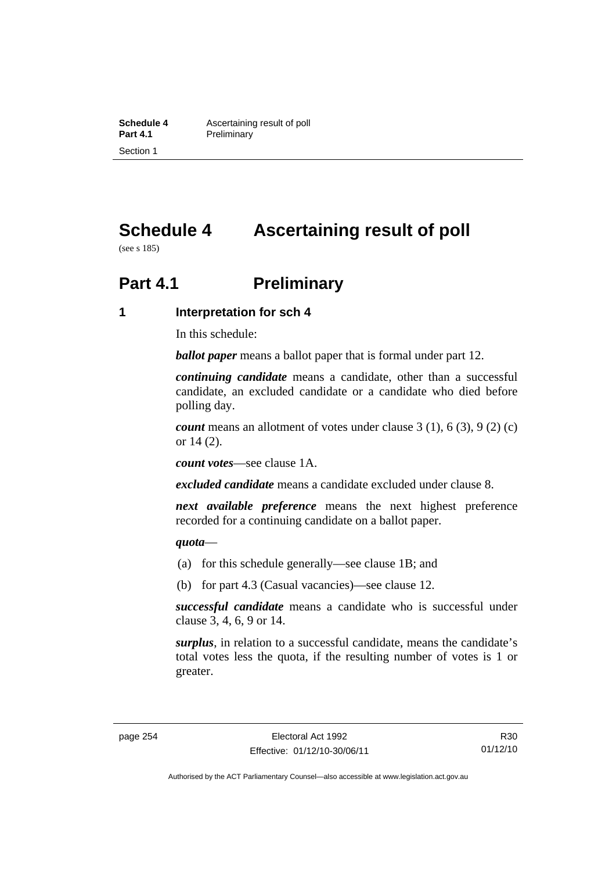**Schedule 4 Ascertaining result of poll**<br>**Part 4.1 Preliminary Preliminary** Section 1

# **Schedule 4 Ascertaining result of poll**

(see s 185)

# **Part 4.1** Preliminary

#### **1 Interpretation for sch 4**

In this schedule:

*ballot paper* means a ballot paper that is formal under part 12.

*continuing candidate* means a candidate, other than a successful candidate, an excluded candidate or a candidate who died before polling day.

*count* means an allotment of votes under clause 3 (1), 6 (3), 9 (2) (c) or 14 (2).

*count votes*—see clause 1A.

*excluded candidate* means a candidate excluded under clause 8.

*next available preference* means the next highest preference recorded for a continuing candidate on a ballot paper.

#### *quota*—

- (a) for this schedule generally—see clause 1B; and
- (b) for part 4.3 (Casual vacancies)—see clause 12.

*successful candidate* means a candidate who is successful under clause 3, 4, 6, 9 or 14.

*surplus*, in relation to a successful candidate, means the candidate's total votes less the quota, if the resulting number of votes is 1 or greater.

R30 01/12/10

Authorised by the ACT Parliamentary Counsel—also accessible at www.legislation.act.gov.au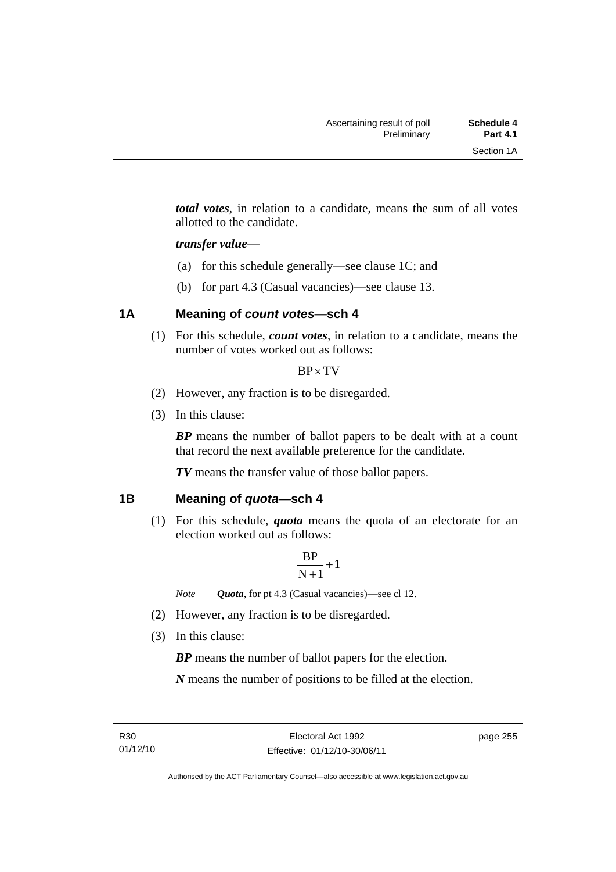*total votes*, in relation to a candidate, means the sum of all votes allotted to the candidate.

#### *transfer value*—

- (a) for this schedule generally—see clause 1C; and
- (b) for part 4.3 (Casual vacancies)—see clause 13.

## **1A Meaning of** *count votes***—sch 4**

(1) For this schedule, *count votes*, in relation to a candidate, means the number of votes worked out as follows:

#### $BP \times TV$

- (2) However, any fraction is to be disregarded.
- (3) In this clause:

*BP* means the number of ballot papers to be dealt with at a count that record the next available preference for the candidate.

*TV* means the transfer value of those ballot papers.

#### **1B Meaning of** *quota***—sch 4**

(1) For this schedule, *quota* means the quota of an electorate for an election worked out as follows:

$$
\frac{BP}{N+1}+1
$$

*Note Quota*, for pt 4.3 (Casual vacancies)—see cl 12.

- (2) However, any fraction is to be disregarded.
- (3) In this clause:

*BP* means the number of ballot papers for the election.

*N* means the number of positions to be filled at the election.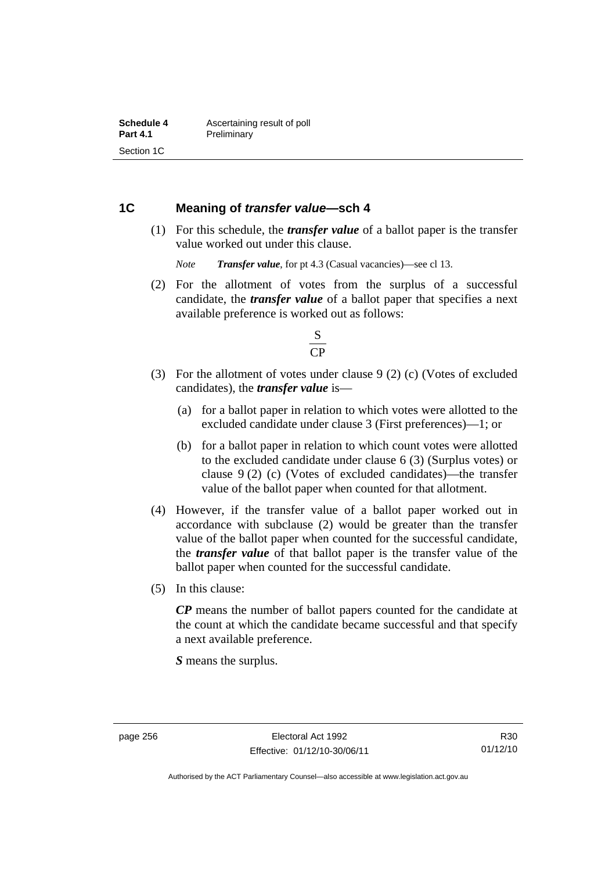#### **1C Meaning of** *transfer value***—sch 4**

 (1) For this schedule, the *transfer value* of a ballot paper is the transfer value worked out under this clause.

*Note Transfer value*, for pt 4.3 (Casual vacancies)—see cl 13.

 (2) For the allotment of votes from the surplus of a successful candidate, the *transfer value* of a ballot paper that specifies a next available preference is worked out as follows:



- (3) For the allotment of votes under clause 9 (2) (c) (Votes of excluded candidates), the *transfer value* is—
	- (a) for a ballot paper in relation to which votes were allotted to the excluded candidate under clause 3 (First preferences)—1; or
	- (b) for a ballot paper in relation to which count votes were allotted to the excluded candidate under clause 6 (3) (Surplus votes) or clause 9 (2) (c) (Votes of excluded candidates)—the transfer value of the ballot paper when counted for that allotment.
- (4) However, if the transfer value of a ballot paper worked out in accordance with subclause (2) would be greater than the transfer value of the ballot paper when counted for the successful candidate, the *transfer value* of that ballot paper is the transfer value of the ballot paper when counted for the successful candidate.
- (5) In this clause:

*CP* means the number of ballot papers counted for the candidate at the count at which the candidate became successful and that specify a next available preference.

*S* means the surplus.

R30 01/12/10

Authorised by the ACT Parliamentary Counsel—also accessible at www.legislation.act.gov.au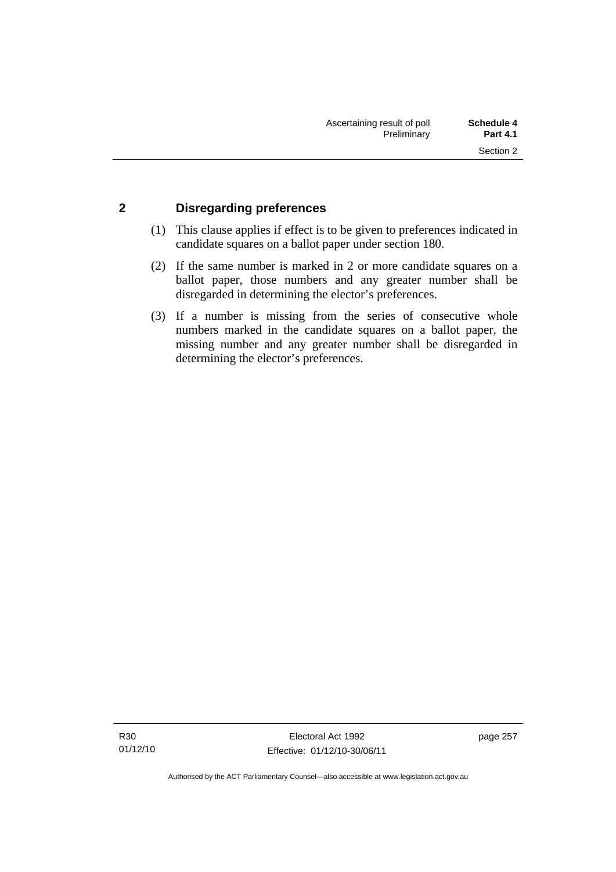## **2 Disregarding preferences**

- (1) This clause applies if effect is to be given to preferences indicated in candidate squares on a ballot paper under section 180.
- (2) If the same number is marked in 2 or more candidate squares on a ballot paper, those numbers and any greater number shall be disregarded in determining the elector's preferences.
- (3) If a number is missing from the series of consecutive whole numbers marked in the candidate squares on a ballot paper, the missing number and any greater number shall be disregarded in determining the elector's preferences.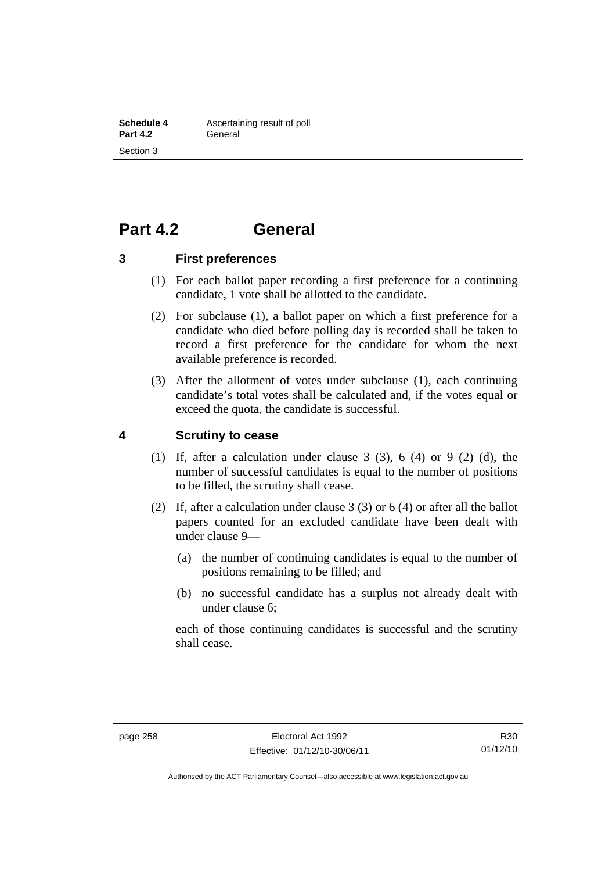## **Part 4.2 General**

#### **3 First preferences**

- (1) For each ballot paper recording a first preference for a continuing candidate, 1 vote shall be allotted to the candidate.
- (2) For subclause (1), a ballot paper on which a first preference for a candidate who died before polling day is recorded shall be taken to record a first preference for the candidate for whom the next available preference is recorded.
- (3) After the allotment of votes under subclause (1), each continuing candidate's total votes shall be calculated and, if the votes equal or exceed the quota, the candidate is successful.

#### **4 Scrutiny to cease**

- (1) If, after a calculation under clause  $3$  (3),  $6$  (4) or  $9$  (2) (d), the number of successful candidates is equal to the number of positions to be filled, the scrutiny shall cease.
- (2) If, after a calculation under clause 3 (3) or 6 (4) or after all the ballot papers counted for an excluded candidate have been dealt with under clause 9—
	- (a) the number of continuing candidates is equal to the number of positions remaining to be filled; and
	- (b) no successful candidate has a surplus not already dealt with under clause 6;

each of those continuing candidates is successful and the scrutiny shall cease.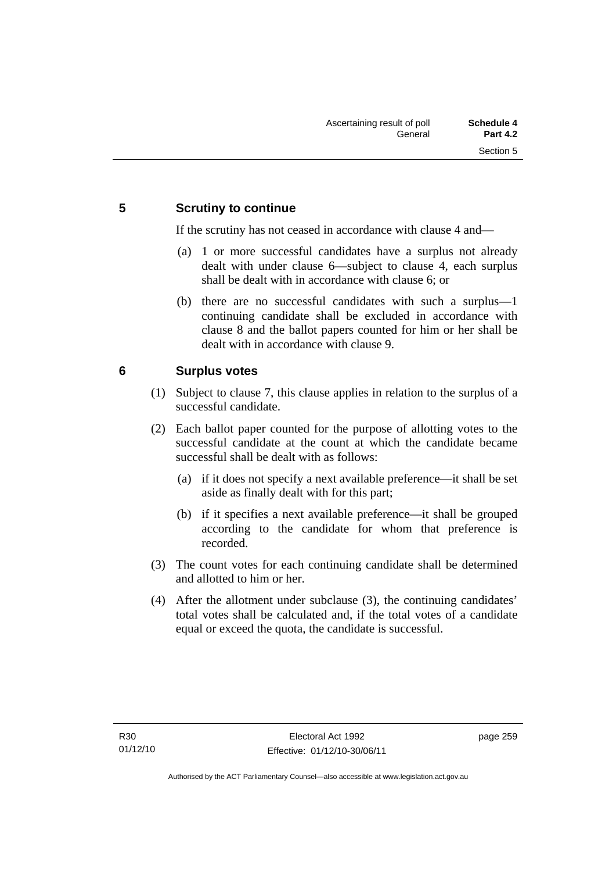## **5 Scrutiny to continue**

If the scrutiny has not ceased in accordance with clause 4 and—

- (a) 1 or more successful candidates have a surplus not already dealt with under clause 6—subject to clause 4, each surplus shall be dealt with in accordance with clause 6; or
- (b) there are no successful candidates with such a surplus—1 continuing candidate shall be excluded in accordance with clause 8 and the ballot papers counted for him or her shall be dealt with in accordance with clause 9.

## **6 Surplus votes**

- (1) Subject to clause 7, this clause applies in relation to the surplus of a successful candidate.
- (2) Each ballot paper counted for the purpose of allotting votes to the successful candidate at the count at which the candidate became successful shall be dealt with as follows:
	- (a) if it does not specify a next available preference—it shall be set aside as finally dealt with for this part;
	- (b) if it specifies a next available preference—it shall be grouped according to the candidate for whom that preference is recorded.
- (3) The count votes for each continuing candidate shall be determined and allotted to him or her.
- (4) After the allotment under subclause (3), the continuing candidates' total votes shall be calculated and, if the total votes of a candidate equal or exceed the quota, the candidate is successful.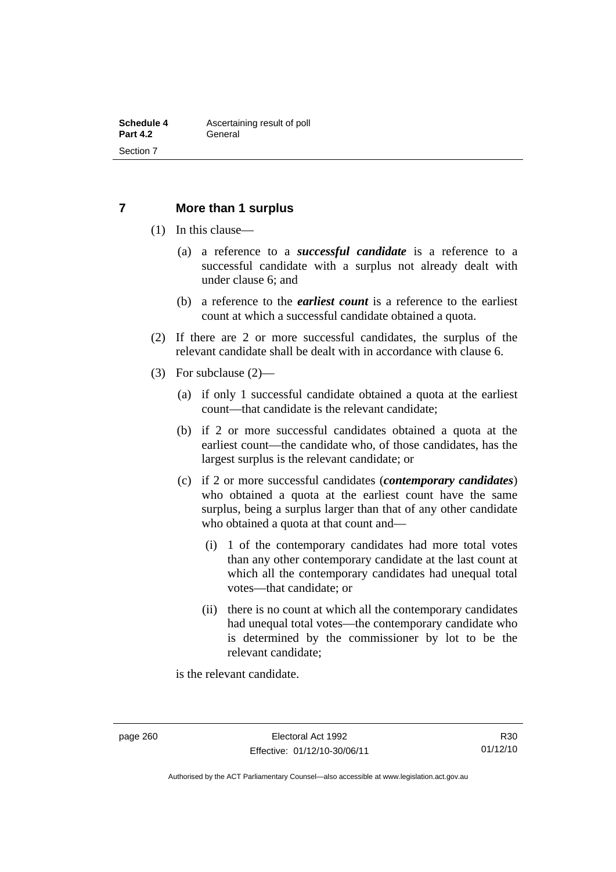#### **7 More than 1 surplus**

- (1) In this clause—
	- (a) a reference to a *successful candidate* is a reference to a successful candidate with a surplus not already dealt with under clause 6; and
	- (b) a reference to the *earliest count* is a reference to the earliest count at which a successful candidate obtained a quota.
- (2) If there are 2 or more successful candidates, the surplus of the relevant candidate shall be dealt with in accordance with clause 6.
- (3) For subclause (2)—
	- (a) if only 1 successful candidate obtained a quota at the earliest count—that candidate is the relevant candidate;
	- (b) if 2 or more successful candidates obtained a quota at the earliest count—the candidate who, of those candidates, has the largest surplus is the relevant candidate; or
	- (c) if 2 or more successful candidates (*contemporary candidates*) who obtained a quota at the earliest count have the same surplus, being a surplus larger than that of any other candidate who obtained a quota at that count and—
		- (i) 1 of the contemporary candidates had more total votes than any other contemporary candidate at the last count at which all the contemporary candidates had unequal total votes—that candidate; or
		- (ii) there is no count at which all the contemporary candidates had unequal total votes—the contemporary candidate who is determined by the commissioner by lot to be the relevant candidate;

is the relevant candidate.

Authorised by the ACT Parliamentary Counsel—also accessible at www.legislation.act.gov.au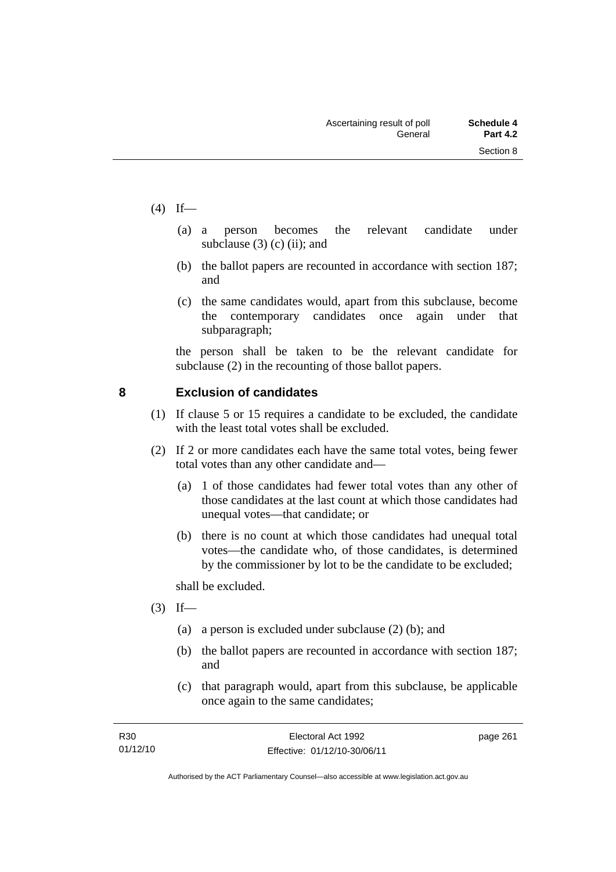- $(4)$  If—
- (a) a person becomes the relevant candidate under subclause  $(3)$  (c) (ii); and
	- (b) the ballot papers are recounted in accordance with section 187; and
	- (c) the same candidates would, apart from this subclause, become the contemporary candidates once again under that subparagraph;

the person shall be taken to be the relevant candidate for subclause (2) in the recounting of those ballot papers.

## **8 Exclusion of candidates**

- (1) If clause 5 or 15 requires a candidate to be excluded, the candidate with the least total votes shall be excluded.
- (2) If 2 or more candidates each have the same total votes, being fewer total votes than any other candidate and—
	- (a) 1 of those candidates had fewer total votes than any other of those candidates at the last count at which those candidates had unequal votes—that candidate; or
	- (b) there is no count at which those candidates had unequal total votes—the candidate who, of those candidates, is determined by the commissioner by lot to be the candidate to be excluded;

shall be excluded.

- $(3)$  If—
	- (a) a person is excluded under subclause (2) (b); and
	- (b) the ballot papers are recounted in accordance with section 187; and
	- (c) that paragraph would, apart from this subclause, be applicable once again to the same candidates;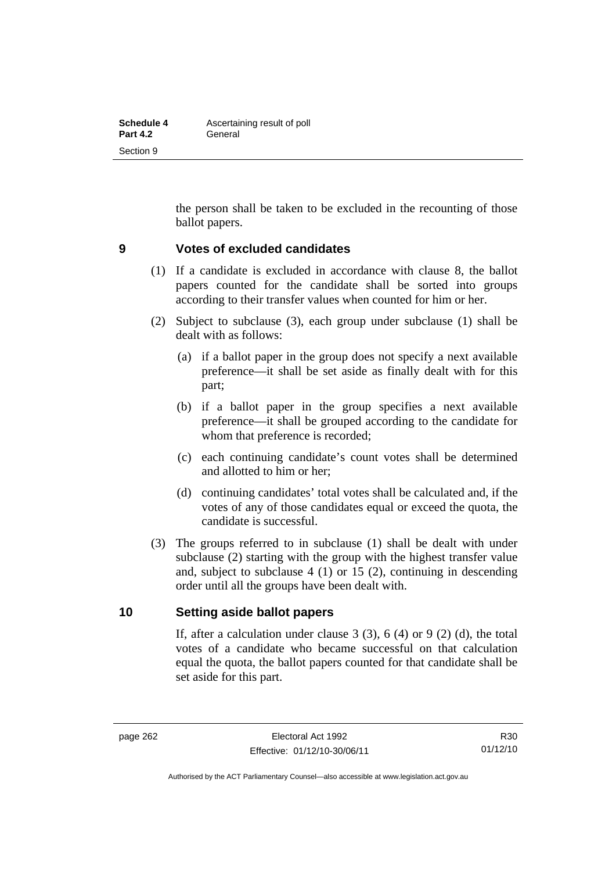| Schedule 4      | Ascertaining result of poll |
|-----------------|-----------------------------|
| <b>Part 4.2</b> | General                     |
| Section 9       |                             |

the person shall be taken to be excluded in the recounting of those ballot papers.

#### **9 Votes of excluded candidates**

- (1) If a candidate is excluded in accordance with clause 8, the ballot papers counted for the candidate shall be sorted into groups according to their transfer values when counted for him or her.
- (2) Subject to subclause (3), each group under subclause (1) shall be dealt with as follows:
	- (a) if a ballot paper in the group does not specify a next available preference—it shall be set aside as finally dealt with for this part;
	- (b) if a ballot paper in the group specifies a next available preference—it shall be grouped according to the candidate for whom that preference is recorded;
	- (c) each continuing candidate's count votes shall be determined and allotted to him or her;
	- (d) continuing candidates' total votes shall be calculated and, if the votes of any of those candidates equal or exceed the quota, the candidate is successful.
- (3) The groups referred to in subclause (1) shall be dealt with under subclause (2) starting with the group with the highest transfer value and, subject to subclause 4 (1) or 15 (2), continuing in descending order until all the groups have been dealt with.

#### **10 Setting aside ballot papers**

If, after a calculation under clause  $3(3)$ ,  $6(4)$  or  $9(2)(d)$ , the total votes of a candidate who became successful on that calculation equal the quota, the ballot papers counted for that candidate shall be set aside for this part.

R30 01/12/10

Authorised by the ACT Parliamentary Counsel—also accessible at www.legislation.act.gov.au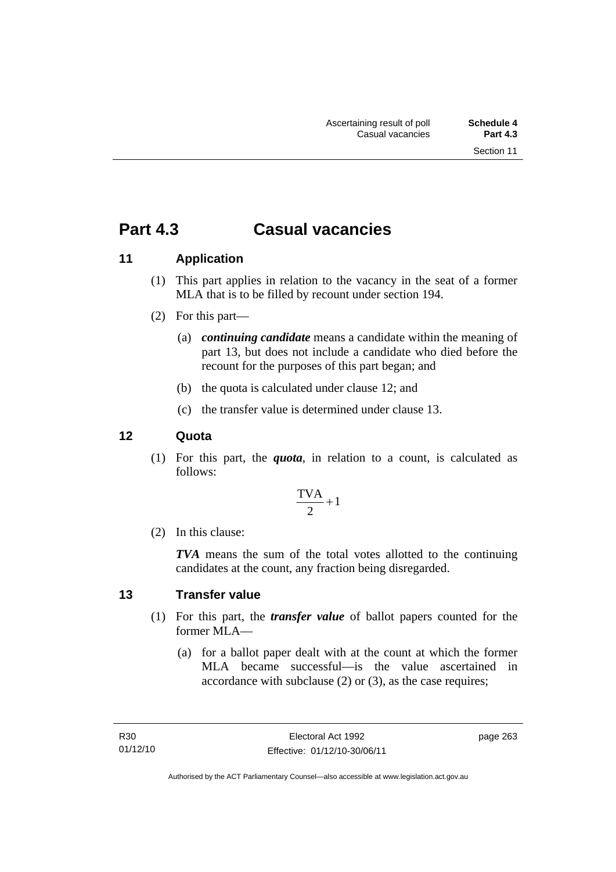# **Part 4.3 Casual vacancies**

## **11 Application**

- (1) This part applies in relation to the vacancy in the seat of a former MLA that is to be filled by recount under section 194.
- (2) For this part—
	- (a) *continuing candidate* means a candidate within the meaning of part 13, but does not include a candidate who died before the recount for the purposes of this part began; and
	- (b) the quota is calculated under clause 12; and
	- (c) the transfer value is determined under clause 13.

### **12 Quota**

(1) For this part, the *quota*, in relation to a count, is calculated as follows:

$$
\frac{\text{TVA}}{2} + 1
$$

(2) In this clause:

*TVA* means the sum of the total votes allotted to the continuing candidates at the count, any fraction being disregarded.

### **13 Transfer value**

- (1) For this part, the *transfer value* of ballot papers counted for the former MLA—
	- (a) for a ballot paper dealt with at the count at which the former MLA became successful—is the value ascertained in accordance with subclause (2) or (3), as the case requires;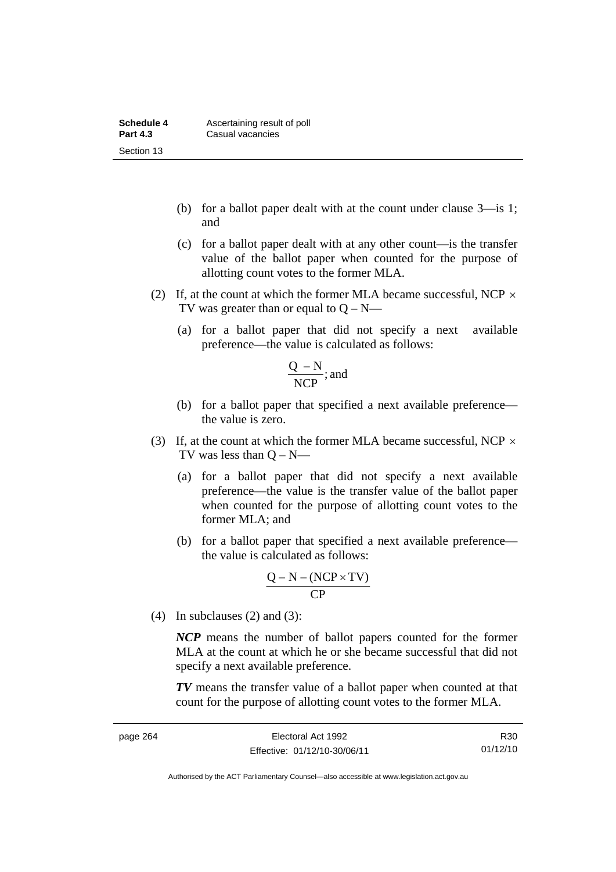| Schedule 4      | Ascertaining result of poll |
|-----------------|-----------------------------|
| <b>Part 4.3</b> | Casual vacancies            |
| Section 13      |                             |

- (b) for a ballot paper dealt with at the count under clause 3—is 1; and
- (c) for a ballot paper dealt with at any other count—is the transfer value of the ballot paper when counted for the purpose of allotting count votes to the former MLA.
- (2) If, at the count at which the former MLA became successful, NCP  $\times$ TV was greater than or equal to  $Q - N$ —
	- (a) for a ballot paper that did not specify a next available preference—the value is calculated as follows:

$$
\frac{Q-N}{NCP}
$$
; and

- (b) for a ballot paper that specified a next available preference the value is zero.
- (3) If, at the count at which the former MLA became successful, NCP  $\times$ TV was less than  $O - N$ —
	- (a) for a ballot paper that did not specify a next available preference—the value is the transfer value of the ballot paper when counted for the purpose of allotting count votes to the former MLA; and
	- (b) for a ballot paper that specified a next available preference the value is calculated as follows:

$$
\frac{Q-N-(NCP\times TV)}{CP}
$$

(4) In subclauses  $(2)$  and  $(3)$ :

*NCP* means the number of ballot papers counted for the former MLA at the count at which he or she became successful that did not specify a next available preference.

*TV* means the transfer value of a ballot paper when counted at that count for the purpose of allotting count votes to the former MLA.

R30 01/12/10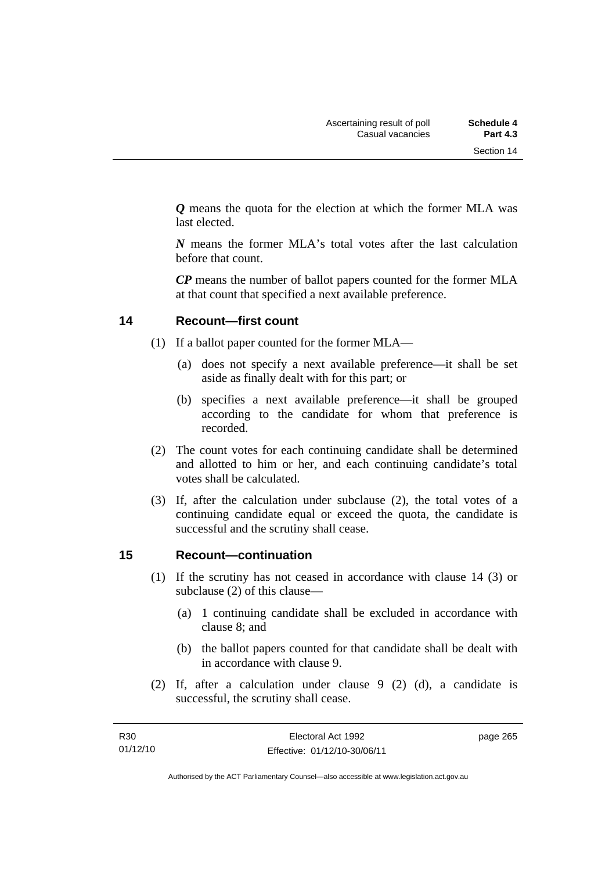*Q* means the quota for the election at which the former MLA was last elected.

*N* means the former MLA's total votes after the last calculation before that count.

*CP* means the number of ballot papers counted for the former MLA at that count that specified a next available preference.

## **14 Recount—first count**

- (1) If a ballot paper counted for the former MLA—
	- (a) does not specify a next available preference—it shall be set aside as finally dealt with for this part; or
	- (b) specifies a next available preference—it shall be grouped according to the candidate for whom that preference is recorded.
- (2) The count votes for each continuing candidate shall be determined and allotted to him or her, and each continuing candidate's total votes shall be calculated.
- (3) If, after the calculation under subclause (2), the total votes of a continuing candidate equal or exceed the quota, the candidate is successful and the scrutiny shall cease.

### **15 Recount—continuation**

- (1) If the scrutiny has not ceased in accordance with clause 14 (3) or subclause (2) of this clause—
	- (a) 1 continuing candidate shall be excluded in accordance with clause 8; and
	- (b) the ballot papers counted for that candidate shall be dealt with in accordance with clause 9.
- (2) If, after a calculation under clause 9 (2) (d), a candidate is successful, the scrutiny shall cease.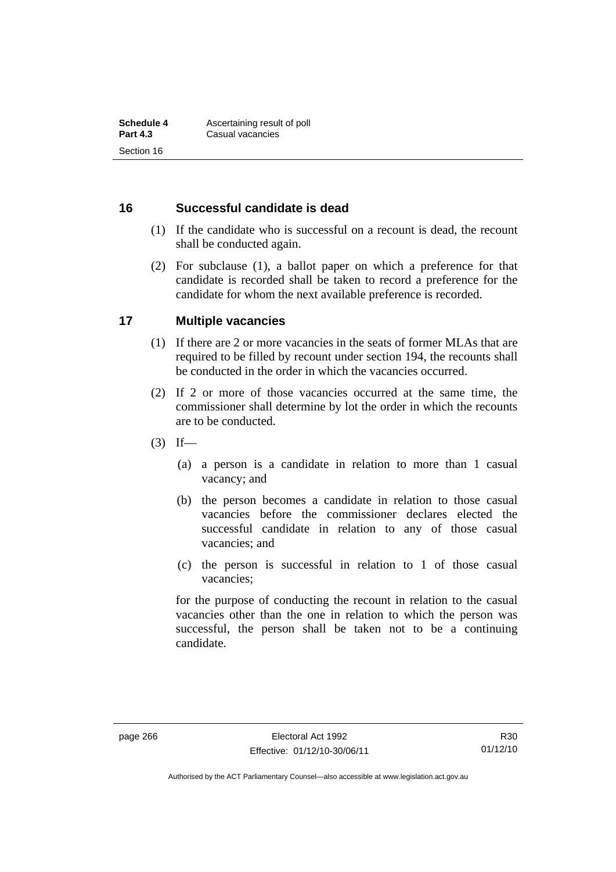#### **16 Successful candidate is dead**

- (1) If the candidate who is successful on a recount is dead, the recount shall be conducted again.
- (2) For subclause (1), a ballot paper on which a preference for that candidate is recorded shall be taken to record a preference for the candidate for whom the next available preference is recorded.

#### **17 Multiple vacancies**

- (1) If there are 2 or more vacancies in the seats of former MLAs that are required to be filled by recount under section 194, the recounts shall be conducted in the order in which the vacancies occurred.
- (2) If 2 or more of those vacancies occurred at the same time, the commissioner shall determine by lot the order in which the recounts are to be conducted.
- $(3)$  If—
	- (a) a person is a candidate in relation to more than 1 casual vacancy; and
	- (b) the person becomes a candidate in relation to those casual vacancies before the commissioner declares elected the successful candidate in relation to any of those casual vacancies; and
	- (c) the person is successful in relation to 1 of those casual vacancies;

for the purpose of conducting the recount in relation to the casual vacancies other than the one in relation to which the person was successful, the person shall be taken not to be a continuing candidate.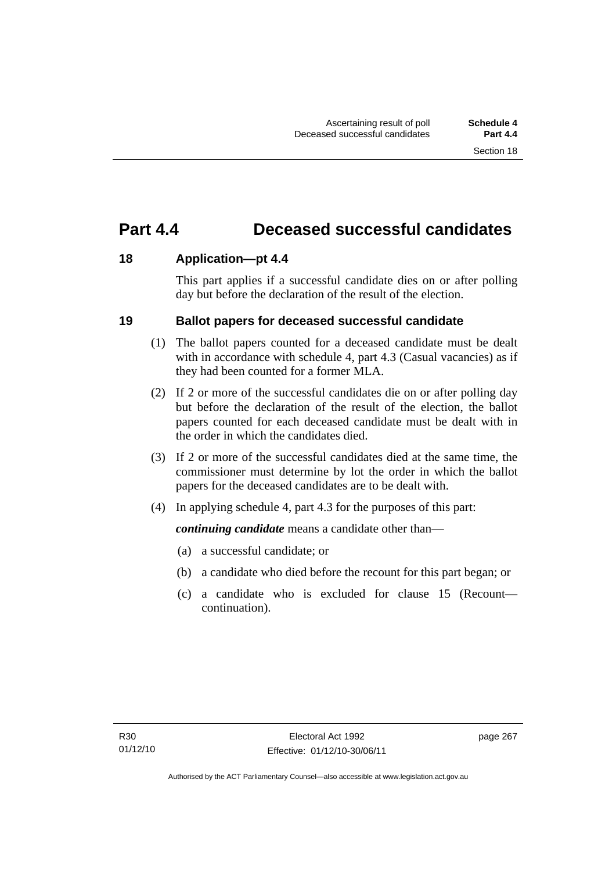# **Part 4.4 Deceased successful candidates**

## **18 Application—pt 4.4**

This part applies if a successful candidate dies on or after polling day but before the declaration of the result of the election.

## **19 Ballot papers for deceased successful candidate**

- (1) The ballot papers counted for a deceased candidate must be dealt with in accordance with schedule 4, part 4.3 (Casual vacancies) as if they had been counted for a former MLA.
- (2) If 2 or more of the successful candidates die on or after polling day but before the declaration of the result of the election, the ballot papers counted for each deceased candidate must be dealt with in the order in which the candidates died.
- (3) If 2 or more of the successful candidates died at the same time, the commissioner must determine by lot the order in which the ballot papers for the deceased candidates are to be dealt with.
- (4) In applying schedule 4, part 4.3 for the purposes of this part:

*continuing candidate* means a candidate other than—

- (a) a successful candidate; or
- (b) a candidate who died before the recount for this part began; or
- (c) a candidate who is excluded for clause 15 (Recount continuation).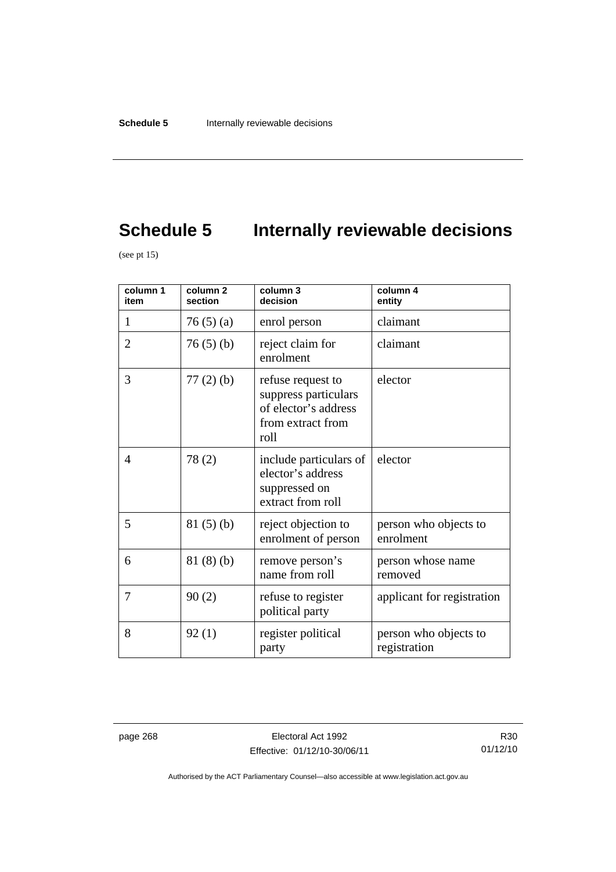# **Schedule 5** Internally reviewable decisions

(see pt  $15$ )

| column 1<br>item | column <sub>2</sub><br>section | column 3<br>decision                                                                           | column 4<br>entity                    |
|------------------|--------------------------------|------------------------------------------------------------------------------------------------|---------------------------------------|
| 1                | 76(5)(a)                       | enrol person                                                                                   | claimant                              |
| $\overline{2}$   | 76(5)(b)                       | reject claim for<br>enrolment                                                                  | claimant                              |
| 3                | $77(2)$ (b)                    | refuse request to<br>suppress particulars<br>of elector's address<br>from extract from<br>roll | elector                               |
| $\overline{4}$   | 78(2)                          | include particulars of<br>elector's address<br>suppressed on<br>extract from roll              | elector                               |
| 5                | 81(5)(b)                       | reject objection to<br>enrolment of person                                                     | person who objects to<br>enrolment    |
| 6                | 81(8)(b)                       | remove person's<br>name from roll                                                              | person whose name<br>removed          |
| 7                | 90(2)                          | refuse to register<br>political party                                                          | applicant for registration            |
| 8                | 92(1)                          | register political<br>party                                                                    | person who objects to<br>registration |

page 268 Electoral Act 1992 Effective: 01/12/10-30/06/11

R30 01/12/10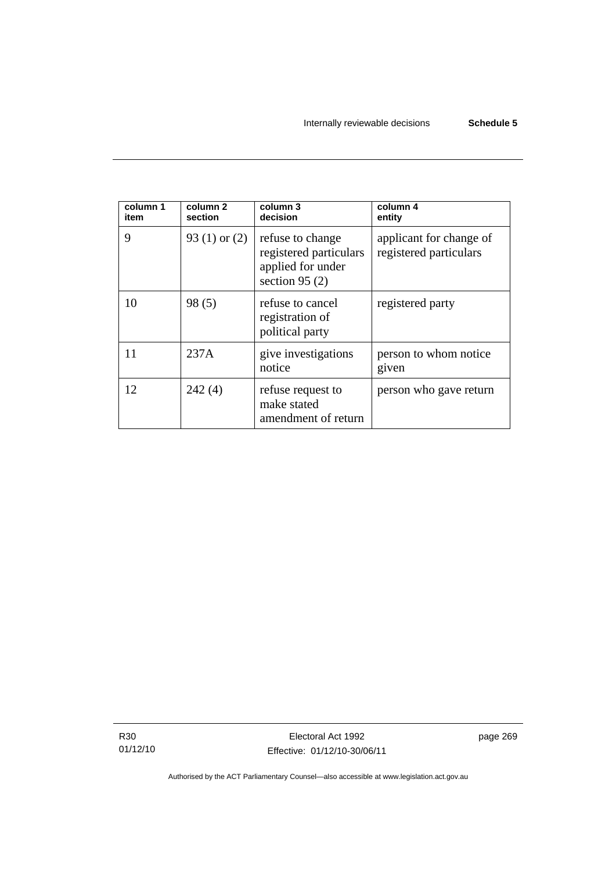| column 1<br>item | column 2<br>section | column 3<br>decision                                                               | column 4<br>entity                                |
|------------------|---------------------|------------------------------------------------------------------------------------|---------------------------------------------------|
| 9                | 93 $(1)$ or $(2)$   | refuse to change<br>registered particulars<br>applied for under<br>section $95(2)$ | applicant for change of<br>registered particulars |
| 10               | 98(5)               | refuse to cancel<br>registration of<br>political party                             | registered party                                  |
| 11               | 237A                | give investigations<br>notice                                                      | person to whom notice<br>given                    |
| 12               | 242(4)              | refuse request to<br>make stated<br>amendment of return                            | person who gave return                            |

R30 01/12/10

Electoral Act 1992 Effective: 01/12/10-30/06/11 page 269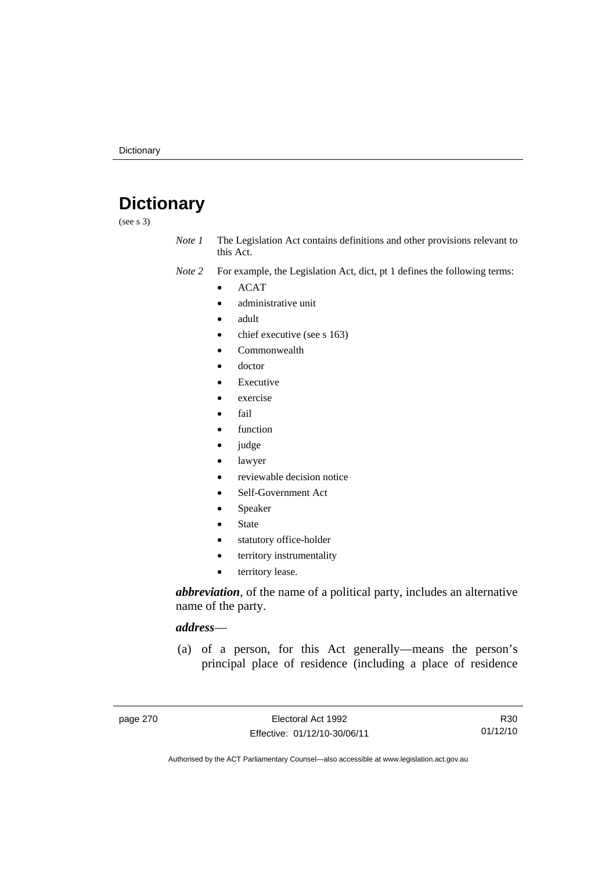# **Dictionary**

(see s 3)

*Note 1* The Legislation Act contains definitions and other provisions relevant to this Act.

*Note 2* For example, the Legislation Act, dict, pt 1 defines the following terms:

- ACAT
	- administrative unit
	- adult
	- chief executive (see s 163)
	- Commonwealth
	- doctor
	- Executive
	- exercise
	- fail
	- function
	- judge
	- lawyer
	- reviewable decision notice
	- Self-Government Act
	- Speaker
	- State
	- statutory office-holder
	- territory instrumentality
	- territory lease.

*abbreviation*, of the name of a political party, includes an alternative name of the party.

#### *address*—

 (a) of a person, for this Act generally—means the person's principal place of residence (including a place of residence

R30 01/12/10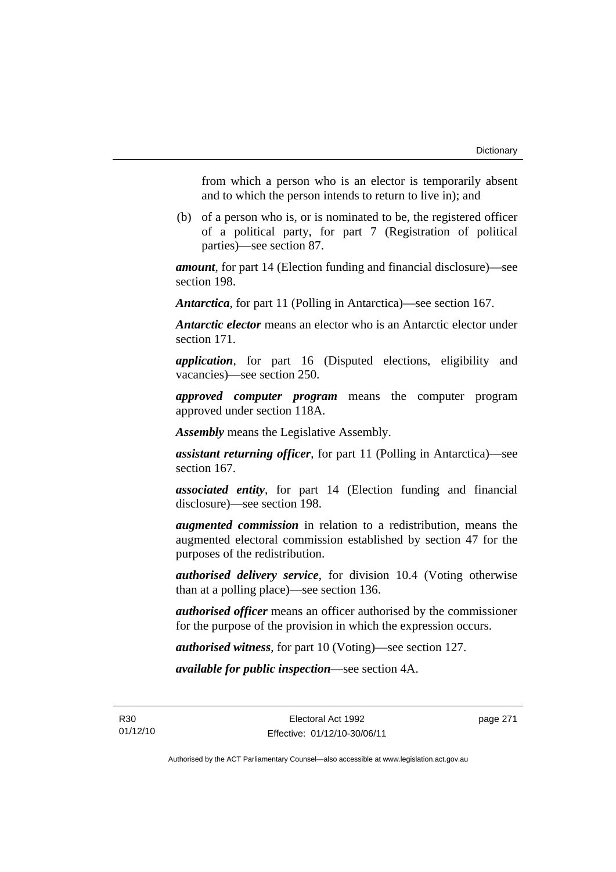from which a person who is an elector is temporarily absent and to which the person intends to return to live in); and

 (b) of a person who is, or is nominated to be, the registered officer of a political party, for part 7 (Registration of political parties)—see section 87.

*amount*, for part 14 (Election funding and financial disclosure)—see section 198.

*Antarctica*, for part 11 (Polling in Antarctica)—see section 167.

*Antarctic elector* means an elector who is an Antarctic elector under section 171.

*application*, for part 16 (Disputed elections, eligibility and vacancies)—see section 250.

*approved computer program* means the computer program approved under section 118A.

*Assembly* means the Legislative Assembly.

*assistant returning officer*, for part 11 (Polling in Antarctica)—see section 167.

*associated entity*, for part 14 (Election funding and financial disclosure)—see section 198.

*augmented commission* in relation to a redistribution, means the augmented electoral commission established by section 47 for the purposes of the redistribution.

*authorised delivery service*, for division 10.4 (Voting otherwise than at a polling place)—see section 136.

*authorised officer* means an officer authorised by the commissioner for the purpose of the provision in which the expression occurs.

*authorised witness*, for part 10 (Voting)—see section 127.

*available for public inspection*—see section 4A.

Electoral Act 1992 Effective: 01/12/10-30/06/11 page 271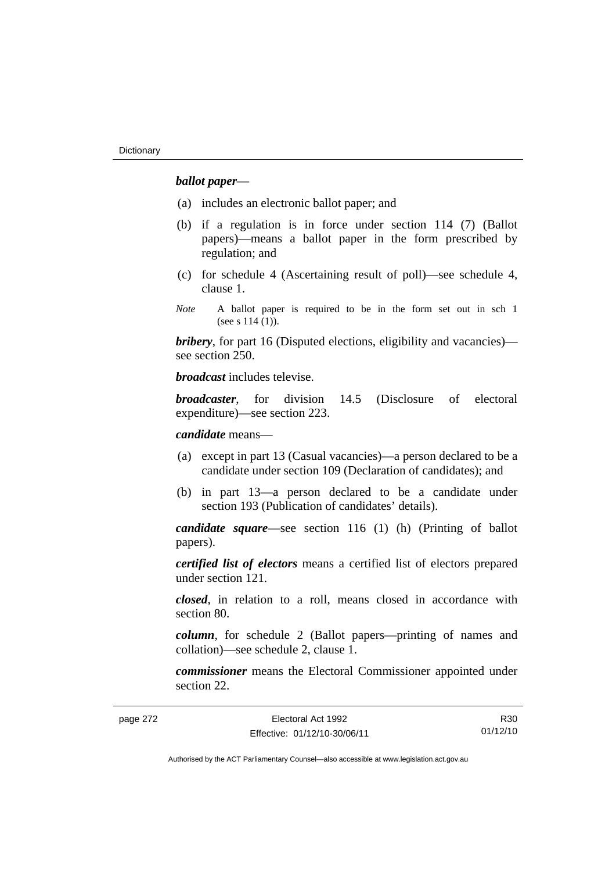## *ballot paper*—

- (a) includes an electronic ballot paper; and
- (b) if a regulation is in force under section 114 (7) (Ballot papers)—means a ballot paper in the form prescribed by regulation; and
- (c) for schedule 4 (Ascertaining result of poll)—see schedule 4, clause 1.
- *Note* A ballot paper is required to be in the form set out in sch 1 (see s 114 (1)).

*bribery*, for part 16 (Disputed elections, eligibility and vacancies) see section 250.

*broadcast* includes televise.

*broadcaster*, for division 14.5 (Disclosure of electoral expenditure)—see section 223.

*candidate* means—

- (a) except in part 13 (Casual vacancies)—a person declared to be a candidate under section 109 (Declaration of candidates); and
- (b) in part 13—a person declared to be a candidate under section 193 (Publication of candidates' details).

*candidate square*—see section 116 (1) (h) (Printing of ballot papers).

*certified list of electors* means a certified list of electors prepared under section 121.

*closed*, in relation to a roll, means closed in accordance with section 80.

*column*, for schedule 2 (Ballot papers—printing of names and collation)—see schedule 2, clause 1.

*commissioner* means the Electoral Commissioner appointed under section 22.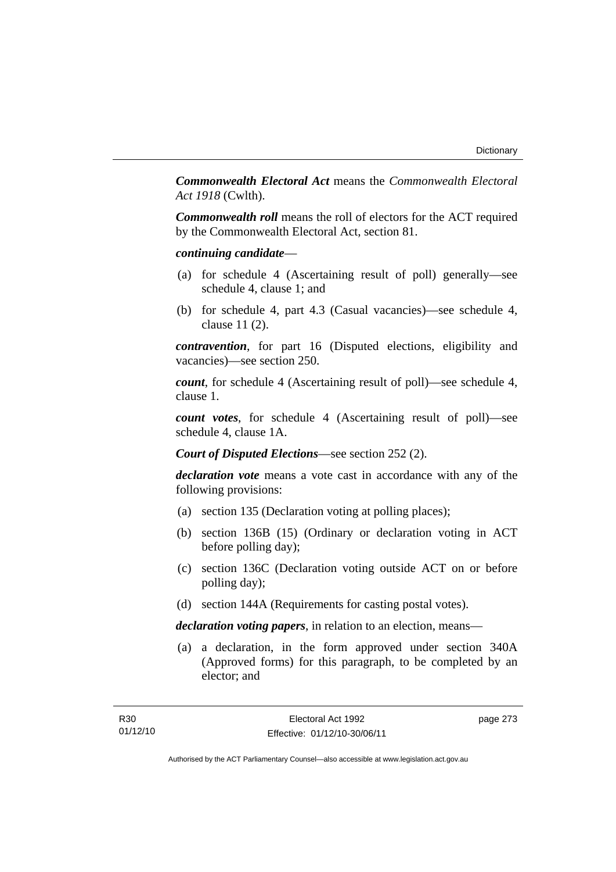*Commonwealth Electoral Act* means the *Commonwealth Electoral Act 1918* (Cwlth).

*Commonwealth roll* means the roll of electors for the ACT required by the Commonwealth Electoral Act, section 81.

### *continuing candidate*—

- (a) for schedule 4 (Ascertaining result of poll) generally—see schedule 4, clause 1; and
- (b) for schedule 4, part 4.3 (Casual vacancies)—see schedule 4, clause 11 (2).

*contravention*, for part 16 (Disputed elections, eligibility and vacancies)—see section 250.

*count*, for schedule 4 (Ascertaining result of poll)—see schedule 4, clause 1.

*count votes*, for schedule 4 (Ascertaining result of poll)—see schedule 4, clause 1A.

*Court of Disputed Elections*—see section 252 (2).

*declaration vote* means a vote cast in accordance with any of the following provisions:

- (a) section 135 (Declaration voting at polling places);
- (b) section 136B (15) (Ordinary or declaration voting in ACT before polling day);
- (c) section 136C (Declaration voting outside ACT on or before polling day);
- (d) section 144A (Requirements for casting postal votes).

*declaration voting papers*, in relation to an election, means—

 (a) a declaration, in the form approved under section 340A (Approved forms) for this paragraph, to be completed by an elector; and

page 273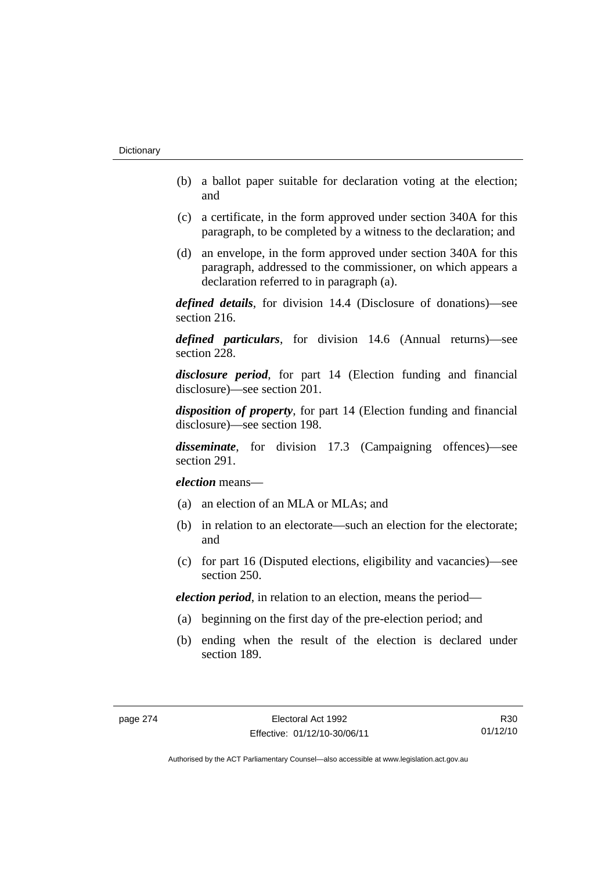- (b) a ballot paper suitable for declaration voting at the election; and
- (c) a certificate, in the form approved under section 340A for this paragraph, to be completed by a witness to the declaration; and
- (d) an envelope, in the form approved under section 340A for this paragraph, addressed to the commissioner, on which appears a declaration referred to in paragraph (a).

*defined details*, for division 14.4 (Disclosure of donations)—see section 216.

*defined particulars*, for division 14.6 (Annual returns)—see section 228.

*disclosure period*, for part 14 (Election funding and financial disclosure)—see section 201.

*disposition of property*, for part 14 (Election funding and financial disclosure)—see section 198.

*disseminate*, for division 17.3 (Campaigning offences)—see section 291.

*election* means—

- (a) an election of an MLA or MLAs; and
- (b) in relation to an electorate—such an election for the electorate; and
- (c) for part 16 (Disputed elections, eligibility and vacancies)—see section 250.

*election period*, in relation to an election, means the period—

- (a) beginning on the first day of the pre-election period; and
- (b) ending when the result of the election is declared under section 189.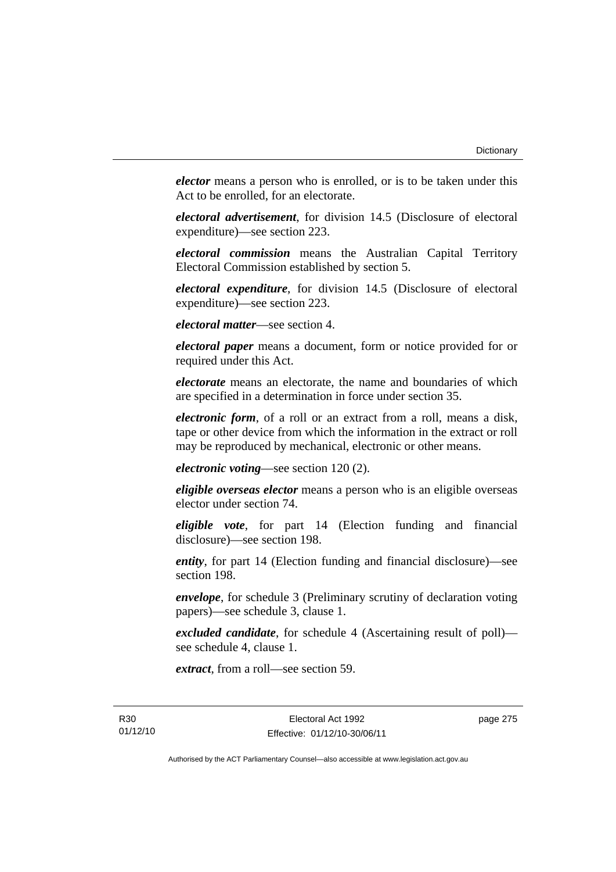*elector* means a person who is enrolled, or is to be taken under this Act to be enrolled, for an electorate.

*electoral advertisement*, for division 14.5 (Disclosure of electoral expenditure)—see section 223.

*electoral commission* means the Australian Capital Territory Electoral Commission established by section 5.

*electoral expenditure*, for division 14.5 (Disclosure of electoral expenditure)—see section 223.

*electoral matter*—see section 4.

*electoral paper* means a document, form or notice provided for or required under this Act.

*electorate* means an electorate, the name and boundaries of which are specified in a determination in force under section 35.

*electronic form*, of a roll or an extract from a roll, means a disk, tape or other device from which the information in the extract or roll may be reproduced by mechanical, electronic or other means.

*electronic voting*—see section 120 (2).

*eligible overseas elector* means a person who is an eligible overseas elector under section 74.

*eligible vote*, for part 14 (Election funding and financial disclosure)—see section 198.

*entity*, for part 14 (Election funding and financial disclosure)—see section 198.

*envelope*, for schedule 3 (Preliminary scrutiny of declaration voting papers)—see schedule 3, clause 1.

*excluded candidate*, for schedule 4 (Ascertaining result of poll) see schedule 4, clause 1.

*extract*, from a roll—see section 59.

page 275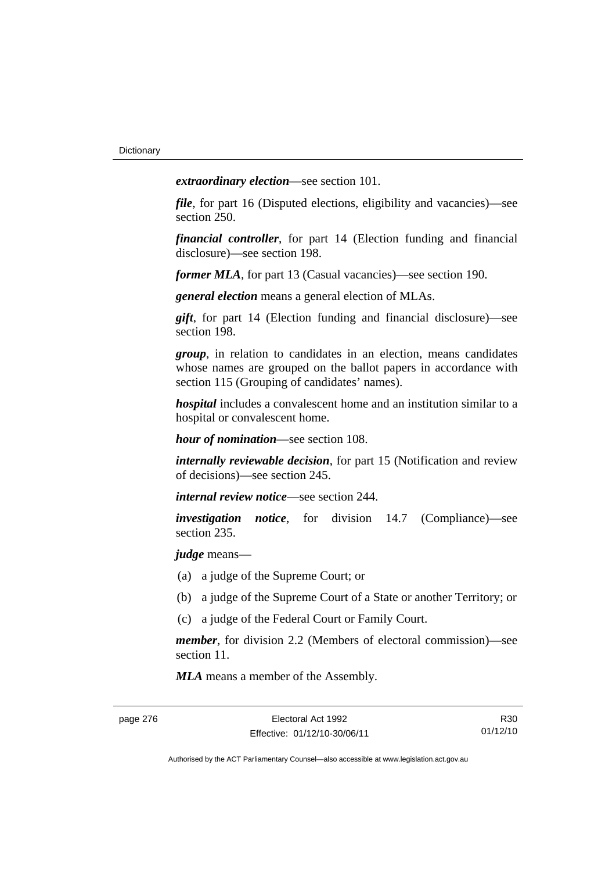*extraordinary election*—see section 101.

*file*, for part 16 (Disputed elections, eligibility and vacancies)—see section 250.

*financial controller*, for part 14 (Election funding and financial disclosure)—see section 198.

*former MLA*, for part 13 (Casual vacancies)—see section 190.

*general election* means a general election of MLAs.

*gift*, for part 14 (Election funding and financial disclosure)—see section 198.

*group*, in relation to candidates in an election, means candidates whose names are grouped on the ballot papers in accordance with section 115 (Grouping of candidates' names).

*hospital* includes a convalescent home and an institution similar to a hospital or convalescent home.

*hour of nomination*—see section 108.

*internally reviewable decision*, for part 15 (Notification and review of decisions)—see section 245.

*internal review notice*—see section 244.

*investigation notice*, for division 14.7 (Compliance)—see section 235.

*judge* means—

- (a) a judge of the Supreme Court; or
- (b) a judge of the Supreme Court of a State or another Territory; or
- (c) a judge of the Federal Court or Family Court.

*member*, for division 2.2 (Members of electoral commission)—see section 11.

*MLA* means a member of the Assembly.

R30 01/12/10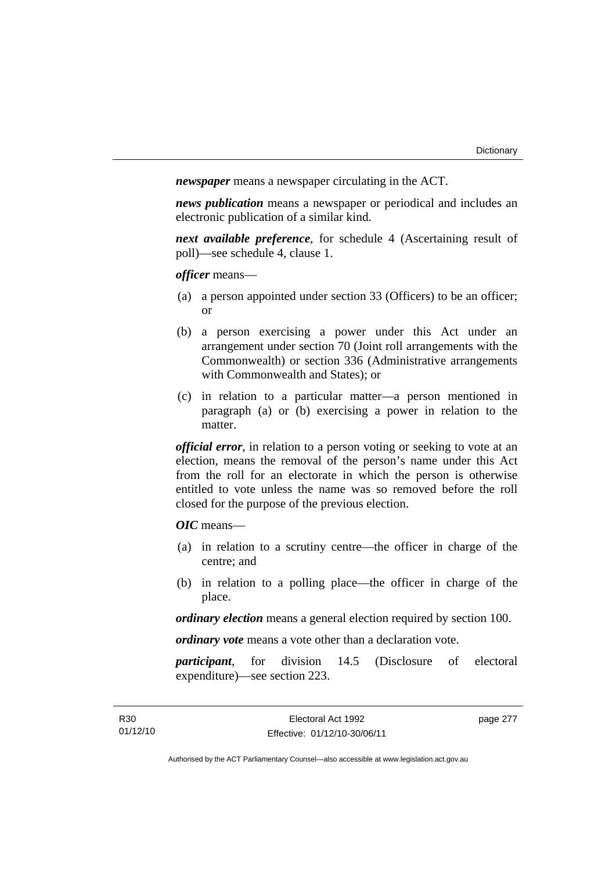*newspaper* means a newspaper circulating in the ACT.

*news publication* means a newspaper or periodical and includes an electronic publication of a similar kind.

*next available preference*, for schedule 4 (Ascertaining result of poll)—see schedule 4, clause 1.

*officer* means—

- (a) a person appointed under section 33 (Officers) to be an officer; or
- (b) a person exercising a power under this Act under an arrangement under section 70 (Joint roll arrangements with the Commonwealth) or section 336 (Administrative arrangements with Commonwealth and States); or
- (c) in relation to a particular matter—a person mentioned in paragraph (a) or (b) exercising a power in relation to the matter.

*official error*, in relation to a person voting or seeking to vote at an election, means the removal of the person's name under this Act from the roll for an electorate in which the person is otherwise entitled to vote unless the name was so removed before the roll closed for the purpose of the previous election.

*OIC* means—

- (a) in relation to a scrutiny centre—the officer in charge of the centre; and
- (b) in relation to a polling place—the officer in charge of the place.

*ordinary election* means a general election required by section 100.

*ordinary vote* means a vote other than a declaration vote.

*participant*, for division 14.5 (Disclosure of electoral expenditure)—see section 223.

page 277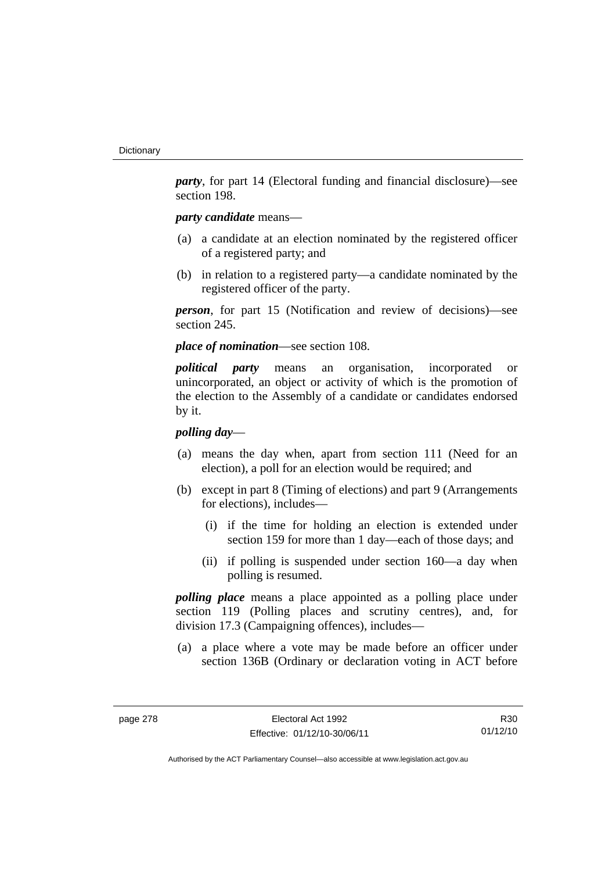*party*, for part 14 (Electoral funding and financial disclosure)—see section 198.

## *party candidate* means—

- (a) a candidate at an election nominated by the registered officer of a registered party; and
- (b) in relation to a registered party—a candidate nominated by the registered officer of the party.

*person*, for part 15 (Notification and review of decisions)—see section 245.

*place of nomination*—see section 108.

*political party* means an organisation, incorporated or unincorporated, an object or activity of which is the promotion of the election to the Assembly of a candidate or candidates endorsed by it.

## *polling day*—

- (a) means the day when, apart from section 111 (Need for an election), a poll for an election would be required; and
- (b) except in part 8 (Timing of elections) and part 9 (Arrangements for elections), includes—
	- (i) if the time for holding an election is extended under section 159 for more than 1 day—each of those days; and
	- (ii) if polling is suspended under section 160—a day when polling is resumed.

*polling place* means a place appointed as a polling place under section 119 (Polling places and scrutiny centres), and, for division 17.3 (Campaigning offences), includes—

 (a) a place where a vote may be made before an officer under section 136B (Ordinary or declaration voting in ACT before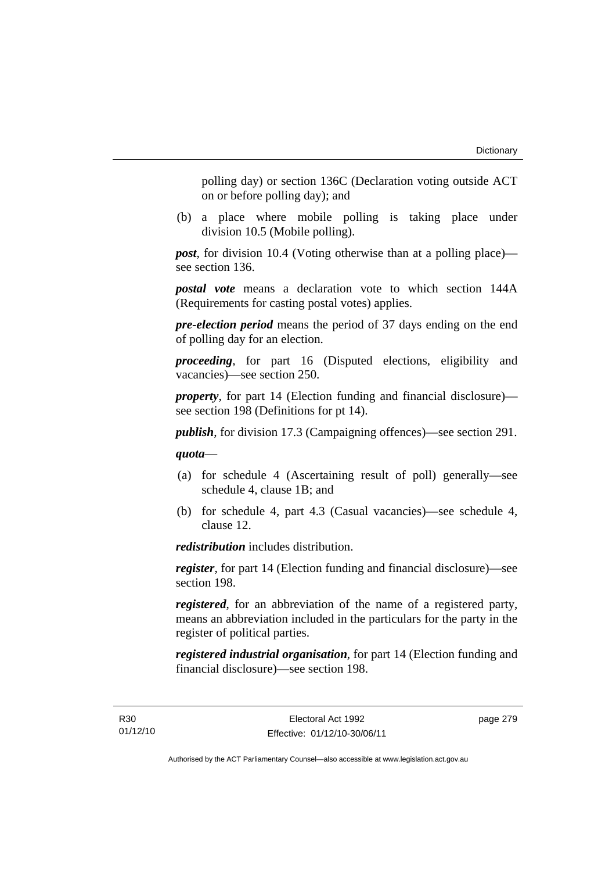polling day) or section 136C (Declaration voting outside ACT on or before polling day); and

 (b) a place where mobile polling is taking place under division 10.5 (Mobile polling).

*post*, for division 10.4 (Voting otherwise than at a polling place) see section 136.

*postal vote* means a declaration vote to which section 144A (Requirements for casting postal votes) applies.

*pre-election period* means the period of 37 days ending on the end of polling day for an election.

*proceeding*, for part 16 (Disputed elections, eligibility and vacancies)—see section 250.

*property*, for part 14 (Election funding and financial disclosure) see section 198 (Definitions for pt 14).

*publish*, for division 17.3 (Campaigning offences)—see section 291.

*quota*—

- (a) for schedule 4 (Ascertaining result of poll) generally—see schedule 4, clause 1B; and
- (b) for schedule 4, part 4.3 (Casual vacancies)—see schedule 4, clause 12.

*redistribution* includes distribution.

*register*, for part 14 (Election funding and financial disclosure)—see section 198.

*registered*, for an abbreviation of the name of a registered party, means an abbreviation included in the particulars for the party in the register of political parties.

*registered industrial organisation*, for part 14 (Election funding and financial disclosure)—see section 198.

page 279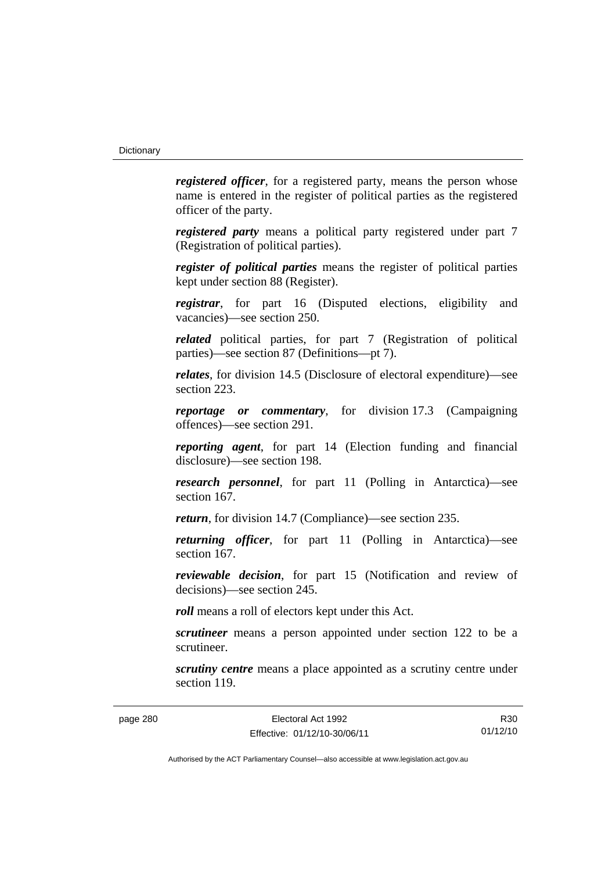*registered officer*, for a registered party, means the person whose name is entered in the register of political parties as the registered officer of the party.

*registered party* means a political party registered under part 7 (Registration of political parties).

*register of political parties* means the register of political parties kept under section 88 (Register).

*registrar*, for part 16 (Disputed elections, eligibility and vacancies)—see section 250.

*related* political parties, for part 7 (Registration of political parties)—see section 87 (Definitions—pt 7).

*relates*, for division 14.5 (Disclosure of electoral expenditure)—see section 223.

*reportage or commentary*, for division 17.3 (Campaigning offences)—see section 291.

*reporting agent*, for part 14 (Election funding and financial disclosure)—see section 198.

*research personnel*, for part 11 (Polling in Antarctica)—see section 167.

*return*, for division 14.7 (Compliance)—see section 235.

*returning officer*, for part 11 (Polling in Antarctica)—see section 167.

*reviewable decision*, for part 15 (Notification and review of decisions)—see section 245.

*roll* means a roll of electors kept under this Act.

*scrutineer* means a person appointed under section 122 to be a scrutineer.

*scrutiny centre* means a place appointed as a scrutiny centre under section 119.

R30 01/12/10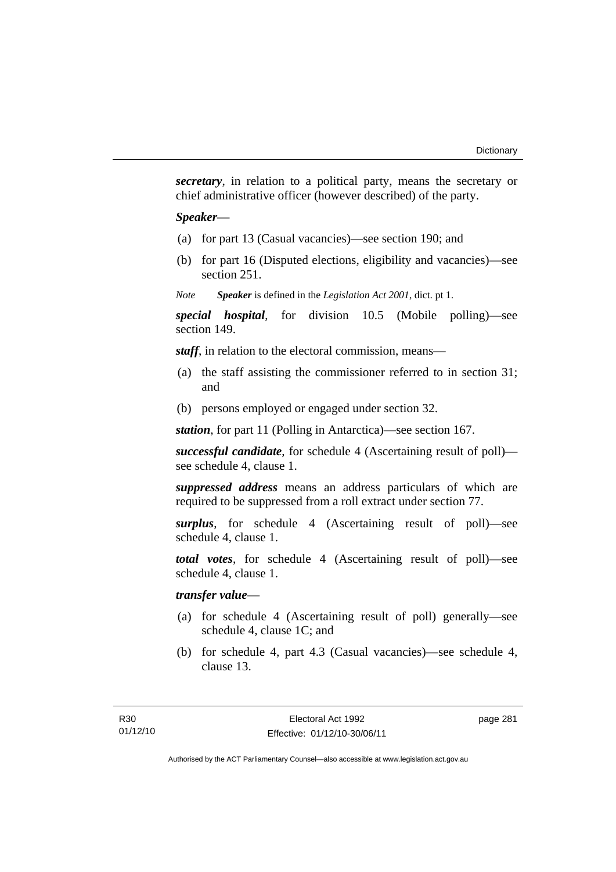*secretary*, in relation to a political party, means the secretary or chief administrative officer (however described) of the party.

#### *Speaker*—

- (a) for part 13 (Casual vacancies)—see section 190; and
- (b) for part 16 (Disputed elections, eligibility and vacancies)—see section 251.
- *Note Speaker* is defined in the *Legislation Act 2001*, dict. pt 1.

*special hospital*, for division 10.5 (Mobile polling)—see section 149.

*staff*, in relation to the electoral commission, means—

- (a) the staff assisting the commissioner referred to in section 31; and
- (b) persons employed or engaged under section 32.

*station*, for part 11 (Polling in Antarctica)—see section 167.

*successful candidate*, for schedule 4 (Ascertaining result of poll) see schedule 4, clause 1.

*suppressed address* means an address particulars of which are required to be suppressed from a roll extract under section 77.

*surplus*, for schedule 4 (Ascertaining result of poll)—see schedule 4, clause 1.

*total votes*, for schedule 4 (Ascertaining result of poll)—see schedule 4, clause 1.

## *transfer value*—

- (a) for schedule 4 (Ascertaining result of poll) generally—see schedule 4, clause 1C; and
- (b) for schedule 4, part 4.3 (Casual vacancies)—see schedule 4, clause 13.

page 281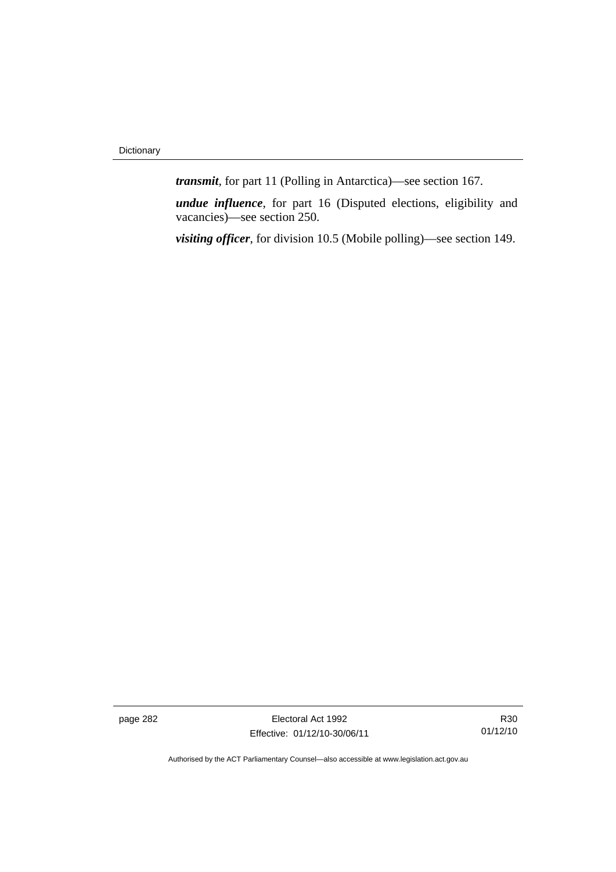*transmit*, for part 11 (Polling in Antarctica)—see section 167.

*undue influence*, for part 16 (Disputed elections, eligibility and vacancies)—see section 250.

*visiting officer*, for division 10.5 (Mobile polling)—see section 149.

page 282 Electoral Act 1992 Effective: 01/12/10-30/06/11

R30 01/12/10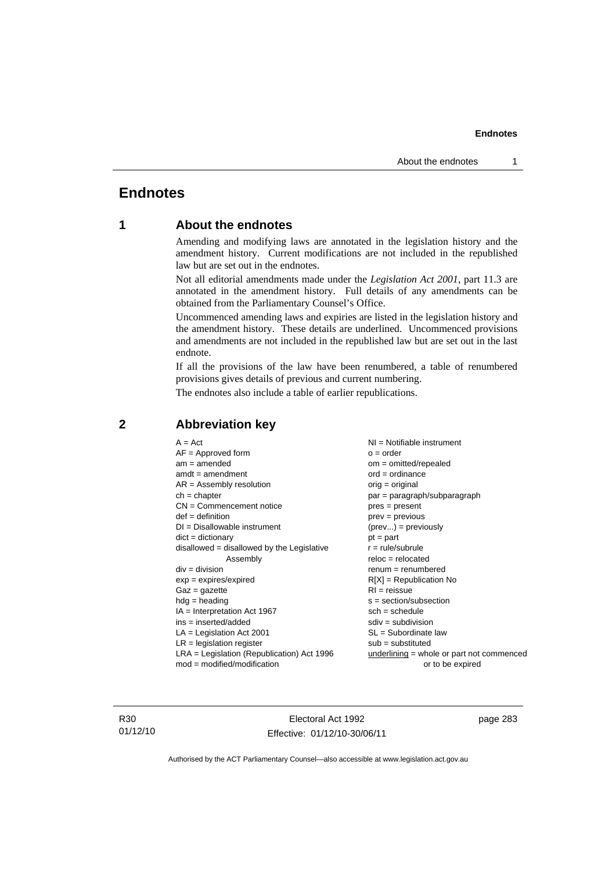## **Endnotes**

## **1 About the endnotes**

Amending and modifying laws are annotated in the legislation history and the amendment history. Current modifications are not included in the republished law but are set out in the endnotes.

Not all editorial amendments made under the *Legislation Act 2001*, part 11.3 are annotated in the amendment history. Full details of any amendments can be obtained from the Parliamentary Counsel's Office.

Uncommenced amending laws and expiries are listed in the legislation history and the amendment history. These details are underlined. Uncommenced provisions and amendments are not included in the republished law but are set out in the last endnote.

If all the provisions of the law have been renumbered, a table of renumbered provisions gives details of previous and current numbering.

The endnotes also include a table of earlier republications.

| $A = Act$                                    | $NI = Notifiable$ instrument              |
|----------------------------------------------|-------------------------------------------|
| $AF =$ Approved form                         | $o = order$                               |
| $am = amended$                               | $om = omitted/repealed$                   |
| $amdt = amendment$                           | $ord = ordinance$                         |
| $AR = Assembly$ resolution                   | $orig = original$                         |
| $ch = chapter$                               | par = paragraph/subparagraph              |
| $CN =$ Commencement notice                   | $pres = present$                          |
| $def = definition$                           | $prev = previous$                         |
| $DI = Disallowable instrument$               | $(\text{prev}) = \text{previously}$       |
| $dict = dictionary$                          | $pt = part$                               |
| disallowed = disallowed by the Legislative   | $r = rule/subrule$                        |
| Assembly                                     | $reloc = relocated$                       |
| $div = division$                             | $remum = renumbered$                      |
| $exp = expires/expired$                      | $R[X]$ = Republication No                 |
| $Gaz = gazette$                              | $RI = reissue$                            |
| $hdg =$ heading                              | $s = section/subsection$                  |
| $IA = Interpretation Act 1967$               | $sch = schedule$                          |
| ins = inserted/added                         | $sdiv = subdivision$                      |
| $LA =$ Legislation Act 2001                  | $SL = Subordinate$ law                    |
| $LR =$ legislation register                  | $sub =$ substituted                       |
| $LRA =$ Legislation (Republication) Act 1996 | underlining = whole or part not commenced |
| $mod = modified/modification$                | or to be expired                          |
|                                              |                                           |

## **2 Abbreviation key**

R30 01/12/10

Electoral Act 1992 Effective: 01/12/10-30/06/11 page 283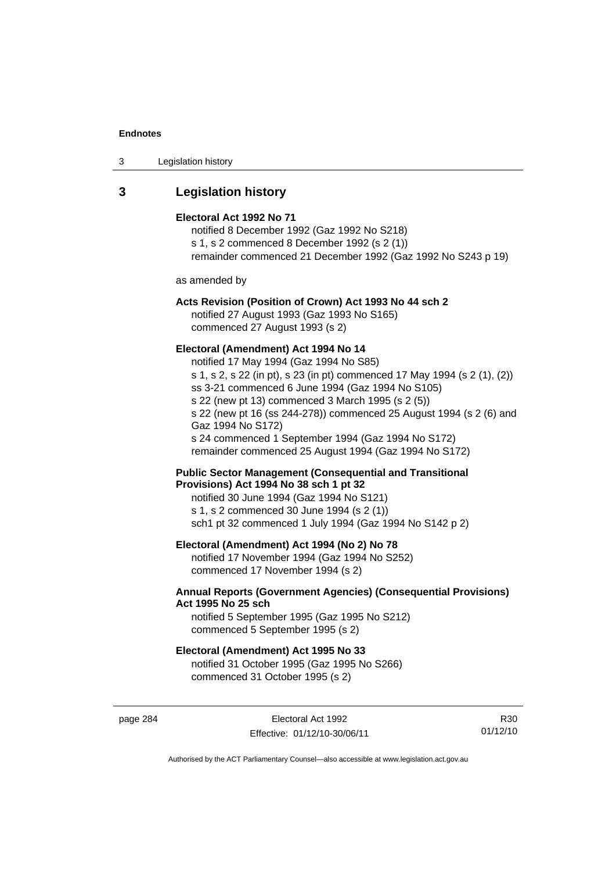| Legislation history<br>3 |
|--------------------------|
|--------------------------|

## **3 Legislation history**

#### **Electoral Act 1992 No 71**

notified 8 December 1992 (Gaz 1992 No S218) s 1, s 2 commenced 8 December 1992 (s 2 (1)) remainder commenced 21 December 1992 (Gaz 1992 No S243 p 19)

as amended by

## **Acts Revision (Position of Crown) Act 1993 No 44 sch 2**

notified 27 August 1993 (Gaz 1993 No S165) commenced 27 August 1993 (s 2)

#### **Electoral (Amendment) Act 1994 No 14**

notified 17 May 1994 (Gaz 1994 No S85) s 1, s 2, s 22 (in pt), s 23 (in pt) commenced 17 May 1994 (s 2 (1), (2)) ss 3-21 commenced 6 June 1994 (Gaz 1994 No S105) s 22 (new pt 13) commenced 3 March 1995 (s 2 (5)) s 22 (new pt 16 (ss 244-278)) commenced 25 August 1994 (s 2 (6) and Gaz 1994 No S172) s 24 commenced 1 September 1994 (Gaz 1994 No S172) remainder commenced 25 August 1994 (Gaz 1994 No S172)

**Public Sector Management (Consequential and Transitional Provisions) Act 1994 No 38 sch 1 pt 32** 

notified 30 June 1994 (Gaz 1994 No S121) s 1, s 2 commenced 30 June 1994 (s 2 (1)) sch1 pt 32 commenced 1 July 1994 (Gaz 1994 No S142 p 2)

## **Electoral (Amendment) Act 1994 (No 2) No 78**

notified 17 November 1994 (Gaz 1994 No S252) commenced 17 November 1994 (s 2)

## **Annual Reports (Government Agencies) (Consequential Provisions) Act 1995 No 25 sch**

notified 5 September 1995 (Gaz 1995 No S212) commenced 5 September 1995 (s 2)

#### **Electoral (Amendment) Act 1995 No 33**

notified 31 October 1995 (Gaz 1995 No S266) commenced 31 October 1995 (s 2)

page 284 **Electoral Act 1992** Effective: 01/12/10-30/06/11

R30 01/12/10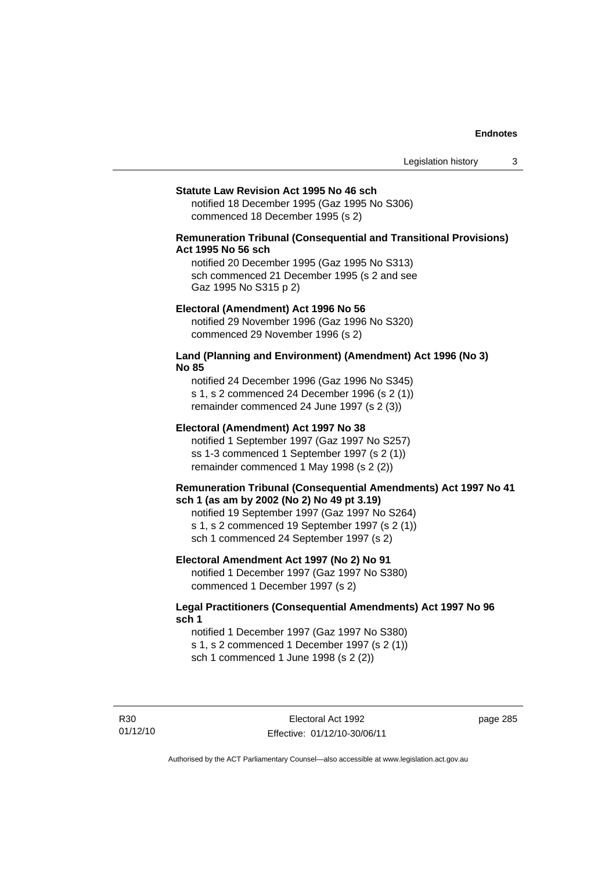#### **Statute Law Revision Act 1995 No 46 sch**

notified 18 December 1995 (Gaz 1995 No S306) commenced 18 December 1995 (s 2)

## **Remuneration Tribunal (Consequential and Transitional Provisions) Act 1995 No 56 sch**

notified 20 December 1995 (Gaz 1995 No S313) sch commenced 21 December 1995 (s 2 and see Gaz 1995 No S315 p 2)

#### **Electoral (Amendment) Act 1996 No 56**

notified 29 November 1996 (Gaz 1996 No S320) commenced 29 November 1996 (s 2)

### **Land (Planning and Environment) (Amendment) Act 1996 (No 3) No 85**

notified 24 December 1996 (Gaz 1996 No S345) s 1, s 2 commenced 24 December 1996 (s 2 (1)) remainder commenced 24 June 1997 (s 2 (3))

#### **Electoral (Amendment) Act 1997 No 38**

notified 1 September 1997 (Gaz 1997 No S257) ss 1-3 commenced 1 September 1997 (s 2 (1)) remainder commenced 1 May 1998 (s 2 (2))

### **Remuneration Tribunal (Consequential Amendments) Act 1997 No 41 sch 1 (as am by 2002 (No 2) No 49 pt 3.19)**

notified 19 September 1997 (Gaz 1997 No S264) s 1, s 2 commenced 19 September 1997 (s 2 (1)) sch 1 commenced 24 September 1997 (s 2)

### **Electoral Amendment Act 1997 (No 2) No 91**

notified 1 December 1997 (Gaz 1997 No S380) commenced 1 December 1997 (s 2)

## **Legal Practitioners (Consequential Amendments) Act 1997 No 96 sch 1**

notified 1 December 1997 (Gaz 1997 No S380) s 1, s 2 commenced 1 December 1997 (s 2 (1)) sch 1 commenced 1 June 1998 (s 2 (2))

R30 01/12/10 page 285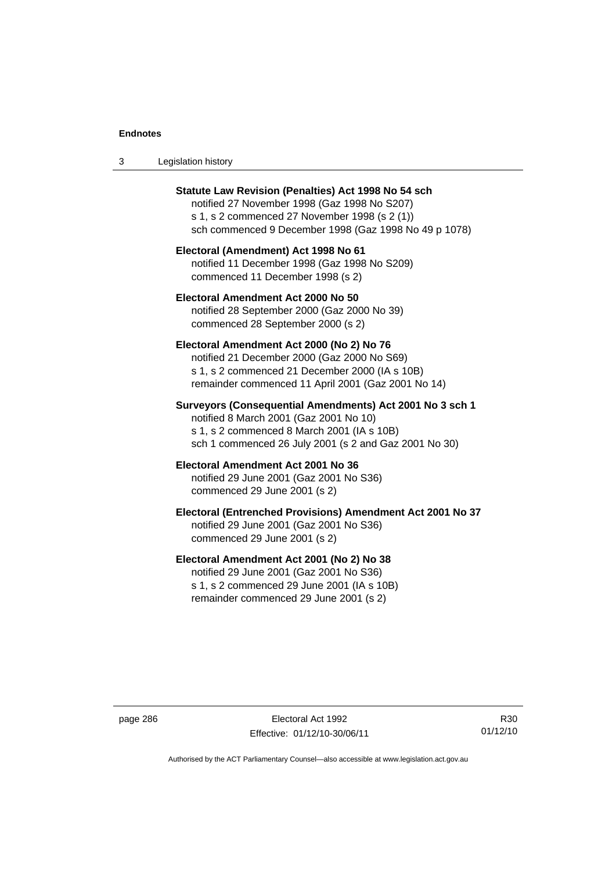| -3 | Legislation history |  |
|----|---------------------|--|
|----|---------------------|--|

| <b>Statute Law Revision (Penalties) Act 1998 No 54 sch</b><br>notified 27 November 1998 (Gaz 1998 No S207)<br>s 1, s 2 commenced 27 November 1998 (s 2 (1))<br>sch commenced 9 December 1998 (Gaz 1998 No 49 p 1078) |
|----------------------------------------------------------------------------------------------------------------------------------------------------------------------------------------------------------------------|
| Electoral (Amendment) Act 1998 No 61<br>notified 11 December 1998 (Gaz 1998 No S209)<br>commenced 11 December 1998 (s 2)                                                                                             |
| Electoral Amendment Act 2000 No 50<br>notified 28 September 2000 (Gaz 2000 No 39)<br>commenced 28 September 2000 (s 2)                                                                                               |
| Electoral Amendment Act 2000 (No 2) No 76<br>notified 21 December 2000 (Gaz 2000 No S69)<br>s 1, s 2 commenced 21 December 2000 (IA s 10B)<br>remainder commenced 11 April 2001 (Gaz 2001 No 14)                     |
| Surveyors (Consequential Amendments) Act 2001 No 3 sch 1<br>notified 8 March 2001 (Gaz 2001 No 10)<br>s 1, s 2 commenced 8 March 2001 (IA s 10B)<br>sch 1 commenced 26 July 2001 (s 2 and Gaz 2001 No 30)            |
| Electoral Amendment Act 2001 No 36<br>notified 29 June 2001 (Gaz 2001 No S36)<br>commenced 29 June 2001 (s 2)                                                                                                        |
| Electoral (Entrenched Provisions) Amendment Act 2001 No 37<br>notified 29 June 2001 (Gaz 2001 No S36)<br>commenced 29 June 2001 (s 2)                                                                                |
| Electoral Amendment Act 2001 (No 2) No 38<br>notified 29 June 2001 (Gaz 2001 No S36)<br>s 1, s 2 commenced 29 June 2001 (IA s 10B)<br>remainder commenced 29 June 2001 (s 2)                                         |

page 286 Electoral Act 1992 Effective: 01/12/10-30/06/11

R30 01/12/10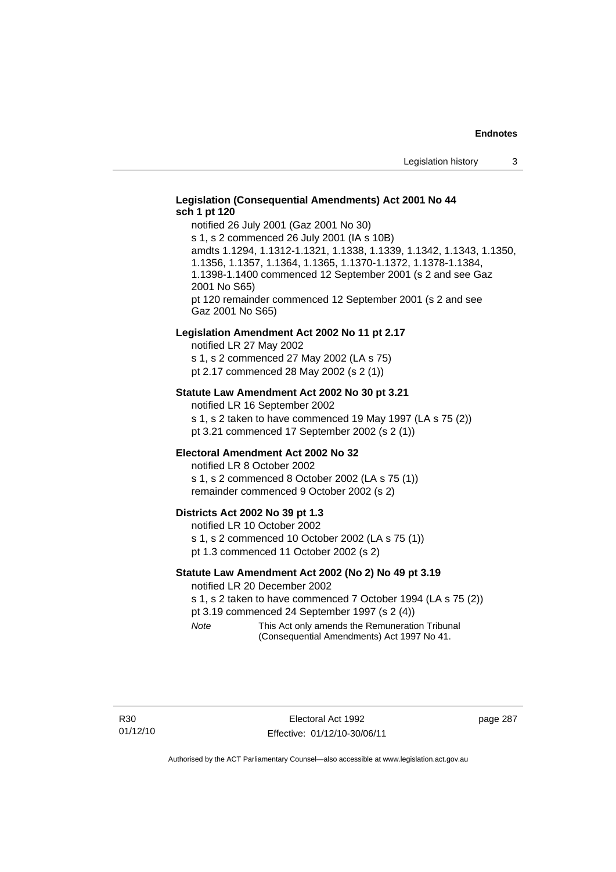## **Legislation (Consequential Amendments) Act 2001 No 44 sch 1 pt 120**

notified 26 July 2001 (Gaz 2001 No 30) s 1, s 2 commenced 26 July 2001 (IA s 10B) amdts 1.1294, 1.1312-1.1321, 1.1338, 1.1339, 1.1342, 1.1343, 1.1350, 1.1356, 1.1357, 1.1364, 1.1365, 1.1370-1.1372, 1.1378-1.1384, 1.1398-1.1400 commenced 12 September 2001 (s 2 and see Gaz 2001 No S65) pt 120 remainder commenced 12 September 2001 (s 2 and see Gaz 2001 No S65)

#### **Legislation Amendment Act 2002 No 11 pt 2.17**

notified LR 27 May 2002 s 1, s 2 commenced 27 May 2002 (LA s 75) pt 2.17 commenced 28 May 2002 (s 2 (1))

### **Statute Law Amendment Act 2002 No 30 pt 3.21**

notified LR 16 September 2002 s 1, s 2 taken to have commenced 19 May 1997 (LA s 75 (2)) pt 3.21 commenced 17 September 2002 (s 2 (1))

#### **Electoral Amendment Act 2002 No 32**

notified LR 8 October 2002 s 1, s 2 commenced 8 October 2002 (LA s 75 (1)) remainder commenced 9 October 2002 (s 2)

#### **Districts Act 2002 No 39 pt 1.3**

notified LR 10 October 2002 s 1, s 2 commenced 10 October 2002 (LA s 75 (1)) pt 1.3 commenced 11 October 2002 (s 2)

### **Statute Law Amendment Act 2002 (No 2) No 49 pt 3.19**

notified LR 20 December 2002

s 1, s 2 taken to have commenced 7 October 1994 (LA s 75 (2)) pt 3.19 commenced 24 September 1997 (s 2 (4))

*Note* This Act only amends the Remuneration Tribunal (Consequential Amendments) Act 1997 No 41.

page 287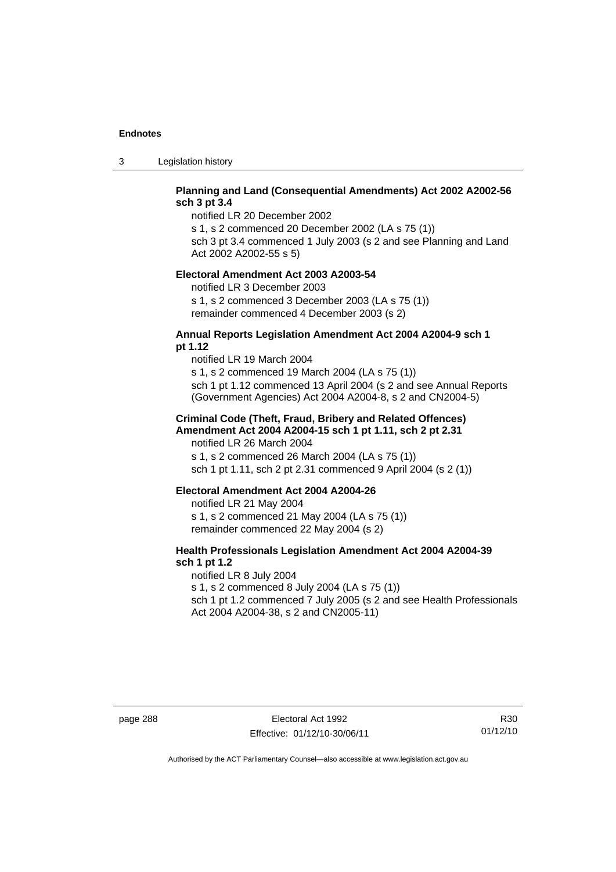3 Legislation history

## **Planning and Land (Consequential Amendments) Act 2002 A2002-56 sch 3 pt 3.4**

notified LR 20 December 2002

s 1, s 2 commenced 20 December 2002 (LA s 75 (1)) sch 3 pt 3.4 commenced 1 July 2003 (s 2 and see Planning and Land

Act 2002 A2002-55 s 5)

#### **Electoral Amendment Act 2003 A2003-54**

notified LR 3 December 2003 s 1, s 2 commenced 3 December 2003 (LA s 75 (1)) remainder commenced 4 December 2003 (s 2)

### **Annual Reports Legislation Amendment Act 2004 A2004-9 sch 1 pt 1.12**

notified LR 19 March 2004 s 1, s 2 commenced 19 March 2004 (LA s 75 (1)) sch 1 pt 1.12 commenced 13 April 2004 (s 2 and see Annual Reports (Government Agencies) Act 2004 A2004-8, s 2 and CN2004-5)

### **Criminal Code (Theft, Fraud, Bribery and Related Offences) Amendment Act 2004 A2004-15 sch 1 pt 1.11, sch 2 pt 2.31**

notified LR 26 March 2004 s 1, s 2 commenced 26 March 2004 (LA s 75 (1)) sch 1 pt 1.11, sch 2 pt 2.31 commenced 9 April 2004 (s 2 (1))

#### **Electoral Amendment Act 2004 A2004-26**

notified LR 21 May 2004 s 1, s 2 commenced 21 May 2004 (LA s 75 (1)) remainder commenced 22 May 2004 (s 2)

## **Health Professionals Legislation Amendment Act 2004 A2004-39 sch 1 pt 1.2**

notified LR 8 July 2004 s 1, s 2 commenced 8 July 2004 (LA s 75 (1)) sch 1 pt 1.2 commenced 7 July 2005 (s 2 and see Health Professionals Act 2004 A2004-38, s 2 and CN2005-11)

page 288 Electoral Act 1992 Effective: 01/12/10-30/06/11

R30 01/12/10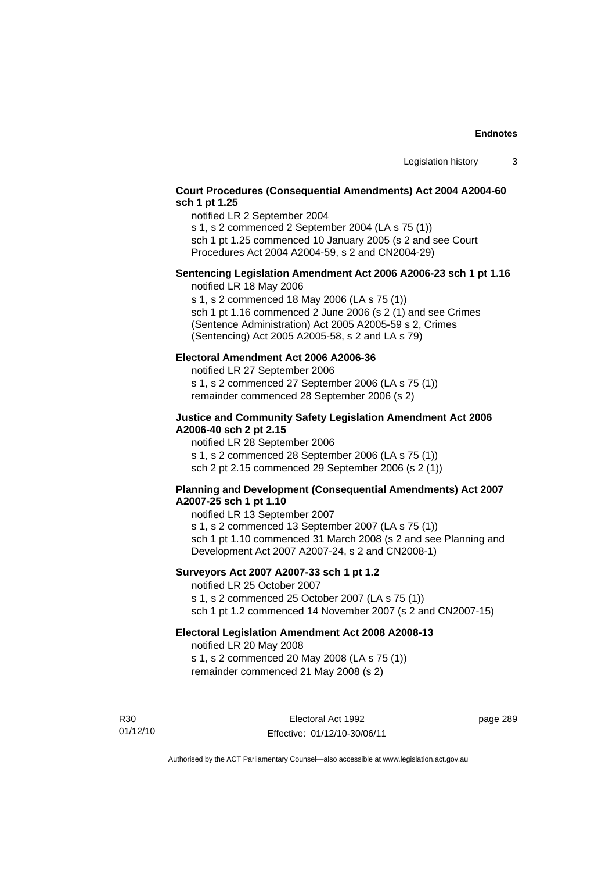## **Court Procedures (Consequential Amendments) Act 2004 A2004-60 sch 1 pt 1.25**

notified LR 2 September 2004

s 1, s 2 commenced 2 September 2004 (LA s 75 (1))

sch 1 pt 1.25 commenced 10 January 2005 (s 2 and see Court Procedures Act 2004 A2004-59, s 2 and CN2004-29)

## **Sentencing Legislation Amendment Act 2006 A2006-23 sch 1 pt 1.16**

notified LR 18 May 2006

s 1, s 2 commenced 18 May 2006 (LA s 75 (1)) sch 1 pt 1.16 commenced 2 June 2006 (s 2 (1) and see Crimes (Sentence Administration) Act 2005 A2005-59 s 2, Crimes (Sentencing) Act 2005 A2005-58, s 2 and LA s 79)

## **Electoral Amendment Act 2006 A2006-36**

notified LR 27 September 2006 s 1, s 2 commenced 27 September 2006 (LA s 75 (1)) remainder commenced 28 September 2006 (s 2)

## **Justice and Community Safety Legislation Amendment Act 2006 A2006-40 sch 2 pt 2.15**

notified LR 28 September 2006 s 1, s 2 commenced 28 September 2006 (LA s 75 (1)) sch 2 pt 2.15 commenced 29 September 2006 (s 2 (1))

## **Planning and Development (Consequential Amendments) Act 2007 A2007-25 sch 1 pt 1.10**

notified LR 13 September 2007 s 1, s 2 commenced 13 September 2007 (LA s 75 (1)) sch 1 pt 1.10 commenced 31 March 2008 (s 2 and see Planning and Development Act 2007 A2007-24, s 2 and CN2008-1)

## **Surveyors Act 2007 A2007-33 sch 1 pt 1.2**

notified LR 25 October 2007 s 1, s 2 commenced 25 October 2007 (LA s 75 (1)) sch 1 pt 1.2 commenced 14 November 2007 (s 2 and CN2007-15)

### **Electoral Legislation Amendment Act 2008 A2008-13**

notified LR 20 May 2008 s 1, s 2 commenced 20 May 2008 (LA s 75 (1)) remainder commenced 21 May 2008 (s 2)

R30 01/12/10

Electoral Act 1992 Effective: 01/12/10-30/06/11 page 289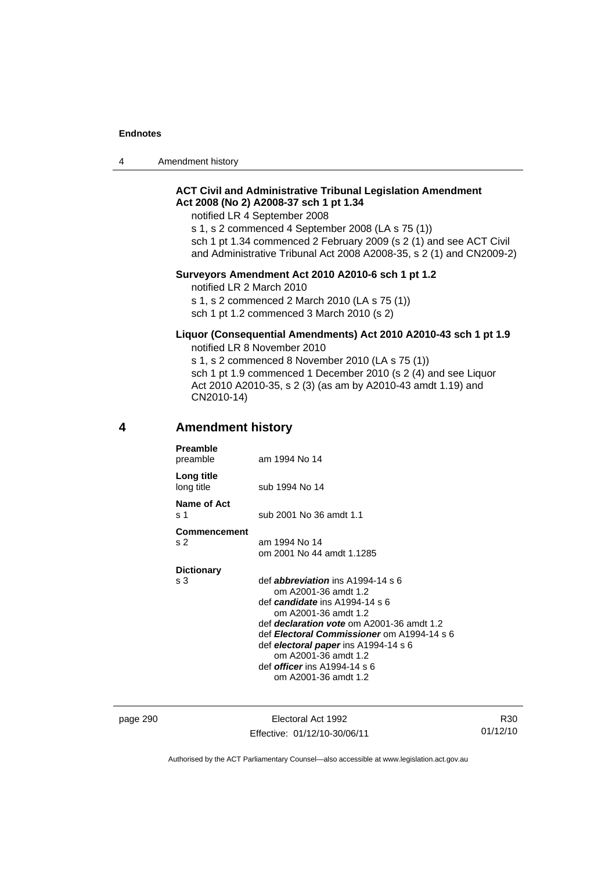4 Amendment history

## **ACT Civil and Administrative Tribunal Legislation Amendment Act 2008 (No 2) A2008-37 sch 1 pt 1.34**

notified LR 4 September 2008

s 1, s 2 commenced 4 September 2008 (LA s 75 (1)) sch 1 pt 1.34 commenced 2 February 2009 (s 2 (1) and see ACT Civil and Administrative Tribunal Act 2008 A2008-35, s 2 (1) and CN2009-2)

### **Surveyors Amendment Act 2010 A2010-6 sch 1 pt 1.2**

notified LR 2 March 2010 s 1, s 2 commenced 2 March 2010 (LA s 75 (1)) sch 1 pt 1.2 commenced 3 March 2010 (s 2)

#### **Liquor (Consequential Amendments) Act 2010 A2010-43 sch 1 pt 1.9**  notified LR 8 November 2010

s 1, s 2 commenced 8 November 2010 (LA s 75 (1)) sch 1 pt 1.9 commenced 1 December 2010 (s 2 (4) and see Liquor Act 2010 A2010-35, s 2 (3) (as am by A2010-43 amdt 1.19) and CN2010-14)

## **4 Amendment history**

| <b>Preamble</b><br>preamble           | am 1994 No 14                                                                                                                                                                                                                                                                                                                                                 |
|---------------------------------------|---------------------------------------------------------------------------------------------------------------------------------------------------------------------------------------------------------------------------------------------------------------------------------------------------------------------------------------------------------------|
| Long title<br>long title              | sub 1994 No 14                                                                                                                                                                                                                                                                                                                                                |
| Name of Act<br>s 1                    | sub 2001 No 36 amdt 1.1                                                                                                                                                                                                                                                                                                                                       |
| <b>Commencement</b><br>S <sub>2</sub> | am 1994 No 14<br>om 2001 No 44 amdt 1.1285                                                                                                                                                                                                                                                                                                                    |
| <b>Dictionary</b><br>s 3              | def <b>abbreviation</b> ins $A1994-14 s 6$<br>om A2001-36 amdt 1.2<br>def candidate ins A1994-14 s 6<br>om A2001-36 amdt 1.2<br>def <i>declaration vote</i> om A2001-36 amdt 1.2<br>def Electoral Commissioner om A1994-14 s 6<br>def electoral paper ins A1994-14 s 6<br>om A2001-36 amdt 1.2<br>def <i>officer</i> ins A1994-14 s 6<br>om A2001-36 amdt 1.2 |

page 290 **Electoral Act 1992** Effective: 01/12/10-30/06/11

R30 01/12/10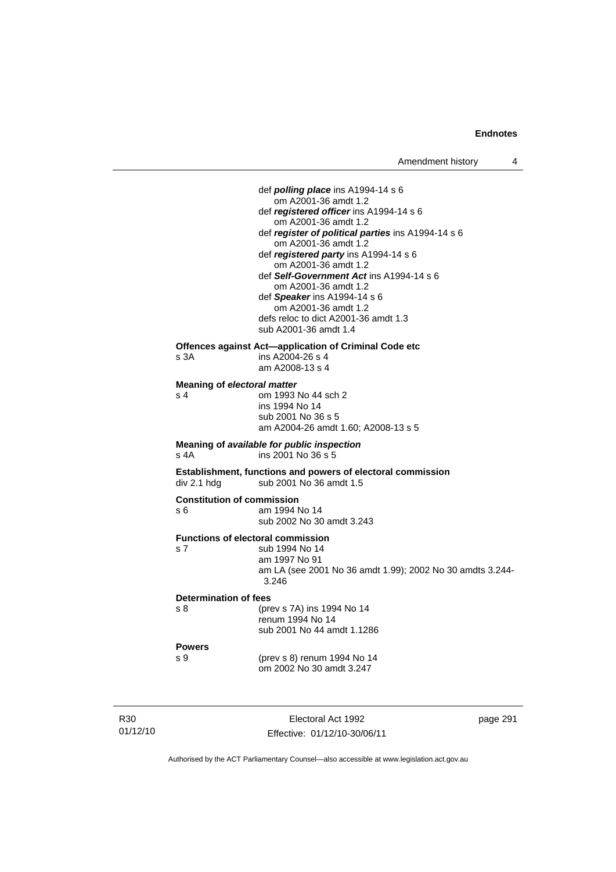def *polling place* ins A1994-14 s 6 om A2001-36 amdt 1.2 def *registered officer* ins A1994-14 s 6 om A2001-36 amdt 1.2 def *register of political parties* ins A1994-14 s 6 om A2001-36 amdt 1.2 def *registered party* ins A1994-14 s 6 om A2001-36 amdt 1.2 def *Self-Government Act* ins A1994-14 s 6 om A2001-36 amdt 1.2 def *Speaker* ins A1994-14 s 6 om A2001-36 amdt 1.2 defs reloc to dict A2001-36 amdt 1.3 sub A2001-36 amdt 1.4 **Offences against Act—application of Criminal Code etc**  s 3A ins A2004-26 s 4 am A2008-13 s 4 **Meaning of** *electoral matter* s 4 om 1993 No 44 sch 2 ins 1994 No 14 sub 2001 No 36 s 5 am A2004-26 amdt 1.60; A2008-13 s 5 **Meaning of** *available for public inspection* s 4A ins 2001 No 36 s 5 **Establishment, functions and powers of electoral commission div 2.1 hdg sub 2001 No 36 amdt 1.5** sub 2001 No 36 amdt 1.5 **Constitution of commission**  s 6 am 1994 No 14 sub 2002 No 30 amdt 3.243 **Functions of electoral commission**  s 7 sub 1994 No 14 am 1997 No 91 am LA (see 2001 No 36 amdt 1.99); 2002 No 30 amdts 3.244- 3.246 **Determination of fees**  s 8 (prev s 7A) ins 1994 No 14 renum 1994 No 14 sub 2001 No 44 amdt 1.1286 **Powers**  s 9 (prev s 8) renum 1994 No 14 om 2002 No 30 amdt 3.247

R30 01/12/10

Electoral Act 1992 Effective: 01/12/10-30/06/11 page 291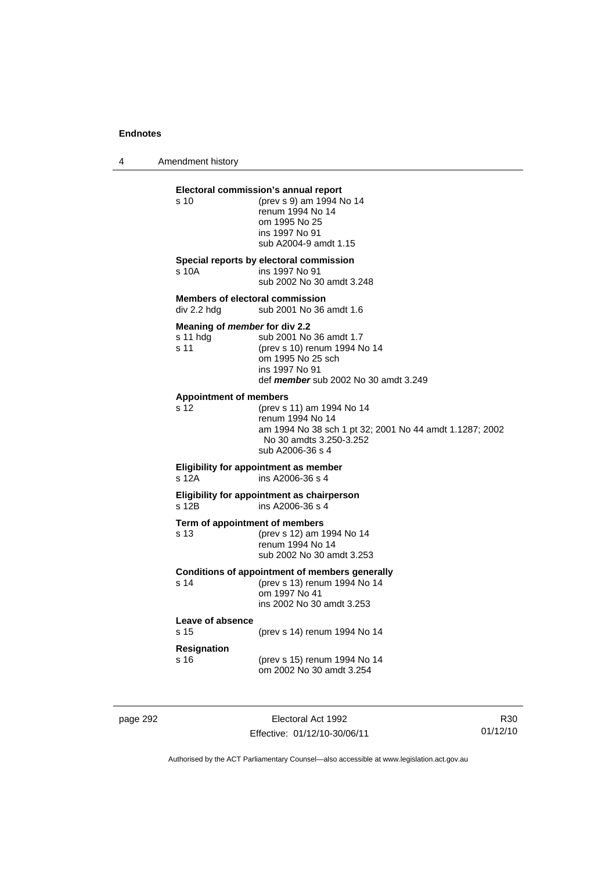4 Amendment history

| s 10                                                  | Electoral commission's annual report<br>(prev s 9) am 1994 No 14<br>renum 1994 No 14<br>om 1995 No 25<br>ins 1997 No 91<br>sub A2004-9 amdt 1.15        |
|-------------------------------------------------------|---------------------------------------------------------------------------------------------------------------------------------------------------------|
| s 10A                                                 | Special reports by electoral commission<br>ins 1997 No 91<br>sub 2002 No 30 amdt 3.248                                                                  |
| <b>Members of electoral commission</b><br>div 2.2 hdg | sub 2001 No 36 amdt 1.6                                                                                                                                 |
| Meaning of member for div 2.2<br>s 11 hdg<br>s 11     | sub 2001 No 36 amdt 1.7<br>(prev s 10) renum 1994 No 14<br>om 1995 No 25 sch<br>ins 1997 No 91<br>def member sub 2002 No 30 amdt 3.249                  |
| <b>Appointment of members</b><br>s 12                 | (prev s 11) am 1994 No 14<br>renum 1994 No 14<br>am 1994 No 38 sch 1 pt 32; 2001 No 44 amdt 1.1287; 2002<br>No 30 amdts 3.250-3.252<br>sub A2006-36 s 4 |
| s 12A                                                 | Eligibility for appointment as member<br>ins A2006-36 s 4                                                                                               |
| s 12B                                                 | Eligibility for appointment as chairperson<br>ins A2006-36 s 4                                                                                          |
| Term of appointment of members<br>s 13                | (prev s 12) am 1994 No 14<br>renum 1994 No 14<br>sub 2002 No 30 amdt 3.253                                                                              |
| s 14                                                  | <b>Conditions of appointment of members generally</b><br>(prev s 13) renum 1994 No 14<br>om 1997 No 41<br>ins 2002 No 30 amdt 3.253                     |
| Leave of absence<br>s 15                              | (prev s 14) renum 1994 No 14                                                                                                                            |
| <b>Resignation</b><br>s 16                            | (prev s 15) renum 1994 No 14<br>om 2002 No 30 amdt 3.254                                                                                                |

page 292 Electoral Act 1992 Effective: 01/12/10-30/06/11

R30 01/12/10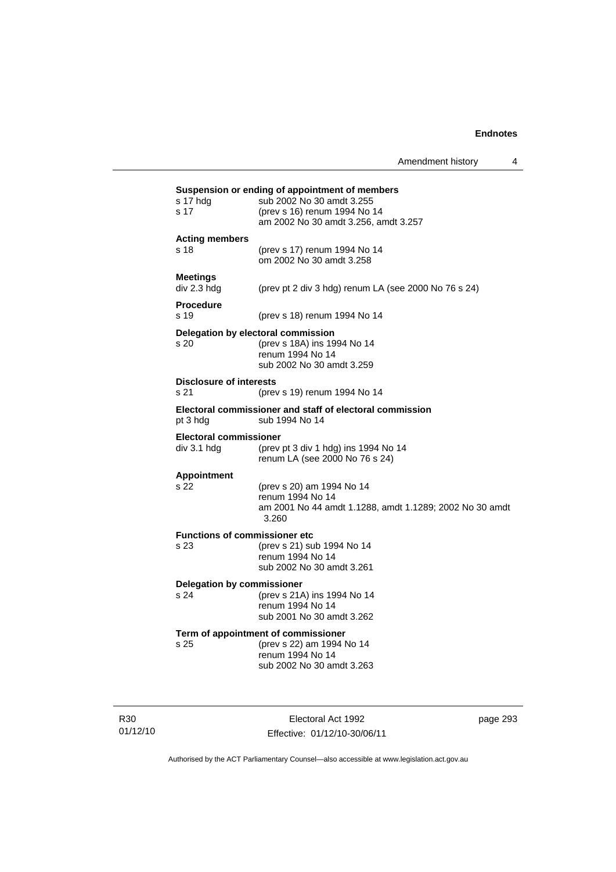| s 17 hdg                       | sub 2002 No 30 amdt 3.255                                                  |
|--------------------------------|----------------------------------------------------------------------------|
| s 17                           | (prev s 16) renum 1994 No 14                                               |
|                                | am 2002 No 30 amdt 3.256, amdt 3.257                                       |
| <b>Acting members</b>          |                                                                            |
| s 18                           | (prev s 17) renum 1994 No 14                                               |
|                                | om 2002 No 30 amdt 3.258                                                   |
| <b>Meetings</b>                |                                                                            |
| div 2.3 hdg                    | (prev pt 2 div 3 hdg) renum LA (see 2000 No 76 s 24)                       |
| <b>Procedure</b>               |                                                                            |
| s <sub>19</sub>                | (prev s 18) renum 1994 No 14                                               |
|                                |                                                                            |
| s 20                           | Delegation by electoral commission<br>(prev s 18A) ins 1994 No 14          |
|                                | renum 1994 No 14                                                           |
|                                | sub 2002 No 30 amdt 3.259                                                  |
| <b>Disclosure of interests</b> |                                                                            |
| s 21                           | (prev s 19) renum 1994 No 14                                               |
|                                |                                                                            |
| pt 3 hdg                       | Electoral commissioner and staff of electoral commission<br>sub 1994 No 14 |
|                                |                                                                            |
| Electoral commissioner         |                                                                            |
| div 3.1 hdg                    | (prev pt 3 div 1 hdg) ins 1994 No 14                                       |
|                                | renum LA (see 2000 No 76 s 24)                                             |
| <b>Appointment</b>             |                                                                            |
| s 22                           | (prev s 20) am 1994 No 14                                                  |
|                                | renum 1994 No 14                                                           |
|                                | am 2001 No 44 amdt 1.1288, amdt 1.1289; 2002 No 30 amdt<br>3.260           |
|                                | <b>Functions of commissioner etc</b>                                       |
| s 23                           | (prev s 21) sub 1994 No 14                                                 |
|                                | renum 1994 No 14                                                           |
|                                | sub 2002 No 30 amdt 3.261                                                  |
|                                | <b>Delegation by commissioner</b>                                          |
| s 24                           | (prev s 21A) ins 1994 No 14                                                |
|                                | renum 1994 No 14                                                           |
|                                | sub 2001 No 30 amdt 3.262                                                  |
|                                | Term of appointment of commissioner                                        |
|                                |                                                                            |
| s 25                           | (prev s 22) am 1994 No 14                                                  |
|                                | renum 1994 No 14<br>sub 2002 No 30 amdt 3.263                              |

R30 01/12/10

Electoral Act 1992 Effective: 01/12/10-30/06/11 page 293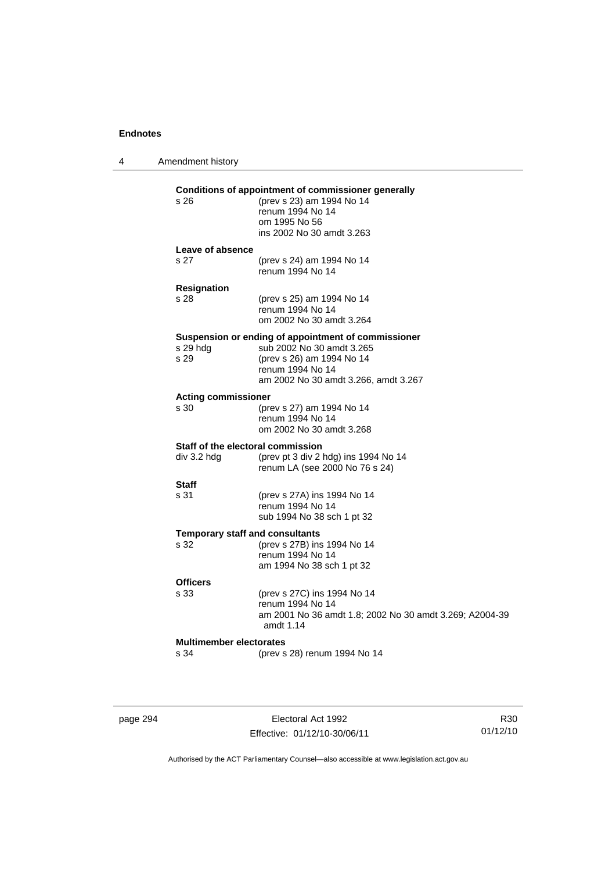| 4 | Amendment history                                |                                                                                                                                                                           |
|---|--------------------------------------------------|---------------------------------------------------------------------------------------------------------------------------------------------------------------------------|
|   | s 26                                             | Conditions of appointment of commissioner generally<br>(prev s 23) am 1994 No 14<br>renum 1994 No 14<br>om 1995 No 56<br>ins 2002 No 30 amdt 3.263                        |
|   | Leave of absence<br>s <sub>27</sub>              | (prev s 24) am 1994 No 14<br>renum 1994 No 14                                                                                                                             |
|   | <b>Resignation</b><br>s 28                       | (prev s 25) am 1994 No 14<br>renum 1994 No 14<br>om 2002 No 30 amdt 3.264                                                                                                 |
|   | s 29 hdg<br>s 29                                 | Suspension or ending of appointment of commissioner<br>sub 2002 No 30 amdt 3.265<br>(prev s 26) am 1994 No 14<br>renum 1994 No 14<br>am 2002 No 30 amdt 3.266, amdt 3.267 |
|   | <b>Acting commissioner</b><br>s 30               | (prev s 27) am 1994 No 14<br>renum 1994 No 14<br>om 2002 No 30 amdt 3.268                                                                                                 |
|   | Staff of the electoral commission<br>div 3.2 hdg | (prev pt 3 div 2 hdg) ins 1994 No 14<br>renum LA (see 2000 No 76 s 24)                                                                                                    |
|   | <b>Staff</b><br>s 31                             | (prev s 27A) ins 1994 No 14<br>renum 1994 No 14<br>sub 1994 No 38 sch 1 pt 32                                                                                             |
|   | <b>Temporary staff and consultants</b><br>s 32   | (prev s 27B) ins 1994 No 14<br>renum 1994 No 14<br>am 1994 No 38 sch 1 pt 32                                                                                              |
|   | <b>Officers</b><br>s 33                          | (prev s 27C) ins 1994 No 14<br>renum 1994 No 14<br>am 2001 No 36 amdt 1.8; 2002 No 30 amdt 3.269; A2004-39<br>amdt 1.14                                                   |
|   | <b>Multimember electorates</b><br>s 34           | (prev s 28) renum 1994 No 14                                                                                                                                              |

page 294 Electoral Act 1992 Effective: 01/12/10-30/06/11

R30 01/12/10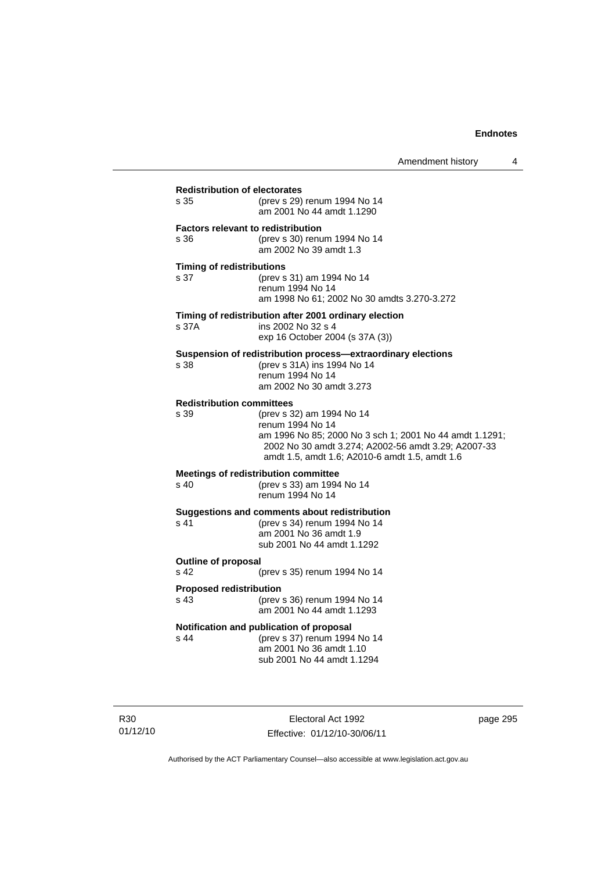| s 35                                     | (prev s 29) renum 1994 No 14<br>am 2001 No 44 amdt 1.1290                                                                                                                                                         |
|------------------------------------------|-------------------------------------------------------------------------------------------------------------------------------------------------------------------------------------------------------------------|
| s 36                                     | <b>Factors relevant to redistribution</b><br>(prev s 30) renum 1994 No 14<br>am 2002 No 39 amdt 1.3                                                                                                               |
| <b>Timing of redistributions</b><br>s 37 | (prev s 31) am 1994 No 14<br>renum 1994 No 14<br>am 1998 No 61; 2002 No 30 amdts 3.270-3.272                                                                                                                      |
| s 37A                                    | Timing of redistribution after 2001 ordinary election<br>ins 2002 No 32 s 4<br>exp 16 October 2004 (s 37A (3))                                                                                                    |
| s 38                                     | Suspension of redistribution process-extraordinary elections<br>(prev s 31A) ins 1994 No 14<br>renum 1994 No 14<br>am 2002 No 30 amdt 3.273                                                                       |
| <b>Redistribution committees</b><br>s 39 | (prev s 32) am 1994 No 14<br>renum 1994 No 14<br>am 1996 No 85; 2000 No 3 sch 1; 2001 No 44 amdt 1.1291;<br>2002 No 30 amdt 3.274; A2002-56 amdt 3.29; A2007-33<br>amdt 1.5, amdt 1.6; A2010-6 amdt 1.5, amdt 1.6 |
| s <sub>40</sub>                          | <b>Meetings of redistribution committee</b><br>(prev s 33) am 1994 No 14<br>renum 1994 No 14                                                                                                                      |
| s 41                                     | Suggestions and comments about redistribution<br>(prev s 34) renum 1994 No 14<br>am 2001 No 36 amdt 1.9<br>sub 2001 No 44 amdt 1.1292                                                                             |
| <b>Outline of proposal</b><br>s 42       | (prev s 35) renum 1994 No 14                                                                                                                                                                                      |
| <b>Proposed redistribution</b><br>s 43   | (prev s 36) renum 1994 No 14<br>am 2001 No 44 amdt 1.1293                                                                                                                                                         |
| s 44                                     | Notification and publication of proposal<br>(prev s 37) renum 1994 No 14<br>am 2001 No 36 amdt 1.10<br>sub 2001 No 44 amdt 1.1294                                                                                 |

R30 01/12/10

Electoral Act 1992 Effective: 01/12/10-30/06/11 page 295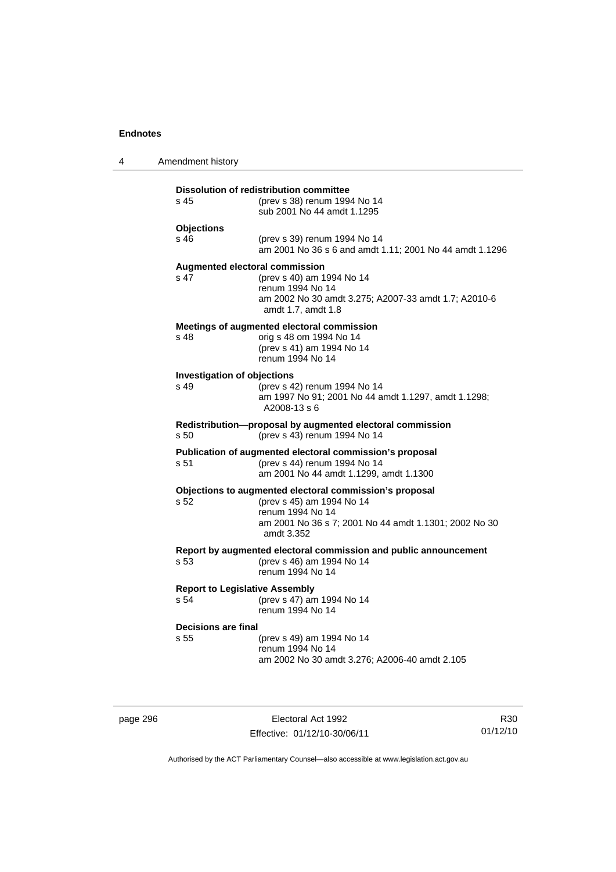| 4 | Amendment history                                                                                                    |                                                                                                                                                                                 |  |
|---|----------------------------------------------------------------------------------------------------------------------|---------------------------------------------------------------------------------------------------------------------------------------------------------------------------------|--|
|   | <b>Dissolution of redistribution committee</b><br>s 45<br>(prev s 38) renum 1994 No 14<br>sub 2001 No 44 amdt 1.1295 |                                                                                                                                                                                 |  |
|   | <b>Objections</b><br>s 46                                                                                            | (prev s 39) renum 1994 No 14<br>am 2001 No 36 s 6 and amdt 1.11; 2001 No 44 amdt 1.1296                                                                                         |  |
|   | s 47                                                                                                                 | <b>Augmented electoral commission</b><br>(prev s 40) am 1994 No 14<br>renum 1994 No 14<br>am 2002 No 30 amdt 3.275; A2007-33 amdt 1.7; A2010-6<br>amdt 1.7, amdt 1.8            |  |
|   | s 48                                                                                                                 | Meetings of augmented electoral commission<br>orig s 48 om 1994 No 14<br>(prev s 41) am 1994 No 14<br>renum 1994 No 14                                                          |  |
|   | <b>Investigation of objections</b><br>s 49                                                                           | (prev s 42) renum 1994 No 14<br>am 1997 No 91; 2001 No 44 amdt 1.1297, amdt 1.1298;<br>A2008-13 s 6                                                                             |  |
|   | s 50                                                                                                                 | Redistribution-proposal by augmented electoral commission<br>(prev s 43) renum 1994 No 14                                                                                       |  |
|   | s 51                                                                                                                 | Publication of augmented electoral commission's proposal<br>(prev s 44) renum 1994 No 14<br>am 2001 No 44 amdt 1.1299, amdt 1.1300                                              |  |
|   | s 52                                                                                                                 | Objections to augmented electoral commission's proposal<br>(prev s 45) am 1994 No 14<br>renum 1994 No 14<br>am 2001 No 36 s 7; 2001 No 44 amdt 1.1301; 2002 No 30<br>amdt 3.352 |  |
|   | s 53                                                                                                                 | Report by augmented electoral commission and public announcement<br>(prev s 46) am 1994 No 14<br>renum 1994 No 14                                                               |  |
|   | <b>Report to Legislative Assembly</b><br>s 54                                                                        | (prev s 47) am 1994 No 14<br>renum 1994 No 14                                                                                                                                   |  |
|   | Decisions are final<br>s 55                                                                                          | (prev s 49) am 1994 No 14<br>renum 1994 No 14<br>am 2002 No 30 amdt 3.276; A2006-40 amdt 2.105                                                                                  |  |

page 296 Electoral Act 1992 Effective: 01/12/10-30/06/11

R30 01/12/10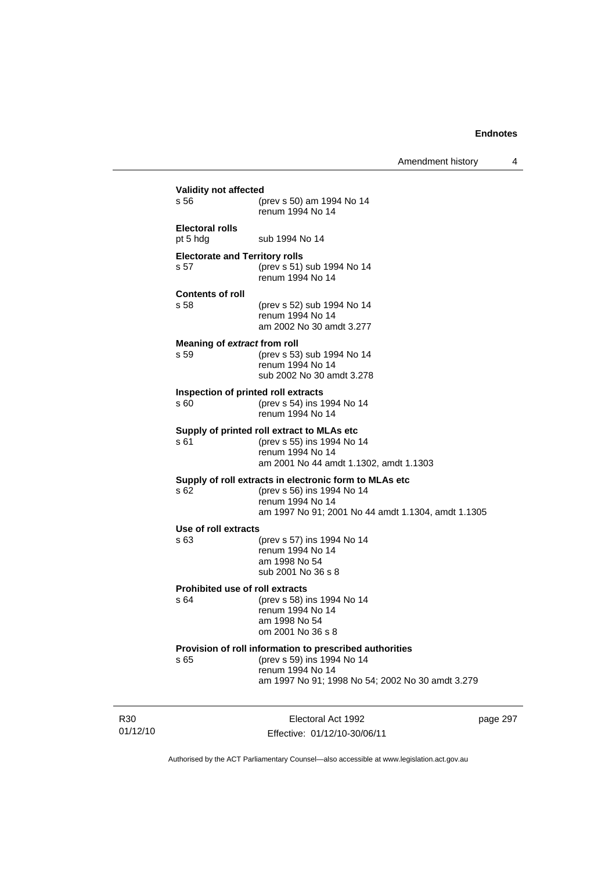| s 56                                          | (prev s 50) am 1994 No 14<br>renum 1994 No 14                                                                                                                   |
|-----------------------------------------------|-----------------------------------------------------------------------------------------------------------------------------------------------------------------|
| <b>Electoral rolls</b><br>pt 5 hdg            | sub 1994 No 14                                                                                                                                                  |
| <b>Electorate and Territory rolls</b><br>s 57 | (prev s 51) sub 1994 No 14<br>renum 1994 No 14                                                                                                                  |
| <b>Contents of roll</b><br>s.58               | (prev s 52) sub 1994 No 14<br>renum 1994 No 14<br>am 2002 No 30 amdt 3.277                                                                                      |
| Meaning of extract from roll<br>s 59          | (prev s 53) sub 1994 No 14<br>renum 1994 No 14<br>sub 2002 No 30 amdt 3.278                                                                                     |
| s 60                                          | Inspection of printed roll extracts<br>(prev s 54) ins 1994 No 14<br>renum 1994 No 14                                                                           |
| s 61                                          | Supply of printed roll extract to MLAs etc<br>(prev s 55) ins 1994 No 14<br>renum 1994 No 14<br>am 2001 No 44 amdt 1.1302, amdt 1.1303                          |
| s 62                                          | Supply of roll extracts in electronic form to MLAs etc.<br>(prev s 56) ins 1994 No 14<br>renum 1994 No 14<br>am 1997 No 91; 2001 No 44 amdt 1.1304, amdt 1.1305 |
| Use of roll extracts                          |                                                                                                                                                                 |
| s 63                                          | (prev s 57) ins 1994 No 14<br>renum 1994 No 14<br>am 1998 No 54<br>sub 2001 No 36 s 8                                                                           |
| s 64                                          | <b>Prohibited use of roll extracts</b><br>(prev s 58) ins 1994 No 14<br>renum 1994 No 14<br>am 1998 No 54<br>om 2001 No 36 s 8                                  |
| s 65                                          | Provision of roll information to prescribed authorities<br>(prev s 59) ins 1994 No 14<br>renum 1994 No 14<br>am 1997 No 91; 1998 No 54; 2002 No 30 amdt 3.279   |

R30 01/12/10

Electoral Act 1992 Effective: 01/12/10-30/06/11 page 297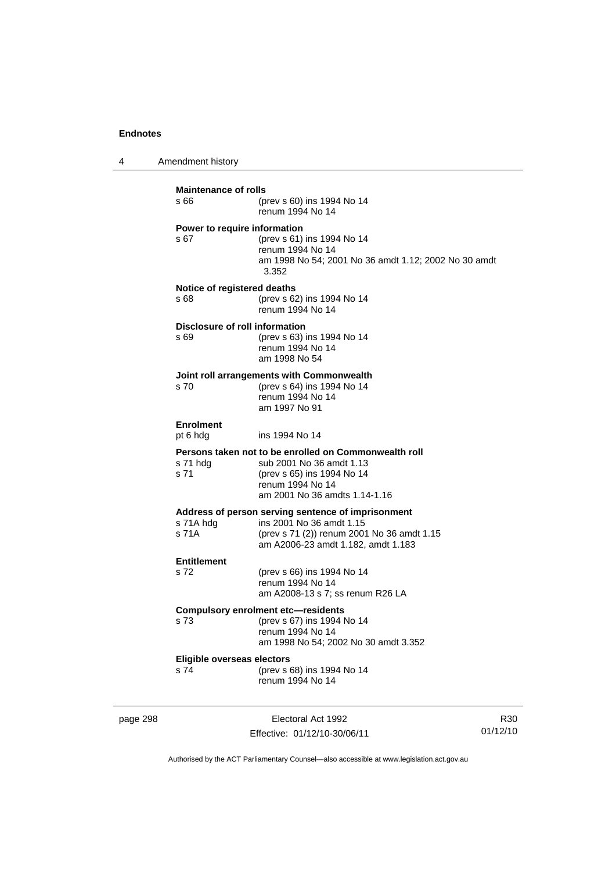4 Amendment history

|          | <b>Maintenance of rolls</b><br>s 66    | (prev s 60) ins 1994 No 14<br>renum 1994 No 14                                                                                                                       |
|----------|----------------------------------------|----------------------------------------------------------------------------------------------------------------------------------------------------------------------|
|          | Power to require information<br>s 67   | (prev s 61) ins 1994 No 14<br>renum 1994 No 14<br>am 1998 No 54; 2001 No 36 amdt 1.12; 2002 No 30 amdt<br>3.352                                                      |
|          | Notice of registered deaths<br>s 68    | (prev s 62) ins 1994 No 14<br>renum 1994 No 14                                                                                                                       |
|          | Disclosure of roll information<br>s 69 | (prev s 63) ins 1994 No 14<br>renum 1994 No 14<br>am 1998 No 54                                                                                                      |
|          | s 70                                   | Joint roll arrangements with Commonwealth<br>(prev s 64) ins 1994 No 14<br>renum 1994 No 14<br>am 1997 No 91                                                         |
|          | <b>Enrolment</b><br>pt 6 hdg           | ins 1994 No 14                                                                                                                                                       |
|          | s 71 hdg<br>s 71                       | Persons taken not to be enrolled on Commonwealth roll<br>sub 2001 No 36 amdt 1.13<br>(prev s 65) ins 1994 No 14<br>renum 1994 No 14<br>am 2001 No 36 amdts 1.14-1.16 |
|          | s 71A hdg<br>s 71A                     | Address of person serving sentence of imprisonment<br>ins 2001 No 36 amdt 1.15<br>(prev s 71 (2)) renum 2001 No 36 amdt 1.15<br>am A2006-23 amdt 1.182, amdt 1.183   |
|          | <b>Entitlement</b><br>s 72             | (prev s 66) ins 1994 No 14<br>renum 1994 No 14<br>am A2008-13 s 7; ss renum R26 LA                                                                                   |
|          | s 73                                   | <b>Compulsory enrolment etc—residents</b><br>(prev s 67) ins 1994 No 14<br>renum 1994 No 14<br>am 1998 No 54; 2002 No 30 amdt 3.352                                  |
|          | Eligible overseas electors<br>s 74     | (prev s 68) ins 1994 No 14<br>renum 1994 No 14                                                                                                                       |
| page 298 |                                        | Electoral Act 1992                                                                                                                                                   |

Effective: 01/12/10-30/06/11

R30 01/12/10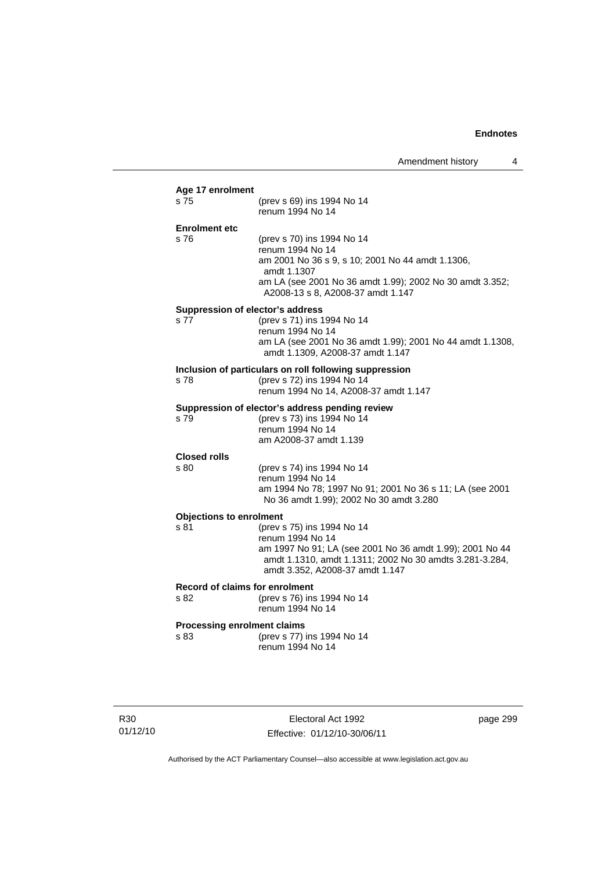|                                    | (prev s 69) ins 1994 No 14                                                                          |
|------------------------------------|-----------------------------------------------------------------------------------------------------|
|                                    | renum 1994 No 14                                                                                    |
| <b>Enrolment etc</b>               |                                                                                                     |
| s 76                               | (prev s 70) ins 1994 No 14                                                                          |
|                                    | renum 1994 No 14<br>am 2001 No 36 s 9, s 10; 2001 No 44 amdt 1.1306,                                |
|                                    | amdt 1.1307                                                                                         |
|                                    | am LA (see 2001 No 36 amdt 1.99); 2002 No 30 amdt 3.352;<br>A2008-13 s 8, A2008-37 amdt 1.147       |
|                                    | Suppression of elector's address                                                                    |
| s 77                               | (prev s 71) ins 1994 No 14                                                                          |
|                                    | renum 1994 No 14<br>am LA (see 2001 No 36 amdt 1.99); 2001 No 44 amdt 1.1308,                       |
|                                    | amdt 1.1309, A2008-37 amdt 1.147                                                                    |
|                                    | Inclusion of particulars on roll following suppression                                              |
| s 78                               | (prev s 72) ins 1994 No 14                                                                          |
|                                    | renum 1994 No 14, A2008-37 amdt 1.147                                                               |
|                                    | Suppression of elector's address pending review                                                     |
| s 79                               | (prev s 73) ins 1994 No 14<br>renum 1994 No 14                                                      |
|                                    | am A2008-37 amdt 1.139                                                                              |
| <b>Closed rolls</b>                |                                                                                                     |
| s 80                               | (prev s 74) ins 1994 No 14                                                                          |
|                                    | renum 1994 No 14                                                                                    |
|                                    | am 1994 No 78; 1997 No 91; 2001 No 36 s 11; LA (see 2001<br>No 36 amdt 1.99); 2002 No 30 amdt 3.280 |
| <b>Objections to enrolment</b>     |                                                                                                     |
| s 81                               | (prev s 75) ins 1994 No 14<br>renum 1994 No 14                                                      |
|                                    | am 1997 No 91; LA (see 2001 No 36 amdt 1.99); 2001 No 44                                            |
|                                    | amdt 1.1310, amdt 1.1311; 2002 No 30 amdts 3.281-3.284,<br>amdt 3.352, A2008-37 amdt 1.147          |
|                                    | Record of claims for enrolment                                                                      |
| s 82                               | (prev s 76) ins 1994 No 14<br>renum 1994 No 14                                                      |
| <b>Processing enrolment claims</b> |                                                                                                     |
| s 83                               | (prev s 77) ins 1994 No 14<br>renum 1994 No 14                                                      |

R30 01/12/10

Electoral Act 1992 Effective: 01/12/10-30/06/11 page 299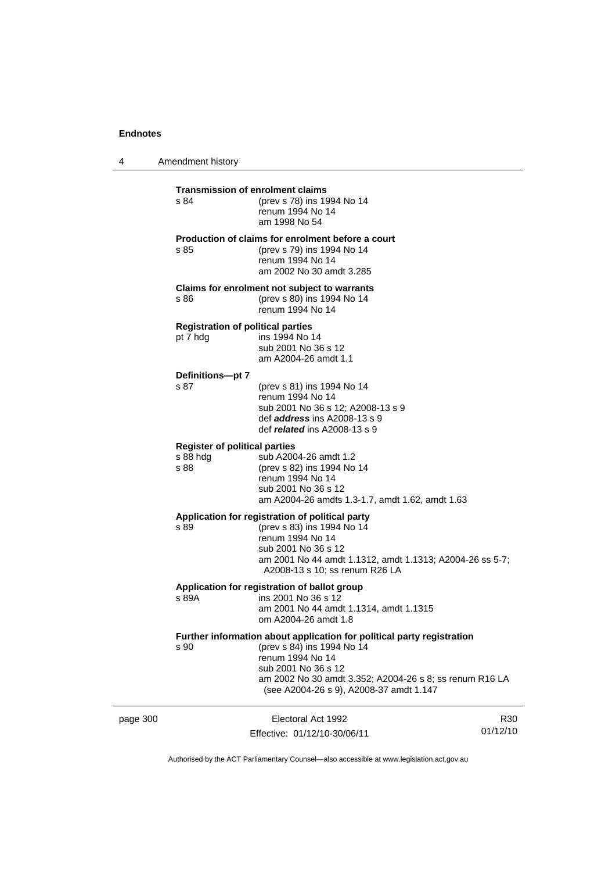4 Amendment history

|          | s 84                                                     | <b>Transmission of enrolment claims</b><br>(prev s 78) ins 1994 No 14<br>renum 1994 No 14<br>am 1998 No 54                                                                                                                                            |                             |
|----------|----------------------------------------------------------|-------------------------------------------------------------------------------------------------------------------------------------------------------------------------------------------------------------------------------------------------------|-----------------------------|
|          | s 85                                                     | Production of claims for enrolment before a court<br>(prev s 79) ins 1994 No 14<br>renum 1994 No 14<br>am 2002 No 30 amdt 3.285                                                                                                                       |                             |
|          | s 86                                                     | Claims for enrolment not subject to warrants<br>(prev s 80) ins 1994 No 14<br>renum 1994 No 14                                                                                                                                                        |                             |
|          | <b>Registration of political parties</b><br>pt 7 hdg     | ins 1994 No 14<br>sub 2001 No 36 s 12<br>am A2004-26 amdt 1.1                                                                                                                                                                                         |                             |
|          | Definitions-pt 7<br>s 87                                 | (prev s 81) ins 1994 No 14<br>renum 1994 No 14<br>sub 2001 No 36 s 12; A2008-13 s 9<br>def address ins A2008-13 s 9<br>def <i>related</i> ins A2008-13 s 9                                                                                            |                             |
|          | <b>Register of political parties</b><br>s 88 hdg<br>s 88 | sub A2004-26 amdt 1.2<br>(prev s 82) ins 1994 No 14<br>renum 1994 No 14<br>sub 2001 No 36 s 12<br>am A2004-26 amdts 1.3-1.7, amdt 1.62, amdt 1.63                                                                                                     |                             |
|          | s 89                                                     | Application for registration of political party<br>(prev s 83) ins 1994 No 14<br>renum 1994 No 14<br>sub 2001 No 36 s 12<br>am 2001 No 44 amdt 1.1312, amdt 1.1313; A2004-26 ss 5-7;<br>A2008-13 s 10; ss renum R26 LA                                |                             |
|          | s 89A                                                    | Application for registration of ballot group<br>ins 2001 No 36 s 12<br>am 2001 No 44 amdt 1.1314, amdt 1.1315<br>om A2004-26 amdt 1.8                                                                                                                 |                             |
|          | s 90                                                     | Further information about application for political party registration<br>(prev s 84) ins 1994 No 14<br>renum 1994 No 14<br>sub 2001 No 36 s 12<br>am 2002 No 30 amdt 3.352; A2004-26 s 8; ss renum R16 LA<br>(see A2004-26 s 9), A2008-37 amdt 1.147 |                             |
| page 300 |                                                          | Electoral Act 1992<br>Effective: 01/12/10-30/06/11                                                                                                                                                                                                    | R <sub>30</sub><br>01/12/10 |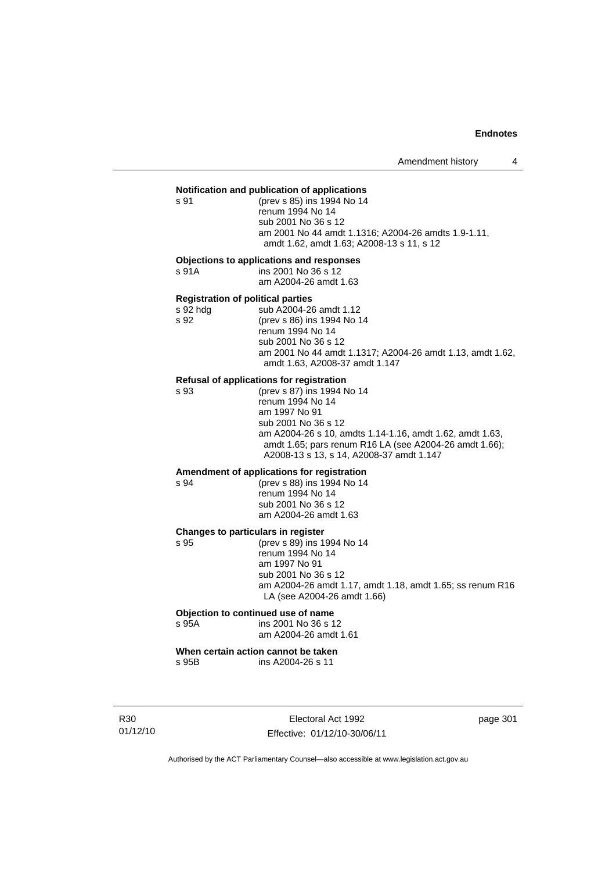# **Notification and publication of applications**

s 91 (prev s 85) ins 1994 No 14 renum 1994 No 14 sub 2001 No 36 s 12 am 2001 No 44 amdt 1.1316; A2004-26 amdts 1.9-1.11, amdt 1.62, amdt 1.63; A2008-13 s 11, s 12

#### **Objections to applications and responses**

s 91A ins 2001 No 36 s 12 am A2004-26 amdt 1.63

#### **Registration of political parties**

| s 92 hdg | sub A2004-26 amdt 1.12                                    |
|----------|-----------------------------------------------------------|
| s 92     | (prev s 86) ins 1994 No 14                                |
|          | renum 1994 No 14                                          |
|          | sub 2001 No 36 s 12                                       |
|          | am 2001 No 44 amdt 1.1317; A2004-26 amdt 1.13, amdt 1.62, |
|          | amdt 1.63, A2008-37 amdt 1.147                            |

#### **Refusal of applications for registration**

s 93 (prev s 87) ins 1994 No 14 renum 1994 No 14 am 1997 No 91 sub 2001 No 36 s 12 am A2004-26 s 10, amdts 1.14-1.16, amdt 1.62, amdt 1.63, amdt 1.65; pars renum R16 LA (see A2004-26 amdt 1.66); A2008-13 s 13, s 14, A2008-37 amdt 1.147

# **Amendment of applications for registration**

s 94 (prev s 88) ins 1994 No 14 renum 1994 No 14 sub 2001 No 36 s 12 am A2004-26 amdt 1.63

#### **Changes to particulars in register**

s 95 (prev s 89) ins 1994 No 14

 renum 1994 No 14 am 1997 No 91 sub 2001 No 36 s 12 am A2004-26 amdt 1.17, amdt 1.18, amdt 1.65; ss renum R16 LA (see A2004-26 amdt 1.66)

## **Objection to continued use of name**

#### s 95A ins 2001 No 36 s 12 am A2004-26 amdt 1.61

**When certain action cannot be taken**  s 95B ins A2004-26 s 11

R30 01/12/10

Electoral Act 1992 Effective: 01/12/10-30/06/11 page 301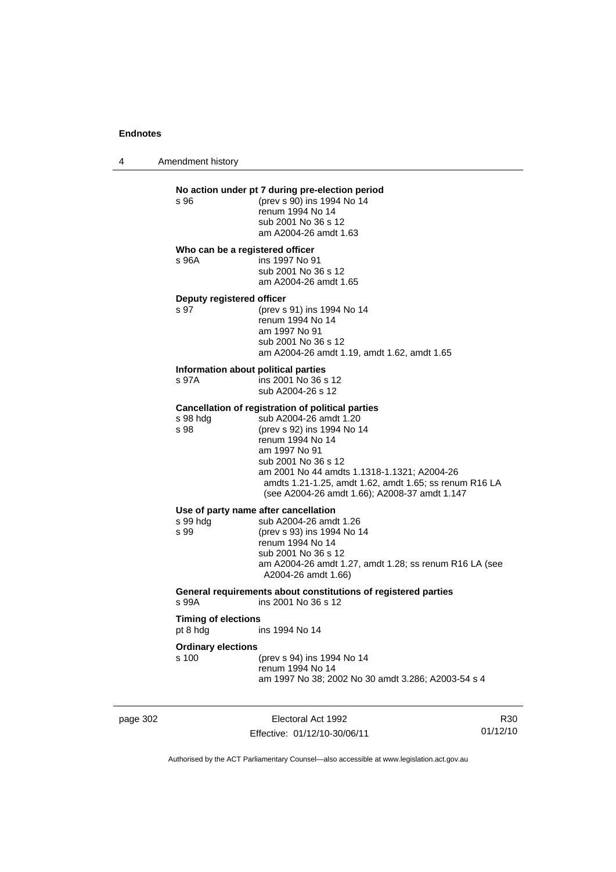4 Amendment history

# **No action under pt 7 during pre-election period**<br>s 96 (prev s 90) ins 1994 No 14

s 96 (prev s 90) ins 1994 No 14 renum 1994 No 14 sub 2001 No 36 s 12 am A2004-26 amdt 1.63

#### **Who can be a registered officer**

s 96A ins 1997 No 91 sub 2001 No 36 s 12 am A2004-26 amdt 1.65

# **Deputy registered officer**<br>s 97 (prev s

(prev s 91) ins 1994 No 14 renum 1994 No 14 am 1997 No 91 sub 2001 No 36 s 12 am A2004-26 amdt 1.19, amdt 1.62, amdt 1.65

#### **Information about political parties**

s 97A ins 2001 No 36 s 12 sub A2004-26 s 12

### **Cancellation of registration of political parties**

| s 98 hdg | sub A2004-26 amdt 1.20                                                                                  |
|----------|---------------------------------------------------------------------------------------------------------|
| s 98     | (prev s 92) ins 1994 No 14                                                                              |
|          | renum 1994 No 14                                                                                        |
|          | am 1997 No 91                                                                                           |
|          | sub 2001 No 36 s 12                                                                                     |
|          | am 2001 No 44 amdts 1.1318-1.1321; A2004-26                                                             |
|          | amdts 1.21-1.25, amdt 1.62, amdt 1.65; ss renum R16 LA<br>(see A2004-26 amdt 1.66); A2008-37 amdt 1.147 |
|          |                                                                                                         |

#### **Use of party name after cancellation**  4-26 amdt 1.26

| sub A2004-26 amdt 1.26     |
|----------------------------|
| (prev s 93) ins 1994 No 14 |
| renum 1994 No 14           |
| sub 2001 No 36 s 12        |
| am A2004-26 amdt 1.27, a   |
| A2004-26 amdt 1.66)        |
|                            |

-26 amdt 1.27, amdt 1.28; ss renum R16 LA (see 6 amdt 1.66) **General requirements about constitutions of registered parties** 

s 99A ins 2001 No 36 s 12

#### **Timing of elections**

pt 8 hdg ins 1994 No 14

#### **Ordinary elections**

| s 100 | (prev s 94) ins 1994 No 14                         |
|-------|----------------------------------------------------|
|       | renum 1994 No 14                                   |
|       | am 1997 No 38; 2002 No 30 amdt 3.286; A2003-54 s 4 |

page 302 Electoral Act 1992 Effective: 01/12/10-30/06/11

R30 01/12/10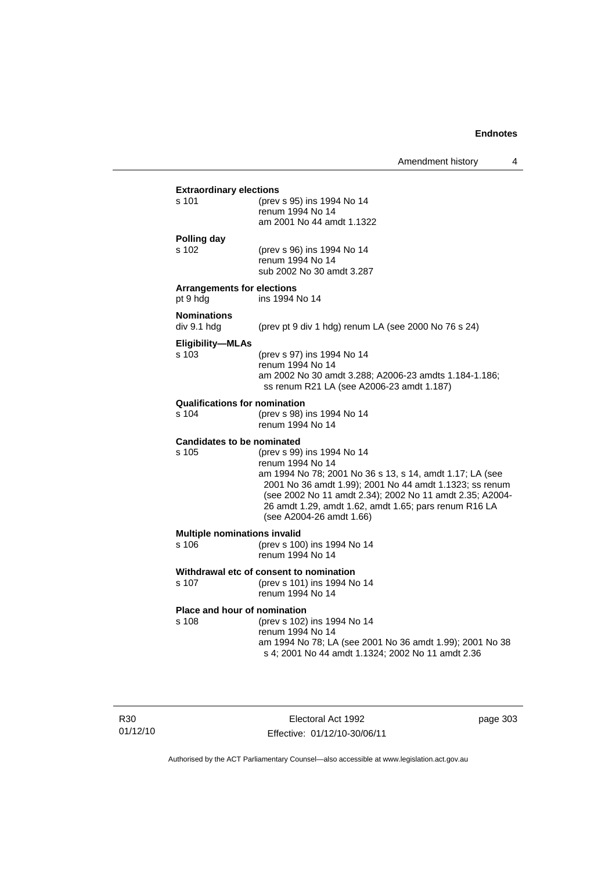#### **Extraordinary elections**

| s 101 | (prev s 95) ins 1994 No 14 |
|-------|----------------------------|
|       | renum 1994 No 14           |
|       | am 2001 No 44 amdt 1.1322  |
|       |                            |

#### **Polling day**

s 102 (prev s 96) ins 1994 No 14 renum 1994 No 14 sub 2002 No 30 amdt 3.287

#### **Arrangements for elections**

pt 9 hdg ins 1994 No 14

# **Nominations**

(prev pt 9 div 1 hdg) renum LA (see 2000 No 76 s 24)

#### **Eligibility—MLAs**

s 103 (prev s 97) ins 1994 No 14 renum 1994 No 14 am 2002 No 30 amdt 3.288; A2006-23 amdts 1.184-1.186; ss renum R21 LA (see A2006-23 amdt 1.187)

## **Qualifications for nomination**<br>s 104 (prev s 98)

(prev s 98) ins 1994 No 14 renum 1994 No 14

#### **Candidates to be nominated**

s 105 (prev s 99) ins 1994 No 14 renum 1994 No 14 am 1994 No 78; 2001 No 36 s 13, s 14, amdt 1.17; LA (see 2001 No 36 amdt 1.99); 2001 No 44 amdt 1.1323; ss renum (see 2002 No 11 amdt 2.34); 2002 No 11 amdt 2.35; A2004- 26 amdt 1.29, amdt 1.62, amdt 1.65; pars renum R16 LA (see A2004-26 amdt 1.66)

#### **Multiple nominations invalid**

s 106 (prev s 100) ins 1994 No 14 renum 1994 No 14

## **Withdrawal etc of consent to nomination**<br>s 107 (prev s 101) ins 1994 Ne

(prev s 101) ins 1994 No 14 renum 1994 No 14

#### **Place and hour of nomination**

#### s 108 (prev s 102) ins 1994 No 14 renum 1994 No 14 am 1994 No 78; LA (see 2001 No 36 amdt 1.99); 2001 No 38

s 4; 2001 No 44 amdt 1.1324; 2002 No 11 amdt 2.36

R30 01/12/10

Electoral Act 1992 Effective: 01/12/10-30/06/11 page 303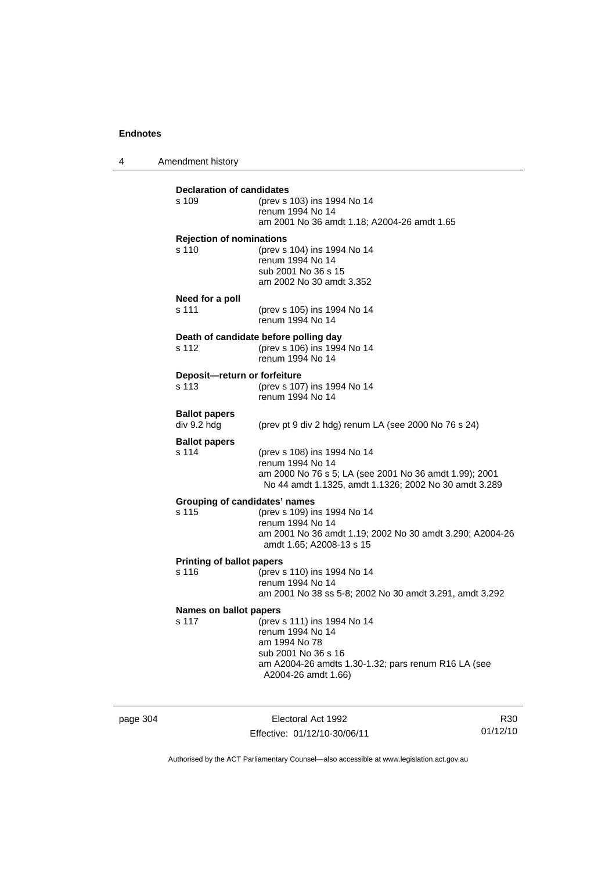4 Amendment history

| <b>Declaration of candidates</b><br>s 109     | (prev s 103) ins 1994 No 14<br>renum 1994 No 14<br>am 2001 No 36 amdt 1.18; A2004-26 amdt 1.65                                                                        |
|-----------------------------------------------|-----------------------------------------------------------------------------------------------------------------------------------------------------------------------|
| <b>Rejection of nominations</b><br>s 110      | (prev s 104) ins 1994 No 14<br>renum 1994 No 14<br>sub 2001 No 36 s 15<br>am 2002 No 30 amdt 3.352                                                                    |
| Need for a poll<br>s 111                      | (prev s 105) ins 1994 No 14<br>renum 1994 No 14                                                                                                                       |
| s 112                                         | Death of candidate before polling day<br>(prev s 106) ins 1994 No 14<br>renum 1994 No 14                                                                              |
| Deposit-return or forfeiture<br>s 113         | (prev s 107) ins 1994 No 14<br>renum 1994 No 14                                                                                                                       |
| <b>Ballot papers</b><br>div 9.2 hdg           | (prev pt 9 div 2 hdg) renum LA (see 2000 No 76 s 24)                                                                                                                  |
| <b>Ballot papers</b><br>s 114                 | (prev s 108) ins 1994 No 14<br>renum 1994 No 14<br>am 2000 No 76 s 5; LA (see 2001 No 36 amdt 1.99); 2001<br>No 44 amdt 1.1325, amdt 1.1326; 2002 No 30 amdt 3.289    |
| <b>Grouping of candidates' names</b><br>s 115 | (prev s 109) ins 1994 No 14<br>renum 1994 No 14<br>am 2001 No 36 amdt 1.19; 2002 No 30 amdt 3.290; A2004-26<br>amdt 1.65; A2008-13 s 15                               |
| <b>Printing of ballot papers</b><br>s 116     | (prev s 110) ins 1994 No 14<br>renum 1994 No 14<br>am 2001 No 38 ss 5-8; 2002 No 30 amdt 3.291, amdt 3.292                                                            |
| Names on ballot papers<br>s 117               | (prev s 111) ins 1994 No 14<br>renum 1994 No 14<br>am 1994 No 78<br>sub 2001 No 36 s 16<br>am A2004-26 amdts 1.30-1.32; pars renum R16 LA (see<br>A2004-26 amdt 1.66) |

page 304 Electoral Act 1992 Effective: 01/12/10-30/06/11

R30 01/12/10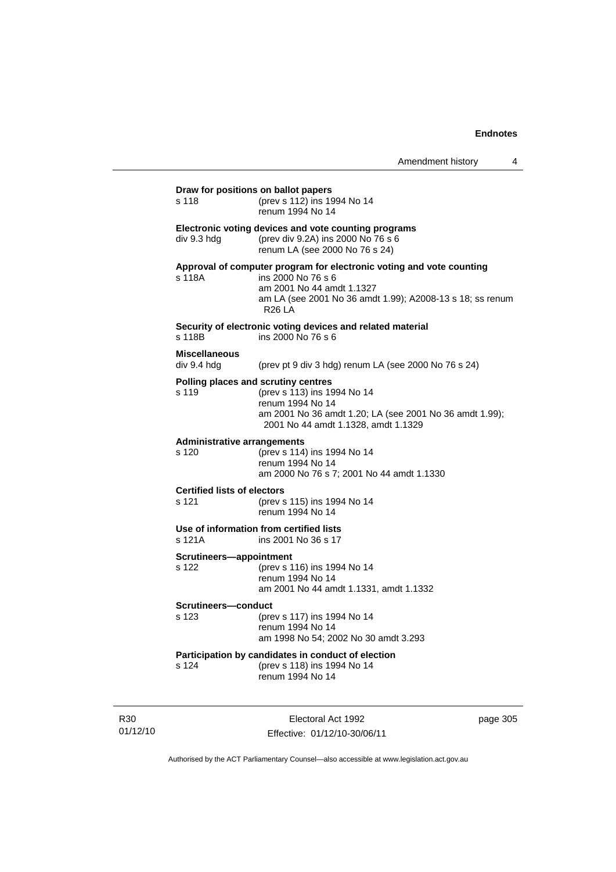| s 118                                       | (prev s 112) ins 1994 No 14<br>renum 1994 No 14                                                                                                                                                       |
|---------------------------------------------|-------------------------------------------------------------------------------------------------------------------------------------------------------------------------------------------------------|
| div 9.3 hdg                                 | Electronic voting devices and vote counting programs<br>(prev div 9.2A) ins 2000 No 76 s 6<br>renum LA (see 2000 No 76 s 24)                                                                          |
| s 118A                                      | Approval of computer program for electronic voting and vote counting<br>ins 2000 No 76 s 6<br>am 2001 No 44 amdt 1.1327<br>am LA (see 2001 No 36 amdt 1.99); A2008-13 s 18; ss renum<br><b>R26 LA</b> |
| s 118B                                      | Security of electronic voting devices and related material<br>ins 2000 No 76 s 6                                                                                                                      |
| <b>Miscellaneous</b><br>div 9.4 hdg         | (prev pt 9 div 3 hdg) renum LA (see 2000 No 76 s 24)                                                                                                                                                  |
| s 119                                       | Polling places and scrutiny centres<br>(prev s 113) ins 1994 No 14<br>renum 1994 No 14<br>am 2001 No 36 amdt 1.20; LA (see 2001 No 36 amdt 1.99);<br>2001 No 44 amdt 1.1328, amdt 1.1329              |
| s <sub>120</sub>                            | <b>Administrative arrangements</b><br>(prev s 114) ins 1994 No 14<br>renum 1994 No 14<br>am 2000 No 76 s 7; 2001 No 44 amdt 1.1330                                                                    |
| <b>Certified lists of electors</b><br>s 121 | (prev s 115) ins 1994 No 14<br>renum 1994 No 14                                                                                                                                                       |
| s 121A                                      | Use of information from certified lists<br>ins 2001 No 36 s 17                                                                                                                                        |
| Scrutineers-appointment<br>s 122            | (prev s 116) ins 1994 No 14<br>renum 1994 No 14<br>am 2001 No 44 amdt 1.1331, amdt 1.1332                                                                                                             |
| Scrutineers-conduct<br>s 123                | (prev s 117) ins 1994 No 14<br>renum 1994 No 14<br>am 1998 No 54; 2002 No 30 amdt 3.293                                                                                                               |
| s 124                                       | Participation by candidates in conduct of election<br>(prev s 118) ins 1994 No 14<br>renum 1994 No 14                                                                                                 |

R30 01/12/10

Electoral Act 1992 Effective: 01/12/10-30/06/11 page 305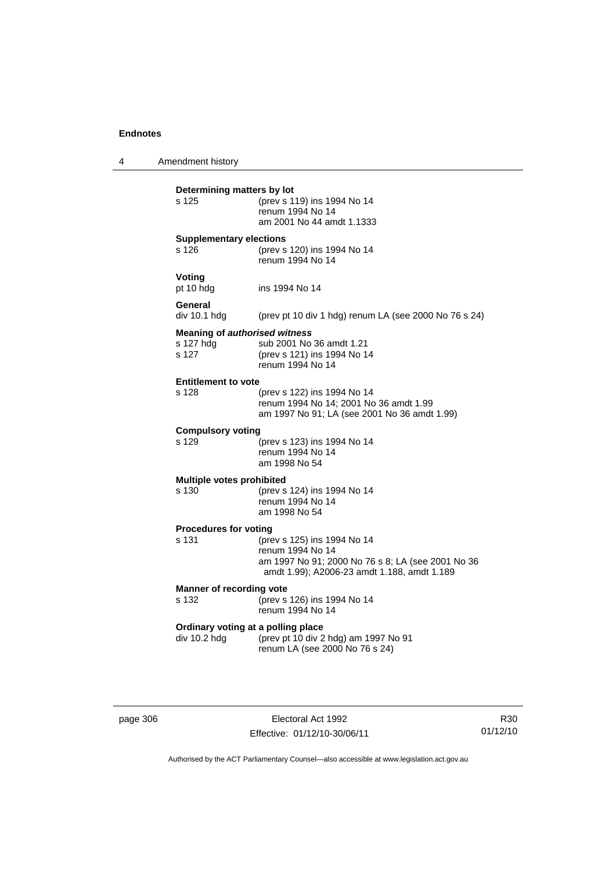4 Amendment history **Determining matters by lot** s 125 (prev s 119) ins 1994 No 14 renum 1994 No 14 am 2001 No 44 amdt 1.1333 **Supplementary elections** s 126 (prev s 120) ins 1994 No 14 renum 1994 No 14 **Voting**<br>pt 10 hdg ins 1994 No 14 **General**  div 10.1 hdg (prev pt 10 div 1 hdg) renum LA (see 2000 No 76 s 24) **Meaning of** *authorised witness*<br>s 127 hdg sub 2001 No sub 2001 No 36 amdt 1.21 s 127 (prev s 121) ins 1994 No 14 renum 1994 No 14 **Entitlement to vote**  (prev s 122) ins 1994 No 14 renum 1994 No 14; 2001 No 36 amdt 1.99 am 1997 No 91; LA (see 2001 No 36 amdt 1.99) **Compulsory voting** s 129 (prev s 123) ins 1994 No 14 renum 1994 No 14 am 1998 No 54 **Multiple votes prohibited** s 130 (prev s 124) ins 1994 No 14 renum 1994 No 14 am 1998 No 54 **Procedures for voting**  s 131 (prev s 125) ins 1994 No 14 renum 1994 No 14 am 1997 No 91; 2000 No 76 s 8; LA (see 2001 No 36 amdt 1.99); A2006-23 amdt 1.188, amdt 1.189 **Manner of recording vote** s 132 (prev s 126) ins 1994 No 14 renum 1994 No 14 **Ordinary voting at a polling place**  div 10.2 hdg (prev pt 10 div 2 hdg) am 1997 No 91 renum LA (see 2000 No 76 s 24)

page 306 **Electoral Act 1992** Effective: 01/12/10-30/06/11

R30 01/12/10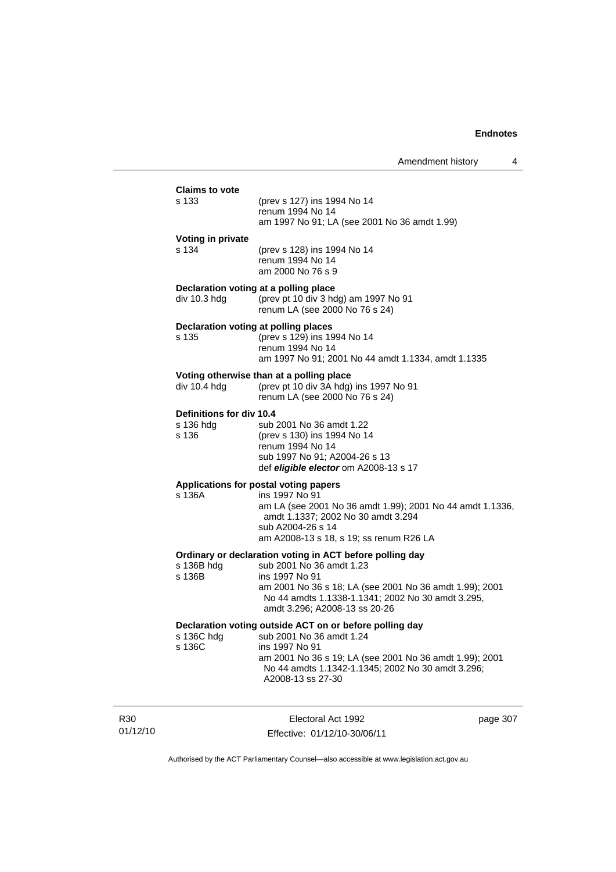| <b>Claims to vote</b>                         |                                                                                                                                   |          |
|-----------------------------------------------|-----------------------------------------------------------------------------------------------------------------------------------|----------|
| s 133                                         | (prev s 127) ins 1994 No 14<br>renum 1994 No 14<br>am 1997 No 91; LA (see 2001 No 36 amdt 1.99)                                   |          |
| Voting in private                             |                                                                                                                                   |          |
| s 134                                         | (prev s 128) ins 1994 No 14<br>renum 1994 No 14<br>am 2000 No 76 s 9                                                              |          |
| Declaration voting at a polling place         |                                                                                                                                   |          |
| div 10.3 hdg                                  | (prev pt 10 div 3 hdg) am 1997 No 91<br>renum LA (see 2000 No 76 s 24)                                                            |          |
| Declaration voting at polling places<br>s 135 | (prev s 129) ins 1994 No 14                                                                                                       |          |
|                                               | renum 1994 No 14                                                                                                                  |          |
|                                               | am 1997 No 91; 2001 No 44 amdt 1.1334, amdt 1.1335                                                                                |          |
| div 10.4 hdg                                  | Voting otherwise than at a polling place<br>(prev pt 10 div 3A hdg) ins 1997 No 91                                                |          |
|                                               | renum LA (see 2000 No 76 s 24)                                                                                                    |          |
| Definitions for div 10.4                      |                                                                                                                                   |          |
| s 136 hdg<br>s 136                            | sub 2001 No 36 amdt 1.22<br>(prev s 130) ins 1994 No 14                                                                           |          |
|                                               | renum 1994 No 14                                                                                                                  |          |
|                                               | sub 1997 No 91; A2004-26 s 13<br>def eligible elector om A2008-13 s 17                                                            |          |
|                                               | Applications for postal voting papers                                                                                             |          |
| s 136A                                        | ins 1997 No 91<br>am LA (see 2001 No 36 amdt 1.99); 2001 No 44 amdt 1.1336,                                                       |          |
|                                               | amdt 1.1337; 2002 No 30 amdt 3.294                                                                                                |          |
|                                               | sub A2004-26 s 14<br>am A2008-13 s 18, s 19; ss renum R26 LA                                                                      |          |
|                                               | Ordinary or declaration voting in ACT before polling day                                                                          |          |
| s 136B hdg                                    | sub 2001 No 36 amdt 1.23                                                                                                          |          |
| s 136B                                        | ins 1997 No 91<br>am 2001 No 36 s 18; LA (see 2001 No 36 amdt 1.99); 2001                                                         |          |
|                                               | No 44 amdts 1.1338-1.1341; 2002 No 30 amdt 3.295,<br>amdt 3.296; A2008-13 ss 20-26                                                |          |
|                                               | Declaration voting outside ACT on or before polling day                                                                           |          |
| s 136C hdg<br>s 136C                          | sub 2001 No 36 amdt 1.24<br>ins 1997 No 91                                                                                        |          |
|                                               | am 2001 No 36 s 19; LA (see 2001 No 36 amdt 1.99); 2001<br>No 44 amdts 1.1342-1.1345; 2002 No 30 amdt 3.296;<br>A2008-13 ss 27-30 |          |
|                                               |                                                                                                                                   |          |
|                                               | Electoral Act 1992                                                                                                                | page 307 |

R30 01/12/10

Effective: 01/12/10-30/06/11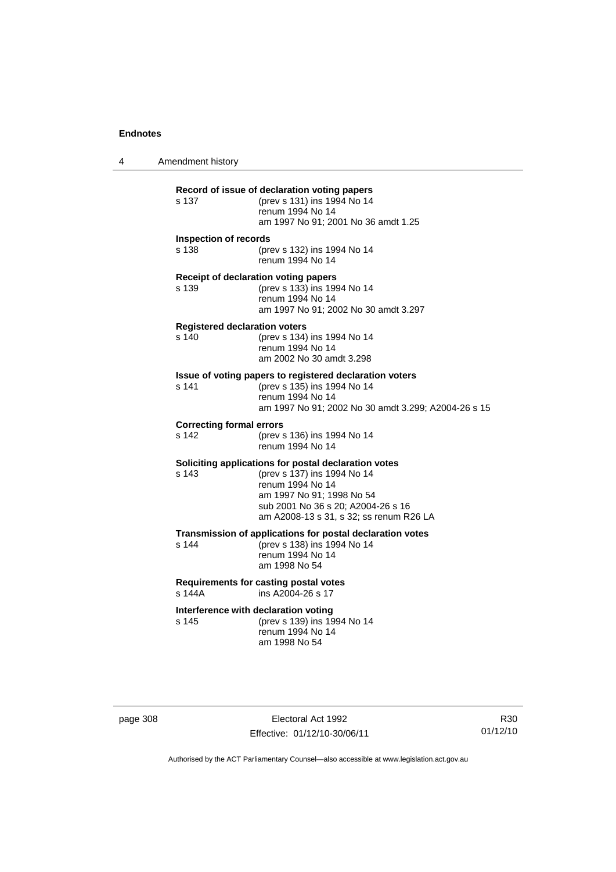4 Amendment history **Record of issue of declaration voting papers** s 137 (prev s 131) ins 1994 No 14 renum 1994 No 14 am 1997 No 91; 2001 No 36 amdt 1.25 **Inspection of records** s 138 (prev s 132) ins 1994 No 14 renum 1994 No 14 **Receipt of declaration voting papers**<br>s 139 (prev s 133) ins 199 s 139 (prev s 133) ins 1994 No 14 renum 1994 No 14 am 1997 No 91; 2002 No 30 amdt 3.297 **Registered declaration voters**<br>s 140 (prev s 134) (prev s 134) ins 1994 No 14 renum 1994 No 14 am 2002 No 30 amdt 3.298 **Issue of voting papers to registered declaration voters** s 141 (prev s 135) ins 1994 No 14 renum 1994 No 14 am 1997 No 91; 2002 No 30 amdt 3.299; A2004-26 s 15 **Correcting formal errors** s 142 (prev s 136) ins 1994 No 14 renum 1994 No 14 **Soliciting applications for postal declaration votes** s 143 (prev s 137) ins 1994 No 14 renum 1994 No 14 am 1997 No 91; 1998 No 54 sub 2001 No 36 s 20; A2004-26 s 16 am A2008-13 s 31, s 32; ss renum R26 LA **Transmission of applications for postal declaration votes** s 144 (prev s 138) ins 1994 No 14 renum 1994 No 14 am 1998 No 54 **Requirements for casting postal votes**  s 144A ins A2004-26 s 17 **Interference with declaration voting** s 145 (prev s 139) ins 1994 No 14 renum 1994 No 14 am 1998 No 54

page 308 Electoral Act 1992 Effective: 01/12/10-30/06/11

R30 01/12/10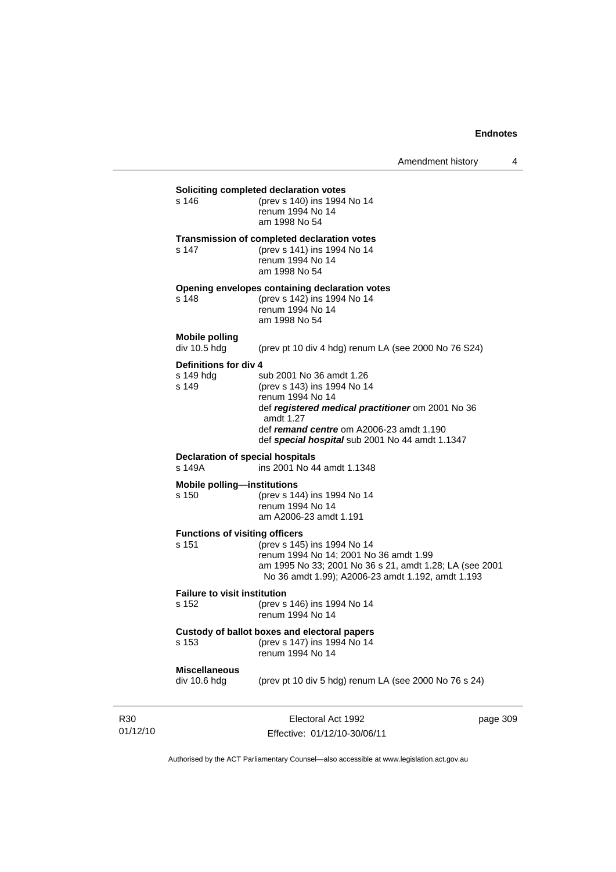|                             | s 146                                                                                           | Soliciting completed declaration votes<br>(prev s 140) ins 1994 No 14<br>renum 1994 No 14<br>am 1998 No 54                                                                                                                                     |          |  |
|-----------------------------|-------------------------------------------------------------------------------------------------|------------------------------------------------------------------------------------------------------------------------------------------------------------------------------------------------------------------------------------------------|----------|--|
|                             | s 147                                                                                           | Transmission of completed declaration votes<br>(prev s 141) ins 1994 No 14<br>renum 1994 No 14<br>am 1998 No 54                                                                                                                                |          |  |
|                             | s 148                                                                                           | Opening envelopes containing declaration votes<br>(prev s 142) ins 1994 No 14<br>renum 1994 No 14<br>am 1998 No 54                                                                                                                             |          |  |
|                             | <b>Mobile polling</b><br>div 10.5 hdg                                                           | (prev pt 10 div 4 hdg) renum LA (see 2000 No 76 S24)                                                                                                                                                                                           |          |  |
|                             | <b>Definitions for div 4</b><br>s 149 hdg<br>s 149                                              | sub 2001 No 36 amdt 1.26<br>(prev s 143) ins 1994 No 14<br>renum 1994 No 14<br>def registered medical practitioner om 2001 No 36<br>amdt $1.27$<br>def remand centre om A2006-23 amdt 1.190<br>def special hospital sub 2001 No 44 amdt 1.1347 |          |  |
|                             | s 149A                                                                                          | <b>Declaration of special hospitals</b><br>ins 2001 No 44 amdt 1.1348                                                                                                                                                                          |          |  |
|                             | <b>Mobile polling-institutions</b><br>s 150                                                     | (prev s 144) ins 1994 No 14<br>renum 1994 No 14<br>am A2006-23 amdt 1.191                                                                                                                                                                      |          |  |
|                             | <b>Functions of visiting officers</b><br>s 151                                                  | (prev s 145) ins 1994 No 14<br>renum 1994 No 14; 2001 No 36 amdt 1.99<br>am 1995 No 33; 2001 No 36 s 21, amdt 1.28; LA (see 2001<br>No 36 amdt 1.99); A2006-23 amdt 1.192, amdt 1.193                                                          |          |  |
|                             | <b>Failure to visit institution</b><br>s 152<br>(prev s 146) ins 1994 No 14<br>renum 1994 No 14 |                                                                                                                                                                                                                                                |          |  |
|                             | s 153                                                                                           | Custody of ballot boxes and electoral papers<br>(prev s 147) ins 1994 No 14<br>renum 1994 No 14                                                                                                                                                |          |  |
|                             | <b>Miscellaneous</b><br>div 10.6 hdg                                                            | (prev pt 10 div 5 hdg) renum LA (see 2000 No 76 s 24)                                                                                                                                                                                          |          |  |
| R <sub>30</sub><br>01/12/10 |                                                                                                 | Electoral Act 1992<br>Effective: 01/12/10-30/06/11                                                                                                                                                                                             | page 309 |  |

Authorised by the ACT Parliamentary Counsel—also accessible at www.legislation.act.gov.au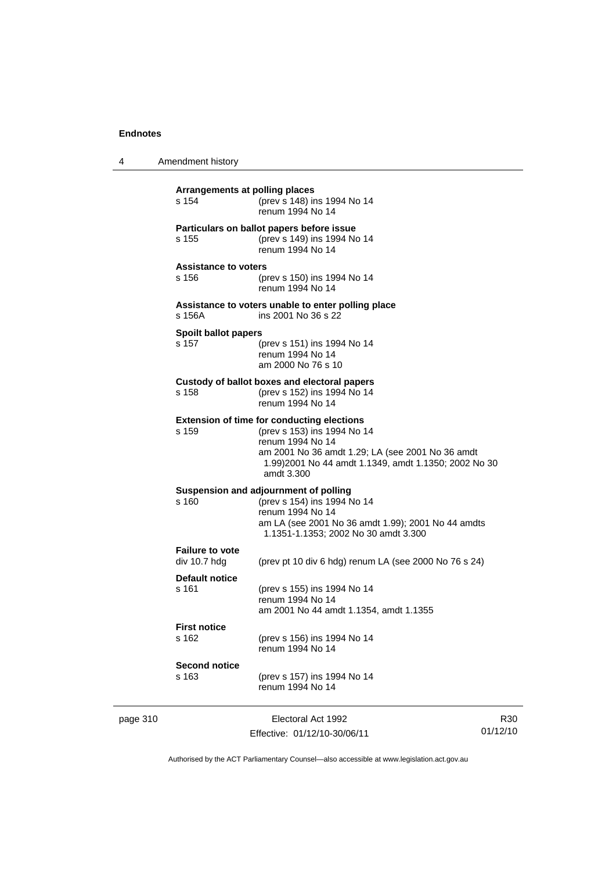| 4 | Amendment history |
|---|-------------------|
|---|-------------------|

| page 310 |                                        | Electoral Act 1992                                                                                                                                                                                                             | R30 |
|----------|----------------------------------------|--------------------------------------------------------------------------------------------------------------------------------------------------------------------------------------------------------------------------------|-----|
|          | <b>Second notice</b><br>s 163          | (prev s 157) ins 1994 No 14<br>renum 1994 No 14                                                                                                                                                                                |     |
|          | <b>First notice</b><br>s 162           | (prev s 156) ins 1994 No 14<br>renum 1994 No 14                                                                                                                                                                                |     |
|          | <b>Default notice</b><br>s 161         | (prev s 155) ins 1994 No 14<br>renum 1994 No 14<br>am 2001 No 44 amdt 1.1354, amdt 1.1355                                                                                                                                      |     |
|          | <b>Failure to vote</b><br>div 10.7 hdg | (prev pt 10 div 6 hdg) renum LA (see 2000 No 76 s 24)                                                                                                                                                                          |     |
|          | s 160                                  | Suspension and adjournment of polling<br>(prev s 154) ins 1994 No 14<br>renum 1994 No 14<br>am LA (see 2001 No 36 amdt 1.99); 2001 No 44 amdts<br>1.1351-1.1353; 2002 No 30 amdt 3.300                                         |     |
|          | s 159                                  | <b>Extension of time for conducting elections</b><br>(prev s 153) ins 1994 No 14<br>renum 1994 No 14<br>am 2001 No 36 amdt 1.29; LA (see 2001 No 36 amdt<br>1.99)2001 No 44 amdt 1.1349, amdt 1.1350; 2002 No 30<br>amdt 3.300 |     |
|          | s 158                                  | Custody of ballot boxes and electoral papers<br>(prev s 152) ins 1994 No 14<br>renum 1994 No 14                                                                                                                                |     |
|          | <b>Spoilt ballot papers</b><br>s 157   | (prev s 151) ins 1994 No 14<br>renum 1994 No 14<br>am 2000 No 76 s 10                                                                                                                                                          |     |
|          | s 156A                                 | Assistance to voters unable to enter polling place<br>ins 2001 No 36 s 22                                                                                                                                                      |     |
|          | <b>Assistance to voters</b><br>s 156   | (prev s 150) ins 1994 No 14<br>renum 1994 No 14                                                                                                                                                                                |     |
|          | s 155                                  | Particulars on ballot papers before issue<br>(prev s 149) ins 1994 No 14<br>renum 1994 No 14                                                                                                                                   |     |
|          | s 154                                  | (prev s 148) ins 1994 No 14<br>renum 1994 No 14                                                                                                                                                                                |     |

Effective: 01/12/10-30/06/11

01/12/10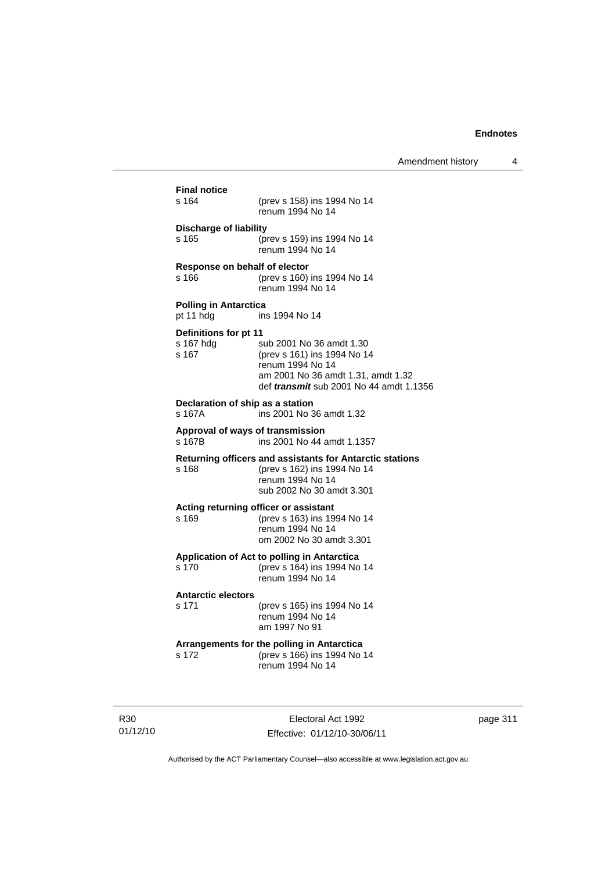| <b>Final notice</b><br>s 164                | (prev s 158) ins 1994 No 14<br>renum 1994 No 14                                                                                                                     |
|---------------------------------------------|---------------------------------------------------------------------------------------------------------------------------------------------------------------------|
| Discharge of liability<br>s 165             | (prev s 159) ins 1994 No 14<br>renum 1994 No 14                                                                                                                     |
| Response on behalf of elector<br>s 166      | (prev s 160) ins 1994 No 14<br>renum 1994 No 14                                                                                                                     |
| <b>Polling in Antarctica</b><br>pt 11 hdg   | ins 1994 No 14                                                                                                                                                      |
| Definitions for pt 11<br>s 167 hdg<br>s 167 | sub 2001 No 36 amdt 1.30<br>(prev s 161) ins 1994 No 14<br>renum 1994 No 14<br>am 2001 No 36 amdt 1.31, amdt 1.32<br>def <i>transmit</i> sub 2001 No 44 amdt 1.1356 |
| s 167A                                      | Declaration of ship as a station<br>ins 2001 No 36 amdt 1.32                                                                                                        |
| s 167B                                      | Approval of ways of transmission<br>ins 2001 No 44 amdt 1.1357                                                                                                      |
| s 168                                       | <b>Returning officers and assistants for Antarctic stations</b><br>(prev s 162) ins 1994 No 14<br>renum 1994 No 14<br>sub 2002 No 30 amdt 3.301                     |
| s 169                                       | Acting returning officer or assistant<br>(prev s 163) ins 1994 No 14<br>renum 1994 No 14<br>om 2002 No 30 amdt 3.301                                                |
| s 170                                       | Application of Act to polling in Antarctica<br>(prev s 164) ins 1994 No 14<br>renum 1994 No 14                                                                      |
| <b>Antarctic electors</b><br>s 171          | (prev s 165) ins 1994 No 14<br>renum 1994 No 14<br>am 1997 No 91                                                                                                    |
| s 172                                       | Arrangements for the polling in Antarctica<br>(prev s 166) ins 1994 No 14<br>renum 1994 No 14                                                                       |

R30 01/12/10

Electoral Act 1992 Effective: 01/12/10-30/06/11 page 311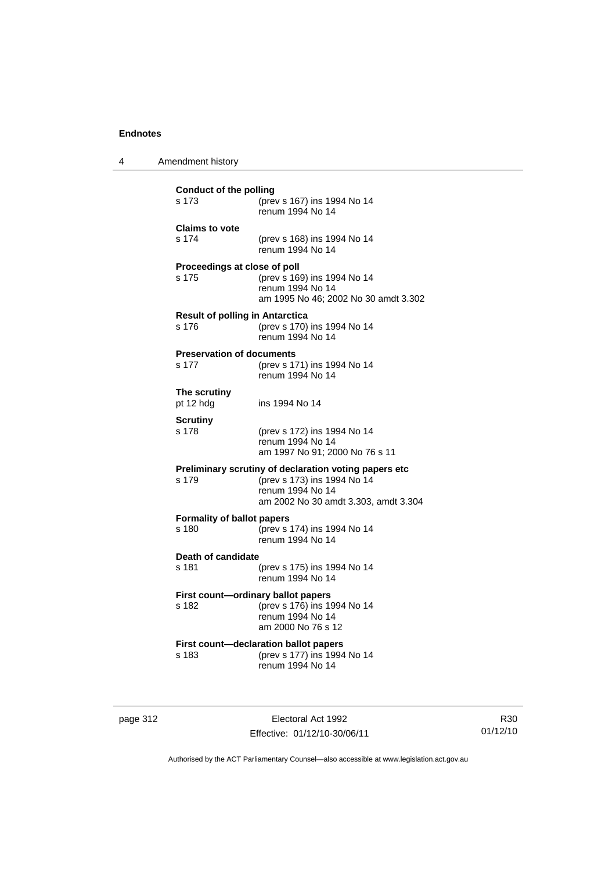| 4 | Amendment history                                                                                                                                         |
|---|-----------------------------------------------------------------------------------------------------------------------------------------------------------|
|   | <b>Conduct of the polling</b><br>s 173<br>(prev s 167) ins 1994 No 14<br>renum 1994 No 14                                                                 |
|   | <b>Claims to vote</b><br>s 174<br>(prev s 168) ins 1994 No 14<br>renum 1994 No 14                                                                         |
|   | Proceedings at close of poll<br>s 175<br>(prev s 169) ins 1994 No 14<br>renum 1994 No 14<br>am 1995 No 46; 2002 No 30 amdt 3.302                          |
|   | <b>Result of polling in Antarctica</b><br>(prev s 170) ins 1994 No 14<br>s 176<br>renum 1994 No 14                                                        |
|   | <b>Preservation of documents</b><br>s 177<br>(prev s 171) ins 1994 No 14<br>renum 1994 No 14                                                              |
|   | The scrutiny<br>pt 12 hdg<br>ins 1994 No 14                                                                                                               |
|   | <b>Scrutiny</b><br>s 178<br>(prev s 172) ins 1994 No 14<br>renum 1994 No 14<br>am 1997 No 91; 2000 No 76 s 11                                             |
|   | Preliminary scrutiny of declaration voting papers etc<br>(prev s 173) ins 1994 No 14<br>s 179<br>renum 1994 No 14<br>am 2002 No 30 amdt 3.303, amdt 3.304 |
|   | <b>Formality of ballot papers</b><br>(prev s 174) ins 1994 No 14<br>s 180<br>renum 1994 No 14                                                             |
|   | <b>Death of candidate</b><br>s 181<br>(prev s 175) ins 1994 No 14<br>renum 1994 No 14                                                                     |
|   | First count-ordinary ballot papers<br>(prev s 176) ins 1994 No 14<br>s 182<br>renum 1994 No 14<br>am 2000 No 76 s 12                                      |
|   | First count-declaration ballot papers<br>(prev s 177) ins 1994 No 14<br>s 183<br>renum 1994 No 14                                                         |
|   |                                                                                                                                                           |

page 312 **Electoral Act 1992** Effective: 01/12/10-30/06/11

R30 01/12/10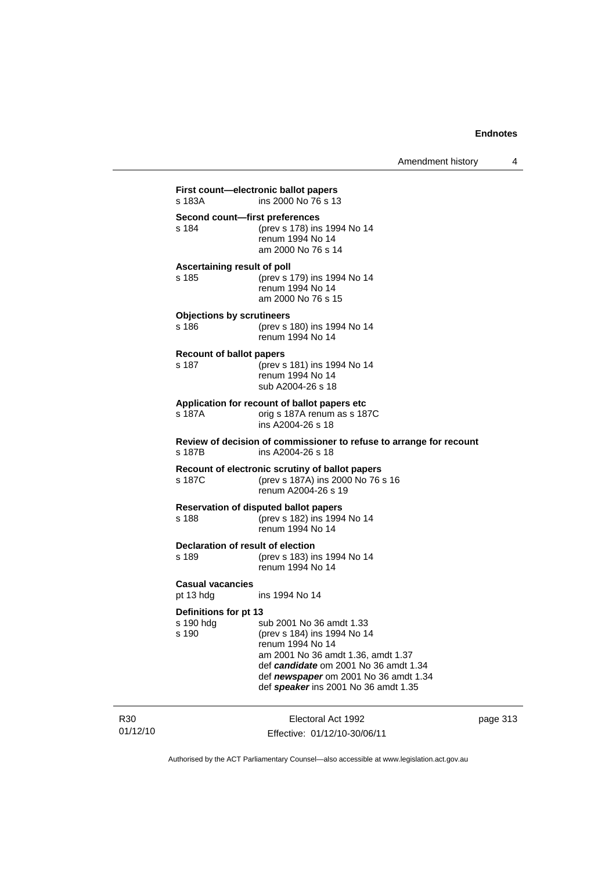**First count—electronic ballot papers** s 183A ins 2000 No 76 s 13 **Second count—first preferences** s 184 (prev s 178) ins 1994 No 14 renum 1994 No 14 am 2000 No 76 s 14 **Ascertaining result of poll** s 185 (prev s 179) ins 1994 No 14 renum 1994 No 14 am 2000 No 76 s 15 **Objections by scrutineers** s 186 (prev s 180) ins 1994 No 14 renum 1994 No 14 **Recount of ballot papers** s 187 (prev s 181) ins 1994 No 14 renum 1994 No 14 sub A2004-26 s 18 **Application for recount of ballot papers etc** orig s 187A renum as s 187C ins A2004-26 s 18 **Review of decision of commissioner to refuse to arrange for recount** s 187B ins A2004-26 s 18 **Recount of electronic scrutiny of ballot papers** s 187C (prev s 187A) ins 2000 No 76 s 16 renum A2004-26 s 19 **Reservation of disputed ballot papers** s 188 (prev s 182) ins 1994 No 14 renum 1994 No 14 **Declaration of result of election** s 189 (prev s 183) ins 1994 No 14 renum 1994 No 14 **Casual vacancies** pt 13 hdg ins 1994 No 14 **Definitions for pt 13** sub 2001 No 36 amdt 1.33 s 190 (prev s 184) ins 1994 No 14 renum 1994 No 14 am 2001 No 36 amdt 1.36, amdt 1.37 def *candidate* om 2001 No 36 amdt 1.34 def *newspaper* om 2001 No 36 amdt 1.34 def *speaker* ins 2001 No 36 amdt 1.35

R30 01/12/10

Electoral Act 1992 Effective: 01/12/10-30/06/11 page 313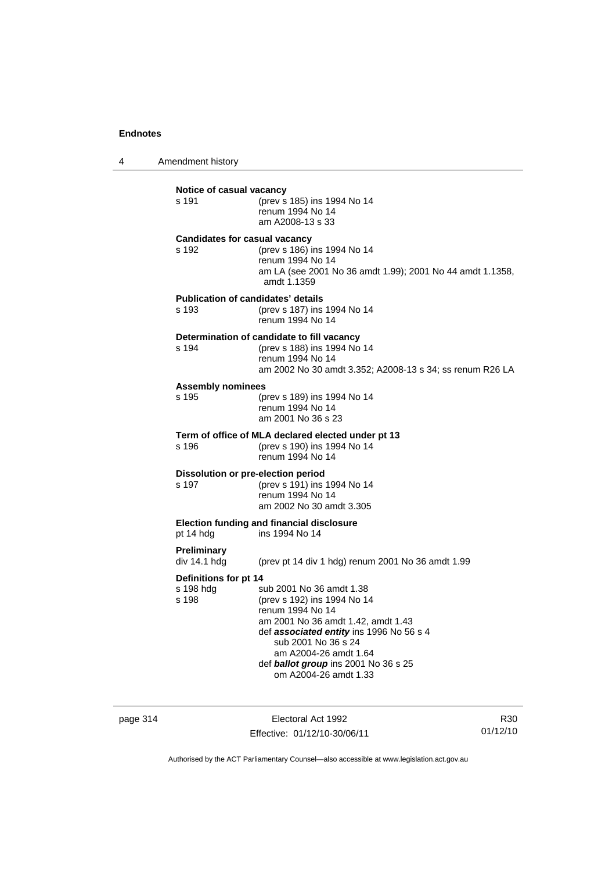4 Amendment history

| s 191                                       | (prev s 185) ins 1994 No 14<br>renum 1994 No 14<br>am A2008-13 s 33                                                                                                                                                                                                            |
|---------------------------------------------|--------------------------------------------------------------------------------------------------------------------------------------------------------------------------------------------------------------------------------------------------------------------------------|
| s 192                                       | <b>Candidates for casual vacancy</b><br>(prev s 186) ins 1994 No 14<br>renum 1994 No 14<br>am LA (see 2001 No 36 amdt 1.99); 2001 No 44 amdt 1.1358,<br>amdt 1.1359                                                                                                            |
| s 193                                       | <b>Publication of candidates' details</b><br>(prev s 187) ins 1994 No 14<br>renum 1994 No 14                                                                                                                                                                                   |
| s 194                                       | Determination of candidate to fill vacancy<br>(prev s 188) ins 1994 No 14<br>renum 1994 No 14<br>am 2002 No 30 amdt 3.352; A2008-13 s 34; ss renum R26 LA                                                                                                                      |
| <b>Assembly nominees</b><br>s 195           | (prev s 189) ins 1994 No 14<br>renum 1994 No 14<br>am 2001 No 36 s 23                                                                                                                                                                                                          |
| s 196                                       | Term of office of MLA declared elected under pt 13<br>(prev s 190) ins 1994 No 14<br>renum 1994 No 14                                                                                                                                                                          |
| s 197                                       | Dissolution or pre-election period<br>(prev s 191) ins 1994 No 14<br>renum 1994 No 14<br>am 2002 No 30 amdt 3.305                                                                                                                                                              |
| pt 14 hdg                                   | <b>Election funding and financial disclosure</b><br>ins 1994 No 14                                                                                                                                                                                                             |
| Preliminary<br>div 14.1 hdg                 | (prev pt 14 div 1 hdg) renum 2001 No 36 amdt 1.99                                                                                                                                                                                                                              |
| Definitions for pt 14<br>s 198 hdg<br>s 198 | sub 2001 No 36 amdt 1.38<br>(prev s 192) ins 1994 No 14<br>renum 1994 No 14<br>am 2001 No 36 amdt 1.42, amdt 1.43<br>def associated entity ins 1996 No 56 s 4<br>sub 2001 No 36 s 24<br>am A2004-26 amdt 1.64<br>def ballot group ins 2001 No 36 s 25<br>om A2004-26 amdt 1.33 |

page 314 Electoral Act 1992 Effective: 01/12/10-30/06/11

R30 01/12/10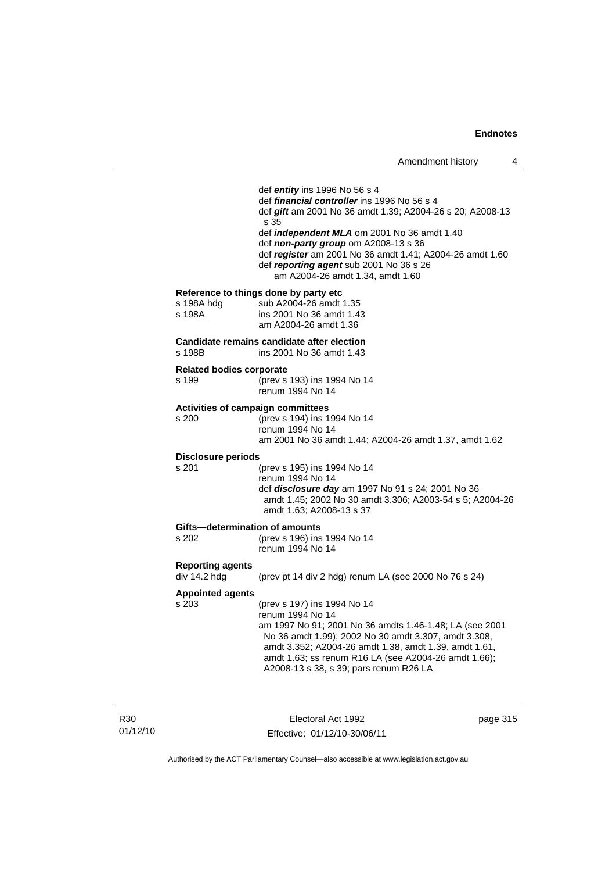|                                                   | def <i>entity</i> ins 1996 No 56 s 4<br>def <i>financial controller</i> ins 1996 No 56 s 4<br>def gift am 2001 No 36 amdt 1.39; A2004-26 s 20; A2008-13<br>s 35                                                                                                                                                               |
|---------------------------------------------------|-------------------------------------------------------------------------------------------------------------------------------------------------------------------------------------------------------------------------------------------------------------------------------------------------------------------------------|
|                                                   | def <i>independent MLA</i> om 2001 No 36 amdt 1.40<br>def non-party group om A2008-13 s 36<br>def register am 2001 No 36 amdt 1.41; A2004-26 amdt 1.60<br>def reporting agent sub 2001 No 36 s 26<br>am A2004-26 amdt 1.34, amdt 1.60                                                                                         |
| s 198A hdg<br>s 198A                              | Reference to things done by party etc<br>sub A2004-26 amdt 1.35<br>ins 2001 No 36 amdt 1.43<br>am A2004-26 amdt 1.36                                                                                                                                                                                                          |
| s 198B                                            | Candidate remains candidate after election<br>ins 2001 No 36 amdt 1.43                                                                                                                                                                                                                                                        |
| <b>Related bodies corporate</b><br>s 199          | (prev s 193) ins 1994 No 14<br>renum 1994 No 14                                                                                                                                                                                                                                                                               |
| <b>Activities of campaign committees</b><br>s 200 | (prev s 194) ins 1994 No 14<br>renum 1994 No 14<br>am 2001 No 36 amdt 1.44; A2004-26 amdt 1.37, amdt 1.62                                                                                                                                                                                                                     |
| Disclosure periods                                |                                                                                                                                                                                                                                                                                                                               |
| s 201                                             | (prev s 195) ins 1994 No 14<br>renum 1994 No 14<br>def <i>disclosure day</i> am 1997 No 91 s 24; 2001 No 36<br>amdt 1.45; 2002 No 30 amdt 3.306; A2003-54 s 5; A2004-26<br>amdt 1.63; A2008-13 s 37                                                                                                                           |
| Gifts—determination of amounts<br>s 202           | (prev s 196) ins 1994 No 14<br>renum 1994 No 14                                                                                                                                                                                                                                                                               |
| <b>Reporting agents</b><br>div 14.2 hdg           | (prev pt 14 div 2 hdg) renum LA (see 2000 No 76 s 24)                                                                                                                                                                                                                                                                         |
| <b>Appointed agents</b><br>s 203                  | (prev s 197) ins 1994 No 14<br>renum 1994 No 14<br>am 1997 No 91; 2001 No 36 amdts 1.46-1.48; LA (see 2001<br>No 36 amdt 1.99); 2002 No 30 amdt 3.307, amdt 3.308,<br>amdt 3.352; A2004-26 amdt 1.38, amdt 1.39, amdt 1.61,<br>amdt 1.63; ss renum R16 LA (see A2004-26 amdt 1.66);<br>A2008-13 s 38, s 39; pars renum R26 LA |
|                                                   |                                                                                                                                                                                                                                                                                                                               |

R30 01/12/10

Electoral Act 1992 Effective: 01/12/10-30/06/11 page 315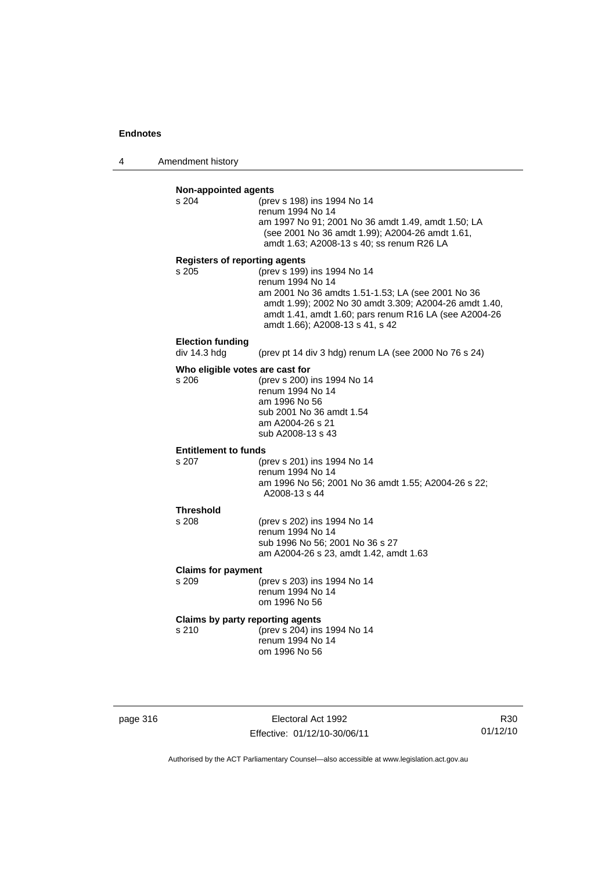4 Amendment history

| s 204                                   | (prev s 198) ins 1994 No 14                                                                                 |
|-----------------------------------------|-------------------------------------------------------------------------------------------------------------|
|                                         | renum 1994 No 14                                                                                            |
|                                         | am 1997 No 91; 2001 No 36 amdt 1.49, amdt 1.50; LA                                                          |
|                                         | (see 2001 No 36 amdt 1.99); A2004-26 amdt 1.61,<br>amdt 1.63; A2008-13 s 40; ss renum R26 LA                |
| <b>Registers of reporting agents</b>    |                                                                                                             |
| s 205                                   | (prev s 199) ins 1994 No 14                                                                                 |
|                                         | renum 1994 No 14                                                                                            |
|                                         | am 2001 No 36 amdts 1.51-1.53; LA (see 2001 No 36<br>amdt 1.99); 2002 No 30 amdt 3.309; A2004-26 amdt 1.40, |
|                                         | amdt 1.41, amdt 1.60; pars renum R16 LA (see A2004-26                                                       |
|                                         | amdt 1.66); A2008-13 s 41, s 42                                                                             |
| <b>Election funding</b><br>div 14.3 hdg | (prev pt 14 div 3 hdg) renum LA (see 2000 No 76 s 24)                                                       |
|                                         |                                                                                                             |
| Who eligible votes are cast for         |                                                                                                             |
| s 206                                   | (prev s 200) ins 1994 No 14<br>renum 1994 No 14                                                             |
|                                         | am 1996 No 56                                                                                               |
|                                         | sub 2001 No 36 amdt 1.54                                                                                    |
|                                         | am A2004-26 s 21                                                                                            |
|                                         | sub A2008-13 s 43                                                                                           |
| <b>Entitlement to funds</b>             |                                                                                                             |
| s 207                                   | (prev s 201) ins 1994 No 14                                                                                 |
|                                         | renum 1994 No 14<br>am 1996 No 56; 2001 No 36 amdt 1.55; A2004-26 s 22;                                     |
|                                         | A2008-13 s 44                                                                                               |
| <b>Threshold</b>                        |                                                                                                             |
| s 208                                   | (prev s 202) ins 1994 No 14                                                                                 |
|                                         | renum 1994 No 14<br>sub 1996 No 56; 2001 No 36 s 27                                                         |
|                                         | am A2004-26 s 23, amdt 1.42, amdt 1.63                                                                      |
| <b>Claims for payment</b>               |                                                                                                             |
| s 209                                   | (prev s 203) ins 1994 No 14                                                                                 |
|                                         | renum 1994 No 14<br>om 1996 No 56                                                                           |
|                                         |                                                                                                             |
| Claims by party reporting agents        |                                                                                                             |
| s 210                                   | (prev s 204) ins 1994 No 14<br>renum 1994 No 14                                                             |

page 316 Electoral Act 1992 Effective: 01/12/10-30/06/11

R30 01/12/10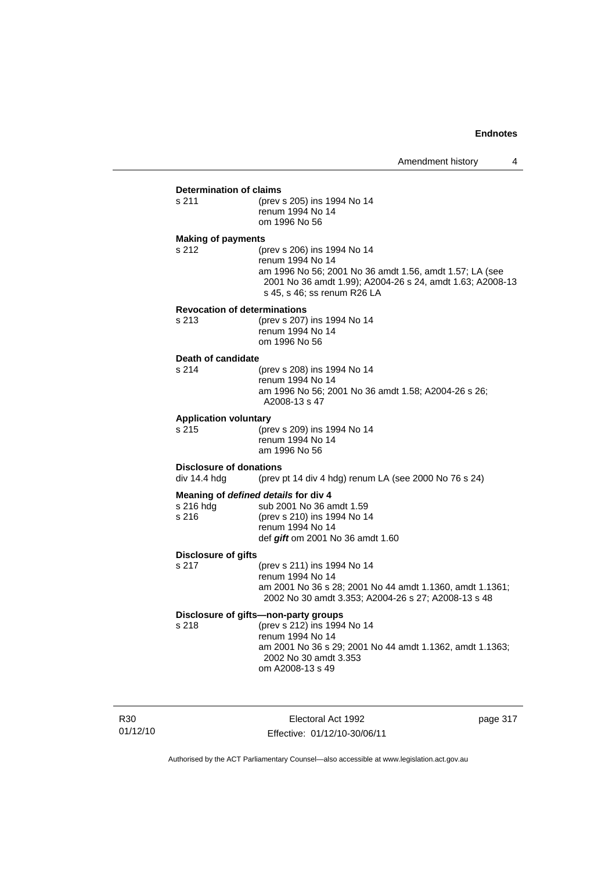## **Determination of claims**<br>s 211 (prev

(prev s 205) ins 1994 No 14 renum 1994 No 14 om 1996 No 56

#### **Making of payments**

s 212 (prev s 206) ins 1994 No 14 renum 1994 No 14 am 1996 No 56; 2001 No 36 amdt 1.56, amdt 1.57; LA (see 2001 No 36 amdt 1.99); A2004-26 s 24, amdt 1.63; A2008-13 s 45, s 46; ss renum R26 LA

#### **Revocation of determinations**

| s 213 | (prev s 207) ins 1994 No 14 |
|-------|-----------------------------|
|       | renum 1994 No 14            |
|       | om 1996 No 56               |

# **Death of candidate**

(prev s 208) ins 1994 No 14 renum 1994 No 14 am 1996 No 56; 2001 No 36 amdt 1.58; A2004-26 s 26; A2008-13 s 47

#### **Application voluntary**

s 215 (prev s 209) ins 1994 No 14 renum 1994 No 14 am 1996 No 56

## **Disclosure of donations**<br>div 14.4 hdg (prev)

(prev pt 14 div 4 hdg) renum LA (see 2000 No 76 s 24)

### **Meaning of** *defined details* **for div 4**

| s 216 hda | sub 2001 No 36 amdt 1.59         |
|-----------|----------------------------------|
| s 216     | (prev s 210) ins 1994 No 14      |
|           | renum 1994 No 14                 |
|           | def gift om 2001 No 36 amdt 1.60 |

#### **Disclosure of gifts**

s 217 (prev s 211) ins 1994 No 14 renum 1994 No 14 am 2001 No 36 s 28; 2001 No 44 amdt 1.1360, amdt 1.1361; 2002 No 30 amdt 3.353; A2004-26 s 27; A2008-13 s 48

## **Disclosure of gifts—non-party groups**

s 218 (prev s 212) ins 1994 No 14 renum 1994 No 14 am 2001 No 36 s 29; 2001 No 44 amdt 1.1362, amdt 1.1363; 2002 No 30 amdt 3.353 om A2008-13 s 49

R30 01/12/10

Electoral Act 1992 Effective: 01/12/10-30/06/11 page 317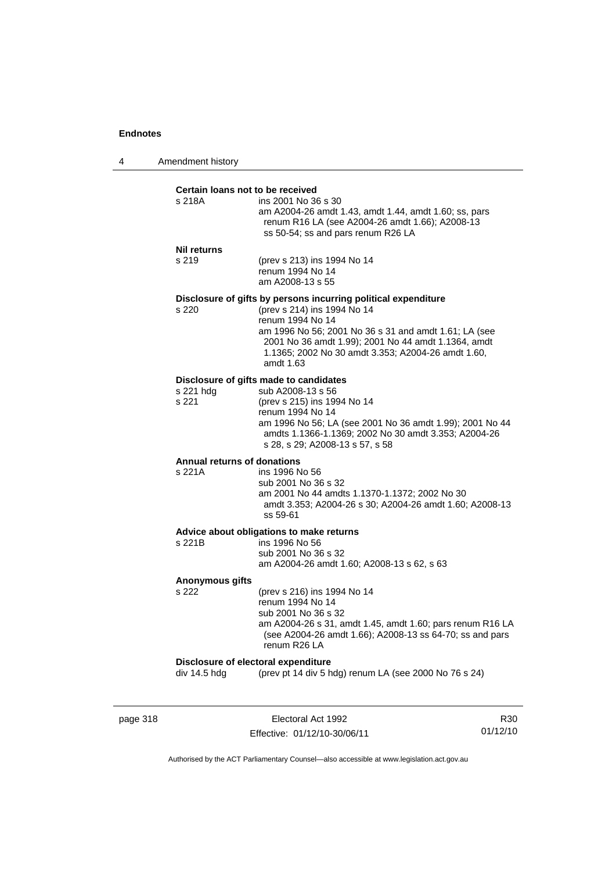| 4 | Amendment history |
|---|-------------------|
|---|-------------------|

#### **Certain loans not to be received**

| s 218A | ins 2001 No 36 s 30                                                                                      |
|--------|----------------------------------------------------------------------------------------------------------|
|        | am A2004-26 amdt 1.43, amdt 1.44, amdt 1.60; ss, pars<br>renum R16 LA (see A2004-26 amdt 1.66); A2008-13 |
|        | ss 50-54; ss and pars renum R26 LA                                                                       |

#### **Nil returns**

s 219 (prev s 213) ins 1994 No 14 renum 1994 No 14 am A2008-13 s 55

### **Disclosure of gifts by persons incurring political expenditure**

s 220 (prev s 214) ins 1994 No 14 renum 1994 No 14 am 1996 No 56; 2001 No 36 s 31 and amdt 1.61; LA (see 2001 No 36 amdt 1.99); 2001 No 44 amdt 1.1364, amdt 1.1365; 2002 No 30 amdt 3.353; A2004-26 amdt 1.60, amdt 1.63

### **Disclosure of gifts made to candidates**

| s 221 hdg | sub A2008-13 s 56                                        |
|-----------|----------------------------------------------------------|
| s 221     | (prev s 215) ins 1994 No 14                              |
|           | renum 1994 No 14                                         |
|           | am 1996 No 56; LA (see 2001 No 36 amdt 1.99); 2001 No 44 |
|           | amdts 1.1366-1.1369: 2002 No 30 amdt 3.353: A2004-26     |
|           | s 28, s 29; A2008-13 s 57, s 58                          |
|           |                                                          |

## **Annual returns of donations**

ins 1996 No 56 sub 2001 No 36 s 32 am 2001 No 44 amdts 1.1370-1.1372; 2002 No 30 amdt 3.353; A2004-26 s 30; A2004-26 amdt 1.60; A2008-13 ss 59-61

### **Advice about obligations to make returns**

| s 221B | ins 1996 No 56                             |
|--------|--------------------------------------------|
|        | sub 2001 No 36 s 32                        |
|        | am A2004-26 amdt 1.60: A2008-13 s 62, s 63 |
|        |                                            |

#### **Anonymous gifts**

s 222 (prev s 216) ins 1994 No 14 renum 1994 No 14 sub 2001 No 36 s 32 am A2004-26 s 31, amdt 1.45, amdt 1.60; pars renum R16 LA (see A2004-26 amdt 1.66); A2008-13 ss 64-70; ss and pars renum R26 LA

#### **Disclosure of electoral expenditure**

div 14.5 hdg (prev pt 14 div 5 hdg) renum LA (see 2000 No 76 s 24)

page 318 **Electoral Act 1992** Effective: 01/12/10-30/06/11

R30 01/12/10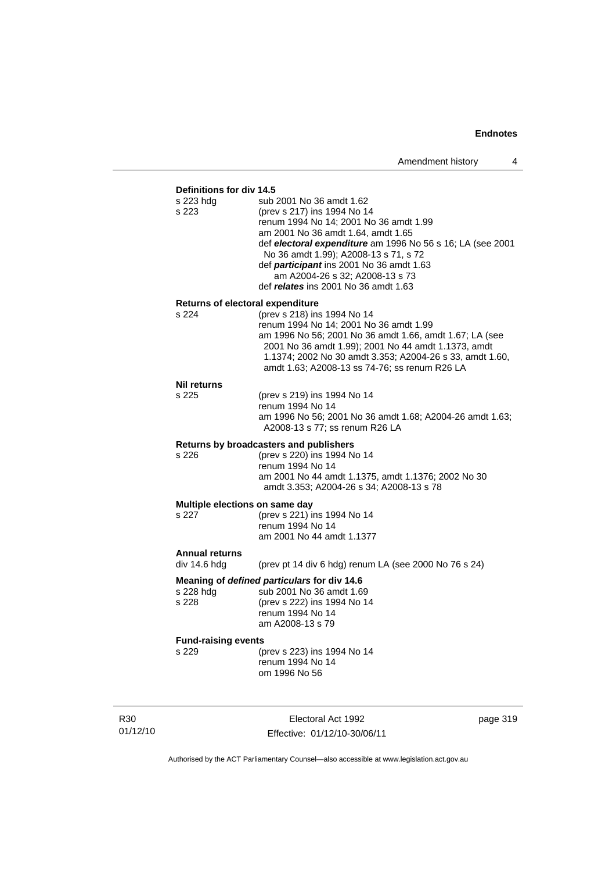## **Definitions for div 14.5**

| s 223 hdg<br>s 223                      | sub 2001 No 36 amdt 1.62<br>(prev s 217) ins 1994 No 14<br>renum 1994 No 14; 2001 No 36 amdt 1.99<br>am 2001 No 36 amdt 1.64, amdt 1.65<br>def electoral expenditure am 1996 No 56 s 16; LA (see 2001<br>No 36 amdt 1.99); A2008-13 s 71, s 72<br>def participant ins 2001 No 36 amdt 1.63<br>am A2004-26 s 32; A2008-13 s 73<br>def <i>relates</i> ins 2001 No 36 amdt 1.63 |
|-----------------------------------------|------------------------------------------------------------------------------------------------------------------------------------------------------------------------------------------------------------------------------------------------------------------------------------------------------------------------------------------------------------------------------|
| <b>Returns of electoral expenditure</b> |                                                                                                                                                                                                                                                                                                                                                                              |
| s 224                                   | (prev s 218) ins 1994 No 14<br>renum 1994 No 14; 2001 No 36 amdt 1.99<br>am 1996 No 56; 2001 No 36 amdt 1.66, amdt 1.67; LA (see<br>2001 No 36 amdt 1.99); 2001 No 44 amdt 1.1373, amdt<br>1.1374; 2002 No 30 amdt 3.353; A2004-26 s 33, amdt 1.60,<br>amdt 1.63; A2008-13 ss 74-76; ss renum R26 LA                                                                         |
| Nil returns                             |                                                                                                                                                                                                                                                                                                                                                                              |
| s 225                                   | (prev s 219) ins 1994 No 14<br>renum 1994 No 14<br>am 1996 No 56; 2001 No 36 amdt 1.68; A2004-26 amdt 1.63;<br>A2008-13 s 77; ss renum R26 LA                                                                                                                                                                                                                                |
|                                         | Returns by broadcasters and publishers                                                                                                                                                                                                                                                                                                                                       |
| s 226                                   | (prev s 220) ins 1994 No 14<br>renum 1994 No 14<br>am 2001 No 44 amdt 1.1375, amdt 1.1376; 2002 No 30<br>amdt 3.353; A2004-26 s 34; A2008-13 s 78                                                                                                                                                                                                                            |
| Multiple elections on same day          |                                                                                                                                                                                                                                                                                                                                                                              |
| s 227                                   | (prev s 221) ins 1994 No 14<br>renum 1994 No 14<br>am 2001 No 44 amdt 1.1377                                                                                                                                                                                                                                                                                                 |
| <b>Annual returns</b><br>div 14.6 hdg   |                                                                                                                                                                                                                                                                                                                                                                              |
|                                         | (prev pt 14 div 6 hdg) renum LA (see 2000 No 76 s 24)                                                                                                                                                                                                                                                                                                                        |
| s 228 hdg<br>s 228                      | Meaning of defined particulars for div 14.6<br>sub 2001 No 36 amdt 1.69<br>(prev s 222) ins 1994 No 14<br>renum 1994 No 14<br>am A2008-13 s 79                                                                                                                                                                                                                               |
| <b>Fund-raising events</b>              |                                                                                                                                                                                                                                                                                                                                                                              |
| s 229                                   | (prev s 223) ins 1994 No 14<br>renum 1994 No 14<br>om 1996 No 56                                                                                                                                                                                                                                                                                                             |
|                                         |                                                                                                                                                                                                                                                                                                                                                                              |

R30 01/12/10

Electoral Act 1992 Effective: 01/12/10-30/06/11 page 319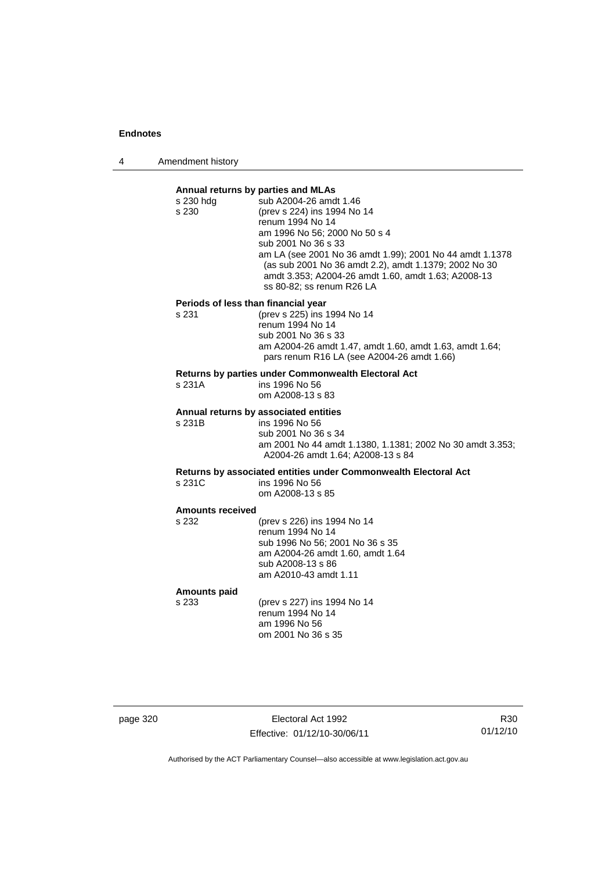4 Amendment history

## **Annual returns by parties and MLAs**  s 230 hdg sub A2004-26 amdt 1.46 s 230 (prev s 224) ins 1994 No 14 renum 1994 No 14 am 1996 No 56; 2000 No 50 s 4 sub 2001 No 36 s 33 am LA (see 2001 No 36 amdt 1.99); 2001 No 44 amdt 1.1378 (as sub 2001 No 36 amdt 2.2), amdt 1.1379; 2002 No 30 amdt 3.353; A2004-26 amdt 1.60, amdt 1.63; A2008-13 ss 80-82; ss renum R26 LA **Periods of less than financial year**<br>s 231 (prev s 225) ins 1 (prev s 225) ins 1994 No 14 renum 1994 No 14 sub 2001 No 36 s 33 am A2004-26 amdt 1.47, amdt 1.60, amdt 1.63, amdt 1.64; pars renum R16 LA (see A2004-26 amdt 1.66) **Returns by parties under Commonwealth Electoral Act** s 231A ins 1996 No 56 om A2008-13 s 83 **Annual returns by associated entities** s 231B ins 1996 No 56 sub 2001 No 36 s 34 am 2001 No 44 amdt 1.1380, 1.1381; 2002 No 30 amdt 3.353; A2004-26 amdt 1.64; A2008-13 s 84 **Returns by associated entities under Commonwealth Electoral Act** ins 1996 No 56 om A2008-13 s 85 **Amounts received**  s 232 (prev s 226) ins 1994 No 14 renum 1994 No 14 sub 1996 No 56; 2001 No 36 s 35 am A2004-26 amdt 1.60, amdt 1.64 sub A2008-13 s 86 am A2010-43 amdt 1.11 **Amounts paid**  s 233 (prev s 227) ins 1994 No 14

renum 1994 No 14 am 1996 No 56 om 2001 No 36 s 35

page 320 **Electoral Act 1992** Effective: 01/12/10-30/06/11

R30 01/12/10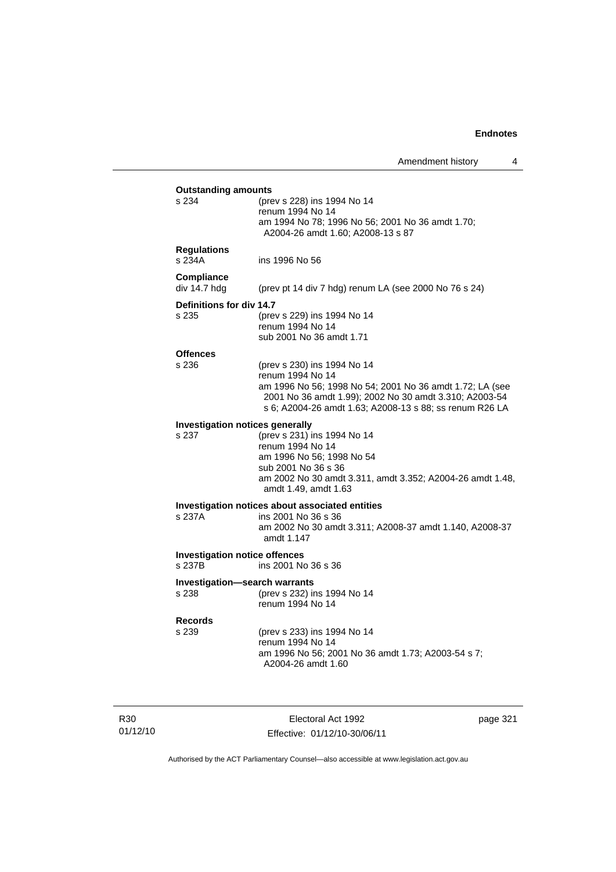| <b>Outstanding amounts</b>           |                                                                                       |
|--------------------------------------|---------------------------------------------------------------------------------------|
| s 234                                | (prev s 228) ins 1994 No 14<br>renum 1994 No 14                                       |
|                                      |                                                                                       |
|                                      | am 1994 No 78; 1996 No 56; 2001 No 36 amdt 1.70;<br>A2004-26 amdt 1.60; A2008-13 s 87 |
|                                      |                                                                                       |
| <b>Regulations</b>                   |                                                                                       |
| s 234A                               | ins 1996 No 56                                                                        |
|                                      |                                                                                       |
| Compliance                           |                                                                                       |
| div 14.7 hdg                         | (prev pt 14 div 7 hdg) renum LA (see 2000 No 76 s 24)                                 |
| Definitions for div 14.7             |                                                                                       |
| s 235                                | (prev s 229) ins 1994 No 14                                                           |
|                                      | renum 1994 No 14                                                                      |
|                                      | sub 2001 No 36 amdt 1.71                                                              |
|                                      |                                                                                       |
| <b>Offences</b>                      |                                                                                       |
| s 236                                | (prev s 230) ins 1994 No 14                                                           |
|                                      | renum 1994 No 14                                                                      |
|                                      | am 1996 No 56; 1998 No 54; 2001 No 36 amdt 1.72; LA (see                              |
|                                      | 2001 No 36 amdt 1.99); 2002 No 30 amdt 3.310; A2003-54                                |
|                                      | s 6; A2004-26 amdt 1.63; A2008-13 s 88; ss renum R26 LA                               |
|                                      | Investigation notices generally                                                       |
| s 237                                | (prev s 231) ins 1994 No 14                                                           |
|                                      | renum 1994 No 14                                                                      |
|                                      | am 1996 No 56; 1998 No 54                                                             |
|                                      | sub 2001 No 36 s 36                                                                   |
|                                      |                                                                                       |
|                                      | am 2002 No 30 amdt 3.311, amdt 3.352; A2004-26 amdt 1.48,<br>amdt 1.49, amdt 1.63     |
|                                      |                                                                                       |
|                                      | Investigation notices about associated entities                                       |
| s 237A                               | ins 2001 No 36 s 36                                                                   |
|                                      | am 2002 No 30 amdt 3.311; A2008-37 amdt 1.140, A2008-37                               |
|                                      | amdt 1.147                                                                            |
|                                      |                                                                                       |
| <b>Investigation notice offences</b> |                                                                                       |
| s 237B                               | ins 2001 No 36 s 36                                                                   |
|                                      | Investigation-search warrants                                                         |
| s 238                                | (prev s 232) ins 1994 No 14                                                           |
|                                      | renum 1994 No 14                                                                      |
|                                      |                                                                                       |
| <b>Records</b>                       |                                                                                       |
| s 239                                | (prev s 233) ins 1994 No 14                                                           |
|                                      | renum 1994 No 14                                                                      |
|                                      | am 1996 No 56; 2001 No 36 amdt 1.73; A2003-54 s 7;                                    |
|                                      | A2004-26 amdt 1.60                                                                    |
|                                      |                                                                                       |
|                                      |                                                                                       |
|                                      |                                                                                       |

R30 01/12/10

Electoral Act 1992 Effective: 01/12/10-30/06/11 page 321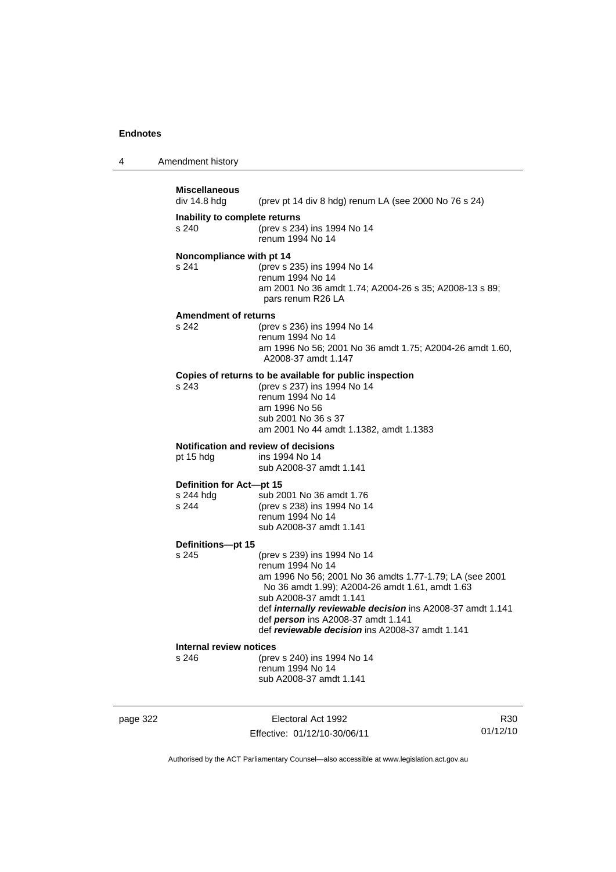| 4 | Amendment history |  |
|---|-------------------|--|
|---|-------------------|--|

| <b>Miscellaneous</b><br>div 14.8 hdg           | (prev pt 14 div 8 hdg) renum LA (see 2000 No 76 s 24)                                                                                                                                                                                                                                                                                                  |
|------------------------------------------------|--------------------------------------------------------------------------------------------------------------------------------------------------------------------------------------------------------------------------------------------------------------------------------------------------------------------------------------------------------|
| Inability to complete returns<br>s 240         | (prev s 234) ins 1994 No 14<br>renum 1994 No 14                                                                                                                                                                                                                                                                                                        |
| Noncompliance with pt 14<br>s 241              | (prev s 235) ins 1994 No 14<br>renum 1994 No 14<br>am 2001 No 36 amdt 1.74; A2004-26 s 35; A2008-13 s 89;<br>pars renum R26 LA                                                                                                                                                                                                                         |
| <b>Amendment of returns</b><br>s 242           | (prev s 236) ins 1994 No 14<br>renum 1994 No 14<br>am 1996 No 56; 2001 No 36 amdt 1.75; A2004-26 amdt 1.60,<br>A2008-37 amdt 1.147                                                                                                                                                                                                                     |
| s 243                                          | Copies of returns to be available for public inspection<br>(prev s 237) ins 1994 No 14<br>renum 1994 No 14<br>am 1996 No 56<br>sub 2001 No 36 s 37<br>am 2001 No 44 amdt 1.1382, amdt 1.1383                                                                                                                                                           |
| pt 15 hdg                                      | <b>Notification and review of decisions</b><br>ins 1994 No 14<br>sub A2008-37 amdt 1.141                                                                                                                                                                                                                                                               |
| Definition for Act-pt 15<br>s 244 hdg<br>s 244 | sub 2001 No 36 amdt 1.76<br>(prev s 238) ins 1994 No 14<br>renum 1994 No 14<br>sub A2008-37 amdt 1.141                                                                                                                                                                                                                                                 |
| Definitions-pt 15<br>s 245                     | (prev s 239) ins 1994 No 14<br>renum 1994 No 14<br>am 1996 No 56; 2001 No 36 amdts 1.77-1.79; LA (see 2001<br>No 36 amdt 1.99); A2004-26 amdt 1.61, amdt 1.63<br>sub A2008-37 amdt 1.141<br>def <i>internally reviewable decision</i> ins A2008-37 amdt 1.141<br>def person ins A2008-37 amdt 1.141<br>def reviewable decision ins A2008-37 amdt 1.141 |
| <b>Internal review notices</b><br>s 246        | (prev s 240) ins 1994 No 14<br>renum 1994 No 14<br>sub A2008-37 amdt 1.141                                                                                                                                                                                                                                                                             |

page 322 Electoral Act 1992 Effective: 01/12/10-30/06/11

R30 01/12/10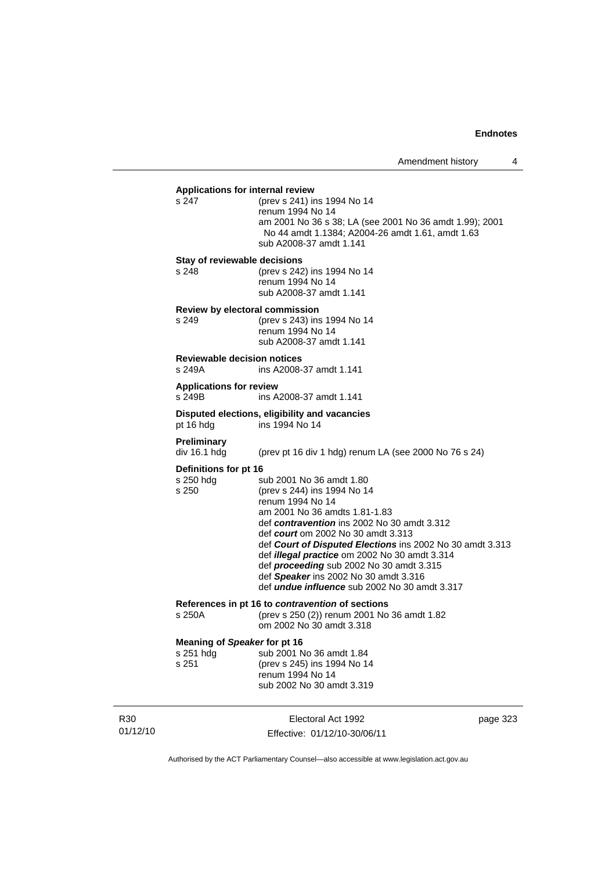| Applications for internal review<br>s 247          | (prev s 241) ins 1994 No 14<br>renum 1994 No 14<br>am 2001 No 36 s 38; LA (see 2001 No 36 amdt 1.99); 2001<br>No 44 amdt 1.1384; A2004-26 amdt 1.61, amdt 1.63                                                                                                                                                                                                                                                                                                      |          |
|----------------------------------------------------|---------------------------------------------------------------------------------------------------------------------------------------------------------------------------------------------------------------------------------------------------------------------------------------------------------------------------------------------------------------------------------------------------------------------------------------------------------------------|----------|
|                                                    | sub A2008-37 amdt 1.141                                                                                                                                                                                                                                                                                                                                                                                                                                             |          |
| Stay of reviewable decisions<br>s 248              | (prev s 242) ins 1994 No 14<br>renum 1994 No 14<br>sub A2008-37 amdt 1.141                                                                                                                                                                                                                                                                                                                                                                                          |          |
| Review by electoral commission<br>s 249            | (prev s 243) ins 1994 No 14<br>renum 1994 No 14<br>sub A2008-37 amdt 1.141                                                                                                                                                                                                                                                                                                                                                                                          |          |
| <b>Reviewable decision notices</b><br>s 249A       | ins A2008-37 amdt 1.141                                                                                                                                                                                                                                                                                                                                                                                                                                             |          |
| <b>Applications for review</b><br>s 249B           | ins A2008-37 amdt 1.141                                                                                                                                                                                                                                                                                                                                                                                                                                             |          |
| pt 16 hdg                                          | Disputed elections, eligibility and vacancies<br>ins 1994 No 14                                                                                                                                                                                                                                                                                                                                                                                                     |          |
| Preliminary<br>div 16.1 hdg                        | (prev pt 16 div 1 hdg) renum LA (see 2000 No 76 s 24)                                                                                                                                                                                                                                                                                                                                                                                                               |          |
| Definitions for pt 16                              |                                                                                                                                                                                                                                                                                                                                                                                                                                                                     |          |
| s 250 hdg<br>s 250                                 | sub 2001 No 36 amdt 1.80<br>(prev s 244) ins 1994 No 14<br>renum 1994 No 14<br>am 2001 No 36 amdts 1.81-1.83<br>def contravention ins 2002 No 30 amdt 3.312<br>def court om 2002 No 30 amdt 3.313<br>def Court of Disputed Elections ins 2002 No 30 amdt 3.313<br>def <i>illegal practice</i> om 2002 No 30 amdt 3.314<br>def proceeding sub 2002 No 30 amdt 3.315<br>def Speaker ins 2002 No 30 amdt 3.316<br>def <i>undue influence</i> sub 2002 No 30 amdt 3.317 |          |
| s 250A                                             | References in pt 16 to <i>contravention</i> of sections<br>(prev s 250 (2)) renum 2001 No 36 amdt 1.82<br>om 2002 No 30 amdt 3.318                                                                                                                                                                                                                                                                                                                                  |          |
| Meaning of Speaker for pt 16<br>s 251 hdg<br>s 251 | sub 2001 No 36 amdt 1.84<br>(prev s 245) ins 1994 No 14<br>renum 1994 No 14<br>sub 2002 No 30 amdt 3.319                                                                                                                                                                                                                                                                                                                                                            |          |
|                                                    | Electoral Act 1992                                                                                                                                                                                                                                                                                                                                                                                                                                                  | page 323 |

Authorised by the ACT Parliamentary Counsel—also accessible at www.legislation.act.gov.au

Effective: 01/12/10-30/06/11

R30 01/12/10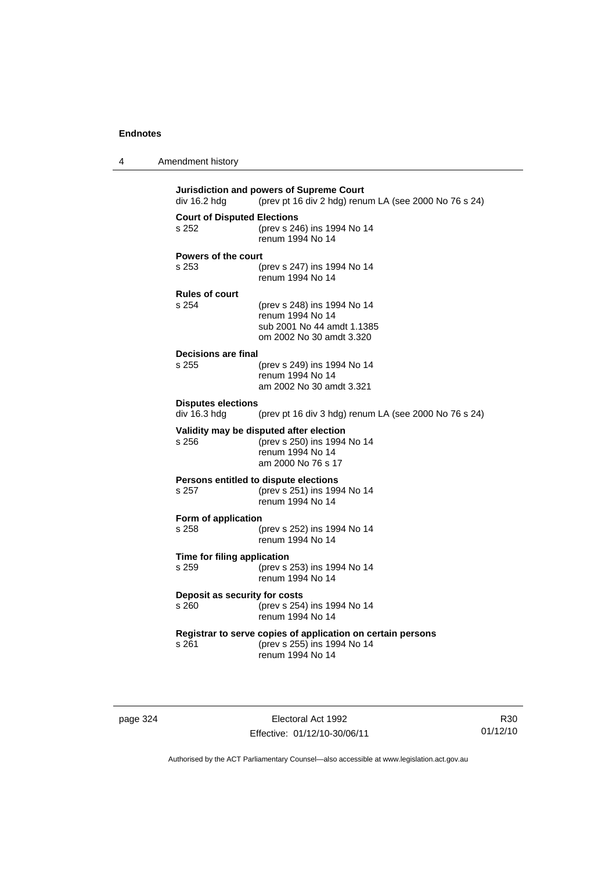| 4 | Amendment history |  |
|---|-------------------|--|
|---|-------------------|--|

| Jurisdiction and powers of Supreme Court<br>(prev pt 16 div 2 hdg) renum LA (see 2000 No 76 s 24)<br>div 16.2 hdg |                                                             |  |
|-------------------------------------------------------------------------------------------------------------------|-------------------------------------------------------------|--|
| <b>Court of Disputed Elections</b>                                                                                |                                                             |  |
|                                                                                                                   |                                                             |  |
| s 252                                                                                                             | (prev s 246) ins 1994 No 14                                 |  |
|                                                                                                                   | renum 1994 No 14                                            |  |
|                                                                                                                   |                                                             |  |
| <b>Powers of the court</b>                                                                                        |                                                             |  |
| s 253                                                                                                             | (prev s 247) ins 1994 No 14                                 |  |
|                                                                                                                   | renum 1994 No 14                                            |  |
|                                                                                                                   |                                                             |  |
| <b>Rules of court</b>                                                                                             |                                                             |  |
|                                                                                                                   |                                                             |  |
| s 254                                                                                                             | (prev s 248) ins 1994 No 14                                 |  |
|                                                                                                                   | renum 1994 No 14                                            |  |
|                                                                                                                   | sub 2001 No 44 amdt 1.1385                                  |  |
|                                                                                                                   | om 2002 No 30 amdt 3.320                                    |  |
|                                                                                                                   |                                                             |  |
| <b>Decisions are final</b>                                                                                        |                                                             |  |
| s 255                                                                                                             | (prev s 249) ins 1994 No 14                                 |  |
|                                                                                                                   | renum 1994 No 14                                            |  |
|                                                                                                                   |                                                             |  |
|                                                                                                                   | am 2002 No 30 amdt 3.321                                    |  |
|                                                                                                                   |                                                             |  |
| <b>Disputes elections</b>                                                                                         |                                                             |  |
| div 16.3 hdg                                                                                                      | (prev pt 16 div 3 hdg) renum LA (see 2000 No 76 s 24)       |  |
|                                                                                                                   |                                                             |  |
|                                                                                                                   | Validity may be disputed after election                     |  |
| s 256                                                                                                             | (prev s 250) ins 1994 No 14                                 |  |
|                                                                                                                   | renum 1994 No 14                                            |  |
|                                                                                                                   | am 2000 No 76 s 17                                          |  |
|                                                                                                                   |                                                             |  |
|                                                                                                                   | Persons entitled to dispute elections                       |  |
| s 257                                                                                                             | (prev s 251) ins 1994 No 14                                 |  |
|                                                                                                                   | renum 1994 No 14                                            |  |
|                                                                                                                   |                                                             |  |
| Form of application                                                                                               |                                                             |  |
| s 258                                                                                                             | (prev s 252) ins 1994 No 14                                 |  |
|                                                                                                                   | renum 1994 No 14                                            |  |
|                                                                                                                   |                                                             |  |
| Time for filing application                                                                                       |                                                             |  |
| s 259                                                                                                             | (prev s 253) ins 1994 No 14                                 |  |
|                                                                                                                   |                                                             |  |
|                                                                                                                   | renum 1994 No 14                                            |  |
| Deposit as security for costs                                                                                     |                                                             |  |
|                                                                                                                   |                                                             |  |
| s 260                                                                                                             | (prev s 254) ins 1994 No 14                                 |  |
|                                                                                                                   | renum 1994 No 14                                            |  |
|                                                                                                                   |                                                             |  |
|                                                                                                                   | Registrar to serve copies of application on certain persons |  |
| s 261                                                                                                             | (prev s 255) ins 1994 No 14                                 |  |
|                                                                                                                   | renum 1994 No 14                                            |  |
|                                                                                                                   |                                                             |  |
|                                                                                                                   |                                                             |  |
|                                                                                                                   |                                                             |  |

page 324 Electoral Act 1992 Effective: 01/12/10-30/06/11

R30 01/12/10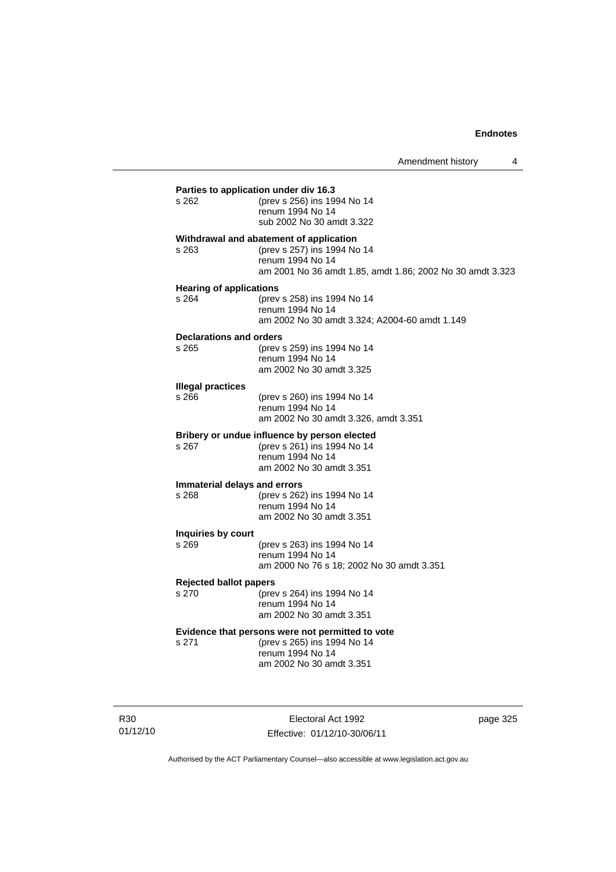| s 262                                   | (prev s 256) ins 1994 No 14<br>renum 1994 No 14<br>sub 2002 No 30 amdt 3.322                                                                            |
|-----------------------------------------|---------------------------------------------------------------------------------------------------------------------------------------------------------|
| s 263                                   | Withdrawal and abatement of application<br>(prev s 257) ins 1994 No 14<br>renum 1994 No 14<br>am 2001 No 36 amdt 1.85, amdt 1.86; 2002 No 30 amdt 3.323 |
| <b>Hearing of applications</b><br>s 264 | (prev s 258) ins 1994 No 14<br>renum 1994 No 14<br>am 2002 No 30 amdt 3.324; A2004-60 amdt 1.149                                                        |
| Declarations and orders<br>s 265        | (prev s 259) ins 1994 No 14<br>renum 1994 No 14<br>am 2002 No 30 amdt 3.325                                                                             |
| <b>Illegal practices</b><br>s 266       | (prev s 260) ins 1994 No 14<br>renum 1994 No 14<br>am 2002 No 30 amdt 3.326, amdt 3.351                                                                 |
| s 267                                   | Bribery or undue influence by person elected<br>(prev s 261) ins 1994 No 14<br>renum 1994 No 14<br>am 2002 No 30 amdt 3.351                             |
| s 268                                   | Immaterial delays and errors<br>(prev s 262) ins 1994 No 14<br>renum 1994 No 14<br>am 2002 No 30 amdt 3.351                                             |
| Inquiries by court<br>s 269             | (prev s 263) ins 1994 No 14<br>renum 1994 No 14<br>am 2000 No 76 s 18; 2002 No 30 amdt 3.351                                                            |
| <b>Rejected ballot papers</b><br>s 270  | (prev s 264) ins 1994 No 14<br>renum 1994 No 14<br>am 2002 No 30 amdt 3.351                                                                             |
| s 271                                   | Evidence that persons were not permitted to vote<br>(prev s 265) ins 1994 No 14<br>renum 1994 No 14<br>am 2002 No 30 amdt 3.351                         |

R30 01/12/10

Electoral Act 1992 Effective: 01/12/10-30/06/11 page 325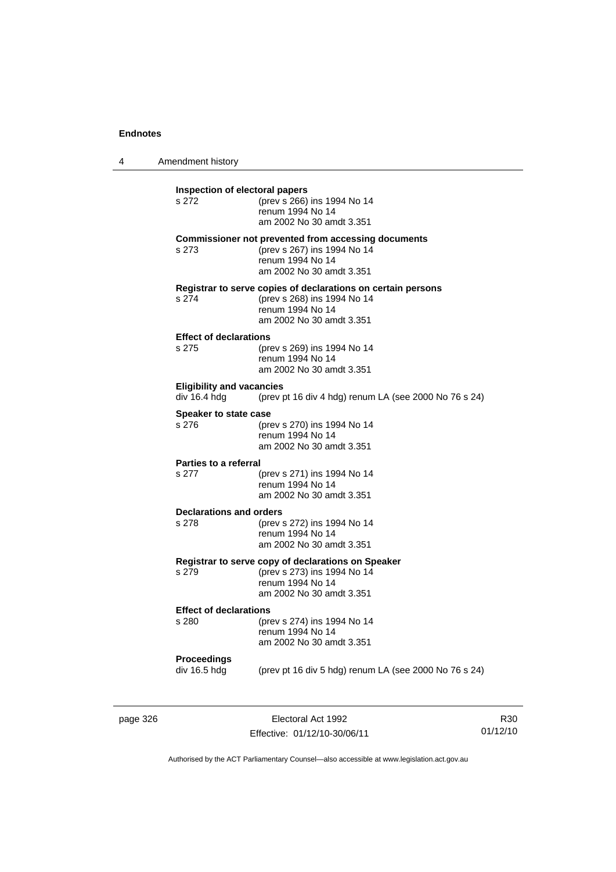4 Amendment history **Inspection of electoral papers**

(prev s 266) ins 1994 No 14 renum 1994 No 14 am 2002 No 30 amdt 3.351 **Commissioner not prevented from accessing documents** s 273 (prev s 267) ins 1994 No 14 renum 1994 No 14 am 2002 No 30 amdt 3.351 **Registrar to serve copies of declarations on certain persons** s 274 (prev s 268) ins 1994 No 14 renum 1994 No 14 am 2002 No 30 amdt 3.351 **Effect of declarations** s 275 (prev s 269) ins 1994 No 14 renum 1994 No 14 am 2002 No 30 amdt 3.351 **Eligibility and vacancies**  div 16.4 hdg (prev pt 16 div 4 hdg) renum LA (see 2000 No 76 s 24) **Speaker to state case**<br>s 276 (pre s 276 (prev s 270) ins 1994 No 14 renum 1994 No 14 am 2002 No 30 amdt 3.351 **Parties to a referral** s 277 (prev s 271) ins 1994 No 14 renum 1994 No 14 am 2002 No 30 amdt 3.351 **Declarations and orders** s 278 (prev s 272) ins 1994 No 14 renum 1994 No 14 am 2002 No 30 amdt 3.351 **Registrar to serve copy of declarations on Speaker** s 279 (prev s 273) ins 1994 No 14 renum 1994 No 14 am 2002 No 30 amdt 3.351 **Effect of declarations** s 280 (prev s 274) ins 1994 No 14 renum 1994 No 14 am 2002 No 30 amdt 3.351 **Proceedings**  (prev pt 16 div 5 hdg) renum LA (see 2000 No 76 s 24)

page 326 **Electoral Act 1992** Effective: 01/12/10-30/06/11

R30 01/12/10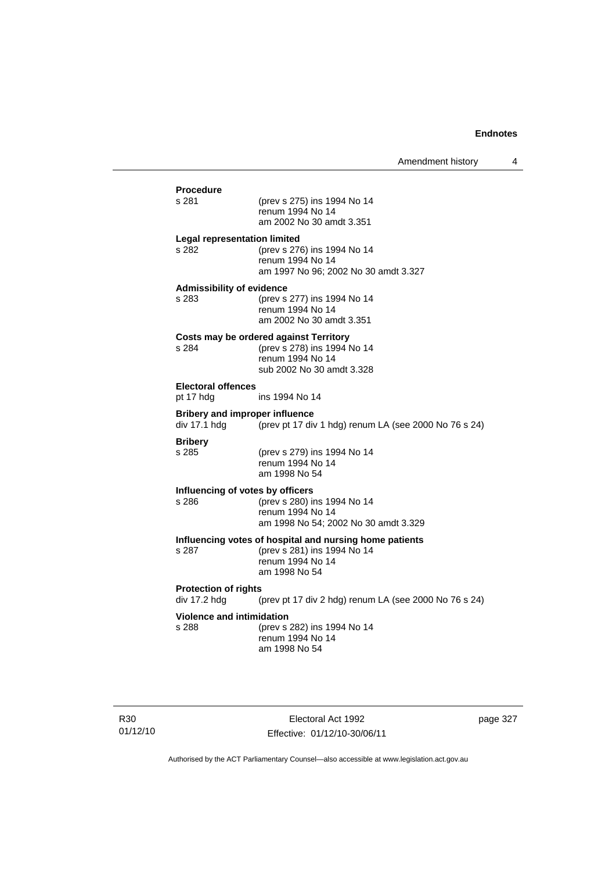| <b>Procedure</b> |                                                                                         |
|------------------|-----------------------------------------------------------------------------------------|
| s 281            | (prev s 275) ins 1994 No 14<br>renum 1994 No 14<br>am 2002 No 30 amdt 3.351             |
|                  | <b>Legal representation limited</b>                                                     |
| s 282            | (prev s 276) ins 1994 No 14<br>renum 1994 No 14<br>am 1997 No 96; 2002 No 30 amdt 3.327 |
|                  | <b>Admissibility of evidence</b>                                                        |
| s 283            | (prev s 277) ins 1994 No 14<br>renum 1994 No 14<br>am 2002 No 30 amdt 3.351             |
|                  | Costs may be ordered against Territory                                                  |
| s 284            | (prev s 278) ins 1994 No 14                                                             |
|                  | renum 1994 No 14                                                                        |
|                  | sub 2002 No 30 amdt 3.328                                                               |
|                  | <b>Electoral offences</b>                                                               |
| pt 17 hdg        | ins 1994 No 14                                                                          |
|                  | <b>Bribery and improper influence</b>                                                   |
| div 17.1 hdg     | (prev pt 17 div 1 hdg) renum LA (see 2000 No 76 s 24)                                   |
| <b>Bribery</b>   |                                                                                         |
| s 285            | (prev s 279) ins 1994 No 14                                                             |
|                  | renum 1994 No 14                                                                        |
|                  | am 1998 No 54                                                                           |
|                  | Influencing of votes by officers                                                        |
| s 286            | (prev s 280) ins 1994 No 14                                                             |
|                  | renum 1994 No 14                                                                        |
|                  | am 1998 No 54; 2002 No 30 amdt 3.329                                                    |
|                  | Influencing votes of hospital and nursing home patients                                 |
| s 287            | (prev s 281) ins 1994 No 14                                                             |
|                  | renum 1994 No 14<br>am 1998 No 54                                                       |
|                  |                                                                                         |
|                  | <b>Protection of rights</b>                                                             |
| div 17.2 hdg     | (prev pt 17 div 2 hdg) renum LA (see 2000 No 76 s 24)                                   |
|                  | <b>Violence and intimidation</b>                                                        |
| s 288            | (prev s 282) ins 1994 No 14                                                             |
|                  | renum 1994 No 14<br>am 1998 No 54                                                       |
|                  |                                                                                         |

R30 01/12/10

Electoral Act 1992 Effective: 01/12/10-30/06/11 page 327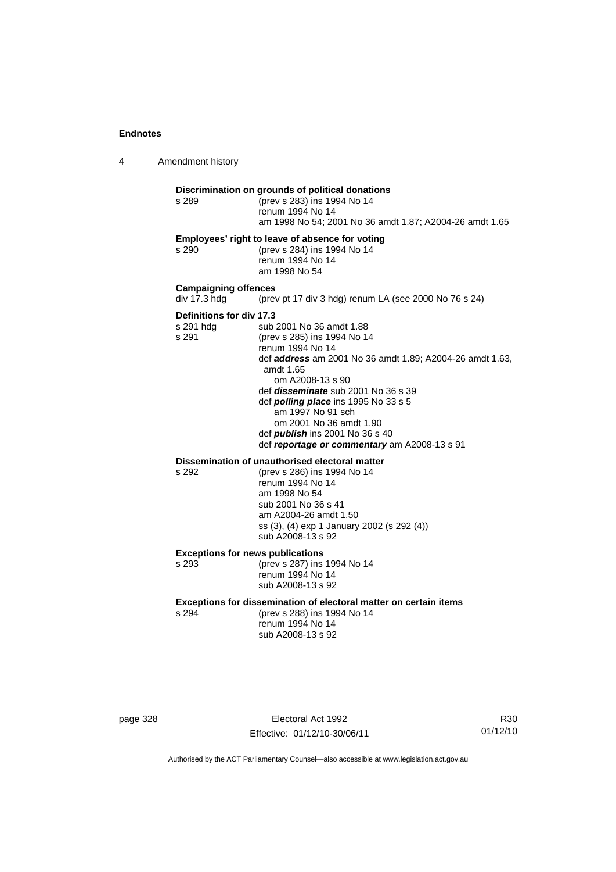4 Amendment history

### **Discrimination on grounds of political donations**

s 289 (prev s 283) ins 1994 No 14 renum 1994 No 14 am 1998 No 54; 2001 No 36 amdt 1.87; A2004-26 amdt 1.65 **Employees' right to leave of absence for voting** s 290 (prev s 284) ins 1994 No 14 renum 1994 No 14 am 1998 No 54 **Campaigning offences**  div 17.3 hdg (prev pt 17 div 3 hdg) renum LA (see 2000 No 76 s 24) **Definitions for div 17.3**<br>s 291 hdg sub s 291 hdg sub 2001 No 36 amdt 1.88<br>s 291 (prev s 285) ins 1994 No 14 (prev s 285) ins 1994 No 14 renum 1994 No 14 def *address* am 2001 No 36 amdt 1.89; A2004-26 amdt 1.63, amdt 1.65 om A2008-13 s 90 def *disseminate* sub 2001 No 36 s 39 def *polling place* ins 1995 No 33 s 5 am 1997 No 91 sch om 2001 No 36 amdt 1.90 def *publish* ins 2001 No 36 s 40 def *reportage or commentary* am A2008-13 s 91

## **Dissemination of unauthorised electoral matter**<br>s 292 (prev s 286) ins 1994 No 14

s 292 (prev s 286) ins 1994 No 14 renum 1994 No 14 am 1998 No 54 sub 2001 No 36 s 41 am A2004-26 amdt 1.50 ss (3), (4) exp 1 January 2002 (s 292 (4)) sub A2008-13 s 92

**Exceptions for news publications**<br>s 293 (prev s 287) ins

(prev s 287) ins 1994 No 14 renum 1994 No 14 sub A2008-13 s 92

#### **Exceptions for dissemination of electoral matter on certain items**

s 294 (prev s 288) ins 1994 No 14 renum 1994 No 14 sub A2008-13 s 92

page 328 Electoral Act 1992 Effective: 01/12/10-30/06/11

R30 01/12/10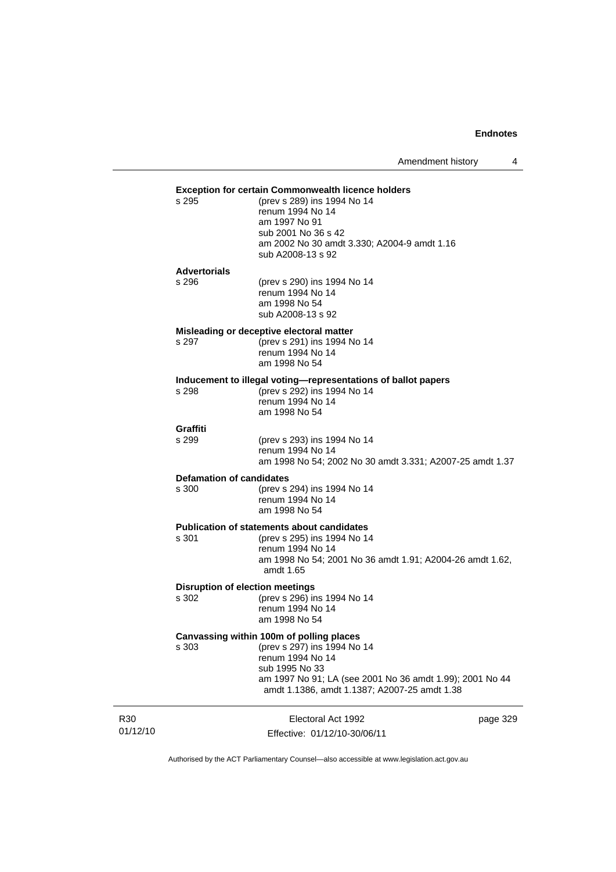Amendment history 4

### **Exception for certain Commonwealth licence holders**

| (prev s 289) ins 1994 No 14                 |
|---------------------------------------------|
| renum 1994 No 14                            |
| am 1997 No 91                               |
| sub 2001 No 36 s 42                         |
| am 2002 No 30 amdt 3.330; A2004-9 amdt 1.16 |
| sub A2008-13 s 92                           |
|                                             |

## **Advertorials**

 $s$  295

| s 296 | (prev s 290) ins 1994 No 14 |
|-------|-----------------------------|
|       | renum 1994 No 14            |
|       | am 1998 No 54               |
|       | sub A2008-13 s 92           |

#### **Misleading or deceptive electoral matter**

s 297 (prev s 291) ins 1994 No 14 renum 1994 No 14 am 1998 No 54

## **Inducement to illegal voting—representations of ballot papers**

 $(prev s 292)$  ins 1994 No 14 renum 1994 No 14 am 1998 No 54

## **Graffiti**

(prev s 293) ins 1994 No 14 renum 1994 No 14 am 1998 No 54; 2002 No 30 amdt 3.331; A2007-25 amdt 1.37

## **Defamation of candidates**<br>s 300 (prev s

(prev s 294) ins 1994 No 14 renum 1994 No 14 am 1998 No 54

# **Publication of statements about candidates**<br>s 301 (orev s 295) ins 1994 No 1

(prev s 295) ins 1994 No 14 renum 1994 No 14 am 1998 No 54; 2001 No 36 amdt 1.91; A2004-26 amdt 1.62, amdt 1.65

### **Disruption of election meetings**

s 302 (prev s 296) ins 1994 No 14 renum 1994 No 14 am 1998 No 54

#### **Canvassing within 100m of polling places**

s 303 (prev s 297) ins 1994 No 14 renum 1994 No 14 sub 1995 No 33 am 1997 No 91; LA (see 2001 No 36 amdt 1.99); 2001 No 44 amdt 1.1386, amdt 1.1387; A2007-25 amdt 1.38

| R <sub>30</sub> | Electoral Act 1992           | page 329 |
|-----------------|------------------------------|----------|
| 01/12/10        | Effective: 01/12/10-30/06/11 |          |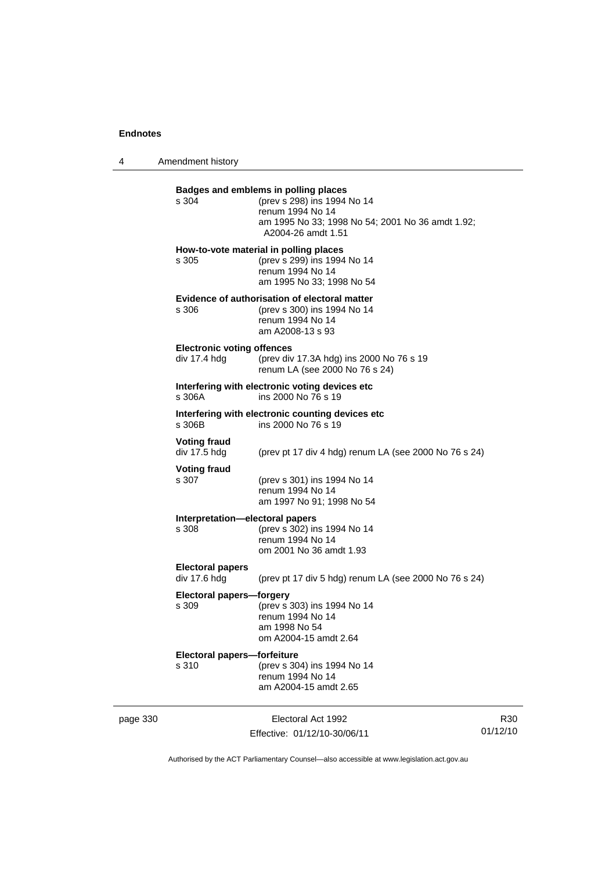4 Amendment history

|          | s 304                                             | Badges and emblems in polling places<br>(prev s 298) ins 1994 No 14<br>renum 1994 No 14<br>am 1995 No 33; 1998 No 54; 2001 No 36 amdt 1.92;<br>A2004-26 amdt 1.51<br>How-to-vote material in polling places |                             |
|----------|---------------------------------------------------|-------------------------------------------------------------------------------------------------------------------------------------------------------------------------------------------------------------|-----------------------------|
|          | s 305                                             | (prev s 299) ins 1994 No 14<br>renum 1994 No 14<br>am 1995 No 33; 1998 No 54                                                                                                                                |                             |
|          | s 306                                             | Evidence of authorisation of electoral matter<br>(prev s 300) ins 1994 No 14<br>renum 1994 No 14<br>am A2008-13 s 93                                                                                        |                             |
|          | <b>Electronic voting offences</b><br>div 17.4 hdg | (prev div 17.3A hdg) ins 2000 No 76 s 19<br>renum LA (see 2000 No 76 s 24)                                                                                                                                  |                             |
|          | s 306A                                            | Interfering with electronic voting devices etc<br>ins 2000 No 76 s 19                                                                                                                                       |                             |
|          | s 306B                                            | Interfering with electronic counting devices etc<br>ins 2000 No 76 s 19                                                                                                                                     |                             |
|          | <b>Voting fraud</b><br>div 17.5 hdg               | (prev pt 17 div 4 hdg) renum LA (see 2000 No 76 s 24)                                                                                                                                                       |                             |
|          | <b>Voting fraud</b><br>s 307                      | (prev s 301) ins 1994 No 14<br>renum 1994 No 14<br>am 1997 No 91; 1998 No 54                                                                                                                                |                             |
|          | Interpretation-electoral papers<br>s 308          | (prev s 302) ins 1994 No 14<br>renum 1994 No 14<br>om 2001 No 36 amdt 1.93                                                                                                                                  |                             |
|          | <b>Electoral papers</b><br>div 17.6 hdg           | (prev pt 17 div 5 hdg) renum LA (see 2000 No 76 s 24)                                                                                                                                                       |                             |
|          | Electoral papers-forgery<br>s 309                 | (prev s 303) ins 1994 No 14<br>renum 1994 No 14<br>am 1998 No 54<br>om A2004-15 amdt 2.64                                                                                                                   |                             |
|          | Electoral papers-forfeiture<br>s 310              | (prev s 304) ins 1994 No 14<br>renum 1994 No 14<br>am A2004-15 amdt 2.65                                                                                                                                    |                             |
| page 330 |                                                   | Electoral Act 1992<br>Effective: 01/12/10-30/06/11                                                                                                                                                          | R <sub>30</sub><br>01/12/10 |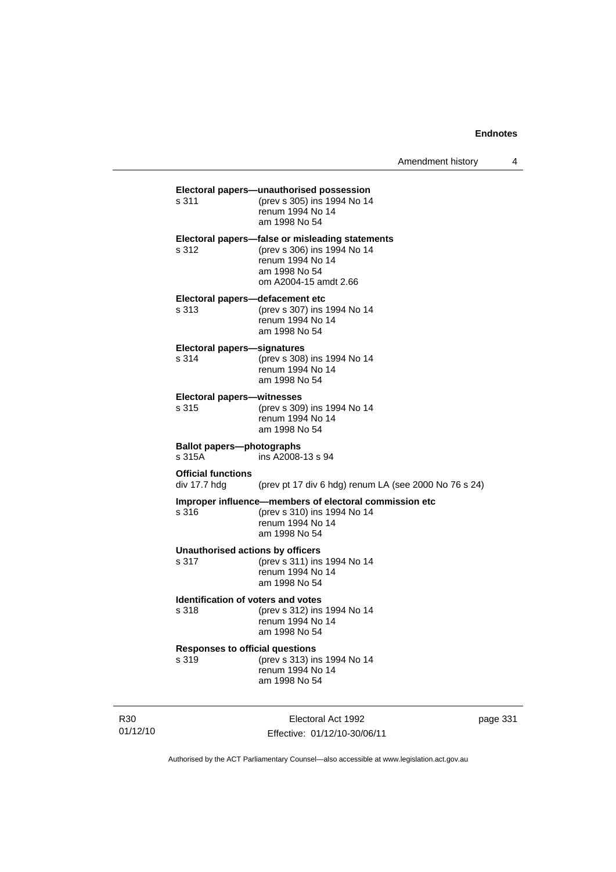| s 311                                              | Electoral papers-unauthorised possession<br>(prev s 305) ins 1994 No 14<br>renum 1994 No 14<br>am 1998 No 54                                 |
|----------------------------------------------------|----------------------------------------------------------------------------------------------------------------------------------------------|
| s 312                                              | Electoral papers-false or misleading statements<br>(prev s 306) ins 1994 No 14<br>renum 1994 No 14<br>am 1998 No 54<br>om A2004-15 amdt 2.66 |
| Electoral papers-defacement etc<br>s 313           | (prev s 307) ins 1994 No 14<br>renum 1994 No 14<br>am 1998 No 54                                                                             |
| <b>Electoral papers-signatures</b><br>s 314        | (prev s 308) ins 1994 No 14<br>renum 1994 No 14<br>am 1998 No 54                                                                             |
| <b>Electoral papers-witnesses</b><br>s 315         | (prev s 309) ins 1994 No 14<br>renum 1994 No 14<br>am 1998 No 54                                                                             |
| <b>Ballot papers-photographs</b><br>s 315A         | ins A2008-13 s 94                                                                                                                            |
|                                                    |                                                                                                                                              |
| <b>Official functions</b><br>div 17.7 hdg          | (prev pt 17 div 6 hdg) renum LA (see 2000 No 76 s 24)                                                                                        |
| s 316                                              | Improper influence-members of electoral commission etc<br>(prev s 310) ins 1994 No 14<br>renum 1994 No 14<br>am 1998 No 54                   |
| <b>Unauthorised actions by officers</b><br>s 317   | (prev s 311) ins 1994 No 14<br>renum 1994 No 14<br>am 1998 No 54                                                                             |
| <b>Identification of voters and votes</b><br>s 318 | (prev s 312) ins 1994 No 14<br>renum 1994 No 14<br>am 1998 No 54                                                                             |
| <b>Responses to official questions</b><br>s 319    | (prev s 313) ins 1994 No 14<br>renum 1994 No 14<br>am 1998 No 54                                                                             |

R30 01/12/10

Electoral Act 1992 Effective: 01/12/10-30/06/11 page 331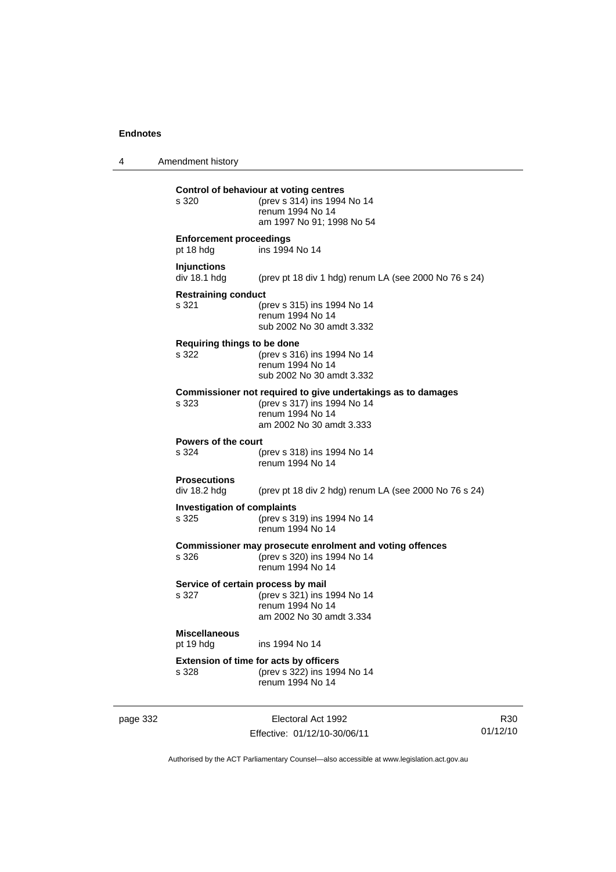4 Amendment history

**Control of behaviour at voting centres** s 320 (prev s 314) ins 1994 No 14 renum 1994 No 14 am 1997 No 91; 1998 No 54 **Enforcement proceedings** pt 18 hdg ins 1994 No 14 **Injunctions**  div 18.1 hdg (prev pt 18 div 1 hdg) renum LA (see 2000 No 76 s 24) **Restraining conduct** s 321 (prev s 315) ins 1994 No 14 renum 1994 No 14 sub 2002 No 30 amdt 3.332 **Requiring things to be done** s 322 (prev s 316) ins 1994 No 14 renum 1994 No 14 sub 2002 No 30 amdt 3.332 **Commissioner not required to give undertakings as to damages** s 323 (prev s 317) ins 1994 No 14 renum 1994 No 14 am 2002 No 30 amdt 3.333 **Powers of the court** s 324 (prev s 318) ins 1994 No 14 renum 1994 No 14 **Prosecutions**  div 18.2 hdg (prev pt 18 div 2 hdg) renum LA (see 2000 No 76 s 24) **Investigation of complaints**<br>s 325 (prev s 31) (prev s 319) ins 1994 No 14 renum 1994 No 14 **Commissioner may prosecute enrolment and voting offences** s 326 (prev s 320) ins 1994 No 14 renum 1994 No 14 **Service of certain process by mail** s 327 (prev s 321) ins 1994 No 14 renum 1994 No 14 am 2002 No 30 amdt 3.334 **Miscellaneous** pt 19 hdg ins 1994 No 14

**Extension of time for acts by officers** s 328 (prev s 322) ins 1994 No 14 renum 1994 No 14

page 332 Electoral Act 1992 Effective: 01/12/10-30/06/11

R30 01/12/10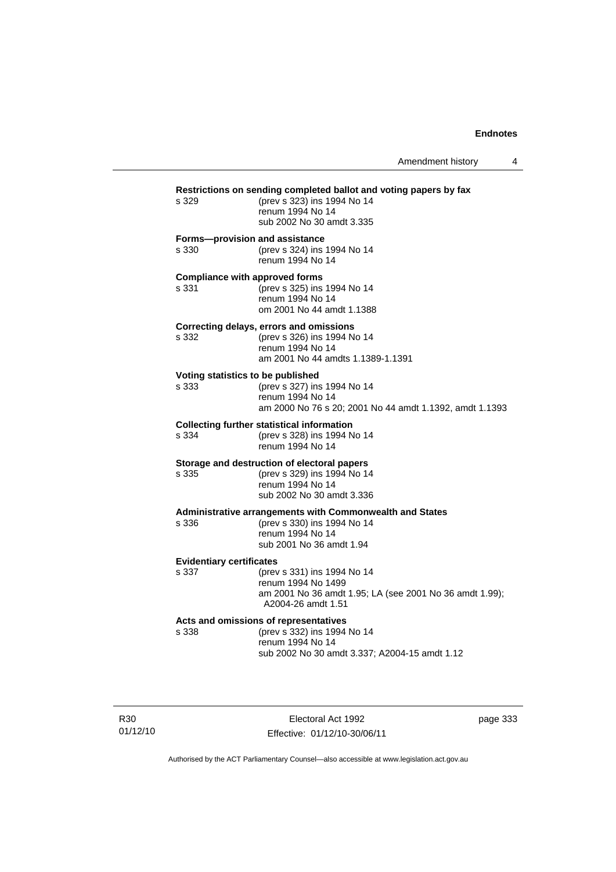| s 329                                          | Restrictions on sending completed ballot and voting papers by fax<br>(prev s 323) ins 1994 No 14<br>renum 1994 No 14<br>sub 2002 No 30 amdt 3.335 |  |  |
|------------------------------------------------|---------------------------------------------------------------------------------------------------------------------------------------------------|--|--|
| Forms-provision and assistance<br>s 330        | (prev s 324) ins 1994 No 14<br>renum 1994 No 14                                                                                                   |  |  |
| <b>Compliance with approved forms</b><br>s 331 | (prev s 325) ins 1994 No 14<br>renum 1994 No 14<br>om 2001 No 44 amdt 1.1388                                                                      |  |  |
| s 332                                          | Correcting delays, errors and omissions<br>(prev s 326) ins 1994 No 14<br>renum 1994 No 14<br>am 2001 No 44 amdts 1.1389-1.1391                   |  |  |
| Voting statistics to be published<br>s 333     | (prev s 327) ins 1994 No 14<br>renum 1994 No 14<br>am 2000 No 76 s 20; 2001 No 44 amdt 1.1392, amdt 1.1393                                        |  |  |
| s 334                                          | <b>Collecting further statistical information</b><br>(prev s 328) ins 1994 No 14<br>renum 1994 No 14                                              |  |  |
| s 335                                          | Storage and destruction of electoral papers<br>(prev s 329) ins 1994 No 14<br>renum 1994 No 14<br>sub 2002 No 30 amdt 3.336                       |  |  |
| s 336                                          | Administrative arrangements with Commonwealth and States<br>(prev s 330) ins 1994 No 14<br>renum 1994 No 14<br>sub 2001 No 36 amdt 1.94           |  |  |
| <b>Evidentiary certificates</b><br>s 337       | (prev s 331) ins 1994 No 14<br>renum 1994 No 1499<br>am 2001 No 36 amdt 1.95; LA (see 2001 No 36 amdt 1.99);<br>A2004-26 amdt 1.51                |  |  |
| s 338                                          | Acts and omissions of representatives<br>(prev s 332) ins 1994 No 14<br>renum 1994 No 14<br>sub 2002 No 30 amdt 3.337; A2004-15 amdt 1.12         |  |  |

R30 01/12/10

Electoral Act 1992 Effective: 01/12/10-30/06/11 page 333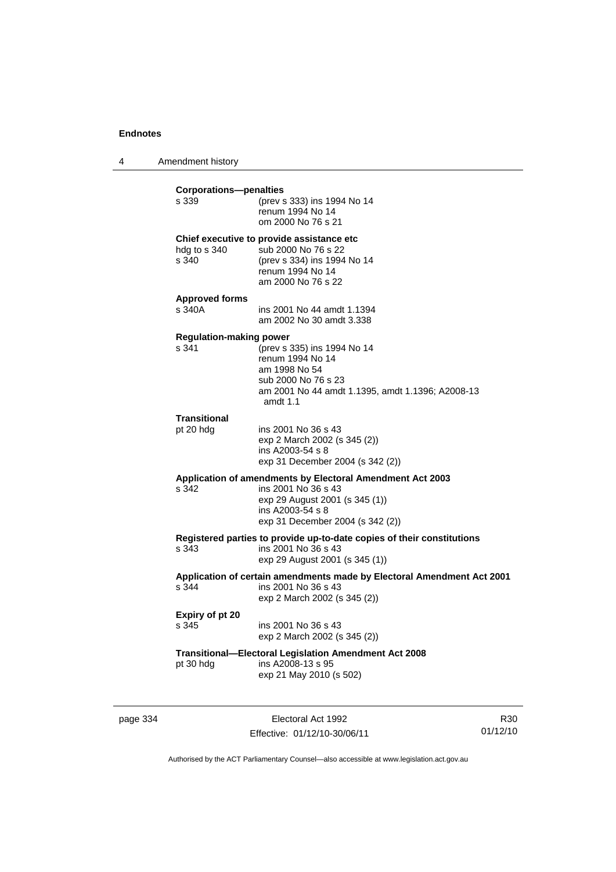4 Amendment history

| <b>Corporations-penalties</b><br>s 339  | (prev s 333) ins 1994 No 14<br>renum 1994 No 14<br>om 2000 No 76 s 21                                                                                                      |
|-----------------------------------------|----------------------------------------------------------------------------------------------------------------------------------------------------------------------------|
| hdg to s 340<br>s 340                   | Chief executive to provide assistance etc.<br>sub 2000 No 76 s 22<br>(prev s 334) ins 1994 No 14<br>renum 1994 No 14<br>am 2000 No 76 s 22                                 |
| <b>Approved forms</b><br>s 340A         | ins 2001 No 44 amdt 1.1394<br>am 2002 No 30 amdt 3.338                                                                                                                     |
| <b>Regulation-making power</b><br>s 341 | (prev s 335) ins 1994 No 14<br>renum 1994 No 14<br>am 1998 No 54<br>sub 2000 No 76 s 23<br>am 2001 No 44 amdt 1.1395, amdt 1.1396; A2008-13<br>amdt 1.1                    |
| <b>Transitional</b><br>pt 20 hdg        | ins 2001 No 36 s 43<br>exp 2 March 2002 (s 345 (2))<br>ins A2003-54 s 8<br>exp 31 December 2004 (s 342 (2))                                                                |
| s 342                                   | Application of amendments by Electoral Amendment Act 2003<br>ins 2001 No 36 s 43<br>exp 29 August 2001 (s 345 (1))<br>ins A2003-54 s 8<br>exp 31 December 2004 (s 342 (2)) |
| s 343                                   | Registered parties to provide up-to-date copies of their constitutions<br>ins 2001 No 36 s 43<br>exp 29 August 2001 (s 345 (1))                                            |
| s 344                                   | Application of certain amendments made by Electoral Amendment Act 2001<br>ins 2001 No 36 s 43<br>exp 2 March 2002 (s 345 (2))                                              |
| Expiry of pt 20<br>s 345                | ins 2001 No 36 s 43<br>exp 2 March 2002 (s 345 (2))                                                                                                                        |
| pt 30 hdg                               | Transitional-Electoral Legislation Amendment Act 2008<br>ins A2008-13 s 95<br>exp 21 May 2010 (s 502)                                                                      |

page 334 Electoral Act 1992 Effective: 01/12/10-30/06/11

R30 01/12/10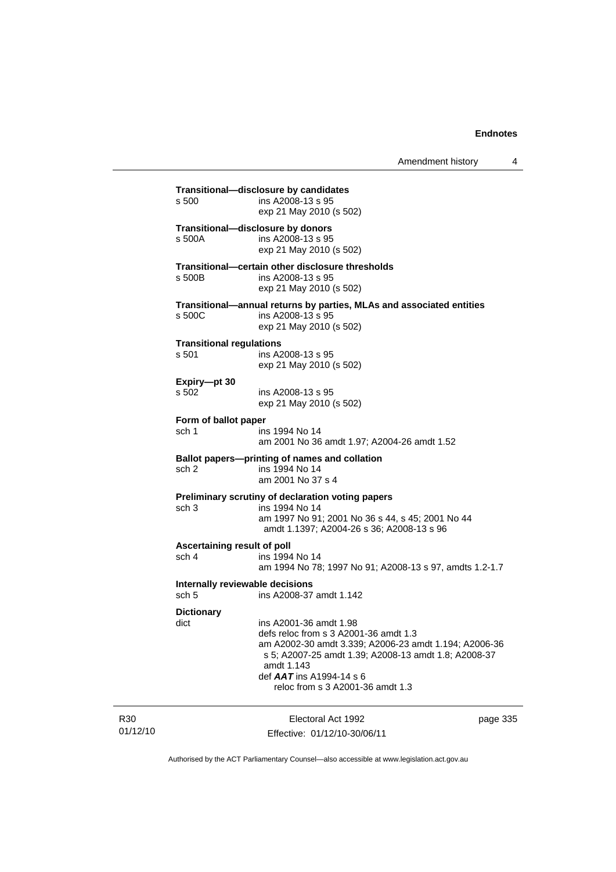| s 500                                    | Transitional-disclosure by candidates<br>ins A2008-13 s 95<br>exp 21 May 2010 (s 502)                                                                                                                                                                          |
|------------------------------------------|----------------------------------------------------------------------------------------------------------------------------------------------------------------------------------------------------------------------------------------------------------------|
| s 500A                                   | Transitional-disclosure by donors<br>ins A2008-13 s 95<br>exp 21 May 2010 (s 502)                                                                                                                                                                              |
| s 500B                                   | Transitional-certain other disclosure thresholds<br>ins A2008-13 s 95<br>exp 21 May 2010 (s 502)                                                                                                                                                               |
| s 500C                                   | Transitional-annual returns by parties, MLAs and associated entities<br>ins A2008-13 s 95<br>exp 21 May 2010 (s 502)                                                                                                                                           |
| <b>Transitional regulations</b><br>s 501 | ins A2008-13 s 95<br>exp 21 May 2010 (s 502)                                                                                                                                                                                                                   |
| Expiry-pt 30<br>s 502                    | ins A2008-13 s 95<br>exp 21 May 2010 (s 502)                                                                                                                                                                                                                   |
| Form of ballot paper                     |                                                                                                                                                                                                                                                                |
| sch 1                                    | ins 1994 No 14<br>am 2001 No 36 amdt 1.97; A2004-26 amdt 1.52                                                                                                                                                                                                  |
| sch <sub>2</sub>                         | Ballot papers---printing of names and collation<br>ins 1994 No 14<br>am 2001 No 37 s 4                                                                                                                                                                         |
| sch <sub>3</sub>                         | Preliminary scrutiny of declaration voting papers<br>ins 1994 No 14<br>am 1997 No 91; 2001 No 36 s 44, s 45; 2001 No 44<br>amdt 1.1397; A2004-26 s 36; A2008-13 s 96                                                                                           |
| sch 4                                    | Ascertaining result of poll<br>ins 1994 No 14<br>am 1994 No 78; 1997 No 91; A2008-13 s 97, amdts 1.2-1.7                                                                                                                                                       |
| sch <sub>5</sub>                         | Internally reviewable decisions<br>ins A2008-37 amdt 1.142                                                                                                                                                                                                     |
| <b>Dictionary</b><br>dict                | ins A2001-36 amdt 1.98<br>defs reloc from s 3 A2001-36 amdt 1.3<br>am A2002-30 amdt 3.339; A2006-23 amdt 1.194; A2006-36<br>s 5; A2007-25 amdt 1.39; A2008-13 amdt 1.8; A2008-37<br>amdt 1.143<br>def AAT ins A1994-14 s 6<br>reloc from s 3 A2001-36 amdt 1.3 |

R30 01/12/10

Electoral Act 1992 Effective: 01/12/10-30/06/11 page 335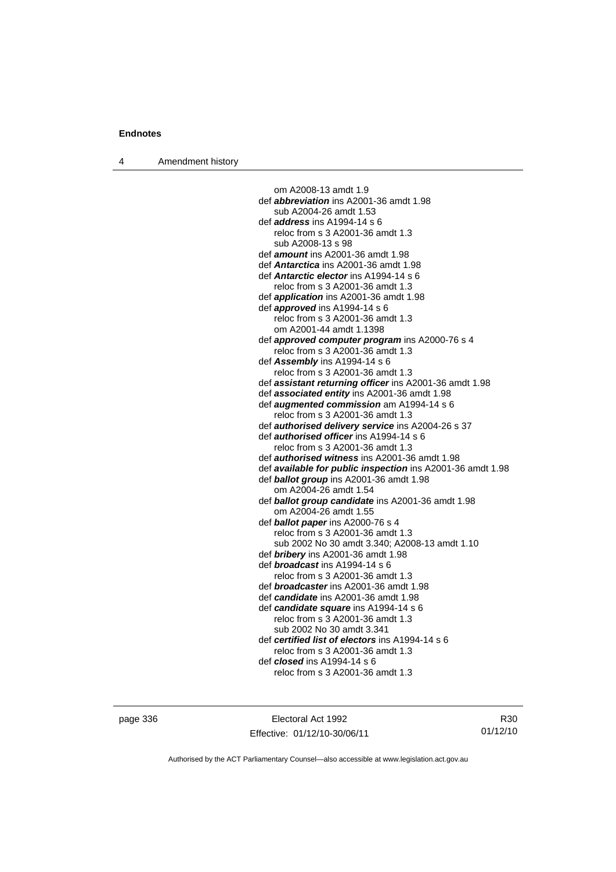4 Amendment history

om A2008-13 amdt 1.9 def *abbreviation* ins A2001-36 amdt 1.98 sub A2004-26 amdt 1.53 def *address* ins A1994-14 s 6 reloc from s 3 A2001-36 amdt 1.3 sub A2008-13 s 98 def *amount* ins A2001-36 amdt 1.98 def *Antarctica* ins A2001-36 amdt 1.98 def *Antarctic elector* ins A1994-14 s 6 reloc from s 3 A2001-36 amdt 1.3 def *application* ins A2001-36 amdt 1.98 def *approved* ins A1994-14 s 6 reloc from s 3 A2001-36 amdt 1.3 om A2001-44 amdt 1.1398 def *approved computer program* ins A2000-76 s 4 reloc from s 3 A2001-36 amdt 1.3 def *Assembly* ins A1994-14 s 6 reloc from s 3 A2001-36 amdt 1.3 def *assistant returning officer* ins A2001-36 amdt 1.98 def *associated entity* ins A2001-36 amdt 1.98 def *augmented commission* am A1994-14 s 6 reloc from s 3 A2001-36 amdt 1.3 def *authorised delivery service* ins A2004-26 s 37 def *authorised officer* ins A1994-14 s 6 reloc from s 3 A2001-36 amdt 1.3 def *authorised witness* ins A2001-36 amdt 1.98 def *available for public inspection* ins A2001-36 amdt 1.98 def *ballot group* ins A2001-36 amdt 1.98 om A2004-26 amdt 1.54 def *ballot group candidate* ins A2001-36 amdt 1.98 om A2004-26 amdt 1.55 def *ballot paper* ins A2000-76 s 4 reloc from s 3 A2001-36 amdt 1.3 sub 2002 No 30 amdt 3.340; A2008-13 amdt 1.10 def *bribery* ins A2001-36 amdt 1.98 def *broadcast* ins A1994-14 s 6 reloc from s 3 A2001-36 amdt 1.3 def *broadcaster* ins A2001-36 amdt 1.98 def *candidate* ins A2001-36 amdt 1.98 def *candidate square* ins A1994-14 s 6 reloc from s 3 A2001-36 amdt 1.3 sub 2002 No 30 amdt 3.341 def *certified list of electors* ins A1994-14 s 6 reloc from s 3 A2001-36 amdt 1.3 def *closed* ins A1994-14 s 6 reloc from s 3 A2001-36 amdt 1.3

page 336 Electoral Act 1992 Effective: 01/12/10-30/06/11

R30 01/12/10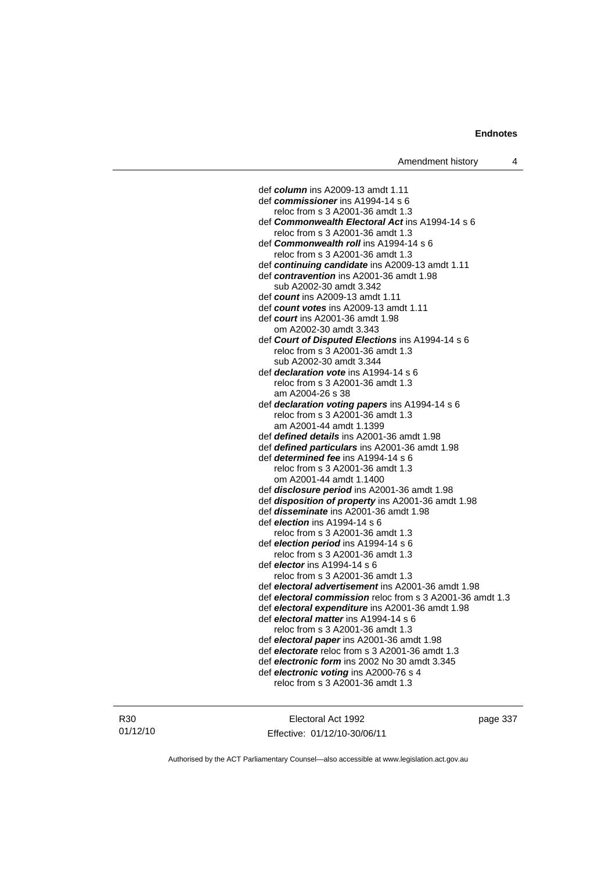def *column* ins A2009-13 amdt 1.11 def *commissioner* ins A1994-14 s 6 reloc from s 3 A2001-36 amdt 1.3 def *Commonwealth Electoral Act* ins A1994-14 s 6 reloc from s 3 A2001-36 amdt 1.3 def *Commonwealth roll* ins A1994-14 s 6 reloc from s 3 A2001-36 amdt 1.3 def *continuing candidate* ins A2009-13 amdt 1.11 def *contravention* ins A2001-36 amdt 1.98 sub A2002-30 amdt 3.342 def *count* ins A2009-13 amdt 1.11 def *count votes* ins A2009-13 amdt 1.11 def *court* ins A2001-36 amdt 1.98 om A2002-30 amdt 3.343 def *Court of Disputed Elections* ins A1994-14 s 6 reloc from s 3 A2001-36 amdt 1.3 sub A2002-30 amdt 3.344 def *declaration vote* ins A1994-14 s 6 reloc from s 3 A2001-36 amdt 1.3 am A2004-26 s 38 def *declaration voting papers* ins A1994-14 s 6 reloc from s 3 A2001-36 amdt 1.3 am A2001-44 amdt 1.1399 def *defined details* ins A2001-36 amdt 1.98 def *defined particulars* ins A2001-36 amdt 1.98 def *determined fee* ins A1994-14 s 6 reloc from s 3 A2001-36 amdt 1.3 om A2001-44 amdt 1.1400 def *disclosure period* ins A2001-36 amdt 1.98 def *disposition of property* ins A2001-36 amdt 1.98 def *disseminate* ins A2001-36 amdt 1.98 def *election* ins A1994-14 s 6 reloc from s 3 A2001-36 amdt 1.3 def *election period* ins A1994-14 s 6 reloc from s 3 A2001-36 amdt 1.3 def *elector* ins A1994-14 s 6 reloc from s 3 A2001-36 amdt 1.3 def *electoral advertisement* ins A2001-36 amdt 1.98 def *electoral commission* reloc from s 3 A2001-36 amdt 1.3 def *electoral expenditure* ins A2001-36 amdt 1.98 def *electoral matter* ins A1994-14 s 6 reloc from s 3 A2001-36 amdt 1.3 def *electoral paper* ins A2001-36 amdt 1.98 def *electorate* reloc from s 3 A2001-36 amdt 1.3 def *electronic form* ins 2002 No 30 amdt 3.345 def *electronic voting* ins A2000-76 s 4 reloc from s 3 A2001-36 amdt 1.3

Electoral Act 1992 Effective: 01/12/10-30/06/11 page 337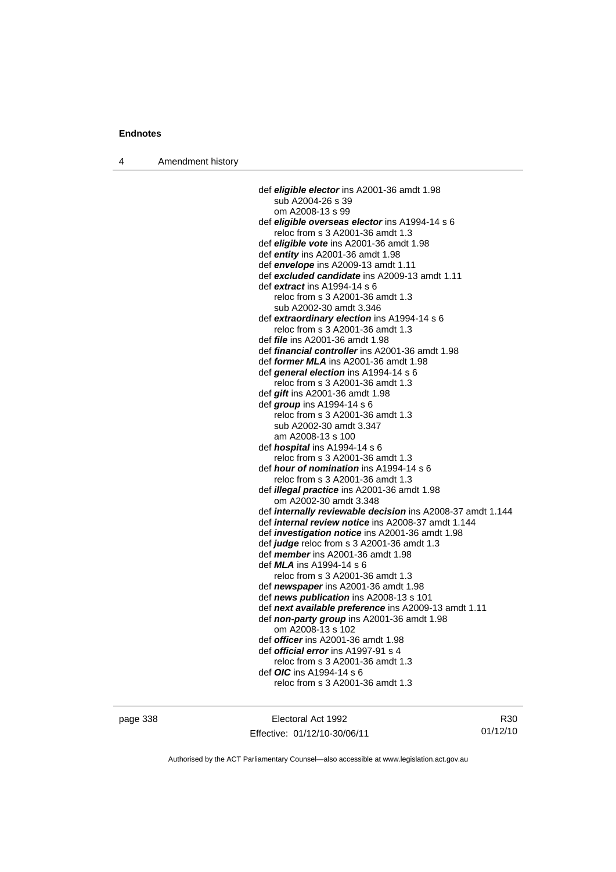4 Amendment history

 def *eligible elector* ins A2001-36 amdt 1.98 sub A2004-26 s 39 om A2008-13 s 99 def *eligible overseas elector* ins A1994-14 s 6 reloc from s 3 A2001-36 amdt 1.3 def *eligible vote* ins A2001-36 amdt 1.98 def *entity* ins A2001-36 amdt 1.98 def *envelope* ins A2009-13 amdt 1.11 def *excluded candidate* ins A2009-13 amdt 1.11 def *extract* ins A1994-14 s 6 reloc from s 3 A2001-36 amdt 1.3 sub A2002-30 amdt 3.346 def *extraordinary election* ins A1994-14 s 6 reloc from s 3 A2001-36 amdt 1.3 def *file* ins A2001-36 amdt 1.98 def *financial controller* ins A2001-36 amdt 1.98 def *former MLA* ins A2001-36 amdt 1.98 def *general election* ins A1994-14 s 6 reloc from s 3 A2001-36 amdt 1.3 def *gift* ins A2001-36 amdt 1.98 def *group* ins A1994-14 s 6 reloc from s 3 A2001-36 amdt 1.3 sub A2002-30 amdt 3.347 am A2008-13 s 100 def *hospital* ins A1994-14 s 6 reloc from s 3 A2001-36 amdt 1.3 def *hour of nomination* ins A1994-14 s 6 reloc from s 3 A2001-36 amdt 1.3 def *illegal practice* ins A2001-36 amdt 1.98 om A2002-30 amdt 3.348 def *internally reviewable decision* ins A2008-37 amdt 1.144 def *internal review notice* ins A2008-37 amdt 1.144 def *investigation notice* ins A2001-36 amdt 1.98 def *judge* reloc from s 3 A2001-36 amdt 1.3 def *member* ins A2001-36 amdt 1.98 def *MLA* ins A1994-14 s 6 reloc from s 3 A2001-36 amdt 1.3 def *newspaper* ins A2001-36 amdt 1.98 def *news publication* ins A2008-13 s 101 def *next available preference* ins A2009-13 amdt 1.11 def *non-party group* ins A2001-36 amdt 1.98 om A2008-13 s 102 def *officer* ins A2001-36 amdt 1.98 def *official error* ins A1997-91 s 4 reloc from s 3 A2001-36 amdt 1.3 def *OIC* ins A1994-14 s 6 reloc from s 3 A2001-36 amdt 1.3

page 338 Electoral Act 1992 Effective: 01/12/10-30/06/11

R30 01/12/10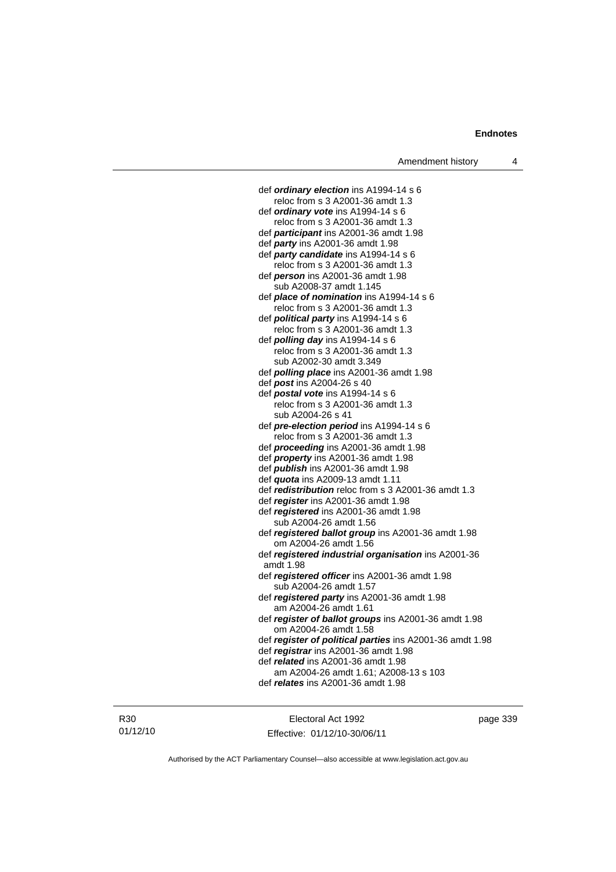def *ordinary election* ins A1994-14 s 6 reloc from s 3 A2001-36 amdt 1.3 def *ordinary vote* ins A1994-14 s 6 reloc from s 3 A2001-36 amdt 1.3 def *participant* ins A2001-36 amdt 1.98 def *party* ins A2001-36 amdt 1.98 def *party candidate* ins A1994-14 s 6 reloc from s 3 A2001-36 amdt 1.3 def *person* ins A2001-36 amdt 1.98 sub A2008-37 amdt 1.145 def *place of nomination* ins A1994-14 s 6 reloc from s 3 A2001-36 amdt 1.3 def *political party* ins A1994-14 s 6 reloc from s 3 A2001-36 amdt 1.3 def *polling day* ins A1994-14 s 6 reloc from s 3 A2001-36 amdt 1.3 sub A2002-30 amdt 3.349 def *polling place* ins A2001-36 amdt 1.98 def *post* ins A2004-26 s 40 def *postal vote* ins A1994-14 s 6 reloc from s 3 A2001-36 amdt 1.3 sub A2004-26 s 41 def *pre-election period* ins A1994-14 s 6 reloc from s 3 A2001-36 amdt 1.3 def *proceeding* ins A2001-36 amdt 1.98 def *property* ins A2001-36 amdt 1.98 def *publish* ins A2001-36 amdt 1.98 def *quota* ins A2009-13 amdt 1.11 def *redistribution* reloc from s 3 A2001-36 amdt 1.3 def *register* ins A2001-36 amdt 1.98 def *registered* ins A2001-36 amdt 1.98 sub A2004-26 amdt 1.56 def *registered ballot group* ins A2001-36 amdt 1.98 om A2004-26 amdt 1.56 def *registered industrial organisation* ins A2001-36 amdt 1.98 def *registered officer* ins A2001-36 amdt 1.98 sub A2004-26 amdt 1.57 def *registered party* ins A2001-36 amdt 1.98 am A2004-26 amdt 1.61 def *register of ballot groups* ins A2001-36 amdt 1.98 om A2004-26 amdt 1.58 def *register of political parties* ins A2001-36 amdt 1.98 def *registrar* ins A2001-36 amdt 1.98 def *related* ins A2001-36 amdt 1.98 am A2004-26 amdt 1.61; A2008-13 s 103 def *relates* ins A2001-36 amdt 1.98

R30 01/12/10

Electoral Act 1992 Effective: 01/12/10-30/06/11 page 339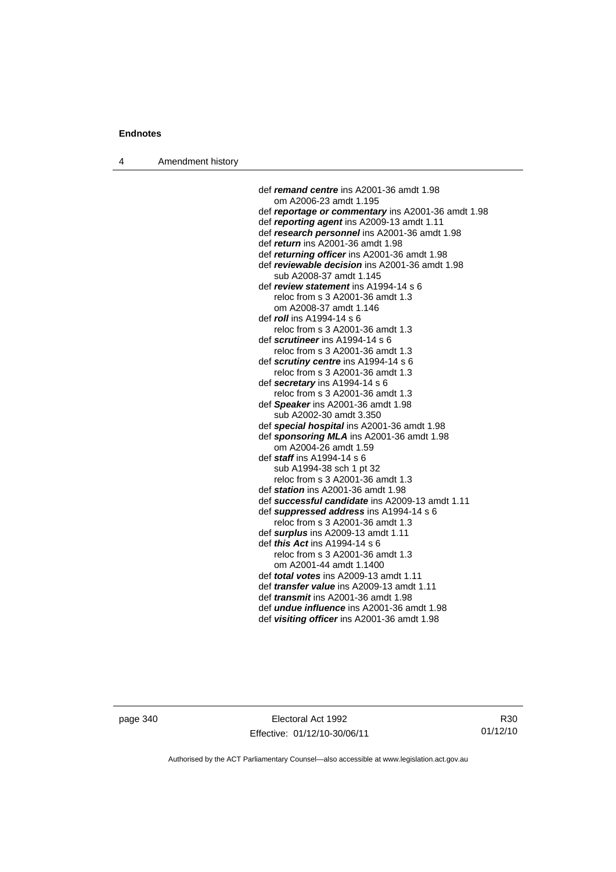4 Amendment history

 def *remand centre* ins A2001-36 amdt 1.98 om A2006-23 amdt 1.195 def *reportage or commentary* ins A2001-36 amdt 1.98 def *reporting agent* ins A2009-13 amdt 1.11 def *research personnel* ins A2001-36 amdt 1.98 def *return* ins A2001-36 amdt 1.98 def *returning officer* ins A2001-36 amdt 1.98 def *reviewable decision* ins A2001-36 amdt 1.98 sub A2008-37 amdt 1.145 def *review statement* ins A1994-14 s 6 reloc from s 3 A2001-36 amdt 1.3 om A2008-37 amdt 1.146 def *roll* ins A1994-14 s 6 reloc from s 3 A2001-36 amdt 1.3 def *scrutineer* ins A1994-14 s 6 reloc from s 3 A2001-36 amdt 1.3 def *scrutiny centre* ins A1994-14 s 6 reloc from s 3 A2001-36 amdt 1.3 def *secretary* ins A1994-14 s 6 reloc from s 3 A2001-36 amdt 1.3 def *Speaker* ins A2001-36 amdt 1.98 sub A2002-30 amdt 3.350 def *special hospital* ins A2001-36 amdt 1.98 def *sponsoring MLA* ins A2001-36 amdt 1.98 om A2004-26 amdt 1.59 def *staff* ins A1994-14 s 6 sub A1994-38 sch 1 pt 32 reloc from s 3 A2001-36 amdt 1.3 def *station* ins A2001-36 amdt 1.98 def *successful candidate* ins A2009-13 amdt 1.11 def *suppressed address* ins A1994-14 s 6 reloc from s 3 A2001-36 amdt 1.3 def *surplus* ins A2009-13 amdt 1.11 def *this Act* ins A1994-14 s 6 reloc from s 3 A2001-36 amdt 1.3 om A2001-44 amdt 1.1400 def *total votes* ins A2009-13 amdt 1.11 def *transfer value* ins A2009-13 amdt 1.11 def *transmit* ins A2001-36 amdt 1.98 def *undue influence* ins A2001-36 amdt 1.98 def *visiting officer* ins A2001-36 amdt 1.98

page 340 Electoral Act 1992 Effective: 01/12/10-30/06/11

R30 01/12/10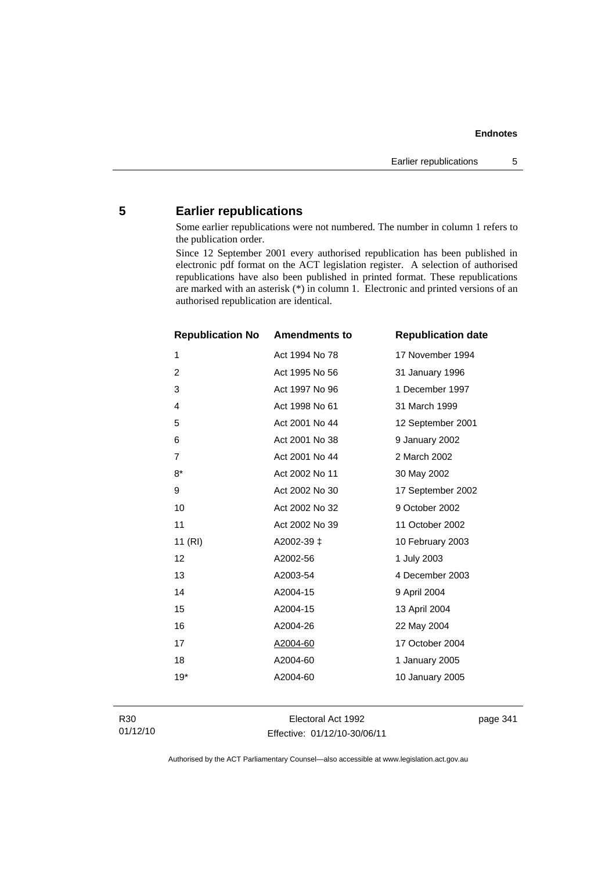## **5 Earlier republications**

Some earlier republications were not numbered. The number in column 1 refers to the publication order.

Since 12 September 2001 every authorised republication has been published in electronic pdf format on the ACT legislation register. A selection of authorised republications have also been published in printed format. These republications are marked with an asterisk (\*) in column 1. Electronic and printed versions of an authorised republication are identical.

| <b>Republication No</b> | <b>Amendments to</b> | <b>Republication date</b> |
|-------------------------|----------------------|---------------------------|
| 1                       | Act 1994 No 78       | 17 November 1994          |
| $\overline{c}$          | Act 1995 No 56       | 31 January 1996           |
| 3                       | Act 1997 No 96       | 1 December 1997           |
| 4                       | Act 1998 No 61       | 31 March 1999             |
| 5                       | Act 2001 No 44       | 12 September 2001         |
| 6                       | Act 2001 No 38       | 9 January 2002            |
| $\overline{7}$          | Act 2001 No 44       | 2 March 2002              |
| $8*$                    | Act 2002 No 11       | 30 May 2002               |
| 9                       | Act 2002 No 30       | 17 September 2002         |
| 10                      | Act 2002 No 32       | 9 October 2002            |
| 11                      | Act 2002 No 39       | 11 October 2002           |
| 11(RI)                  | A2002-39 ‡           | 10 February 2003          |
| 12                      | A2002-56             | 1 July 2003               |
| 13                      | A2003-54             | 4 December 2003           |
| 14                      | A2004-15             | 9 April 2004              |
| 15                      | A2004-15             | 13 April 2004             |
| 16                      | A2004-26             | 22 May 2004               |
| 17                      | A2004-60             | 17 October 2004           |
| 18                      | A2004-60             | 1 January 2005            |
| $19*$                   | A2004-60             | 10 January 2005           |
|                         |                      |                           |

Electoral Act 1992 Effective: 01/12/10-30/06/11 page 341